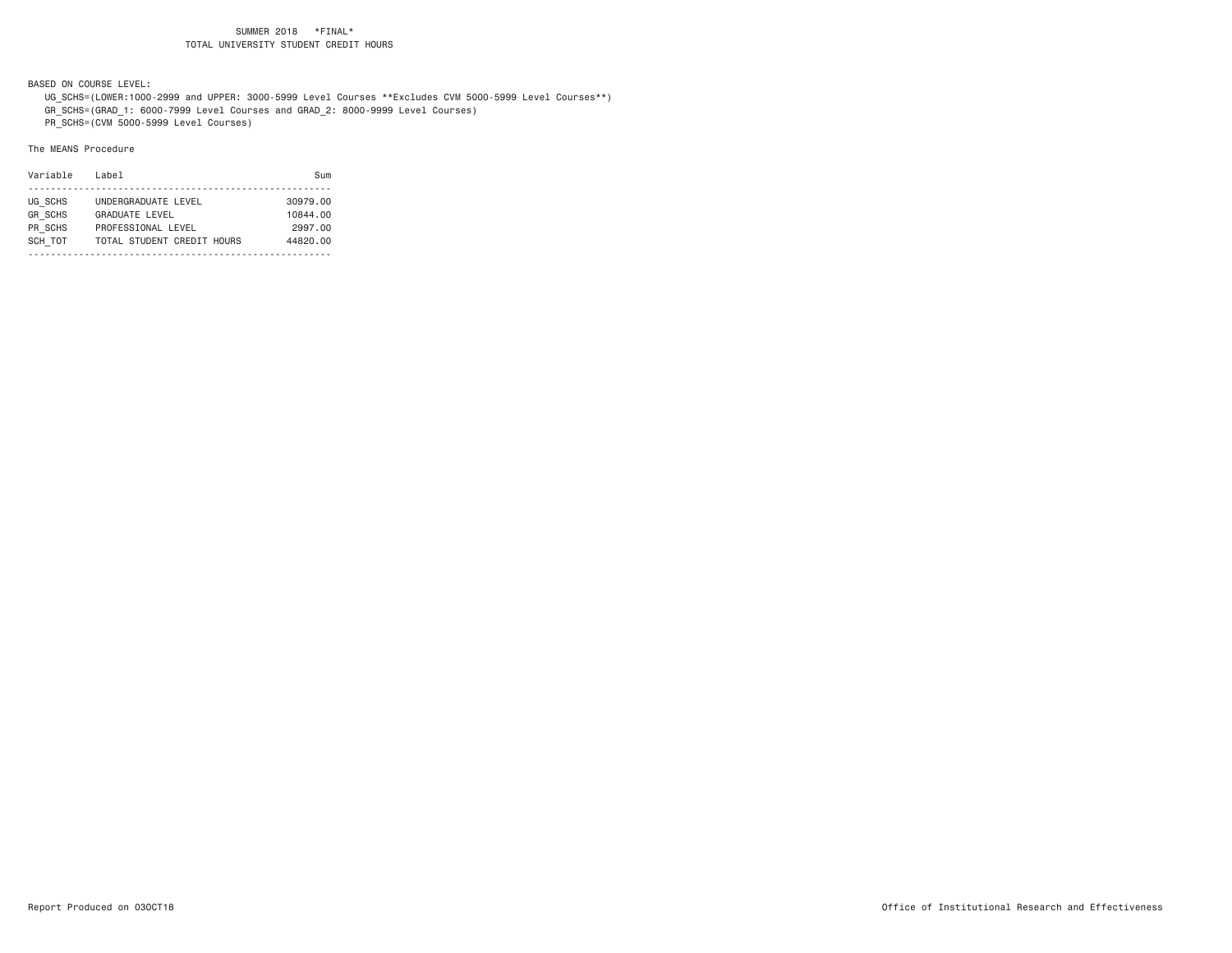BASED ON COURSE LEVEL:

 UG\_SCHS=(LOWER:1000-2999 and UPPER: 3000-5999 Level Courses \*\*Excludes CVM 5000-5999 Level Courses\*\*) GR\_SCHS=(GRAD\_1: 6000-7999 Level Courses and GRAD\_2: 8000-9999 Level Courses)

PR\_SCHS=(CVM 5000-5999 Level Courses)

| Variable       | Label                      | Sum      |
|----------------|----------------------------|----------|
|                |                            |          |
| UG SCHS        | UNDERGRADUATE LEVEL        | 30979.00 |
| <b>GR SCHS</b> | <b>GRADUATE LEVEL</b>      | 10844.00 |
| PR SCHS        | PROFESSIONAL LEVEL         | 2997.00  |
| SCH TOT        | TOTAL STUDENT CREDIT HOURS | 44820.00 |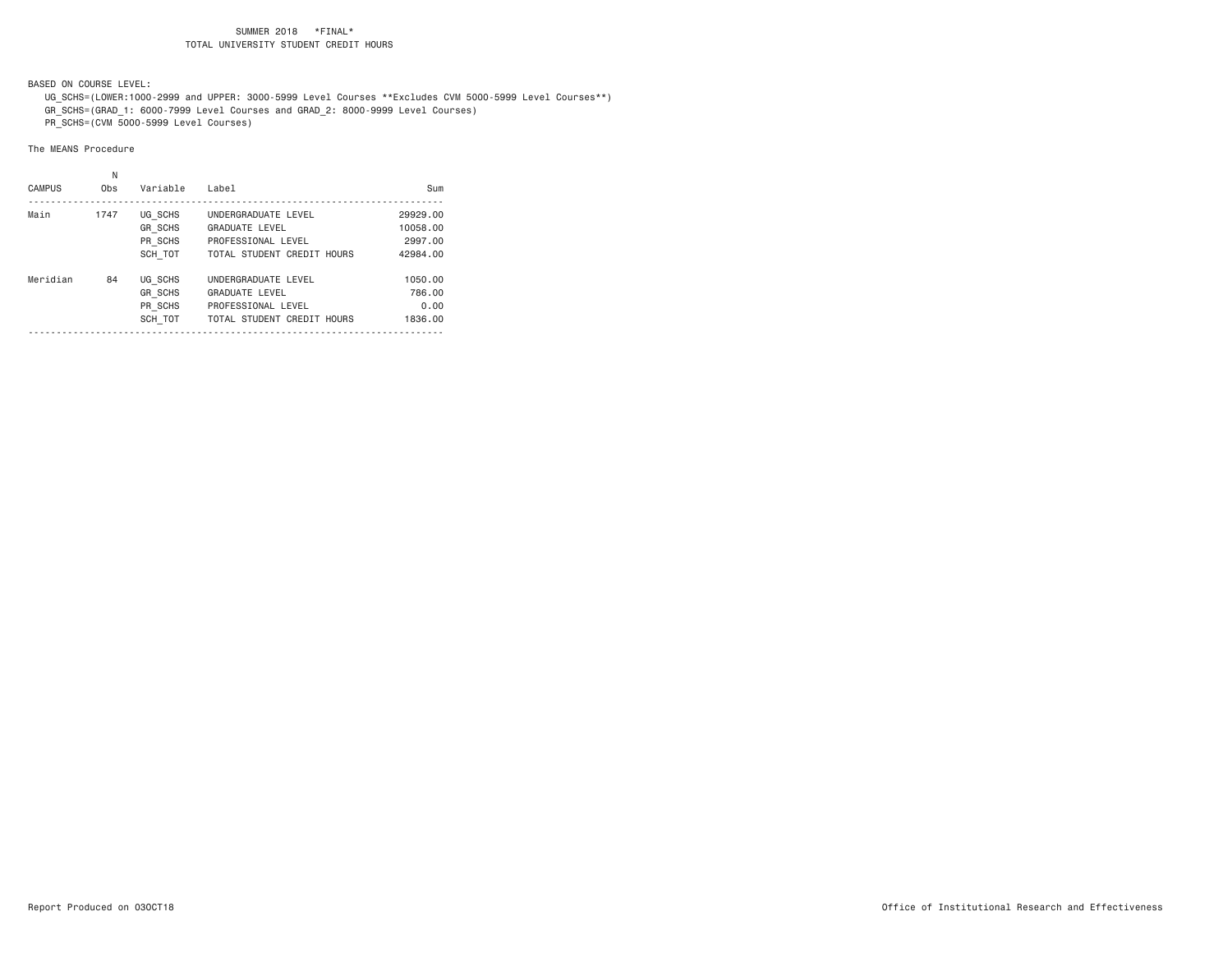BASED ON COURSE LEVEL:

 UG\_SCHS=(LOWER:1000-2999 and UPPER: 3000-5999 Level Courses \*\*Excludes CVM 5000-5999 Level Courses\*\*) GR\_SCHS=(GRAD\_1: 6000-7999 Level Courses and GRAD\_2: 8000-9999 Level Courses)

PR\_SCHS=(CVM 5000-5999 Level Courses)

|               | Ν    |                |                            |          |
|---------------|------|----------------|----------------------------|----------|
| <b>CAMPUS</b> | Obs  | Variable       | Label                      | Sum      |
| Main          | 1747 | UG SCHS        | UNDERGRADUATE LEVEL        | 29929.00 |
|               |      | <b>GR SCHS</b> | <b>GRADUATE LEVEL</b>      | 10058.00 |
|               |      | PR SCHS        | PROFESSIONAL LEVEL         | 2997.00  |
|               |      | SCH TOT        | TOTAL STUDENT CREDIT HOURS | 42984.00 |
| Meridian      | 84   | UG SCHS        | UNDERGRADUATE LEVEL        | 1050.00  |
|               |      | <b>GR SCHS</b> | <b>GRADUATE LEVEL</b>      | 786.00   |
|               |      | PR SCHS        | PROFESSIONAL LEVEL         | 0.00     |
|               |      | SCH TOT        | TOTAL STUDENT CREDIT HOURS | 1836.00  |
|               |      |                |                            |          |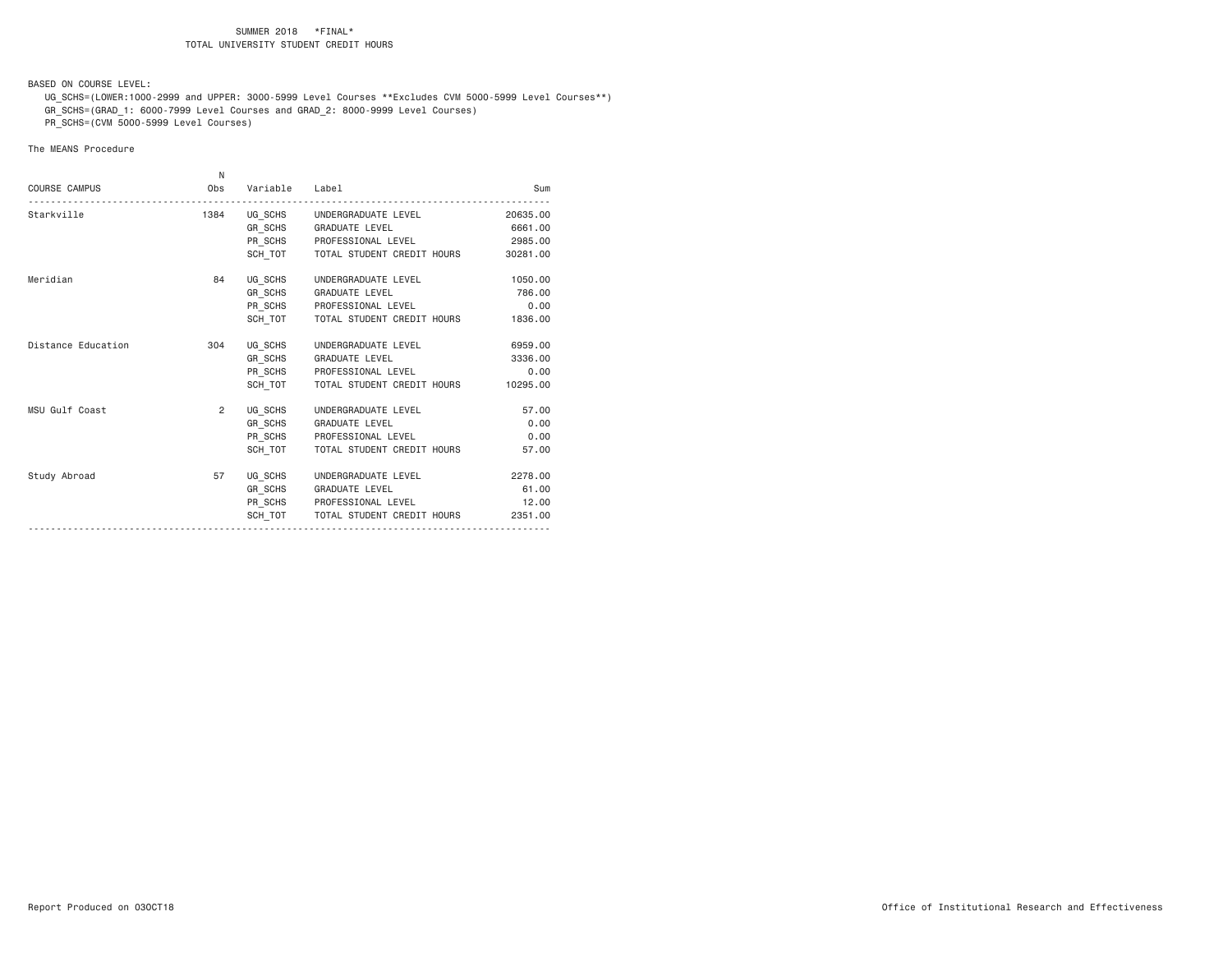BASED ON COURSE LEVEL:

 UG\_SCHS=(LOWER:1000-2999 and UPPER: 3000-5999 Level Courses \*\*Excludes CVM 5000-5999 Level Courses\*\*) GR\_SCHS=(GRAD\_1: 6000-7999 Level Courses and GRAD\_2: 8000-9999 Level Courses)

PR\_SCHS=(CVM 5000-5999 Level Courses)

|                      | N              |                |                                      |          |
|----------------------|----------------|----------------|--------------------------------------|----------|
| <b>COURSE CAMPUS</b> | Obs            | Variable Label |                                      | Sum      |
| Starkville           | 1384           |                | UG_SCHS UNDERGRADUATE LEVEL          | 20635,00 |
|                      |                |                | GR_SCHS GRADUATE LEVEL               | 6661.00  |
|                      |                |                | PR_SCHS PROFESSIONAL LEVEL           | 2985.00  |
|                      |                |                | SCH TOT   TOTAL STUDENT CREDIT HOURS | 30281.00 |
| Meridian             | 84             |                | UG_SCHS UNDERGRADUATE LEVEL          | 1050.00  |
|                      |                |                | GR_SCHS GRADUATE LEVEL               | 786.00   |
|                      |                |                | PR_SCHS PROFESSIONAL LEVEL           | 0.00     |
|                      |                |                | SCH TOT   TOTAL STUDENT CREDIT HOURS | 1836,00  |
| Distance Education   | 304            |                | UG SCHS UNDERGRADUATE LEVEL          | 6959,00  |
|                      |                |                | GR_SCHS GRADUATE LEVEL               | 3336.00  |
|                      |                |                | PR_SCHS PROFESSIONAL LEVEL           | 0.00     |
|                      |                |                | SCH TOT TOTAL STUDENT CREDIT HOURS   | 10295.00 |
| MSU Gulf Coast       | $\overline{2}$ |                | UG SCHS UNDERGRADUATE LEVEL          | 57.00    |
|                      |                |                | GR_SCHS GRADUATE LEVEL               | 0.00     |
|                      |                |                | PR SCHS PROFESSIONAL LEVEL           | 0.00     |
|                      |                |                | SCH TOT TOTAL STUDENT CREDIT HOURS   | 57.00    |
| Study Abroad         | 57             |                | UG_SCHS UNDERGRADUATE LEVEL          | 2278.00  |
|                      |                |                | GR SCHS GRADUATE LEVEL               | 61.00    |
|                      |                |                | PR SCHS PROFESSIONAL LEVEL           | 12.00    |
|                      |                |                | SCH TOT   TOTAL STUDENT CREDIT HOURS | 2351.00  |
|                      |                |                |                                      |          |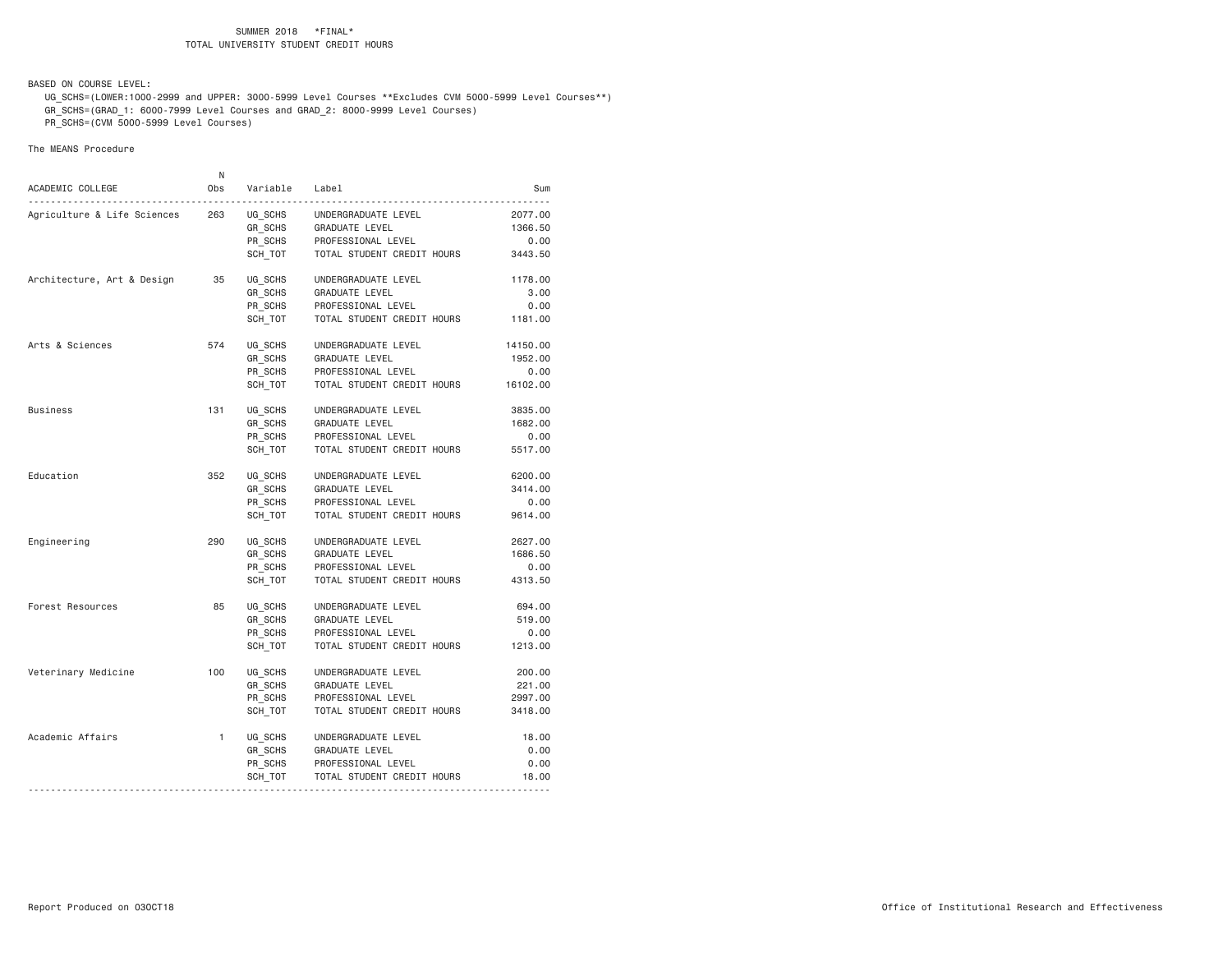BASED ON COURSE LEVEL:

 UG\_SCHS=(LOWER:1000-2999 and UPPER: 3000-5999 Level Courses \*\*Excludes CVM 5000-5999 Level Courses\*\*) GR\_SCHS=(GRAD\_1: 6000-7999 Level Courses and GRAD\_2: 8000-9999 Level Courses)

PR\_SCHS=(CVM 5000-5999 Level Courses)

| ACADEMIC COLLEGE            | N<br>0bs     | Variable                                 | Label                                                                                                                        | Sum                                     |
|-----------------------------|--------------|------------------------------------------|------------------------------------------------------------------------------------------------------------------------------|-----------------------------------------|
| Agriculture & Life Sciences | 263          | UG_SCHS<br>GR SCHS<br>PR_SCHS<br>SCH TOT | UNDERGRADUATE LEVEL<br>GRADUATE LEVEL<br>PROFESSIONAL LEVEL<br>TOTAL STUDENT CREDIT HOURS                                    | 2077.00<br>1366.50<br>0.00<br>3443.50   |
| Architecture, Art & Design  | 35           | UG SCHS<br>GR SCHS<br>PR SCHS<br>SCH TOT | UNDERGRADUATE LEVEL<br><b>GRADUATE LEVEL</b><br>PROFESSIONAL LEVEL<br>TOTAL STUDENT CREDIT HOURS                             | 1178.00<br>3.00<br>0.00<br>1181.00      |
| Arts & Sciences             | 574          | UG_SCHS<br>GR SCHS<br>PR SCHS<br>SCH TOT | UNDERGRADUATE LEVEL<br>GRADUATE LEVEL<br>PROFESSIONAL LEVEL<br>TOTAL STUDENT CREDIT HOURS                                    | 14150.00<br>1952.00<br>0.00<br>16102.00 |
| Business                    | 131          | UG_SCHS<br>GR_SCHS<br>PR_SCHS<br>SCH TOT | UNDERGRADUATE LEVEL<br>GRADUATE LEVEL<br>PROFESSIONAL LEVEL<br>TOTAL STUDENT CREDIT HOURS                                    | 3835.00<br>1682.00<br>0.00<br>5517.00   |
| Education                   | 352          | UG SCHS<br>GR_SCHS<br>PR_SCHS<br>SCH TOT | UNDERGRADUATE LEVEL<br>GRADUATE LEVEL<br>PROFESSIONAL LEVEL<br>TOTAL STUDENT CREDIT HOURS                                    | 6200.00<br>3414.00<br>0.00<br>9614.00   |
| Engineering                 | 290          | UG SCHS<br>GR SCHS<br>PR_SCHS<br>SCH TOT | UNDERGRADUATE LEVEL<br>GRADUATE LEVEL<br>PROFESSIONAL LEVEL<br>TOTAL STUDENT CREDIT HOURS                                    | 2627.00<br>1686.50<br>0.00<br>4313.50   |
| Forest Resources            | 85           | UG SCHS<br>GR SCHS<br>PR SCHS<br>SCH TOT | UNDERGRADUATE LEVEL<br>GRADUATE LEVEL<br>PROFESSIONAL LEVEL<br>TOTAL STUDENT CREDIT HOURS                                    | 694.00<br>519.00<br>0.00<br>1213.00     |
| Veterinary Medicine         | 100          | UG_SCHS<br>GR_SCHS<br>PR SCHS<br>SCH TOT | UNDERGRADUATE LEVEL<br>GRADUATE LEVEL<br>PROFESSIONAL LEVEL<br>TOTAL STUDENT CREDIT HOURS                                    | 200.00<br>221.00<br>2997.00<br>3418.00  |
| Academic Affairs            | $\mathbf{1}$ | UG SCHS<br>GR_SCHS<br>PR_SCHS<br>SCH_TOT | UNDERGRADUATE LEVEL<br>GRADUATE LEVEL<br>PROFESSIONAL LEVEL<br>TOTAL STUDENT CREDIT HOURS<br>------------------------------- | 18.00<br>0.00<br>0.00<br>18.00          |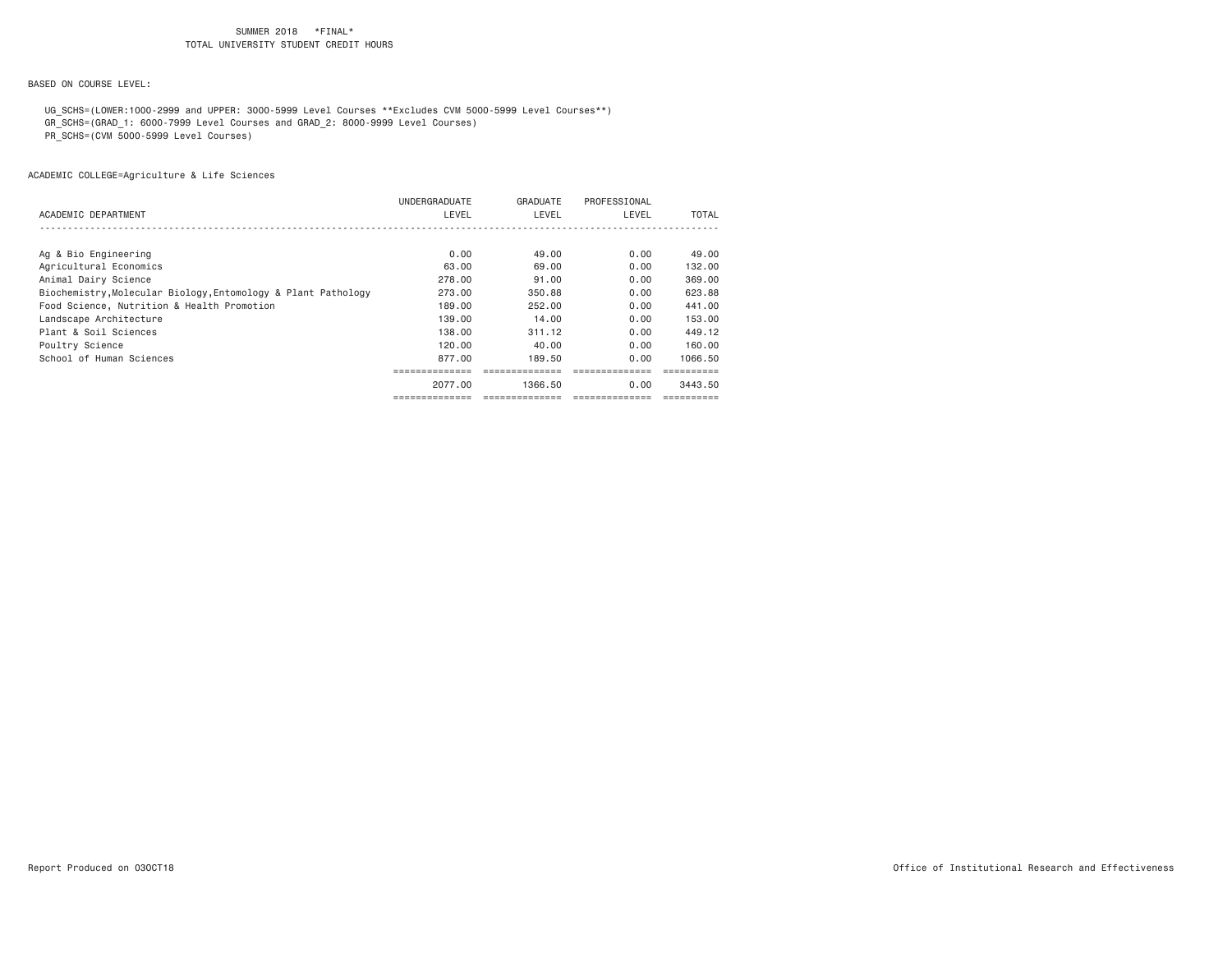BASED ON COURSE LEVEL:

UG\_SCHS=(LOWER:1000-2999 and UPPER: 3000-5999 Level Courses \*\*Excludes CVM 5000-5999 Level Courses\*\*)

GR\_SCHS=(GRAD\_1: 6000-7999 Level Courses and GRAD\_2: 8000-9999 Level Courses)

PR\_SCHS=(CVM 5000-5999 Level Courses)

|                                                               | UNDERGRADUATE | GRADUATE | PROFESSIONAL |         |
|---------------------------------------------------------------|---------------|----------|--------------|---------|
| ACADEMIC DEPARTMENT                                           | LEVEL         | LEVEL    | LEVEL        | TOTAL   |
|                                                               |               |          |              |         |
|                                                               |               |          |              |         |
| Ag & Bio Engineering                                          | 0.00          | 49.00    | 0.00         | 49.00   |
| Agricultural Economics                                        | 63.00         | 69.00    | 0.00         | 132.00  |
| Animal Dairy Science                                          | 278.00        | 91,00    | 0.00         | 369.00  |
| Biochemistry, Molecular Biology, Entomology & Plant Pathology | 273,00        | 350.88   | 0.00         | 623.88  |
| Food Science, Nutrition & Health Promotion                    | 189,00        | 252,00   | 0.00         | 441,00  |
| Landscape Architecture                                        | 139.00        | 14.00    | 0.00         | 153.00  |
| Plant & Soil Sciences                                         | 138,00        | 311.12   | 0.00         | 449.12  |
| Poultry Science                                               | 120.00        | 40.00    | 0.00         | 160.00  |
| School of Human Sciences                                      | 877.00        | 189.50   | 0.00         | 1066.50 |
|                                                               |               |          |              |         |
|                                                               | 2077.00       | 1366.50  | 0.00         | 3443.50 |
|                                                               |               |          |              |         |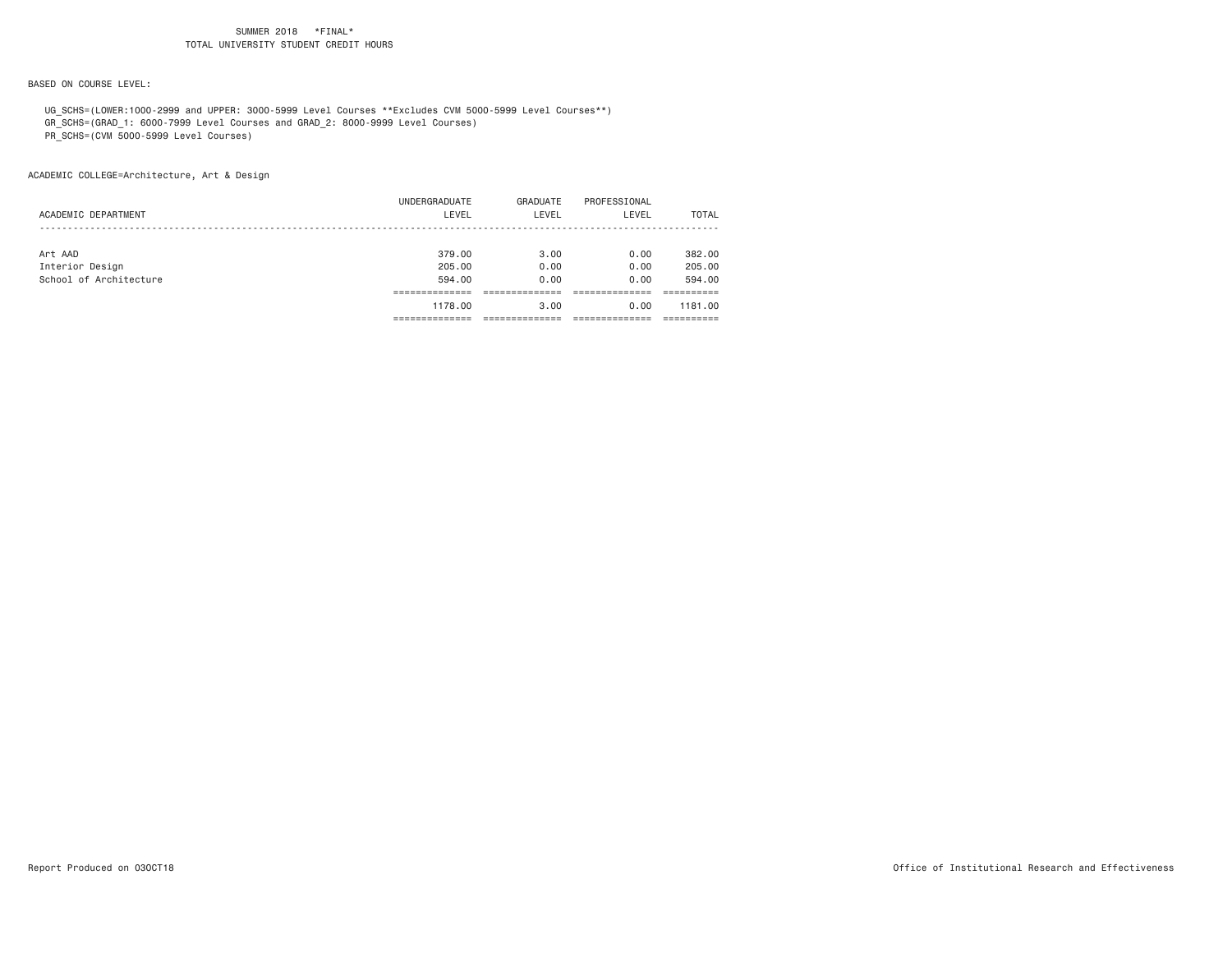BASED ON COURSE LEVEL:

UG\_SCHS=(LOWER:1000-2999 and UPPER: 3000-5999 Level Courses \*\*Excludes CVM 5000-5999 Level Courses\*\*)

GR\_SCHS=(GRAD\_1: 6000-7999 Level Courses and GRAD\_2: 8000-9999 Level Courses)

PR\_SCHS=(CVM 5000-5999 Level Courses)

|                        | 1178.00       | 3.00     | 0.00         | 1181.00      |
|------------------------|---------------|----------|--------------|--------------|
|                        |               |          |              |              |
| School of Architecture | 594,00        | 0.00     | 0.00         | 594.00       |
| Interior Design        | 205,00        | 0.00     | 0.00         | 205,00       |
| Art AAD                | 379,00        | 3.00     | 0.00         | 382,00       |
|                        |               |          |              |              |
| ACADEMIC DEPARTMENT    | LEVEL         | LEVEL    | LEVEL        | <b>TOTAL</b> |
|                        | UNDERGRADUATE | GRADUATE | PROFESSIONAL |              |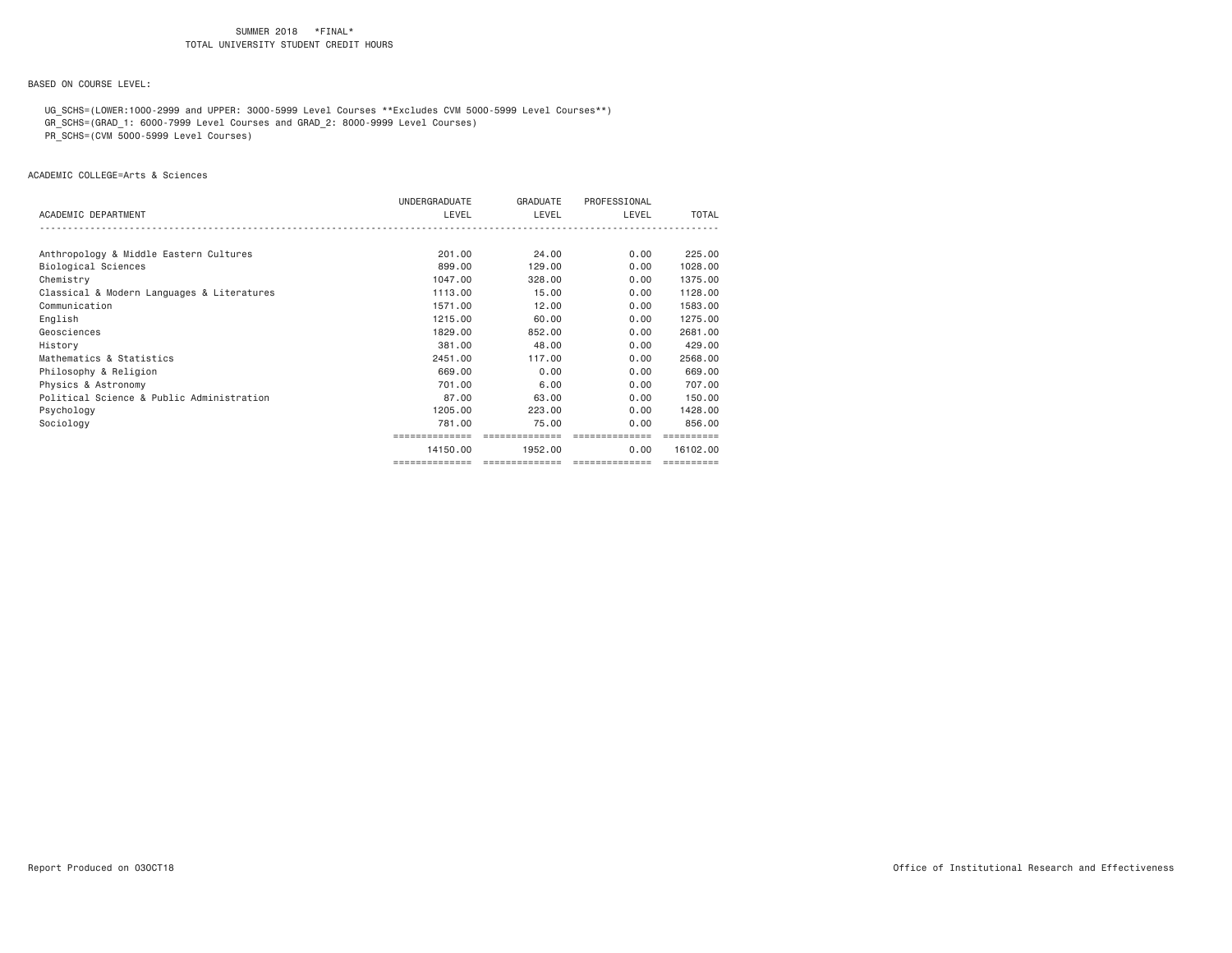BASED ON COURSE LEVEL:

UG\_SCHS=(LOWER:1000-2999 and UPPER: 3000-5999 Level Courses \*\*Excludes CVM 5000-5999 Level Courses\*\*)

GR\_SCHS=(GRAD\_1: 6000-7999 Level Courses and GRAD\_2: 8000-9999 Level Courses)

PR\_SCHS=(CVM 5000-5999 Level Courses)

ACADEMIC COLLEGE=Arts & Sciences

|                                            | UNDERGRADUATE  | GRADUATE       | PROFESSIONAL   |            |
|--------------------------------------------|----------------|----------------|----------------|------------|
| ACADEMIC DEPARTMENT                        | LEVEL          | LEVEL          | LEVEL          | TOTAL      |
|                                            |                |                |                |            |
| Anthropology & Middle Eastern Cultures     | 201.00         | 24.00          | 0.00           | 225,00     |
| Biological Sciences                        | 899,00         | 129,00         | 0.00           | 1028.00    |
| Chemistry                                  | 1047,00        | 328,00         | 0.00           | 1375.00    |
| Classical & Modern Languages & Literatures | 1113,00        | 15,00          | 0.00           | 1128,00    |
| Communication                              | 1571.00        | 12.00          | 0.00           | 1583.00    |
| English                                    | 1215,00        | 60.00          | 0.00           | 1275.00    |
| Geosciences                                | 1829,00        | 852,00         | 0.00           | 2681.00    |
| History                                    | 381,00         | 48,00          | 0.00           | 429,00     |
| Mathematics & Statistics                   | 2451,00        | 117,00         | 0.00           | 2568,00    |
| Philosophy & Religion                      | 669,00         | 0.00           | 0.00           | 669,00     |
| Physics & Astronomy                        | 701.00         | 6.00           | 0.00           | 707.00     |
| Political Science & Public Administration  | 87.00          | 63,00          | 0.00           | 150,00     |
| Psychology                                 | 1205,00        | 223,00         | 0.00           | 1428,00    |
| Sociology                                  | 781.00         | 75.00          | 0.00           | 856,00     |
|                                            | ============== | ============== | ============== | ========== |
|                                            | 14150.00       | 1952.00        | 0.00           | 16102.00   |
|                                            |                |                |                | ========== |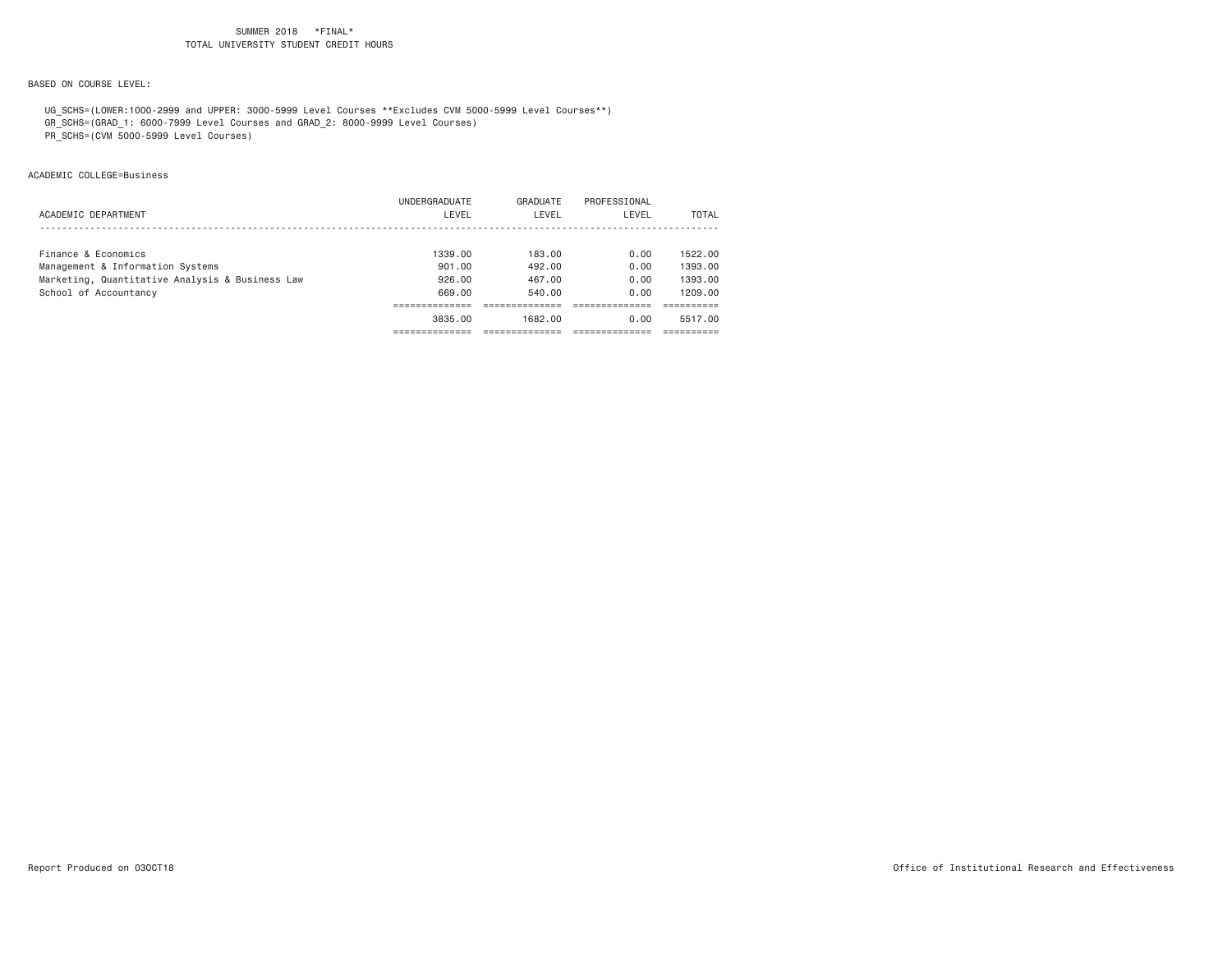### BASED ON COURSE LEVEL:

UG\_SCHS=(LOWER:1000-2999 and UPPER: 3000-5999 Level Courses \*\*Excludes CVM 5000-5999 Level Courses\*\*)

GR\_SCHS=(GRAD\_1: 6000-7999 Level Courses and GRAD\_2: 8000-9999 Level Courses)

PR\_SCHS=(CVM 5000-5999 Level Courses)

### ACADEMIC COLLEGE=Business

|                                                 | UNDERGRADUATE | GRADUATE | PROFESSIONAL |         |
|-------------------------------------------------|---------------|----------|--------------|---------|
| ACADEMIC DEPARTMENT                             | LEVEL         | LEVEL    | LEVEL        | TOTAL   |
|                                                 |               |          |              |         |
| Finance & Economics                             | 1339.00       | 183.00   | 0.00         | 1522.00 |
| Management & Information Systems                | 901,00        | 492.00   | 0.00         | 1393.00 |
| Marketing, Quantitative Analysis & Business Law | 926,00        | 467.00   | 0.00         | 1393.00 |
| School of Accountancy                           | 669.00        | 540.00   | 0.00         | 1209.00 |
|                                                 |               |          |              |         |
|                                                 | 3835.00       | 1682.00  | 0.00         | 5517.00 |
|                                                 |               |          |              |         |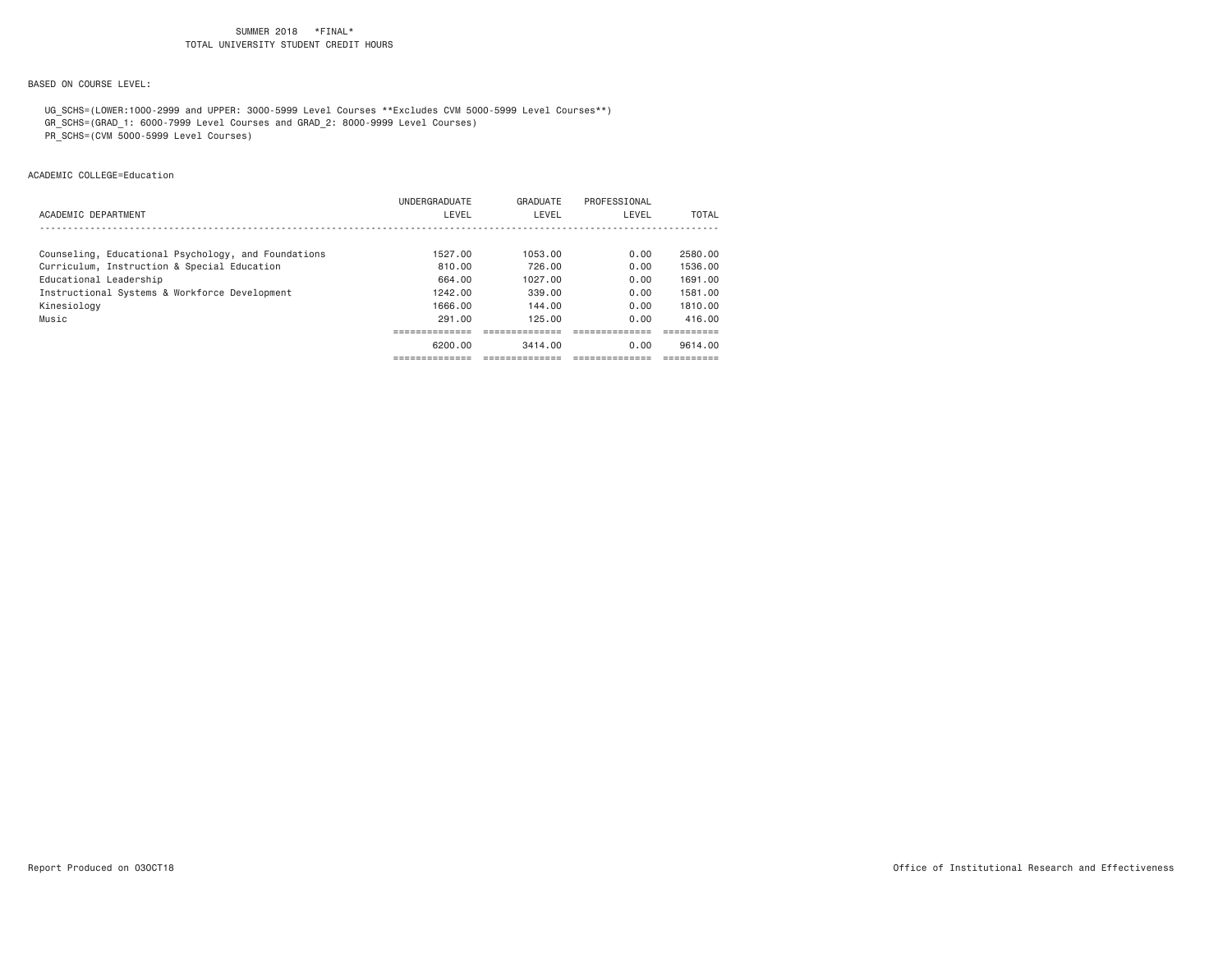BASED ON COURSE LEVEL:

 UG\_SCHS=(LOWER:1000-2999 and UPPER: 3000-5999 Level Courses \*\*Excludes CVM 5000-5999 Level Courses\*\*) GR\_SCHS=(GRAD\_1: 6000-7999 Level Courses and GRAD\_2: 8000-9999 Level Courses)

PR\_SCHS=(CVM 5000-5999 Level Courses)

ACADEMIC COLLEGE=Education

|                                                     | UNDERGRADUATE | GRADUATE | PROFESSIONAL |         |
|-----------------------------------------------------|---------------|----------|--------------|---------|
| ACADEMIC DEPARTMENT                                 | LEVEL         | LEVEL    | LEVEL        | TOTAL   |
|                                                     |               |          |              |         |
| Counseling, Educational Psychology, and Foundations | 1527.00       | 1053.00  | 0.00         | 2580.00 |
| Curriculum, Instruction & Special Education         | 810.00        | 726.00   | 0.00         | 1536.00 |
| Educational Leadership                              | 664.00        | 1027.00  | 0.00         | 1691.00 |
| Instructional Systems & Workforce Development       | 1242.00       | 339.00   | 0.00         | 1581.00 |
| Kinesiology                                         | 1666.00       | 144.00   | 0.00         | 1810.00 |
| Music                                               | 291.00        | 125.00   | 0.00         | 416.00  |
|                                                     |               |          |              |         |
|                                                     | 6200.00       | 3414.00  | 0.00         | 9614.00 |
|                                                     |               |          |              |         |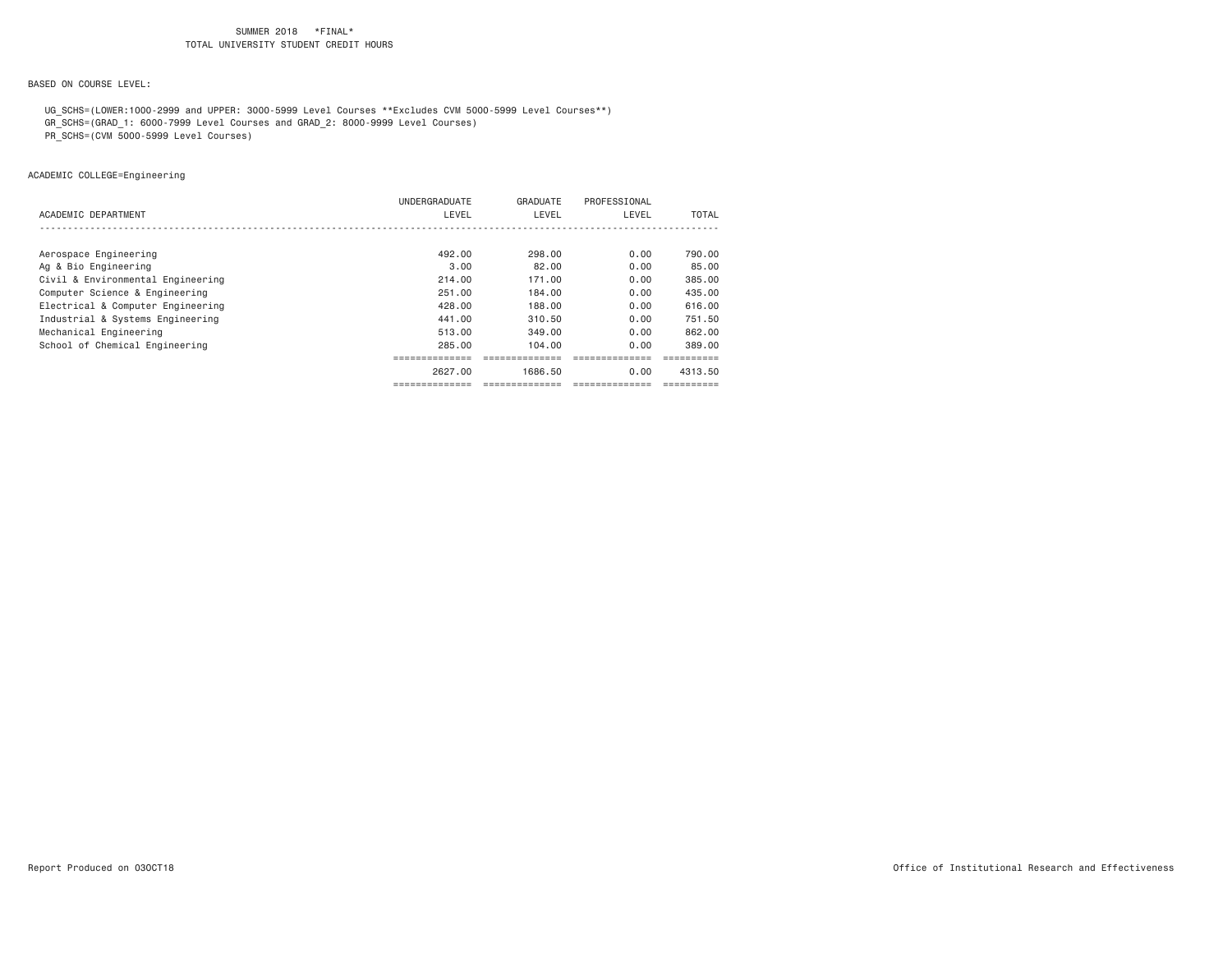BASED ON COURSE LEVEL:

UG\_SCHS=(LOWER:1000-2999 and UPPER: 3000-5999 Level Courses \*\*Excludes CVM 5000-5999 Level Courses\*\*)

GR\_SCHS=(GRAD\_1: 6000-7999 Level Courses and GRAD\_2: 8000-9999 Level Courses)

PR\_SCHS=(CVM 5000-5999 Level Courses)

ACADEMIC COLLEGE=Engineering

|                                   | UNDERGRADUATE | GRADUATE | PROFESSIONAL |         |
|-----------------------------------|---------------|----------|--------------|---------|
| ACADEMIC DEPARTMENT               | LEVEL         | LEVEL    | LEVEL        | TOTAL   |
|                                   |               |          |              |         |
|                                   |               |          |              |         |
| Aerospace Engineering             | 492.00        | 298,00   | 0.00         | 790.00  |
| Ag & Bio Engineering              | 3,00          | 82.00    | 0.00         | 85.00   |
| Civil & Environmental Engineering | 214.00        | 171.00   | 0.00         | 385.00  |
| Computer Science & Engineering    | 251,00        | 184,00   | 0.00         | 435,00  |
| Electrical & Computer Engineering | 428.00        | 188,00   | 0.00         | 616.00  |
| Industrial & Systems Engineering  | 441,00        | 310.50   | 0.00         | 751.50  |
| Mechanical Engineering            | 513.00        | 349.00   | 0.00         | 862.00  |
| School of Chemical Engineering    | 285.00        | 104.00   | 0.00         | 389.00  |
|                                   |               |          |              |         |
|                                   | 2627.00       | 1686.50  | 0.00         | 4313.50 |
|                                   |               |          |              |         |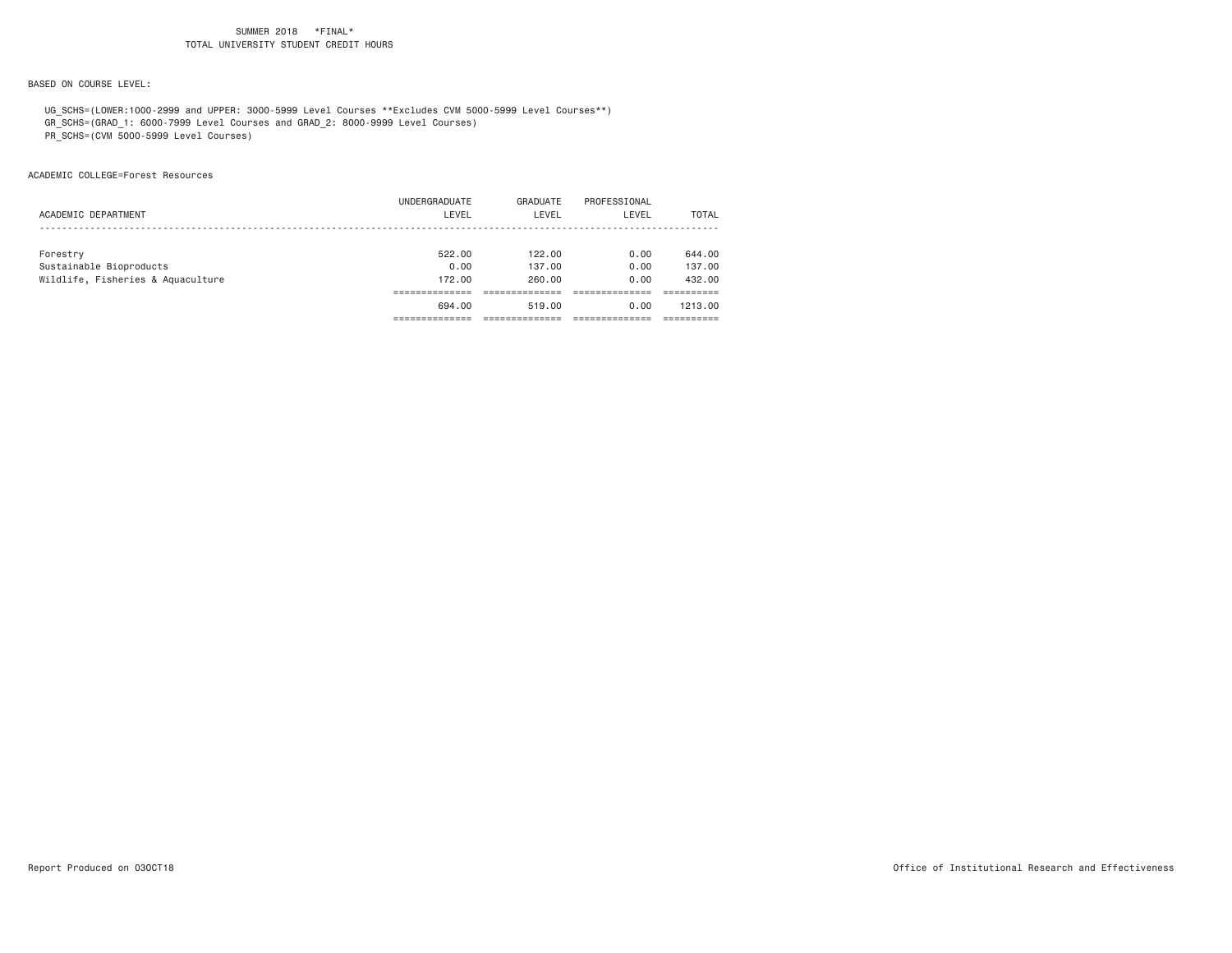BASED ON COURSE LEVEL:

 UG\_SCHS=(LOWER:1000-2999 and UPPER: 3000-5999 Level Courses \*\*Excludes CVM 5000-5999 Level Courses\*\*) GR\_SCHS=(GRAD\_1: 6000-7999 Level Courses and GRAD\_2: 8000-9999 Level Courses)

PR\_SCHS=(CVM 5000-5999 Level Courses)

ACADEMIC COLLEGE=Forest Resources

|                                   | 694,00        | 519.00   | 0.00         | 1213.00 |
|-----------------------------------|---------------|----------|--------------|---------|
|                                   |               |          |              |         |
| Wildlife, Fisheries & Aquaculture | 172,00        | 260.00   | 0.00         | 432.00  |
| Sustainable Bioproducts           | 0.00          | 137.00   | 0.00         | 137,00  |
| Forestry                          | 522.00        | 122.00   | 0.00         | 644.00  |
|                                   |               |          |              |         |
| ACADEMIC DEPARTMENT               | LEVEL         | LEVEL    | LEVEL        | TOTAL   |
|                                   | UNDERGRADUATE | GRADUATE | PROFESSIONAL |         |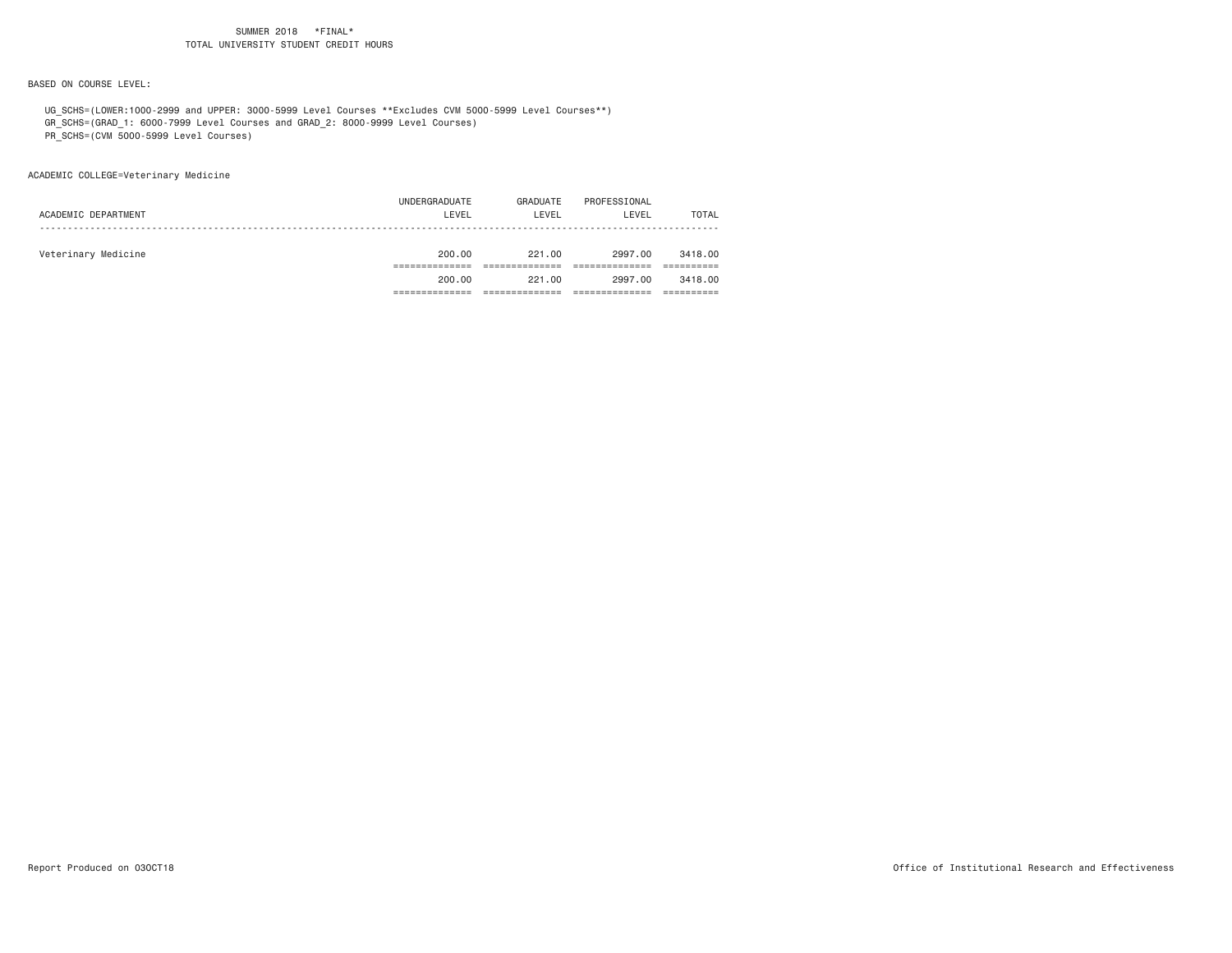BASED ON COURSE LEVEL:

UG\_SCHS=(LOWER:1000-2999 and UPPER: 3000-5999 Level Courses \*\*Excludes CVM 5000-5999 Level Courses\*\*)

GR\_SCHS=(GRAD\_1: 6000-7999 Level Courses and GRAD\_2: 8000-9999 Level Courses)

PR\_SCHS=(CVM 5000-5999 Level Courses)

ACADEMIC COLLEGE=Veterinary Medicine

|                     | UNDERGRADUATE | GRADUATE | PROFESSIONAL |              |
|---------------------|---------------|----------|--------------|--------------|
| ACADEMIC DEPARTMENT | LEVEL         | LEVEL    | LEVEL        | <b>TOTAL</b> |
|                     |               |          |              |              |
| Veterinary Medicine | 200.00        | 221.00   | 2997.00      | 3418.00      |
|                     |               |          |              |              |
|                     | 200.00        | 221,00   | 2997.00      | 3418.00      |
|                     |               |          |              |              |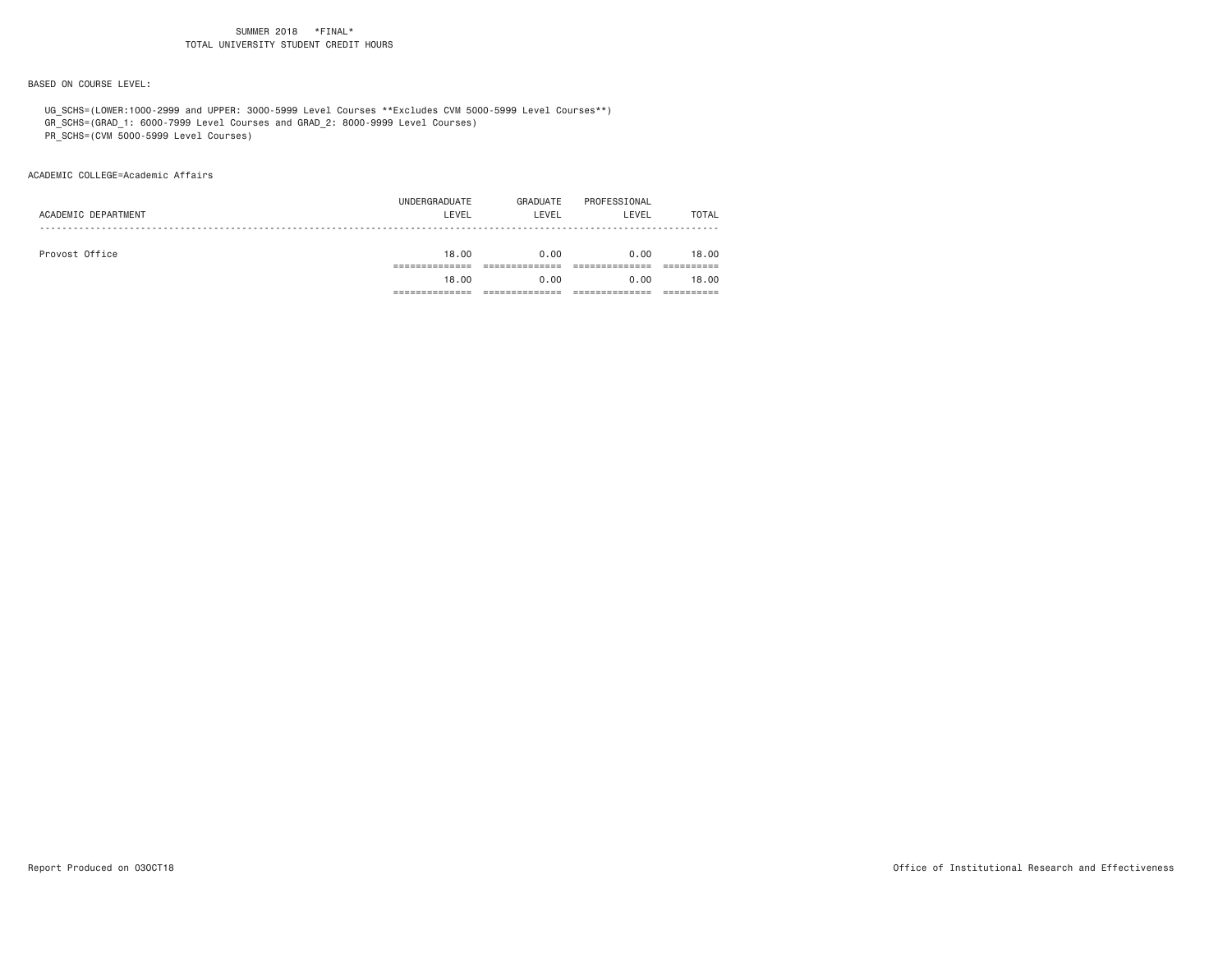BASED ON COURSE LEVEL:

UG\_SCHS=(LOWER:1000-2999 and UPPER: 3000-5999 Level Courses \*\*Excludes CVM 5000-5999 Level Courses\*\*)

GR\_SCHS=(GRAD\_1: 6000-7999 Level Courses and GRAD\_2: 8000-9999 Level Courses)

PR\_SCHS=(CVM 5000-5999 Level Courses)

ACADEMIC COLLEGE=Academic Affairs

|                     | UNDERGRADUATE | GRADUATE | PROFESSIONAL |              |
|---------------------|---------------|----------|--------------|--------------|
| ACADEMIC DEPARTMENT | LEVEL         | LEVEL    | LEVEL        | <b>TOTAL</b> |
|                     |               |          |              |              |
| Provost Office      | 18,00         | 0.00     | 0.00         | 18,00        |
|                     |               |          |              |              |
|                     | 18,00         | 0.00     | 0.00         | 18,00        |
|                     |               |          |              |              |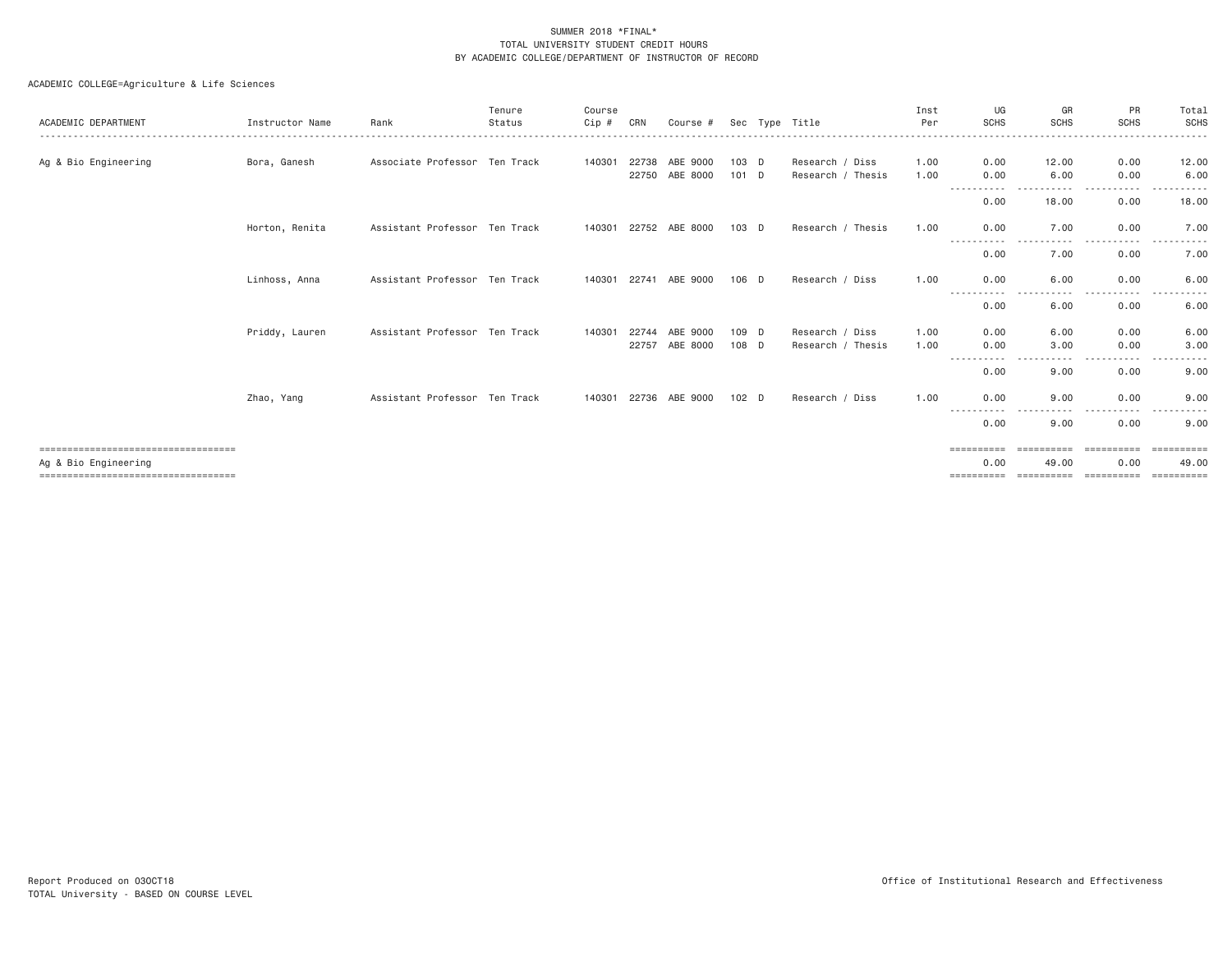| ACADEMIC DEPARTMENT                                           | Instructor Name | Rank                          | Tenure<br>Status | Course<br>Cip # | CRN   | Course #                   |                    | Sec Type Title                       | Inst<br>Per  | UG<br><b>SCHS</b>     | GR<br><b>SCHS</b>                                                                                                                                         | PR<br><b>SCHS</b>      | Total<br><b>SCHS</b>                         |
|---------------------------------------------------------------|-----------------|-------------------------------|------------------|-----------------|-------|----------------------------|--------------------|--------------------------------------|--------------|-----------------------|-----------------------------------------------------------------------------------------------------------------------------------------------------------|------------------------|----------------------------------------------|
| Ag & Bio Engineering                                          | Bora, Ganesh    | Associate Professor Ten Track |                  | 140301          | 22738 | ABE 9000<br>22750 ABE 8000 | $103$ D<br>$101$ D | Research / Diss<br>Research / Thesis | 1.00<br>1.00 | 0.00<br>0.00          | 12.00<br>6.00                                                                                                                                             | 0.00<br>0.00           | 12.00<br>6.00                                |
|                                                               |                 |                               |                  |                 |       |                            |                    |                                      |              | -----------<br>0.00   | $ -$<br>------<br>18.00                                                                                                                                   | - - - - -<br>0.00      | 18.00                                        |
|                                                               | Horton, Renita  | Assistant Professor Ten Track |                  |                 |       | 140301 22752 ABE 8000      | $103$ D            | Research / Thesis                    | 1.00         | 0.00                  | 7.00                                                                                                                                                      | 0.00                   | 7.00                                         |
|                                                               |                 |                               |                  |                 |       |                            |                    |                                      |              | .<br>0.00             | .<br>7.00                                                                                                                                                 | .<br>.<br>0.00         | .<br>7.00                                    |
|                                                               | Linhoss, Anna   | Assistant Professor Ten Track |                  |                 |       | 140301 22741 ABE 9000      | $106$ D            | Research / Diss                      | 1.00         | 0.00<br>-----------   | 6.00<br>$\sim$ $\sim$ $\sim$<br>$\frac{1}{2} \left( \frac{1}{2} \right) \left( \frac{1}{2} \right) \left( \frac{1}{2} \right) \left( \frac{1}{2} \right)$ | 0.00<br>.<br>$- - - -$ | 6.00<br>$\sim$ $\sim$ $\sim$ $\sim$<br>----- |
|                                                               |                 |                               |                  |                 |       |                            |                    |                                      |              | 0.00                  | 6.00                                                                                                                                                      | 0.00                   | 6.00                                         |
|                                                               | Priddy, Lauren  | Assistant Professor Ten Track |                  | 140301          | 22744 | ABE 9000                   | 109 D              | Research / Diss                      | 1,00         | 0.00                  | 6.00                                                                                                                                                      | 0.00                   | 6.00                                         |
|                                                               |                 |                               |                  |                 | 22757 | ABE 8000                   | 108 D              | Research / Thesis                    | 1.00         | 0.00<br>$\cdots$<br>. | 3,00<br>.                                                                                                                                                 | 0.00<br>$- - - -$      | 3.00<br>- - - - -                            |
|                                                               |                 |                               |                  |                 |       |                            |                    |                                      |              | 0.00                  | 9.00                                                                                                                                                      | 0.00                   | 9.00                                         |
|                                                               | Zhao, Yang      | Assistant Professor Ten Track |                  | 140301          | 22736 | ABE 9000                   | 102 <sub>D</sub>   | Research / Diss                      | 1.00         | 0.00<br>.             | 9.00                                                                                                                                                      | 0.00<br>$\frac{1}{2}$  | 9.00                                         |
|                                                               |                 |                               |                  |                 |       |                            |                    |                                      |              | ----<br>0.00          | 9.00                                                                                                                                                      | 0.00                   | 9.00                                         |
| ====================================                          |                 |                               |                  |                 |       |                            |                    |                                      |              | ==========            | ==========                                                                                                                                                | ==========             | ==========                                   |
| Ag & Bio Engineering<br>===================================== |                 |                               |                  |                 |       |                            |                    |                                      |              | 0.00                  | 49.00                                                                                                                                                     | 0.00                   | 49.00                                        |
|                                                               |                 |                               |                  |                 |       |                            |                    |                                      |              |                       |                                                                                                                                                           |                        |                                              |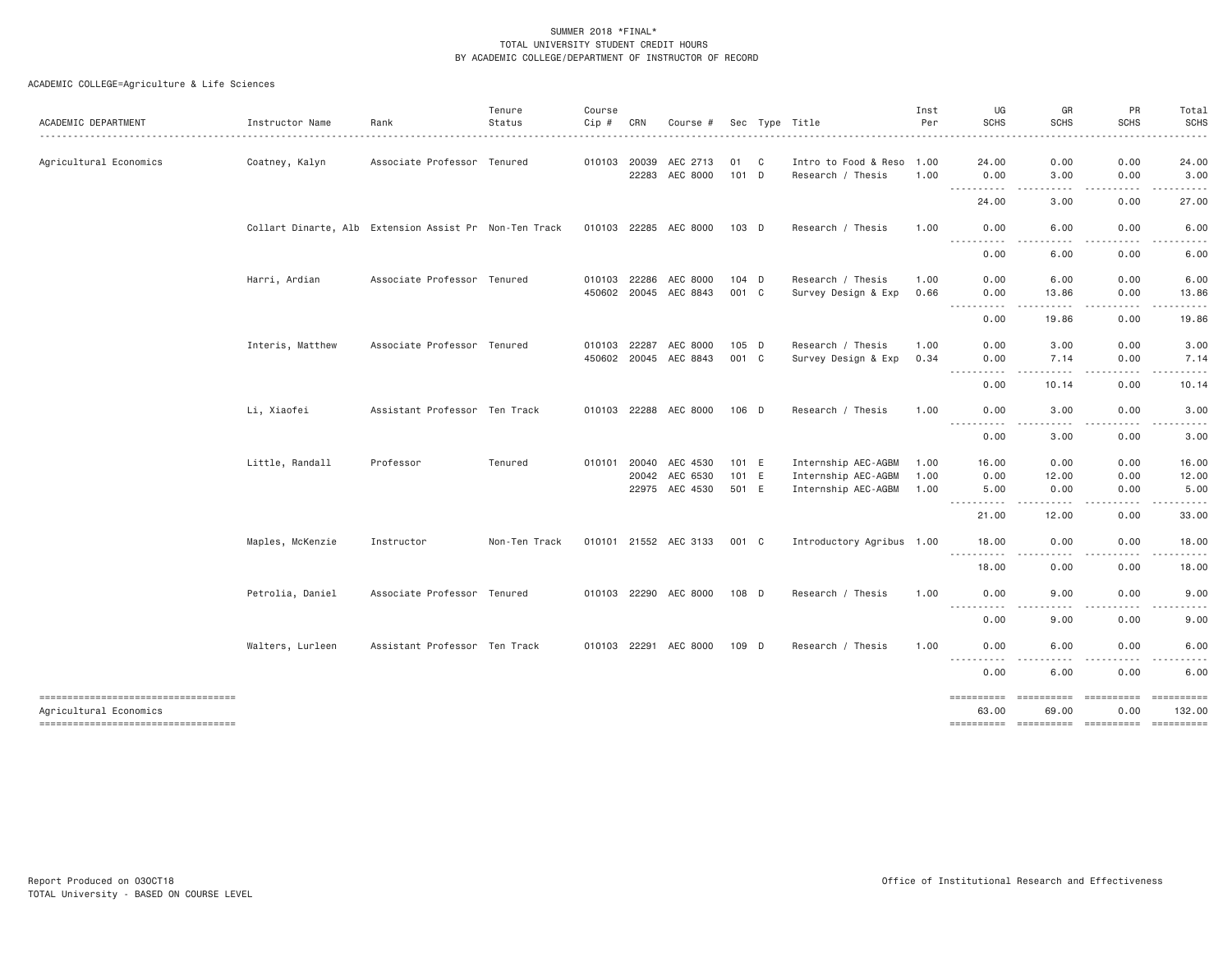| ACADEMIC DEPARTMENT                                          | Instructor Name                                        | Rank                          | Tenure<br>Status | Course<br>Cip # | CRN          | Course #              |         |   | Sec Type Title            | Inst<br>Per | UG<br><b>SCHS</b>                                                                                                                      | GR<br><b>SCHS</b>                                                                                                                                                                                                                                                                                                                                                                                                                                                                               | PR<br><b>SCHS</b>                                                                                                                 | Total<br><b>SCHS</b>   |
|--------------------------------------------------------------|--------------------------------------------------------|-------------------------------|------------------|-----------------|--------------|-----------------------|---------|---|---------------------------|-------------|----------------------------------------------------------------------------------------------------------------------------------------|-------------------------------------------------------------------------------------------------------------------------------------------------------------------------------------------------------------------------------------------------------------------------------------------------------------------------------------------------------------------------------------------------------------------------------------------------------------------------------------------------|-----------------------------------------------------------------------------------------------------------------------------------|------------------------|
| Agricultural Economics                                       | Coatney, Kalyn                                         | Associate Professor Tenured   |                  | 010103 20039    |              | AEC 2713              | 01      | C | Intro to Food & Reso      | 1.00        | 24.00                                                                                                                                  | 0.00                                                                                                                                                                                                                                                                                                                                                                                                                                                                                            | 0.00                                                                                                                              | 24.00                  |
|                                                              |                                                        |                               |                  |                 | 22283        | AEC 8000              | $101$ D |   | Research / Thesis         | 1.00        | 0.00                                                                                                                                   | 3.00                                                                                                                                                                                                                                                                                                                                                                                                                                                                                            | 0.00                                                                                                                              | 3.00                   |
|                                                              |                                                        |                               |                  |                 |              |                       |         |   |                           |             | ----------<br>24.00                                                                                                                    | .<br>3.00                                                                                                                                                                                                                                                                                                                                                                                                                                                                                       | -----<br>0.00                                                                                                                     | 27.00                  |
|                                                              | Collart Dinarte, Alb Extension Assist Pr Non-Ten Track |                               |                  |                 |              | 010103 22285 AEC 8000 | 103 D   |   | Research / Thesis         | 1.00        | 0.00                                                                                                                                   | 6.00                                                                                                                                                                                                                                                                                                                                                                                                                                                                                            | 0.00                                                                                                                              | 6.00                   |
|                                                              |                                                        |                               |                  |                 |              |                       |         |   |                           |             | $\frac{1}{2}$<br>0.00                                                                                                                  | $\frac{1}{2} \left( \frac{1}{2} \right) \left( \frac{1}{2} \right) \left( \frac{1}{2} \right) \left( \frac{1}{2} \right)$<br>6.00                                                                                                                                                                                                                                                                                                                                                               | $\frac{1}{2} \left( \frac{1}{2} \right) \left( \frac{1}{2} \right) \left( \frac{1}{2} \right) \left( \frac{1}{2} \right)$<br>0.00 | 6.00                   |
|                                                              | Harri, Ardian                                          | Associate Professor Tenured   |                  |                 | 010103 22286 | AEC 8000              | 104 D   |   | Research / Thesis         | 1.00        | 0.00                                                                                                                                   | 6.00                                                                                                                                                                                                                                                                                                                                                                                                                                                                                            | 0.00                                                                                                                              | 6.00                   |
|                                                              |                                                        |                               |                  |                 |              | 450602 20045 AEC 8843 | 001 C   |   | Survey Design & Exp       | 0.66        | 0.00                                                                                                                                   | 13.86                                                                                                                                                                                                                                                                                                                                                                                                                                                                                           | 0.00                                                                                                                              | 13.86                  |
|                                                              |                                                        |                               |                  |                 |              |                       |         |   |                           |             | ----------<br>0.00                                                                                                                     | <u>.</u><br>19.86                                                                                                                                                                                                                                                                                                                                                                                                                                                                               | -----<br>0.00                                                                                                                     | 19.86                  |
|                                                              | Interis, Matthew                                       | Associate Professor Tenured   |                  |                 | 010103 22287 | AEC 8000              | 105 D   |   | Research / Thesis         | 1.00        | 0.00                                                                                                                                   | 3.00                                                                                                                                                                                                                                                                                                                                                                                                                                                                                            | 0.00                                                                                                                              | 3.00                   |
|                                                              |                                                        |                               |                  |                 |              | 450602 20045 AEC 8843 | 001 C   |   | Survey Design & Exp       | 0.34        | 0.00                                                                                                                                   | 7.14                                                                                                                                                                                                                                                                                                                                                                                                                                                                                            | 0.00                                                                                                                              | 7.14                   |
|                                                              |                                                        |                               |                  |                 |              |                       |         |   |                           |             | .<br>0.00                                                                                                                              | .<br>10.14                                                                                                                                                                                                                                                                                                                                                                                                                                                                                      | .<br>0.00                                                                                                                         | $\frac{1}{2}$<br>10.14 |
|                                                              | Li, Xiaofei                                            | Assistant Professor Ten Track |                  |                 |              | 010103 22288 AEC 8000 | 106 D   |   | Research / Thesis         | 1.00        | 0.00                                                                                                                                   | 3.00                                                                                                                                                                                                                                                                                                                                                                                                                                                                                            | 0.00                                                                                                                              | 3.00                   |
|                                                              |                                                        |                               |                  |                 |              |                       |         |   |                           |             | .<br>$- - -$<br>0.00                                                                                                                   | 3.00                                                                                                                                                                                                                                                                                                                                                                                                                                                                                            | 0.00                                                                                                                              | 3.00                   |
|                                                              | Little, Randall                                        | Professor                     | Tenured          |                 |              | 010101 20040 AEC 4530 | 101 E   |   | Internship AEC-AGBM       | 1.00        | 16.00                                                                                                                                  | 0.00                                                                                                                                                                                                                                                                                                                                                                                                                                                                                            | 0.00                                                                                                                              | 16.00                  |
|                                                              |                                                        |                               |                  |                 | 20042        | AEC 6530              | 101 E   |   | Internship AEC-AGBM       | 1.00        | 0.00                                                                                                                                   | 12.00                                                                                                                                                                                                                                                                                                                                                                                                                                                                                           | 0.00                                                                                                                              | 12.00                  |
|                                                              |                                                        |                               |                  |                 |              | 22975 AEC 4530        | 501 E   |   | Internship AEC-AGBM       | 1.00        | 5.00                                                                                                                                   | 0.00                                                                                                                                                                                                                                                                                                                                                                                                                                                                                            | 0.00                                                                                                                              | 5.00                   |
|                                                              |                                                        |                               |                  |                 |              |                       |         |   |                           |             | ----------<br>21.00                                                                                                                    | 12.00                                                                                                                                                                                                                                                                                                                                                                                                                                                                                           | .<br>0.00                                                                                                                         | 33.00                  |
|                                                              | Maples, McKenzie                                       | Instructor                    | Non-Ten Track    |                 |              | 010101 21552 AEC 3133 | 001 C   |   | Introductory Agribus 1.00 |             | 18,00                                                                                                                                  | 0.00                                                                                                                                                                                                                                                                                                                                                                                                                                                                                            | 0.00                                                                                                                              | 18.00                  |
|                                                              |                                                        |                               |                  |                 |              |                       |         |   |                           |             | . <b>.</b><br>18.00                                                                                                                    | $\frac{1}{2} \left( \frac{1}{2} \right) \left( \frac{1}{2} \right) \left( \frac{1}{2} \right) \left( \frac{1}{2} \right)$<br>0.00                                                                                                                                                                                                                                                                                                                                                               | .<br>0.00                                                                                                                         | .<br>18.00             |
|                                                              | Petrolia, Daniel                                       | Associate Professor Tenured   |                  |                 |              | 010103 22290 AEC 8000 | 108 D   |   | Research / Thesis         | 1.00        | 0.00                                                                                                                                   | 9.00                                                                                                                                                                                                                                                                                                                                                                                                                                                                                            | 0.00                                                                                                                              | 9.00                   |
|                                                              |                                                        |                               |                  |                 |              |                       |         |   |                           |             | $\frac{1}{2} \left( \frac{1}{2} \right) \left( \frac{1}{2} \right) \left( \frac{1}{2} \right) \left( \frac{1}{2} \right)$<br>.<br>0.00 | 9.00                                                                                                                                                                                                                                                                                                                                                                                                                                                                                            | 0.00                                                                                                                              | 9.00                   |
|                                                              | Walters, Lurleen                                       | Assistant Professor Ten Track |                  |                 |              | 010103 22291 AEC 8000 | 109 D   |   | Research / Thesis         | 1.00        | 0.00                                                                                                                                   | 6.00                                                                                                                                                                                                                                                                                                                                                                                                                                                                                            | 0.00                                                                                                                              | 6.00                   |
|                                                              |                                                        |                               |                  |                 |              |                       |         |   |                           |             | -----<br>.<br>0.00                                                                                                                     | 6.00                                                                                                                                                                                                                                                                                                                                                                                                                                                                                            | 0.00                                                                                                                              | 6.00                   |
| ----------------------------------<br>Agricultural Economics |                                                        |                               |                  |                 |              |                       |         |   |                           |             | ==========<br>63.00                                                                                                                    | $\begin{array}{cccccccccc} \multicolumn{3}{c}{} & \multicolumn{3}{c}{} & \multicolumn{3}{c}{} & \multicolumn{3}{c}{} & \multicolumn{3}{c}{} & \multicolumn{3}{c}{} & \multicolumn{3}{c}{} & \multicolumn{3}{c}{} & \multicolumn{3}{c}{} & \multicolumn{3}{c}{} & \multicolumn{3}{c}{} & \multicolumn{3}{c}{} & \multicolumn{3}{c}{} & \multicolumn{3}{c}{} & \multicolumn{3}{c}{} & \multicolumn{3}{c}{} & \multicolumn{3}{c}{} & \multicolumn{3}{c}{} & \multicolumn{3}{c}{} & \mult$<br>69.00 | 0.00                                                                                                                              | 132.00                 |
| -----------------------------------                          |                                                        |                               |                  |                 |              |                       |         |   |                           |             | ==========                                                                                                                             | ----------- ---------                                                                                                                                                                                                                                                                                                                                                                                                                                                                           |                                                                                                                                   |                        |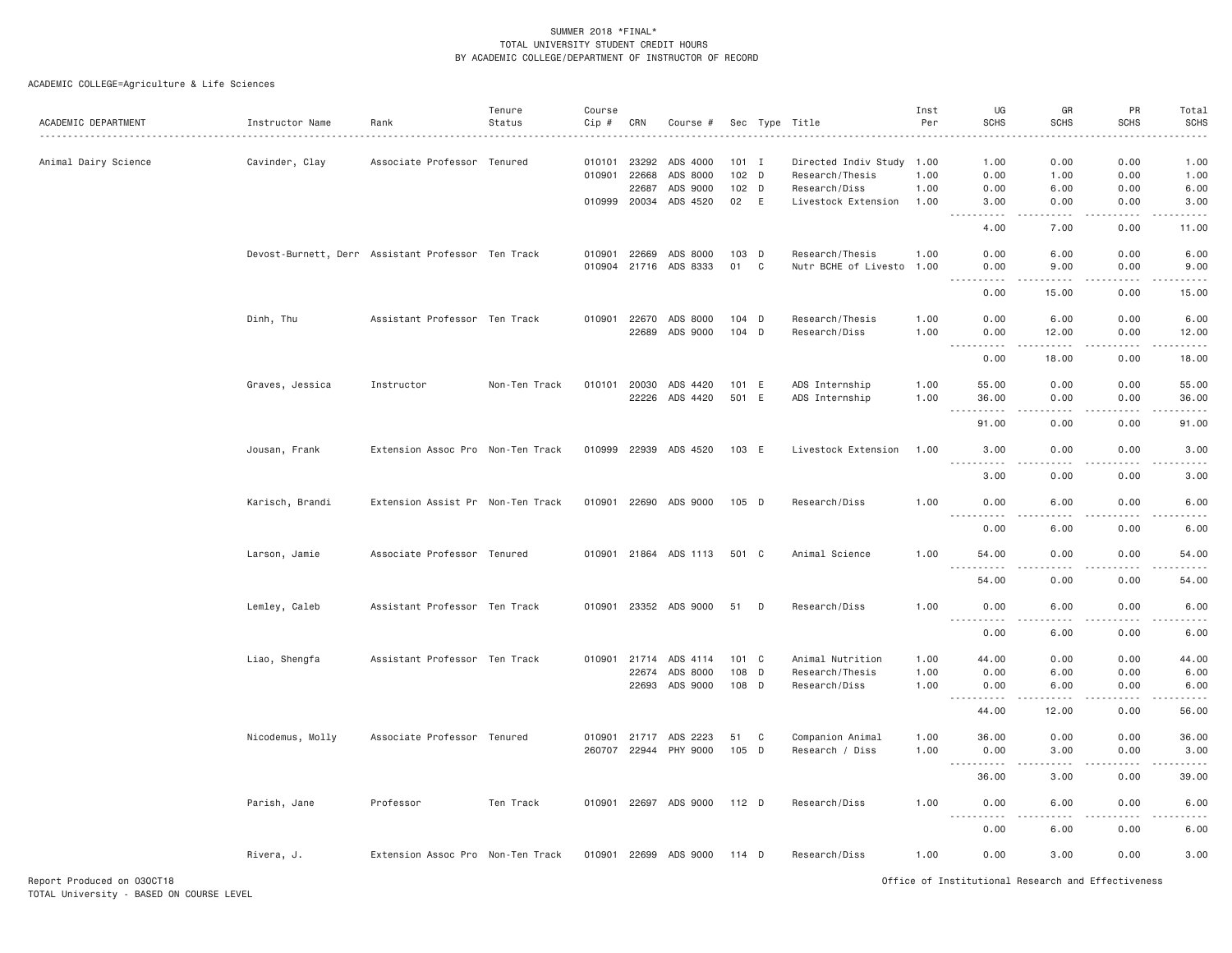| ACADEMIC DEPARTMENT  | Instructor Name                                    | Rank                              | Tenure<br>Status | Course<br>Cip #  | CRN                                     | Course #                                       |                                            |   | Sec Type Title                                                                       | Inst<br>Per          | UG<br><b>SCHS</b>                                                                                                                                                                                                                                                                                                                                                                                         | GR<br><b>SCHS</b>            | PR<br><b>SCHS</b>                   | Total<br><b>SCHS</b>         |
|----------------------|----------------------------------------------------|-----------------------------------|------------------|------------------|-----------------------------------------|------------------------------------------------|--------------------------------------------|---|--------------------------------------------------------------------------------------|----------------------|-----------------------------------------------------------------------------------------------------------------------------------------------------------------------------------------------------------------------------------------------------------------------------------------------------------------------------------------------------------------------------------------------------------|------------------------------|-------------------------------------|------------------------------|
| Animal Dairy Science | Cavinder, Clay                                     | Associate Professor Tenured       |                  | 010101<br>010901 | 23292<br>22668<br>22687<br>010999 20034 | ADS 4000<br>ADS 8000<br>ADS 9000<br>ADS 4520   | $101$ I<br>102 <sub>D</sub><br>102 D<br>02 | E | Directed Indiv Study 1.00<br>Research/Thesis<br>Research/Diss<br>Livestock Extension | 1.00<br>1.00<br>1.00 | 1.00<br>0.00<br>0.00<br>3.00                                                                                                                                                                                                                                                                                                                                                                              | 0.00<br>1.00<br>6.00<br>0.00 | 0.00<br>0.00<br>0.00<br>0.00        | 1.00<br>1.00<br>6.00<br>3.00 |
|                      |                                                    |                                   |                  |                  |                                         |                                                |                                            |   |                                                                                      |                      | $\frac{1}{2} \left( \frac{1}{2} \right) \left( \frac{1}{2} \right) \left( \frac{1}{2} \right) \left( \frac{1}{2} \right) \left( \frac{1}{2} \right) \left( \frac{1}{2} \right)$<br>-----<br>4.00                                                                                                                                                                                                          | .<br>7.00                    | -----<br>0.00                       | .<br>11.00                   |
|                      | Devost-Burnett, Derr Assistant Professor Ten Track |                                   |                  | 010901           | 22669<br>010904 21716                   | ADS 8000<br>ADS 8333                           | 103 D<br>01                                | C | Research/Thesis<br>Nutr BCHE of Livesto 1.00                                         | 1.00                 | 0.00<br>0.00                                                                                                                                                                                                                                                                                                                                                                                              | 6.00<br>9.00                 | 0.00<br>0.00                        | 6.00<br>9.00                 |
|                      |                                                    |                                   |                  |                  |                                         |                                                |                                            |   |                                                                                      |                      | .<br>0.00                                                                                                                                                                                                                                                                                                                                                                                                 | $- - - - -$<br>15.00         | $- - - - -$<br>0.00                 | .<br>15.00                   |
|                      | Dinh, Thu                                          | Assistant Professor Ten Track     |                  | 010901           | 22670                                   | ADS 8000<br>22689 ADS 9000                     | $104$ D<br>104 D                           |   | Research/Thesis<br>Research/Diss                                                     | 1.00<br>1.00         | 0.00<br>0.00                                                                                                                                                                                                                                                                                                                                                                                              | 6.00<br>12.00                | 0.00<br>0.00                        | 6.00<br>12.00                |
|                      |                                                    |                                   |                  |                  |                                         |                                                |                                            |   |                                                                                      |                      | .<br>$\frac{1}{2} \frac{1}{2} \frac{1}{2} \frac{1}{2} \frac{1}{2} \frac{1}{2} \frac{1}{2} \frac{1}{2} \frac{1}{2} \frac{1}{2} \frac{1}{2} \frac{1}{2} \frac{1}{2} \frac{1}{2} \frac{1}{2} \frac{1}{2} \frac{1}{2} \frac{1}{2} \frac{1}{2} \frac{1}{2} \frac{1}{2} \frac{1}{2} \frac{1}{2} \frac{1}{2} \frac{1}{2} \frac{1}{2} \frac{1}{2} \frac{1}{2} \frac{1}{2} \frac{1}{2} \frac{1}{2} \frac{$<br>0.00 | .<br>18,00                   | .<br>0.00                           | الماليات المالية<br>18.00    |
|                      | Graves, Jessica                                    | Instructor                        | Non-Ten Track    |                  | 22226                                   | 010101 20030 ADS 4420<br>ADS 4420              | 101 E<br>501 E                             |   | ADS Internship<br>ADS Internship                                                     | 1.00<br>1.00         | 55.00<br>36.00<br>$  -$<br>.                                                                                                                                                                                                                                                                                                                                                                              | 0.00<br>0.00<br>$   -$       | 0.00<br>0.00<br>$- - - - - -$       | 55.00<br>36.00<br>.          |
|                      |                                                    |                                   |                  |                  |                                         |                                                |                                            |   |                                                                                      |                      | 91.00                                                                                                                                                                                                                                                                                                                                                                                                     | 0.00                         | 0.00                                | 91.00                        |
|                      | Jousan, Frank                                      | Extension Assoc Pro Non-Ten Track |                  | 010999           | 22939                                   | ADS 4520                                       | 103 E                                      |   | Livestock Extension                                                                  | 1.00                 | 3.00<br>.                                                                                                                                                                                                                                                                                                                                                                                                 | 0.00<br>$   -$               | 0.00<br>$- - - - -$                 | 3.00<br>.                    |
|                      |                                                    |                                   |                  |                  |                                         |                                                |                                            |   |                                                                                      |                      | 3.00                                                                                                                                                                                                                                                                                                                                                                                                      | 0.00                         | 0.00                                | 3.00                         |
|                      | Karisch, Brandi                                    | Extension Assist Pr Non-Ten Track |                  | 010901           |                                         | 22690 ADS 9000                                 | 105 D                                      |   | Research/Diss                                                                        | 1.00                 | 0.00                                                                                                                                                                                                                                                                                                                                                                                                      | 6.00                         | 0.00                                | 6.00                         |
|                      |                                                    |                                   |                  |                  |                                         |                                                |                                            |   |                                                                                      |                      | 0.00                                                                                                                                                                                                                                                                                                                                                                                                      | 6.00                         | 0.00                                | 6.00                         |
|                      | Larson, Jamie                                      | Associate Professor Tenured       |                  |                  |                                         | 010901 21864 ADS 1113                          | 501 C                                      |   | Animal Science                                                                       | 1.00                 | 54.00<br>$\sim$ $\sim$ $\sim$<br>54.00                                                                                                                                                                                                                                                                                                                                                                    | 0.00<br>0.00                 | 0.00                                | 54.00                        |
|                      | Lemley, Caleb                                      | Assistant Professor Ten Track     |                  |                  |                                         | 010901 23352 ADS 9000                          | 51                                         | D | Research/Diss                                                                        | 1.00                 | 0.00                                                                                                                                                                                                                                                                                                                                                                                                      | 6.00                         | 0.00<br>0.00                        | 54.00<br>6.00                |
|                      |                                                    |                                   |                  |                  |                                         |                                                |                                            |   |                                                                                      |                      | .<br>0.00                                                                                                                                                                                                                                                                                                                                                                                                 | 6.00                         | 0.00                                | .<br>6.00                    |
|                      | Liao, Shengfa                                      | Assistant Professor Ten Track     |                  | 010901           | 21714<br>22674                          | ADS 4114<br>ADS 8000<br>22693 ADS 9000         | 101 C<br>108 D<br>108 D                    |   | Animal Nutrition<br>Research/Thesis<br>Research/Diss                                 | 1.00<br>1.00<br>1.00 | 44.00<br>0.00<br>0.00<br>.                                                                                                                                                                                                                                                                                                                                                                                | 0.00<br>6.00<br>6.00<br>.    | 0.00<br>0.00<br>0.00<br>$- - - - -$ | 44.00<br>6.00<br>6.00<br>.   |
|                      |                                                    |                                   |                  |                  |                                         |                                                |                                            |   |                                                                                      |                      | 44.00                                                                                                                                                                                                                                                                                                                                                                                                     | 12.00                        | 0.00                                | 56.00                        |
|                      | Nicodemus, Molly                                   | Associate Professor Tenured       |                  |                  |                                         | 010901 21717 ADS 2223<br>260707 22944 PHY 9000 | 51<br>105 D                                | C | Companion Animal<br>Research / Diss                                                  | 1.00<br>1.00         | 36,00<br>0.00<br>$\sim$ $\sim$ $\sim$ $\sim$<br>$  -$                                                                                                                                                                                                                                                                                                                                                     | 0.00<br>3.00                 | 0.00<br>0.00                        | 36.00<br>3.00                |
|                      |                                                    |                                   |                  |                  |                                         |                                                |                                            |   |                                                                                      |                      | 36.00                                                                                                                                                                                                                                                                                                                                                                                                     | 3.00                         | 0.00                                | 39.00                        |
|                      | Parish, Jane                                       | Professor                         | Ten Track        |                  |                                         | 010901 22697 ADS 9000                          | 112 D                                      |   | Research/Diss                                                                        | 1.00                 | 0.00<br><u>.</u>                                                                                                                                                                                                                                                                                                                                                                                          | 6.00                         | 0.00                                | 6.00                         |
|                      |                                                    |                                   |                  |                  |                                         |                                                |                                            |   |                                                                                      |                      | 0.00                                                                                                                                                                                                                                                                                                                                                                                                      | 6.00                         | 0.00                                | 6.00                         |
|                      | Rivera, J.                                         | Extension Assoc Pro Non-Ten Track |                  |                  |                                         | 010901 22699 ADS 9000                          | 114 D                                      |   | Research/Diss                                                                        | 1.00                 | 0.00                                                                                                                                                                                                                                                                                                                                                                                                      | 3.00                         | 0.00                                | 3.00                         |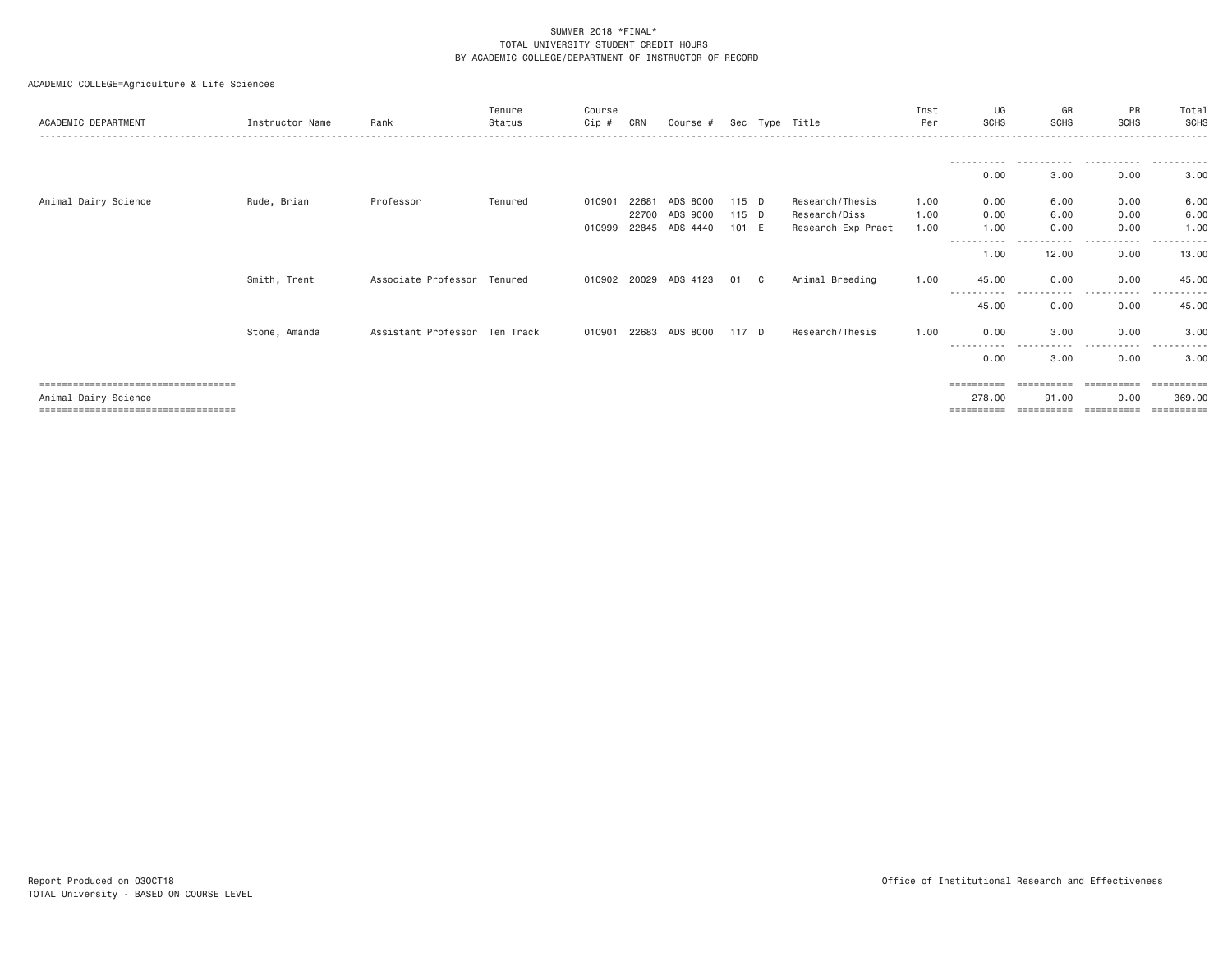| ACADEMIC DEPARTMENT                                                                                   | Instructor Name | Rank                          | Tenure<br>Status | Course<br>Cip # | CRN            | Course #              |                | Sec Type Title                      | Inst<br>Per  | UG<br><b>SCHS</b>                             | GR<br>SCHS                        | PR<br><b>SCHS</b>                | Total<br>SCHS                      |
|-------------------------------------------------------------------------------------------------------|-----------------|-------------------------------|------------------|-----------------|----------------|-----------------------|----------------|-------------------------------------|--------------|-----------------------------------------------|-----------------------------------|----------------------------------|------------------------------------|
|                                                                                                       |                 |                               |                  |                 |                |                       |                |                                     |              | -----------<br>0.00                           | .<br>3.00                         | .<br>0.00                        | .<br>3.00                          |
| Animal Dairy Science                                                                                  | Rude, Brian     | Professor                     | Tenured          | 010901          | 22681          | ADS 8000              | 115 D          | Research/Thesis                     | 1.00         | 0.00                                          | 6.00                              | 0.00                             | 6.00                               |
|                                                                                                       |                 |                               |                  | 010999          | 22700<br>22845 | ADS 9000<br>ADS 4440  | 115 D<br>101 E | Research/Diss<br>Research Exp Pract | 1.00<br>1.00 | 0.00<br>1.00                                  | 6.00<br>0.00                      | 0.00<br>0.00                     | 6.00<br>1.00                       |
|                                                                                                       |                 |                               |                  |                 |                |                       |                |                                     |              | -----------<br>1.00                           | -----<br>12.00                    | $\cdots$<br>.<br>0.00            | ----------<br>13.00                |
|                                                                                                       | Smith, Trent    | Associate Professor Tenured   |                  |                 |                | 010902 20029 ADS 4123 | 01 C           | Animal Breeding                     | 1.00         | 45.00                                         | 0.00                              | 0.00<br>.                        | 45.00<br>- - - - - -               |
|                                                                                                       |                 |                               |                  |                 |                |                       |                |                                     |              | 45.00                                         | 0.00                              | 0.00                             | 45.00                              |
|                                                                                                       | Stone, Amanda   | Assistant Professor Ten Track |                  | 010901 22683    |                | ADS 8000              | 117 D          | Research/Thesis                     | 1.00         | 0.00                                          | 3,00<br>$\cdots$                  | 0.00<br>.                        | 3.00                               |
|                                                                                                       |                 |                               |                  |                 |                |                       |                |                                     |              | 0.00                                          | 3,00                              | 0.00                             | 3,00                               |
| =====================================<br>Animal Dairy Science<br>==================================== |                 |                               |                  |                 |                |                       |                |                                     |              | $=$ = = = = = = = = =<br>278.00<br>========== | ==========<br>91,00<br>========== | ==========<br>0.00<br>========== | ==========<br>369,00<br>========== |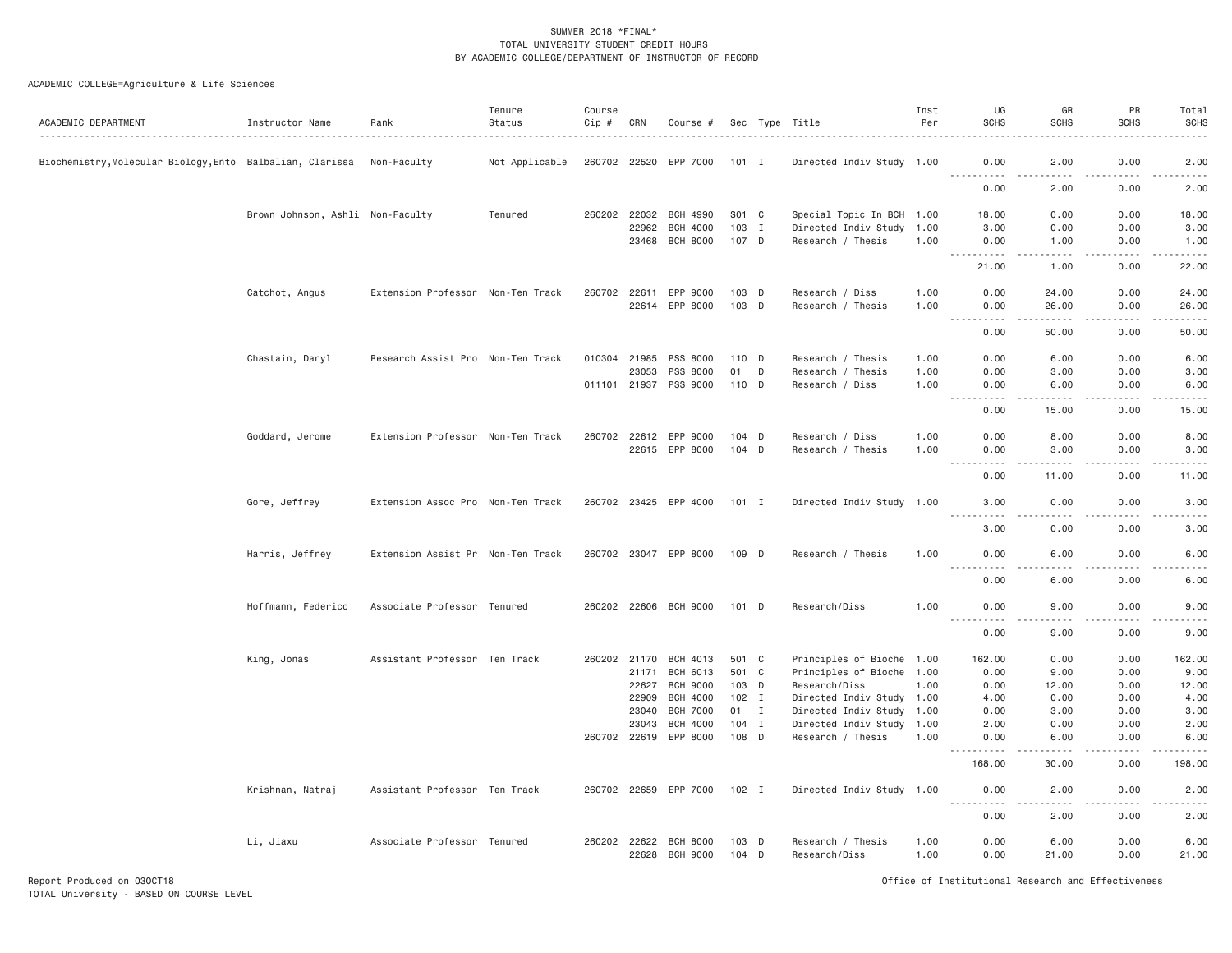ACADEMIC COLLEGE=Agriculture & Life Sciences

| ACADEMIC DEPARTMENT                                       | Instructor Name                  | Rank                              | Tenure<br>Status | Course<br>Cip # | CRN          | Course #              |         |              | Sec Type Title            | Inst<br>Per | UG<br><b>SCHS</b>                                                                                                                                                                                                                                                                                                                                                                                         | GR<br><b>SCHS</b>                                                                                                                                             | PR<br><b>SCHS</b>                                                                                                                                            | Total<br><b>SCHS</b>                                                                                                              |
|-----------------------------------------------------------|----------------------------------|-----------------------------------|------------------|-----------------|--------------|-----------------------|---------|--------------|---------------------------|-------------|-----------------------------------------------------------------------------------------------------------------------------------------------------------------------------------------------------------------------------------------------------------------------------------------------------------------------------------------------------------------------------------------------------------|---------------------------------------------------------------------------------------------------------------------------------------------------------------|--------------------------------------------------------------------------------------------------------------------------------------------------------------|-----------------------------------------------------------------------------------------------------------------------------------|
| Biochemistry, Molecular Biology, Ento Balbalian, Clarissa |                                  | Non-Faculty                       | Not Applicable   |                 |              | 260702 22520 EPP 7000 | 101 I   |              | Directed Indiv Study 1.00 |             | 0.00                                                                                                                                                                                                                                                                                                                                                                                                      | 2.00                                                                                                                                                          | 0.00                                                                                                                                                         | 2.00                                                                                                                              |
|                                                           |                                  |                                   |                  |                 |              |                       |         |              |                           |             | .<br>0.00                                                                                                                                                                                                                                                                                                                                                                                                 | -----<br>2.00                                                                                                                                                 | .<br>0.00                                                                                                                                                    | $\frac{1}{2} \left( \frac{1}{2} \right) \left( \frac{1}{2} \right) \left( \frac{1}{2} \right) \left( \frac{1}{2} \right)$<br>2.00 |
|                                                           |                                  |                                   |                  |                 |              |                       |         |              |                           |             |                                                                                                                                                                                                                                                                                                                                                                                                           |                                                                                                                                                               |                                                                                                                                                              |                                                                                                                                   |
|                                                           | Brown Johnson, Ashli Non-Faculty |                                   | Tenured          |                 | 260202 22032 | <b>BCH 4990</b>       | S01 C   |              | Special Topic In BCH 1.00 |             | 18.00                                                                                                                                                                                                                                                                                                                                                                                                     | 0.00                                                                                                                                                          | 0.00                                                                                                                                                         | 18.00                                                                                                                             |
|                                                           |                                  |                                   |                  |                 | 22962        | <b>BCH 4000</b>       | 103 I   |              | Directed Indiv Study 1.00 |             | 3.00                                                                                                                                                                                                                                                                                                                                                                                                      | 0.00                                                                                                                                                          | 0.00                                                                                                                                                         | 3.00                                                                                                                              |
|                                                           |                                  |                                   |                  |                 | 23468        | <b>BCH 8000</b>       | 107 D   |              | Research / Thesis         | 1.00        | 0.00<br>.<br>$\frac{1}{2} \frac{1}{2} \frac{1}{2} \frac{1}{2} \frac{1}{2} \frac{1}{2} \frac{1}{2} \frac{1}{2} \frac{1}{2} \frac{1}{2} \frac{1}{2} \frac{1}{2} \frac{1}{2} \frac{1}{2} \frac{1}{2} \frac{1}{2} \frac{1}{2} \frac{1}{2} \frac{1}{2} \frac{1}{2} \frac{1}{2} \frac{1}{2} \frac{1}{2} \frac{1}{2} \frac{1}{2} \frac{1}{2} \frac{1}{2} \frac{1}{2} \frac{1}{2} \frac{1}{2} \frac{1}{2} \frac{$ | 1.00<br>.                                                                                                                                                     | 0.00<br>.                                                                                                                                                    | 1.00<br>.                                                                                                                         |
|                                                           |                                  |                                   |                  |                 |              |                       |         |              |                           |             | 21.00                                                                                                                                                                                                                                                                                                                                                                                                     | 1.00                                                                                                                                                          | 0.00                                                                                                                                                         | 22.00                                                                                                                             |
|                                                           | Catchot, Angus                   | Extension Professor Non-Ten Track |                  | 260702          | 22611        | EPP 9000              | 103 D   |              | Research / Diss           | 1.00        | 0.00                                                                                                                                                                                                                                                                                                                                                                                                      | 24.00                                                                                                                                                         | 0.00                                                                                                                                                         | 24.00                                                                                                                             |
|                                                           |                                  |                                   |                  |                 |              | 22614 EPP 8000        | 103 D   |              | Research / Thesis         | 1.00        | 0.00                                                                                                                                                                                                                                                                                                                                                                                                      | 26.00                                                                                                                                                         | 0.00<br>.                                                                                                                                                    | 26.00                                                                                                                             |
|                                                           |                                  |                                   |                  |                 |              |                       |         |              |                           |             | <u>.</u><br>0.00                                                                                                                                                                                                                                                                                                                                                                                          | $\frac{1}{2} \left( \frac{1}{2} \right) \left( \frac{1}{2} \right) \left( \frac{1}{2} \right) \left( \frac{1}{2} \right) \left( \frac{1}{2} \right)$<br>50.00 | 0.00                                                                                                                                                         | .<br>50.00                                                                                                                        |
|                                                           | Chastain, Daryl                  | Research Assist Pro Non-Ten Track |                  |                 |              | 010304 21985 PSS 8000 | 110 D   |              | Research / Thesis         | 1.00        | 0.00                                                                                                                                                                                                                                                                                                                                                                                                      | 6.00                                                                                                                                                          | 0.00                                                                                                                                                         | 6.00                                                                                                                              |
|                                                           |                                  |                                   |                  |                 | 23053        | PSS 8000              | 01      | D            | Research / Thesis         | 1.00        | 0.00                                                                                                                                                                                                                                                                                                                                                                                                      | 3.00                                                                                                                                                          | 0.00                                                                                                                                                         | 3.00                                                                                                                              |
|                                                           |                                  |                                   |                  |                 |              | 011101 21937 PSS 9000 | 110 D   |              | Research / Diss           | 1.00        | 0.00<br>.                                                                                                                                                                                                                                                                                                                                                                                                 | 6.00<br>$- - - - -$                                                                                                                                           | 0.00<br>.                                                                                                                                                    | 6.00<br>.                                                                                                                         |
|                                                           |                                  |                                   |                  |                 |              |                       |         |              |                           |             | 0.00                                                                                                                                                                                                                                                                                                                                                                                                      | 15.00                                                                                                                                                         | 0.00                                                                                                                                                         | 15.00                                                                                                                             |
|                                                           | Goddard, Jerome                  | Extension Professor Non-Ten Track |                  |                 |              | 260702 22612 EPP 9000 | $104$ D |              | Research / Diss           | 1.00        | 0.00                                                                                                                                                                                                                                                                                                                                                                                                      | 8.00                                                                                                                                                          | 0.00                                                                                                                                                         | 8.00                                                                                                                              |
|                                                           |                                  |                                   |                  |                 |              | 22615 EPP 8000        | $104$ D |              | Research / Thesis         | 1.00        | 0.00                                                                                                                                                                                                                                                                                                                                                                                                      | 3.00                                                                                                                                                          | 0.00                                                                                                                                                         | 3.00                                                                                                                              |
|                                                           |                                  |                                   |                  |                 |              |                       |         |              |                           |             | .<br>0.00                                                                                                                                                                                                                                                                                                                                                                                                 | $- - - - -$<br>11.00                                                                                                                                          | .<br>0.00                                                                                                                                                    | .<br>11.00                                                                                                                        |
|                                                           | Gore, Jeffrey                    | Extension Assoc Pro Non-Ten Track |                  |                 |              | 260702 23425 EPP 4000 | $101$ I |              | Directed Indiv Study 1.00 |             | 3.00                                                                                                                                                                                                                                                                                                                                                                                                      | 0.00                                                                                                                                                          | 0.00                                                                                                                                                         | 3.00                                                                                                                              |
|                                                           |                                  |                                   |                  |                 |              |                       |         |              |                           |             | 3.00                                                                                                                                                                                                                                                                                                                                                                                                      | 0.00                                                                                                                                                          | د د د د<br>0.00                                                                                                                                              | 3.00                                                                                                                              |
|                                                           | Harris, Jeffrey                  | Extension Assist Pr Non-Ten Track |                  |                 |              | 260702 23047 EPP 8000 | 109 D   |              | Research / Thesis         | 1.00        | 0.00                                                                                                                                                                                                                                                                                                                                                                                                      | 6.00                                                                                                                                                          | 0.00                                                                                                                                                         | 6.00                                                                                                                              |
|                                                           |                                  |                                   |                  |                 |              |                       |         |              |                           |             | $\frac{1}{2}$<br>-----<br>0.00                                                                                                                                                                                                                                                                                                                                                                            | .<br>6.00                                                                                                                                                     | -----<br>0.00                                                                                                                                                | $- - - -$<br>6.00                                                                                                                 |
|                                                           | Hoffmann, Federico               | Associate Professor Tenured       |                  |                 |              | 260202 22606 BCH 9000 | $101$ D |              | Research/Diss             | 1.00        | 0.00                                                                                                                                                                                                                                                                                                                                                                                                      | 9.00                                                                                                                                                          | 0.00                                                                                                                                                         | 9.00                                                                                                                              |
|                                                           |                                  |                                   |                  |                 |              |                       |         |              |                           |             | .<br>.<br>0.00                                                                                                                                                                                                                                                                                                                                                                                            | $\sim$ $\sim$ $\sim$<br>9.00                                                                                                                                  | $\frac{1}{2} \left( \frac{1}{2} \right) \left( \frac{1}{2} \right) \left( \frac{1}{2} \right) \left( \frac{1}{2} \right) \left( \frac{1}{2} \right)$<br>0.00 | .<br>9.00                                                                                                                         |
|                                                           | King, Jonas                      | Assistant Professor Ten Track     |                  |                 |              | 260202 21170 BCH 4013 | 501 C   |              | Principles of Bioche 1.00 |             | 162.00                                                                                                                                                                                                                                                                                                                                                                                                    | 0.00                                                                                                                                                          | 0.00                                                                                                                                                         | 162.00                                                                                                                            |
|                                                           |                                  |                                   |                  |                 | 21171        | BCH 6013              | 501 C   |              | Principles of Bioche 1.00 |             | 0.00                                                                                                                                                                                                                                                                                                                                                                                                      | 9.00                                                                                                                                                          | 0.00                                                                                                                                                         | 9.00                                                                                                                              |
|                                                           |                                  |                                   |                  |                 | 22627        | <b>BCH 9000</b>       | 103 D   |              | Research/Diss             | 1.00        | 0.00                                                                                                                                                                                                                                                                                                                                                                                                      | 12.00                                                                                                                                                         | 0.00                                                                                                                                                         | 12.00                                                                                                                             |
|                                                           |                                  |                                   |                  |                 | 22909        | <b>BCH 4000</b>       | $102$ I |              | Directed Indiv Study 1.00 |             | 4.00                                                                                                                                                                                                                                                                                                                                                                                                      | 0.00                                                                                                                                                          | 0.00                                                                                                                                                         | 4.00                                                                                                                              |
|                                                           |                                  |                                   |                  |                 | 23040        | <b>BCH 7000</b>       | 01      | $\mathbf{I}$ | Directed Indiv Study      | 1.00        | 0.00                                                                                                                                                                                                                                                                                                                                                                                                      | 3.00                                                                                                                                                          | 0.00                                                                                                                                                         | 3.00                                                                                                                              |
|                                                           |                                  |                                   |                  |                 | 23043        | <b>BCH 4000</b>       | $104$ I |              | Directed Indiv Study 1.00 |             | 2.00                                                                                                                                                                                                                                                                                                                                                                                                      | 0.00                                                                                                                                                          | 0.00                                                                                                                                                         | 2.00                                                                                                                              |
|                                                           |                                  |                                   |                  |                 |              | 260702 22619 EPP 8000 | 108 D   |              | Research / Thesis         | 1.00        | 0.00                                                                                                                                                                                                                                                                                                                                                                                                      | 6.00                                                                                                                                                          | 0.00<br>.                                                                                                                                                    | 6.00                                                                                                                              |
|                                                           |                                  |                                   |                  |                 |              |                       |         |              |                           |             | -----<br>168.00                                                                                                                                                                                                                                                                                                                                                                                           | .<br>30.00                                                                                                                                                    | 0.00                                                                                                                                                         | .<br>198.00                                                                                                                       |
|                                                           | Krishnan, Natraj                 | Assistant Professor Ten Track     |                  |                 |              | 260702 22659 EPP 7000 | $102$ I |              | Directed Indiv Study 1.00 |             | 0.00                                                                                                                                                                                                                                                                                                                                                                                                      | 2.00                                                                                                                                                          | 0.00                                                                                                                                                         | 2.00                                                                                                                              |
|                                                           |                                  |                                   |                  |                 |              |                       |         |              |                           |             | .<br>0.00                                                                                                                                                                                                                                                                                                                                                                                                 | د د د د<br>2.00                                                                                                                                               | .<br>0.00                                                                                                                                                    | 2.00                                                                                                                              |
|                                                           | Li, Jiaxu                        | Associate Professor Tenured       |                  |                 | 260202 22622 | <b>BCH 8000</b>       | 103 D   |              | Research / Thesis         | 1.00        | 0.00                                                                                                                                                                                                                                                                                                                                                                                                      | 6.00                                                                                                                                                          | 0.00                                                                                                                                                         | 6.00                                                                                                                              |
|                                                           |                                  |                                   |                  |                 |              | 22628 BCH 9000        | 104 D   |              | Research/Diss             | 1.00        | 0.00                                                                                                                                                                                                                                                                                                                                                                                                      | 21.00                                                                                                                                                         | 0.00                                                                                                                                                         | 21.00                                                                                                                             |

Report Produced on 03OCT18 Office of Institutional Research and Effectiveness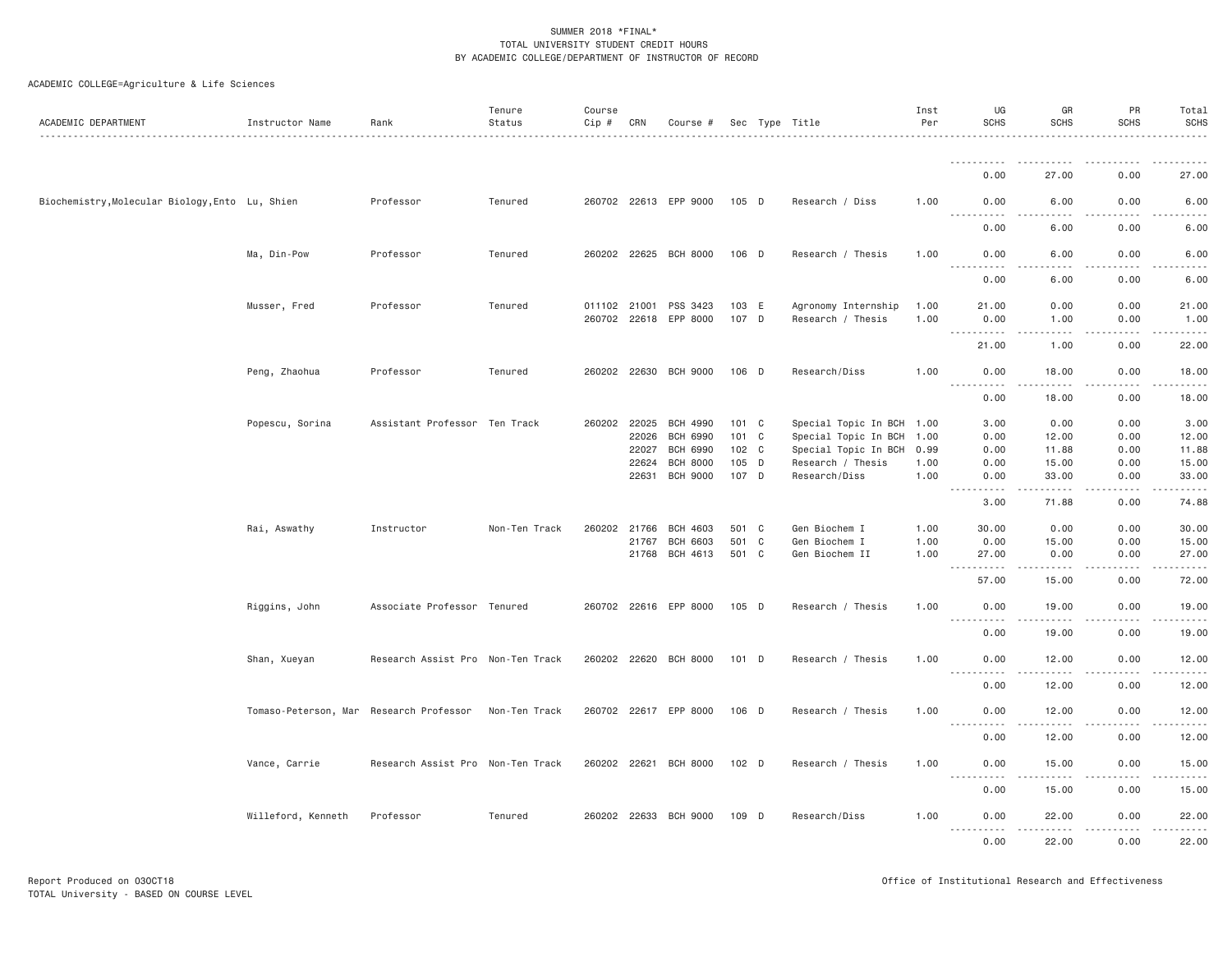| ACADEMIC DEPARTMENT                             | Instructor Name                         | Rank                              | Tenure<br>Status | Course<br>Cip # | CRN   | Course #              |         | Sec Type Title            | Inst<br>Per | UG<br><b>SCHS</b>                  | GR<br><b>SCHS</b>                       | PR<br><b>SCHS</b>                                                                                                                                                               | Total<br><b>SCHS</b> |
|-------------------------------------------------|-----------------------------------------|-----------------------------------|------------------|-----------------|-------|-----------------------|---------|---------------------------|-------------|------------------------------------|-----------------------------------------|---------------------------------------------------------------------------------------------------------------------------------------------------------------------------------|----------------------|
|                                                 |                                         |                                   |                  |                 |       |                       |         |                           |             | .                                  | $- - - - -$                             | $\frac{1}{2} \left( \frac{1}{2} \right) \left( \frac{1}{2} \right) \left( \frac{1}{2} \right) \left( \frac{1}{2} \right) \left( \frac{1}{2} \right) \left( \frac{1}{2} \right)$ | <u>.</u>             |
|                                                 |                                         |                                   |                  |                 |       |                       |         |                           |             | 0.00                               | 27.00                                   | 0.00                                                                                                                                                                            | 27.00                |
| Biochemistry, Molecular Biology, Ento Lu, Shien |                                         | Professor                         | Tenured          |                 |       | 260702 22613 EPP 9000 | $105$ D | Research / Diss           | 1.00        | 0.00<br><u>.</u>                   | 6.00<br>.                               | 0.00<br>.                                                                                                                                                                       | 6.00<br>.            |
|                                                 |                                         |                                   |                  |                 |       |                       |         |                           |             | 0.00                               | 6.00                                    | 0.00                                                                                                                                                                            | 6.00                 |
|                                                 | Ma, Din-Pow                             | Professor                         | Tenured          |                 |       | 260202 22625 BCH 8000 | 106 D   | Research / Thesis         | 1.00        | 0.00<br>$  -$<br>.                 | 6.00<br>.                               | 0.00<br>.                                                                                                                                                                       | 6.00<br>-----        |
|                                                 |                                         |                                   |                  |                 |       |                       |         |                           |             | 0.00                               | 6.00                                    | 0.00                                                                                                                                                                            | 6.00                 |
|                                                 | Musser, Fred                            | Professor                         | Tenured          | 011102 21001    |       | PSS 3423              | 103 E   | Agronomy Internship       | 1.00        | 21.00                              | 0.00                                    | 0.00                                                                                                                                                                            | 21.00                |
|                                                 |                                         |                                   |                  |                 |       | 260702 22618 EPP 8000 | 107 D   | Research / Thesis         | 1.00        | 0.00<br>----------                 | 1.00<br>د د د د                         | 0.00<br>.                                                                                                                                                                       | 1.00<br>.            |
|                                                 |                                         |                                   |                  |                 |       |                       |         |                           |             | 21,00                              | 1.00                                    | 0.00                                                                                                                                                                            | 22.00                |
|                                                 | Peng, Zhaohua                           | Professor                         | Tenured          |                 |       | 260202 22630 BCH 9000 | 106 D   | Research/Diss             | 1.00        | 0.00                               | 18.00                                   | 0.00                                                                                                                                                                            | 18.00                |
|                                                 |                                         |                                   |                  |                 |       |                       |         |                           |             | .<br>0.00                          | .<br>18.00                              | .<br>$\frac{1}{2}$<br>0.00                                                                                                                                                      | 2.2.2.2.2.1<br>18.00 |
|                                                 | Popescu, Sorina                         | Assistant Professor Ten Track     |                  | 260202 22025    |       | BCH 4990              | 101 C   | Special Topic In BCH 1.00 |             | 3.00                               | 0.00                                    | 0.00                                                                                                                                                                            | 3.00                 |
|                                                 |                                         |                                   |                  |                 | 22026 | BCH 6990              | 101 C   | Special Topic In BCH 1.00 |             | 0.00                               | 12.00                                   | 0.00                                                                                                                                                                            | 12.00                |
|                                                 |                                         |                                   |                  |                 | 22027 | <b>BCH 6990</b>       | 102 C   | Special Topic In BCH      | 0.99        | 0.00                               | 11.88                                   | 0.00                                                                                                                                                                            | 11.88                |
|                                                 |                                         |                                   |                  |                 | 22624 | <b>BCH 8000</b>       | 105 D   | Research / Thesis         | 1.00        | 0.00                               | 15.00                                   | 0.00                                                                                                                                                                            | 15.00                |
|                                                 |                                         |                                   |                  |                 | 22631 | <b>BCH 9000</b>       | 107 D   | Research/Diss             | 1.00        | 0.00                               | 33.00                                   | 0.00                                                                                                                                                                            | 33.00                |
|                                                 |                                         |                                   |                  |                 |       |                       |         |                           |             | $\sim$ $\sim$ $\sim$<br>.<br>3.00  | .<br>71.88                              | .<br>0.00                                                                                                                                                                       | .<br>74.88           |
|                                                 | Rai, Aswathy                            | Instructor                        | Non-Ten Track    | 260202 21766    |       | <b>BCH 4603</b>       | 501 C   | Gen Biochem I             | 1.00        | 30.00                              | 0.00                                    | 0.00                                                                                                                                                                            | 30.00                |
|                                                 |                                         |                                   |                  |                 | 21767 | <b>BCH 6603</b>       | 501 C   | Gen Biochem I             | 1.00        | 0.00                               | 15.00                                   | 0.00                                                                                                                                                                            | 15.00                |
|                                                 |                                         |                                   |                  |                 |       | 21768 BCH 4613        | 501 C   | Gen Biochem II            | 1.00        | 27.00<br>$\sim$ $\sim$ $\sim$<br>. | 0.00<br>.                               | 0.00<br>$\mathcal{L}^{\mathcal{L}}\left( \mathcal{L}^{\mathcal{L}}\right) =\mathcal{L}^{\mathcal{L}}\left( \mathcal{L}^{\mathcal{L}}\right)$                                    | 27.00<br>.           |
|                                                 |                                         |                                   |                  |                 |       |                       |         |                           |             | 57.00                              | 15.00                                   | 0.00                                                                                                                                                                            | 72.00                |
|                                                 | Riggins, John                           | Associate Professor Tenured       |                  |                 |       | 260702 22616 EPP 8000 | 105 D   | Research / Thesis         | 1.00        | 0.00<br>.                          | 19.00<br>. <u>.</u>                     | 0.00<br>.                                                                                                                                                                       | 19.00<br>.           |
|                                                 |                                         |                                   |                  |                 |       |                       |         |                           |             | 0.00                               | 19.00                                   | 0.00                                                                                                                                                                            | 19.00                |
|                                                 | Shan, Xueyan                            | Research Assist Pro Non-Ten Track |                  |                 |       | 260202 22620 BCH 8000 | 101 D   | Research / Thesis         | 1.00        | 0.00                               | 12.00                                   | 0.00                                                                                                                                                                            | 12.00                |
|                                                 |                                         |                                   |                  |                 |       |                       |         |                           |             | .<br>0.00                          | 12.00                                   | 0.00                                                                                                                                                                            | 12.00                |
|                                                 | Tomaso-Peterson, Mar Research Professor |                                   | Non-Ten Track    |                 |       | 260702 22617 EPP 8000 | 106 D   | Research / Thesis         | 1.00        | 0.00                               | 12.00                                   | 0.00                                                                                                                                                                            | 12.00                |
|                                                 |                                         |                                   |                  |                 |       |                       |         |                           |             | $- - - - -$<br>.<br>0.00           | . <u>.</u> .<br>12.00                   | .<br>0.00                                                                                                                                                                       | .<br>12.00           |
|                                                 | Vance, Carrie                           | Research Assist Pro Non-Ten Track |                  |                 |       | 260202 22621 BCH 8000 | 102 D   | Research / Thesis         | 1.00        | 0.00                               | 15.00                                   | 0.00                                                                                                                                                                            | 15.00                |
|                                                 |                                         |                                   |                  |                 |       |                       |         |                           |             | $\frac{1}{2}$<br><u>.</u><br>0.00  | .<br>15.00                              | $- - - - -$<br>0.00                                                                                                                                                             | .<br>15.00           |
|                                                 | Willeford, Kenneth                      | Professor                         | Tenured          |                 |       | 260202 22633 BCH 9000 | 109 D   | Research/Diss             | 1.00        | 0.00                               | 22.00                                   | 0.00                                                                                                                                                                            | 22.00                |
|                                                 |                                         |                                   |                  |                 |       |                       |         |                           |             | <u>.</u><br>0.00                   | <b><i><u>AAAAAAAAA</u></i></b><br>22.00 | .<br>$\cdots$<br>0.00                                                                                                                                                           | <u>.</u><br>22.00    |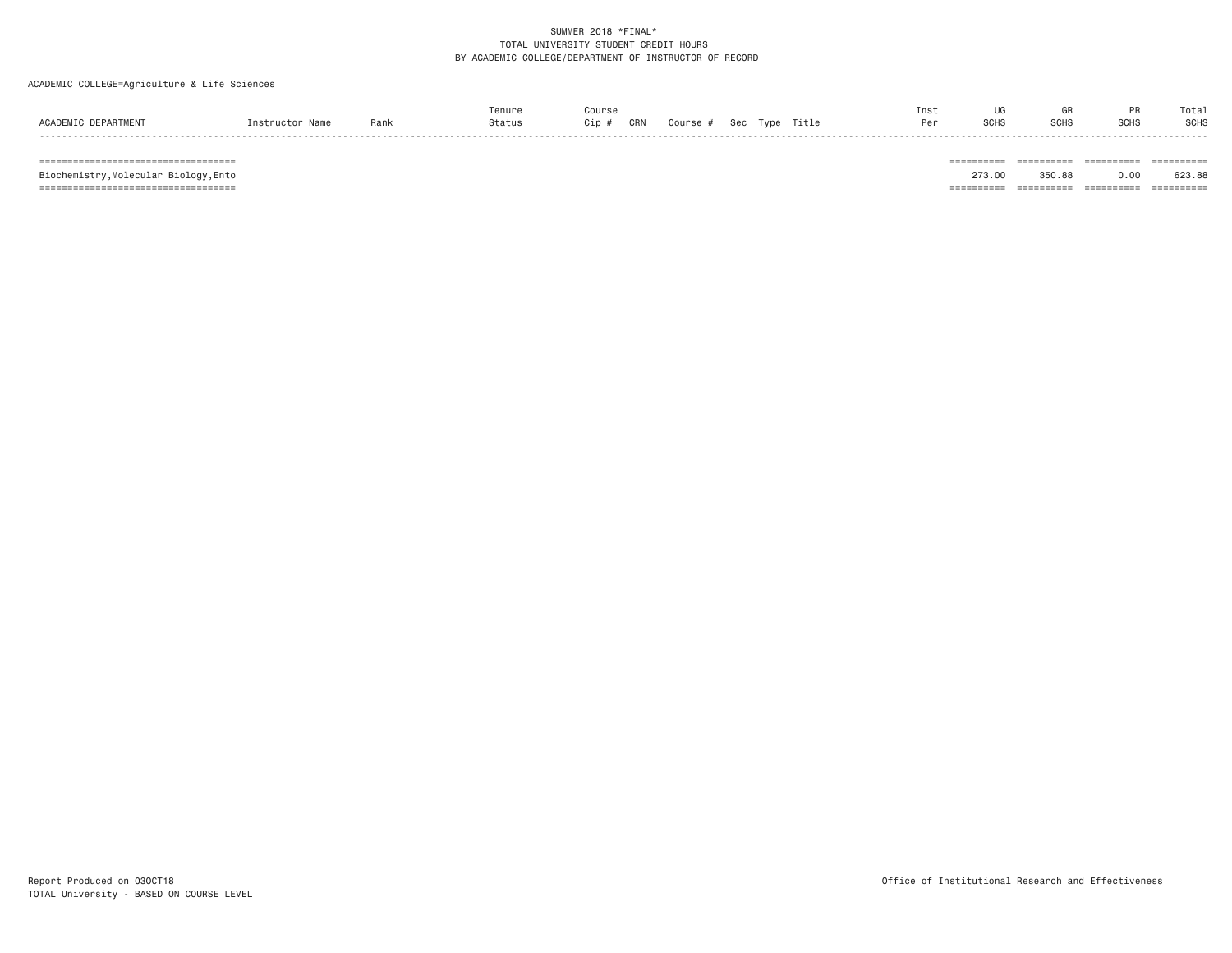### ACADEMIC COLLEGE=Agriculture & Life Sciences

| ACADEMIC DEPARTMENT | Instructor Name | Rank | Tenure<br>Status | Course<br>Cip# | CRN | Course # | Sec Type | Title | Inst<br>Per | <b>SCHS</b> | GR<br><b>SCHS</b> | <b>DR</b><br><b>SCHS</b> | Total<br><b>SCHS</b>  |
|---------------------|-----------------|------|------------------|----------------|-----|----------|----------|-------|-------------|-------------|-------------------|--------------------------|-----------------------|
|                     |                 |      |                  |                |     |          |          |       |             | =========   | ==========        | $=$ = = = = = = = = =    | -------<br>========== |

623.88 Biochemistry,Molecular Biology,Ento 273.00 350.88 0.00 623.88 =================================== ========== ========== ========== ==========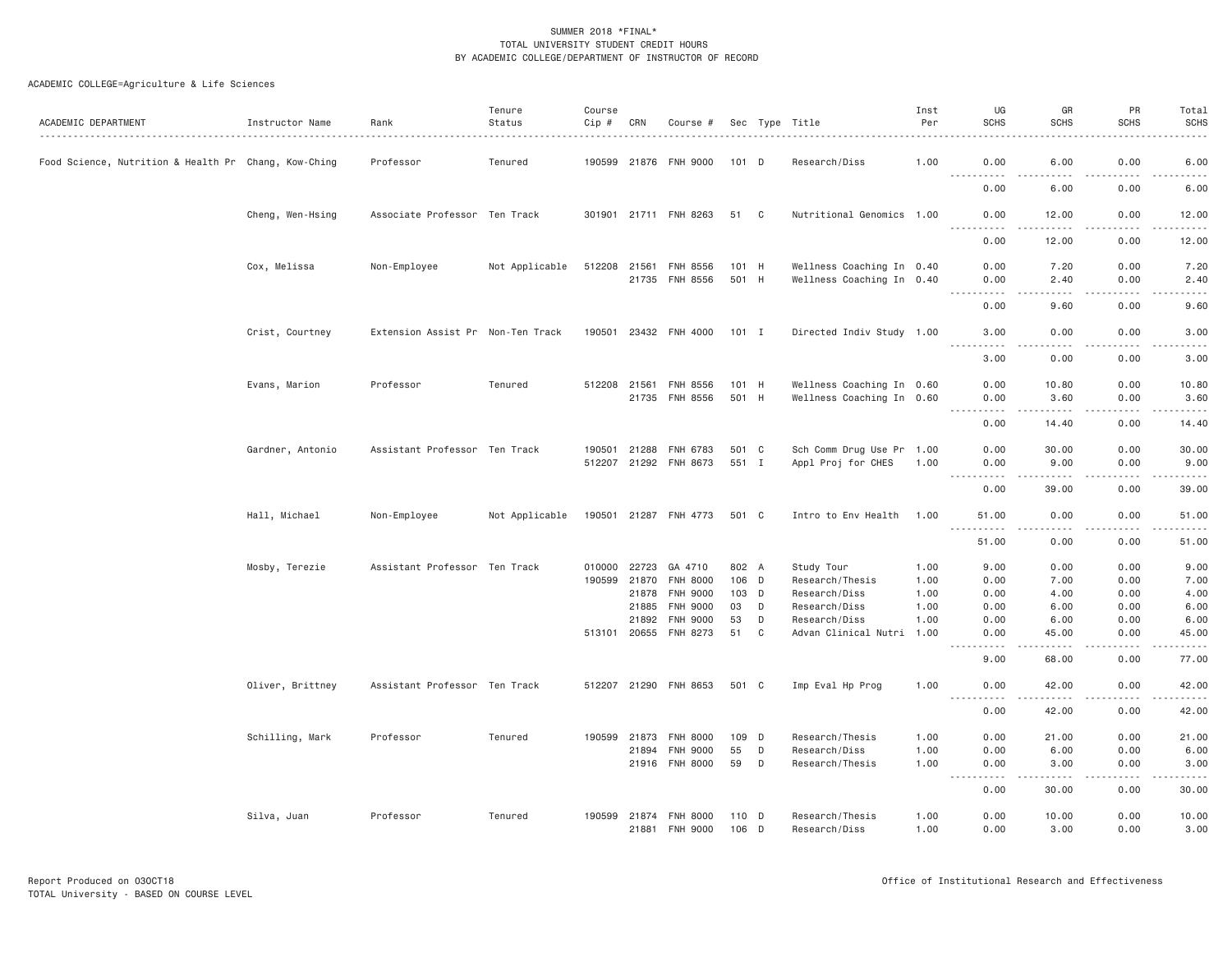| ACADEMIC DEPARTMENT                                  | Instructor Name  | Rank                              | Tenure<br>Status | Course<br>Cip # | CRN          | Course #              |         |   | Sec Type Title            | Inst<br>Per | UG<br><b>SCHS</b>                   | GR<br><b>SCHS</b>                                                                                                                                             | PR<br><b>SCHS</b> | Total<br><b>SCHS</b>                                                                                                                                         |
|------------------------------------------------------|------------------|-----------------------------------|------------------|-----------------|--------------|-----------------------|---------|---|---------------------------|-------------|-------------------------------------|---------------------------------------------------------------------------------------------------------------------------------------------------------------|-------------------|--------------------------------------------------------------------------------------------------------------------------------------------------------------|
| Food Science, Nutrition & Health Pr Chang, Kow-Ching |                  | Professor                         | Tenured          |                 |              | 190599 21876 FNH 9000 | 101 D   |   | Research/Diss             | 1.00        | 0.00<br><b></b>                     | 6.00<br>22222                                                                                                                                                 | 0.00<br>.         | 6.00                                                                                                                                                         |
|                                                      |                  |                                   |                  |                 |              |                       |         |   |                           |             | 0.00                                | 6.00                                                                                                                                                          | 0.00              | $\frac{1}{2} \left( \frac{1}{2} \right) \left( \frac{1}{2} \right) \left( \frac{1}{2} \right) \left( \frac{1}{2} \right) \left( \frac{1}{2} \right)$<br>6.00 |
|                                                      | Cheng, Wen-Hsing | Associate Professor Ten Track     |                  |                 |              | 301901 21711 FNH 8263 | 51 C    |   | Nutritional Genomics 1.00 |             | 0.00<br>$\frac{1}{2}$<br>.          | 12.00<br>$\frac{1}{2} \left( \frac{1}{2} \right) \left( \frac{1}{2} \right) \left( \frac{1}{2} \right) \left( \frac{1}{2} \right) \left( \frac{1}{2} \right)$ | 0.00<br>-----     | 12.00<br>.                                                                                                                                                   |
|                                                      |                  |                                   |                  |                 |              |                       |         |   |                           |             | 0.00                                | 12.00                                                                                                                                                         | 0.00              | 12.00                                                                                                                                                        |
|                                                      | Cox, Melissa     | Non-Employee                      | Not Applicable   | 512208          | 21561        | <b>FNH 8556</b>       | 101 H   |   | Wellness Coaching In 0.40 |             | 0.00                                | 7.20                                                                                                                                                          | 0.00              | 7.20                                                                                                                                                         |
|                                                      |                  |                                   |                  |                 |              | 21735 FNH 8556        | 501 H   |   | Wellness Coaching In 0.40 |             | 0.00                                | 2.40                                                                                                                                                          | 0.00              | 2.40                                                                                                                                                         |
|                                                      |                  |                                   |                  |                 |              |                       |         |   |                           |             | .<br>0.00                           | .<br>9.60                                                                                                                                                     | .<br>0.00         | -----<br>9.60                                                                                                                                                |
|                                                      | Crist, Courtney  | Extension Assist Pr Non-Ten Track |                  |                 |              | 190501 23432 FNH 4000 | $101$ I |   | Directed Indiv Study 1.00 |             | 3.00                                | 0.00                                                                                                                                                          | 0.00              | 3.00                                                                                                                                                         |
|                                                      |                  |                                   |                  |                 |              |                       |         |   |                           |             | .                                   | $\sim$ $\sim$ $\sim$                                                                                                                                          | .                 | $\frac{1}{2} \left( \frac{1}{2} \right) \left( \frac{1}{2} \right) \left( \frac{1}{2} \right) \left( \frac{1}{2} \right)$                                    |
|                                                      |                  |                                   |                  |                 |              |                       |         |   |                           |             | 3.00                                | 0.00                                                                                                                                                          | 0.00              | 3.00                                                                                                                                                         |
|                                                      | Evans, Marion    | Professor                         | Tenured          | 512208 21561    |              | <b>FNH 8556</b>       | 101 H   |   | Wellness Coaching In 0.60 |             | 0.00                                | 10.80                                                                                                                                                         | 0.00              | 10.80                                                                                                                                                        |
|                                                      |                  |                                   |                  |                 |              | 21735 FNH 8556        | 501 H   |   | Wellness Coaching In 0.60 |             | 0.00<br>.                           | 3.60<br>-----                                                                                                                                                 | 0.00<br>.         | 3.60<br>$- - - - -$                                                                                                                                          |
|                                                      |                  |                                   |                  |                 |              |                       |         |   |                           |             | 0.00                                | 14.40                                                                                                                                                         | 0.00              | 14.40                                                                                                                                                        |
|                                                      | Gardner, Antonio | Assistant Professor Ten Track     |                  | 190501          | 21288        | FNH 6783              | 501 C   |   | Sch Comm Drug Use Pr 1.00 |             | 0.00                                | 30.00                                                                                                                                                         | 0.00              | 30.00                                                                                                                                                        |
|                                                      |                  |                                   |                  |                 | 512207 21292 | FNH 8673              | 551 I   |   | Appl Proj for CHES        | 1.00        | 0.00                                | 9.00                                                                                                                                                          | 0.00              | 9.00                                                                                                                                                         |
|                                                      |                  |                                   |                  |                 |              |                       |         |   |                           |             | 0.00                                | .<br>39.00                                                                                                                                                    | .<br>0.00         | $\frac{1}{2}$<br>39.00                                                                                                                                       |
|                                                      | Hall, Michael    | Non-Employee                      | Not Applicable   |                 |              | 190501 21287 FNH 4773 | 501 C   |   | Intro to Env Health       | 1.00        | 51.00                               | 0.00                                                                                                                                                          | 0.00              | 51.00                                                                                                                                                        |
|                                                      |                  |                                   |                  |                 |              |                       |         |   |                           |             | <b></b><br>51.00                    | .<br>0.00                                                                                                                                                     | -----<br>0.00     | .<br>51.00                                                                                                                                                   |
|                                                      | Mosby, Terezie   | Assistant Professor Ten Track     |                  | 010000 22723    |              | GA 4710               | 802 A   |   | Study Tour                | 1.00        | 9.00                                | 0.00                                                                                                                                                          | 0.00              | 9.00                                                                                                                                                         |
|                                                      |                  |                                   |                  | 190599          | 21870        | FNH 8000              | 106 D   |   | Research/Thesis           | 1.00        | 0.00                                | 7.00                                                                                                                                                          | 0.00              | 7.00                                                                                                                                                         |
|                                                      |                  |                                   |                  |                 | 21878        | <b>FNH 9000</b>       | $103$ D |   | Research/Diss             | 1.00        | 0.00                                | 4.00                                                                                                                                                          | 0.00              | 4.00                                                                                                                                                         |
|                                                      |                  |                                   |                  |                 | 21885        | <b>FNH 9000</b>       | 03      | D | Research/Diss             | 1.00        | 0.00                                | 6.00                                                                                                                                                          | 0.00              | 6.00                                                                                                                                                         |
|                                                      |                  |                                   |                  |                 | 21892        | <b>FNH 9000</b>       | 53      | D | Research/Diss             | 1.00        | 0.00                                | 6.00                                                                                                                                                          | 0.00              | 6.00                                                                                                                                                         |
|                                                      |                  |                                   |                  | 513101 20655    |              | FNH 8273              | 51      | C | Advan Clinical Nutri      | 1.00        | 0.00<br>$\frac{1}{2}$               | 45.00<br>$- - - -$                                                                                                                                            | 0.00<br>.         | 45.00<br>$- - - - -$                                                                                                                                         |
|                                                      |                  |                                   |                  |                 |              |                       |         |   |                           |             | 9.00                                | 68.00                                                                                                                                                         | 0.00              | 77.00                                                                                                                                                        |
|                                                      | Oliver, Brittney | Assistant Professor Ten Track     |                  |                 |              | 512207 21290 FNH 8653 | 501 C   |   | Imp Eval Hp Prog          | 1.00        | 0.00<br>.<br>$- - -$                | 42.00<br>.                                                                                                                                                    | 0.00<br>.         | 42.00<br>.                                                                                                                                                   |
|                                                      |                  |                                   |                  |                 |              |                       |         |   |                           |             | 0.00                                | 42.00                                                                                                                                                         | 0.00              | 42.00                                                                                                                                                        |
|                                                      | Schilling, Mark  | Professor                         | Tenured          | 190599          | 21873        | <b>FNH 8000</b>       | 109 D   |   | Research/Thesis           | 1.00        | 0.00                                | 21.00                                                                                                                                                         | 0.00              | 21.00                                                                                                                                                        |
|                                                      |                  |                                   |                  |                 | 21894        | <b>FNH 9000</b>       | 55      | D | Research/Diss             | 1.00        | 0.00                                | 6.00                                                                                                                                                          | 0.00              | 6.00                                                                                                                                                         |
|                                                      |                  |                                   |                  |                 |              | 21916 FNH 8000        | 59      | D | Research/Thesis           | 1.00        | 0.00<br>$\sim$ $\sim$ $\sim$ $\sim$ | 3.00<br>22222                                                                                                                                                 | 0.00<br>.         | 3.00<br>.                                                                                                                                                    |
|                                                      |                  |                                   |                  |                 |              |                       |         |   |                           |             | 0.00                                | 30.00                                                                                                                                                         | 0.00              | 30.00                                                                                                                                                        |
|                                                      | Silva, Juan      | Professor                         | Tenured          | 190599          | 21874        | <b>FNH 8000</b>       | 110 D   |   | Research/Thesis           | 1.00        | 0.00                                | 10.00                                                                                                                                                         | 0.00              | 10.00                                                                                                                                                        |
|                                                      |                  |                                   |                  |                 |              | 21881 FNH 9000        | $106$ D |   | Research/Diss             | 1.00        | 0.00                                | 3,00                                                                                                                                                          | 0.00              | 3,00                                                                                                                                                         |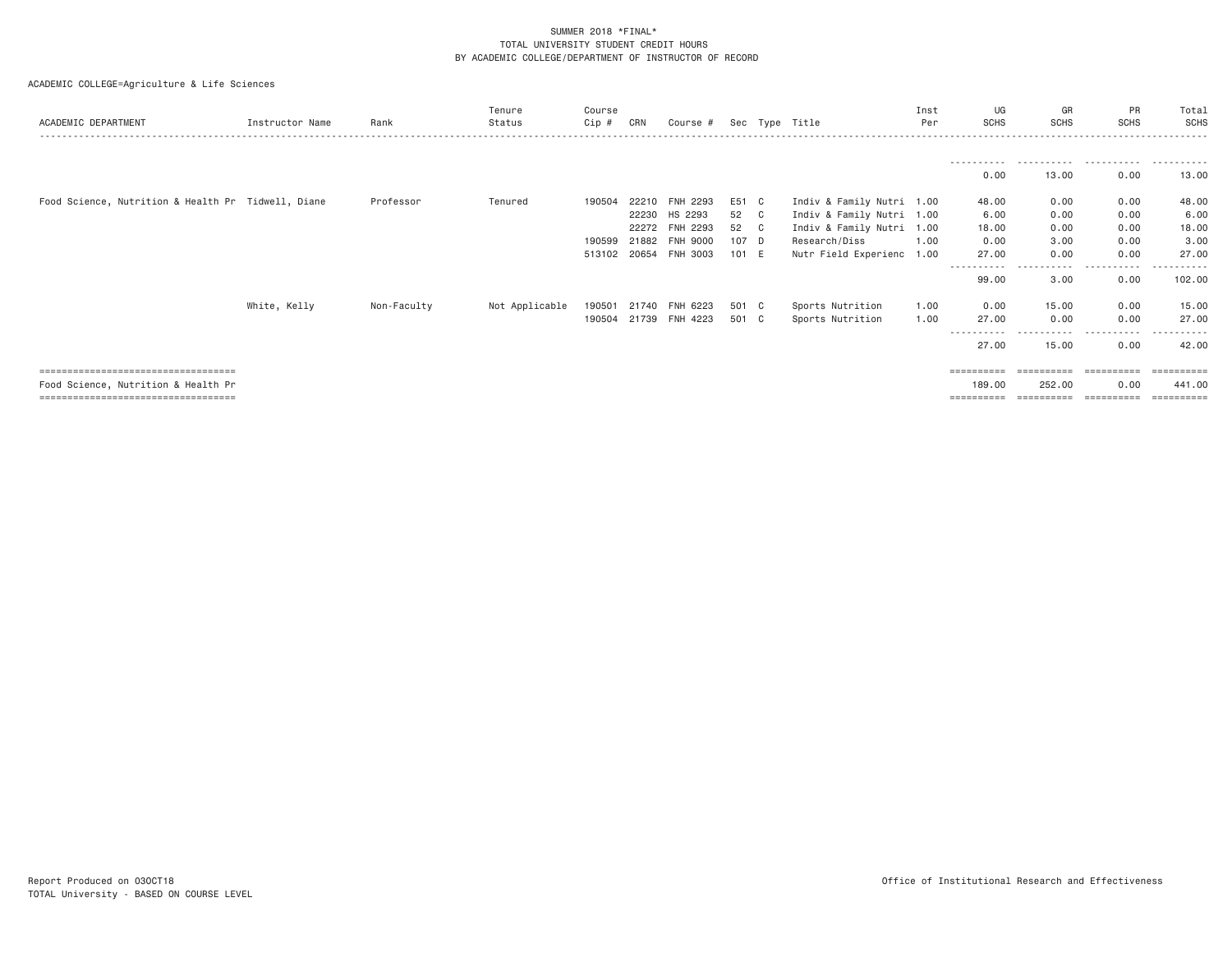| ACADEMIC DEPARTMENT                                |                 |             | Tenure         | Course       |       |                 |       |    |                           | Inst<br>Per | UG          | GR<br><b>SCHS</b> | PR<br><b>SCHS</b> | Total<br><b>SCHS</b>  |
|----------------------------------------------------|-----------------|-------------|----------------|--------------|-------|-----------------|-------|----|---------------------------|-------------|-------------|-------------------|-------------------|-----------------------|
|                                                    | Instructor Name | Rank        | Status         | Cip #        | CRN   | Course #        |       |    | Sec Type Title            |             | <b>SCHS</b> |                   |                   |                       |
|                                                    |                 |             |                |              |       |                 |       |    |                           |             |             | .                 | .                 |                       |
|                                                    |                 |             |                |              |       |                 |       |    |                           |             | 0.00        | 13.00             | 0.00              | 13.00                 |
| Food Science, Nutrition & Health Pr Tidwell, Diane |                 | Professor   | Tenured        | 190504       | 22210 | <b>FNH 2293</b> | E51 C |    | Indiv & Family Nutri 1.00 |             | 48.00       | 0.00              | 0.00              | 48.00                 |
|                                                    |                 |             |                |              | 22230 | HS 2293         | 52    | C  | Indiv & Family Nutri 1.00 |             | 6.00        | 0.00              | 0.00              | 6.00                  |
|                                                    |                 |             |                |              | 22272 | FNH 2293        | 52    | C. | Indiv & Family Nutri 1.00 |             | 18.00       | 0.00              | 0.00              | 18.00                 |
|                                                    |                 |             |                | 190599       | 21882 | <b>FNH 9000</b> | 107 D |    | Research/Diss             | 1.00        | 0.00        | 3.00              | 0.00              | 3.00                  |
|                                                    |                 |             |                | 513102 20654 |       | FNH 3003        | 101 E |    | Nutr Field Experienc 1.00 |             | 27.00       | 0.00              | 0.00              | 27.00                 |
|                                                    |                 |             |                |              |       |                 |       |    |                           |             | 99.00       | .<br>3.00         | -----<br>0.00     | 102.00                |
|                                                    | White, Kelly    | Non-Faculty | Not Applicable | 190501       | 21740 | FNH 6223        | 501 C |    | Sports Nutrition          | 1.00        | 0.00        | 15.00             | 0.00              | 15.00                 |
|                                                    |                 |             |                | 190504       | 21739 | <b>FNH 4223</b> | 501 C |    | Sports Nutrition          | 1.00        | 27.00       | 0.00              | 0.00              | 27.00                 |
|                                                    |                 |             |                |              |       |                 |       |    |                           |             | 27.00       | 15.00             | 0.00              | 42.00                 |
| -------------------------------------              |                 |             |                |              |       |                 |       |    |                           |             | ==========  |                   | ==========        | $=$ = = = = = = = = = |
| Food Science, Nutrition & Health Pr                |                 |             |                |              |       |                 |       |    |                           |             | 189.00      | 252.00            | 0.00              | 441.00                |
| ====================================               |                 |             |                |              |       |                 |       |    |                           |             | ==========  | ==========        | ==========        | $=$ = = = = = = = = = |
|                                                    |                 |             |                |              |       |                 |       |    |                           |             |             |                   |                   |                       |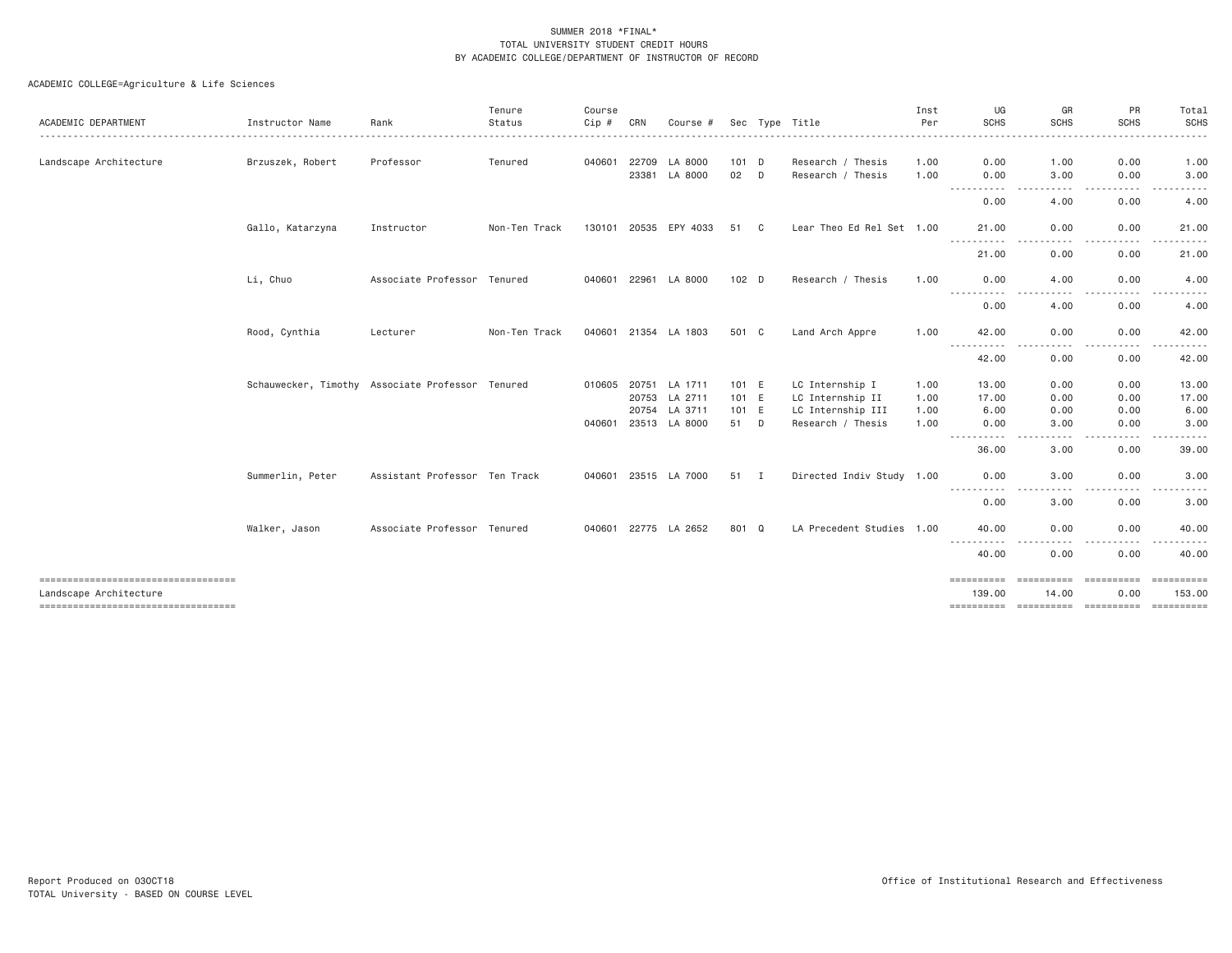|                                                                  |                                                  |                               | Tenure        | Course       |       |                       |         |                            |                           | Inst | UG                            | GR                        | PR                     | Total                |
|------------------------------------------------------------------|--------------------------------------------------|-------------------------------|---------------|--------------|-------|-----------------------|---------|----------------------------|---------------------------|------|-------------------------------|---------------------------|------------------------|----------------------|
| ACADEMIC DEPARTMENT                                              | Instructor Name                                  | Rank                          | Status        | Cip#         | CRN   | Course #              |         |                            | Sec Type Title            | Per  | <b>SCHS</b>                   | <b>SCHS</b>               | <b>SCHS</b>            | <b>SCHS</b><br>----- |
| Landscape Architecture                                           | Brzuszek, Robert                                 | Professor                     | Tenured       | 040601       | 22709 | LA 8000               | 101 D   |                            | Research / Thesis         | 1.00 | 0.00                          | 1.00                      | 0.00                   | 1.00                 |
|                                                                  |                                                  |                               |               |              | 23381 | LA 8000               | 02      | D                          | Research / Thesis         | 1.00 | 0.00                          | 3.00                      | 0.00                   | 3.00                 |
|                                                                  |                                                  |                               |               |              |       |                       |         |                            |                           |      | -----------<br>0.00           | .<br>4.00                 | .<br>$- - - -$<br>0.00 | .<br>4.00            |
|                                                                  | Gallo, Katarzyna                                 | Instructor                    | Non-Ten Track |              |       | 130101 20535 EPY 4033 | 51      | $\overline{\phantom{a}}$ C | Lear Theo Ed Rel Set 1.00 |      | 21.00<br>.                    | 0.00<br>$\frac{1}{2}$     | 0.00<br>. <b>.</b> .   | 21.00<br>.           |
|                                                                  |                                                  |                               |               |              |       |                       |         |                            |                           |      | 21.00                         | 0.00                      | 0.00                   | 21.00                |
|                                                                  | Li, Chuo                                         | Associate Professor Tenured   |               | 040601 22961 |       | LA 8000               | $102$ D |                            | Research / Thesis         | 1.00 | 0.00<br>.                     | 4.00<br>- - - -           | 0.00<br>$- - - -$      | 4.00                 |
|                                                                  |                                                  |                               |               |              |       |                       |         |                            |                           |      | 0.00                          | 4.00                      | 0.00                   | 4.00                 |
|                                                                  | Rood, Cynthia                                    | Lecturer                      | Non-Ten Track |              |       | 040601 21354 LA 1803  | 501 C   |                            | Land Arch Appre           | 1.00 | 42.00<br>$\sim$ $\sim$ $\sim$ | 0.00                      | 0.00<br>$\frac{1}{2}$  | 42.00                |
|                                                                  |                                                  |                               |               |              |       |                       |         |                            |                           |      | 42.00                         | 0.00                      | 0.00                   | 42.00                |
|                                                                  | Schauwecker, Timothy Associate Professor Tenured |                               |               | 010605       |       | 20751 LA 1711         | 101 E   |                            | LC Internship I           | 1.00 | 13.00                         | 0.00                      | 0.00                   | 13.00                |
|                                                                  |                                                  |                               |               |              | 20753 | LA 2711               | 101 E   |                            | LC Internship II          | 1.00 | 17.00                         | 0.00                      | 0.00                   | 17.00                |
|                                                                  |                                                  |                               |               |              | 20754 | LA 3711               | 101 E   |                            | LC Internship III         | 1.00 | 6.00                          | 0.00                      | 0.00                   | 6.00                 |
|                                                                  |                                                  |                               |               | 040601       | 23513 | LA 8000               | 51      | D                          | Research / Thesis         | 1.00 | 0.00                          | 3,00                      | 0.00                   | 3.00                 |
|                                                                  |                                                  |                               |               |              |       |                       |         |                            |                           |      | $\cdots$<br>----<br>36.00     | 3.00                      | $- - - -$<br>0.00      | -----<br>39.00       |
|                                                                  | Summerlin, Peter                                 | Assistant Professor Ten Track |               | 040601       |       | 23515 LA 7000         | 51 I    |                            | Directed Indiv Study 1.00 |      | 0.00                          | 3,00                      | 0.00                   | 3.00                 |
|                                                                  |                                                  |                               |               |              |       |                       |         |                            |                           |      | ------<br>$\cdots$<br>0.00    | - - - -<br>3.00           | $- - - -$<br>0.00      | 3.00                 |
|                                                                  | Walker, Jason                                    | Associate Professor Tenured   |               |              |       | 040601 22775 LA 2652  | 801 Q   |                            | LA Precedent Studies 1.00 |      | 40.00                         | 0.00<br>----              | 0.00<br>.              | 40.00<br>.           |
|                                                                  |                                                  |                               |               |              |       |                       |         |                            |                           |      | ----------<br>40.00           | 0.00                      | 0.00                   | 40.00                |
| ======================================<br>Landscape Architecture |                                                  |                               |               |              |       |                       |         |                            |                           |      | eeeeeeee<br>139.00            | <b>EBBERSBER</b><br>14.00 | ===========<br>0.00    | =======<br>153.00    |
| ----------------------------------                               |                                                  |                               |               |              |       |                       |         |                            |                           |      |                               |                           |                        |                      |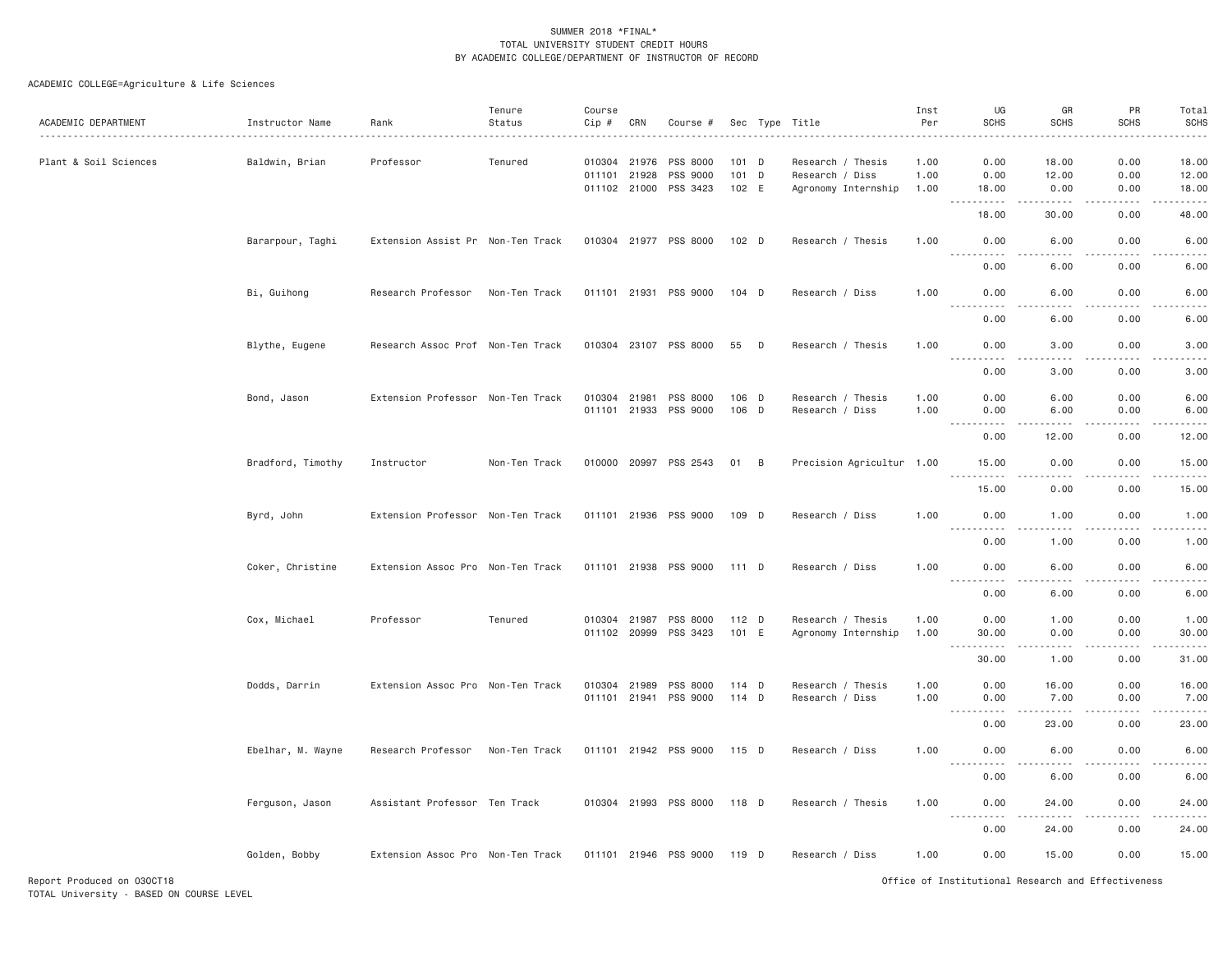| ACADEMIC DEPARTMENT   | Instructor Name   | Rank                              | Tenure<br>Status | Course<br>Cip #              | CRN          | Course #                                      |                         |   | Sec Type Title                                              | Inst<br>Per          | UG<br><b>SCHS</b>                                                                                            | GR<br><b>SCHS</b>      | PR<br><b>SCHS</b>    | Total<br><b>SCHS</b>           |
|-----------------------|-------------------|-----------------------------------|------------------|------------------------------|--------------|-----------------------------------------------|-------------------------|---|-------------------------------------------------------------|----------------------|--------------------------------------------------------------------------------------------------------------|------------------------|----------------------|--------------------------------|
| Plant & Soil Sciences | Baldwin, Brian    | Professor                         | Tenured          | 010304 21976<br>011101 21928 |              | PSS 8000<br>PSS 9000<br>011102 21000 PSS 3423 | 101 D<br>101 D<br>102 E |   | Research / Thesis<br>Research / Diss<br>Agronomy Internship | 1.00<br>1.00<br>1.00 | 0.00<br>0.00<br>18.00                                                                                        | 18.00<br>12.00<br>0.00 | 0.00<br>0.00<br>0.00 | 18.00<br>12.00<br>18.00        |
|                       |                   |                                   |                  |                              |              |                                               |                         |   |                                                             |                      | <b></b><br>18.00                                                                                             | .<br>30.00             | -----<br>0.00        | .<br>48.00                     |
|                       | Bararpour, Taghi  | Extension Assist Pr Non-Ten Track |                  |                              |              | 010304 21977 PSS 8000                         | 102 D                   |   | Research / Thesis                                           | 1.00                 | 0.00<br><u>.</u>                                                                                             | 6.00<br>.              | 0.00<br>.            | 6.00<br>.                      |
|                       |                   |                                   |                  |                              |              |                                               |                         |   |                                                             |                      | 0.00                                                                                                         | 6.00                   | 0.00                 | 6.00                           |
|                       | Bi, Guihong       | Research Professor                | Non-Ten Track    | 011101 21931                 |              | PSS 9000                                      | 104 D                   |   | Research / Diss                                             | 1.00                 | 0.00<br>.                                                                                                    | 6.00<br>.              | 0.00<br>$- - - - -$  | 6.00<br>.                      |
|                       |                   |                                   |                  |                              |              |                                               |                         |   |                                                             |                      | 0.00                                                                                                         | 6.00                   | 0.00                 | 6.00                           |
|                       | Blythe, Eugene    | Research Assoc Prof Non-Ten Track |                  |                              |              | 010304 23107 PSS 8000                         | 55                      | D | Research / Thesis                                           | 1.00                 | 0.00<br>.                                                                                                    | 3.00<br>د د د د        | 0.00<br>.            | 3.00<br>$\omega$ is a $\omega$ |
|                       |                   |                                   |                  |                              |              |                                               |                         |   |                                                             |                      | 0.00                                                                                                         | 3.00                   | 0.00                 | 3.00                           |
|                       | Bond, Jason       | Extension Professor Non-Ten Track |                  | 010304 21981                 |              | PSS 8000<br>011101 21933 PSS 9000             | 106 D<br>106 D          |   | Research / Thesis<br>Research / Diss                        | 1.00<br>1.00         | 0.00<br>0.00                                                                                                 | 6.00<br>6.00           | 0.00<br>0.00         | 6.00<br>6.00                   |
|                       |                   |                                   |                  |                              |              |                                               |                         |   |                                                             |                      | .<br>0.00                                                                                                    | 12.00                  | 0.00                 | 12.00                          |
|                       | Bradford, Timothy | Instructor                        | Non-Ten Track    |                              |              | 010000 20997 PSS 2543                         | 01 B                    |   | Precision Agricultur 1.00                                   |                      | 15.00                                                                                                        | 0.00                   | 0.00                 | 15.00                          |
|                       |                   |                                   |                  |                              |              |                                               |                         |   |                                                             |                      | .<br>15.00                                                                                                   | 0.00                   | 0.00                 | 15.00                          |
|                       | Byrd, John        | Extension Professor Non-Ten Track |                  |                              |              | 011101 21936 PSS 9000                         | 109 D                   |   | Research / Diss                                             | 1.00                 | 0.00                                                                                                         | 1.00                   | 0.00                 | 1.00                           |
|                       |                   |                                   |                  |                              |              |                                               |                         |   |                                                             |                      | <u>.</u><br>0.00                                                                                             | 1.00                   | 0.00                 | 1.00                           |
|                       | Coker, Christine  | Extension Assoc Pro Non-Ten Track |                  |                              | 011101 21938 | PSS 9000                                      | 111 D                   |   | Research / Diss                                             | 1.00                 | 0.00<br>.                                                                                                    | 6.00                   | 0.00                 | 6.00                           |
|                       |                   |                                   |                  |                              |              |                                               |                         |   |                                                             |                      | 0.00                                                                                                         | 6.00                   | 0.00                 | 6.00                           |
|                       | Cox, Michael      | Professor                         | Tenured          | 010304 21987                 |              | PSS 8000<br>011102 20999 PSS 3423             | 112 D<br>101 E          |   | Research / Thesis<br>Agronomy Internship                    | 1.00<br>1.00         | 0.00<br>30.00                                                                                                | 1.00<br>0.00           | 0.00<br>0.00         | 1.00<br>30.00                  |
|                       |                   |                                   |                  |                              |              |                                               |                         |   |                                                             |                      | .<br>$\frac{1}{2} \left( \frac{1}{2} \right) \left( \frac{1}{2} \right) \left( \frac{1}{2} \right)$<br>30.00 | .<br>1.00              | -----<br>0.00        | .<br>31.00                     |
|                       | Dodds, Darrin     | Extension Assoc Pro Non-Ten Track |                  | 010304 21989                 | 011101 21941 | PSS 8000<br>PSS 9000                          | 114 D<br>114 D          |   | Research / Thesis<br>Research / Diss                        | 1.00<br>1.00         | 0.00<br>0.00                                                                                                 | 16.00<br>7.00          | 0.00<br>0.00         | 16.00<br>7.00                  |
|                       |                   |                                   |                  |                              |              |                                               |                         |   |                                                             |                      | <u>.</u><br>0.00                                                                                             | .<br>23.00             | .<br>0.00            | .<br>23.00                     |
|                       | Ebelhar, M. Wayne | Research Professor                | Non-Ten Track    |                              |              | 011101 21942 PSS 9000                         | 115 D                   |   | Research / Diss                                             | 1.00                 | 0.00                                                                                                         | 6.00                   | 0.00                 | 6.00                           |
|                       |                   |                                   |                  |                              |              |                                               |                         |   |                                                             |                      | .<br>$- - - - -$<br>0.00                                                                                     | $   -$<br>6.00         | .<br>0.00            | $\frac{1}{2}$<br>6.00          |
|                       | Ferguson, Jason   | Assistant Professor Ten Track     |                  |                              |              | 010304 21993 PSS 8000                         | 118 D                   |   | Research / Thesis                                           | 1.00                 | 0.00<br><u>.</u>                                                                                             | 24.00                  | 0.00                 | 24.00                          |
|                       |                   |                                   |                  |                              |              |                                               |                         |   |                                                             |                      | 0.00                                                                                                         | 24.00                  | 0.00                 | 24.00                          |
|                       | Golden, Bobby     | Extension Assoc Pro Non-Ten Track |                  |                              |              | 011101 21946 PSS 9000                         | 119 D                   |   | Research / Diss                                             | 1.00                 | 0.00                                                                                                         | 15.00                  | 0.00                 | 15.00                          |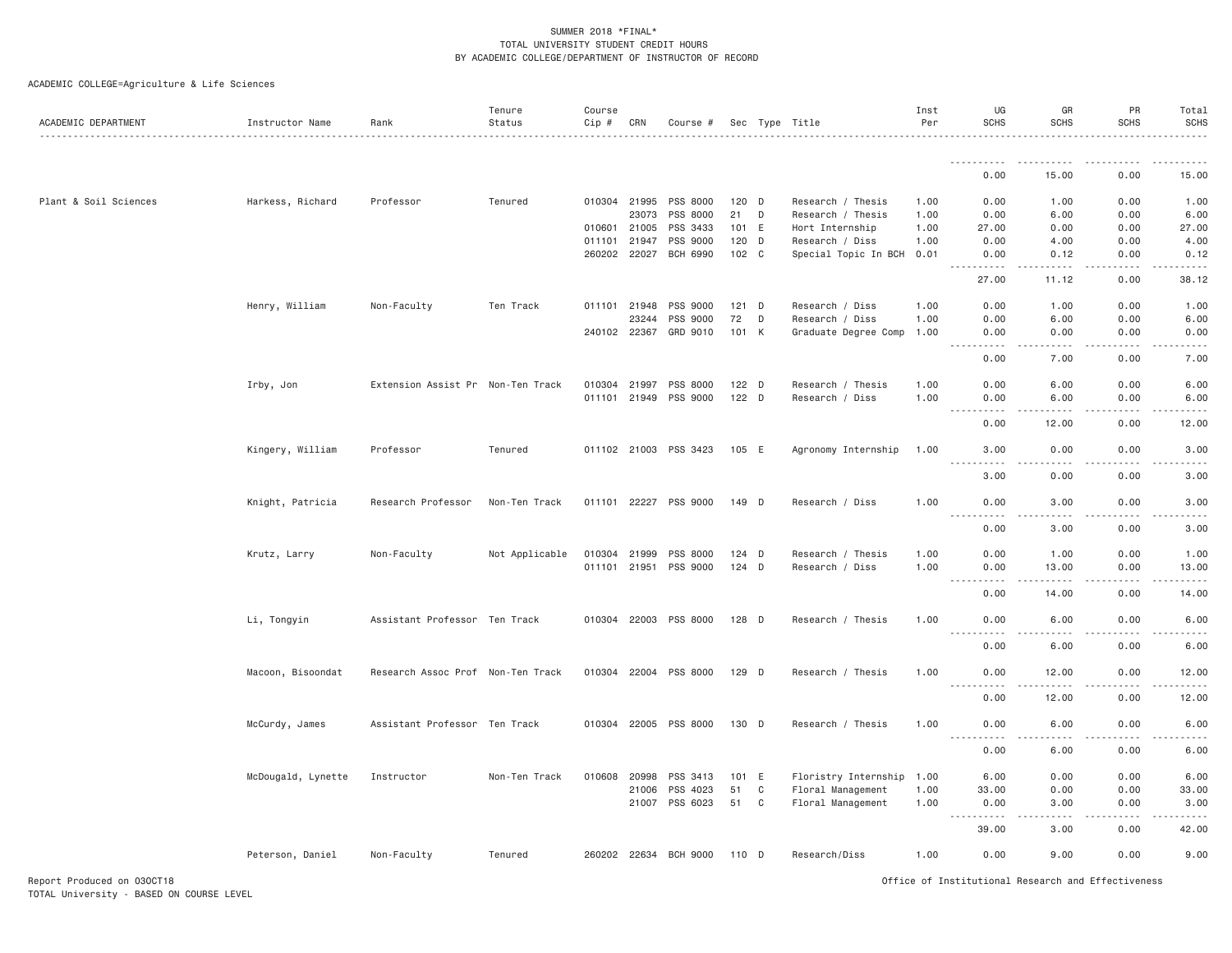ACADEMIC COLLEGE=Agriculture & Life Sciences

| ACADEMIC DEPARTMENT   | Instructor Name    | Rank                              | Tenure<br>Status | Course<br>Cip # | CRN          | Course #              |         |   | Sec Type Title            | Inst<br>Per | UG<br><b>SCHS</b>                                                                                                                                                                           | GR<br><b>SCHS</b>                                                                                                                                            | PR<br><b>SCHS</b>                                                                                                                                            | Total<br>SCHS                                                                                                                                                                                                                                                                                                                                                                                        |
|-----------------------|--------------------|-----------------------------------|------------------|-----------------|--------------|-----------------------|---------|---|---------------------------|-------------|---------------------------------------------------------------------------------------------------------------------------------------------------------------------------------------------|--------------------------------------------------------------------------------------------------------------------------------------------------------------|--------------------------------------------------------------------------------------------------------------------------------------------------------------|------------------------------------------------------------------------------------------------------------------------------------------------------------------------------------------------------------------------------------------------------------------------------------------------------------------------------------------------------------------------------------------------------|
|                       |                    |                                   |                  |                 |              |                       |         |   |                           |             | .                                                                                                                                                                                           | . <u>.</u>                                                                                                                                                   |                                                                                                                                                              |                                                                                                                                                                                                                                                                                                                                                                                                      |
|                       |                    |                                   |                  |                 |              |                       |         |   |                           |             | 0.00                                                                                                                                                                                        | 15.00                                                                                                                                                        | 0.00                                                                                                                                                         | 15.00                                                                                                                                                                                                                                                                                                                                                                                                |
| Plant & Soil Sciences | Harkess, Richard   | Professor                         | Tenured          |                 | 010304 21995 | PSS 8000              | 120 D   |   | Research / Thesis         | 1.00        | 0.00                                                                                                                                                                                        | 1.00                                                                                                                                                         | 0.00                                                                                                                                                         | 1.00                                                                                                                                                                                                                                                                                                                                                                                                 |
|                       |                    |                                   |                  |                 | 23073        | PSS 8000              | 21      | D | Research / Thesis         | 1.00        | 0.00                                                                                                                                                                                        | 6.00                                                                                                                                                         | 0.00                                                                                                                                                         | 6.00                                                                                                                                                                                                                                                                                                                                                                                                 |
|                       |                    |                                   |                  | 010601          | 21005        | PSS 3433              | 101 E   |   | Hort Internship           | 1.00        | 27.00                                                                                                                                                                                       | 0.00                                                                                                                                                         | 0.00                                                                                                                                                         | 27.00                                                                                                                                                                                                                                                                                                                                                                                                |
|                       |                    |                                   |                  |                 | 011101 21947 | PSS 9000              | 120 D   |   | Research / Diss           | 1.00        | 0.00                                                                                                                                                                                        | 4.00                                                                                                                                                         | 0.00                                                                                                                                                         | 4.00                                                                                                                                                                                                                                                                                                                                                                                                 |
|                       |                    |                                   |                  |                 | 260202 22027 | <b>BCH 6990</b>       | 102 C   |   | Special Topic In BCH 0.01 |             | 0.00<br>.                                                                                                                                                                                   | 0.12<br>$\frac{1}{2} \left( \frac{1}{2} \right) \left( \frac{1}{2} \right) \left( \frac{1}{2} \right) \left( \frac{1}{2} \right) \left( \frac{1}{2} \right)$ | 0.00<br>.                                                                                                                                                    | 0.12<br>.                                                                                                                                                                                                                                                                                                                                                                                            |
|                       |                    |                                   |                  |                 |              |                       |         |   |                           |             | 27.00                                                                                                                                                                                       | 11.12                                                                                                                                                        | 0.00                                                                                                                                                         | 38.12                                                                                                                                                                                                                                                                                                                                                                                                |
|                       | Henry, William     | Non-Faculty                       | Ten Track        |                 | 011101 21948 | PSS 9000              | $121$ D |   | Research / Diss           | 1.00        | 0.00                                                                                                                                                                                        | 1.00                                                                                                                                                         | 0.00                                                                                                                                                         | 1.00                                                                                                                                                                                                                                                                                                                                                                                                 |
|                       |                    |                                   |                  |                 | 23244        | PSS 9000              | 72      | D | Research / Diss           | 1.00        | 0.00                                                                                                                                                                                        | 6.00                                                                                                                                                         | 0.00                                                                                                                                                         | 6.00                                                                                                                                                                                                                                                                                                                                                                                                 |
|                       |                    |                                   |                  |                 | 240102 22367 | GRD 9010              | 101 K   |   | Graduate Degree Comp      | 1.00        | 0.00<br>$\sim$ $\sim$ $\sim$ $\sim$<br>$\frac{1}{2} \left( \frac{1}{2} \right) \left( \frac{1}{2} \right) \left( \frac{1}{2} \right) \left( \frac{1}{2} \right) \left( \frac{1}{2} \right)$ | 0.00<br>.                                                                                                                                                    | 0.00<br>.                                                                                                                                                    | 0.00<br>$\frac{1}{2} \frac{1}{2} \frac{1}{2} \frac{1}{2} \frac{1}{2} \frac{1}{2} \frac{1}{2} \frac{1}{2} \frac{1}{2} \frac{1}{2} \frac{1}{2} \frac{1}{2} \frac{1}{2} \frac{1}{2} \frac{1}{2} \frac{1}{2} \frac{1}{2} \frac{1}{2} \frac{1}{2} \frac{1}{2} \frac{1}{2} \frac{1}{2} \frac{1}{2} \frac{1}{2} \frac{1}{2} \frac{1}{2} \frac{1}{2} \frac{1}{2} \frac{1}{2} \frac{1}{2} \frac{1}{2} \frac{$ |
|                       |                    |                                   |                  |                 |              |                       |         |   |                           |             | 0.00                                                                                                                                                                                        | 7.00                                                                                                                                                         | 0.00                                                                                                                                                         | 7.00                                                                                                                                                                                                                                                                                                                                                                                                 |
|                       | Irby, Jon          | Extension Assist Pr Non-Ten Track |                  |                 | 010304 21997 | PSS 8000              | $122$ D |   | Research / Thesis         | 1.00        | 0.00                                                                                                                                                                                        | 6.00                                                                                                                                                         | 0.00                                                                                                                                                         | 6.00                                                                                                                                                                                                                                                                                                                                                                                                 |
|                       |                    |                                   |                  |                 | 011101 21949 | PSS 9000              | $122$ D |   | Research / Diss           | 1.00        | 0.00                                                                                                                                                                                        | 6.00                                                                                                                                                         | 0.00                                                                                                                                                         | 6.00                                                                                                                                                                                                                                                                                                                                                                                                 |
|                       |                    |                                   |                  |                 |              |                       |         |   |                           |             | <u>.</u><br>0.00                                                                                                                                                                            | -----<br>12.00                                                                                                                                               | $\frac{1}{2} \left( \frac{1}{2} \right) \left( \frac{1}{2} \right) \left( \frac{1}{2} \right) \left( \frac{1}{2} \right) \left( \frac{1}{2} \right)$<br>0.00 | .<br>12.00                                                                                                                                                                                                                                                                                                                                                                                           |
|                       | Kingery, William   | Professor                         | Tenured          |                 |              | 011102 21003 PSS 3423 | 105 E   |   | Agronomy Internship       | 1.00        | 3.00<br><u>.</u>                                                                                                                                                                            | 0.00<br>.                                                                                                                                                    | 0.00<br>.                                                                                                                                                    | 3.00<br>$\frac{1}{2}$                                                                                                                                                                                                                                                                                                                                                                                |
|                       |                    |                                   |                  |                 |              |                       |         |   |                           |             | 3.00                                                                                                                                                                                        | 0.00                                                                                                                                                         | 0.00                                                                                                                                                         | 3.00                                                                                                                                                                                                                                                                                                                                                                                                 |
|                       | Knight, Patricia   | Research Professor                | Non-Ten Track    |                 | 011101 22227 | PSS 9000              | 149 D   |   | Research / Diss           | 1.00        | 0.00<br>.<br>$\frac{1}{2} \left( \frac{1}{2} \right) \left( \frac{1}{2} \right) \left( \frac{1}{2} \right) \left( \frac{1}{2} \right)$                                                      | 3.00<br>$\sim$ $\sim$ $\sim$                                                                                                                                 | 0.00<br>.                                                                                                                                                    | 3.00<br>.                                                                                                                                                                                                                                                                                                                                                                                            |
|                       |                    |                                   |                  |                 |              |                       |         |   |                           |             | 0.00                                                                                                                                                                                        | 3.00                                                                                                                                                         | 0.00                                                                                                                                                         | 3.00                                                                                                                                                                                                                                                                                                                                                                                                 |
|                       | Krutz, Larry       | Non-Faculty                       | Not Applicable   |                 | 010304 21999 | PSS 8000              | $124$ D |   | Research / Thesis         | 1.00        | 0.00                                                                                                                                                                                        | 1.00                                                                                                                                                         | 0.00                                                                                                                                                         | 1.00                                                                                                                                                                                                                                                                                                                                                                                                 |
|                       |                    |                                   |                  |                 | 011101 21951 | PSS 9000              | $124$ D |   | Research / Diss           | 1.00        | 0.00                                                                                                                                                                                        | 13.00                                                                                                                                                        | 0.00                                                                                                                                                         | 13.00                                                                                                                                                                                                                                                                                                                                                                                                |
|                       |                    |                                   |                  |                 |              |                       |         |   |                           |             | $\omega$ is a set of<br>$\sim$ $\sim$ $\sim$                                                                                                                                                | $\frac{1}{2} \left( \frac{1}{2} \right) \left( \frac{1}{2} \right) \left( \frac{1}{2} \right) \left( \frac{1}{2} \right) \left( \frac{1}{2} \right)$         |                                                                                                                                                              | والمناصبات                                                                                                                                                                                                                                                                                                                                                                                           |
|                       |                    |                                   |                  |                 |              |                       |         |   |                           |             | 0.00                                                                                                                                                                                        | 14.00                                                                                                                                                        | 0.00                                                                                                                                                         | 14.00                                                                                                                                                                                                                                                                                                                                                                                                |
|                       | Li, Tongyin        | Assistant Professor Ten Track     |                  |                 |              | 010304 22003 PSS 8000 | 128 D   |   | Research / Thesis         | 1.00        | 0.00<br>.                                                                                                                                                                                   | 6.00<br>.                                                                                                                                                    | 0.00<br>.                                                                                                                                                    | 6.00<br>$\frac{1}{2} \left( \frac{1}{2} \right) \left( \frac{1}{2} \right) \left( \frac{1}{2} \right) \left( \frac{1}{2} \right)$                                                                                                                                                                                                                                                                    |
|                       |                    |                                   |                  |                 |              |                       |         |   |                           |             | 0.00                                                                                                                                                                                        | 6.00                                                                                                                                                         | 0.00                                                                                                                                                         | 6.00                                                                                                                                                                                                                                                                                                                                                                                                 |
|                       | Macoon, Bisoondat  | Research Assoc Prof Non-Ten Track |                  |                 | 010304 22004 | PSS 8000              | 129 D   |   | Research / Thesis         | 1.00        | 0.00<br>.                                                                                                                                                                                   | 12.00<br>$- - - - -$                                                                                                                                         | 0.00<br>.                                                                                                                                                    | 12.00<br>.                                                                                                                                                                                                                                                                                                                                                                                           |
|                       |                    |                                   |                  |                 |              |                       |         |   |                           |             | 0.00                                                                                                                                                                                        | 12.00                                                                                                                                                        | 0.00                                                                                                                                                         | 12.00                                                                                                                                                                                                                                                                                                                                                                                                |
|                       | McCurdy, James     | Assistant Professor Ten Track     |                  |                 |              | 010304 22005 PSS 8000 | 130 D   |   | Research / Thesis         | 1.00        | 0.00<br>$\sim$ $\sim$ $\sim$ $\sim$<br>.                                                                                                                                                    | 6.00                                                                                                                                                         | 0.00                                                                                                                                                         | 6.00                                                                                                                                                                                                                                                                                                                                                                                                 |
|                       |                    |                                   |                  |                 |              |                       |         |   |                           |             | 0.00                                                                                                                                                                                        | 6.00                                                                                                                                                         | 0.00                                                                                                                                                         | 6.00                                                                                                                                                                                                                                                                                                                                                                                                 |
|                       | McDougald, Lynette | Instructor                        | Non-Ten Track    | 010608          | 20998        | PSS 3413              | 101 E   |   | Floristry Internship 1.00 |             | 6.00                                                                                                                                                                                        | 0.00                                                                                                                                                         | 0.00                                                                                                                                                         | 6.00                                                                                                                                                                                                                                                                                                                                                                                                 |
|                       |                    |                                   |                  |                 | 21006        | PSS 4023              | 51      | C | Floral Management         | 1.00        | 33.00                                                                                                                                                                                       | 0.00                                                                                                                                                         | 0.00                                                                                                                                                         | 33.00                                                                                                                                                                                                                                                                                                                                                                                                |
|                       |                    |                                   |                  |                 | 21007        | PSS 6023              | 51      | C | Floral Management         | 1.00        | 0.00                                                                                                                                                                                        | 3,00                                                                                                                                                         | 0.00                                                                                                                                                         | 3.00                                                                                                                                                                                                                                                                                                                                                                                                 |
|                       |                    |                                   |                  |                 |              |                       |         |   |                           |             | 39,00                                                                                                                                                                                       | 3.00                                                                                                                                                         | 0.00                                                                                                                                                         | 42.00                                                                                                                                                                                                                                                                                                                                                                                                |
|                       | Peterson, Daniel   | Non-Faculty                       | Tenured          |                 |              | 260202 22634 BCH 9000 | 110 D   |   | Research/Diss             | 1.00        | 0.00                                                                                                                                                                                        | 9.00                                                                                                                                                         | 0.00                                                                                                                                                         | 9.00                                                                                                                                                                                                                                                                                                                                                                                                 |

Report Produced on 03OCT18 Office of Institutional Research and Effectiveness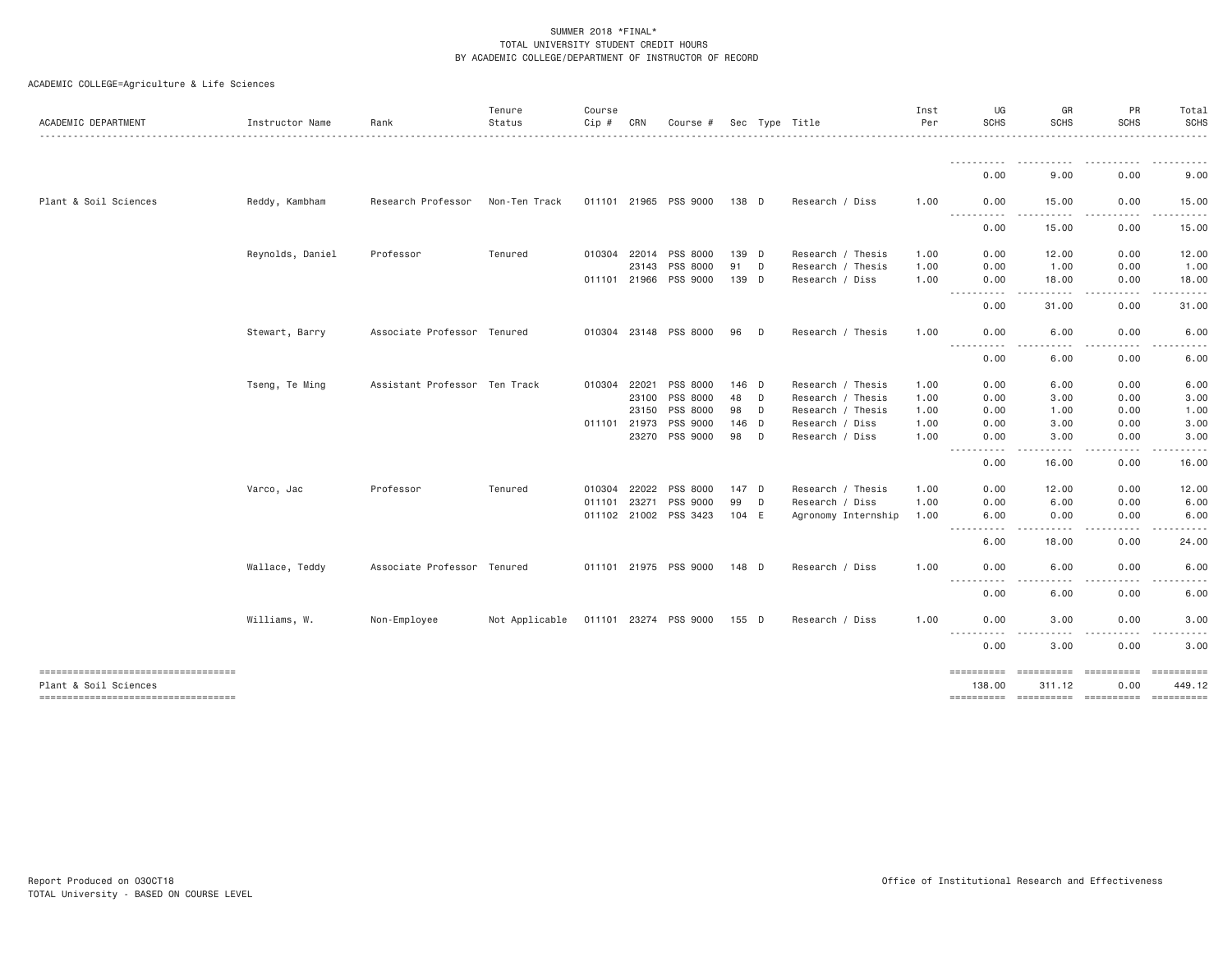| ACADEMIC DEPARTMENT                                             | Instructor Name  | Rank                          | Tenure<br>Status | Course<br>Cip # | CRN   | Course #              |       |   | Sec Type Title      | Inst<br>Per | UG<br><b>SCHS</b>                                                                                                                          | GR<br><b>SCHS</b>     | PR<br><b>SCHS</b>                                                                                                                                                                       | Total<br>SCHS           |
|-----------------------------------------------------------------|------------------|-------------------------------|------------------|-----------------|-------|-----------------------|-------|---|---------------------|-------------|--------------------------------------------------------------------------------------------------------------------------------------------|-----------------------|-----------------------------------------------------------------------------------------------------------------------------------------------------------------------------------------|-------------------------|
|                                                                 |                  |                               |                  |                 |       |                       |       |   |                     |             |                                                                                                                                            |                       |                                                                                                                                                                                         |                         |
|                                                                 |                  |                               |                  |                 |       |                       |       |   |                     |             | 0.00                                                                                                                                       | 9.00                  | 0.00                                                                                                                                                                                    | 9.00                    |
| Plant & Soil Sciences                                           | Reddy, Kambham   | Research Professor            | Non-Ten Track    |                 |       | 011101 21965 PSS 9000 | 138 D |   | Research / Diss     | 1.00        | 0.00<br>$\frac{1}{2} \left( \frac{1}{2} \right) \left( \frac{1}{2} \right) \left( \frac{1}{2} \right) \left( \frac{1}{2} \right)$<br>----- | 15.00                 | 0.00                                                                                                                                                                                    | 15.00                   |
|                                                                 |                  |                               |                  |                 |       |                       |       |   |                     |             | 0.00                                                                                                                                       | 15.00                 | 0.00                                                                                                                                                                                    | 15.00                   |
|                                                                 | Reynolds, Daniel | Professor                     | Tenured          | 010304          | 22014 | PSS 8000              | 139 D |   | Research / Thesis   | 1.00        | 0.00                                                                                                                                       | 12.00                 | 0.00                                                                                                                                                                                    | 12.00                   |
|                                                                 |                  |                               |                  |                 | 23143 | PSS 8000              | 91    | D | Research / Thesis   | 1.00        | 0.00                                                                                                                                       | 1.00                  | 0.00                                                                                                                                                                                    | 1.00                    |
|                                                                 |                  |                               |                  | 011101 21966    |       | PSS 9000              | 139 D |   | Research / Diss     | 1.00        | 0.00<br>.                                                                                                                                  | 18.00<br>$- - - - -$  | 0.00<br>$\frac{1}{2} \left( \frac{1}{2} \right) \left( \frac{1}{2} \right) \left( \frac{1}{2} \right) \left( \frac{1}{2} \right) \left( \frac{1}{2} \right) \left( \frac{1}{2} \right)$ | 18.00<br>.              |
|                                                                 |                  |                               |                  |                 |       |                       |       |   |                     |             | 0.00                                                                                                                                       | 31.00                 | 0.00                                                                                                                                                                                    | 31.00                   |
|                                                                 | Stewart, Barry   | Associate Professor Tenured   |                  |                 |       | 010304 23148 PSS 8000 | 96    | D | Research / Thesis   | 1,00        | 0.00<br>$\cdots \cdots \cdots$<br>-----                                                                                                    | 6.00<br>د د د د       | 0.00<br>-----                                                                                                                                                                           | 6.00                    |
|                                                                 |                  |                               |                  |                 |       |                       |       |   |                     |             | 0.00                                                                                                                                       | 6.00                  | 0.00                                                                                                                                                                                    | 6.00                    |
|                                                                 | Tseng, Te Ming   | Assistant Professor Ten Track |                  | 010304 22021    |       | PSS 8000              | 146 D |   | Research / Thesis   | 1.00        | 0.00                                                                                                                                       | 6.00                  | 0.00                                                                                                                                                                                    | 6.00                    |
|                                                                 |                  |                               |                  |                 | 23100 | PSS 8000              | 48    | D | Research / Thesis   | 1.00        | 0.00                                                                                                                                       | 3.00                  | 0.00                                                                                                                                                                                    | 3.00                    |
|                                                                 |                  |                               |                  |                 | 23150 | PSS 8000              | 98    | D | Research / Thesis   | 1.00        | 0.00                                                                                                                                       | 1.00                  | 0.00                                                                                                                                                                                    | 1.00                    |
|                                                                 |                  |                               |                  | 011101 21973    |       | PSS 9000              | 146 D |   | Research / Diss     | 1.00        | 0.00                                                                                                                                       | 3.00                  | 0.00                                                                                                                                                                                    | 3.00                    |
|                                                                 |                  |                               |                  |                 | 23270 | PSS 9000              | 98    | D | Research / Diss     | 1.00        | 0.00<br>----------                                                                                                                         | 3.00<br>.             | 0.00<br>$\frac{1}{2} \left( \frac{1}{2} \right) \left( \frac{1}{2} \right) \left( \frac{1}{2} \right) \left( \frac{1}{2} \right) \left( \frac{1}{2} \right) \left( \frac{1}{2} \right)$ | 3.00<br>.               |
|                                                                 |                  |                               |                  |                 |       |                       |       |   |                     |             | 0.00                                                                                                                                       | 16.00                 | 0.00                                                                                                                                                                                    | 16.00                   |
|                                                                 | Varco, Jac       | Professor                     | Tenured          | 010304 22022    |       | PSS 8000              | 147 D |   | Research / Thesis   | 1.00        | 0.00                                                                                                                                       | 12.00                 | 0.00                                                                                                                                                                                    | 12.00                   |
|                                                                 |                  |                               |                  | 011101          | 23271 | PSS 9000              | 99    | D | Research / Diss     | 1.00        | 0.00                                                                                                                                       | 6.00                  | 0.00                                                                                                                                                                                    | 6.00                    |
|                                                                 |                  |                               |                  |                 |       | 011102 21002 PSS 3423 | 104 E |   | Agronomy Internship | 1.00        | 6.00<br>-----------                                                                                                                        | 0.00<br>.             | 0.00<br>.                                                                                                                                                                               | 6.00<br>.               |
|                                                                 |                  |                               |                  |                 |       |                       |       |   |                     |             | 6.00                                                                                                                                       | 18.00                 | 0.00                                                                                                                                                                                    | 24.00                   |
|                                                                 | Wallace, Teddy   | Associate Professor Tenured   |                  |                 |       | 011101 21975 PSS 9000 | 148 D |   | Research / Diss     | 1.00        | 0.00                                                                                                                                       | 6.00                  | 0.00                                                                                                                                                                                    | 6.00                    |
|                                                                 |                  |                               |                  |                 |       |                       |       |   |                     |             | $- - - - -$<br>.<br>0.00                                                                                                                   | .<br>6.00             | .<br>0.00                                                                                                                                                                               | - - - -<br>6.00         |
|                                                                 | Williams, W.     | Non-Employee                  | Not Applicable   |                 |       | 011101 23274 PSS 9000 | 155 D |   | Research / Diss     | 1.00        | 0.00                                                                                                                                       | 3.00                  | 0.00                                                                                                                                                                                    | 3.00                    |
|                                                                 |                  |                               |                  |                 |       |                       |       |   |                     |             | ----------<br>0.00                                                                                                                         | ----<br>-----<br>3.00 | .<br>0.00                                                                                                                                                                               | .<br>3.00               |
| ----------------------------------                              |                  |                               |                  |                 |       |                       |       |   |                     |             | ==========                                                                                                                                 | <b>ESSESSESS</b>      |                                                                                                                                                                                         | $=$ = = = = = = = = = = |
| Plant & Soil Sciences<br>====================================== |                  |                               |                  |                 |       |                       |       |   |                     |             | 138.00                                                                                                                                     | 311.12                | 0.00                                                                                                                                                                                    | 449.12                  |
|                                                                 |                  |                               |                  |                 |       |                       |       |   |                     |             |                                                                                                                                            |                       |                                                                                                                                                                                         |                         |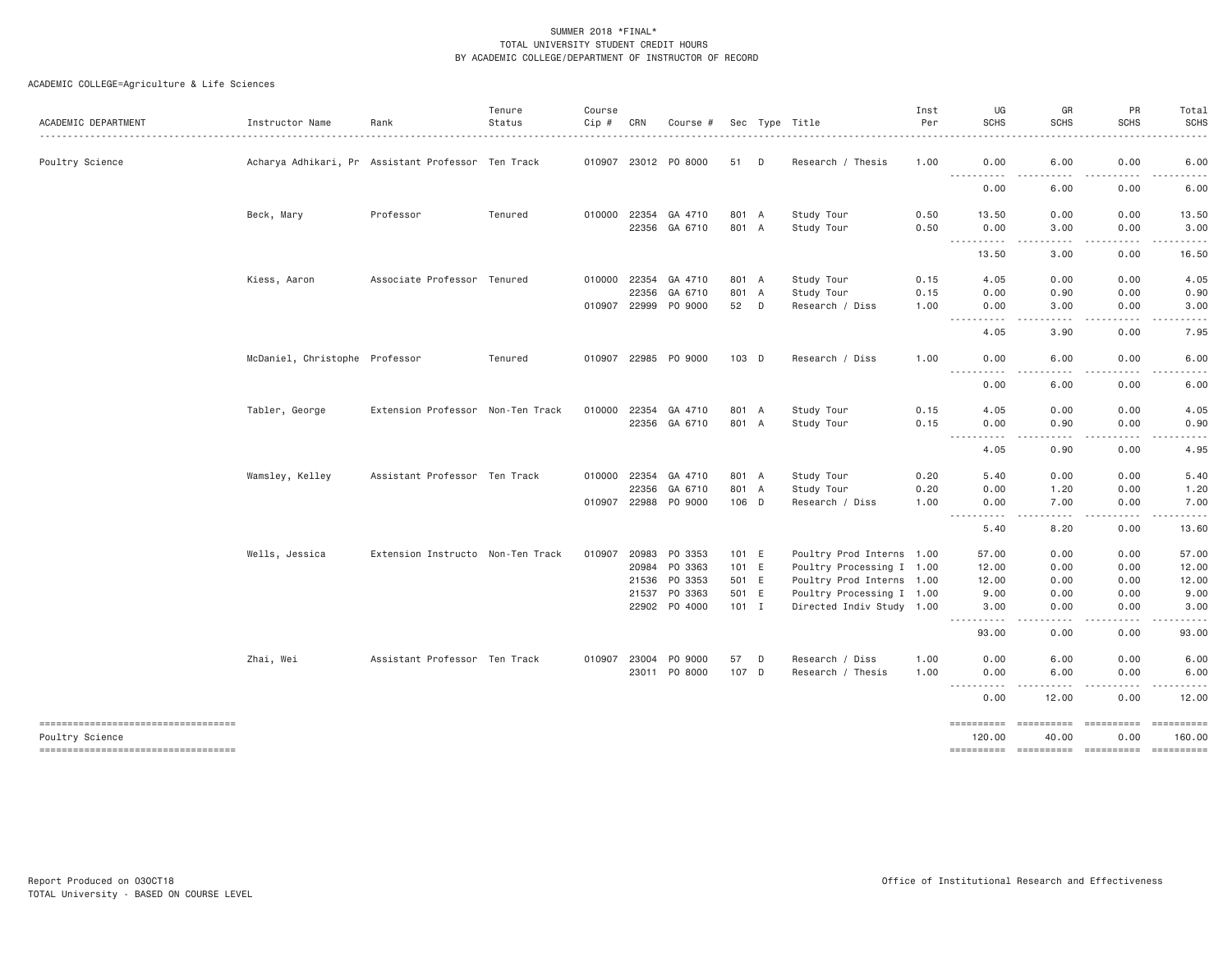| ACADEMIC DEPARTMENT                                   | Instructor Name                | Rank                                               | Tenure<br>Status | Course<br>Cip # | CRN          | Course #             |         |   | Sec Type Title            | Inst<br>Per | UG<br><b>SCHS</b>                                                                                                                                                                                                                                                                                                                                                                                                                                                                                                                                                                                               | GR<br><b>SCHS</b>                                                                                                                 | PR<br><b>SCHS</b>                                                                                                                                            | Total<br><b>SCHS</b>                                                                                                                                         |
|-------------------------------------------------------|--------------------------------|----------------------------------------------------|------------------|-----------------|--------------|----------------------|---------|---|---------------------------|-------------|-----------------------------------------------------------------------------------------------------------------------------------------------------------------------------------------------------------------------------------------------------------------------------------------------------------------------------------------------------------------------------------------------------------------------------------------------------------------------------------------------------------------------------------------------------------------------------------------------------------------|-----------------------------------------------------------------------------------------------------------------------------------|--------------------------------------------------------------------------------------------------------------------------------------------------------------|--------------------------------------------------------------------------------------------------------------------------------------------------------------|
|                                                       |                                |                                                    |                  |                 |              |                      |         |   |                           |             |                                                                                                                                                                                                                                                                                                                                                                                                                                                                                                                                                                                                                 |                                                                                                                                   |                                                                                                                                                              |                                                                                                                                                              |
| Poultry Science                                       |                                | Acharya Adhikari, Pr Assistant Professor Ten Track |                  |                 |              | 010907 23012 P0 8000 | 51      | D | Research / Thesis         | 1.00        | 0.00<br>$\frac{1}{2} \left( \frac{1}{2} \right) \left( \frac{1}{2} \right) \left( \frac{1}{2} \right) \left( \frac{1}{2} \right) \left( \frac{1}{2} \right)$<br>.                                                                                                                                                                                                                                                                                                                                                                                                                                               | 6.00<br>- - -<br>$- - -$                                                                                                          | 0.00<br>.                                                                                                                                                    | 6.00<br>$\frac{1}{2} \left( \frac{1}{2} \right) \left( \frac{1}{2} \right) \left( \frac{1}{2} \right) \left( \frac{1}{2} \right)$                            |
|                                                       |                                |                                                    |                  |                 |              |                      |         |   |                           |             | 0.00                                                                                                                                                                                                                                                                                                                                                                                                                                                                                                                                                                                                            | 6.00                                                                                                                              | 0.00                                                                                                                                                         | 6.00                                                                                                                                                         |
|                                                       | Beck, Mary                     | Professor                                          | Tenured          |                 | 010000 22354 | GA 4710              | 801 A   |   | Study Tour                | 0.50        | 13.50                                                                                                                                                                                                                                                                                                                                                                                                                                                                                                                                                                                                           | 0.00                                                                                                                              | 0.00                                                                                                                                                         | 13.50                                                                                                                                                        |
|                                                       |                                |                                                    |                  |                 |              | 22356 GA 6710        | 801 A   |   | Study Tour                | 0.50        | 0.00<br>----------                                                                                                                                                                                                                                                                                                                                                                                                                                                                                                                                                                                              | 3.00<br>$\sim$ $\sim$ $\sim$ $\sim$                                                                                               | 0.00<br>$\frac{1}{2} \left( \frac{1}{2} \right) \left( \frac{1}{2} \right) \left( \frac{1}{2} \right) \left( \frac{1}{2} \right) \left( \frac{1}{2} \right)$ | 3.00<br>.                                                                                                                                                    |
|                                                       |                                |                                                    |                  |                 |              |                      |         |   |                           |             | 13.50                                                                                                                                                                                                                                                                                                                                                                                                                                                                                                                                                                                                           | 3.00                                                                                                                              | 0.00                                                                                                                                                         | 16.50                                                                                                                                                        |
|                                                       | Kiess, Aaron                   | Associate Professor Tenured                        |                  | 010000          | 22354        | GA 4710              | 801 A   |   | Study Tour                | 0.15        | 4.05                                                                                                                                                                                                                                                                                                                                                                                                                                                                                                                                                                                                            | 0.00                                                                                                                              | 0.00                                                                                                                                                         | 4.05                                                                                                                                                         |
|                                                       |                                |                                                    |                  |                 | 22356        | GA 6710              | 801 A   |   | Study Tour                | 0.15        | 0.00                                                                                                                                                                                                                                                                                                                                                                                                                                                                                                                                                                                                            | 0.90                                                                                                                              | 0.00                                                                                                                                                         | 0.90                                                                                                                                                         |
|                                                       |                                |                                                    |                  |                 | 010907 22999 | PO 9000              | 52 D    |   | Research / Diss           | 1.00        | 0.00<br>----------                                                                                                                                                                                                                                                                                                                                                                                                                                                                                                                                                                                              | 3,00<br>المتمالين                                                                                                                 | 0.00<br>-----                                                                                                                                                | 3.00<br>.                                                                                                                                                    |
|                                                       |                                |                                                    |                  |                 |              |                      |         |   |                           |             | 4.05                                                                                                                                                                                                                                                                                                                                                                                                                                                                                                                                                                                                            | 3,90                                                                                                                              | 0.00                                                                                                                                                         | 7.95                                                                                                                                                         |
|                                                       | McDaniel, Christophe Professor |                                                    | Tenured          |                 | 010907 22985 | PO 9000              | 103 D   |   | Research / Diss           | 1.00        | 0.00                                                                                                                                                                                                                                                                                                                                                                                                                                                                                                                                                                                                            | 6.00                                                                                                                              | 0.00                                                                                                                                                         | 6.00                                                                                                                                                         |
|                                                       |                                |                                                    |                  |                 |              |                      |         |   |                           |             | $\frac{1}{2} \left( \frac{1}{2} \right) \left( \frac{1}{2} \right) \left( \frac{1}{2} \right) \left( \frac{1}{2} \right)$<br>.<br>0.00                                                                                                                                                                                                                                                                                                                                                                                                                                                                          | .<br>6.00                                                                                                                         | 0.00                                                                                                                                                         | 6.00                                                                                                                                                         |
|                                                       | Tabler, George                 | Extension Professor Non-Ten Track                  |                  | 010000          | 22354        | GA 4710              | 801 A   |   | Study Tour                | 0.15        | 4.05                                                                                                                                                                                                                                                                                                                                                                                                                                                                                                                                                                                                            | 0.00                                                                                                                              | 0.00                                                                                                                                                         | 4.05                                                                                                                                                         |
|                                                       |                                |                                                    |                  |                 | 22356        | GA 6710              | 801 A   |   | Study Tour                | 0.15        | 0.00                                                                                                                                                                                                                                                                                                                                                                                                                                                                                                                                                                                                            | 0.90                                                                                                                              | 0.00                                                                                                                                                         | 0.90                                                                                                                                                         |
|                                                       |                                |                                                    |                  |                 |              |                      |         |   |                           |             | $\frac{1}{2} \left( \frac{1}{2} \right) \left( \frac{1}{2} \right) \left( \frac{1}{2} \right) \left( \frac{1}{2} \right) \left( \frac{1}{2} \right) \left( \frac{1}{2} \right) \left( \frac{1}{2} \right) \left( \frac{1}{2} \right) \left( \frac{1}{2} \right) \left( \frac{1}{2} \right) \left( \frac{1}{2} \right) \left( \frac{1}{2} \right) \left( \frac{1}{2} \right) \left( \frac{1}{2} \right) \left( \frac{1}{2} \right) \left( \frac{1}{2} \right) \left( \frac$<br>$\frac{1}{2} \left( \frac{1}{2} \right) \left( \frac{1}{2} \right) \left( \frac{1}{2} \right) \left( \frac{1}{2} \right)$<br>4.05 | $\frac{1}{2} \left( \frac{1}{2} \right) \left( \frac{1}{2} \right) \left( \frac{1}{2} \right) \left( \frac{1}{2} \right)$<br>0.90 | .<br>0.00                                                                                                                                                    | $\cdots \cdots \cdots$<br>4.95                                                                                                                               |
|                                                       | Wamsley, Kelley                | Assistant Professor Ten Track                      |                  |                 | 010000 22354 | GA 4710              | 801 A   |   | Study Tour                | 0.20        | 5.40                                                                                                                                                                                                                                                                                                                                                                                                                                                                                                                                                                                                            | 0.00                                                                                                                              | 0.00                                                                                                                                                         | 5.40                                                                                                                                                         |
|                                                       |                                |                                                    |                  |                 | 22356        | GA 6710              | 801 A   |   | Study Tour                | 0.20        | 0.00                                                                                                                                                                                                                                                                                                                                                                                                                                                                                                                                                                                                            | 1.20                                                                                                                              | 0.00                                                                                                                                                         | 1.20                                                                                                                                                         |
|                                                       |                                |                                                    |                  |                 | 010907 22988 | PO 9000              | 106 D   |   | Research / Diss           | 1.00        | 0.00<br>$\frac{1}{2} \left( \frac{1}{2} \right) \left( \frac{1}{2} \right) \left( \frac{1}{2} \right) \left( \frac{1}{2} \right) \left( \frac{1}{2} \right) \left( \frac{1}{2} \right) \left( \frac{1}{2} \right)$<br>$\sim$ $\sim$ $\sim$ $\sim$                                                                                                                                                                                                                                                                                                                                                               | 7.00<br>$\sim$ $\sim$ $\sim$ $\sim$                                                                                               | 0.00<br>.                                                                                                                                                    | 7.00<br>$\frac{1}{2} \left( \frac{1}{2} \right) \left( \frac{1}{2} \right) \left( \frac{1}{2} \right) \left( \frac{1}{2} \right) \left( \frac{1}{2} \right)$ |
|                                                       |                                |                                                    |                  |                 |              |                      |         |   |                           |             | 5.40                                                                                                                                                                                                                                                                                                                                                                                                                                                                                                                                                                                                            | 8.20                                                                                                                              | 0.00                                                                                                                                                         | 13.60                                                                                                                                                        |
|                                                       | Wells, Jessica                 | Extension Instructo Non-Ten Track                  |                  | 010907          |              | 20983 PO 3353        | 101 E   |   | Poultry Prod Interns 1.00 |             | 57.00                                                                                                                                                                                                                                                                                                                                                                                                                                                                                                                                                                                                           | 0.00                                                                                                                              | 0.00                                                                                                                                                         | 57.00                                                                                                                                                        |
|                                                       |                                |                                                    |                  |                 |              | 20984 PO 3363        | 101 E   |   | Poultry Processing I 1.00 |             | 12.00                                                                                                                                                                                                                                                                                                                                                                                                                                                                                                                                                                                                           | 0.00                                                                                                                              | 0.00                                                                                                                                                         | 12.00                                                                                                                                                        |
|                                                       |                                |                                                    |                  |                 | 21536        | PO 3353              | 501 E   |   | Poultry Prod Interns 1.00 |             | 12.00                                                                                                                                                                                                                                                                                                                                                                                                                                                                                                                                                                                                           | 0.00                                                                                                                              | 0.00                                                                                                                                                         | 12.00                                                                                                                                                        |
|                                                       |                                |                                                    |                  |                 | 21537        | PO 3363              | 501 E   |   | Poultry Processing I 1.00 |             | 9.00                                                                                                                                                                                                                                                                                                                                                                                                                                                                                                                                                                                                            | 0.00                                                                                                                              | 0.00                                                                                                                                                         | 9.00                                                                                                                                                         |
|                                                       |                                |                                                    |                  |                 |              | 22902 PO 4000        | $101$ I |   | Directed Indiv Study 1.00 |             | 3.00<br>----------                                                                                                                                                                                                                                                                                                                                                                                                                                                                                                                                                                                              | 0.00<br>$\frac{1}{2}$                                                                                                             | 0.00<br>.                                                                                                                                                    | 3.00<br>$\frac{1}{2} \left( \frac{1}{2} \right) \left( \frac{1}{2} \right) \left( \frac{1}{2} \right) \left( \frac{1}{2} \right) \left( \frac{1}{2} \right)$ |
|                                                       |                                |                                                    |                  |                 |              |                      |         |   |                           |             | 93.00                                                                                                                                                                                                                                                                                                                                                                                                                                                                                                                                                                                                           | 0.00                                                                                                                              | 0.00                                                                                                                                                         | 93.00                                                                                                                                                        |
|                                                       | Zhai, Wei                      | Assistant Professor Ten Track                      |                  |                 | 010907 23004 | PO 9000              | 57      | D | Research / Diss           | 1.00        | 0.00                                                                                                                                                                                                                                                                                                                                                                                                                                                                                                                                                                                                            | 6.00                                                                                                                              | 0.00                                                                                                                                                         | 6.00                                                                                                                                                         |
|                                                       |                                |                                                    |                  |                 | 23011        | P0 8000              | 107 D   |   | Research / Thesis         | 1.00        | 0.00<br>.                                                                                                                                                                                                                                                                                                                                                                                                                                                                                                                                                                                                       | 6.00<br>.                                                                                                                         | 0.00<br>$- - - - -$                                                                                                                                          | 6.00<br>$\frac{1}{2}$                                                                                                                                        |
|                                                       |                                |                                                    |                  |                 |              |                      |         |   |                           |             | 0.00                                                                                                                                                                                                                                                                                                                                                                                                                                                                                                                                                                                                            | 12.00                                                                                                                             | 0.00                                                                                                                                                         | 12.00                                                                                                                                                        |
| ----------------------------------<br>Poultry Science |                                |                                                    |                  |                 |              |                      |         |   |                           |             | ==========<br>120.00                                                                                                                                                                                                                                                                                                                                                                                                                                                                                                                                                                                            | ==========<br>40.00                                                                                                               | ==========<br>0.00                                                                                                                                           | 160.00                                                                                                                                                       |
| ----------------------------------                    |                                |                                                    |                  |                 |              |                      |         |   |                           |             |                                                                                                                                                                                                                                                                                                                                                                                                                                                                                                                                                                                                                 |                                                                                                                                   |                                                                                                                                                              |                                                                                                                                                              |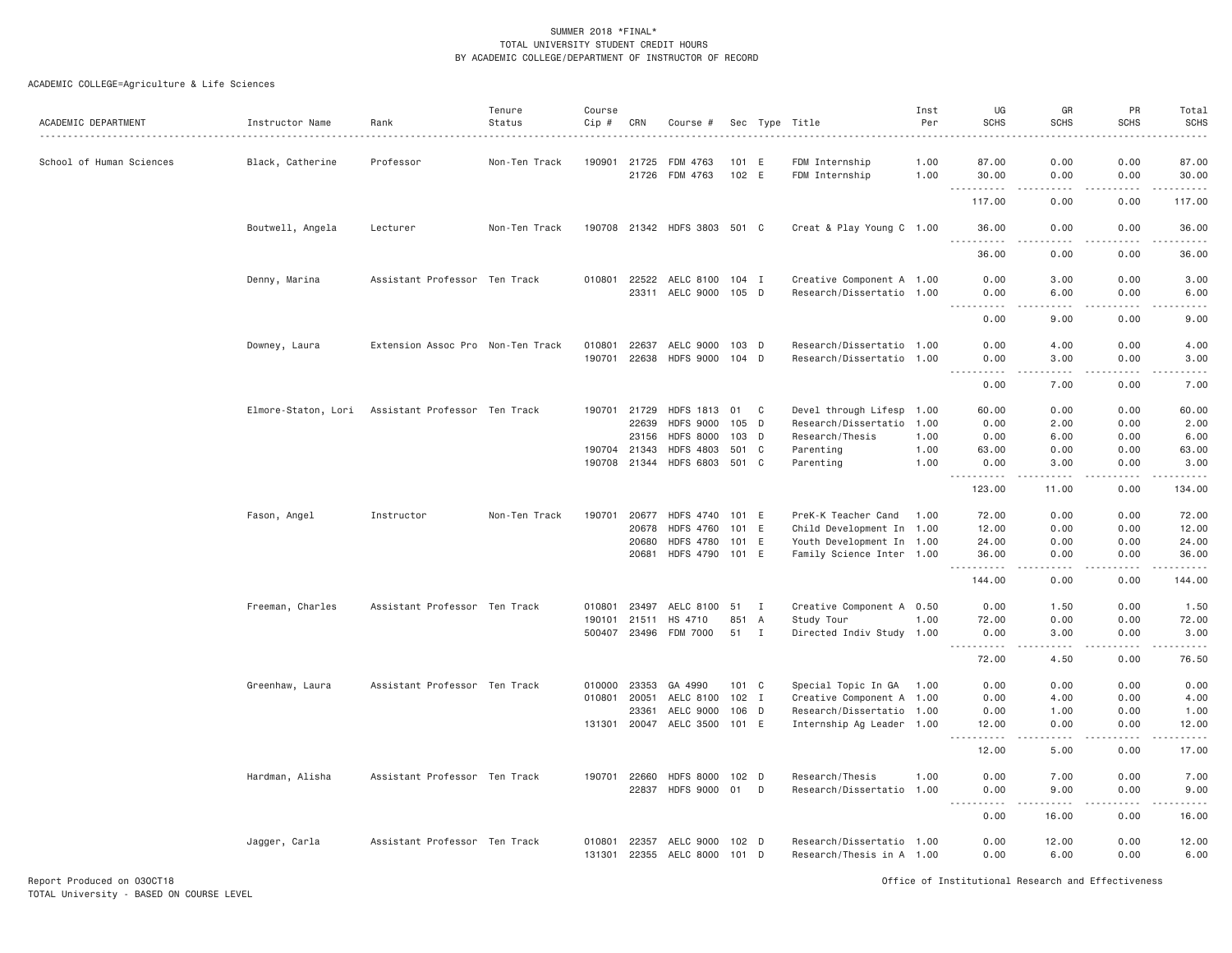### ACADEMIC COLLEGE=Agriculture & Life Sciences

| ACADEMIC DEPARTMENT      | Instructor Name     | Rank                              | Tenure<br>Status<br>. | Course<br>Cip# | CRN            | Course #                                  |                        |                | Sec Type Title                                         | Inst<br>Per<br>. | UG<br><b>SCHS</b>                                                                                                                                                                                                                                                      | GR<br><b>SCHS</b>                   | PR<br><b>SCHS</b>                                                                                                                                            | Total<br>SCHS<br>.                                                                                                                                           |
|--------------------------|---------------------|-----------------------------------|-----------------------|----------------|----------------|-------------------------------------------|------------------------|----------------|--------------------------------------------------------|------------------|------------------------------------------------------------------------------------------------------------------------------------------------------------------------------------------------------------------------------------------------------------------------|-------------------------------------|--------------------------------------------------------------------------------------------------------------------------------------------------------------|--------------------------------------------------------------------------------------------------------------------------------------------------------------|
| School of Human Sciences | Black, Catherine    | Professor                         | Non-Ten Track         | 190901 21725   | 21726          | FDM 4763<br>FDM 4763                      | 101 E<br>102 E         |                | FDM Internship<br>FDM Internship                       | 1.00<br>1.00     | 87.00<br>30.00                                                                                                                                                                                                                                                         | 0.00<br>0.00                        | 0.00<br>0.00                                                                                                                                                 | 87.00<br>30.00                                                                                                                                               |
|                          |                     |                                   |                       |                |                |                                           |                        |                |                                                        |                  | $\begin{array}{cccccccccc} \bullet & \bullet & \bullet & \bullet & \bullet & \bullet & \bullet & \bullet & \bullet \end{array}$<br>$\frac{1}{2} \left( \frac{1}{2} \right) \left( \frac{1}{2} \right) \left( \frac{1}{2} \right) \left( \frac{1}{2} \right)$<br>117.00 | $\sim$ $\sim$ $\sim$ $\sim$<br>0.00 | .<br>0.00                                                                                                                                                    | .<br>117.00                                                                                                                                                  |
|                          | Boutwell, Angela    | Lecturer                          | Non-Ten Track         |                |                | 190708 21342 HDFS 3803 501 C              |                        |                | Creat & Play Young C 1.00                              |                  | 36,00                                                                                                                                                                                                                                                                  | 0.00                                | 0.00                                                                                                                                                         | 36,00<br>والمناصبات                                                                                                                                          |
|                          |                     |                                   |                       |                |                |                                           |                        |                |                                                        |                  | 36.00                                                                                                                                                                                                                                                                  | 0.00                                | 0.00                                                                                                                                                         | 36.00                                                                                                                                                        |
|                          | Denny, Marina       | Assistant Professor Ten Track     |                       |                | 23311          | 010801 22522 AELC 8100 104 I<br>AELC 9000 | 105 D                  |                | Creative Component A 1.00<br>Research/Dissertatio 1.00 |                  | 0.00<br>0.00                                                                                                                                                                                                                                                           | 3.00<br>6.00                        | 0.00<br>0.00                                                                                                                                                 | 3.00<br>6.00                                                                                                                                                 |
|                          |                     |                                   |                       |                |                |                                           |                        |                |                                                        |                  | .<br>0.00                                                                                                                                                                                                                                                              | $\sim$ $\sim$ $\sim$ $\sim$<br>9.00 | .<br>0.00                                                                                                                                                    | -----<br>9.00                                                                                                                                                |
|                          | Downey, Laura       | Extension Assoc Pro Non-Ten Track |                       | 010801         | 22637          | AELC 9000                                 | 103 D                  |                | Research/Dissertatio 1.00                              |                  | 0.00                                                                                                                                                                                                                                                                   | 4.00                                | 0.00                                                                                                                                                         | 4.00                                                                                                                                                         |
|                          |                     |                                   |                       | 190701         | 22638          | HDFS 9000 104 D                           |                        |                | Research/Dissertatio 1.00                              |                  | 0.00<br>.                                                                                                                                                                                                                                                              | 3.00<br>.                           | 0.00<br>.                                                                                                                                                    | 3.00<br>$\frac{1}{2} \left( \frac{1}{2} \right) \left( \frac{1}{2} \right) \left( \frac{1}{2} \right) \left( \frac{1}{2} \right) \left( \frac{1}{2} \right)$ |
|                          |                     |                                   |                       |                |                |                                           |                        |                |                                                        |                  | 0.00                                                                                                                                                                                                                                                                   | 7.00                                | 0.00                                                                                                                                                         | 7.00                                                                                                                                                         |
|                          | Elmore-Staton, Lori | Assistant Professor Ten Track     |                       | 190701         | 21729          | <b>HDFS 1813</b>                          | 01                     | C <sub>c</sub> | Devel through Lifesp 1.00                              |                  | 60.00                                                                                                                                                                                                                                                                  | 0.00                                | 0.00                                                                                                                                                         | 60.00                                                                                                                                                        |
|                          |                     |                                   |                       |                | 22639          | <b>HDFS 9000</b>                          | 105 D<br>103 D         |                | Research/Dissertatio                                   | 1.00             | 0.00<br>0.00                                                                                                                                                                                                                                                           | 2.00<br>6.00                        | 0.00<br>0.00                                                                                                                                                 | 2.00                                                                                                                                                         |
|                          |                     |                                   |                       | 190704         | 23156<br>21343 | <b>HDFS 8000</b><br><b>HDFS 4803</b>      | 501 C                  |                | Research/Thesis<br>Parenting                           | 1.00<br>1.00     | 63,00                                                                                                                                                                                                                                                                  | 0.00                                | 0.00                                                                                                                                                         | 6.00<br>63.00                                                                                                                                                |
|                          |                     |                                   |                       |                |                | 190708 21344 HDFS 6803                    | 501 C                  |                | Parenting                                              | 1.00             | 0.00                                                                                                                                                                                                                                                                   | 3,00                                | 0.00                                                                                                                                                         | 3.00                                                                                                                                                         |
|                          |                     |                                   |                       |                |                |                                           |                        |                |                                                        |                  | 123.00                                                                                                                                                                                                                                                                 | $- - - - -$<br>11.00                | .<br>0.00                                                                                                                                                    | .<br>134.00                                                                                                                                                  |
|                          | Fason, Angel        | Instructor                        | Non-Ten Track         | 190701         | 20677          | <b>HDFS 4740</b>                          | 101 E                  |                | PreK-K Teacher Cand                                    | 1.00             | 72.00                                                                                                                                                                                                                                                                  | 0.00                                | 0.00                                                                                                                                                         | 72.00                                                                                                                                                        |
|                          |                     |                                   |                       |                | 20678          | <b>HDFS 4760</b>                          | 101 E                  |                | Child Development In 1.00                              |                  | 12.00                                                                                                                                                                                                                                                                  | 0.00                                | 0.00                                                                                                                                                         | 12.00                                                                                                                                                        |
|                          |                     |                                   |                       |                | 20680          | <b>HDFS 4780</b>                          | 101 E                  |                | Youth Development In 1.00                              |                  | 24.00                                                                                                                                                                                                                                                                  | 0.00                                | 0.00                                                                                                                                                         | 24.00                                                                                                                                                        |
|                          |                     |                                   |                       |                |                | 20681 HDFS 4790                           | 101 E                  |                | Family Science Inter 1.00                              |                  | 36.00<br>$  -$                                                                                                                                                                                                                                                         | 0.00<br>.                           | 0.00<br>$\frac{1}{2} \left( \frac{1}{2} \right) \left( \frac{1}{2} \right) \left( \frac{1}{2} \right) \left( \frac{1}{2} \right) \left( \frac{1}{2} \right)$ | 36.00<br>.                                                                                                                                                   |
|                          |                     |                                   |                       |                |                |                                           |                        |                |                                                        |                  | 144.00                                                                                                                                                                                                                                                                 | 0.00                                | 0.00                                                                                                                                                         | 144.00                                                                                                                                                       |
|                          | Freeman, Charles    | Assistant Professor Ten Track     |                       | 010801         | 23497          | AELC 8100                                 | 51                     | I              | Creative Component A 0.50                              |                  | 0.00                                                                                                                                                                                                                                                                   | 1.50                                | 0.00                                                                                                                                                         | 1.50                                                                                                                                                         |
|                          |                     |                                   |                       | 190101         | 21511          | HS 4710                                   | 851                    | A              | Study Tour                                             | 1.00             | 72.00                                                                                                                                                                                                                                                                  | 0.00                                | 0.00                                                                                                                                                         | 72.00                                                                                                                                                        |
|                          |                     |                                   |                       |                | 500407 23496   | FDM 7000                                  | 51                     | I              | Directed Indiv Study 1.00                              |                  | 0.00<br>.                                                                                                                                                                                                                                                              | 3.00<br>.                           | 0.00<br>.                                                                                                                                                    | 3.00<br>.                                                                                                                                                    |
|                          |                     |                                   |                       |                |                |                                           |                        |                |                                                        |                  | 72.00                                                                                                                                                                                                                                                                  | 4.50                                | 0.00                                                                                                                                                         | 76.50                                                                                                                                                        |
|                          | Greenhaw, Laura     | Assistant Professor Ten Track     |                       | 010000         | 23353          | GA 4990                                   | 101 C                  |                | Special Topic In GA 1.00                               |                  | 0.00                                                                                                                                                                                                                                                                   | 0.00                                | 0.00                                                                                                                                                         | 0.00                                                                                                                                                         |
|                          |                     |                                   |                       | 010801         | 20051          | AELC 8100                                 | $102$ I                |                | Creative Component A 1.00                              |                  | 0.00                                                                                                                                                                                                                                                                   | 4.00                                | 0.00                                                                                                                                                         | 4.00                                                                                                                                                         |
|                          |                     |                                   |                       |                | 23361          | AELC 9000                                 | 106 D                  |                | Research/Dissertatio 1.00                              |                  | 0.00                                                                                                                                                                                                                                                                   | 1.00                                | 0.00                                                                                                                                                         | 1.00                                                                                                                                                         |
|                          |                     |                                   |                       | 131301         |                | 20047 AELC 3500                           | 101 E                  |                | Internship Ag Leader 1.00                              |                  | 12.00<br>.                                                                                                                                                                                                                                                             | 0.00<br>د د د د                     | 0.00<br>.                                                                                                                                                    | 12.00<br>.                                                                                                                                                   |
|                          |                     |                                   |                       |                |                |                                           |                        |                |                                                        |                  | 12.00                                                                                                                                                                                                                                                                  | 5.00                                | 0.00                                                                                                                                                         | 17.00                                                                                                                                                        |
|                          | Hardman, Alisha     | Assistant Professor Ten Track     |                       | 190701         | 22660<br>22837 | <b>HDFS 8000</b><br><b>HDFS 9000</b>      | 102 <sub>D</sub><br>01 | D              | Research/Thesis<br>Research/Dissertatio 1.00           | 1.00             | 0.00<br>0.00                                                                                                                                                                                                                                                           | 7.00<br>9.00                        | 0.00<br>0.00                                                                                                                                                 | 7.00<br>9.00                                                                                                                                                 |
|                          |                     |                                   |                       |                |                |                                           |                        |                |                                                        |                  | .<br>0.00                                                                                                                                                                                                                                                              | .<br>16.00                          | .<br>0.00                                                                                                                                                    | والمناصبات<br>16.00                                                                                                                                          |
|                          | Jagger, Carla       | Assistant Professor Ten Track     |                       | 010801         | 22357          | AELC 9000<br>131301 22355 AELC 8000       | 102 D<br>101 D         |                | Research/Dissertatio 1.00<br>Research/Thesis in A 1.00 |                  | 0.00<br>0.00                                                                                                                                                                                                                                                           | 12.00<br>6.00                       | 0.00<br>0.00                                                                                                                                                 | 12.00<br>6.00                                                                                                                                                |

Report Produced on 03OCT18 Office of Institutional Research and Effectiveness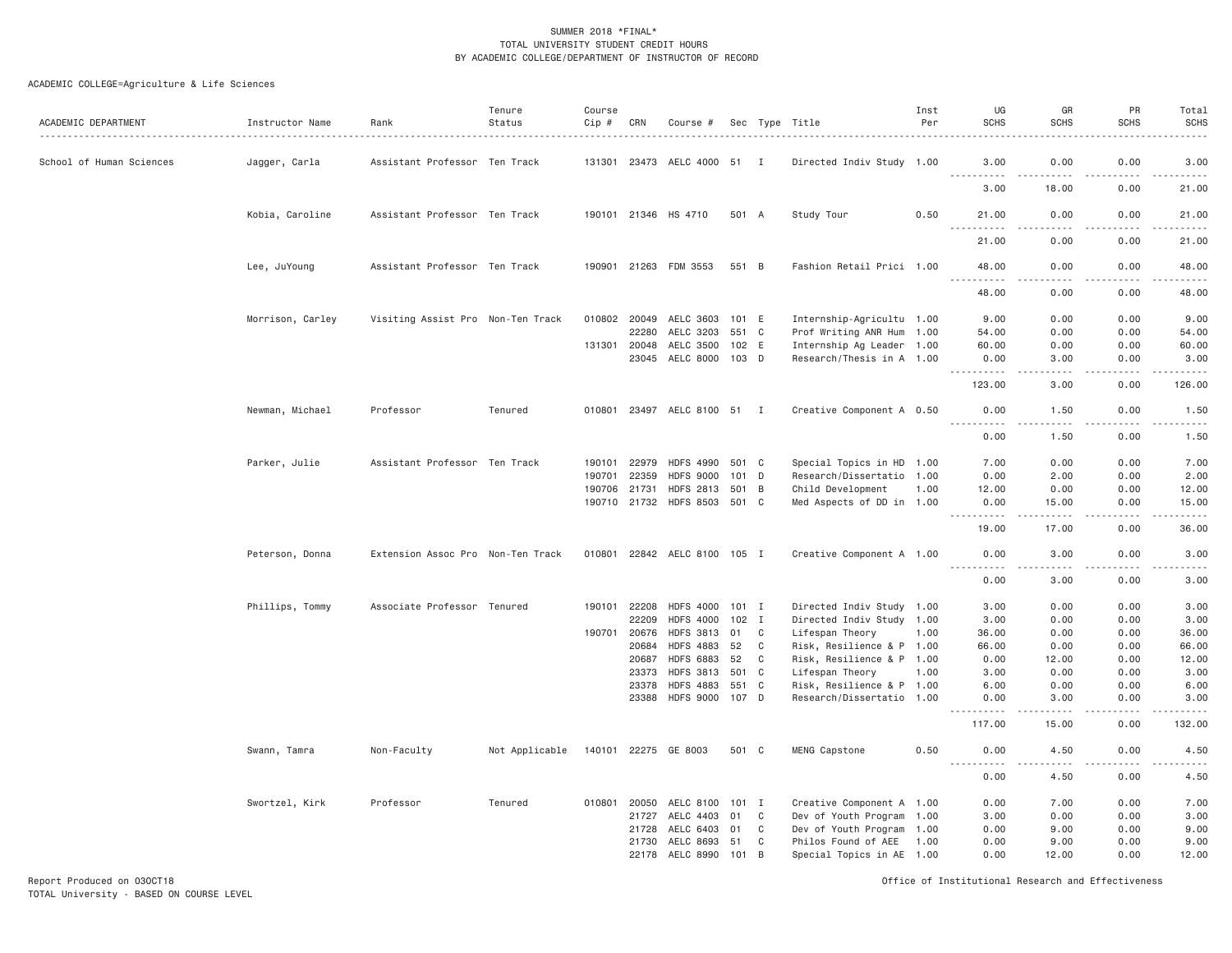| ACADEMIC DEPARTMENT      | Instructor Name  | Rank                              | Tenure<br>Status | Course<br>$Cip$ # | CRN   | Course #                     |         |   | Sec Type Title            | Inst<br>Per | UG<br><b>SCHS</b> | GR<br><b>SCHS</b>    | PR<br><b>SCHS</b> | Total<br><b>SCHS</b>                                                                                                                                         |
|--------------------------|------------------|-----------------------------------|------------------|-------------------|-------|------------------------------|---------|---|---------------------------|-------------|-------------------|----------------------|-------------------|--------------------------------------------------------------------------------------------------------------------------------------------------------------|
| School of Human Sciences | Jagger, Carla    | Assistant Professor Ten Track     |                  |                   |       | 131301 23473 AELC 4000 51 I  |         |   | Directed Indiv Study 1.00 |             | 3,00<br><u>.</u>  | 0.00                 | 0.00              | 3,00<br>$   -$                                                                                                                                               |
|                          |                  |                                   |                  |                   |       |                              |         |   |                           |             | 3.00              | 18.00                | 0.00              | 21.00                                                                                                                                                        |
|                          | Kobia, Caroline  | Assistant Professor Ten Track     |                  |                   |       | 190101 21346 HS 4710         | 501 A   |   | Study Tour                | 0.50        | 21.00<br>.        | 0.00                 | 0.00<br>.         | 21.00<br>.                                                                                                                                                   |
|                          |                  |                                   |                  |                   |       |                              |         |   |                           |             | 21.00             | 0.00                 | 0.00              | 21.00                                                                                                                                                        |
|                          | Lee, JuYoung     | Assistant Professor Ten Track     |                  |                   |       | 190901 21263 FDM 3553        | 551 B   |   | Fashion Retail Prici 1.00 |             | 48.00<br><u>.</u> | 0.00<br>$- - - -$    | 0.00<br>.         | 48.00<br>$- - - - -$                                                                                                                                         |
|                          |                  |                                   |                  |                   |       |                              |         |   |                           |             | 48.00             | 0.00                 | 0.00              | 48.00                                                                                                                                                        |
|                          | Morrison, Carley | Visiting Assist Pro Non-Ten Track |                  | 010802 20049      |       | AELC 3603                    | 101 E   |   | Internship-Agricultu 1.00 |             | 9.00              | 0.00                 | 0.00              | 9.00                                                                                                                                                         |
|                          |                  |                                   |                  |                   | 22280 | AELC 3203                    | 551 C   |   | Prof Writing ANR Hum 1.00 |             | 54.00             | 0.00                 | 0.00              | 54.00                                                                                                                                                        |
|                          |                  |                                   |                  | 131301            | 20048 | AELC 3500                    | 102 E   |   | Internship Ag Leader 1.00 |             | 60.00             | 0.00                 | 0.00              | 60.00                                                                                                                                                        |
|                          |                  |                                   |                  |                   |       | 23045 AELC 8000 103 D        |         |   | Research/Thesis in A 1.00 |             | 0.00<br>.         | 3.00<br>$- - - -$    | 0.00<br>.         | 3.00<br>.                                                                                                                                                    |
|                          |                  |                                   |                  |                   |       |                              |         |   |                           |             | 123.00            | 3.00                 | 0.00              | 126.00                                                                                                                                                       |
|                          | Newman, Michael  | Professor                         | Tenured          |                   |       | 010801 23497 AELC 8100 51 I  |         |   | Creative Component A 0.50 |             | 0.00<br><u>.</u>  | 1.50<br>.            | 0.00<br>-----     | 1.50<br>.                                                                                                                                                    |
|                          |                  |                                   |                  |                   |       |                              |         |   |                           |             | 0.00              | 1.50                 | 0.00              | 1.50                                                                                                                                                         |
|                          | Parker, Julie    | Assistant Professor Ten Track     |                  | 190101            | 22979 | <b>HDFS 4990</b>             | 501 C   |   | Special Topics in HD 1.00 |             | 7.00              | 0.00                 | 0.00              | 7.00                                                                                                                                                         |
|                          |                  |                                   |                  | 190701            | 22359 | <b>HDFS 9000</b>             | $101$ D |   | Research/Dissertatio 1.00 |             | 0.00              | 2.00                 | 0.00              | 2.00                                                                                                                                                         |
|                          |                  |                                   |                  | 190706            | 21731 | <b>HDFS 2813</b>             | 501 B   |   | Child Development         | 1.00        | 12.00             | 0.00                 | 0.00              | 12.00                                                                                                                                                        |
|                          |                  |                                   |                  |                   |       | 190710 21732 HDFS 8503 501 C |         |   | Med Aspects of DD in 1.00 |             | 0.00<br>.         | 15.00<br>$- - - - -$ | 0.00<br>.         | 15.00<br>.                                                                                                                                                   |
|                          |                  |                                   |                  |                   |       |                              |         |   |                           |             | 19.00             | 17.00                | 0.00              | 36.00                                                                                                                                                        |
|                          | Peterson, Donna  | Extension Assoc Pro Non-Ten Track |                  |                   |       | 010801 22842 AELC 8100 105 I |         |   | Creative Component A 1.00 |             | 0.00<br>.         | 3.00<br>د د د د      | 0.00<br>.         | 3.00<br>$\frac{1}{2} \left( \frac{1}{2} \right) \left( \frac{1}{2} \right) \left( \frac{1}{2} \right) \left( \frac{1}{2} \right) \left( \frac{1}{2} \right)$ |
|                          |                  |                                   |                  |                   |       |                              |         |   |                           |             | 0.00              | 3.00                 | 0.00              | 3.00                                                                                                                                                         |
|                          | Phillips, Tommy  | Associate Professor Tenured       |                  | 190101            | 22208 | <b>HDFS 4000</b>             | 101 I   |   | Directed Indiv Study 1.00 |             | 3.00              | 0.00                 | 0.00              | 3.00                                                                                                                                                         |
|                          |                  |                                   |                  |                   | 22209 | <b>HDFS 4000</b>             | $102$ I |   | Directed Indiv Study 1.00 |             | 3.00              | 0.00                 | 0.00              | 3.00                                                                                                                                                         |
|                          |                  |                                   |                  | 190701            | 20676 | <b>HDFS 3813</b>             | 01      | C | Lifespan Theory           | 1.00        | 36.00             | 0.00                 | 0.00              | 36.00                                                                                                                                                        |
|                          |                  |                                   |                  |                   | 20684 | <b>HDFS 4883</b>             | 52      | C | Risk, Resilience & P 1.00 |             | 66.00             | 0.00                 | 0.00              | 66.00                                                                                                                                                        |
|                          |                  |                                   |                  |                   | 20687 | <b>HDFS 6883</b>             | 52      | C | Risk, Resilience & P 1.00 |             | 0.00              | 12.00                | 0.00              | 12.00                                                                                                                                                        |
|                          |                  |                                   |                  |                   | 23373 | <b>HDFS 3813</b>             | 501 C   |   | Lifespan Theory           | 1.00        | 3.00              | 0.00                 | 0.00              | 3.00                                                                                                                                                         |
|                          |                  |                                   |                  |                   | 23378 | <b>HDFS 4883</b>             | 551 C   |   | Risk, Resilience & P 1.00 |             | 6.00              | 0.00                 | 0.00              | 6.00                                                                                                                                                         |
|                          |                  |                                   |                  |                   | 23388 | <b>HDFS 9000</b>             | 107 D   |   | Research/Dissertatio 1.00 |             | 0.00<br>-----     | 3.00<br>$- - - -$    | 0.00<br>د د د د   | 3.00<br>$\frac{1}{2} \left( \frac{1}{2} \right) \left( \frac{1}{2} \right) \left( \frac{1}{2} \right) \left( \frac{1}{2} \right) \left( \frac{1}{2} \right)$ |
|                          |                  |                                   |                  |                   |       |                              |         |   |                           |             | 117.00            | 15.00                | 0.00              | 132.00                                                                                                                                                       |
|                          | Swann, Tamra     | Non-Faculty                       | Not Applicable   |                   |       | 140101 22275 GE 8003         | 501 C   |   | MENG Capstone             | 0.50        | 0.00              | 4.50                 | 0.00              | 4.50                                                                                                                                                         |
|                          |                  |                                   |                  |                   |       |                              |         |   |                           |             | 0.00              | 4.50                 | 0.00              | 4.50                                                                                                                                                         |
|                          | Swortzel, Kirk   | Professor                         | Tenured          | 010801            | 20050 | AELC 8100                    | 101 I   |   | Creative Component A 1.00 |             | 0.00              | 7.00                 | 0.00              | 7.00                                                                                                                                                         |
|                          |                  |                                   |                  |                   | 21727 | AELC 4403                    | 01      | C | Dev of Youth Program 1.00 |             | 3.00              | 0.00                 | 0.00              | 3.00                                                                                                                                                         |
|                          |                  |                                   |                  |                   | 21728 | AELC 6403                    | 01      | C | Dev of Youth Program 1.00 |             | 0.00              | 9.00                 | 0.00              | 9.00                                                                                                                                                         |
|                          |                  |                                   |                  |                   | 21730 | AELC 8693                    | 51      | C | Philos Found of AEE 1.00  |             | 0.00              | 9.00                 | 0.00              | 9.00                                                                                                                                                         |
|                          |                  |                                   |                  |                   | 22178 | AELC 8990                    | 101     | B | Special Topics in AE 1.00 |             | 0.00              | 12.00                | 0.00              | 12.00                                                                                                                                                        |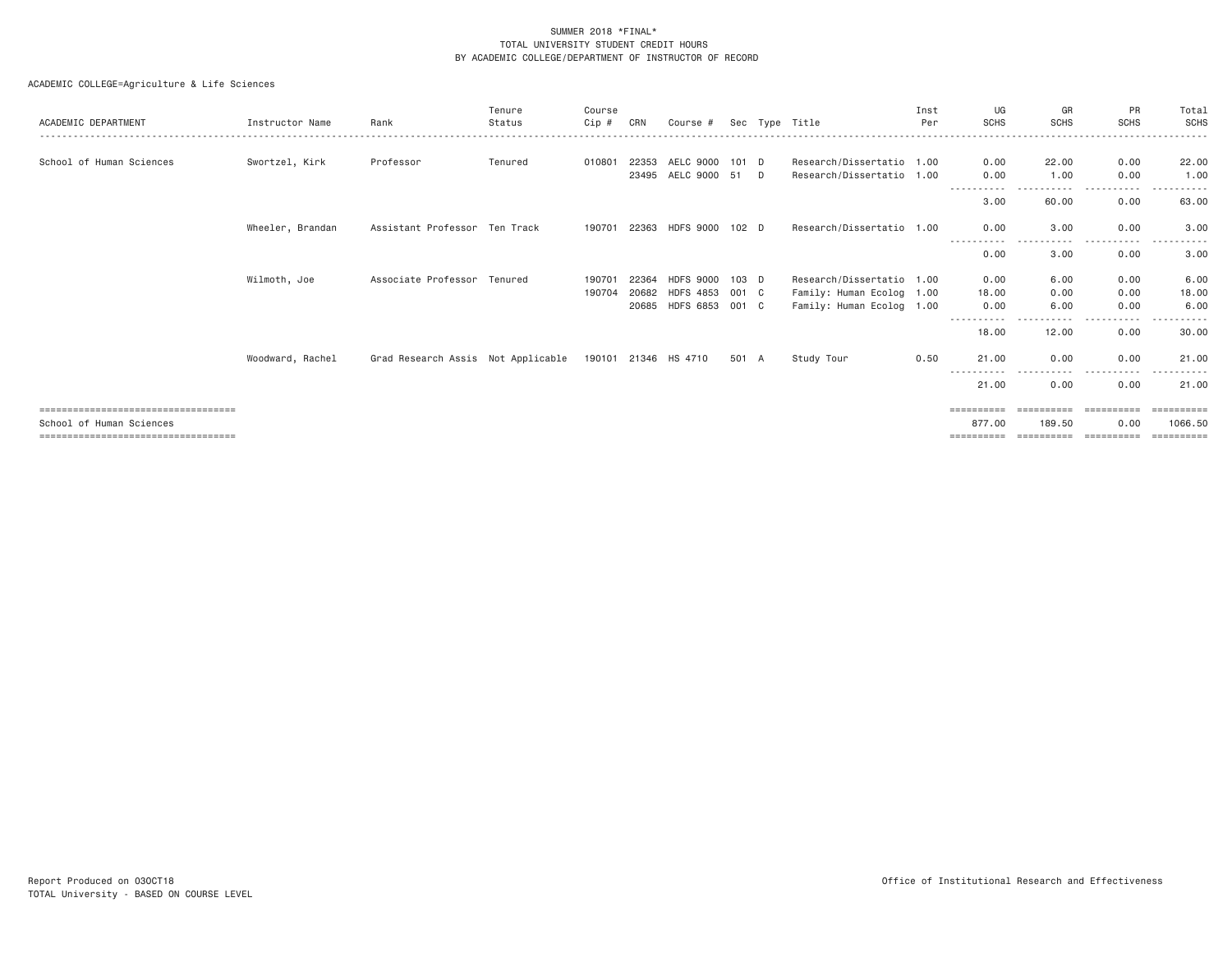| ACADEMIC DEPARTMENT                                                                                       | Instructor Name  | Rank                                                    | Tenure<br>Status | Course<br>Cip #  | CRN                     | Course #                                                 |                           |        | Sec Type Title                                                                      | Inst<br>Per | UG<br><b>SCHS</b>                             | GR<br><b>SCHS</b>                  | PR<br><b>SCHS</b>                | Total<br>SCHS                      |
|-----------------------------------------------------------------------------------------------------------|------------------|---------------------------------------------------------|------------------|------------------|-------------------------|----------------------------------------------------------|---------------------------|--------|-------------------------------------------------------------------------------------|-------------|-----------------------------------------------|------------------------------------|----------------------------------|------------------------------------|
| School of Human Sciences                                                                                  | Swortzel, Kirk   | Professor                                               | Tenured          | 010801           | 22353<br>23495          | AELC 9000<br>AELC 9000                                   | $101$ D<br>51             | $\Box$ | Research/Dissertatio 1.00<br>Research/Dissertatio 1.00                              |             | 0.00<br>0.00                                  | 22.00<br>1.00                      | 0.00<br>0.00                     | 22.00<br>1.00                      |
|                                                                                                           |                  |                                                         |                  |                  |                         |                                                          |                           |        |                                                                                     |             | 3,00                                          | 60.00                              | .<br>0.00                        | 63.00                              |
|                                                                                                           | Wheeler, Brandan | Assistant Professor Ten Track                           |                  | 190701 22363     |                         | HDFS 9000                                                | 102 D                     |        | Research/Dissertatio 1.00                                                           |             | 0.00<br>---------- <i>-</i>                   | 3.00<br>. <b>.</b> .               | 0.00<br>$\cdots$                 | 3.00                               |
|                                                                                                           |                  |                                                         |                  |                  |                         |                                                          |                           |        |                                                                                     |             | 0.00                                          | 3.00                               | - - - - -<br>0.00                | 3.00                               |
|                                                                                                           | Wilmoth, Joe     | Associate Professor                                     | Tenured          | 190701<br>190704 | 22364<br>20682<br>20685 | <b>HDFS 9000</b><br><b>HDFS 4853</b><br><b>HDFS 6853</b> | $103$ D<br>001 C<br>001 C |        | Research/Dissertatio 1.00<br>Family: Human Ecolog 1.00<br>Family: Human Ecolog 1.00 |             | 0.00<br>18,00<br>0.00                         | 6.00<br>0.00<br>6.00               | 0.00<br>0.00<br>0.00             | 6.00<br>18.00<br>6.00              |
|                                                                                                           |                  |                                                         |                  |                  |                         |                                                          |                           |        |                                                                                     |             | ----------<br>18.00                           | 12.00                              | $- - - -$<br>0.00                | 30.00                              |
|                                                                                                           | Woodward, Rachel | Grad Research Assis Not Applicable 190101 21346 HS 4710 |                  |                  |                         |                                                          | 501 A                     |        | Study Tour                                                                          | 0.50        | 21,00                                         | 0.00                               | 0.00                             | 21.00                              |
|                                                                                                           |                  |                                                         |                  |                  |                         |                                                          |                           |        |                                                                                     |             | 21.00                                         | 0.00                               | 0.00                             | 21.00                              |
| ====================================<br>School of Human Sciences<br>===================================== |                  |                                                         |                  |                  |                         |                                                          |                           |        |                                                                                     |             | $=$ = = = = = = = = =<br>877,00<br>========== | ==========<br>189.50<br>========== | ==========<br>0.00<br>========== | eessesses<br>1066,50<br>========== |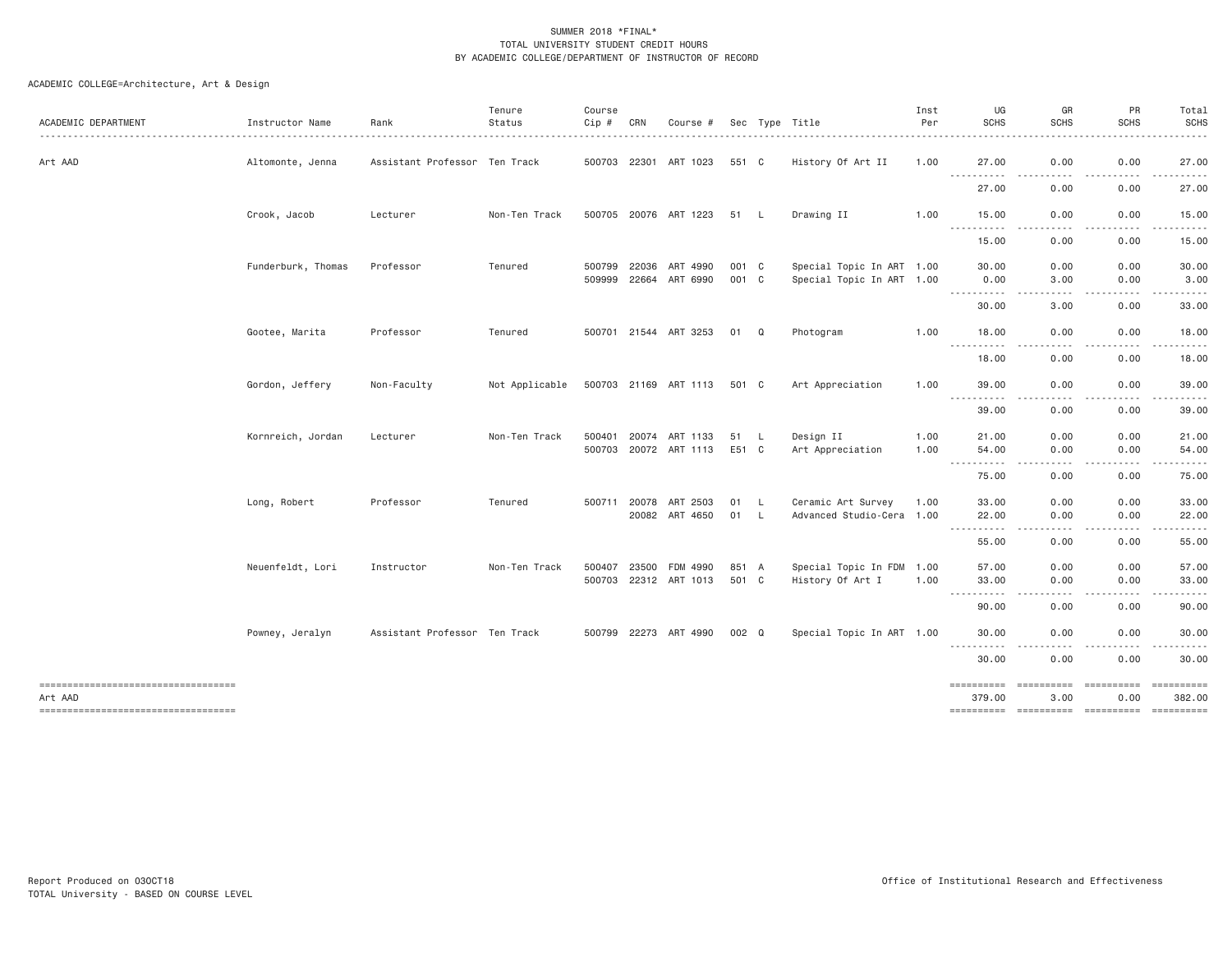| ACADEMIC DEPARTMENT                           | Instructor Name    | Rank                          | Tenure<br>Status | Course<br>Cip # | CRN          | Course #              |       |             | Sec Type Title            | Inst<br>Per | UG<br><b>SCHS</b>                    | GR<br><b>SCHS</b>          | PR<br><b>SCHS</b>                                                                                                       | Total<br><b>SCHS</b><br>. |
|-----------------------------------------------|--------------------|-------------------------------|------------------|-----------------|--------------|-----------------------|-------|-------------|---------------------------|-------------|--------------------------------------|----------------------------|-------------------------------------------------------------------------------------------------------------------------|---------------------------|
| Art AAD                                       | Altomonte, Jenna   | Assistant Professor Ten Track |                  |                 |              | 500703 22301 ART 1023 | 551 C |             | History Of Art II         | 1.00        | 27.00                                | 0.00                       | 0.00                                                                                                                    | 27.00                     |
|                                               |                    |                               |                  |                 |              |                       |       |             |                           |             | $- - - - -$<br>.<br>27.00            | $- - - -$<br>0.00          | .<br>0.00                                                                                                               | <b>.</b><br>27.00         |
|                                               | Crook, Jacob       | Lecturer                      | Non-Ten Track    |                 |              | 500705 20076 ART 1223 | 51 L  |             | Drawing II                | 1.00        | 15.00                                | 0.00                       | 0.00                                                                                                                    | 15.00                     |
|                                               |                    |                               |                  |                 |              |                       |       |             |                           |             | .<br>15.00                           | 0.00                       | 0.00                                                                                                                    | 15.00                     |
|                                               | Funderburk, Thomas | Professor                     | Tenured          | 500799          | 22036        | ART 4990              | 001 C |             | Special Topic In ART 1.00 |             | 30.00                                | 0.00                       | 0.00                                                                                                                    | 30.00                     |
|                                               |                    |                               |                  |                 | 509999 22664 | ART 6990              | 001 C |             | Special Topic In ART 1.00 |             | 0.00<br><u>.</u>                     | 3.00<br>.<br>$\frac{1}{2}$ | 0.00<br>$- - - - - -$<br>$\frac{1}{2} \left( \frac{1}{2} \right) \left( \frac{1}{2} \right) \left( \frac{1}{2} \right)$ | 3.00<br>$- - - - - - -$   |
|                                               |                    |                               |                  |                 |              |                       |       |             |                           |             | 30.00                                | 3.00                       | 0.00                                                                                                                    | 33.00                     |
|                                               | Gootee, Marita     | Professor                     | Tenured          |                 |              | 500701 21544 ART 3253 | 01    | $\mathbf Q$ | Photogram                 | 1.00        | 18.00<br><u>.</u>                    | 0.00                       | 0.00                                                                                                                    | 18.00                     |
|                                               |                    |                               |                  |                 |              |                       |       |             |                           |             | 18,00                                | 0.00                       | 0.00                                                                                                                    | 18.00                     |
|                                               | Gordon, Jeffery    | Non-Faculty                   | Not Applicable   |                 |              | 500703 21169 ART 1113 | 501 C |             | Art Appreciation          | 1.00        | 39.00<br>-----------                 | 0.00<br>$- - -$<br>.       | 0.00<br>.                                                                                                               | 39.00<br>. <u>.</u> .     |
|                                               |                    |                               |                  |                 |              |                       |       |             |                           |             | 39.00                                | 0.00                       | 0.00                                                                                                                    | 39.00                     |
|                                               | Kornreich, Jordan  | Lecturer                      | Non-Ten Track    |                 |              | 500401 20074 ART 1133 | 51 L  |             | Design II                 | 1.00        | 21.00                                | 0.00                       | 0.00                                                                                                                    | 21.00                     |
|                                               |                    |                               |                  |                 |              | 500703 20072 ART 1113 | E51 C |             | Art Appreciation          | 1.00        | 54.00<br>-----------                 | 0.00<br>.                  | 0.00                                                                                                                    | 54.00                     |
|                                               |                    |                               |                  |                 |              |                       |       |             |                           |             | 75.00                                | 0.00                       | 0.00                                                                                                                    | 75.00                     |
|                                               | Long, Robert       | Professor                     | Tenured          |                 | 500711 20078 | ART 2503              | 01 L  |             | Ceramic Art Survey        | 1.00        | 33.00                                | 0.00                       | 0.00                                                                                                                    | 33.00                     |
|                                               |                    |                               |                  |                 |              | 20082 ART 4650        | 01 L  |             | Advanced Studio-Cera 1.00 |             | 22.00<br><u> - - - - - - - - - -</u> | 0.00                       | 0.00                                                                                                                    | 22.00                     |
|                                               |                    |                               |                  |                 |              |                       |       |             |                           |             | 55.00                                | 0.00                       | 0.00                                                                                                                    | 55.00                     |
|                                               | Neuenfeldt, Lori   | Instructor                    | Non-Ten Track    | 500407          | 23500        | FDM 4990              | 851 A |             | Special Topic In FDM 1.00 |             | 57.00                                | 0.00                       | 0.00                                                                                                                    | 57.00                     |
|                                               |                    |                               |                  |                 |              | 500703 22312 ART 1013 | 501 C |             | History Of Art I          | 1.00        | 33.00<br>.                           | 0.00                       | 0.00                                                                                                                    | 33.00                     |
|                                               |                    |                               |                  |                 |              |                       |       |             |                           |             | 90.00                                | 0.00                       | 0.00                                                                                                                    | 90.00                     |
|                                               | Powney, Jeralyn    | Assistant Professor Ten Track |                  |                 |              | 500799 22273 ART 4990 | 002 Q |             | Special Topic In ART 1.00 |             | 30,00                                | 0.00<br>$- - - -$          | 0.00                                                                                                                    | 30.00                     |
|                                               |                    |                               |                  |                 |              |                       |       |             |                           |             | .<br>30.00                           | .<br>0.00                  | -----<br>0.00                                                                                                           | .<br>30.00                |
|                                               |                    |                               |                  |                 |              |                       |       |             |                           |             | ==========                           | ==========                 | ==========                                                                                                              | ==========                |
| Art AAD<br>---------------------------------- |                    |                               |                  |                 |              |                       |       |             |                           |             | 379.00                               | 3.00                       | 0.00                                                                                                                    | 382.00                    |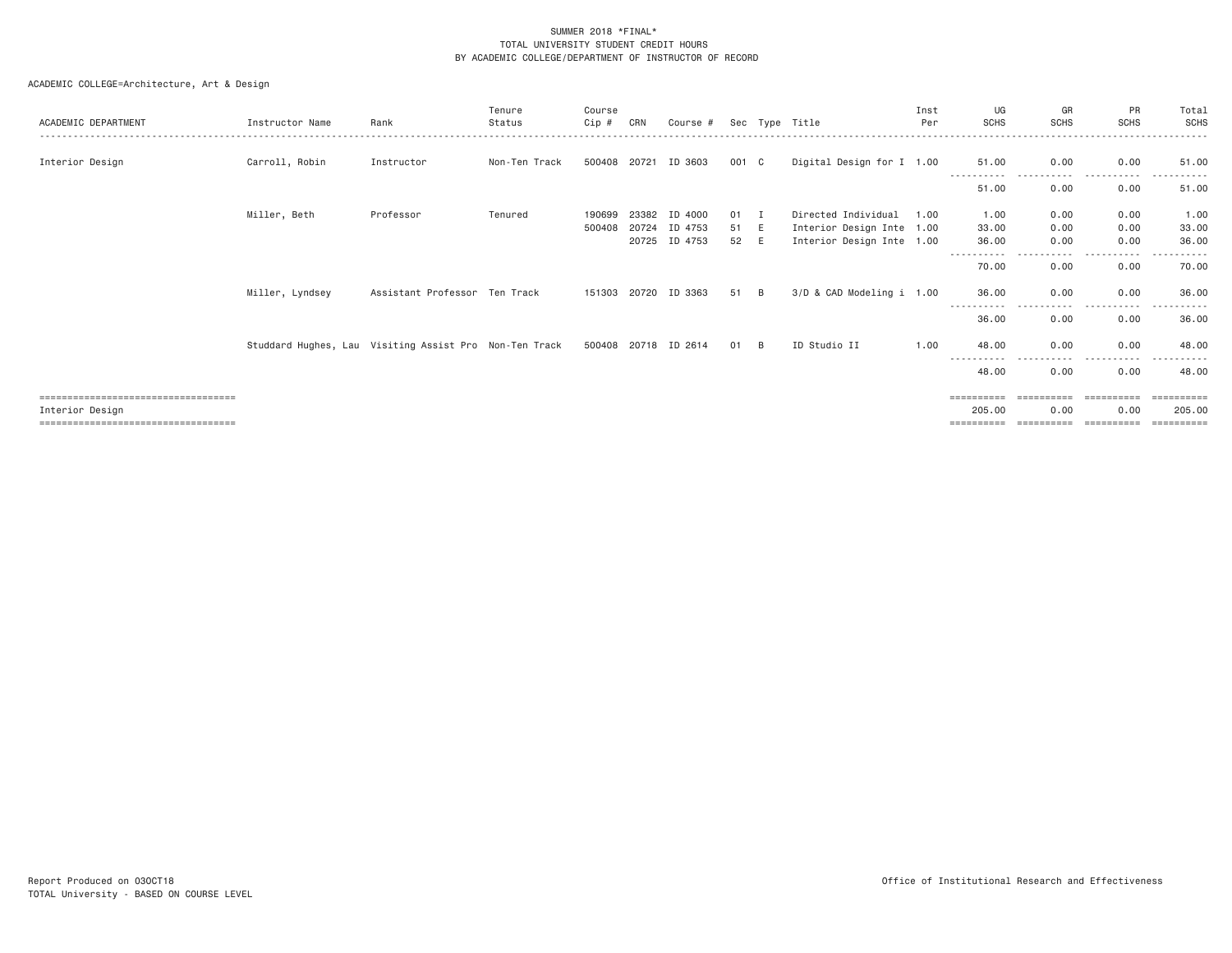| ACADEMIC DEPARTMENT                   | Instructor Name                                        | Rank                          | Tenure<br>Status | Course<br>Cip # | CRN   | Course #             |       |          | Sec Type Title            | Inst<br>Per | UG<br><b>SCHS</b>            | GR<br><b>SCHS</b> | PR<br><b>SCHS</b> | Total<br><b>SCHS</b> |
|---------------------------------------|--------------------------------------------------------|-------------------------------|------------------|-----------------|-------|----------------------|-------|----------|---------------------------|-------------|------------------------------|-------------------|-------------------|----------------------|
|                                       |                                                        |                               |                  |                 |       |                      |       |          |                           |             |                              |                   |                   |                      |
| Interior Design                       | Carroll, Robin                                         | Instructor                    | Non-Ten Track    | 500408          | 20721 | ID 3603              | 001 C |          | Digital Design for I 1.00 |             | 51,00                        | 0.00              | 0.00              | 51.00                |
|                                       |                                                        |                               |                  |                 |       |                      |       |          |                           |             | 51,00                        | 0.00              | 0.00              | 51.00                |
|                                       | Miller, Beth                                           | Professor                     | Tenured          | 190699          | 23382 | ID 4000              | 01    |          | Directed Individual       | 1.00        | 1.00                         | 0.00              | 0.00              | 1.00                 |
|                                       |                                                        |                               |                  | 500408          | 20724 | ID 4753              | 51    | E        | Interior Design Inte 1.00 |             | 33.00                        | 0.00              | 0.00              | 33.00                |
|                                       |                                                        |                               |                  |                 | 20725 | ID 4753              | 52    | E        | Interior Design Inte 1.00 |             | 36.00                        | 0.00              | 0.00              | 36.00                |
|                                       |                                                        |                               |                  |                 |       |                      |       |          |                           |             | - - - - - - - - - -<br>70.00 | .<br>0.00         | -----<br>0.00     | .<br>70.00           |
|                                       | Miller, Lyndsey                                        | Assistant Professor Ten Track |                  | 151303          | 20720 | ID 3363              | 51    | <b>B</b> | 3/D & CAD Modeling i 1.00 |             | 36,00                        | 0.00              | 0.00              | 36.00                |
|                                       |                                                        |                               |                  |                 |       |                      |       |          |                           |             | 36.00                        | 0.00              | $\cdots$<br>0.00  | 36.00                |
|                                       | Studdard Hughes, Lau Visiting Assist Pro Non-Ten Track |                               |                  |                 |       | 500408 20718 ID 2614 | 01    | <b>B</b> | ID Studio II              | 1,00        | 48,00                        | 0.00              | 0.00              | 48,00                |
|                                       |                                                        |                               |                  |                 |       |                      |       |          |                           |             |                              |                   |                   |                      |
|                                       |                                                        |                               |                  |                 |       |                      |       |          |                           |             | 48,00                        | 0.00              | 0.00              | 48.00                |
| ====================================  |                                                        |                               |                  |                 |       |                      |       |          |                           |             | ==========                   |                   | ==========        |                      |
| Interior Design                       |                                                        |                               |                  |                 |       |                      |       |          |                           |             | 205,00                       | 0.00              | 0.00              | 205.00               |
| ===================================== |                                                        |                               |                  |                 |       |                      |       |          |                           |             |                              |                   |                   |                      |
|                                       |                                                        |                               |                  |                 |       |                      |       |          |                           |             |                              |                   |                   |                      |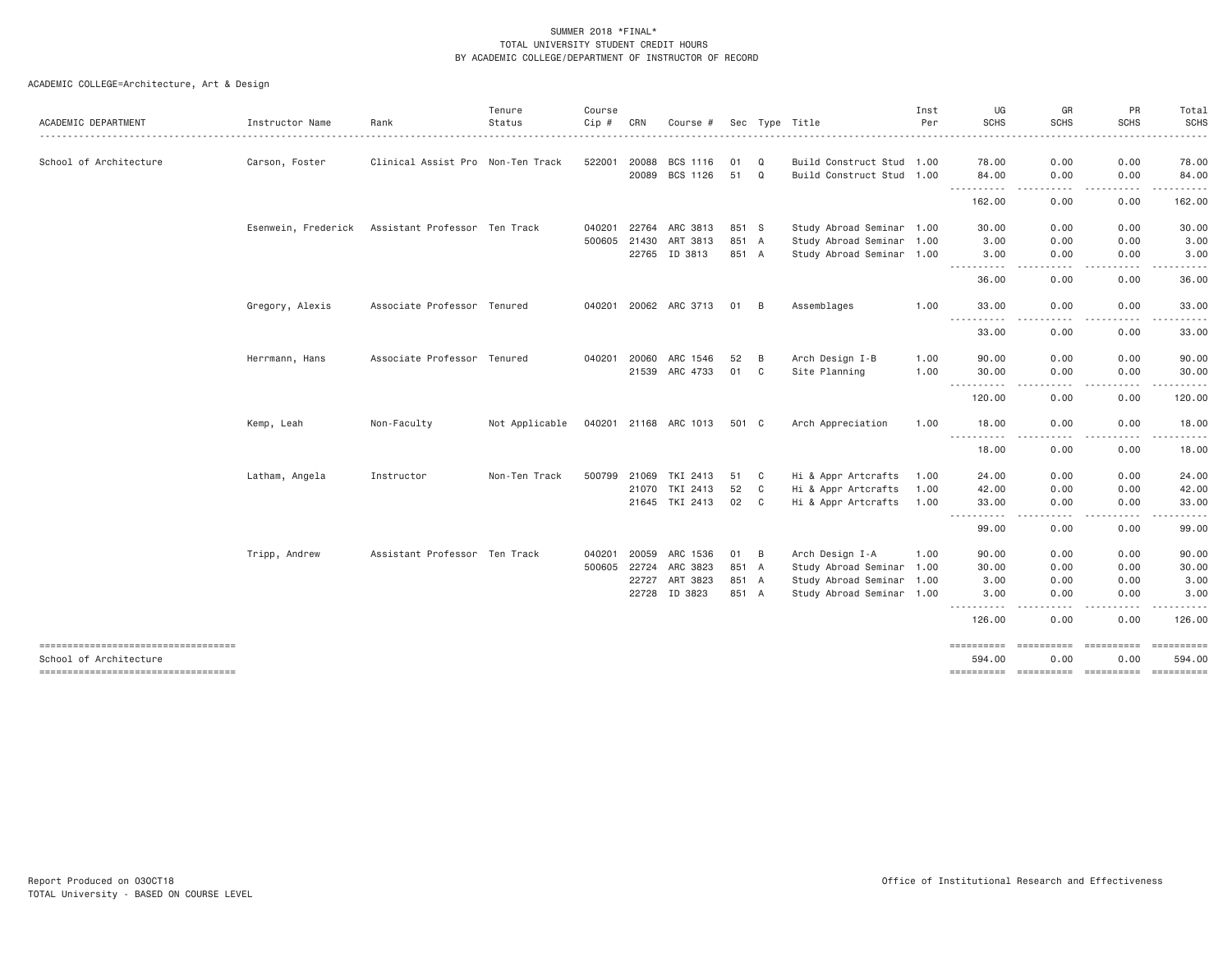|                                                              |                 |                                                   | Tenure         | Course       |       |                       |       |                |                           | Inst | UG                               | GR                       | PR                 | Total                                                                                                                                                                                                                                                                                                                                                                                                                                                                                            |
|--------------------------------------------------------------|-----------------|---------------------------------------------------|----------------|--------------|-------|-----------------------|-------|----------------|---------------------------|------|----------------------------------|--------------------------|--------------------|--------------------------------------------------------------------------------------------------------------------------------------------------------------------------------------------------------------------------------------------------------------------------------------------------------------------------------------------------------------------------------------------------------------------------------------------------------------------------------------------------|
| ACADEMIC DEPARTMENT                                          | Instructor Name | Rank                                              | Status         | Cip #        | CRN   | Course #              |       |                | Sec Type Title            | Per  | <b>SCHS</b>                      | <b>SCHS</b>              | <b>SCHS</b>        | <b>SCHS</b>                                                                                                                                                                                                                                                                                                                                                                                                                                                                                      |
| School of Architecture                                       | Carson, Foster  | Clinical Assist Pro Non-Ten Track                 |                | 522001       | 20088 | BCS 1116              | 01    | Q              | Build Construct Stud 1.00 |      | 78.00                            | 0.00                     | 0.00               | 78.00                                                                                                                                                                                                                                                                                                                                                                                                                                                                                            |
|                                                              |                 |                                                   |                |              | 20089 | BCS 1126              | 51    | Q              | Build Construct Stud 1.00 |      | 84.00                            | 0.00                     | 0.00               | 84.00                                                                                                                                                                                                                                                                                                                                                                                                                                                                                            |
|                                                              |                 |                                                   |                |              |       |                       |       |                |                           |      | .<br>162.00                      | . <b>.</b> .<br>0.00     | 0.00               | 162.00                                                                                                                                                                                                                                                                                                                                                                                                                                                                                           |
|                                                              |                 | Esenwein, Frederick Assistant Professor Ten Track |                | 040201 22764 |       | ARC 3813              | 851 S |                | Study Abroad Seminar 1.00 |      | 30.00                            | 0.00                     | 0.00               | 30.00                                                                                                                                                                                                                                                                                                                                                                                                                                                                                            |
|                                                              |                 |                                                   |                | 500605 21430 |       | ART 3813              | 851 A |                | Study Abroad Seminar 1.00 |      | 3.00                             | 0.00                     | 0.00               | 3.00                                                                                                                                                                                                                                                                                                                                                                                                                                                                                             |
|                                                              |                 |                                                   |                |              | 22765 | ID 3813               | 851 A |                | Study Abroad Seminar 1.00 |      | 3.00                             | 0.00                     | 0.00               | 3.00                                                                                                                                                                                                                                                                                                                                                                                                                                                                                             |
|                                                              |                 |                                                   |                |              |       |                       |       |                |                           |      | ----------<br>36.00              | .<br>0.00                | -----<br>0.00      | 36.00                                                                                                                                                                                                                                                                                                                                                                                                                                                                                            |
|                                                              | Gregory, Alexis | Associate Professor Tenured                       |                |              |       | 040201 20062 ARC 3713 | 01    | $\overline{B}$ | Assemblages               | 1.00 | 33.00<br>.                       | 0.00<br>----             | 0.00               | 33.00                                                                                                                                                                                                                                                                                                                                                                                                                                                                                            |
|                                                              |                 |                                                   |                |              |       |                       |       |                |                           |      | 33.00                            | 0.00                     | 0.00               | 33.00                                                                                                                                                                                                                                                                                                                                                                                                                                                                                            |
|                                                              | Herrmann, Hans  | Associate Professor Tenured                       |                | 040201 20060 |       | ARC 1546              | 52    | B              | Arch Design I-B           | 1.00 | 90.00                            | 0.00                     | 0.00               | 90.00                                                                                                                                                                                                                                                                                                                                                                                                                                                                                            |
|                                                              |                 |                                                   |                |              |       | 21539 ARC 4733        | 01    | C              | Site Planning             | 1.00 | 30.00                            | 0.00                     | 0.00               | 30.00                                                                                                                                                                                                                                                                                                                                                                                                                                                                                            |
|                                                              |                 |                                                   |                |              |       |                       |       |                |                           |      | -----------                      | .                        | .                  | .                                                                                                                                                                                                                                                                                                                                                                                                                                                                                                |
|                                                              |                 |                                                   |                |              |       |                       |       |                |                           |      | 120.00                           | 0.00                     | 0.00               | 120.00                                                                                                                                                                                                                                                                                                                                                                                                                                                                                           |
|                                                              | Kemp, Leah      | Non-Faculty                                       | Not Applicable |              |       | 040201 21168 ARC 1013 | 501 C |                | Arch Appreciation         | 1.00 | 18.00                            | 0.00                     | 0.00               | 18.00                                                                                                                                                                                                                                                                                                                                                                                                                                                                                            |
|                                                              |                 |                                                   |                |              |       |                       |       |                |                           |      | 18.00                            | 0.00                     | 0.00               | 18.00                                                                                                                                                                                                                                                                                                                                                                                                                                                                                            |
|                                                              | Latham, Angela  | Instructor                                        | Non-Ten Track  | 500799       | 21069 | TKI 2413              | 51    | C              | Hi & Appr Artcrafts       | 1.00 | 24.00                            | 0.00                     | 0.00               | 24.00                                                                                                                                                                                                                                                                                                                                                                                                                                                                                            |
|                                                              |                 |                                                   |                |              | 21070 | TKI 2413              | 52    | $\mathbf{C}$   | Hi & Appr Artcrafts       | 1.00 | 42.00                            | 0.00                     | 0.00               | 42.00                                                                                                                                                                                                                                                                                                                                                                                                                                                                                            |
|                                                              |                 |                                                   |                |              |       | 21645 TKI 2413        | 02    | $\mathbf{C}$   | Hi & Appr Artcrafts       | 1.00 | 33.00                            | 0.00                     | 0.00               | 33.00                                                                                                                                                                                                                                                                                                                                                                                                                                                                                            |
|                                                              |                 |                                                   |                |              |       |                       |       |                |                           |      | $- - - - -$<br>$\cdots$<br>99.00 | 0.00                     | 0.00               | 99.00                                                                                                                                                                                                                                                                                                                                                                                                                                                                                            |
|                                                              | Tripp, Andrew   | Assistant Professor Ten Track                     |                | 040201       | 20059 | ARC 1536              | 01    | B              | Arch Design I-A           | 1.00 | 90.00                            | 0.00                     | 0.00               | 90.00                                                                                                                                                                                                                                                                                                                                                                                                                                                                                            |
|                                                              |                 |                                                   |                | 500605 22724 |       | ARC 3823              | 851 A |                | Study Abroad Seminar 1.00 |      | 30.00                            | 0.00                     | 0.00               | 30.00                                                                                                                                                                                                                                                                                                                                                                                                                                                                                            |
|                                                              |                 |                                                   |                |              | 22727 | ART 3823              | 851 A |                | Study Abroad Seminar 1.00 |      | 3.00                             | 0.00                     | 0.00               | 3.00                                                                                                                                                                                                                                                                                                                                                                                                                                                                                             |
|                                                              |                 |                                                   |                |              | 22728 | ID 3823               | 851 A |                | Study Abroad Seminar 1.00 |      | 3,00<br>----------               | 0.00                     | 0.00               | 3.00                                                                                                                                                                                                                                                                                                                                                                                                                                                                                             |
|                                                              |                 |                                                   |                |              |       |                       |       |                |                           |      | 126.00                           | 0.00                     | 0.00               | 126.00                                                                                                                                                                                                                                                                                                                                                                                                                                                                                           |
| ----------------------------------<br>School of Architecture |                 |                                                   |                |              |       |                       |       |                |                           |      | ==========<br>594.00             | <b>ESSESSESS</b><br>0.00 | ==========<br>0.00 | $\begin{array}{cccccccccc} \multicolumn{3}{c}{} & \multicolumn{3}{c}{} & \multicolumn{3}{c}{} & \multicolumn{3}{c}{} & \multicolumn{3}{c}{} & \multicolumn{3}{c}{} & \multicolumn{3}{c}{} & \multicolumn{3}{c}{} & \multicolumn{3}{c}{} & \multicolumn{3}{c}{} & \multicolumn{3}{c}{} & \multicolumn{3}{c}{} & \multicolumn{3}{c}{} & \multicolumn{3}{c}{} & \multicolumn{3}{c}{} & \multicolumn{3}{c}{} & \multicolumn{3}{c}{} & \multicolumn{3}{c}{} & \multicolumn{3}{c}{} & \mult$<br>594.00 |
| ----------------------------------                           |                 |                                                   |                |              |       |                       |       |                |                           |      | ==========                       | ----------- ----------   |                    | ----------                                                                                                                                                                                                                                                                                                                                                                                                                                                                                       |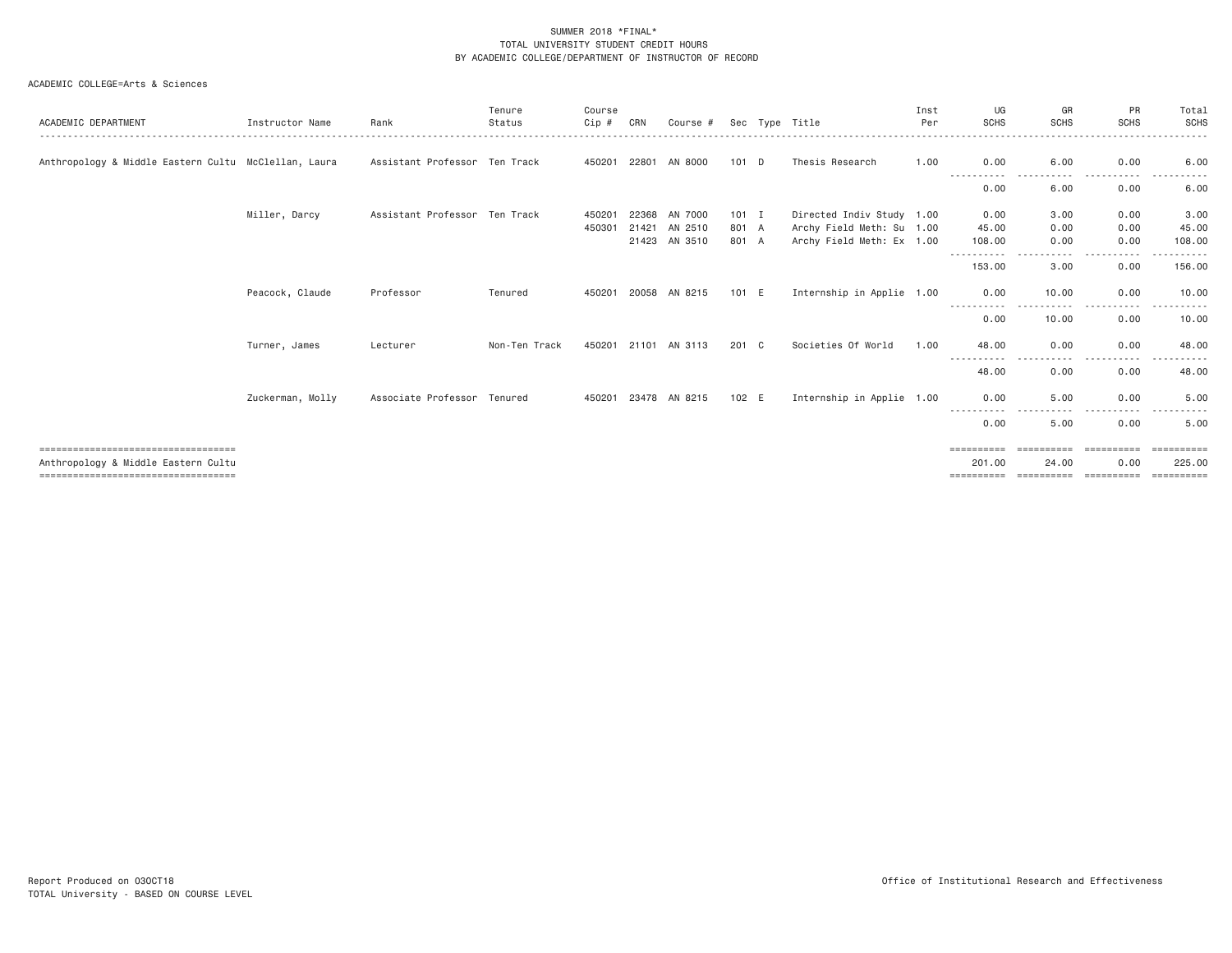#### ACADEMIC COLLEGE=Arts & Sciences

| ACADEMIC DEPARTMENT                                                         | Instructor Name  | Rank                          | Tenure<br>Status | Course<br>Cip #  | CRN            | Course #                            |                           | Sec Type Title                                                                      | Inst<br>Per | UG<br><b>SCHS</b>       | GR<br><b>SCHS</b>                | PR<br><b>SCHS</b>    | Total<br><b>SCHS</b>    |
|-----------------------------------------------------------------------------|------------------|-------------------------------|------------------|------------------|----------------|-------------------------------------|---------------------------|-------------------------------------------------------------------------------------|-------------|-------------------------|----------------------------------|----------------------|-------------------------|
| Anthropology & Middle Eastern Cultu McClellan, Laura                        |                  | Assistant Professor Ten Track |                  | 450201           | 22801          | AN 8000                             | $101$ D                   | Thesis Research                                                                     | 1.00        | 0.00                    | 6.00                             | 0.00                 | 6,00                    |
|                                                                             |                  |                               |                  |                  |                |                                     |                           |                                                                                     |             | $\cdots$<br>0.00        | 6.00                             | 0.00                 | 6.00                    |
|                                                                             | Miller, Darcy    | Assistant Professor Ten Track |                  | 450201<br>450301 | 22368<br>21421 | AN 7000<br>AN 2510<br>21423 AN 3510 | $101$ I<br>801 A<br>801 A | Directed Indiv Study 1.00<br>Archy Field Meth: Su 1.00<br>Archy Field Meth: Ex 1.00 |             | 0.00<br>45.00<br>108.00 | 3.00<br>0.00<br>0.00             | 0.00<br>0.00<br>0.00 | 3.00<br>45.00<br>108,00 |
|                                                                             |                  |                               |                  |                  |                |                                     |                           |                                                                                     |             | -----------<br>153.00   | $- - -$<br>$\frac{1}{2}$<br>3.00 | .<br>0.00            | ------<br>156.00        |
|                                                                             | Peacock, Claude  | Professor                     | Tenured          | 450201           |                | 20058 AN 8215                       | 101 E                     | Internship in Applie 1.00                                                           |             | 0.00                    | 10.00                            | 0.00<br>$- - - -$    | 10.00<br>.              |
|                                                                             |                  |                               |                  |                  |                |                                     |                           |                                                                                     |             | -----------<br>0.00     | 10.00                            | 0.00                 | 10.00                   |
|                                                                             | Turner, James    | Lecturer                      | Non-Ten Track    |                  |                | 450201 21101 AN 3113                | 201 C                     | Societies Of World                                                                  | 1.00        | 48.00<br>-----------    | 0.00                             | 0.00<br>----         | 48.00                   |
|                                                                             |                  |                               |                  |                  |                |                                     |                           |                                                                                     |             | 48.00                   | 0.00                             | 0.00                 | 48.00                   |
|                                                                             | Zuckerman, Molly | Associate Professor Tenured   |                  | 450201           |                | 23478 AN 8215                       | 102 E                     | Internship in Applie 1.00                                                           |             | 0.00<br>-----------     | 5.00                             | 0.00<br>. <b>.</b>   | 5,00                    |
|                                                                             |                  |                               |                  |                  |                |                                     |                           |                                                                                     |             | 0.00                    | 5.00                             | 0.00                 | 5.00                    |
| ====================================<br>Anthropology & Middle Eastern Cultu |                  |                               |                  |                  |                |                                     |                           |                                                                                     |             | ==========<br>201.00    | ==========<br>24,00              | ==========<br>0.00   | ==========<br>225,00    |
| =====================================                                       |                  |                               |                  |                  |                |                                     |                           |                                                                                     |             | ==========              | ==========                       | -----------          | ==========              |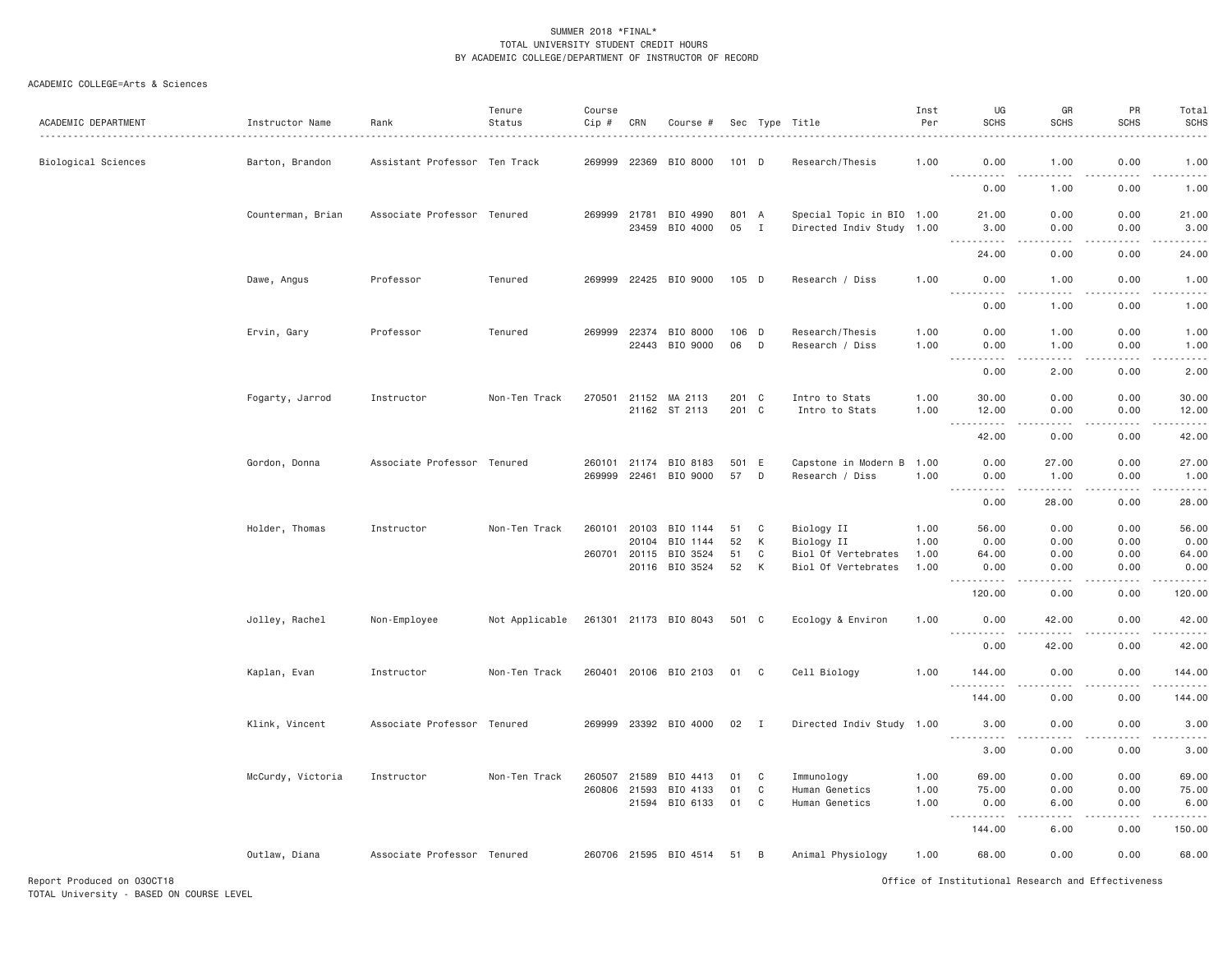#### ACADEMIC COLLEGE=Arts & Sciences

| ACADEMIC DEPARTMENT | Instructor Name   | Rank                          | Tenure<br>Status | Course<br>Cip #  | CRN            | Course #                               |                |              | Sec Type Title                                         | Inst<br>Per          | UG<br><b>SCHS</b>                                                                                                                                                                      | GR<br><b>SCHS</b>         | PR<br><b>SCHS</b>                   | Total<br><b>SCHS</b>                               |
|---------------------|-------------------|-------------------------------|------------------|------------------|----------------|----------------------------------------|----------------|--------------|--------------------------------------------------------|----------------------|----------------------------------------------------------------------------------------------------------------------------------------------------------------------------------------|---------------------------|-------------------------------------|----------------------------------------------------|
| Biological Sciences | Barton, Brandon   | Assistant Professor Ten Track |                  | 269999           | 22369          | BIO 8000                               | 101 D          |              | Research/Thesis                                        | 1.00                 | 0.00                                                                                                                                                                                   | 1.00                      | 0.00                                | 1.00                                               |
|                     |                   |                               |                  |                  |                |                                        |                |              |                                                        |                      | $\sim$ $\sim$ $\sim$ .<br>$\frac{1}{2} \left( \frac{1}{2} \right) \left( \frac{1}{2} \right) \left( \frac{1}{2} \right) \left( \frac{1}{2} \right) \left( \frac{1}{2} \right)$<br>0.00 | 1,00                      | $\sim$ $\sim$ $\sim$ $\sim$<br>0.00 | .<br>1.00                                          |
|                     | Counterman, Brian | Associate Professor Tenured   |                  | 269999           | 21781<br>23459 | BIO 4990<br>BIO 4000                   | 801 A<br>05    | $\mathbf{I}$ | Special Topic in BIO 1.00<br>Directed Indiv Study 1.00 |                      | 21.00<br>3.00                                                                                                                                                                          | 0.00<br>0.00              | 0.00<br>0.00                        | 21.00<br>3.00                                      |
|                     |                   |                               |                  |                  |                |                                        |                |              |                                                        |                      | .<br>24.00                                                                                                                                                                             | .<br>0.00                 | .<br>0.00                           | .<br>24.00                                         |
|                     | Dawe, Angus       | Professor                     | Tenured          |                  |                | 269999 22425 BIO 9000                  | 105 D          |              | Research / Diss                                        | 1.00                 | 0.00<br>$\sim$ $\sim$ $\sim$<br>$\frac{1}{2}$                                                                                                                                          | 1.00<br>----              | 0.00<br>.                           | 1.00<br>-----                                      |
|                     |                   |                               |                  |                  |                |                                        |                |              |                                                        |                      | 0.00                                                                                                                                                                                   | 1.00                      | 0.00                                | 1.00                                               |
|                     | Ervin, Gary       | Professor                     | Tenured          | 269999           | 22374<br>22443 | BIO 8000<br>BIO 9000                   | 106 D<br>06    | D            | Research/Thesis<br>Research / Diss                     | 1.00<br>1.00         | 0.00<br>0.00<br>.<br>$- - -$                                                                                                                                                           | 1.00<br>1.00<br>.         | 0.00<br>0.00<br>.                   | 1.00<br>1.00<br>$\sim$ $\sim$ $\sim$ $\sim$ $\sim$ |
|                     |                   |                               |                  |                  |                |                                        |                |              |                                                        |                      | 0.00                                                                                                                                                                                   | 2.00                      | 0.00                                | 2.00                                               |
|                     | Fogarty, Jarrod   | Instructor                    | Non-Ten Track    | 270501           |                | 21152 MA 2113<br>21162 ST 2113         | 201<br>201 C   | C            | Intro to Stats<br>Intro to Stats                       | 1.00<br>1.00         | 30.00<br>12.00<br>.                                                                                                                                                                    | 0.00<br>0.00<br>$- - - -$ | 0.00<br>0.00<br>.                   | 30.00<br>12.00<br>$   -$                           |
|                     |                   |                               |                  |                  |                |                                        |                |              |                                                        |                      | 42.00                                                                                                                                                                                  | 0.00                      | 0.00                                | 42.00                                              |
|                     | Gordon, Donna     | Associate Professor Tenured   |                  | 260101<br>269999 | 21174<br>22461 | BIO 8183<br>BIO 9000                   | 501<br>57      | E<br>D       | Capstone in Modern B<br>Research / Diss                | 1.00<br>1.00         | 0.00<br>0.00<br>.                                                                                                                                                                      | 27.00<br>1.00             | 0.00<br>0.00<br>د د د د             | 27.00<br>1.00<br>$    -$                           |
|                     |                   |                               |                  |                  |                |                                        |                |              |                                                        |                      | 0.00                                                                                                                                                                                   | 28.00                     | 0.00                                | 28.00                                              |
|                     | Holder, Thomas    | Instructor                    | Non-Ten Track    | 260101           | 20103<br>20104 | BIO 1144<br>BIO 1144                   | 51<br>52       | C<br>К       | Biology II<br>Biology II                               | 1.00<br>1.00         | 56.00<br>0.00                                                                                                                                                                          | 0.00<br>0.00              | 0.00<br>0.00                        | 56.00<br>0.00                                      |
|                     |                   |                               |                  | 260701           | 20115          | BIO 3524<br>20116 BIO 3524             | 51<br>52       | C<br>K       | Biol Of Vertebrates<br>Biol Of Vertebrates             | 1.00<br>1.00         | 64.00<br>0.00                                                                                                                                                                          | 0.00<br>0.00              | 0.00<br>0.00                        | 64.00<br>0.00                                      |
|                     |                   |                               |                  |                  |                |                                        |                |              |                                                        |                      | <u> - - - - - - - - - -</u><br>120.00                                                                                                                                                  | $- - - -$<br>0.00         | .<br>0.00                           | .<br>120.00                                        |
|                     | Jolley, Rachel    | Non-Employee                  | Not Applicable   |                  |                | 261301 21173 BIO 8043                  | 501 C          |              | Ecology & Environ                                      | 1.00                 | 0.00<br><u>.</u>                                                                                                                                                                       | 42.00                     | 0.00                                | 42.00<br>$    -$                                   |
|                     |                   |                               |                  |                  |                |                                        |                |              |                                                        |                      | 0.00                                                                                                                                                                                   | 42.00                     | 0.00                                | 42.00                                              |
|                     | Kaplan, Evan      | Instructor                    | Non-Ten Track    |                  |                | 260401 20106 BIO 2103                  | 01 C           |              | Cell Biology                                           | 1.00                 | 144.00<br>.                                                                                                                                                                            | 0.00<br>.                 | 0.00<br>.                           | 144.00<br>.                                        |
|                     |                   |                               |                  |                  |                |                                        |                |              |                                                        |                      | 144.00                                                                                                                                                                                 | 0.00                      | 0.00                                | 144.00                                             |
|                     | Klink, Vincent    | Associate Professor Tenured   |                  |                  |                | 269999 23392 BIO 4000                  | $02 \quad I$   |              | Directed Indiv Study 1.00                              |                      | 3.00<br><u> - - - - - - - - - -</u>                                                                                                                                                    | 0.00<br>.                 | 0.00<br>.                           | 3.00<br>.                                          |
|                     |                   |                               |                  |                  |                |                                        |                |              |                                                        |                      | 3.00                                                                                                                                                                                   | 0.00                      | 0.00                                | 3.00                                               |
|                     | McCurdy, Victoria | Instructor                    | Non-Ten Track    | 260507<br>260806 | 21589<br>21593 | BIO 4413<br>BIO 4133<br>21594 BIO 6133 | 01<br>01<br>01 | C<br>C<br>C  | Immunology<br>Human Genetics<br>Human Genetics         | 1.00<br>1.00<br>1.00 | 69.00<br>75.00<br>0.00                                                                                                                                                                 | 0.00<br>0.00<br>6.00      | 0.00<br>0.00<br>0.00                | 69.00<br>75.00<br>6.00                             |
|                     |                   |                               |                  |                  |                |                                        |                |              |                                                        |                      | .<br>144.00                                                                                                                                                                            | 6.00                      | 0.00                                | .<br>150.00                                        |
|                     | Outlaw, Diana     | Associate Professor Tenured   |                  |                  |                | 260706 21595 BIO 4514                  | 51             | B            | Animal Physiology                                      | 1.00                 | 68.00                                                                                                                                                                                  | 0.00                      | 0.00                                | 68.00                                              |

Report Produced on 03OCT18 Office of Institutional Research and Effectiveness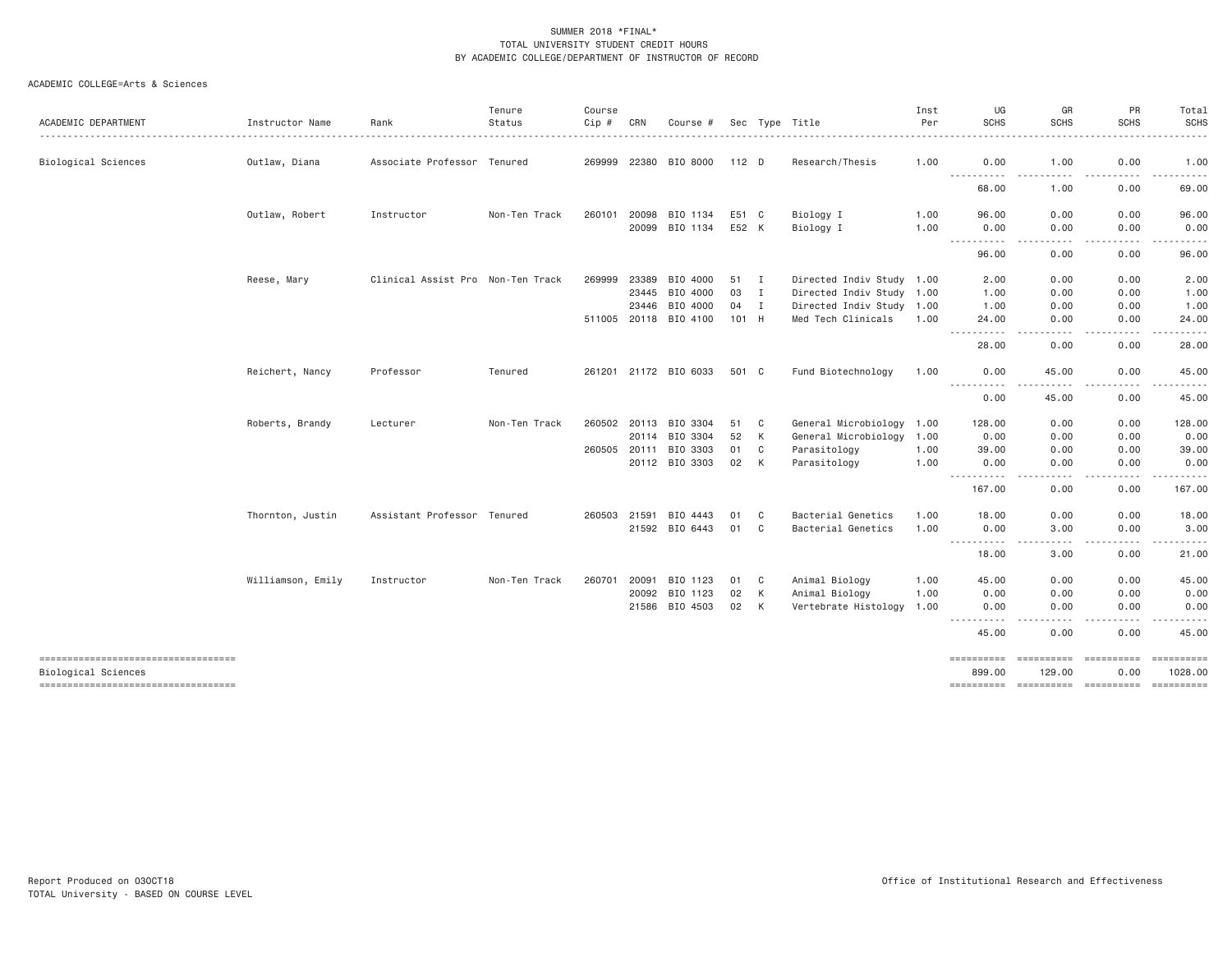#### ACADEMIC COLLEGE=Arts & Sciences

|                                                           |                   |                                   | Tenure        | Course |       |                       |       |              |                           | Inst | UG                                                                                                                                                                                                                                                                                                                                                                                                                                                                         | GR                                                                                                                                | PR                | Total                                                                                                                                                                                    |
|-----------------------------------------------------------|-------------------|-----------------------------------|---------------|--------|-------|-----------------------|-------|--------------|---------------------------|------|----------------------------------------------------------------------------------------------------------------------------------------------------------------------------------------------------------------------------------------------------------------------------------------------------------------------------------------------------------------------------------------------------------------------------------------------------------------------------|-----------------------------------------------------------------------------------------------------------------------------------|-------------------|------------------------------------------------------------------------------------------------------------------------------------------------------------------------------------------|
| ACADEMIC DEPARTMENT                                       | Instructor Name   | Rank                              | Status        | Cip #  | CRN   | Course #              |       |              | Sec Type Title            | Per  | <b>SCHS</b>                                                                                                                                                                                                                                                                                                                                                                                                                                                                | <b>SCHS</b>                                                                                                                       | <b>SCHS</b>       | <b>SCHS</b>                                                                                                                                                                              |
| Biological Sciences                                       | Outlaw, Diana     | Associate Professor Tenured       |               |        |       | 269999 22380 BIO 8000 | 112 D |              | Research/Thesis           | 1.00 | 0.00                                                                                                                                                                                                                                                                                                                                                                                                                                                                       | 1.00                                                                                                                              | 0.00              | 1.00                                                                                                                                                                                     |
|                                                           |                   |                                   |               |        |       |                       |       |              |                           |      | ----------<br>68.00                                                                                                                                                                                                                                                                                                                                                                                                                                                        | $- - - - -$<br>$- - - - -$<br>1.00                                                                                                | .<br>0.00         | $\frac{1}{2} \left( \frac{1}{2} \right) \left( \frac{1}{2} \right) \left( \frac{1}{2} \right) \left( \frac{1}{2} \right) \left( \frac{1}{2} \right) \left( \frac{1}{2} \right)$<br>69.00 |
|                                                           | Outlaw, Robert    | Instructor                        | Non-Ten Track | 260101 | 20098 | BIO 1134              | E51 C |              | Biology I                 | 1.00 | 96.00                                                                                                                                                                                                                                                                                                                                                                                                                                                                      | 0.00                                                                                                                              | 0.00              | 96.00                                                                                                                                                                                    |
|                                                           |                   |                                   |               |        |       | 20099 BIO 1134        | E52 K |              | Biology I                 | 1.00 | 0.00                                                                                                                                                                                                                                                                                                                                                                                                                                                                       | 0.00                                                                                                                              | 0.00              | 0.00                                                                                                                                                                                     |
|                                                           |                   |                                   |               |        |       |                       |       |              |                           |      | .<br>96.00                                                                                                                                                                                                                                                                                                                                                                                                                                                                 | $\frac{1}{2} \left( \frac{1}{2} \right) \left( \frac{1}{2} \right) \left( \frac{1}{2} \right) \left( \frac{1}{2} \right)$<br>0.00 | .<br>0.00         | $\frac{1}{2} \left( \frac{1}{2} \right) \left( \frac{1}{2} \right) \left( \frac{1}{2} \right) \left( \frac{1}{2} \right)$<br>96.00                                                       |
|                                                           | Reese, Mary       | Clinical Assist Pro Non-Ten Track |               | 269999 | 23389 | BIO 4000              | 51 I  |              | Directed Indiv Study 1.00 |      | 2.00                                                                                                                                                                                                                                                                                                                                                                                                                                                                       | 0.00                                                                                                                              | 0.00              | 2.00                                                                                                                                                                                     |
|                                                           |                   |                                   |               |        | 23445 | BIO 4000              | 03    | $\mathbf{I}$ | Directed Indiv Study 1.00 |      | 1.00                                                                                                                                                                                                                                                                                                                                                                                                                                                                       | 0.00                                                                                                                              | 0.00              | 1.00                                                                                                                                                                                     |
|                                                           |                   |                                   |               |        | 23446 | BIO 4000              | 04    | $\mathbf{I}$ | Directed Indiv Study 1.00 |      | 1.00                                                                                                                                                                                                                                                                                                                                                                                                                                                                       | 0.00                                                                                                                              | 0.00              | 1.00                                                                                                                                                                                     |
|                                                           |                   |                                   |               |        |       | 511005 20118 BIO 4100 | 101 H |              | Med Tech Clinicals        | 1.00 | 24.00                                                                                                                                                                                                                                                                                                                                                                                                                                                                      | 0.00                                                                                                                              | 0.00              | 24.00                                                                                                                                                                                    |
|                                                           |                   |                                   |               |        |       |                       |       |              |                           |      | .<br>28.00                                                                                                                                                                                                                                                                                                                                                                                                                                                                 | $\frac{1}{2} \left( \frac{1}{2} \right) \left( \frac{1}{2} \right) \left( \frac{1}{2} \right) \left( \frac{1}{2} \right)$<br>0.00 | .<br>0.00         | .<br>28.00                                                                                                                                                                               |
|                                                           | Reichert, Nancy   | Professor                         | Tenured       |        |       | 261201 21172 BIO 6033 | 501 C |              | Fund Biotechnology        | 1.00 | 0.00                                                                                                                                                                                                                                                                                                                                                                                                                                                                       | 45.00                                                                                                                             | 0.00              | 45.00                                                                                                                                                                                    |
|                                                           |                   |                                   |               |        |       |                       |       |              |                           |      | $- - -$<br>0.00                                                                                                                                                                                                                                                                                                                                                                                                                                                            | 45.00                                                                                                                             | 0.00              | 45.00                                                                                                                                                                                    |
|                                                           | Roberts, Brandy   | Lecturer                          | Non-Ten Track | 260502 |       | 20113 BIO 3304        | 51    | C            | General Microbiology      | 1.00 | 128.00                                                                                                                                                                                                                                                                                                                                                                                                                                                                     | 0.00                                                                                                                              | 0.00              | 128.00                                                                                                                                                                                   |
|                                                           |                   |                                   |               |        | 20114 | BIO 3304              | 52    | K            | General Microbiology      | 1.00 | 0.00                                                                                                                                                                                                                                                                                                                                                                                                                                                                       | 0.00                                                                                                                              | 0.00              | 0.00                                                                                                                                                                                     |
|                                                           |                   |                                   |               | 260505 | 20111 | BIO 3303              | 01    | C            | Parasitology              | 1.00 | 39,00                                                                                                                                                                                                                                                                                                                                                                                                                                                                      | 0.00                                                                                                                              | 0.00              | 39.00                                                                                                                                                                                    |
|                                                           |                   |                                   |               |        |       | 20112 BIO 3303        | 02    | К            | Parasitology              | 1.00 | 0.00                                                                                                                                                                                                                                                                                                                                                                                                                                                                       | 0.00                                                                                                                              | 0.00              | 0.00                                                                                                                                                                                     |
|                                                           |                   |                                   |               |        |       |                       |       |              |                           |      | $- - -$<br>$- - - -$<br>167.00                                                                                                                                                                                                                                                                                                                                                                                                                                             | 0.00                                                                                                                              | 0.00              | 167.00                                                                                                                                                                                   |
|                                                           | Thornton, Justin  | Assistant Professor Tenured       |               | 260503 | 21591 | BIO 4443              | 01    | C            | Bacterial Genetics        | 1.00 | 18.00                                                                                                                                                                                                                                                                                                                                                                                                                                                                      | 0.00                                                                                                                              | 0.00              | 18.00                                                                                                                                                                                    |
|                                                           |                   |                                   |               |        |       | 21592 BIO 6443        | 01    | C            | Bacterial Genetics        | 1.00 | 0.00                                                                                                                                                                                                                                                                                                                                                                                                                                                                       | 3.00                                                                                                                              | 0.00              | 3.00                                                                                                                                                                                     |
|                                                           |                   |                                   |               |        |       |                       |       |              |                           |      | .<br>18.00                                                                                                                                                                                                                                                                                                                                                                                                                                                                 | 3.00                                                                                                                              | 0.00              | 21.00                                                                                                                                                                                    |
|                                                           | Williamson, Emily | Instructor                        | Non-Ten Track | 260701 | 20091 | BIO 1123              | 01    | C            | Animal Biology            | 1.00 | 45.00                                                                                                                                                                                                                                                                                                                                                                                                                                                                      | 0.00                                                                                                                              | 0.00              | 45.00                                                                                                                                                                                    |
|                                                           |                   |                                   |               |        | 20092 | BIO 1123              | 02    | K            | Animal Biology            | 1.00 | 0.00                                                                                                                                                                                                                                                                                                                                                                                                                                                                       | 0.00                                                                                                                              | 0.00              | 0.00                                                                                                                                                                                     |
|                                                           |                   |                                   |               |        | 21586 | BIO 4503              | 02    | К            | Vertebrate Histology      | 1.00 | 0.00                                                                                                                                                                                                                                                                                                                                                                                                                                                                       | 0.00                                                                                                                              | 0.00              | 0.00                                                                                                                                                                                     |
|                                                           |                   |                                   |               |        |       |                       |       |              |                           |      | $\frac{1}{2} \left( \begin{array}{ccc} 1 & 0 & 0 & 0 \\ 0 & 0 & 0 & 0 \\ 0 & 0 & 0 & 0 \\ 0 & 0 & 0 & 0 \\ 0 & 0 & 0 & 0 \\ 0 & 0 & 0 & 0 \\ 0 & 0 & 0 & 0 \\ 0 & 0 & 0 & 0 \\ 0 & 0 & 0 & 0 \\ 0 & 0 & 0 & 0 \\ 0 & 0 & 0 & 0 & 0 \\ 0 & 0 & 0 & 0 & 0 \\ 0 & 0 & 0 & 0 & 0 \\ 0 & 0 & 0 & 0 & 0 \\ 0 & 0 & 0 & 0 & 0 \\ 0 & 0 & 0$<br>$\frac{1}{2} \left( \frac{1}{2} \right) \left( \frac{1}{2} \right) \left( \frac{1}{2} \right) \left( \frac{1}{2} \right)$<br>45.00 | $\frac{1}{2} \left( \frac{1}{2} \right) \left( \frac{1}{2} \right) \left( \frac{1}{2} \right) \left( \frac{1}{2} \right)$<br>0.00 | 0.00              | 45.00                                                                                                                                                                                    |
| ----------------------------------                        |                   |                                   |               |        |       |                       |       |              |                           |      | ==========                                                                                                                                                                                                                                                                                                                                                                                                                                                                 | ==========                                                                                                                        | <b>Experience</b> | $=$ ==========                                                                                                                                                                           |
|                                                           |                   |                                   |               |        |       |                       |       |              |                           |      |                                                                                                                                                                                                                                                                                                                                                                                                                                                                            |                                                                                                                                   |                   | 1028.00                                                                                                                                                                                  |
| Biological Sciences<br>---------------------------------- |                   |                                   |               |        |       |                       |       |              |                           |      | 899.00                                                                                                                                                                                                                                                                                                                                                                                                                                                                     | 129.00                                                                                                                            | 0.00              |                                                                                                                                                                                          |
|                                                           |                   |                                   |               |        |       |                       |       |              |                           |      |                                                                                                                                                                                                                                                                                                                                                                                                                                                                            |                                                                                                                                   |                   |                                                                                                                                                                                          |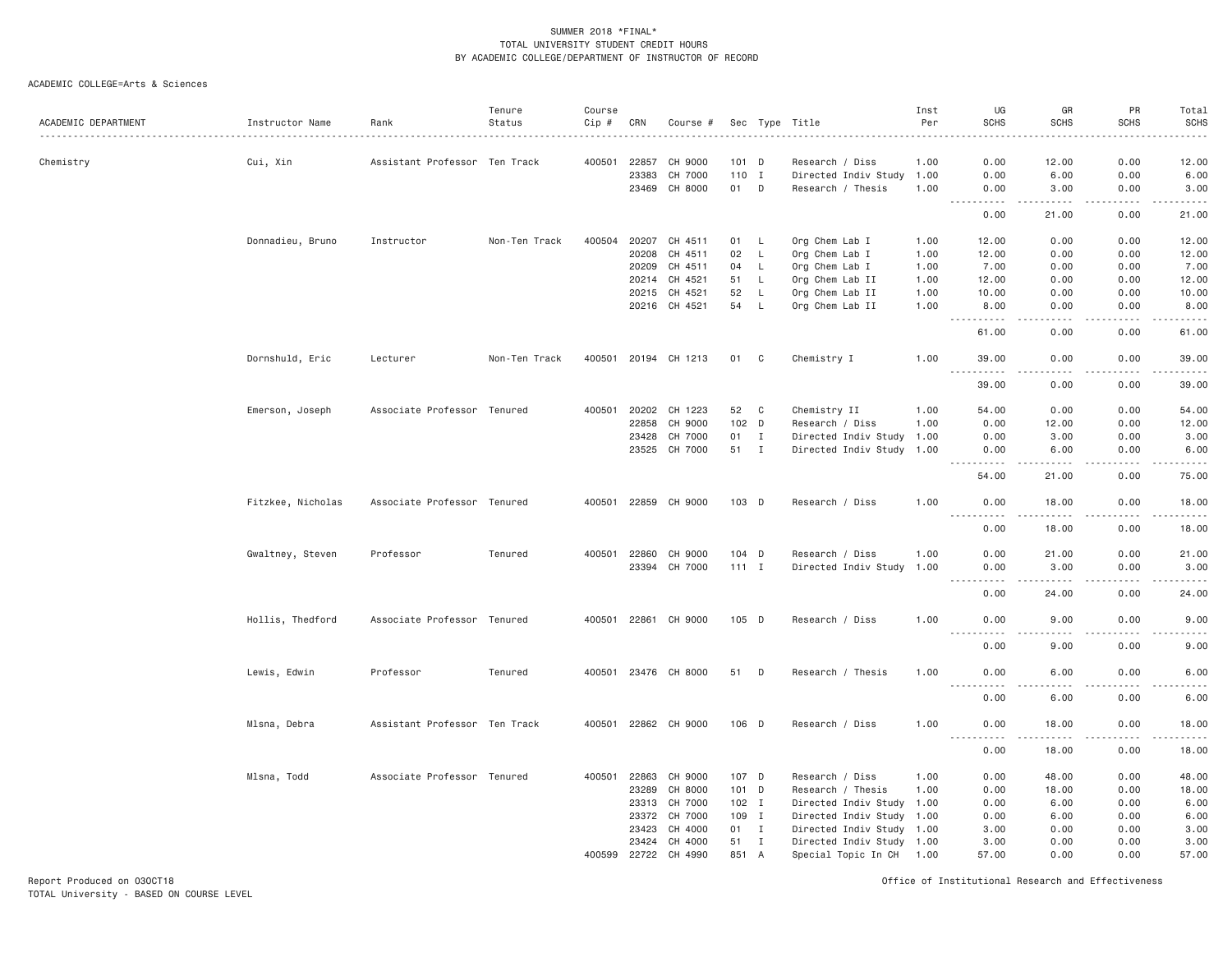#### ACADEMIC COLLEGE=Arts & Sciences

| ACADEMIC DEPARTMENT | Instructor Name   | Rank                          | Tenure<br>Status | Course<br>Cip # | CRN   | Course #      |         |              | Sec Type Title            | Inst<br>Per | UG<br><b>SCHS</b>                                                                                                                                                                    | GR<br><b>SCHS</b>                                                                                                                                             | PR<br><b>SCHS</b> | Total<br>SCHS                                                                                                                                                 |
|---------------------|-------------------|-------------------------------|------------------|-----------------|-------|---------------|---------|--------------|---------------------------|-------------|--------------------------------------------------------------------------------------------------------------------------------------------------------------------------------------|---------------------------------------------------------------------------------------------------------------------------------------------------------------|-------------------|---------------------------------------------------------------------------------------------------------------------------------------------------------------|
|                     |                   |                               |                  |                 |       |               |         |              |                           |             |                                                                                                                                                                                      |                                                                                                                                                               |                   | والمستحدث                                                                                                                                                     |
| Chemistry           | Cui, Xin          | Assistant Professor Ten Track |                  | 400501          | 22857 | CH 9000       | 101     | D            | Research / Diss           | 1.00        | 0.00                                                                                                                                                                                 | 12.00                                                                                                                                                         | 0.00              | 12.00                                                                                                                                                         |
|                     |                   |                               |                  |                 | 23383 | CH 7000       | 110 I   |              | Directed Indiv Study      | 1.00        | 0.00                                                                                                                                                                                 | 6.00                                                                                                                                                          | 0.00              | 6.00                                                                                                                                                          |
|                     |                   |                               |                  |                 |       | 23469 CH 8000 | 01 D    |              | Research / Thesis         | 1.00        | 0.00<br>$\sim$ $\sim$ $\sim$<br>$\frac{1}{2} \left( \frac{1}{2} \right) \left( \frac{1}{2} \right) \left( \frac{1}{2} \right) \left( \frac{1}{2} \right) \left( \frac{1}{2} \right)$ | 3.00<br>-----                                                                                                                                                 | 0.00<br>.         | 3.00<br>والمسامين                                                                                                                                             |
|                     |                   |                               |                  |                 |       |               |         |              |                           |             | 0.00                                                                                                                                                                                 | 21.00                                                                                                                                                         | 0.00              | 21.00                                                                                                                                                         |
|                     | Donnadieu, Bruno  | Instructor                    | Non-Ten Track    | 400504          |       | 20207 CH 4511 | 01 L    |              | Org Chem Lab I            | 1.00        | 12.00                                                                                                                                                                                | 0.00                                                                                                                                                          | 0.00              | 12.00                                                                                                                                                         |
|                     |                   |                               |                  |                 | 20208 | CH 4511       | 02      | L            | Org Chem Lab I            | 1.00        | 12.00                                                                                                                                                                                | 0.00                                                                                                                                                          | 0.00              | 12.00                                                                                                                                                         |
|                     |                   |                               |                  |                 | 20209 | CH 4511       | 04      | L            | Org Chem Lab I            | 1.00        | 7.00                                                                                                                                                                                 | 0.00                                                                                                                                                          | 0.00              | 7.00                                                                                                                                                          |
|                     |                   |                               |                  |                 | 20214 | CH 4521       | 51      | L.           | Org Chem Lab II           | 1.00        | 12.00                                                                                                                                                                                | 0.00                                                                                                                                                          | 0.00              | 12.00                                                                                                                                                         |
|                     |                   |                               |                  |                 | 20215 | CH 4521       | 52      | L            | Org Chem Lab II           | 1.00        | 10.00                                                                                                                                                                                | 0.00                                                                                                                                                          | 0.00              | 10.00                                                                                                                                                         |
|                     |                   |                               |                  |                 |       | 20216 CH 4521 | 54      | $\mathsf{L}$ | Org Chem Lab II           | 1.00        | 8.00<br>$- - -$<br>.                                                                                                                                                                 | 0.00<br>$\frac{1}{2}$                                                                                                                                         | 0.00<br>.         | 8.00<br>.                                                                                                                                                     |
|                     |                   |                               |                  |                 |       |               |         |              |                           |             | 61.00                                                                                                                                                                                | 0.00                                                                                                                                                          | 0.00              | 61.00                                                                                                                                                         |
|                     | Dornshuld, Eric   | Lecturer                      | Non-Ten Track    | 400501          |       | 20194 CH 1213 | 01      | C            | Chemistry I               | 1.00        | 39.00                                                                                                                                                                                | 0.00                                                                                                                                                          | 0.00              | 39.00<br>.                                                                                                                                                    |
|                     |                   |                               |                  |                 |       |               |         |              |                           |             | 39.00                                                                                                                                                                                | 0.00                                                                                                                                                          | 0.00              | 39.00                                                                                                                                                         |
|                     | Emerson, Joseph   | Associate Professor Tenured   |                  | 400501          | 20202 | CH 1223       | 52      | C            | Chemistry II              | 1.00        | 54.00                                                                                                                                                                                | 0.00                                                                                                                                                          | 0.00              | 54.00                                                                                                                                                         |
|                     |                   |                               |                  |                 | 22858 | CH 9000       | 102 D   |              | Research / Diss           | 1.00        | 0.00                                                                                                                                                                                 | 12.00                                                                                                                                                         | 0.00              | 12.00                                                                                                                                                         |
|                     |                   |                               |                  |                 | 23428 | CH 7000       | 01      | Ι.           | Directed Indiv Study      | 1.00        | 0.00                                                                                                                                                                                 | 3.00                                                                                                                                                          | 0.00              | 3.00                                                                                                                                                          |
|                     |                   |                               |                  |                 | 23525 | CH 7000       | 51 I    |              | Directed Indiv Study 1.00 |             | 0.00<br>.                                                                                                                                                                            | 6.00<br>$\frac{1}{2} \left( \frac{1}{2} \right) \left( \frac{1}{2} \right) \left( \frac{1}{2} \right) \left( \frac{1}{2} \right) \left( \frac{1}{2} \right)$  | 0.00<br>.         | 6.00<br>.                                                                                                                                                     |
|                     |                   |                               |                  |                 |       |               |         |              |                           |             | 54.00                                                                                                                                                                                | 21.00                                                                                                                                                         | 0.00              | 75.00                                                                                                                                                         |
|                     | Fitzkee, Nicholas | Associate Professor Tenured   |                  | 400501          |       | 22859 CH 9000 | 103 D   |              | Research / Diss           | 1.00        | 0.00<br>----                                                                                                                                                                         | 18.00                                                                                                                                                         | 0.00<br>$- - - -$ | 18.00<br>$\frac{1}{2} \left( \frac{1}{2} \right) \left( \frac{1}{2} \right) \left( \frac{1}{2} \right) \left( \frac{1}{2} \right) \left( \frac{1}{2} \right)$ |
|                     |                   |                               |                  |                 |       |               |         |              |                           |             | 0.00                                                                                                                                                                                 | 18.00                                                                                                                                                         | 0.00              | 18.00                                                                                                                                                         |
|                     | Gwaltney, Steven  | Professor                     | Tenured          | 400501          | 22860 | CH 9000       | 104 D   |              | Research / Diss           | 1.00        | 0.00                                                                                                                                                                                 | 21.00                                                                                                                                                         | 0.00              | 21.00                                                                                                                                                         |
|                     |                   |                               |                  |                 | 23394 | CH 7000       | $111$ I |              | Directed Indiv Study      | 1.00        | 0.00                                                                                                                                                                                 | 3.00                                                                                                                                                          | 0.00              | 3.00                                                                                                                                                          |
|                     |                   |                               |                  |                 |       |               |         |              |                           |             | .<br>0.00                                                                                                                                                                            | $\frac{1}{2} \left( \frac{1}{2} \right) \left( \frac{1}{2} \right) \left( \frac{1}{2} \right) \left( \frac{1}{2} \right) \left( \frac{1}{2} \right)$<br>24.00 | .<br>0.00         | $- - - - -$<br>24.00                                                                                                                                          |
|                     |                   |                               |                  |                 |       |               |         |              |                           |             |                                                                                                                                                                                      |                                                                                                                                                               |                   |                                                                                                                                                               |
|                     | Hollis, Thedford  | Associate Professor Tenured   |                  | 400501          |       | 22861 CH 9000 | $105$ D |              | Research / Diss           | 1.00        | 0.00                                                                                                                                                                                 | 9.00                                                                                                                                                          | 0.00              | 9.00<br>.                                                                                                                                                     |
|                     |                   |                               |                  |                 |       |               |         |              |                           |             | 0.00                                                                                                                                                                                 | 9.00                                                                                                                                                          | 0.00              | 9.00                                                                                                                                                          |
|                     | Lewis, Edwin      | Professor                     | Tenured          | 400501          | 23476 | CH 8000       | 51      | D            | Research / Thesis         | 1.00        | 0.00<br>.<br>.                                                                                                                                                                       | 6.00                                                                                                                                                          | 0.00              | 6.00<br>$- - - - -$                                                                                                                                           |
|                     |                   |                               |                  |                 |       |               |         |              |                           |             | 0.00                                                                                                                                                                                 | 6.00                                                                                                                                                          | 0.00              | 6.00                                                                                                                                                          |
|                     | Mlsna, Debra      | Assistant Professor Ten Track |                  | 400501          |       | 22862 CH 9000 | $106$ D |              | Research / Diss           | 1.00        | 0.00<br>.                                                                                                                                                                            | 18.00<br>$\frac{1}{2} \left( \frac{1}{2} \right) \left( \frac{1}{2} \right) \left( \frac{1}{2} \right) \left( \frac{1}{2} \right) \left( \frac{1}{2} \right)$ | 0.00<br>.         | 18.00<br>.                                                                                                                                                    |
|                     |                   |                               |                  |                 |       |               |         |              |                           |             | 0.00                                                                                                                                                                                 | 18.00                                                                                                                                                         | 0.00              | 18.00                                                                                                                                                         |
|                     | Mlsna, Todd       | Associate Professor Tenured   |                  | 400501          | 22863 | CH 9000       | 107 D   |              | Research / Diss           | 1.00        | 0.00                                                                                                                                                                                 | 48.00                                                                                                                                                         | 0.00              | 48.00                                                                                                                                                         |
|                     |                   |                               |                  |                 | 23289 | CH 8000       | 101 D   |              | Research / Thesis         | 1.00        | 0.00                                                                                                                                                                                 | 18.00                                                                                                                                                         | 0.00              | 18.00                                                                                                                                                         |
|                     |                   |                               |                  |                 | 23313 | CH 7000       | $102$ I |              | Directed Indiv Study      | 1.00        | 0.00                                                                                                                                                                                 | 6.00                                                                                                                                                          | 0.00              | 6.00                                                                                                                                                          |
|                     |                   |                               |                  |                 | 23372 | CH 7000       | 109 I   |              | Directed Indiv Study 1.00 |             | 0.00                                                                                                                                                                                 | 6.00                                                                                                                                                          | 0.00              | 6.00                                                                                                                                                          |
|                     |                   |                               |                  |                 | 23423 | CH 4000       | 01 I    |              | Directed Indiv Study 1.00 |             | 3.00                                                                                                                                                                                 | 0.00                                                                                                                                                          | 0.00              | 3.00                                                                                                                                                          |
|                     |                   |                               |                  |                 | 23424 | CH 4000       | 51      | $\mathbf{I}$ | Directed Indiv Study 1.00 |             | 3.00                                                                                                                                                                                 | 0.00                                                                                                                                                          | 0.00              | 3.00                                                                                                                                                          |
|                     |                   |                               |                  | 400599          |       | 22722 CH 4990 | 851 A   |              | Special Topic In CH       | 1.00        | 57.00                                                                                                                                                                                | 0.00                                                                                                                                                          | 0.00              | 57.00                                                                                                                                                         |

Report Produced on 03OCT18 Office of Institutional Research and Effectiveness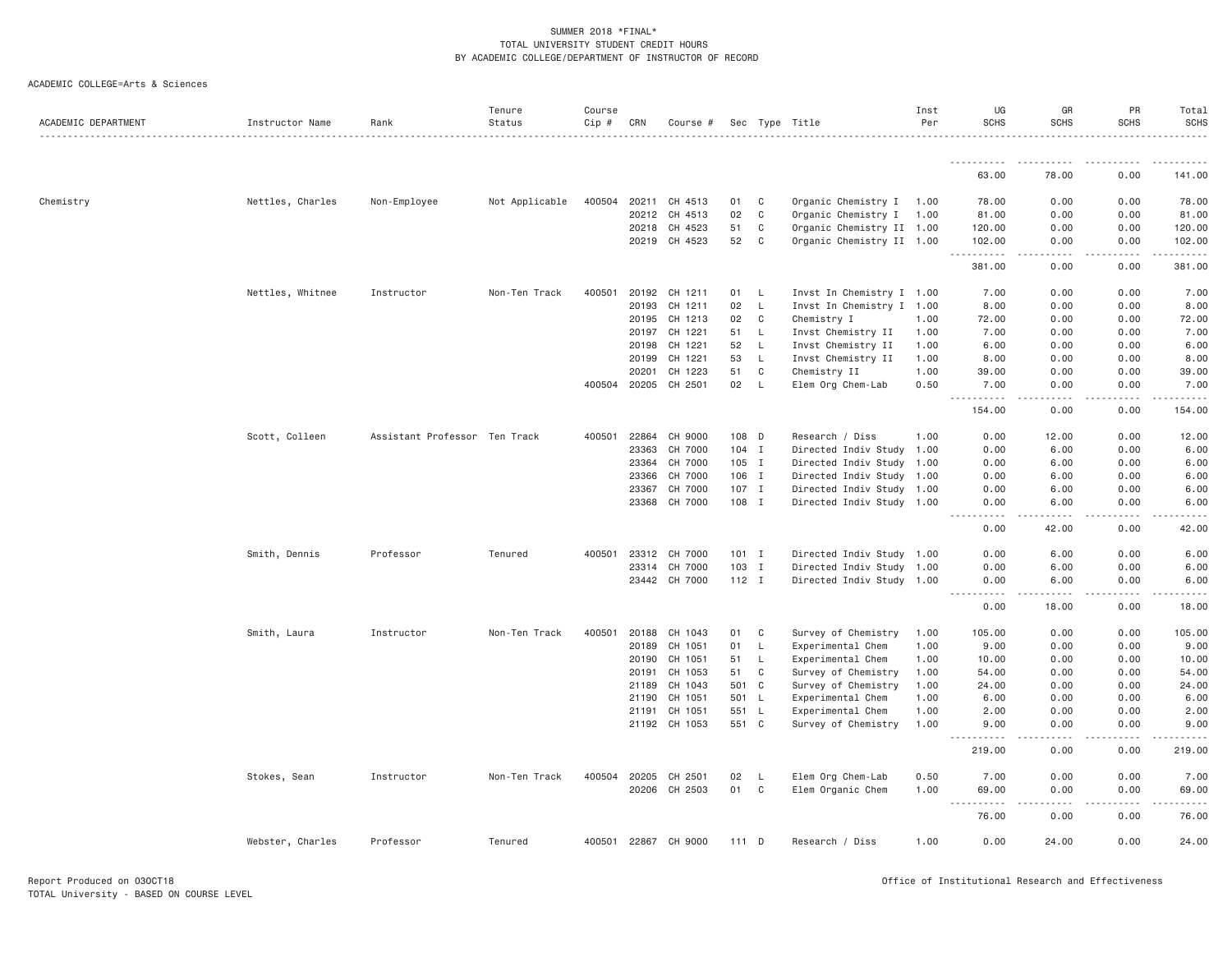| ACADEMIC COLLEGE=Arts & Sciences |  |
|----------------------------------|--|
|----------------------------------|--|

| ACADEMIC DEPARTMENT | Instructor Name  | Rank                          | Tenure<br>Status | Course<br>Cip # | CRN          | Course #             |         |              | Sec Type Title            | Inst<br>Per | UG<br><b>SCHS</b>                                             | GR<br><b>SCHS</b> | PR<br><b>SCHS</b> | Total<br><b>SCHS</b> |
|---------------------|------------------|-------------------------------|------------------|-----------------|--------------|----------------------|---------|--------------|---------------------------|-------------|---------------------------------------------------------------|-------------------|-------------------|----------------------|
|                     |                  |                               |                  |                 |              |                      |         |              |                           |             | .                                                             |                   | .                 |                      |
|                     |                  |                               |                  |                 |              |                      |         |              |                           |             | 63.00                                                         | 78.00             | 0.00              | 141.00               |
| Chemistry           | Nettles, Charles | Non-Employee                  | Not Applicable   | 400504          | 20211        | CH 4513              | 01      | C            | Organic Chemistry I       | 1.00        | 78.00                                                         | 0.00              | 0.00              | 78.00                |
|                     |                  |                               |                  |                 | 20212        | CH 4513              | 02      | $\mathsf{C}$ | Organic Chemistry I       | 1.00        | 81.00                                                         | 0.00              | 0.00              | 81.00                |
|                     |                  |                               |                  |                 | 20218        | CH 4523              | 51      | C            | Organic Chemistry II 1.00 |             | 120.00                                                        | 0.00              | 0.00              | 120.00               |
|                     |                  |                               |                  |                 | 20219        | CH 4523              | 52      | C            | Organic Chemistry II 1.00 |             | 102.00                                                        | 0.00              | 0.00              | 102.00               |
|                     |                  |                               |                  |                 |              |                      |         |              |                           |             | $- - - - -$<br>381.00                                         | 0.00              | 0.00              | 381.00               |
|                     | Nettles, Whitnee | Instructor                    | Non-Ten Track    | 400501          | 20192        | CH 1211              | 01      | - L          | Invst In Chemistry I 1.00 |             | 7.00                                                          | 0.00              | 0.00              | 7.00                 |
|                     |                  |                               |                  |                 | 20193        | CH 1211              | 02      | L            | Invst In Chemistry I 1.00 |             | 8.00                                                          | 0.00              | 0.00              | 8.00                 |
|                     |                  |                               |                  |                 | 20195        | CH 1213              | 02      | C            | Chemistry I               | 1.00        | 72.00                                                         | 0.00              | 0.00              | 72.00                |
|                     |                  |                               |                  |                 | 20197        | CH 1221              | 51      | L            | Invst Chemistry II        | 1.00        | 7.00                                                          | 0.00              | 0.00              | 7.00                 |
|                     |                  |                               |                  |                 | 20198        | CH 1221              | 52      | L.           | Invst Chemistry II        | 1.00        | 6.00                                                          | 0.00              | 0.00              | 6.00                 |
|                     |                  |                               |                  |                 | 20199        | CH 1221              | 53      | $\mathsf{L}$ | Invst Chemistry II        | 1.00        | 8.00                                                          | 0.00              | 0.00              | 8.00                 |
|                     |                  |                               |                  |                 | 20201        | CH 1223              | 51      | C            | Chemistry II              | 1.00        | 39.00                                                         | 0.00              | 0.00              | 39.00                |
|                     |                  |                               |                  |                 |              | 400504 20205 CH 2501 | 02      | - L          | Elem Org Chem-Lab         | 0.50        | 7.00<br>.                                                     | 0.00              | 0.00              | 7.00                 |
|                     |                  |                               |                  |                 |              |                      |         |              |                           |             | 154.00                                                        | 0.00              | 0.00              | 154.00               |
|                     | Scott, Colleen   | Assistant Professor Ten Track |                  | 400501          | 22864        | CH 9000              | 108 D   |              | Research / Diss           | 1.00        | 0.00                                                          | 12.00             | 0.00              | 12.00                |
|                     |                  |                               |                  |                 | 23363        | CH 7000              | $104$ I |              | Directed Indiv Study 1.00 |             | 0.00                                                          | 6.00              | 0.00              | 6.00                 |
|                     |                  |                               |                  |                 | 23364        | CH 7000              | 105 I   |              | Directed Indiv Study      | 1.00        | 0.00                                                          | 6.00              | 0.00              | 6.00                 |
|                     |                  |                               |                  |                 | 23366        | CH 7000              | 106 I   |              | Directed Indiv Study 1.00 |             | 0.00                                                          | 6.00              | 0.00              | 6.00                 |
|                     |                  |                               |                  |                 | 23367        | CH 7000              | $107$ I |              | Directed Indiv Study      | 1.00        | 0.00                                                          | 6.00              | 0.00              | 6.00                 |
|                     |                  |                               |                  |                 | 23368        | CH 7000              | 108 I   |              | Directed Indiv Study 1.00 |             | 0.00<br>$\frac{1}{2}$<br>.                                    | 6.00<br>.         | 0.00<br>.         | 6.00                 |
|                     |                  |                               |                  |                 |              |                      |         |              |                           |             | 0.00                                                          | 42.00             | 0.00              | 42.00                |
|                     | Smith, Dennis    | Professor                     | Tenured          | 400501          | 23312        | CH 7000              | $101$ I |              | Directed Indiv Study 1.00 |             | 0.00                                                          | 6.00              | 0.00              | 6.00                 |
|                     |                  |                               |                  |                 | 23314        | CH 7000              | 103 I   |              | Directed Indiv Study 1.00 |             | 0.00                                                          | 6.00              | 0.00              | 6.00                 |
|                     |                  |                               |                  |                 |              | 23442 CH 7000        | $112$ I |              | Directed Indiv Study 1.00 |             | 0.00<br>.                                                     | 6.00<br>.         | 0.00              | 6.00                 |
|                     |                  |                               |                  |                 |              |                      |         |              |                           |             | 0.00                                                          | 18.00             | 0.00              | 18.00                |
|                     | Smith, Laura     | Instructor                    | Non-Ten Track    | 400501          | 20188        | CH 1043              | 01      | C            | Survey of Chemistry       | 1.00        | 105.00                                                        | 0.00              | 0.00              | 105.00               |
|                     |                  |                               |                  |                 | 20189        | CH 1051              | 01      | L            | Experimental Chem         | 1.00        | 9.00                                                          | 0.00              | 0.00              | 9.00                 |
|                     |                  |                               |                  |                 | 20190        | CH 1051              | 51      | L            | Experimental Chem         | 1.00        | 10.00                                                         | 0.00              | 0.00              | 10.00                |
|                     |                  |                               |                  |                 | 20191        | CH 1053              | 51      | C            | Survey of Chemistry       | 1.00        | 54.00                                                         | 0.00              | 0.00              | 54.00                |
|                     |                  |                               |                  |                 | 21189        | CH 1043              | 501 C   |              | Survey of Chemistry       | 1.00        | 24.00                                                         | 0.00              | 0.00              | 24.00                |
|                     |                  |                               |                  |                 | 21190        | CH 1051              | 501 L   |              | Experimental Chem         | 1.00        | 6.00                                                          | 0.00              | 0.00              | 6.00                 |
|                     |                  |                               |                  |                 | 21191        | CH 1051              | 551 L   |              | Experimental Chem         | 1.00        | 2.00                                                          | 0.00              | 0.00              | 2.00                 |
|                     |                  |                               |                  |                 | 21192        | CH 1053              | 551 C   |              | Survey of Chemistry       | 1.00        | 9.00<br>-----<br>$\omega$ $\omega$ $\omega$ $\omega$ $\omega$ | 0.00              | 0.00              | 9.00                 |
|                     |                  |                               |                  |                 |              |                      |         |              |                           |             | 219.00                                                        | 0.00              | 0.00              | 219.00               |
|                     | Stokes, Sean     | Instructor                    | Non-Ten Track    |                 | 400504 20205 | CH 2501              | 02      | L.           | Elem Org Chem-Lab         | 0.50        | 7.00                                                          | 0.00              | 0.00              | 7.00                 |
|                     |                  |                               |                  |                 | 20206        | CH 2503              | 01      | C            | Elem Organic Chem         | 1.00        | 69.00                                                         | 0.00              | 0.00              | 69.00                |
|                     |                  |                               |                  |                 |              |                      |         |              |                           |             | $\sim$ $\sim$ $\sim$<br>76.00                                 | 0.00              | 0.00              | 76.00                |
|                     | Webster, Charles | Professor                     | Tenured          |                 |              | 400501 22867 CH 9000 | 111 D   |              | Research / Diss           | 1.00        | 0.00                                                          | 24.00             | 0.00              | 24.00                |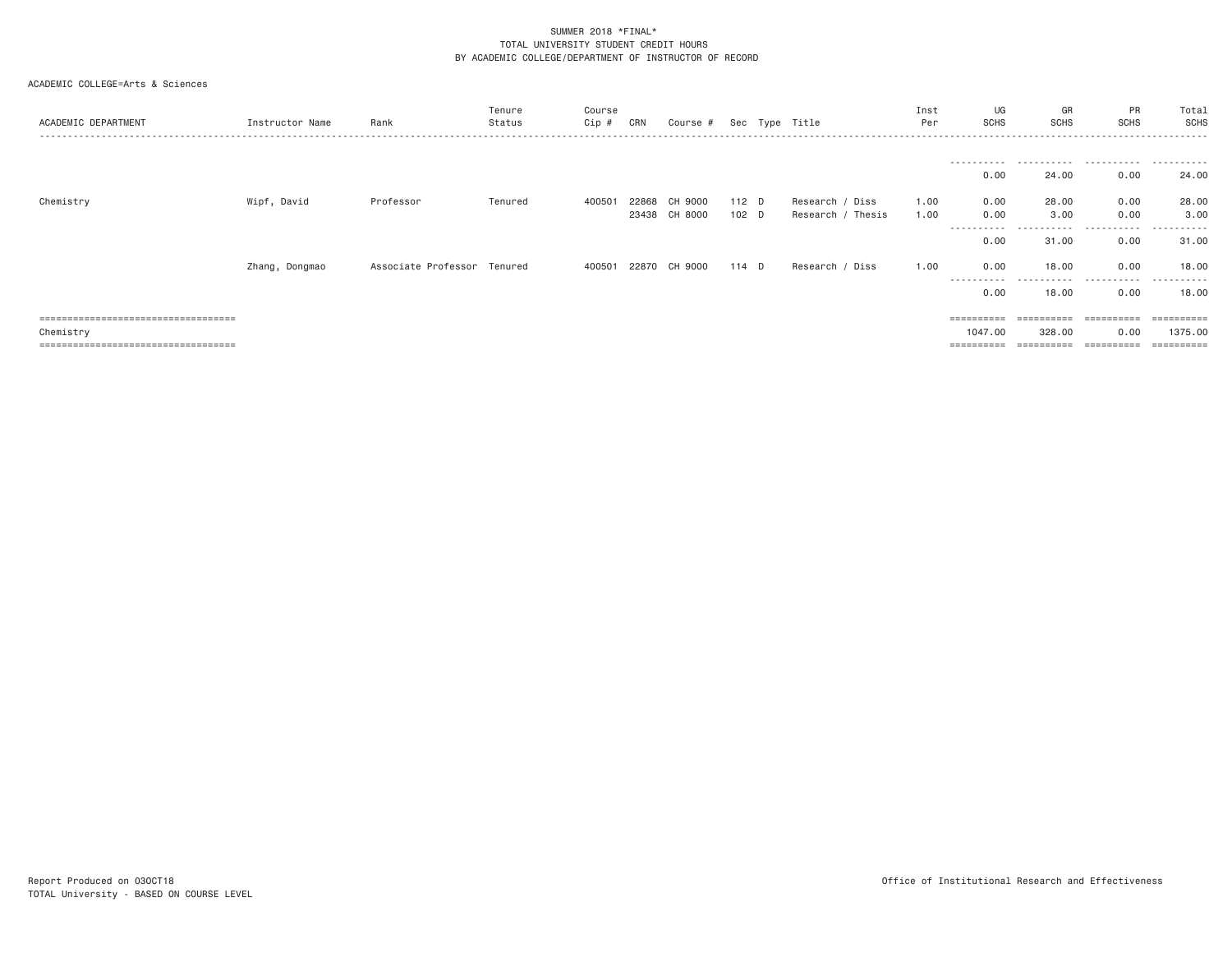| ACADEMIC DEPARTMENT                   | Instructor Name | Rank                        | Tenure<br>Status | Course<br>Cip # | CRN   | Course # |       | Sec Type Title    | Inst<br>Per | UG<br><b>SCHS</b>   | GR<br>SCHS | <b>PR</b><br><b>SCHS</b> | Total<br>SCHS |
|---------------------------------------|-----------------|-----------------------------|------------------|-----------------|-------|----------|-------|-------------------|-------------|---------------------|------------|--------------------------|---------------|
|                                       |                 |                             |                  |                 |       |          |       |                   |             | -----------         | .          | .                        | .             |
|                                       |                 |                             |                  |                 |       |          |       |                   |             | 0.00                | 24.00      | 0.00                     | 24.00         |
| Chemistry                             | Wipf, David     | Professor                   | Tenured          | 400501          | 22868 | CH 9000  | 112 D | Research / Diss   | 1.00        | 0.00                | 28,00      | 0.00                     | 28.00         |
|                                       |                 |                             |                  |                 | 23438 | CH 8000  | 102 D | Research / Thesis | 1.00        | 0.00                | 3.00       | 0.00                     | 3.00          |
|                                       |                 |                             |                  |                 |       |          |       |                   |             | -----------<br>0.00 | .<br>31.00 | .<br>0.00                | .<br>31.00    |
|                                       | Zhang, Dongmao  | Associate Professor Tenured |                  | 400501 22870    |       | CH 9000  | 114 D | Research / Diss   | 1.00        | 0.00<br>----------  | 18,00<br>. | 0.00<br>.                | 18.00<br>.    |
|                                       |                 |                             |                  |                 |       |          |       |                   |             | 0.00                | 18,00      | 0.00                     | 18.00         |
| ===================================== |                 |                             |                  |                 |       |          |       |                   |             | ==========          |            | ==========               |               |
| Chemistry                             |                 |                             |                  |                 |       |          |       |                   |             | 1047.00             | 328.00     | 0.00                     | 1375,00       |
| ====================================  |                 |                             |                  |                 |       |          |       |                   |             | ==========          | ---------- | ==========               | =========     |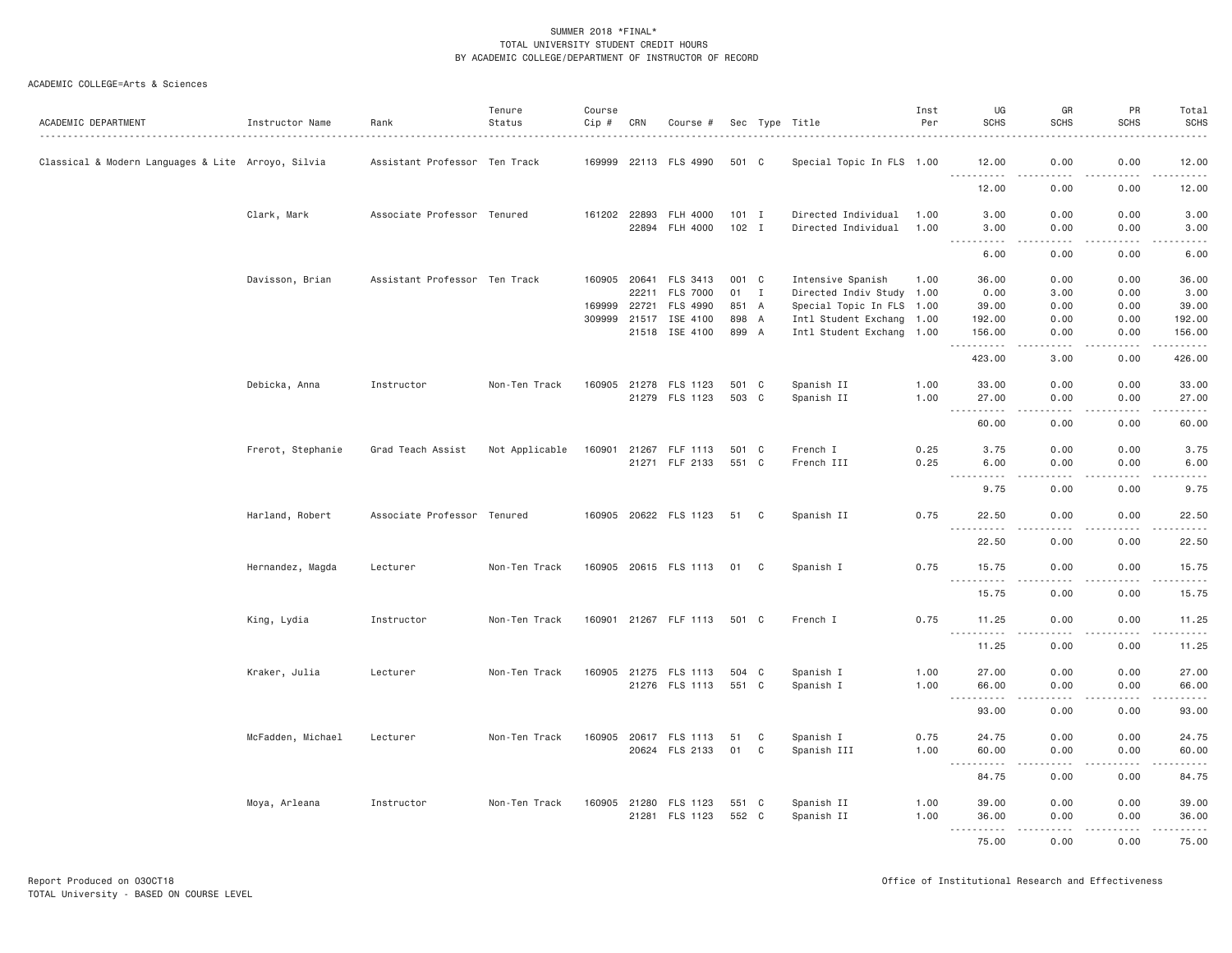| ACADEMIC DEPARTMENT                                | Instructor Name   | Rank                          | Tenure<br>Status | Course<br>Cip # | CRN            | Course #                         |                |              | Sec Type Title                                 | Inst<br>Per  | UG<br><b>SCHS</b>                                                                                                                                            | GR<br><b>SCHS</b>     | PR<br><b>SCHS</b> | Total<br><b>SCHS</b>                                                                                                                                                                      |
|----------------------------------------------------|-------------------|-------------------------------|------------------|-----------------|----------------|----------------------------------|----------------|--------------|------------------------------------------------|--------------|--------------------------------------------------------------------------------------------------------------------------------------------------------------|-----------------------|-------------------|-------------------------------------------------------------------------------------------------------------------------------------------------------------------------------------------|
| Classical & Modern Languages & Lite Arroyo, Silvia |                   | Assistant Professor Ten Track |                  | 169999          |                | 22113 FLS 4990                   | 501 C          |              | .<br>Special Topic In FLS 1.00                 |              | 12.00                                                                                                                                                        | 0.00                  | 0.00              | 12.00                                                                                                                                                                                     |
|                                                    |                   |                               |                  |                 |                |                                  |                |              |                                                |              | 12.00                                                                                                                                                        | 0.00                  | 0.00              | .<br>12.00                                                                                                                                                                                |
|                                                    | Clark, Mark       | Associate Professor Tenured   |                  | 161202 22893    |                | FLH 4000                         | $101$ I        |              | Directed Individual                            | 1.00         | 3.00                                                                                                                                                         | 0.00                  | 0.00              | 3.00                                                                                                                                                                                      |
|                                                    |                   |                               |                  |                 | 22894          | FLH 4000                         | $102$ I        |              | Directed Individual                            | 1.00         | 3.00<br>$\frac{1}{2} \left( \frac{1}{2} \right) \left( \frac{1}{2} \right) \left( \frac{1}{2} \right) \left( \frac{1}{2} \right) \left( \frac{1}{2} \right)$ | 0.00<br>د د د د       | 0.00<br>.         | 3.00<br>-----                                                                                                                                                                             |
|                                                    |                   |                               |                  |                 |                |                                  |                |              |                                                |              | 6.00                                                                                                                                                         | 0.00                  | 0.00              | 6.00                                                                                                                                                                                      |
|                                                    | Davisson, Brian   | Assistant Professor Ten Track |                  | 160905          | 20641<br>22211 | FLS 3413<br><b>FLS 7000</b>      | 001 C<br>01    | $\mathbf{I}$ | Intensive Spanish<br>Directed Indiv Study 1.00 | 1.00         | 36.00<br>0.00                                                                                                                                                | 0.00<br>3,00          | 0.00<br>0.00      | 36.00<br>3.00                                                                                                                                                                             |
|                                                    |                   |                               |                  | 169999          | 22721          | FLS 4990                         | 851 A          |              | Special Topic In FLS 1.00                      |              | 39.00                                                                                                                                                        | 0.00                  | 0.00              | 39.00                                                                                                                                                                                     |
|                                                    |                   |                               |                  | 309999          | 21517          | ISE 4100                         | 898 A          |              | Intl Student Exchang 1.00                      |              | 192.00                                                                                                                                                       | 0.00                  | 0.00              | 192.00                                                                                                                                                                                    |
|                                                    |                   |                               |                  |                 |                | 21518 ISE 4100                   | 899 A          |              | Intl Student Exchang 1.00                      |              | 156.00                                                                                                                                                       | 0.00<br>د د د د       | 0.00<br>د د د د   | 156.00<br>$\frac{1}{2} \left( \frac{1}{2} \right) \left( \frac{1}{2} \right) \left( \frac{1}{2} \right) \left( \frac{1}{2} \right) \left( \frac{1}{2} \right) \left( \frac{1}{2} \right)$ |
|                                                    |                   |                               |                  |                 |                |                                  |                |              |                                                |              | 423.00                                                                                                                                                       | 3.00                  | 0.00              | 426.00                                                                                                                                                                                    |
|                                                    | Debicka, Anna     | Instructor                    | Non-Ten Track    | 160905          | 21278          | FLS 1123                         | 501 C          |              | Spanish II                                     | 1.00         | 33.00                                                                                                                                                        | 0.00                  | 0.00              | 33.00                                                                                                                                                                                     |
|                                                    |                   |                               |                  |                 |                | 21279 FLS 1123                   | 503 C          |              | Spanish II                                     | 1.00         | 27.00<br>.<br>$\sim$ $\sim$ $\sim$                                                                                                                           | 0.00<br>.             | 0.00<br>.         | 27.00<br>.                                                                                                                                                                                |
|                                                    |                   |                               |                  |                 |                |                                  |                |              |                                                |              | 60.00                                                                                                                                                        | 0.00                  | 0.00              | 60.00                                                                                                                                                                                     |
|                                                    | Frerot, Stephanie | Grad Teach Assist             | Not Applicable   | 160901          |                | 21267 FLF 1113<br>21271 FLF 2133 | 501 C<br>551 C |              | French I<br>French III                         | 0.25<br>0.25 | 3.75<br>6.00                                                                                                                                                 | 0.00<br>0.00          | 0.00<br>0.00      | 3.75<br>6.00                                                                                                                                                                              |
|                                                    |                   |                               |                  |                 |                |                                  |                |              |                                                |              | $\frac{1}{2}$<br>.<br>9.75                                                                                                                                   | $\frac{1}{2}$<br>0.00 | .<br>0.00         | .<br>9.75                                                                                                                                                                                 |
|                                                    | Harland, Robert   | Associate Professor Tenured   |                  |                 |                | 160905 20622 FLS 1123            | 51 C           |              | Spanish II                                     | 0.75         | 22.50                                                                                                                                                        | 0.00                  | 0.00              | 22.50                                                                                                                                                                                     |
|                                                    |                   |                               |                  |                 |                |                                  |                |              |                                                |              | $- - -$<br>.<br>22.50                                                                                                                                        | .<br>0.00             | .<br>0.00         | .<br>22.50                                                                                                                                                                                |
|                                                    | Hernandez, Magda  | Lecturer                      | Non-Ten Track    |                 |                | 160905 20615 FLS 1113            | 01             | C            | Spanish I                                      | 0.75         | 15.75                                                                                                                                                        | 0.00                  | 0.00              | 15.75                                                                                                                                                                                     |
|                                                    |                   |                               |                  |                 |                |                                  |                |              |                                                |              | .<br>15.75                                                                                                                                                   | $\frac{1}{2}$<br>0.00 | .<br>0.00         | .<br>15.75                                                                                                                                                                                |
|                                                    | King, Lydia       | Instructor                    | Non-Ten Track    |                 |                | 160901 21267 FLF 1113            | 501 C          |              | French I                                       | 0.75         | 11.25                                                                                                                                                        | 0.00                  | 0.00              | 11.25                                                                                                                                                                                     |
|                                                    |                   |                               |                  |                 |                |                                  |                |              |                                                |              | $\sim 100$<br>.<br>11.25                                                                                                                                     | 0.00                  | 0.00              | .<br>11.25                                                                                                                                                                                |
|                                                    | Kraker, Julia     | Lecturer                      | Non-Ten Track    |                 |                | 160905 21275 FLS 1113            | 504 C          |              | Spanish I                                      | 1.00         | 27.00                                                                                                                                                        | 0.00                  | 0.00              | 27.00                                                                                                                                                                                     |
|                                                    |                   |                               |                  |                 |                | 21276 FLS 1113                   | 551 C          |              | Spanish I                                      | 1.00         | 66.00<br>.<br>$- - -$                                                                                                                                        | 0.00<br>.             | 0.00<br>.         | 66.00<br>.                                                                                                                                                                                |
|                                                    |                   |                               |                  |                 |                |                                  |                |              |                                                |              | 93.00                                                                                                                                                        | 0.00                  | 0.00              | 93.00                                                                                                                                                                                     |
|                                                    | McFadden, Michael | Lecturer                      | Non-Ten Track    | 160905          | 20617          | FLS 1113                         | 51             | C            | Spanish I                                      | 0.75         | 24.75                                                                                                                                                        | 0.00                  | 0.00              | 24.75                                                                                                                                                                                     |
|                                                    |                   |                               |                  |                 |                | 20624 FLS 2133                   | 01             | C            | Spanish III                                    | 1.00         | 60.00<br>$\sim$ $\sim$ $\sim$ $\sim$                                                                                                                         | 0.00                  | 0.00<br>.         | 60.00<br>.                                                                                                                                                                                |
|                                                    |                   |                               |                  |                 |                |                                  |                |              |                                                |              | 84.75                                                                                                                                                        | 0.00                  | 0.00              | 84.75                                                                                                                                                                                     |
|                                                    | Moya, Arleana     | Instructor                    | Non-Ten Track    | 160905          |                | 21280 FLS 1123                   | 551 C          |              | Spanish II                                     | 1.00         | 39.00                                                                                                                                                        | 0.00                  | 0.00              | 39.00                                                                                                                                                                                     |
|                                                    |                   |                               |                  |                 | 21281          | FLS 1123                         | 552 C          |              | Spanish II                                     | 1.00         | 36.00<br><u>.</u>                                                                                                                                            | 0.00<br>.             | 0.00<br>.         | 36.00<br><u>.</u>                                                                                                                                                                         |
|                                                    |                   |                               |                  |                 |                |                                  |                |              |                                                |              | 75.00                                                                                                                                                        | 0.00                  | 0.00              | 75.00                                                                                                                                                                                     |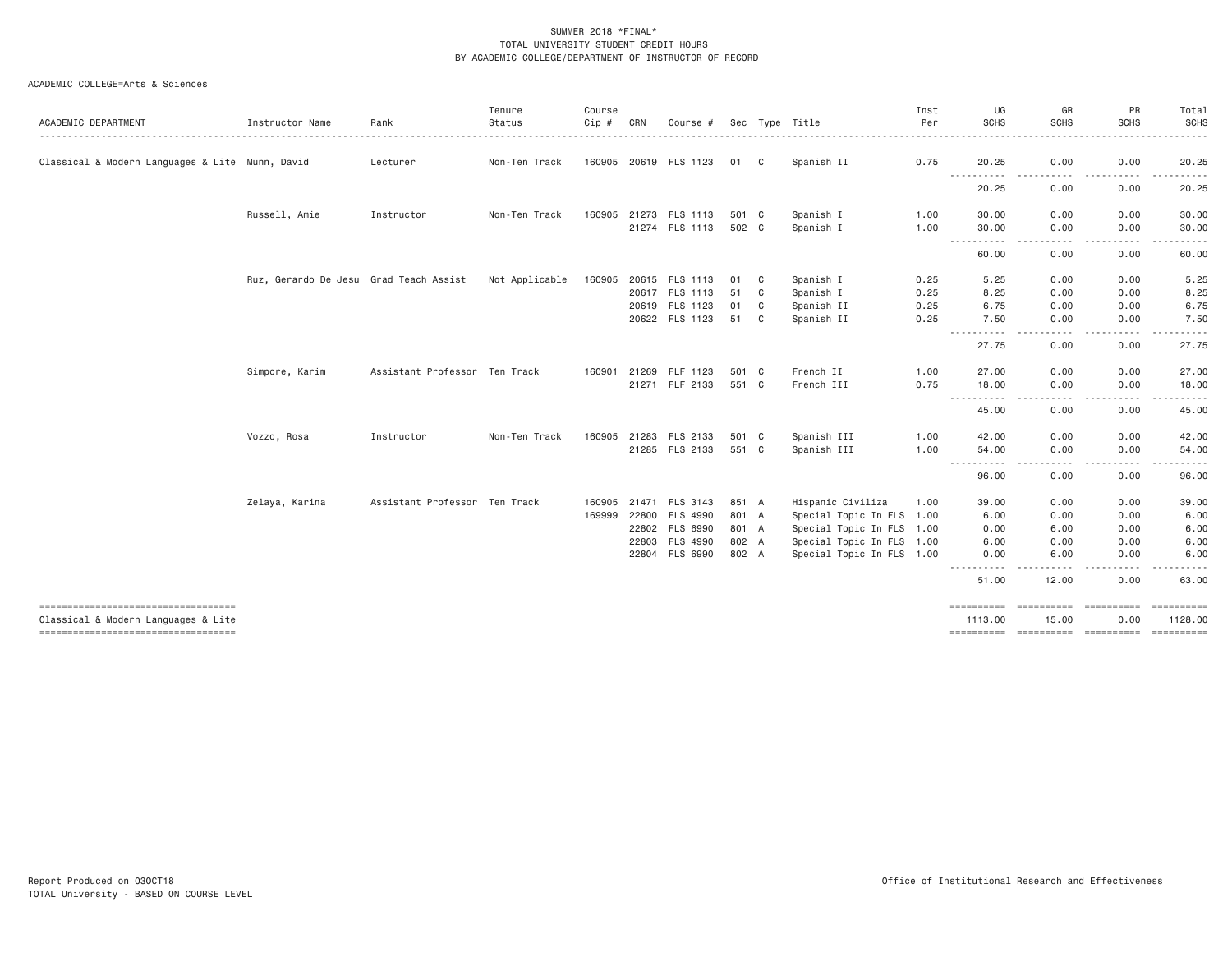| ACADEMIC DEPARTMENT                                                       | Instructor Name                        | Rank                          | Tenure<br>Status | Course<br>Cip # | CRN   | Course #              |       |   | Sec Type Title            | Inst<br>Per | UG<br><b>SCHS</b>                                                                                                                                                                                                                                                                                                                                                                                                                                                                                    | GR<br><b>SCHS</b>                                                                                                                 | PR<br><b>SCHS</b>         | Total<br><b>SCHS</b>                                                                                                                                          |
|---------------------------------------------------------------------------|----------------------------------------|-------------------------------|------------------|-----------------|-------|-----------------------|-------|---|---------------------------|-------------|------------------------------------------------------------------------------------------------------------------------------------------------------------------------------------------------------------------------------------------------------------------------------------------------------------------------------------------------------------------------------------------------------------------------------------------------------------------------------------------------------|-----------------------------------------------------------------------------------------------------------------------------------|---------------------------|---------------------------------------------------------------------------------------------------------------------------------------------------------------|
|                                                                           |                                        |                               |                  |                 |       |                       |       |   |                           |             |                                                                                                                                                                                                                                                                                                                                                                                                                                                                                                      |                                                                                                                                   |                           |                                                                                                                                                               |
| Classical & Modern Languages & Lite Munn, David                           |                                        | Lecturer                      | Non-Ten Track    |                 |       | 160905 20619 FLS 1123 | 01 C  |   | Spanish II                | 0.75        | 20.25<br>$\begin{array}{cccccccccccccc} \multicolumn{2}{c}{} & \multicolumn{2}{c}{} & \multicolumn{2}{c}{} & \multicolumn{2}{c}{} & \multicolumn{2}{c}{} & \multicolumn{2}{c}{} & \multicolumn{2}{c}{} & \multicolumn{2}{c}{} & \multicolumn{2}{c}{} & \multicolumn{2}{c}{} & \multicolumn{2}{c}{} & \multicolumn{2}{c}{} & \multicolumn{2}{c}{} & \multicolumn{2}{c}{} & \multicolumn{2}{c}{} & \multicolumn{2}{c}{} & \multicolumn{2}{c}{} & \multicolumn{2}{c}{} & \multicolumn{2}{c}{} & \$<br>. | 0.00                                                                                                                              | 0.00                      | 20.25<br>$\cdots$                                                                                                                                             |
|                                                                           |                                        |                               |                  |                 |       |                       |       |   |                           |             | 20.25                                                                                                                                                                                                                                                                                                                                                                                                                                                                                                | 0.00                                                                                                                              | 0.00                      | 20.25                                                                                                                                                         |
|                                                                           | Russell, Amie                          | Instructor                    | Non-Ten Track    | 160905          |       | 21273 FLS 1113        | 501 C |   | Spanish I                 | 1.00        | 30.00                                                                                                                                                                                                                                                                                                                                                                                                                                                                                                | 0.00                                                                                                                              | 0.00                      | 30.00                                                                                                                                                         |
|                                                                           |                                        |                               |                  |                 |       | 21274 FLS 1113        | 502 C |   | Spanish I                 | 1.00        | 30.00<br>----------                                                                                                                                                                                                                                                                                                                                                                                                                                                                                  | 0.00<br>$\frac{1}{2}$                                                                                                             | 0.00<br><u>.</u>          | 30.00<br>.                                                                                                                                                    |
|                                                                           |                                        |                               |                  |                 |       |                       |       |   |                           |             | 60.00                                                                                                                                                                                                                                                                                                                                                                                                                                                                                                | 0.00                                                                                                                              | 0.00                      | 60.00                                                                                                                                                         |
|                                                                           | Ruz, Gerardo De Jesu Grad Teach Assist |                               | Not Applicable   | 160905          |       | 20615 FLS 1113        | 01    | C | Spanish I                 | 0.25        | 5.25                                                                                                                                                                                                                                                                                                                                                                                                                                                                                                 | 0.00                                                                                                                              | 0.00                      | 5.25                                                                                                                                                          |
|                                                                           |                                        |                               |                  |                 |       | 20617 FLS 1113        | 51    | C | Spanish I                 | 0.25        | 8.25                                                                                                                                                                                                                                                                                                                                                                                                                                                                                                 | 0.00                                                                                                                              | 0.00                      | 8.25                                                                                                                                                          |
|                                                                           |                                        |                               |                  |                 |       | 20619 FLS 1123        | 01    | C | Spanish II                | 0.25        | 6.75                                                                                                                                                                                                                                                                                                                                                                                                                                                                                                 | 0.00                                                                                                                              | 0.00                      | 6.75                                                                                                                                                          |
|                                                                           |                                        |                               |                  |                 |       | 20622 FLS 1123        | 51    | C | Spanish II                | 0.25        | 7.50<br>$\frac{1}{2} \left( \frac{1}{2} \right) \left( \frac{1}{2} \right) \left( \frac{1}{2} \right)$<br>$\frac{1}{2} \left( \frac{1}{2} \right) \left( \frac{1}{2} \right) \left( \frac{1}{2} \right) \left( \frac{1}{2} \right)$                                                                                                                                                                                                                                                                  | 0.00<br>$\frac{1}{2} \left( \frac{1}{2} \right) \left( \frac{1}{2} \right) \left( \frac{1}{2} \right) \left( \frac{1}{2} \right)$ | 0.00<br>.                 | 7.50<br>.                                                                                                                                                     |
|                                                                           |                                        |                               |                  |                 |       |                       |       |   |                           |             | 27.75                                                                                                                                                                                                                                                                                                                                                                                                                                                                                                | 0.00                                                                                                                              | 0.00                      | 27.75                                                                                                                                                         |
|                                                                           | Simpore, Karim                         | Assistant Professor Ten Track |                  | 160901          |       | 21269 FLF 1123        | 501 C |   | French II                 | 1.00        | 27.00                                                                                                                                                                                                                                                                                                                                                                                                                                                                                                | 0.00                                                                                                                              | 0.00                      | 27.00                                                                                                                                                         |
|                                                                           |                                        |                               |                  |                 |       | 21271 FLF 2133        | 551 C |   | French III                | 0.75        | 18.00<br>$\cdots \cdots \cdots$<br>.                                                                                                                                                                                                                                                                                                                                                                                                                                                                 | 0.00                                                                                                                              | 0.00                      | 18.00<br>$\frac{1}{2} \left( \frac{1}{2} \right) \left( \frac{1}{2} \right) \left( \frac{1}{2} \right) \left( \frac{1}{2} \right) \left( \frac{1}{2} \right)$ |
|                                                                           |                                        |                               |                  |                 |       |                       |       |   |                           |             | 45.00                                                                                                                                                                                                                                                                                                                                                                                                                                                                                                | 0.00                                                                                                                              | 0.00                      | 45.00                                                                                                                                                         |
|                                                                           | Vozzo, Rosa                            | Instructor                    | Non-Ten Track    | 160905          |       | 21283 FLS 2133        | 501 C |   | Spanish III               | 1.00        | 42.00                                                                                                                                                                                                                                                                                                                                                                                                                                                                                                | 0.00                                                                                                                              | 0.00                      | 42.00                                                                                                                                                         |
|                                                                           |                                        |                               |                  |                 |       | 21285 FLS 2133        | 551 C |   | Spanish III               | 1.00        | 54.00<br>$\cdots$<br>$\cdots$                                                                                                                                                                                                                                                                                                                                                                                                                                                                        | 0.00<br>$- - - -$                                                                                                                 | 0.00<br>-----<br>$\cdots$ | 54.00<br>.                                                                                                                                                    |
|                                                                           |                                        |                               |                  |                 |       |                       |       |   |                           |             | 96.00                                                                                                                                                                                                                                                                                                                                                                                                                                                                                                | 0.00                                                                                                                              | 0.00                      | 96.00                                                                                                                                                         |
|                                                                           | Zelaya, Karina                         | Assistant Professor Ten Track |                  | 160905          |       | 21471 FLS 3143        | 851 A |   | Hispanic Civiliza         | 1.00        | 39.00                                                                                                                                                                                                                                                                                                                                                                                                                                                                                                | 0.00                                                                                                                              | 0.00                      | 39.00                                                                                                                                                         |
|                                                                           |                                        |                               |                  | 169999          | 22800 | FLS 4990              | 801 A |   | Special Topic In FLS 1.00 |             | 6.00                                                                                                                                                                                                                                                                                                                                                                                                                                                                                                 | 0.00                                                                                                                              | 0.00                      | 6.00                                                                                                                                                          |
|                                                                           |                                        |                               |                  |                 |       | 22802 FLS 6990        | 801 A |   | Special Topic In FLS 1.00 |             | 0.00                                                                                                                                                                                                                                                                                                                                                                                                                                                                                                 | 6.00                                                                                                                              | 0.00                      | 6.00                                                                                                                                                          |
|                                                                           |                                        |                               |                  |                 | 22803 | FLS 4990              | 802 A |   | Special Topic In FLS 1.00 |             | 6.00                                                                                                                                                                                                                                                                                                                                                                                                                                                                                                 | 0.00                                                                                                                              | 0.00                      | 6.00                                                                                                                                                          |
|                                                                           |                                        |                               |                  |                 |       | 22804 FLS 6990        | 802 A |   | Special Topic In FLS 1.00 |             | 0.00                                                                                                                                                                                                                                                                                                                                                                                                                                                                                                 | 6.00<br>- - - -                                                                                                                   | 0.00                      | 6.00<br>-----                                                                                                                                                 |
|                                                                           |                                        |                               |                  |                 |       |                       |       |   |                           |             | 51.00                                                                                                                                                                                                                                                                                                                                                                                                                                                                                                | 12.00                                                                                                                             | 0.00                      | 63.00                                                                                                                                                         |
| ----------------------------------<br>Classical & Modern Languages & Lite |                                        |                               |                  |                 |       |                       |       |   |                           |             | 1113.00                                                                                                                                                                                                                                                                                                                                                                                                                                                                                              | ==========<br>15.00                                                                                                               | ==========<br>0.00        | 1128.00                                                                                                                                                       |
| ----------------------------------                                        |                                        |                               |                  |                 |       |                       |       |   |                           |             | ==========                                                                                                                                                                                                                                                                                                                                                                                                                                                                                           | ==========                                                                                                                        | ==========                | $=$ = = = = = = = = = =                                                                                                                                       |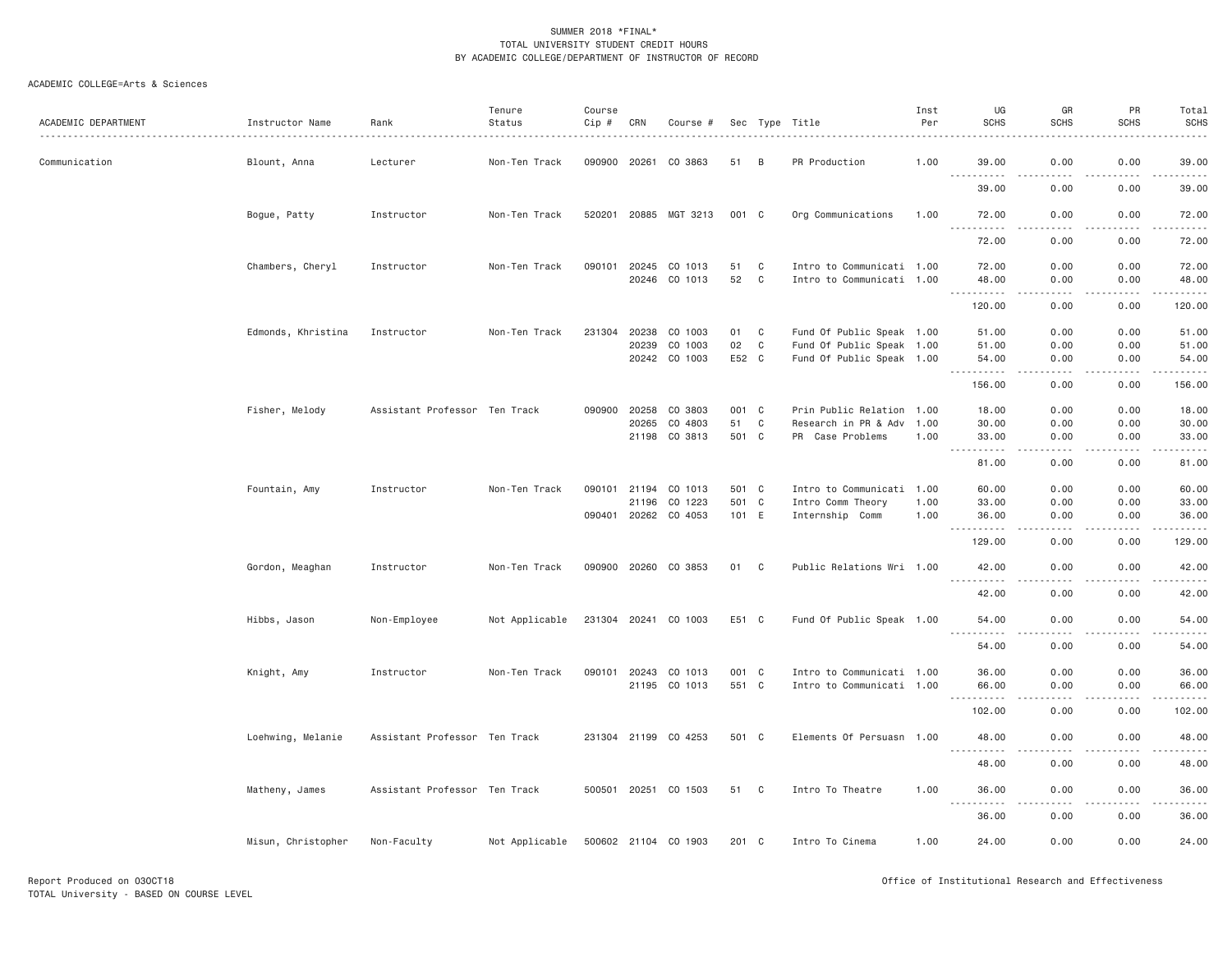| ACADEMIC DEPARTMENT | Instructor Name    | Rank                          | Tenure<br>Status | Course<br>Cip # | CRN          | Course #              |       |              | Sec Type Title            | Inst<br>Per | UG<br><b>SCHS</b>                  | GR<br><b>SCHS</b> | PR<br><b>SCHS</b> | Total<br><b>SCHS</b> |
|---------------------|--------------------|-------------------------------|------------------|-----------------|--------------|-----------------------|-------|--------------|---------------------------|-------------|------------------------------------|-------------------|-------------------|----------------------|
| Communication       | Blount, Anna       | Lecturer                      | Non-Ten Track    |                 |              | 090900 20261 CO 3863  | 51    | B            | PR Production             | 1.00        | 39.00<br>$- - -$<br>.              | 0.00              | 0.00              | 39.00                |
|                     |                    |                               |                  |                 |              |                       |       |              |                           |             | 39.00                              | 0.00              | 0.00              | 39.00                |
|                     | Bogue, Patty       | Instructor                    | Non-Ten Track    |                 |              | 520201 20885 MGT 3213 | 001 C |              | Org Communications        | 1.00        | 72.00<br>.                         | 0.00<br>$- - - -$ | 0.00<br>.         | 72.00<br>.           |
|                     |                    |                               |                  |                 |              |                       |       |              |                           |             | 72.00                              | 0.00              | 0.00              | 72.00                |
|                     | Chambers, Cheryl   | Instructor                    | Non-Ten Track    | 090101          | 20245        | CO 1013               | 51    | C            | Intro to Communicati 1.00 |             | 72.00                              | 0.00              | 0.00              | 72.00                |
|                     |                    |                               |                  |                 | 20246        | CO 1013               | 52    | $\mathbf C$  | Intro to Communicati 1.00 |             | 48.00<br>. <b>.</b><br>$- - -$     | 0.00<br>$- - - -$ | 0.00<br>.         | 48.00<br>.           |
|                     |                    |                               |                  |                 |              |                       |       |              |                           |             | 120.00                             | 0.00              | 0.00              | 120.00               |
|                     | Edmonds, Khristina | Instructor                    | Non-Ten Track    | 231304          | 20238        | CO 1003               | 01    | $\mathbf{C}$ | Fund Of Public Speak 1.00 |             | 51.00                              | 0.00              | 0.00              | 51.00                |
|                     |                    |                               |                  |                 | 20239        | CO 1003               | 02    | $\mathbf C$  | Fund Of Public Speak 1.00 |             | 51.00                              | 0.00              | 0.00              | 51.00                |
|                     |                    |                               |                  |                 |              | 20242 CO 1003         | E52 C |              | Fund Of Public Speak 1.00 |             | 54.00<br>.                         | 0.00<br>.         | 0.00<br>-----     | 54.00<br>.           |
|                     |                    |                               |                  |                 |              |                       |       |              |                           |             | 156.00                             | 0.00              | 0.00              | 156.00               |
|                     | Fisher, Melody     | Assistant Professor Ten Track |                  | 090900          | 20258        | CO 3803               | 001 C |              | Prin Public Relation 1.00 |             | 18.00                              | 0.00              | 0.00              | 18.00                |
|                     |                    |                               |                  |                 | 20265        | CO 4803               | 51    | $\mathbf C$  | Research in PR & Adv      | 1.00        | 30.00                              | 0.00              | 0.00              | 30.00                |
|                     |                    |                               |                  |                 |              | 21198 CO 3813         | 501 C |              | PR Case Problems          | 1.00        | 33.00<br>$\sim$ $\sim$ $\sim$<br>. | 0.00<br>.         | 0.00<br>.         | 33.00<br>.           |
|                     |                    |                               |                  |                 |              |                       |       |              |                           |             | 81.00                              | 0.00              | 0.00              | 81.00                |
|                     | Fountain, Amy      | Instructor                    | Non-Ten Track    |                 | 090101 21194 | CO 1013               | 501 C |              | Intro to Communicati 1.00 |             | 60.00                              | 0.00              | 0.00              | 60.00                |
|                     |                    |                               |                  |                 | 21196        | CO 1223               | 501 C |              | Intro Comm Theory         | 1.00        | 33.00                              | 0.00              | 0.00              | 33.00                |
|                     |                    |                               |                  |                 |              | 090401 20262 CO 4053  | 101 E |              | Internship Comm           | 1.00        | 36.00<br>.<br>$- - -$              | 0.00<br>.         | 0.00<br>.         | 36.00<br>.           |
|                     |                    |                               |                  |                 |              |                       |       |              |                           |             | 129.00                             | 0.00              | 0.00              | 129.00               |
|                     | Gordon, Meaghan    | Instructor                    | Non-Ten Track    |                 |              | 090900 20260 CO 3853  | 01 C  |              | Public Relations Wri 1.00 |             | 42.00<br>.                         | 0.00<br>.         | 0.00<br>.         | 42.00<br>.           |
|                     |                    |                               |                  |                 |              |                       |       |              |                           |             | 42.00                              | 0.00              | 0.00              | 42.00                |
|                     | Hibbs, Jason       | Non-Employee                  | Not Applicable   |                 |              | 231304 20241 CO 1003  | E51 C |              | Fund Of Public Speak 1.00 |             | 54.00                              | 0.00              | 0.00              | 54.00                |
|                     |                    |                               |                  |                 |              |                       |       |              |                           |             | ------<br>54.00                    | والمحامر<br>0.00  | .<br>0.00         | .<br>54.00           |
|                     | Knight, Amy        | Instructor                    | Non-Ten Track    | 090101          | 20243        | CO 1013               | 001 C |              | Intro to Communicati 1.00 |             | 36.00                              | 0.00              | 0.00              | 36.00                |
|                     |                    |                               |                  |                 |              | 21195 CO 1013         | 551 C |              | Intro to Communicati 1.00 |             | 66.00                              | 0.00              | 0.00              | 66.00                |
|                     |                    |                               |                  |                 |              |                       |       |              |                           |             | <u>.</u><br>102.00                 | .<br>0.00         | 0.00              | .<br>102.00          |
|                     | Loehwing, Melanie  | Assistant Professor Ten Track |                  |                 |              | 231304 21199 CO 4253  | 501 C |              | Elements Of Persuasn 1.00 |             | 48.00                              | 0.00              | 0.00              | 48.00                |
|                     |                    |                               |                  |                 |              |                       |       |              |                           |             | 48.00                              | 0.00              | 0.00              | 48.00                |
|                     | Matheny, James     | Assistant Professor Ten Track |                  |                 |              | 500501 20251 CO 1503  | 51    | $\mathbf{C}$ | Intro To Theatre          | 1.00        | 36.00                              | 0.00              | 0.00              | 36.00                |
|                     |                    |                               |                  |                 |              |                       |       |              |                           |             | .                                  | د د د د           | .                 | .                    |
|                     |                    |                               |                  |                 |              |                       |       |              |                           |             | 36.00                              | 0.00              | 0.00              | 36.00                |
|                     | Misun, Christopher | Non-Faculty                   | Not Applicable   |                 |              | 500602 21104 CO 1903  | 201 C |              | Intro To Cinema           | 1.00        | 24.00                              | 0.00              | 0.00              | 24.00                |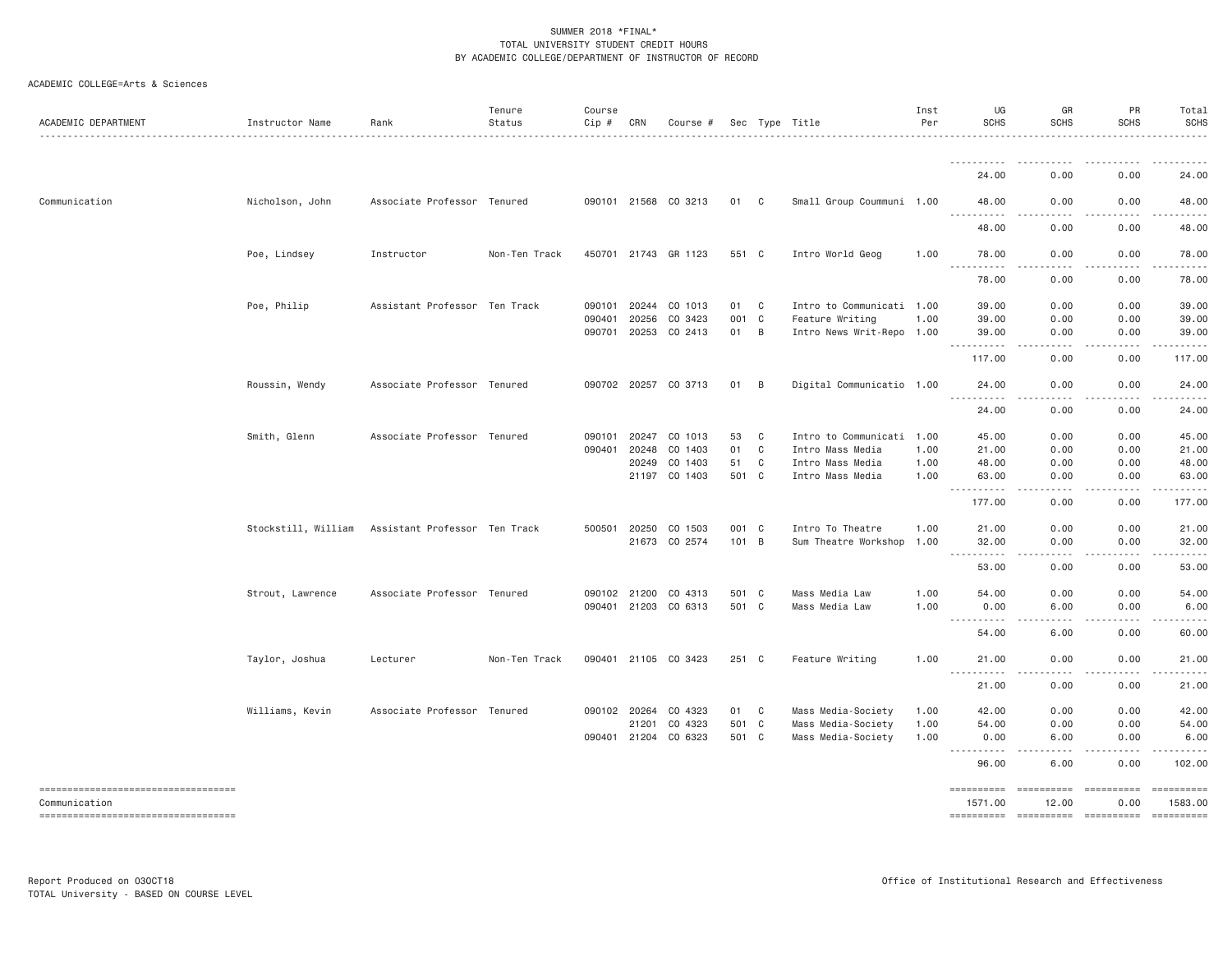| .<br>24.00<br>0.00<br>Communication<br>Associate Professor Tenured<br>090101 21568 CO 3213<br>01 C<br>Small Group Coummuni 1.00<br>0.00<br>Nicholson, John<br>48.00<br><u>.</u><br>.<br>48.00<br>0.00<br>Poe, Lindsey<br>Instructor<br>Non-Ten Track<br>450701 21743 GR 1123<br>551 C<br>Intro World Geog<br>1.00<br>78.00<br>0.00<br><u>.</u><br>.<br>78.00<br>0.00<br>Poe, Philip<br>Assistant Professor Ten Track<br>090101 20244<br>CO 1013<br>C<br>Intro to Communicati 1.00<br>0.00<br>01<br>39.00<br>20256<br>CO 3423<br>001 C<br>Feature Writing<br>1.00<br>39.00<br>0.00<br>090401<br>090701 20253<br>CO 2413<br>01<br>B<br>Intro News Writ-Repo 1.00<br>0.00<br>39.00<br>117.00<br>0.00<br>Roussin, Wendy<br>Associate Professor Tenured<br>090702 20257 CO 3713<br>01<br>B<br>Digital Communicatio 1.00<br>24.00<br>0.00<br><u>.</u><br>24.00<br>0.00<br>Smith, Glenn<br>Associate Professor Tenured<br>090101 20247<br>CO 1013<br>53<br>C<br>Intro to Communicati 1.00<br>45.00<br>0.00<br>01<br>C<br>0.00<br>090401<br>20248<br>CO 1403<br>Intro Mass Media<br>1.00<br>21.00<br>CO 1403<br>51<br>0.00<br>20249<br>C<br>Intro Mass Media<br>1.00<br>48.00<br>21197 CO 1403<br>501 C<br>Intro Mass Media<br>1.00<br>63.00<br>0.00<br><b></b><br>.<br>177.00<br>0.00<br>Stockstill, William Assistant Professor Ten Track<br>500501 20250<br>CO 1503<br>001 C<br>Intro To Theatre<br>1.00<br>21.00<br>0.00<br>21673 CO 2574<br>101 B<br>Sum Theatre Workshop 1.00<br>0.00<br>32.00<br>.<br>0.00<br>53.00<br>Strout, Lawrence<br>Associate Professor Tenured<br>090102 21200<br>CO 4313<br>501 C<br>Mass Media Law<br>1.00<br>54.00<br>0.00<br>090401 21203 CO 6313<br>501 C<br>1.00<br>Mass Media Law<br>0.00<br>6.00<br>54.00<br>6.00 | 0.00<br>24.00<br>0.00<br>48.00<br>-----<br>0.00<br>48.00<br>0.00<br>78.00<br>.<br>. <u>.</u><br>0.00<br>78.00<br>39.00<br>0.00<br>0.00<br>39.00<br>0.00<br>39.00<br>0.00<br>117.00<br>0.00<br>24.00<br>. <b>.</b> .<br>0.00<br>24.00<br>0.00<br>45.00<br>21.00<br>0.00<br>48.00<br>0.00                                                                                                                                                     |
|--------------------------------------------------------------------------------------------------------------------------------------------------------------------------------------------------------------------------------------------------------------------------------------------------------------------------------------------------------------------------------------------------------------------------------------------------------------------------------------------------------------------------------------------------------------------------------------------------------------------------------------------------------------------------------------------------------------------------------------------------------------------------------------------------------------------------------------------------------------------------------------------------------------------------------------------------------------------------------------------------------------------------------------------------------------------------------------------------------------------------------------------------------------------------------------------------------------------------------------------------------------------------------------------------------------------------------------------------------------------------------------------------------------------------------------------------------------------------------------------------------------------------------------------------------------------------------------------------------------------------------------------------------------------------------------------------------------------------------------------------|---------------------------------------------------------------------------------------------------------------------------------------------------------------------------------------------------------------------------------------------------------------------------------------------------------------------------------------------------------------------------------------------------------------------------------------------|
|                                                                                                                                                                                                                                                                                                                                                                                                                                                                                                                                                                                                                                                                                                                                                                                                                                                                                                                                                                                                                                                                                                                                                                                                                                                                                                                                                                                                                                                                                                                                                                                                                                                                                                                                                  |                                                                                                                                                                                                                                                                                                                                                                                                                                             |
|                                                                                                                                                                                                                                                                                                                                                                                                                                                                                                                                                                                                                                                                                                                                                                                                                                                                                                                                                                                                                                                                                                                                                                                                                                                                                                                                                                                                                                                                                                                                                                                                                                                                                                                                                  |                                                                                                                                                                                                                                                                                                                                                                                                                                             |
|                                                                                                                                                                                                                                                                                                                                                                                                                                                                                                                                                                                                                                                                                                                                                                                                                                                                                                                                                                                                                                                                                                                                                                                                                                                                                                                                                                                                                                                                                                                                                                                                                                                                                                                                                  |                                                                                                                                                                                                                                                                                                                                                                                                                                             |
|                                                                                                                                                                                                                                                                                                                                                                                                                                                                                                                                                                                                                                                                                                                                                                                                                                                                                                                                                                                                                                                                                                                                                                                                                                                                                                                                                                                                                                                                                                                                                                                                                                                                                                                                                  |                                                                                                                                                                                                                                                                                                                                                                                                                                             |
|                                                                                                                                                                                                                                                                                                                                                                                                                                                                                                                                                                                                                                                                                                                                                                                                                                                                                                                                                                                                                                                                                                                                                                                                                                                                                                                                                                                                                                                                                                                                                                                                                                                                                                                                                  |                                                                                                                                                                                                                                                                                                                                                                                                                                             |
|                                                                                                                                                                                                                                                                                                                                                                                                                                                                                                                                                                                                                                                                                                                                                                                                                                                                                                                                                                                                                                                                                                                                                                                                                                                                                                                                                                                                                                                                                                                                                                                                                                                                                                                                                  |                                                                                                                                                                                                                                                                                                                                                                                                                                             |
|                                                                                                                                                                                                                                                                                                                                                                                                                                                                                                                                                                                                                                                                                                                                                                                                                                                                                                                                                                                                                                                                                                                                                                                                                                                                                                                                                                                                                                                                                                                                                                                                                                                                                                                                                  |                                                                                                                                                                                                                                                                                                                                                                                                                                             |
|                                                                                                                                                                                                                                                                                                                                                                                                                                                                                                                                                                                                                                                                                                                                                                                                                                                                                                                                                                                                                                                                                                                                                                                                                                                                                                                                                                                                                                                                                                                                                                                                                                                                                                                                                  |                                                                                                                                                                                                                                                                                                                                                                                                                                             |
|                                                                                                                                                                                                                                                                                                                                                                                                                                                                                                                                                                                                                                                                                                                                                                                                                                                                                                                                                                                                                                                                                                                                                                                                                                                                                                                                                                                                                                                                                                                                                                                                                                                                                                                                                  |                                                                                                                                                                                                                                                                                                                                                                                                                                             |
|                                                                                                                                                                                                                                                                                                                                                                                                                                                                                                                                                                                                                                                                                                                                                                                                                                                                                                                                                                                                                                                                                                                                                                                                                                                                                                                                                                                                                                                                                                                                                                                                                                                                                                                                                  |                                                                                                                                                                                                                                                                                                                                                                                                                                             |
|                                                                                                                                                                                                                                                                                                                                                                                                                                                                                                                                                                                                                                                                                                                                                                                                                                                                                                                                                                                                                                                                                                                                                                                                                                                                                                                                                                                                                                                                                                                                                                                                                                                                                                                                                  |                                                                                                                                                                                                                                                                                                                                                                                                                                             |
|                                                                                                                                                                                                                                                                                                                                                                                                                                                                                                                                                                                                                                                                                                                                                                                                                                                                                                                                                                                                                                                                                                                                                                                                                                                                                                                                                                                                                                                                                                                                                                                                                                                                                                                                                  |                                                                                                                                                                                                                                                                                                                                                                                                                                             |
|                                                                                                                                                                                                                                                                                                                                                                                                                                                                                                                                                                                                                                                                                                                                                                                                                                                                                                                                                                                                                                                                                                                                                                                                                                                                                                                                                                                                                                                                                                                                                                                                                                                                                                                                                  |                                                                                                                                                                                                                                                                                                                                                                                                                                             |
|                                                                                                                                                                                                                                                                                                                                                                                                                                                                                                                                                                                                                                                                                                                                                                                                                                                                                                                                                                                                                                                                                                                                                                                                                                                                                                                                                                                                                                                                                                                                                                                                                                                                                                                                                  |                                                                                                                                                                                                                                                                                                                                                                                                                                             |
|                                                                                                                                                                                                                                                                                                                                                                                                                                                                                                                                                                                                                                                                                                                                                                                                                                                                                                                                                                                                                                                                                                                                                                                                                                                                                                                                                                                                                                                                                                                                                                                                                                                                                                                                                  |                                                                                                                                                                                                                                                                                                                                                                                                                                             |
|                                                                                                                                                                                                                                                                                                                                                                                                                                                                                                                                                                                                                                                                                                                                                                                                                                                                                                                                                                                                                                                                                                                                                                                                                                                                                                                                                                                                                                                                                                                                                                                                                                                                                                                                                  | 0.00<br>63.00                                                                                                                                                                                                                                                                                                                                                                                                                               |
|                                                                                                                                                                                                                                                                                                                                                                                                                                                                                                                                                                                                                                                                                                                                                                                                                                                                                                                                                                                                                                                                                                                                                                                                                                                                                                                                                                                                                                                                                                                                                                                                                                                                                                                                                  | -----<br>.<br>0.00<br>177.00                                                                                                                                                                                                                                                                                                                                                                                                                |
|                                                                                                                                                                                                                                                                                                                                                                                                                                                                                                                                                                                                                                                                                                                                                                                                                                                                                                                                                                                                                                                                                                                                                                                                                                                                                                                                                                                                                                                                                                                                                                                                                                                                                                                                                  | 0.00<br>21.00                                                                                                                                                                                                                                                                                                                                                                                                                               |
|                                                                                                                                                                                                                                                                                                                                                                                                                                                                                                                                                                                                                                                                                                                                                                                                                                                                                                                                                                                                                                                                                                                                                                                                                                                                                                                                                                                                                                                                                                                                                                                                                                                                                                                                                  | 0.00<br>32.00                                                                                                                                                                                                                                                                                                                                                                                                                               |
|                                                                                                                                                                                                                                                                                                                                                                                                                                                                                                                                                                                                                                                                                                                                                                                                                                                                                                                                                                                                                                                                                                                                                                                                                                                                                                                                                                                                                                                                                                                                                                                                                                                                                                                                                  | 0.00<br>53.00                                                                                                                                                                                                                                                                                                                                                                                                                               |
|                                                                                                                                                                                                                                                                                                                                                                                                                                                                                                                                                                                                                                                                                                                                                                                                                                                                                                                                                                                                                                                                                                                                                                                                                                                                                                                                                                                                                                                                                                                                                                                                                                                                                                                                                  | 54.00<br>0.00                                                                                                                                                                                                                                                                                                                                                                                                                               |
|                                                                                                                                                                                                                                                                                                                                                                                                                                                                                                                                                                                                                                                                                                                                                                                                                                                                                                                                                                                                                                                                                                                                                                                                                                                                                                                                                                                                                                                                                                                                                                                                                                                                                                                                                  | 0.00<br>6.00                                                                                                                                                                                                                                                                                                                                                                                                                                |
|                                                                                                                                                                                                                                                                                                                                                                                                                                                                                                                                                                                                                                                                                                                                                                                                                                                                                                                                                                                                                                                                                                                                                                                                                                                                                                                                                                                                                                                                                                                                                                                                                                                                                                                                                  | 0.00<br>60.00                                                                                                                                                                                                                                                                                                                                                                                                                               |
| Taylor, Joshua<br>090401 21105 CO 3423<br>251 C<br>Feature Writing<br>0.00<br>Lecturer<br>Non-Ten Track<br>1.00<br>21.00                                                                                                                                                                                                                                                                                                                                                                                                                                                                                                                                                                                                                                                                                                                                                                                                                                                                                                                                                                                                                                                                                                                                                                                                                                                                                                                                                                                                                                                                                                                                                                                                                         | 0.00<br>21.00                                                                                                                                                                                                                                                                                                                                                                                                                               |
| .<br>.<br>21.00<br>0.00                                                                                                                                                                                                                                                                                                                                                                                                                                                                                                                                                                                                                                                                                                                                                                                                                                                                                                                                                                                                                                                                                                                                                                                                                                                                                                                                                                                                                                                                                                                                                                                                                                                                                                                          | -----<br>.<br>21.00<br>0.00                                                                                                                                                                                                                                                                                                                                                                                                                 |
| Williams, Kevin<br>Associate Professor Tenured<br>CO 4323<br>C<br>Mass Media-Society<br>0.00<br>090102 20264<br>01<br>1.00<br>42.00                                                                                                                                                                                                                                                                                                                                                                                                                                                                                                                                                                                                                                                                                                                                                                                                                                                                                                                                                                                                                                                                                                                                                                                                                                                                                                                                                                                                                                                                                                                                                                                                              | 0.00<br>42.00                                                                                                                                                                                                                                                                                                                                                                                                                               |
| 501 C<br>Mass Media-Society<br>21201<br>CO 4323<br>1.00<br>54.00<br>0.00                                                                                                                                                                                                                                                                                                                                                                                                                                                                                                                                                                                                                                                                                                                                                                                                                                                                                                                                                                                                                                                                                                                                                                                                                                                                                                                                                                                                                                                                                                                                                                                                                                                                         | 54.00<br>0.00                                                                                                                                                                                                                                                                                                                                                                                                                               |
| 090401 21204 CO 6323<br>501 C<br>Mass Media-Society<br>1.00<br>0.00<br>6.00                                                                                                                                                                                                                                                                                                                                                                                                                                                                                                                                                                                                                                                                                                                                                                                                                                                                                                                                                                                                                                                                                                                                                                                                                                                                                                                                                                                                                                                                                                                                                                                                                                                                      | 6.00<br>0.00                                                                                                                                                                                                                                                                                                                                                                                                                                |
| <u>.</u><br>.<br>96.00<br>6.00                                                                                                                                                                                                                                                                                                                                                                                                                                                                                                                                                                                                                                                                                                                                                                                                                                                                                                                                                                                                                                                                                                                                                                                                                                                                                                                                                                                                                                                                                                                                                                                                                                                                                                                   | $- - - - -$<br>. <u>.</u><br>0.00<br>102.00                                                                                                                                                                                                                                                                                                                                                                                                 |
| ====================================<br>==========<br>==========                                                                                                                                                                                                                                                                                                                                                                                                                                                                                                                                                                                                                                                                                                                                                                                                                                                                                                                                                                                                                                                                                                                                                                                                                                                                                                                                                                                                                                                                                                                                                                                                                                                                                 | $\begin{array}{c} \multicolumn{3}{c} {\small \texttt{222222222}} \end{array}$<br>==========                                                                                                                                                                                                                                                                                                                                                 |
| Communication<br>1571.00<br>12.00<br>----------------------------------<br>---------- --------- ---------                                                                                                                                                                                                                                                                                                                                                                                                                                                                                                                                                                                                                                                                                                                                                                                                                                                                                                                                                                                                                                                                                                                                                                                                                                                                                                                                                                                                                                                                                                                                                                                                                                        | 1583.00<br>0.00<br>$\begin{minipage}{0.03\linewidth} \hspace*{-0.2cm} \textbf{if} \hspace*{-0.1cm} \textbf{if} \hspace*{-0.1cm} \textbf{if} \hspace*{-0.1cm} \textbf{if} \hspace*{-0.1cm} \textbf{if} \hspace*{-0.1cm} \textbf{if} \hspace*{-0.1cm} \textbf{if} \hspace*{-0.1cm} \textbf{if} \hspace*{-0.1cm} \textbf{if} \hspace*{-0.1cm} \textbf{if} \hspace*{-0.1cm} \textbf{if} \hspace*{-0.1cm} \textbf{if} \hspace*{-0.1cm} \textbf{$ |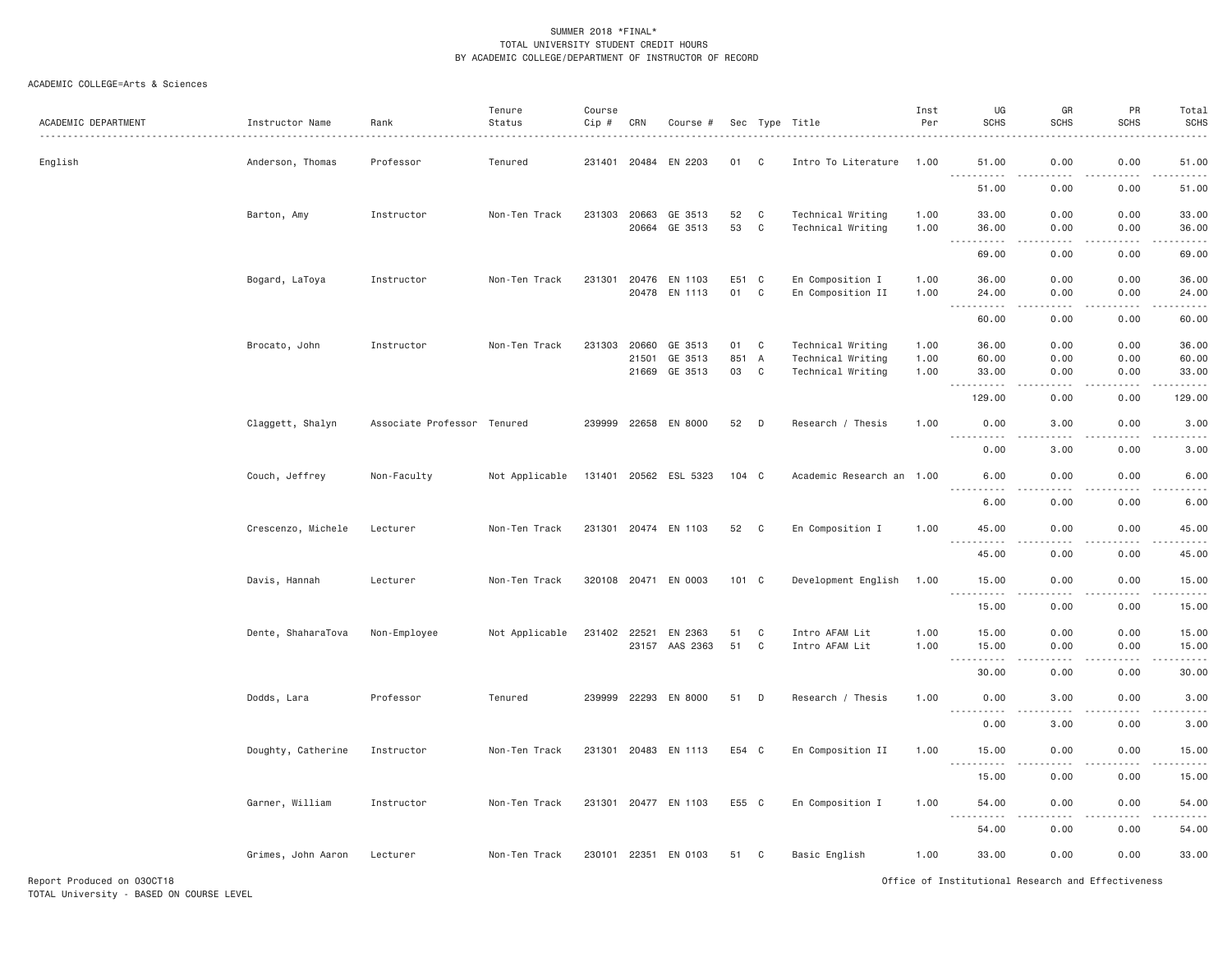| ACADEMIC DEPARTMENT | Instructor Name    | Rank                        | Tenure<br>Status | Course<br>Cip # | CRN   | Course #              |               |              | Sec Type Title            | Inst<br>Per | UG<br><b>SCHS</b>                                                                                                                      | GR<br><b>SCHS</b>                   | PR<br><b>SCHS</b> | Total<br><b>SCHS</b><br>.                   |
|---------------------|--------------------|-----------------------------|------------------|-----------------|-------|-----------------------|---------------|--------------|---------------------------|-------------|----------------------------------------------------------------------------------------------------------------------------------------|-------------------------------------|-------------------|---------------------------------------------|
| English             | Anderson, Thomas   | Professor                   | Tenured          |                 |       | 231401 20484 EN 2203  | 01            | C            | Intro To Literature       | 1.00        | 51.00                                                                                                                                  | 0.00                                | 0.00              | 51.00                                       |
|                     |                    |                             |                  |                 |       |                       |               |              |                           |             | 51.00                                                                                                                                  | 0.00                                | 0.00              | 51.00                                       |
|                     | Barton, Amy        | Instructor                  | Non-Ten Track    | 231303          | 20663 | GE 3513               | 52            | C            | Technical Writing         | 1.00        | 33.00                                                                                                                                  | 0.00                                | 0.00              | 33.00                                       |
|                     |                    |                             |                  |                 | 20664 | GE 3513               | 53            | $\mathbf c$  | Technical Writing         | 1.00        | 36.00<br>.                                                                                                                             | 0.00<br>.                           | 0.00<br>.         | 36.00<br>.                                  |
|                     |                    |                             |                  |                 |       |                       |               |              |                           |             | 69.00                                                                                                                                  | 0.00                                | 0.00              | 69.00                                       |
|                     | Bogard, LaToya     | Instructor                  | Non-Ten Track    | 231301          | 20476 | EN 1103               | E51           | $\mathbf{C}$ | En Composition I          | 1.00        | 36.00                                                                                                                                  | 0.00                                | 0.00              | 36.00                                       |
|                     |                    |                             |                  |                 | 20478 | EN 1113               | 01            | $\mathbf c$  | En Composition II         | 1.00        | 24.00<br>$\sim$ $\sim$ $\sim$<br>. <u>.</u>                                                                                            | 0.00<br>$- - - -$                   | 0.00<br>.         | 24.00<br>.                                  |
|                     |                    |                             |                  |                 |       |                       |               |              |                           |             | 60.00                                                                                                                                  | 0.00                                | 0.00              | 60.00                                       |
|                     | Brocato, John      | Instructor                  | Non-Ten Track    | 231303          | 20660 | GE 3513               | 01            | C            | Technical Writing         | 1.00        | 36.00                                                                                                                                  | 0.00                                | 0.00              | 36.00                                       |
|                     |                    |                             |                  |                 | 21501 | GE 3513               | 851           | A            | Technical Writing         | 1.00        | 60.00                                                                                                                                  | 0.00                                | 0.00              | 60.00                                       |
|                     |                    |                             |                  |                 | 21669 | GE 3513               | 03            | $\mathbb C$  | Technical Writing         | 1.00        | 33.00                                                                                                                                  | 0.00                                | 0.00              | 33.00<br>.                                  |
|                     |                    |                             |                  |                 |       |                       |               |              |                           |             | 129.00                                                                                                                                 | 0.00                                | 0.00              | 129.00                                      |
|                     | Claggett, Shalyn   | Associate Professor Tenured |                  |                 |       | 239999 22658 EN 8000  | 52            | D            | Research / Thesis         | 1.00        | 0.00<br>$\frac{1}{2} \left( \frac{1}{2} \right) \left( \frac{1}{2} \right) \left( \frac{1}{2} \right) \left( \frac{1}{2} \right)$<br>. | 3.00<br>$\frac{1}{2}$               | 0.00<br>.         | 3.00<br>$- - - - -$                         |
|                     |                    |                             |                  |                 |       |                       |               |              |                           |             | 0.00                                                                                                                                   | 3.00                                | 0.00              | 3.00                                        |
|                     | Couch, Jeffrey     | Non-Faculty                 | Not Applicable   |                 |       | 131401 20562 ESL 5323 | $104 \quad C$ |              | Academic Research an 1.00 |             | 6.00<br><u>.</u>                                                                                                                       | 0.00<br>$\frac{1}{2}$               | 0.00<br>.         | 6.00<br>$\frac{1}{2}$                       |
|                     |                    |                             |                  |                 |       |                       |               |              |                           |             | 6.00                                                                                                                                   | 0.00                                | 0.00              | 6.00                                        |
|                     | Crescenzo, Michele | Lecturer                    | Non-Ten Track    |                 |       | 231301 20474 EN 1103  | 52            | C            | En Composition I          | 1.00        | 45.00                                                                                                                                  | 0.00                                | 0.00              | 45.00                                       |
|                     |                    |                             |                  |                 |       |                       |               |              |                           |             | 45.00                                                                                                                                  | 0.00                                | 0.00              | 45.00                                       |
|                     | Davis, Hannah      | Lecturer                    | Non-Ten Track    |                 |       | 320108 20471 EN 0003  | 101 C         |              | Development English       | 1.00        | 15.00                                                                                                                                  | 0.00                                | 0.00              | 15.00                                       |
|                     |                    |                             |                  |                 |       |                       |               |              |                           |             | $\sim$ $\sim$ $\sim$<br>.<br>15.00                                                                                                     | 0.00                                | 0.00              | $\sim$ $\sim$ $\sim$ $\sim$ $\sim$<br>15.00 |
|                     | Dente, ShaharaTova | Non-Employee                | Not Applicable   | 231402 22521    |       | EN 2363               | 51            | C            | Intro AFAM Lit            | 1.00        | 15.00                                                                                                                                  | 0.00                                | 0.00              | 15.00                                       |
|                     |                    |                             |                  |                 |       | 23157 AAS 2363        | 51            | C            | Intro AFAM Lit            | 1.00        | 15.00                                                                                                                                  | 0.00                                | 0.00              | 15.00                                       |
|                     |                    |                             |                  |                 |       |                       |               |              |                           |             | <b></b><br>30.00                                                                                                                       | د د د د<br>0.00                     | .<br>0.00         | .<br>30.00                                  |
|                     | Dodds, Lara        | Professor                   | Tenured          | 239999 22293    |       | EN 8000               | 51            | D            | Research / Thesis         | 1.00        | 0.00                                                                                                                                   | 3.00                                | 0.00              | 3.00                                        |
|                     |                    |                             |                  |                 |       |                       |               |              |                           |             | <u>.</u><br>0.00                                                                                                                       | $\sim$ $\sim$ $\sim$ $\sim$<br>3.00 | .<br>0.00         | $    -$<br>3.00                             |
|                     | Doughty, Catherine | Instructor                  | Non-Ten Track    | 231301          |       | 20483 EN 1113         | E54 C         |              | En Composition II         | 1.00        | 15.00                                                                                                                                  | 0.00                                | 0.00              | 15.00                                       |
|                     |                    |                             |                  |                 |       |                       |               |              |                           |             | $- - -$<br>.<br>15.00                                                                                                                  | 0.00                                | $- - - -$<br>0.00 | .<br>15.00                                  |
|                     | Garner, William    | Instructor                  | Non-Ten Track    |                 |       | 231301 20477 EN 1103  | E55 C         |              | En Composition I          | 1.00        | 54.00                                                                                                                                  | 0.00                                | 0.00              | 54.00                                       |
|                     |                    |                             |                  |                 |       |                       |               |              |                           |             | $\sim$ $\sim$ $\sim$<br>54.00                                                                                                          | 0.00                                | 0.00              | 54.00                                       |
|                     | Grimes, John Aaron | Lecturer                    | Non-Ten Track    |                 |       | 230101 22351 EN 0103  | 51 C          |              | Basic English             | 1.00        | 33.00                                                                                                                                  | 0.00                                | 0.00              | 33.00                                       |
|                     |                    |                             |                  |                 |       |                       |               |              |                           |             |                                                                                                                                        |                                     |                   |                                             |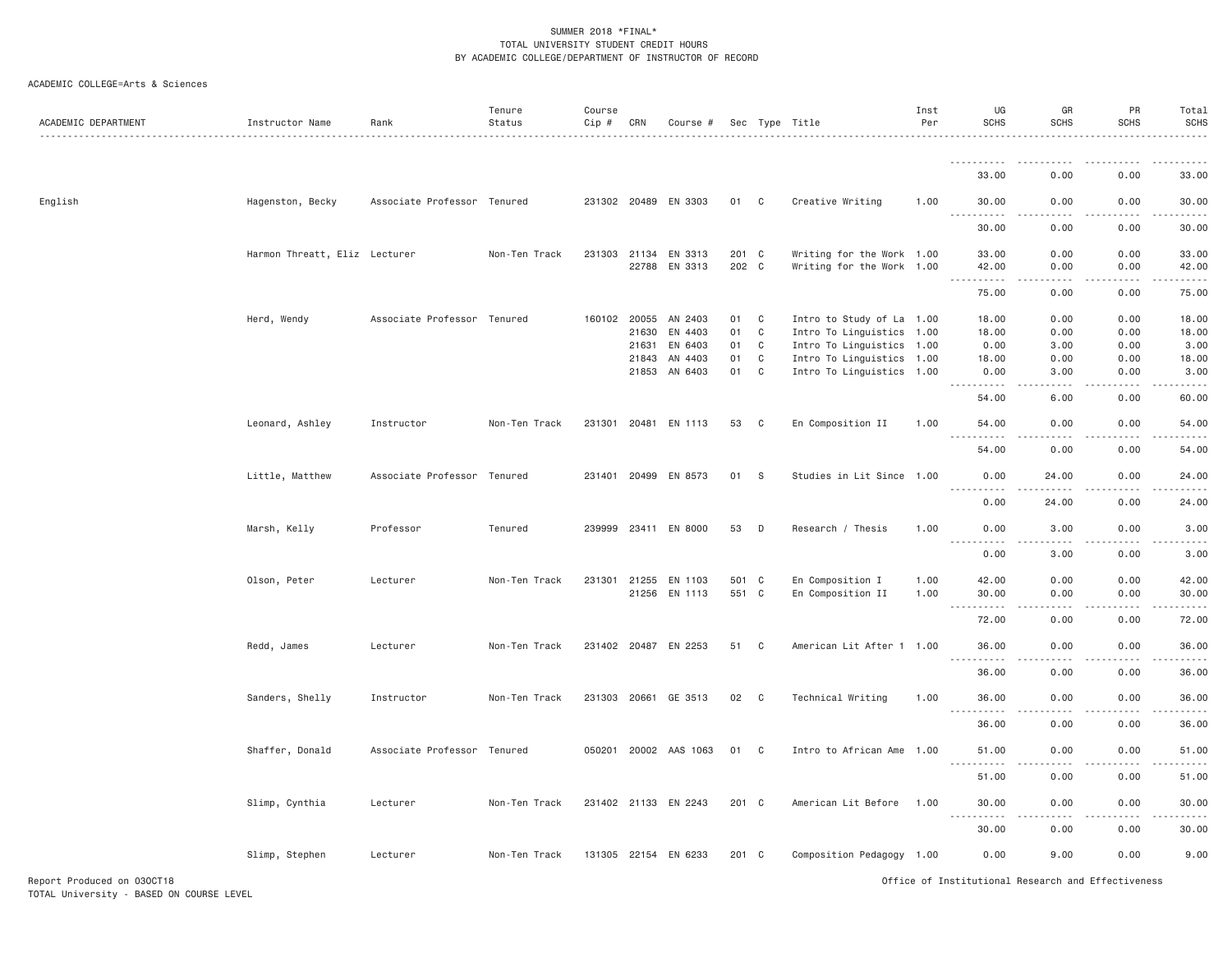| ACADEMIC DEPARTMENT        | Instructor Name               | Rank                        | Tenure<br>Status | Course<br>Cip # | CRN                   | Course #              |                |                | Sec Type Title                                         | Inst<br>Per | UG<br><b>SCHS</b>                                                                                                                                                                            | GR<br><b>SCHS</b>            | PR<br><b>SCHS</b> | Total<br><b>SCHS</b> |
|----------------------------|-------------------------------|-----------------------------|------------------|-----------------|-----------------------|-----------------------|----------------|----------------|--------------------------------------------------------|-------------|----------------------------------------------------------------------------------------------------------------------------------------------------------------------------------------------|------------------------------|-------------------|----------------------|
|                            |                               |                             |                  |                 |                       |                       |                |                |                                                        |             | ----------                                                                                                                                                                                   |                              | .                 |                      |
|                            |                               |                             |                  |                 |                       |                       |                |                |                                                        |             | 33.00                                                                                                                                                                                        | 0.00                         | 0.00              | 33.00                |
| English                    | Hagenston, Becky              | Associate Professor Tenured |                  |                 |                       | 231302 20489 EN 3303  | 01 C           |                | Creative Writing                                       | 1.00        | 30.00<br>$- - - - -$                                                                                                                                                                         | 0.00<br>.                    | 0.00<br>.         | 30.00                |
|                            |                               |                             |                  |                 |                       |                       |                |                |                                                        |             | 30.00                                                                                                                                                                                        | 0.00                         | 0.00              | 30.00                |
|                            | Harmon Threatt, Eliz Lecturer |                             | Non-Ten Track    |                 | 231303 21134<br>22788 | EN 3313<br>EN 3313    | 201 C<br>202 C |                | Writing for the Work 1.00<br>Writing for the Work 1.00 |             | 33.00<br>42.00                                                                                                                                                                               | 0.00<br>0.00                 | 0.00<br>0.00      | 33.00<br>42.00       |
|                            |                               |                             |                  |                 |                       |                       |                |                |                                                        |             | .<br>75.00                                                                                                                                                                                   | .<br>0.00                    | .<br>0.00         | .<br>75.00           |
|                            | Herd, Wendy                   | Associate Professor Tenured |                  |                 | 160102 20055          | AN 2403               | 01             | C              | Intro to Study of La 1.00                              |             | 18.00                                                                                                                                                                                        | 0.00                         | 0.00              | 18.00                |
|                            |                               |                             |                  |                 |                       | EN 4403               |                |                |                                                        |             |                                                                                                                                                                                              | 0.00                         |                   |                      |
|                            |                               |                             |                  |                 | 21630                 |                       | 01             | C              | Intro To Linguistics 1.00                              |             | 18.00                                                                                                                                                                                        |                              | 0.00              | 18.00                |
|                            |                               |                             |                  |                 | 21631                 | EN 6403               | 01             | C              | Intro To Linguistics 1.00                              |             | 0.00                                                                                                                                                                                         | 3.00                         | 0.00              | 3.00                 |
|                            |                               |                             |                  |                 | 21843                 | AN 4403               | 01             | $\mathbf c$    | Intro To Linguistics                                   | 1.00        | 18.00                                                                                                                                                                                        | 0.00                         | 0.00              | 18.00                |
|                            |                               |                             |                  |                 | 21853                 | AN 6403               | 01             | C              | Intro To Linguistics 1.00                              |             | 0.00                                                                                                                                                                                         | 3,00<br>.                    | 0.00<br>-----     | 3.00<br>.            |
|                            |                               |                             |                  |                 |                       |                       |                |                |                                                        |             | 54.00                                                                                                                                                                                        | 6.00                         | 0.00              | 60.00                |
|                            | Leonard, Ashley               | Instructor                  | Non-Ten Track    |                 |                       | 231301 20481 EN 1113  | 53             | C <sub>c</sub> | En Composition II                                      | 1.00        | 54.00                                                                                                                                                                                        | 0.00                         | 0.00              | 54.00                |
|                            |                               |                             |                  |                 |                       |                       |                |                |                                                        |             | 54.00                                                                                                                                                                                        | 0.00                         | 0.00              | 54.00                |
|                            | Little, Matthew               | Associate Professor Tenured |                  |                 | 231401 20499          | EN 8573               | 01             | S              | Studies in Lit Since 1.00                              |             | 0.00                                                                                                                                                                                         | 24.00                        | 0.00<br>د د د د   | 24.00                |
|                            |                               |                             |                  |                 |                       |                       |                |                |                                                        |             | 0.00                                                                                                                                                                                         | 24.00                        | 0.00              | 24.00                |
|                            | Marsh, Kelly                  | Professor                   | Tenured          |                 |                       | 239999 23411 EN 8000  | 53             | D              | Research / Thesis                                      | 1.00        | 0.00<br>.<br>$\frac{1}{2} \left( \frac{1}{2} \right) \left( \frac{1}{2} \right) \left( \frac{1}{2} \right) \left( \frac{1}{2} \right)$                                                       | 3.00<br>$\sim$ $\sim$ $\sim$ | 0.00<br>.         | 3.00                 |
|                            |                               |                             |                  |                 |                       |                       |                |                |                                                        |             | 0.00                                                                                                                                                                                         | 3.00                         | 0.00              | 3.00                 |
|                            | Olson, Peter                  | Lecturer                    | Non-Ten Track    |                 |                       | 231301 21255 EN 1103  | 501 C          |                | En Composition I                                       | 1.00        | 42.00                                                                                                                                                                                        | 0.00                         | 0.00              | 42.00                |
|                            |                               |                             |                  |                 |                       | 21256 EN 1113         | 551 C          |                | En Composition II                                      | 1.00        | 30.00                                                                                                                                                                                        | 0.00                         | 0.00              | 30.00                |
|                            |                               |                             |                  |                 |                       |                       |                |                |                                                        |             | $\sim$ $\sim$ $\sim$<br>$- - - -$                                                                                                                                                            |                              |                   |                      |
|                            |                               |                             |                  |                 |                       |                       |                |                |                                                        |             | 72.00                                                                                                                                                                                        | 0.00                         | 0.00              | 72.00                |
|                            | Redd, James                   | Lecturer                    | Non-Ten Track    |                 |                       | 231402 20487 EN 2253  | 51             | C <sub>1</sub> | American Lit After 1 1.00                              |             | 36,00                                                                                                                                                                                        | 0.00                         | 0.00              | 36.00                |
|                            |                               |                             |                  |                 |                       |                       |                |                |                                                        |             | 36.00                                                                                                                                                                                        | 0.00                         | 0.00              | 36.00                |
|                            | Sanders, Shelly               | Instructor                  | Non-Ten Track    |                 | 231303 20661          | GE 3513               | 02             | $\mathbf{C}$   | Technical Writing                                      | 1.00        | 36.00                                                                                                                                                                                        | 0.00                         | 0.00              | 36.00                |
|                            |                               |                             |                  |                 |                       |                       |                |                |                                                        |             | 36.00                                                                                                                                                                                        | 0.00                         | 0.00              | 36.00                |
|                            | Shaffer, Donald               | Associate Professor Tenured |                  |                 |                       | 050201 20002 AAS 1063 | 01             | C              | Intro to African Ame                                   | 1.00        | 51.00<br>$\sim$ $\sim$ $\sim$ $\sim$<br>$\frac{1}{2} \left( \frac{1}{2} \right) \left( \frac{1}{2} \right) \left( \frac{1}{2} \right) \left( \frac{1}{2} \right) \left( \frac{1}{2} \right)$ | 0.00                         | 0.00              | 51.00                |
|                            |                               |                             |                  |                 |                       |                       |                |                |                                                        |             | 51.00                                                                                                                                                                                        | 0.00                         | 0.00              | 51.00                |
|                            | Slimp, Cynthia                | Lecturer                    | Non-Ten Track    |                 |                       | 231402 21133 EN 2243  | 201 C          |                | American Lit Before                                    | 1.00        | 30.00                                                                                                                                                                                        | 0.00                         | 0.00              | 30.00                |
|                            |                               |                             |                  |                 |                       |                       |                |                |                                                        |             | 30.00                                                                                                                                                                                        | 0.00                         | 0.00              | 30.00                |
|                            | Slimp, Stephen                | Lecturer                    | Non-Ten Track    |                 |                       | 131305 22154 EN 6233  | 201 C          |                | Composition Pedagogy 1.00                              |             | 0.00                                                                                                                                                                                         | 9.00                         | 0.00              | 9.00                 |
| Report Produced on 030CT18 |                               |                             |                  |                 |                       |                       |                |                |                                                        |             | Office of Institutional Research and Effectiveness                                                                                                                                           |                              |                   |                      |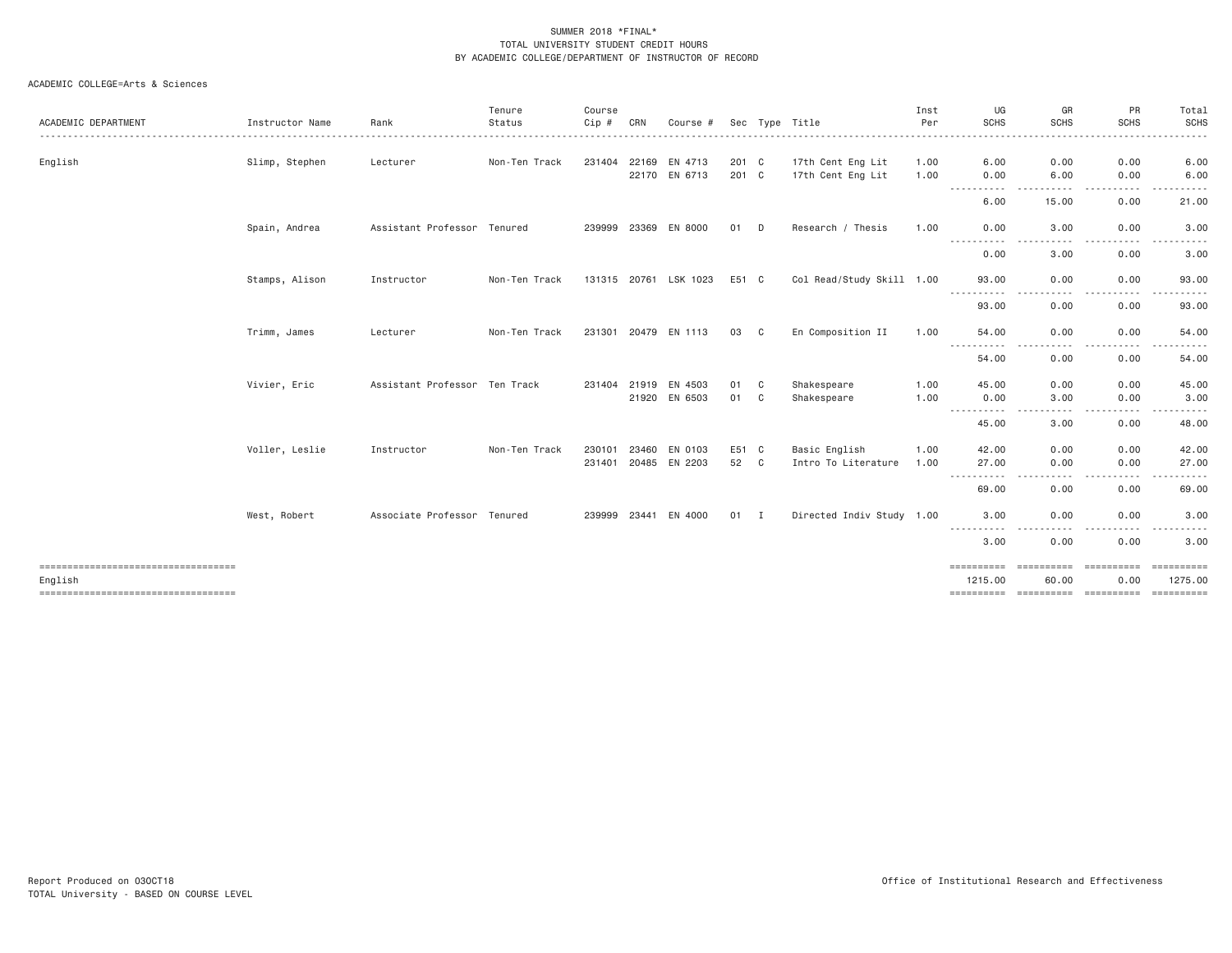|                                      |                 |                               | Tenure        | Course  |              |                       |       |                |                           | Inst | UG                  | GR                                                                                                                                | PR                                                                                                                                                                                                  | Total                          |
|--------------------------------------|-----------------|-------------------------------|---------------|---------|--------------|-----------------------|-------|----------------|---------------------------|------|---------------------|-----------------------------------------------------------------------------------------------------------------------------------|-----------------------------------------------------------------------------------------------------------------------------------------------------------------------------------------------------|--------------------------------|
| ACADEMIC DEPARTMENT                  | Instructor Name | Rank                          | Status        | $Cip$ # | CRN          | Course #              | Sec   |                | Tvpe Title                | Per  | <b>SCHS</b>         | <b>SCHS</b>                                                                                                                       | <b>SCHS</b>                                                                                                                                                                                         | <b>SCHS</b>                    |
| English                              | Slimp, Stephen  | Lecturer                      | Non-Ten Track |         |              | 231404 22169 EN 4713  | 201 C |                | 17th Cent Eng Lit         | 1.00 | 6.00                | 0.00                                                                                                                              | 0.00                                                                                                                                                                                                | 6.00                           |
|                                      |                 |                               |               |         |              | 22170 EN 6713         | 201 C |                | 17th Cent Eng Lit         | 1.00 | 0.00<br>----------  | 6.00<br>-----                                                                                                                     | 0.00<br>-----<br>$\frac{1}{2} \left( \frac{1}{2} \right) \left( \frac{1}{2} \right) \left( \frac{1}{2} \right)$                                                                                     | 6.00<br>.                      |
|                                      |                 |                               |               |         |              |                       |       |                |                           |      | 6.00                | 15.00                                                                                                                             | 0.00                                                                                                                                                                                                | 21.00                          |
|                                      | Spain, Andrea   | Assistant Professor Tenured   |               |         |              | 239999 23369 EN 8000  | 01    | D              | Research / Thesis         | 1,00 | 0.00<br>.           | 3,00<br>.                                                                                                                         | 0.00                                                                                                                                                                                                | 3.00                           |
|                                      |                 |                               |               |         |              |                       |       |                |                           |      | 0.00                | 3.00                                                                                                                              | 0.00                                                                                                                                                                                                | 3.00                           |
|                                      | Stamps, Alison  | Instructor                    | Non-Ten Track |         |              | 131315 20761 LSK 1023 | E51 C |                | Col Read/Study Skill 1.00 |      | 93,00               | 0.00                                                                                                                              | 0.00                                                                                                                                                                                                | 93.00                          |
|                                      |                 |                               |               |         |              |                       |       |                |                           |      | 93.00               | 0.00                                                                                                                              | 0.00                                                                                                                                                                                                | 93.00                          |
|                                      | Trimm, James    | Lecturer                      | Non-Ten Track |         |              | 231301 20479 EN 1113  | 03 C  |                | En Composition II         | 1.00 | 54,00               | 0.00                                                                                                                              | 0.00                                                                                                                                                                                                | 54.00                          |
|                                      |                 |                               |               |         |              |                       |       |                |                           |      | .<br>54.00          | $\frac{1}{2} \left( \frac{1}{2} \right) \left( \frac{1}{2} \right) \left( \frac{1}{2} \right) \left( \frac{1}{2} \right)$<br>0.00 | .<br>$- - -$<br>0.00                                                                                                                                                                                | .<br>54.00                     |
|                                      | Vivier, Eric    | Assistant Professor Ten Track |               |         | 231404 21919 | EN 4503               | 01    | C              | Shakespeare               | 1.00 | 45.00               | 0.00                                                                                                                              | 0.00                                                                                                                                                                                                | 45.00                          |
|                                      |                 |                               |               |         |              | 21920 EN 6503         | 01    | C <sub>1</sub> | Shakespeare               | 1.00 | 0.00                | 3,00                                                                                                                              | 0.00                                                                                                                                                                                                | 3.00                           |
|                                      |                 |                               |               |         |              |                       |       |                |                           |      | -----<br>45.00      | $\cdots$<br>3.00                                                                                                                  | $\frac{1}{2} \left( \frac{1}{2} \right) \left( \frac{1}{2} \right) \left( \frac{1}{2} \right)$<br>.<br>0.00                                                                                         | <u>.</u><br>48.00              |
|                                      | Voller, Leslie  | Instructor                    | Non-Ten Track | 230101  | 23460        | EN 0103               | E51 C |                | Basic English             | 1.00 | 42.00               | 0.00                                                                                                                              | 0.00                                                                                                                                                                                                | 42.00                          |
|                                      |                 |                               |               |         |              | 231401 20485 EN 2203  | 52    | C              | Intro To Literature       | 1.00 | 27.00               | 0.00                                                                                                                              | 0.00                                                                                                                                                                                                | 27.00                          |
|                                      |                 |                               |               |         |              |                       |       |                |                           |      | . <u>.</u><br>69.00 | 0.00                                                                                                                              | 0.00                                                                                                                                                                                                | 69.00                          |
|                                      | West, Robert    | Associate Professor Tenured   |               |         |              | 239999 23441 EN 4000  | 01 I  |                | Directed Indiv Study 1.00 |      | 3.00                | 0.00                                                                                                                              | 0.00                                                                                                                                                                                                | 3.00                           |
|                                      |                 |                               |               |         |              |                       |       |                |                           |      | -----------<br>3.00 | $\frac{1}{2} \left( \frac{1}{2} \right) \left( \frac{1}{2} \right) \left( \frac{1}{2} \right) \left( \frac{1}{2} \right)$<br>0.00 | $\frac{1}{2} \left( \frac{1}{2} \right) \left( \frac{1}{2} \right) \left( \frac{1}{2} \right) \left( \frac{1}{2} \right) \left( \frac{1}{2} \right) \left( \frac{1}{2} \right)$<br>$\cdots$<br>0.00 | .<br>$\cdots$<br>3.00          |
| ==================================== |                 |                               |               |         |              |                       |       |                |                           |      | ==========          | <b>CONSIDERED</b>                                                                                                                 | ==========                                                                                                                                                                                          | ESSESSESS                      |
| English                              |                 |                               |               |         |              |                       |       |                |                           |      | 1215.00             | 60.00                                                                                                                             | 0.00                                                                                                                                                                                                | 1275.00<br>- = = = = = = = = = |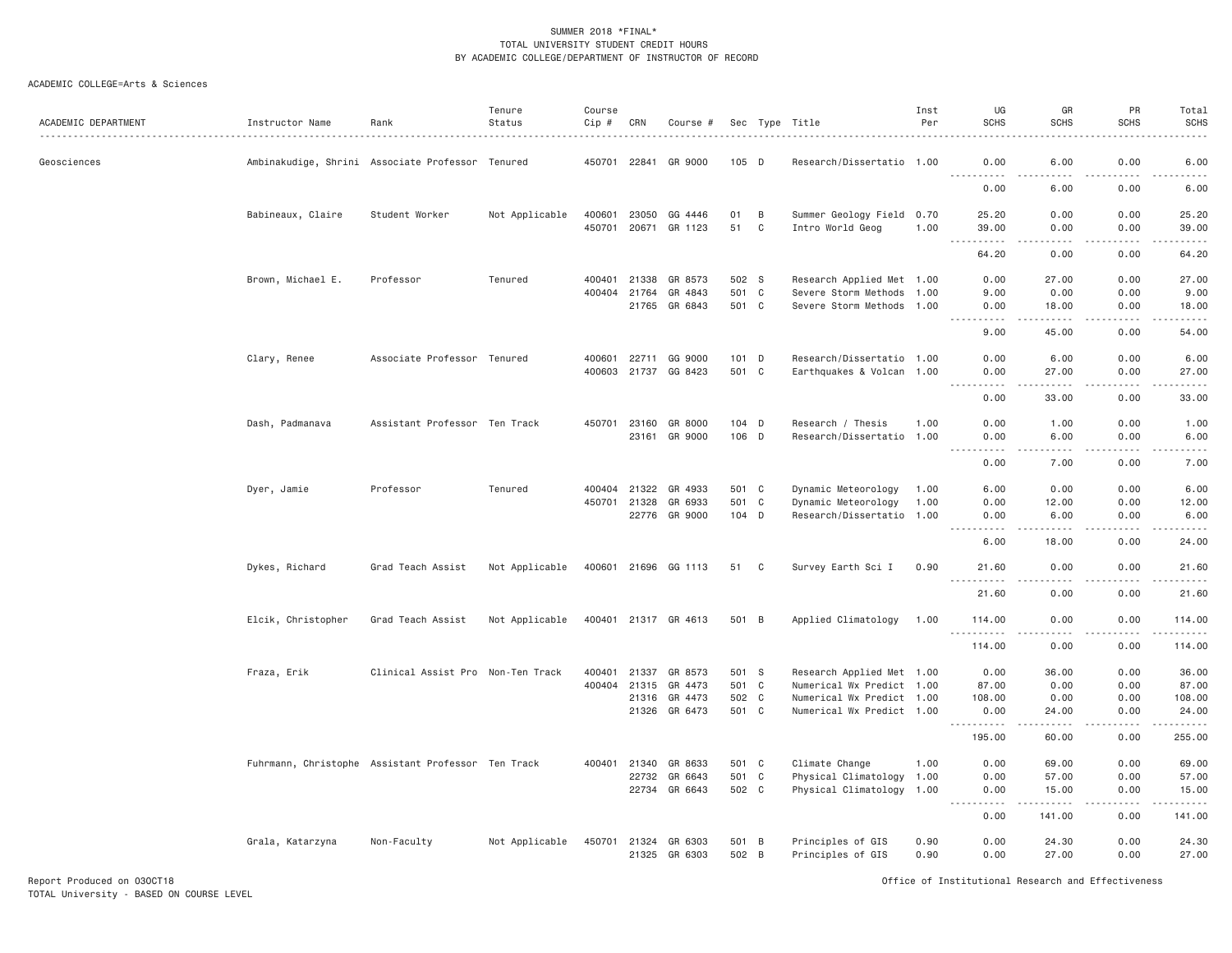#### ACADEMIC COLLEGE=Arts & Sciences

| ACADEMIC DEPARTMENT | Instructor Name    | Rank                                               | Tenure<br>Status | Course<br>$Cip \#$ | CRN          | Course #             |         |              | Sec Type Title            | Inst<br>Per | UG<br><b>SCHS</b>                                                                                                                                                                                                                                                                                                                                                                                 | GR<br><b>SCHS</b>            | PR<br><b>SCHS</b>     | Total<br><b>SCHS</b>                                                                                                              |
|---------------------|--------------------|----------------------------------------------------|------------------|--------------------|--------------|----------------------|---------|--------------|---------------------------|-------------|---------------------------------------------------------------------------------------------------------------------------------------------------------------------------------------------------------------------------------------------------------------------------------------------------------------------------------------------------------------------------------------------------|------------------------------|-----------------------|-----------------------------------------------------------------------------------------------------------------------------------|
| Geosciences         |                    | Ambinakudige, Shrini Associate Professor Tenured   |                  |                    | 450701 22841 | GR 9000              | 105 D   |              | Research/Dissertatio 1.00 |             | 0.00<br><u>.</u>                                                                                                                                                                                                                                                                                                                                                                                  | 6.00<br>.                    | 0.00<br>.             | 6.00<br>$\frac{1}{2} \left( \frac{1}{2} \right) \left( \frac{1}{2} \right) \left( \frac{1}{2} \right) \left( \frac{1}{2} \right)$ |
|                     |                    |                                                    |                  |                    |              |                      |         |              |                           |             | 0.00                                                                                                                                                                                                                                                                                                                                                                                              | 6.00                         | 0.00                  | 6.00                                                                                                                              |
|                     | Babineaux, Claire  | Student Worker                                     | Not Applicable   |                    | 400601 23050 | GG 4446              | 01      | B            | Summer Geology Field 0.70 |             | 25.20                                                                                                                                                                                                                                                                                                                                                                                             | 0.00                         | 0.00                  | 25.20                                                                                                                             |
|                     |                    |                                                    |                  |                    |              | 450701 20671 GR 1123 | 51      | C            | Intro World Geog          | 1.00        | 39.00<br>$\sim$ $\sim$ .<br>.                                                                                                                                                                                                                                                                                                                                                                     | 0.00<br>$\sim$ $\sim$ $\sim$ | 0.00<br>$   -$        | 39.00<br>$\omega_{\rm c}$ and $\omega_{\rm c}$                                                                                    |
|                     |                    |                                                    |                  |                    |              |                      |         |              |                           |             | 64.20                                                                                                                                                                                                                                                                                                                                                                                             | 0.00                         | 0.00                  | 64.20                                                                                                                             |
|                     | Brown, Michael E.  | Professor                                          | Tenured          |                    |              | 400401 21338 GR 8573 | 502 S   |              | Research Applied Met 1.00 |             | 0.00                                                                                                                                                                                                                                                                                                                                                                                              | 27.00                        | 0.00                  | 27.00                                                                                                                             |
|                     |                    |                                                    |                  |                    | 400404 21764 | GR 4843              | 501     | $\mathbf{C}$ | Severe Storm Methods 1.00 |             | 9.00                                                                                                                                                                                                                                                                                                                                                                                              | 0.00                         | 0.00                  | 9.00                                                                                                                              |
|                     |                    |                                                    |                  |                    | 21765        | GR 6843              | 501 C   |              | Severe Storm Methods 1.00 |             | 0.00<br>.                                                                                                                                                                                                                                                                                                                                                                                         | 18.00<br>.                   | 0.00<br>22222         | 18.00<br>.                                                                                                                        |
|                     |                    |                                                    |                  |                    |              |                      |         |              |                           |             | 9.00                                                                                                                                                                                                                                                                                                                                                                                              | 45.00                        | 0.00                  | 54.00                                                                                                                             |
|                     | Clary, Renee       | Associate Professor Tenured                        |                  |                    | 400601 22711 | GG 9000              | 101 D   |              | Research/Dissertatio 1.00 |             | 0.00                                                                                                                                                                                                                                                                                                                                                                                              | 6.00                         | 0.00                  | 6.00                                                                                                                              |
|                     |                    |                                                    |                  |                    |              | 400603 21737 GG 8423 | 501 C   |              | Earthquakes & Volcan 1.00 |             | 0.00<br>$\frac{1}{2}$<br>. <u>.</u>                                                                                                                                                                                                                                                                                                                                                               | 27.00<br>. <u>.</u>          | 0.00<br>$- - - - -$   | 27.00<br>.                                                                                                                        |
|                     |                    |                                                    |                  |                    |              |                      |         |              |                           |             | 0.00                                                                                                                                                                                                                                                                                                                                                                                              | 33.00                        | 0.00                  | 33.00                                                                                                                             |
|                     | Dash, Padmanava    | Assistant Professor Ten Track                      |                  |                    |              | 450701 23160 GR 8000 | $104$ D |              | Research / Thesis         | 1.00        | 0.00                                                                                                                                                                                                                                                                                                                                                                                              | 1.00                         | 0.00                  | 1.00                                                                                                                              |
|                     |                    |                                                    |                  |                    |              | 23161 GR 9000        | 106 D   |              | Research/Dissertatio 1.00 |             | 0.00                                                                                                                                                                                                                                                                                                                                                                                              | 6.00                         | 0.00                  | 6.00                                                                                                                              |
|                     |                    |                                                    |                  |                    |              |                      |         |              |                           |             | $\frac{1}{2} \frac{1}{2} \frac{1}{2} \frac{1}{2} \frac{1}{2} \frac{1}{2} \frac{1}{2} \frac{1}{2} \frac{1}{2} \frac{1}{2} \frac{1}{2} \frac{1}{2} \frac{1}{2} \frac{1}{2} \frac{1}{2} \frac{1}{2} \frac{1}{2} \frac{1}{2} \frac{1}{2} \frac{1}{2} \frac{1}{2} \frac{1}{2} \frac{1}{2} \frac{1}{2} \frac{1}{2} \frac{1}{2} \frac{1}{2} \frac{1}{2} \frac{1}{2} \frac{1}{2} \frac{1}{2} \frac{$<br>. | .                            | .                     | المالم عامات                                                                                                                      |
|                     |                    |                                                    |                  |                    |              |                      |         |              |                           |             | 0.00                                                                                                                                                                                                                                                                                                                                                                                              | 7.00                         | 0.00                  | 7.00                                                                                                                              |
|                     | Dyer, Jamie        | Professor                                          | Tenured          |                    | 400404 21322 | GR 4933              | 501 C   |              | Dynamic Meteorology       | 1.00        | 6.00                                                                                                                                                                                                                                                                                                                                                                                              | 0.00                         | 0.00                  | 6.00                                                                                                                              |
|                     |                    |                                                    |                  |                    | 450701 21328 | GR 6933              | 501 C   |              | Dynamic Meteorology       | 1.00        | 0.00                                                                                                                                                                                                                                                                                                                                                                                              | 12.00                        | 0.00                  | 12.00                                                                                                                             |
|                     |                    |                                                    |                  |                    |              | 22776 GR 9000        | 104 D   |              | Research/Dissertatio 1.00 |             | 0.00<br>$\frac{1}{2} \left( \frac{1}{2} \right) \left( \frac{1}{2} \right) \left( \frac{1}{2} \right) \left( \frac{1}{2} \right) \left( \frac{1}{2} \right)$                                                                                                                                                                                                                                      | 6.00<br>$- - - - -$          | 0.00<br>.             | 6.00<br>.                                                                                                                         |
|                     |                    |                                                    |                  |                    |              |                      |         |              |                           |             | 6.00                                                                                                                                                                                                                                                                                                                                                                                              | 18.00                        | 0.00                  | 24.00                                                                                                                             |
|                     | Dykes, Richard     | Grad Teach Assist                                  | Not Applicable   |                    |              | 400601 21696 GG 1113 | 51      | C            | Survey Earth Sci I        | 0.90        | 21.60<br>.                                                                                                                                                                                                                                                                                                                                                                                        | 0.00<br>$- - - -$            | 0.00<br>.             | 21.60<br>.                                                                                                                        |
|                     |                    |                                                    |                  |                    |              |                      |         |              |                           |             | 21.60                                                                                                                                                                                                                                                                                                                                                                                             | 0.00                         | 0.00                  | 21.60                                                                                                                             |
|                     | Elcik, Christopher | Grad Teach Assist                                  | Not Applicable   |                    |              | 400401 21317 GR 4613 | 501 B   |              | Applied Climatology       | 1.00        | 114.00                                                                                                                                                                                                                                                                                                                                                                                            | 0.00                         | 0.00                  | 114.00                                                                                                                            |
|                     |                    |                                                    |                  |                    |              |                      |         |              |                           |             | $\sim$ $\sim$ $\sim$<br>.<br>114.00                                                                                                                                                                                                                                                                                                                                                               | 0.00                         | $   -$<br>0.00        | .<br>114.00                                                                                                                       |
|                     | Fraza, Erik        | Clinical Assist Pro Non-Ten Track                  |                  | 400401             | 21337        | GR 8573              | 501 S   |              | Research Applied Met 1.00 |             | 0.00                                                                                                                                                                                                                                                                                                                                                                                              | 36.00                        | 0.00                  | 36.00                                                                                                                             |
|                     |                    |                                                    |                  |                    | 400404 21315 | GR 4473              | 501 C   |              | Numerical Wx Predict 1.00 |             | 87.00                                                                                                                                                                                                                                                                                                                                                                                             | 0.00                         | 0.00                  | 87.00                                                                                                                             |
|                     |                    |                                                    |                  |                    |              | 21316 GR 4473        | 502 C   |              | Numerical Wx Predict 1.00 |             | 108.00                                                                                                                                                                                                                                                                                                                                                                                            | 0.00                         | 0.00                  | 108.00                                                                                                                            |
|                     |                    |                                                    |                  |                    | 21326        | GR 6473              | 501 C   |              | Numerical Wx Predict 1.00 |             | 0.00<br>.                                                                                                                                                                                                                                                                                                                                                                                         | 24.00<br>.                   | 0.00<br>$\frac{1}{2}$ | 24.00<br>.                                                                                                                        |
|                     |                    |                                                    |                  |                    |              |                      |         |              |                           |             | 195.00                                                                                                                                                                                                                                                                                                                                                                                            | 60.00                        | 0.00                  | 255.00                                                                                                                            |
|                     |                    | Fuhrmann, Christophe Assistant Professor Ten Track |                  |                    | 400401 21340 | GR 8633              | 501 C   |              | Climate Change            | 1.00        | 0.00                                                                                                                                                                                                                                                                                                                                                                                              | 69.00                        | 0.00                  | 69.00                                                                                                                             |
|                     |                    |                                                    |                  |                    | 22732        | GR 6643              | 501 C   |              | Physical Climatology 1.00 |             | 0.00                                                                                                                                                                                                                                                                                                                                                                                              | 57.00                        | 0.00                  | 57.00                                                                                                                             |
|                     |                    |                                                    |                  |                    | 22734        | GR 6643              | 502 C   |              | Physical Climatology 1.00 |             | 0.00<br>.                                                                                                                                                                                                                                                                                                                                                                                         | 15.00<br>.                   | 0.00<br>.             | 15.00<br>.                                                                                                                        |
|                     |                    |                                                    |                  |                    |              |                      |         |              |                           |             | 0.00                                                                                                                                                                                                                                                                                                                                                                                              | 141.00                       | 0.00                  | 141.00                                                                                                                            |
|                     | Grala, Katarzyna   | Non-Faculty                                        | Not Applicable   |                    |              | 450701 21324 GR 6303 | 501 B   |              | Principles of GIS         | 0.90        | 0.00                                                                                                                                                                                                                                                                                                                                                                                              | 24.30                        | 0.00                  | 24.30                                                                                                                             |
|                     |                    |                                                    |                  |                    |              | 21325 GR 6303        | 502 B   |              | Principles of GIS         | 0.90        | 0.00                                                                                                                                                                                                                                                                                                                                                                                              | 27.00                        | 0.00                  | 27.00                                                                                                                             |

Report Produced on 03OCT18 Office of Institutional Research and Effectiveness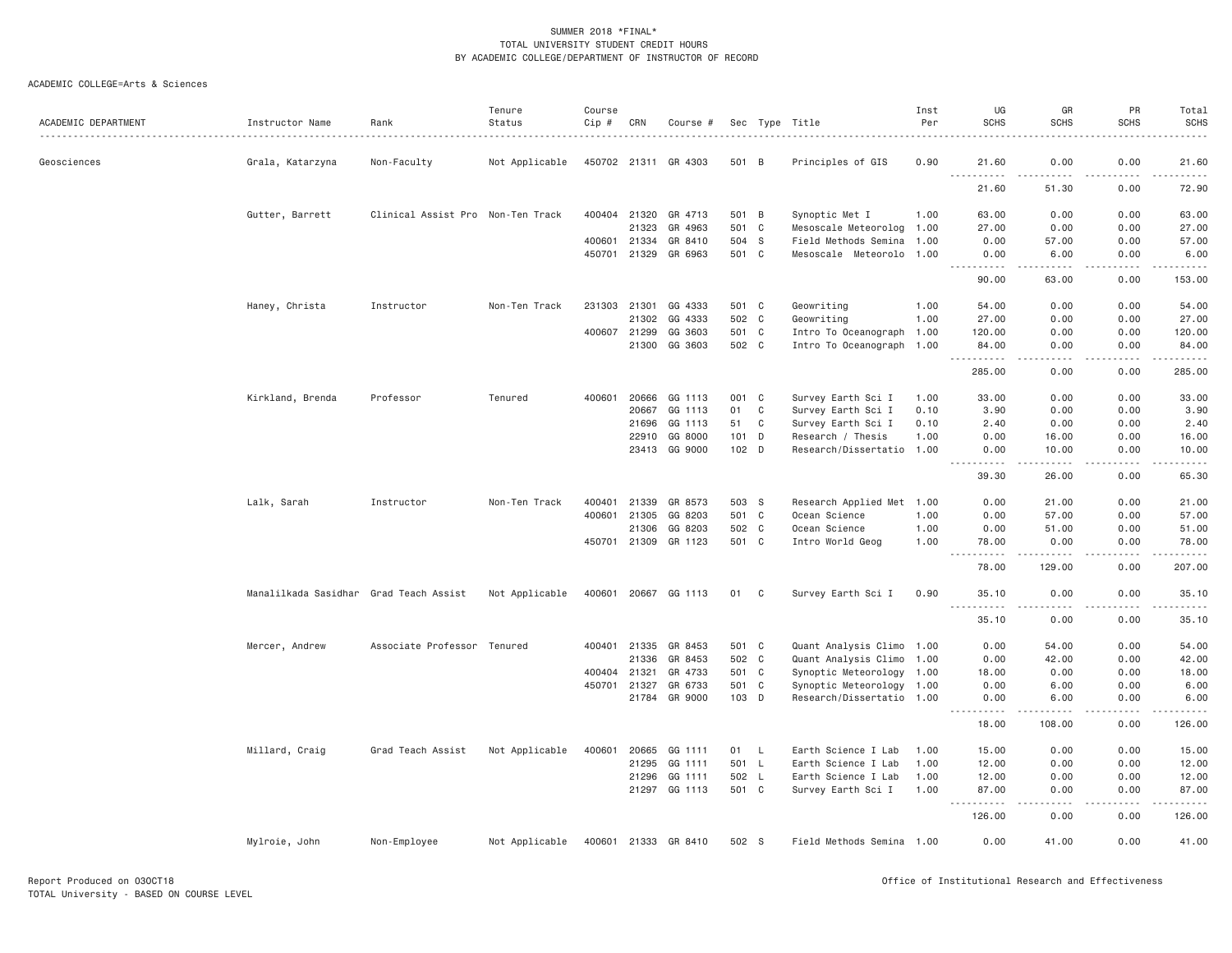|                     |                                        |                                   | Tenure         | Course       |              |                      |                  |              |                           | Inst | UG                                 | GR                                                                                                                                                            | PR                  | Total             |
|---------------------|----------------------------------------|-----------------------------------|----------------|--------------|--------------|----------------------|------------------|--------------|---------------------------|------|------------------------------------|---------------------------------------------------------------------------------------------------------------------------------------------------------------|---------------------|-------------------|
| ACADEMIC DEPARTMENT | Instructor Name                        | Rank                              | Status         | Cip #        | CRN          | Course #             |                  |              | Sec Type Title            | Per  | <b>SCHS</b>                        | <b>SCHS</b>                                                                                                                                                   | <b>SCHS</b>         | <b>SCHS</b>       |
| Geosciences         | Grala, Katarzyna                       | Non-Faculty                       | Not Applicable |              |              | 450702 21311 GR 4303 | 501 B            |              | Principles of GIS         | 0.90 | 21.60                              | 0.00                                                                                                                                                          | 0.00                | 21.60             |
|                     |                                        |                                   |                |              |              |                      |                  |              |                           |      | $\sim$ $\sim$ $\sim$<br>.<br>21.60 | $\frac{1}{2} \left( \frac{1}{2} \right) \left( \frac{1}{2} \right) \left( \frac{1}{2} \right) \left( \frac{1}{2} \right) \left( \frac{1}{2} \right)$<br>51.30 | 0.00                | .<br>72.90        |
|                     | Gutter, Barrett                        | Clinical Assist Pro Non-Ten Track |                | 400404 21320 |              | GR 4713              | 501 B            |              | Synoptic Met I            | 1.00 | 63.00                              | 0.00                                                                                                                                                          | 0.00                | 63.00             |
|                     |                                        |                                   |                |              | 21323        | GR 4963              | 501 C            |              | Mesoscale Meteorolog 1.00 |      | 27.00                              | 0.00                                                                                                                                                          | 0.00                | 27.00             |
|                     |                                        |                                   |                | 400601 21334 |              | GR 8410              | 504 S            |              | Field Methods Semina 1.00 |      | 0.00                               | 57.00                                                                                                                                                         | 0.00                | 57.00             |
|                     |                                        |                                   |                | 450701 21329 |              | GR 6963              | 501 C            |              | Mesoscale Meteorolo 1.00  |      | 0.00                               | 6.00                                                                                                                                                          | 0.00                | 6.00              |
|                     |                                        |                                   |                |              |              |                      |                  |              |                           |      | .<br>90.00                         | $\frac{1}{2}$<br>63.00                                                                                                                                        | $- - - - -$<br>0.00 | .<br>153.00       |
|                     | Haney, Christa                         | Instructor                        | Non-Ten Track  | 231303 21301 |              | GG 4333              | 501 C            |              | Geowriting                | 1.00 | 54.00                              | 0.00                                                                                                                                                          | 0.00                | 54.00             |
|                     |                                        |                                   |                |              | 21302        | GG 4333              | 502 C            |              | Geowriting                | 1.00 | 27.00                              | 0.00                                                                                                                                                          | 0.00                | 27.00             |
|                     |                                        |                                   |                | 400607 21299 |              | GG 3603              | 501 C            |              | Intro To Oceanograph 1.00 |      | 120.00                             | 0.00                                                                                                                                                          | 0.00                | 120.00            |
|                     |                                        |                                   |                |              | 21300        | GG 3603              | 502 C            |              | Intro To Oceanograph 1.00 |      | 84.00<br>$ -$<br>.                 | 0.00<br>.                                                                                                                                                     | 0.00<br>.           | 84.00<br><u>.</u> |
|                     |                                        |                                   |                |              |              |                      |                  |              |                           |      | 285.00                             | 0.00                                                                                                                                                          | 0.00                | 285.00            |
|                     | Kirkland, Brenda                       | Professor                         | Tenured        | 400601       |              | 20666 GG 1113        | 001 C            |              | Survey Earth Sci I        | 1.00 | 33.00                              | 0.00                                                                                                                                                          | 0.00                | 33.00             |
|                     |                                        |                                   |                |              | 20667        | GG 1113              | 01               | $\mathbf C$  | Survey Earth Sci I        | 0.10 | 3.90                               | 0.00                                                                                                                                                          | 0.00                | 3.90              |
|                     |                                        |                                   |                |              | 21696        | GG 1113              | 51               | C            | Survey Earth Sci I        | 0.10 | 2.40                               | 0.00                                                                                                                                                          | 0.00                | 2.40              |
|                     |                                        |                                   |                |              | 22910        | GG 8000              | 101 D            |              | Research / Thesis         | 1.00 | 0.00                               | 16.00                                                                                                                                                         | 0.00                | 16.00             |
|                     |                                        |                                   |                |              |              | 23413 GG 9000        | 102 <sub>D</sub> |              | Research/Dissertatio 1.00 |      | 0.00<br><u>.</u>                   | 10.00<br>.                                                                                                                                                    | 0.00<br>.           | 10.00<br>.        |
|                     |                                        |                                   |                |              |              |                      |                  |              |                           |      | 39.30                              | 26.00                                                                                                                                                         | 0.00                | 65.30             |
|                     | Lalk, Sarah                            | Instructor                        | Non-Ten Track  | 400401       | 21339        | GR 8573              | 503 S            |              | Research Applied Met 1.00 |      | 0.00                               | 21.00                                                                                                                                                         | 0.00                | 21.00             |
|                     |                                        |                                   |                |              | 400601 21305 | GG 8203              | 501 C            |              | Ocean Science             | 1.00 | 0.00                               | 57.00                                                                                                                                                         | 0.00                | 57.00             |
|                     |                                        |                                   |                |              | 21306        | GG 8203              | 502 C            |              | Ocean Science             | 1.00 | 0.00                               | 51.00                                                                                                                                                         | 0.00                | 51.00             |
|                     |                                        |                                   |                |              | 450701 21309 | GR 1123              | 501 C            |              | Intro World Geog          | 1.00 | 78.00<br>$\sim$ $\sim$ .           | 0.00                                                                                                                                                          | 0.00                | 78.00             |
|                     |                                        |                                   |                |              |              |                      |                  |              |                           |      | 78.00                              | 129.00                                                                                                                                                        | 0.00                | 207.00            |
|                     | Manalilkada Sasidhar Grad Teach Assist |                                   | Not Applicable |              |              | 400601 20667 GG 1113 | 01               | C            | Survey Earth Sci I        | 0.90 | 35.10                              | 0.00                                                                                                                                                          | 0.00                | 35.10             |
|                     |                                        |                                   |                |              |              |                      |                  |              |                           |      | 35.10                              | $- - - - -$<br>0.00                                                                                                                                           | .<br>0.00           | .<br>35.10        |
|                     | Mercer, Andrew                         | Associate Professor Tenured       |                |              | 400401 21335 | GR 8453              | 501 C            |              | Quant Analysis Climo 1.00 |      | 0.00                               | 54.00                                                                                                                                                         | 0.00                | 54.00             |
|                     |                                        |                                   |                |              | 21336        | GR 8453              | 502 C            |              | Quant Analysis Climo 1.00 |      | 0.00                               | 42.00                                                                                                                                                         | 0.00                | 42.00             |
|                     |                                        |                                   |                | 400404 21321 |              | GR 4733              | 501 C            |              | Synoptic Meteorology 1.00 |      | 18.00                              | 0.00                                                                                                                                                          | 0.00                | 18.00             |
|                     |                                        |                                   |                | 450701 21327 |              | GR 6733              | 501 C            |              | Synoptic Meteorology 1.00 |      | 0.00                               | 6.00                                                                                                                                                          | 0.00                | 6.00              |
|                     |                                        |                                   |                |              | 21784        | GR 9000              | 103 D            |              | Research/Dissertatio 1.00 |      | 0.00<br>.                          | 6.00<br>$\frac{1}{2} \left( \frac{1}{2} \right) \left( \frac{1}{2} \right) \left( \frac{1}{2} \right) \left( \frac{1}{2} \right) \left( \frac{1}{2} \right)$  | 0.00<br>.           | 6.00<br>.         |
|                     |                                        |                                   |                |              |              |                      |                  |              |                           |      | 18,00                              | 108,00                                                                                                                                                        | 0.00                | 126,00            |
|                     | Millard, Craig                         | Grad Teach Assist                 | Not Applicable | 400601       | 20665        | GG 1111              | 01               | $\mathsf{L}$ | Earth Science I Lab       | 1.00 | 15.00                              | 0.00                                                                                                                                                          | 0.00                | 15.00             |
|                     |                                        |                                   |                |              | 21295        | GG 1111              | 501 L            |              | Earth Science I Lab       | 1.00 | 12.00                              | 0.00                                                                                                                                                          | 0.00                | 12.00             |
|                     |                                        |                                   |                |              | 21296        | GG 1111              | 502 L            |              | Earth Science I Lab       | 1.00 | 12.00                              | 0.00                                                                                                                                                          | 0.00                | 12.00             |
|                     |                                        |                                   |                |              |              | 21297 GG 1113        | 501 C            |              | Survey Earth Sci I        | 1.00 | 87.00<br>.<br>$  -$                | 0.00<br>$- - - -$                                                                                                                                             | 0.00<br>.           | 87.00<br>.        |
|                     |                                        |                                   |                |              |              |                      |                  |              |                           |      | 126.00                             | 0.00                                                                                                                                                          | 0.00                | 126.00            |
|                     | Mylroie, John                          | Non-Employee                      | Not Applicable |              |              | 400601 21333 GR 8410 | 502 S            |              | Field Methods Semina 1.00 |      | 0.00                               | 41.00                                                                                                                                                         | 0.00                | 41.00             |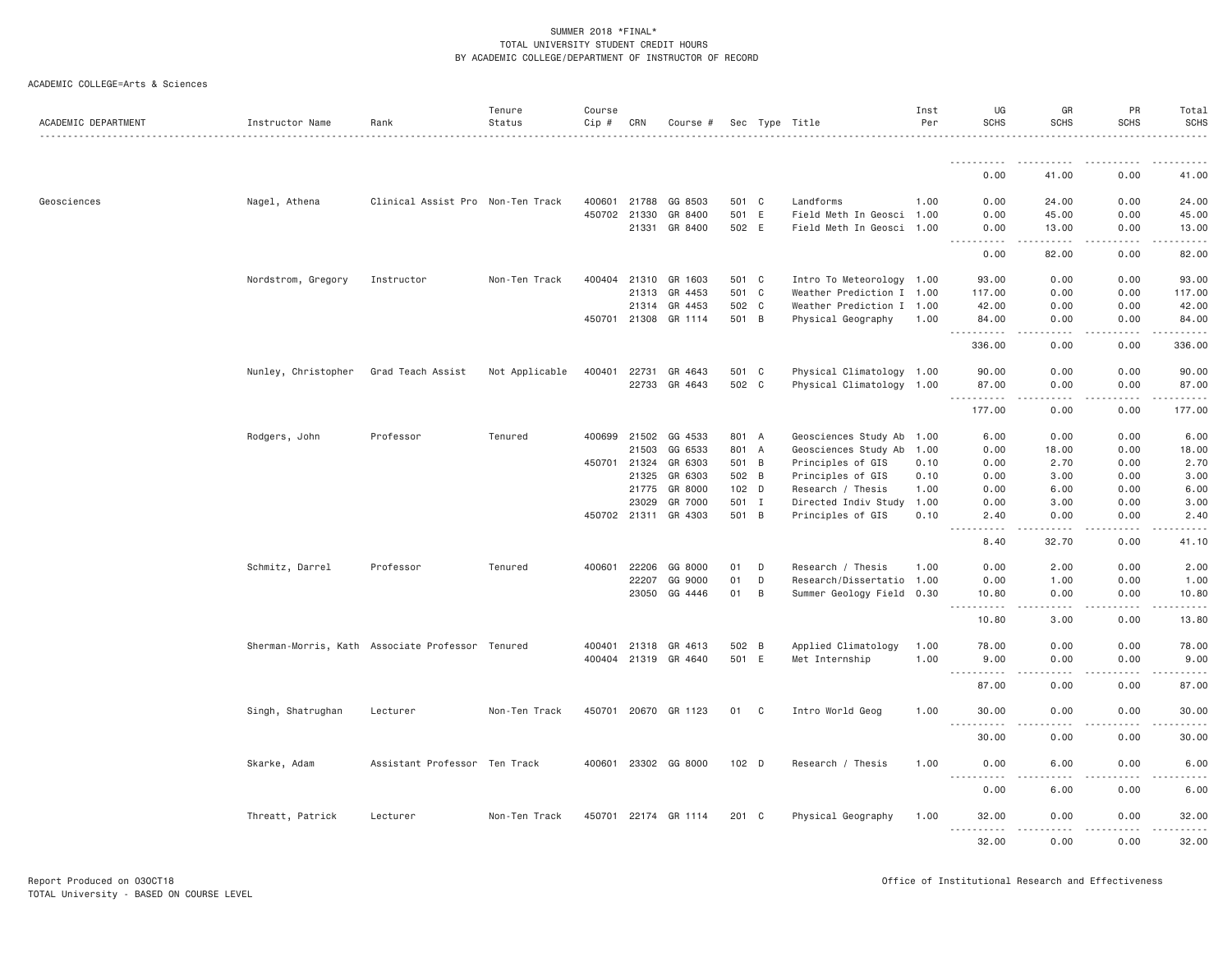| ACADEMIC DEPARTMENT | Instructor Name                                  | Rank                              | Tenure<br>Status | Course<br>Cip # | CRN          | Course #             |       |                   | Sec Type Title            | Inst<br>Per | UG<br><b>SCHS</b>                  | GR<br><b>SCHS</b>                   | PR<br><b>SCHS</b>                                                                        | Total<br><b>SCHS</b> |
|---------------------|--------------------------------------------------|-----------------------------------|------------------|-----------------|--------------|----------------------|-------|-------------------|---------------------------|-------------|------------------------------------|-------------------------------------|------------------------------------------------------------------------------------------|----------------------|
|                     |                                                  |                                   |                  |                 |              |                      |       |                   |                           |             | .                                  |                                     |                                                                                          |                      |
|                     |                                                  |                                   |                  |                 |              |                      |       |                   |                           |             | 0.00                               | 41.00                               | 0.00                                                                                     | 41.00                |
| Geosciences         | Nagel, Athena                                    | Clinical Assist Pro Non-Ten Track |                  | 400601          | 21788        | GG 8503              | 501 C |                   | Landforms                 | 1.00        | 0.00                               | 24.00                               | 0.00                                                                                     | 24.00                |
|                     |                                                  |                                   |                  |                 | 450702 21330 | GR 8400              | 501 E |                   | Field Meth In Geosci 1.00 |             | 0.00                               | 45.00                               | 0.00                                                                                     | 45.00                |
|                     |                                                  |                                   |                  |                 | 21331        | GR 8400              | 502 E |                   | Field Meth In Geosci 1.00 |             | 0.00<br><u>.</u>                   | 13.00<br>.                          | 0.00<br>$\mathbf{1} \cdot \mathbf{1} \cdot \mathbf{1} \cdot \mathbf{1} \cdot \mathbf{1}$ | 13.00<br>.           |
|                     |                                                  |                                   |                  |                 |              |                      |       |                   |                           |             | 0.00                               | 82.00                               | 0.00                                                                                     | 82.00                |
|                     | Nordstrom, Gregory                               | Instructor                        | Non-Ten Track    | 400404          | 21310        | GR 1603              | 501 C |                   | Intro To Meteorology 1.00 |             | 93.00                              | 0.00                                | 0.00                                                                                     | 93.00                |
|                     |                                                  |                                   |                  |                 | 21313        | GR 4453              | 501 C |                   | Weather Prediction I 1.00 |             | 117.00                             | 0.00                                | 0.00                                                                                     | 117.00               |
|                     |                                                  |                                   |                  |                 | 21314        | GR 4453              | 502 C |                   | Weather Prediction I 1.00 |             | 42.00                              | 0.00                                | 0.00                                                                                     | 42.00                |
|                     |                                                  |                                   |                  | 450701          | 21308        | GR 1114              | 501 B |                   | Physical Geography        | 1.00        | 84.00<br>$\sim$ $\sim$ $\sim$<br>. | 0.00<br>$\sim$ $\sim$ $\sim$ $\sim$ | 0.00                                                                                     | 84.00<br>.           |
|                     |                                                  |                                   |                  |                 |              |                      |       |                   |                           |             | 336.00                             | 0.00                                | 0.00                                                                                     | 336.00               |
|                     | Nunley, Christopher                              | Grad Teach Assist                 | Not Applicable   | 400401          | 22731        | GR 4643              | 501 C |                   | Physical Climatology 1.00 |             | 90.00                              | 0.00                                | 0.00                                                                                     | 90.00                |
|                     |                                                  |                                   |                  |                 |              | 22733 GR 4643        | 502 C |                   | Physical Climatology 1.00 |             | 87.00                              | 0.00                                | 0.00                                                                                     | 87.00                |
|                     |                                                  |                                   |                  |                 |              |                      |       |                   |                           |             | $\sim$ $\sim$<br>.<br>177.00       | $\sim$ $\sim$ $\sim$ $\sim$<br>0.00 | 0.00                                                                                     | 177.00               |
|                     | Rodgers, John                                    | Professor                         | Tenured          |                 |              | 400699 21502 GG 4533 | 801 A |                   | Geosciences Study Ab 1.00 |             | 6.00                               | 0.00                                | 0.00                                                                                     | 6.00                 |
|                     |                                                  |                                   |                  |                 | 21503        | GG 6533              | 801 A |                   | Geosciences Study Ab      | 1.00        | 0.00                               | 18.00                               | 0.00                                                                                     | 18.00                |
|                     |                                                  |                                   |                  | 450701          | 21324        | GR 6303              | 501 B |                   | Principles of GIS         | 0.10        | 0.00                               | 2.70                                | 0.00                                                                                     | 2.70                 |
|                     |                                                  |                                   |                  | 21325           | GR 6303      | 502 B                |       | Principles of GIS | 0.10                      | 0.00        | 3.00                               | 0.00                                | 3.00                                                                                     |                      |
|                     |                                                  |                                   |                  |                 | 21775        | GR 8000              | 102 D |                   | Research / Thesis         | 1.00        | 0.00                               | 6.00                                | 0.00                                                                                     | 6.00                 |
|                     |                                                  |                                   |                  |                 | 23029        | GR 7000              | 501 I |                   | Directed Indiv Study      | 1.00        | 0.00                               | 3.00                                | 0.00                                                                                     | 3.00                 |
|                     |                                                  |                                   |                  |                 | 450702 21311 | GR 4303              | 501 B |                   | Principles of GIS         | 0.10        | 2.40                               | 0.00<br>$\sim 100$ km s $^{-1}$     | 0.00<br>.                                                                                | 2.40                 |
|                     |                                                  |                                   |                  |                 |              |                      |       |                   |                           |             | 8.40                               | 32.70                               | 0.00                                                                                     | 41.10                |
|                     | Schmitz, Darrel                                  | Professor                         | Tenured          | 400601          | 22206        | GG 8000              | 01    | D                 | Research / Thesis         | 1.00        | 0.00                               | 2.00                                | 0.00                                                                                     | 2.00                 |
|                     |                                                  |                                   |                  |                 | 22207        | GG 9000              | 01    | D                 | Research/Dissertatio 1.00 |             | 0.00                               | 1.00                                | 0.00                                                                                     | 1.00                 |
|                     |                                                  |                                   |                  |                 | 23050        | GG 4446              | 01    | B                 | Summer Geology Field 0.30 |             | 10.80<br>$\sim$ $\sim$<br>.        | 0.00<br>.                           | 0.00<br>.                                                                                | 10.80<br>.           |
|                     |                                                  |                                   |                  |                 |              |                      |       |                   |                           |             | 10.80                              | 3.00                                | 0.00                                                                                     | 13.80                |
|                     | Sherman-Morris, Kath Associate Professor Tenured |                                   |                  | 400401          | 21318        | GR 4613              | 502 B |                   | Applied Climatology       | 1.00        | 78.00                              | 0.00                                | 0.00                                                                                     | 78.00                |
|                     |                                                  |                                   |                  |                 | 400404 21319 | GR 4640              | 501 E |                   | Met Internship            | 1.00        | 9.00                               | 0.00                                | 0.00                                                                                     | 9.00                 |
|                     |                                                  |                                   |                  |                 |              |                      |       |                   |                           |             | <u>.</u><br>87.00                  | $- - - -$<br>0.00                   | .<br>0.00                                                                                | .<br>87.00           |
|                     | Singh, Shatrughan                                | Lecturer                          | Non-Ten Track    |                 |              | 450701 20670 GR 1123 | 01 C  |                   | Intro World Geog          | 1.00        | 30,00                              | 0.00                                | 0.00                                                                                     | 30,00                |
|                     |                                                  |                                   |                  |                 |              |                      |       |                   |                           |             | 30.00                              | 0.00                                | 0.00                                                                                     | 30.00                |
|                     | Skarke, Adam                                     | Assistant Professor Ten Track     |                  |                 |              | 400601 23302 GG 8000 | 102 D |                   | Research / Thesis         | 1.00        | 0.00                               | 6.00                                | 0.00                                                                                     | 6.00                 |
|                     |                                                  |                                   |                  |                 |              |                      |       |                   |                           |             | .<br>0.00                          | 6.00                                | 0.00                                                                                     | 6.00                 |
|                     | Threatt, Patrick                                 | Lecturer                          | Non-Ten Track    |                 |              | 450701 22174 GR 1114 | 201 C |                   | Physical Geography        | 1.00        | 32.00                              | 0.00                                | 0.00                                                                                     | 32.00                |
|                     |                                                  |                                   |                  |                 |              |                      |       |                   |                           |             | 32.00                              | 0.00                                | 0.00                                                                                     | 32.00                |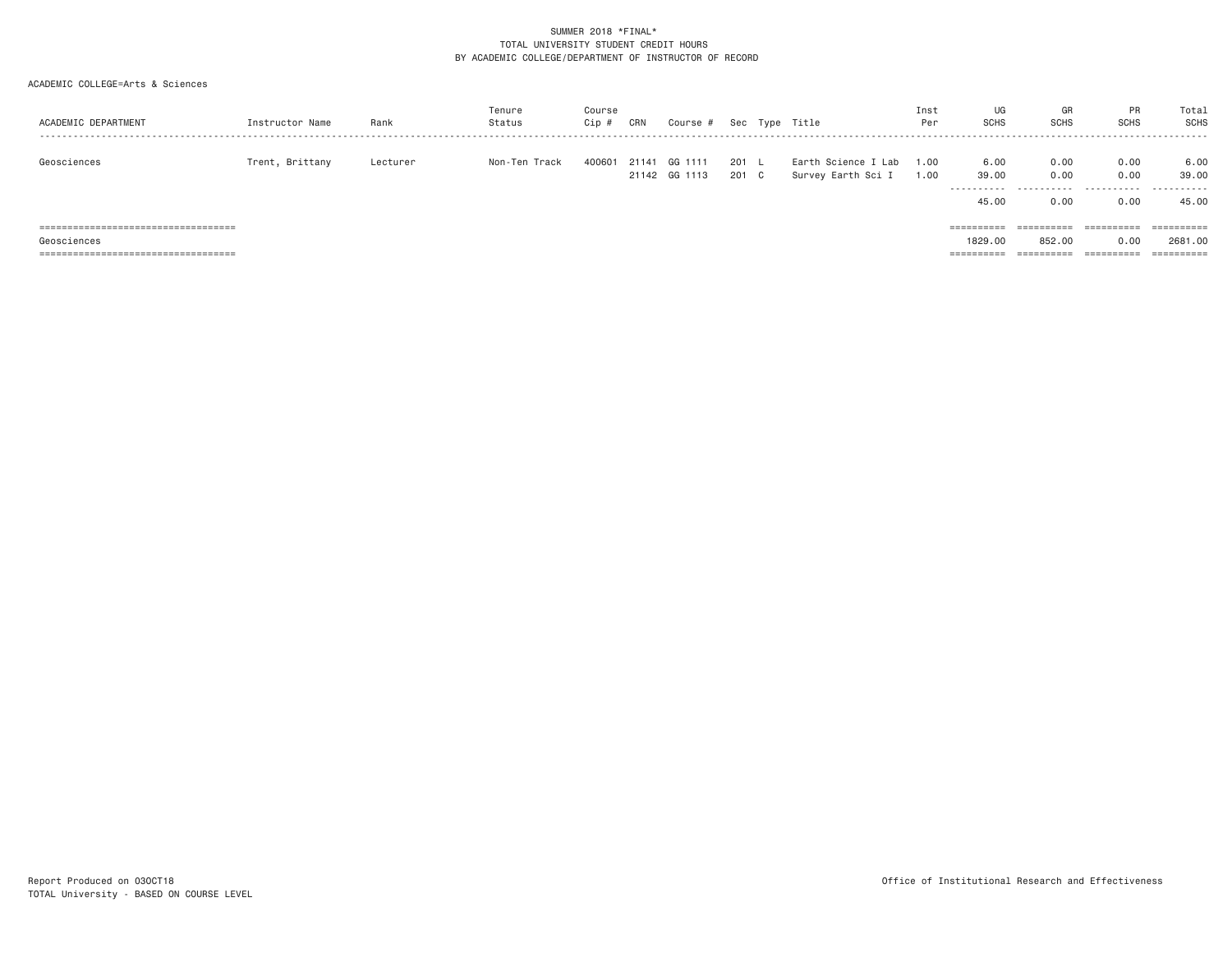| ACADEMIC DEPARTMENT                    | Instructor Name | Rank     | Tenure<br>Status | Course<br>Cip # | CRN   | Course #                 |                | Sec Type Title                            | Inst<br>Per  | UG<br><b>SCHS</b>            | GF<br><b>SCHS</b> | PR<br><b>SCHS</b> | Total<br><b>SCHS</b> |
|----------------------------------------|-----------------|----------|------------------|-----------------|-------|--------------------------|----------------|-------------------------------------------|--------------|------------------------------|-------------------|-------------------|----------------------|
| Geosciences                            | Trent, Brittany | Lecturer | Non-Ten Track    | 400601          | 21141 | GG 1111<br>21142 GG 1113 | 201 L<br>201 C | Earth Science I Lab<br>Survey Earth Sci I | 1.00<br>1.00 | 6.00<br>39.00<br>----------- | 0.00<br>0.00<br>. | 0.00<br>0.00<br>. | 6.00<br>39.00<br>.   |
|                                        |                 |          |                  |                 |       |                          |                |                                           |              | 45.00                        | 0.00              | 0.00              | 45.00                |
| ====================================== |                 |          |                  |                 |       |                          |                |                                           |              | ==========                   | ==========        | ==========        |                      |
| Geosciences                            |                 |          |                  |                 |       |                          |                |                                           |              | 1829,00                      | 852,00            | 0.00              | 2681.00              |
|                                        |                 |          |                  |                 |       |                          |                |                                           |              | ==========                   | ==========        | ==========        |                      |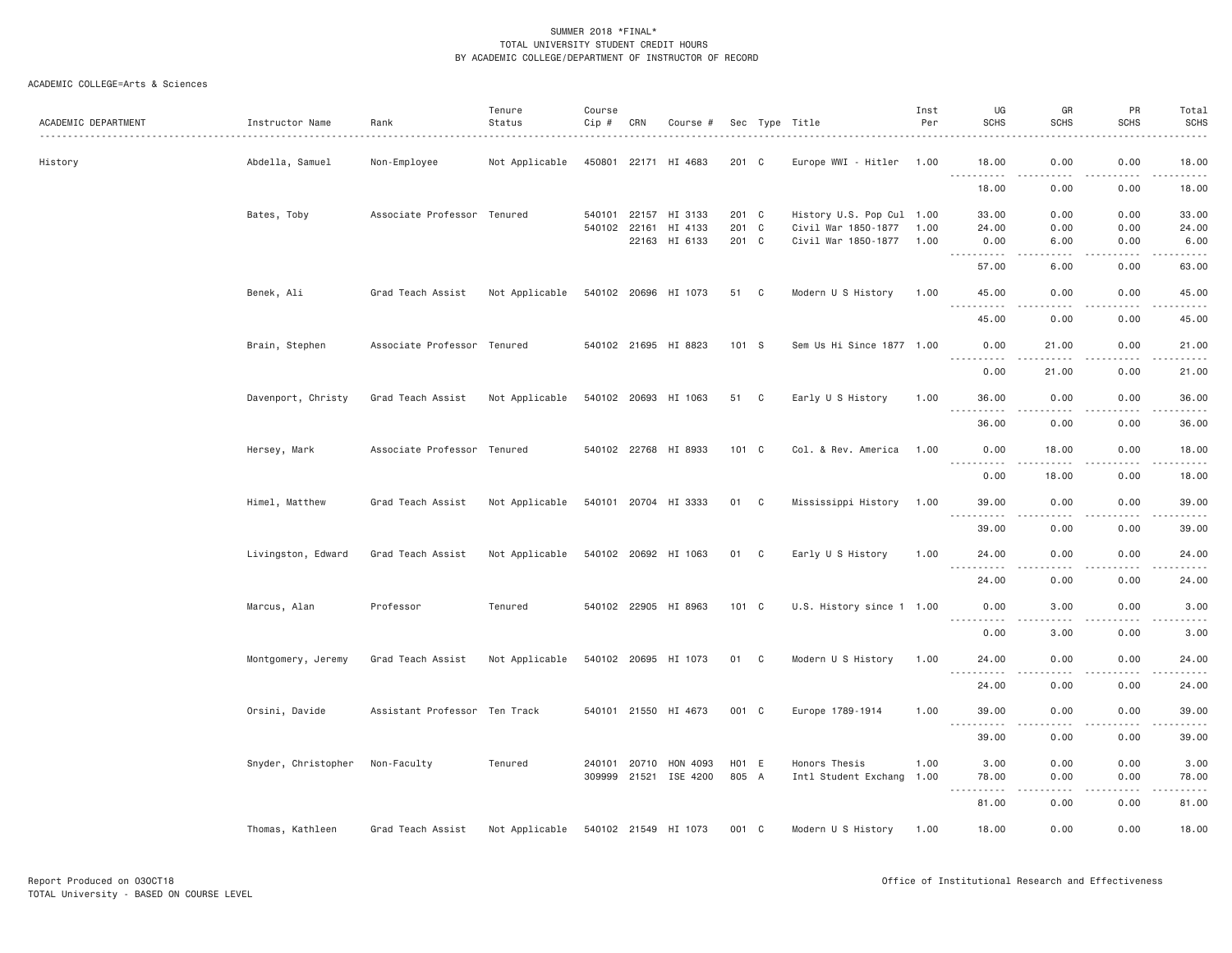| ACADEMIC DEPARTMENT | Instructor Name     | Rank                          | Tenure<br>Status | Course<br>Cip # | CRN          | Course #                 |                | Sec Type Title                             | Inst<br>Per  | UG<br><b>SCHS</b>                                                                                                                                          | GR<br><b>SCHS</b>                                                                                                                                             | PR<br><b>SCHS</b> | Total<br><b>SCHS</b><br>. |
|---------------------|---------------------|-------------------------------|------------------|-----------------|--------------|--------------------------|----------------|--------------------------------------------|--------------|------------------------------------------------------------------------------------------------------------------------------------------------------------|---------------------------------------------------------------------------------------------------------------------------------------------------------------|-------------------|---------------------------|
| History             | Abdella, Samuel     | Non-Employee                  | Not Applicable   |                 |              | 450801 22171 HI 4683     | 201 C          | Europe WWI - Hitler                        | 1.00         | 18.00<br>.                                                                                                                                                 | 0.00<br>.                                                                                                                                                     | 0.00<br>-----     | 18.00<br>.                |
|                     |                     |                               |                  |                 |              |                          |                |                                            |              | 18.00                                                                                                                                                      | 0.00                                                                                                                                                          | 0.00              | 18.00                     |
|                     | Bates, Toby         | Associate Professor Tenured   |                  | 540101          |              | 22157 HI 3133            | 201 C          | History U.S. Pop Cul 1.00                  |              | 33,00                                                                                                                                                      | 0.00                                                                                                                                                          | 0.00              | 33.00                     |
|                     |                     |                               |                  | 540102          | 22161        | HI 4133<br>22163 HI 6133 | 201 C<br>201 C | Civil War 1850-1877<br>Civil War 1850-1877 | 1.00<br>1.00 | 24.00<br>0.00                                                                                                                                              | 0.00<br>6.00                                                                                                                                                  | 0.00<br>0.00      | 24.00<br>6.00             |
|                     |                     |                               |                  |                 |              |                          |                |                                            |              | .                                                                                                                                                          | .                                                                                                                                                             | .                 | وبالمحامي                 |
|                     |                     |                               |                  |                 |              |                          |                |                                            |              | 57.00                                                                                                                                                      | 6.00                                                                                                                                                          | 0.00              | 63.00                     |
|                     | Benek, Ali          | Grad Teach Assist             | Not Applicable   |                 |              | 540102 20696 HI 1073     | 51 C           | Modern U S History                         | 1.00         | 45.00<br>$\sim$ $\sim$ $\sim$<br>$\begin{array}{cccccccccccccc} \bullet & \bullet & \bullet & \bullet & \bullet & \bullet & \bullet & \bullet \end{array}$ | 0.00<br>$\frac{1}{2} \left( \frac{1}{2} \right) \left( \frac{1}{2} \right) \left( \frac{1}{2} \right) \left( \frac{1}{2} \right)$                             | 0.00<br>.         | 45.00<br>.                |
|                     |                     |                               |                  |                 |              |                          |                |                                            |              | 45.00                                                                                                                                                      | 0.00                                                                                                                                                          | 0.00              | 45.00                     |
|                     | Brain, Stephen      | Associate Professor Tenured   |                  |                 |              | 540102 21695 HI 8823     | 101 S          | Sem Us Hi Since 1877 1.00                  |              | 0.00<br>.                                                                                                                                                  | 21.00<br>$\frac{1}{2} \left( \frac{1}{2} \right) \left( \frac{1}{2} \right) \left( \frac{1}{2} \right) \left( \frac{1}{2} \right) \left( \frac{1}{2} \right)$ | 0.00<br>.         | 21.00<br>.                |
|                     |                     |                               |                  |                 |              |                          |                |                                            |              | 0.00                                                                                                                                                       | 21.00                                                                                                                                                         | 0.00              | 21.00                     |
|                     | Davenport, Christy  | Grad Teach Assist             | Not Applicable   |                 |              | 540102 20693 HI 1063     | 51 C           | Early U S History                          | 1.00         | 36.00                                                                                                                                                      | 0.00                                                                                                                                                          | 0.00              | 36.00                     |
|                     |                     |                               |                  |                 |              |                          |                |                                            |              | <u> - - - - - - - - - -</u><br>36.00                                                                                                                       | -----<br>0.00                                                                                                                                                 | -----<br>0.00     | .<br>36.00                |
|                     | Hersey, Mark        | Associate Professor Tenured   |                  |                 |              | 540102 22768 HI 8933     | 101 C          | Col. & Rev. America                        | 1.00         | 0.00                                                                                                                                                       | 18.00                                                                                                                                                         | 0.00              | 18.00                     |
|                     |                     |                               |                  |                 |              |                          |                |                                            |              | .<br>0.00                                                                                                                                                  | 18.00                                                                                                                                                         | 0.00              | $    -$<br>18.00          |
|                     | Himel, Matthew      | Grad Teach Assist             | Not Applicable   |                 |              | 540101 20704 HI 3333     | 01 C           | Mississippi History                        | 1.00         | 39,00                                                                                                                                                      | 0.00                                                                                                                                                          | 0.00              | 39.00                     |
|                     |                     |                               |                  |                 |              |                          |                |                                            |              | .<br>39.00                                                                                                                                                 | $- - - -$<br>0.00                                                                                                                                             | .<br>0.00         | .<br>39.00                |
|                     | Livingston, Edward  | Grad Teach Assist             | Not Applicable   |                 |              | 540102 20692 HI 1063     | 01 C           | Early U S History                          | 1.00         | 24.00                                                                                                                                                      | 0.00                                                                                                                                                          | 0.00              | 24.00                     |
|                     |                     |                               |                  |                 |              |                          |                |                                            |              | 24.00                                                                                                                                                      | 0.00                                                                                                                                                          | 0.00              | .<br>24.00                |
|                     | Marcus, Alan        | Professor                     | Tenured          |                 |              | 540102 22905 HI 8963     | $101 \quad C$  | U.S. History since 1 1.00                  |              | 0.00                                                                                                                                                       | 3.00                                                                                                                                                          | 0.00              | 3.00                      |
|                     |                     |                               |                  |                 |              |                          |                |                                            |              | 0.00                                                                                                                                                       | 3.00                                                                                                                                                          | 0.00              | 3.00                      |
|                     | Montgomery, Jeremy  | Grad Teach Assist             | Not Applicable   |                 |              | 540102 20695 HI 1073     | 01 C           | Modern U S History                         | 1.00         | 24.00                                                                                                                                                      | 0.00                                                                                                                                                          | 0.00              | 24.00                     |
|                     |                     |                               |                  |                 |              |                          |                |                                            |              | $\frac{1}{2}$<br>.<br>24.00                                                                                                                                | $\frac{1}{2} \left( \frac{1}{2} \right) \left( \frac{1}{2} \right) \left( \frac{1}{2} \right) \left( \frac{1}{2} \right)$<br>0.00                             | .<br>0.00         | .<br>24.00                |
|                     | Orsini, Davide      | Assistant Professor Ten Track |                  |                 |              | 540101 21550 HI 4673     | 001 C          | Europe 1789-1914                           | 1.00         | 39.00                                                                                                                                                      | 0.00                                                                                                                                                          | 0.00              | 39.00                     |
|                     |                     |                               |                  |                 |              |                          |                |                                            |              | $\sim$ $\sim$ $\sim$<br>.<br>39.00                                                                                                                         | 0.00                                                                                                                                                          | 0.00              | .<br>39.00                |
|                     | Snyder, Christopher | Non-Faculty                   | Tenured          |                 | 240101 20710 | HON 4093                 | H01 E          | Honors Thesis                              | 1.00         | 3.00                                                                                                                                                       | 0.00                                                                                                                                                          | 0.00              | 3.00                      |
|                     |                     |                               |                  |                 |              | 309999 21521 ISE 4200    | 805 A          | Intl Student Exchang                       | 1.00         | 78.00                                                                                                                                                      | 0.00                                                                                                                                                          | 0.00              | 78.00                     |
|                     |                     |                               |                  |                 |              |                          |                |                                            |              | <b><i><u>.</u></i></b><br>$- - -$<br>81.00                                                                                                                 | د د د د<br>0.00                                                                                                                                               | .<br>0.00         | .<br>81.00                |
|                     | Thomas, Kathleen    | Grad Teach Assist             | Not Applicable   |                 |              | 540102 21549 HI 1073     | 001 C          | Modern U S History                         | 1.00         | 18.00                                                                                                                                                      | 0.00                                                                                                                                                          | 0.00              | 18.00                     |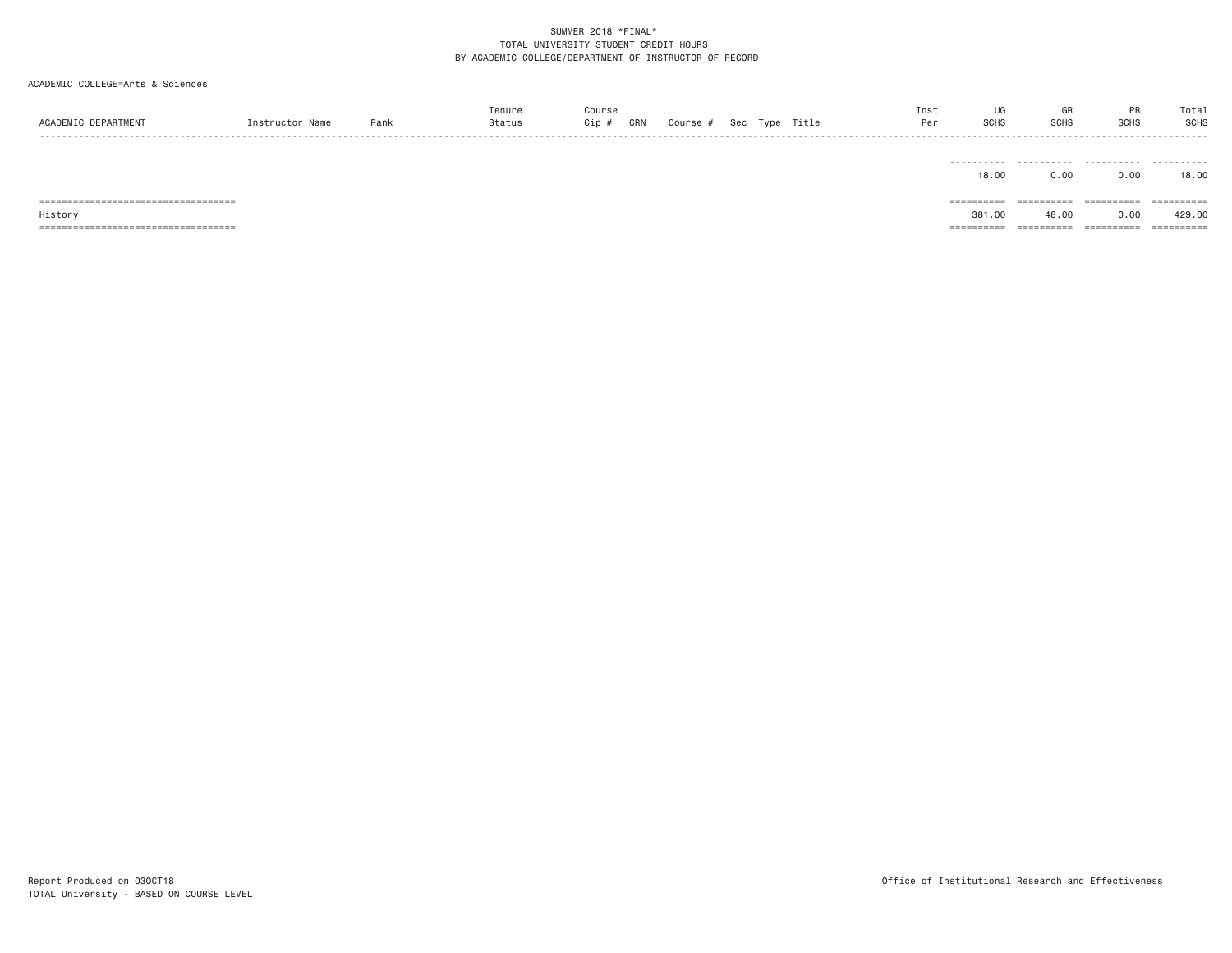| ACADEMIC DEPARTMENT                               | Instructor Name | Rank | Tenure<br>Status | Course<br>Cip # | CRN | Course # |  | Sec Type Title | Inst<br>Per | UG<br><b>SCHS</b>    | GR<br><b>SCHS</b>   | PR<br><b>SCHS</b>  | Total<br><b>SCHS</b>                                                                                                                                                                                                                                                                                                                                                                                                                                                                             |
|---------------------------------------------------|-----------------|------|------------------|-----------------|-----|----------|--|----------------|-------------|----------------------|---------------------|--------------------|--------------------------------------------------------------------------------------------------------------------------------------------------------------------------------------------------------------------------------------------------------------------------------------------------------------------------------------------------------------------------------------------------------------------------------------------------------------------------------------------------|
|                                                   |                 |      |                  |                 |     |          |  |                |             | .<br>18.00           | .<br>0.00           | .<br>0.00          | .<br>18,00                                                                                                                                                                                                                                                                                                                                                                                                                                                                                       |
| ======================================<br>History |                 |      |                  |                 |     |          |  |                |             | ==========<br>381.00 | ==========<br>48.00 | ==========<br>0.00 | $\begin{array}{cccccccccc} \multicolumn{2}{c}{} & \multicolumn{2}{c}{} & \multicolumn{2}{c}{} & \multicolumn{2}{c}{} & \multicolumn{2}{c}{} & \multicolumn{2}{c}{} & \multicolumn{2}{c}{} & \multicolumn{2}{c}{} & \multicolumn{2}{c}{} & \multicolumn{2}{c}{} & \multicolumn{2}{c}{} & \multicolumn{2}{c}{} & \multicolumn{2}{c}{} & \multicolumn{2}{c}{} & \multicolumn{2}{c}{} & \multicolumn{2}{c}{} & \multicolumn{2}{c}{} & \multicolumn{2}{c}{} & \multicolumn{2}{c}{} & \mult$<br>429.00 |
|                                                   |                 |      |                  |                 |     |          |  |                |             | ==========           | ==========          | ==========         | ==========                                                                                                                                                                                                                                                                                                                                                                                                                                                                                       |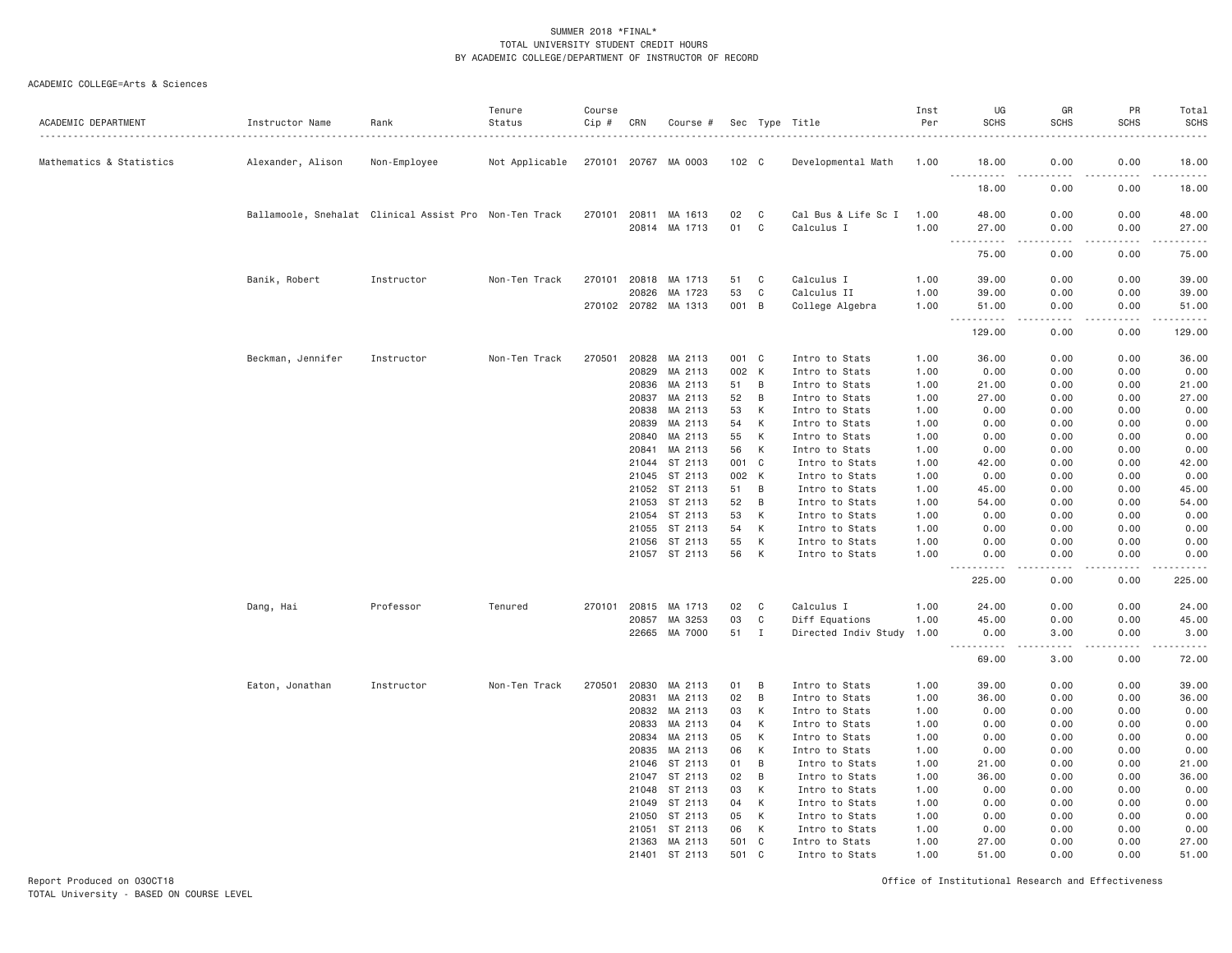#### ACADEMIC COLLEGE=Arts & Sciences

| ACADEMIC DEPARTMENT      | Instructor Name                                        | Rank         | Tenure<br>Status | Course<br>Cip # | CRN            | Course #                        |                |             | Sec Type Title                   | Inst<br>Per  | UG<br><b>SCHS</b>                         | GR<br><b>SCHS</b> | PR<br><b>SCHS</b> | Total<br><b>SCHS</b><br>. |
|--------------------------|--------------------------------------------------------|--------------|------------------|-----------------|----------------|---------------------------------|----------------|-------------|----------------------------------|--------------|-------------------------------------------|-------------------|-------------------|---------------------------|
| Mathematics & Statistics | Alexander, Alison                                      | Non-Employee | Not Applicable   |                 |                | 270101 20767 MA 0003            | 102 C          |             | Developmental Math               | 1.00         | 18.00<br><u> - - - - - - - - - -</u>      | 0.00              | 0.00              | 18.00<br>.                |
|                          |                                                        |              |                  |                 |                |                                 |                |             |                                  |              | 18.00                                     | 0.00              | 0.00              | 18.00                     |
|                          | Ballamoole, Snehalat Clinical Assist Pro Non-Ten Track |              |                  | 270101          |                | 20811 MA 1613                   | 02             | C           | Cal Bus & Life Sc I              | 1.00         | 48.00                                     | 0.00              | 0.00              | 48.00                     |
|                          |                                                        |              |                  |                 |                | 20814 MA 1713                   | 01             | C           | Calculus I                       | 1.00         | 27.00<br>------<br>$\sim$ $\sim$ $\sim$   | 0.00<br>.         | 0.00<br>.         | 27.00<br>.                |
|                          |                                                        |              |                  |                 |                |                                 |                |             |                                  |              | 75.00                                     | 0.00              | 0.00              | 75.00                     |
|                          | Banik, Robert                                          | Instructor   | Non-Ten Track    | 270101          |                | 20818 MA 1713                   | 51             | $\mathbb C$ | Calculus I                       | 1.00         | 39.00                                     | 0.00              | 0.00              | 39.00                     |
|                          |                                                        |              |                  |                 | 20826          | MA 1723<br>270102 20782 MA 1313 | 53<br>001 B    | C           | Calculus II<br>College Algebra   | 1.00<br>1.00 | 39.00<br>51.00                            | 0.00<br>0.00      | 0.00<br>0.00      | 39.00<br>51.00            |
|                          |                                                        |              |                  |                 |                |                                 |                |             |                                  |              | .<br>129.00                               | $  -$<br>0.00     | 0.00              | .<br>129.00               |
|                          |                                                        |              |                  |                 |                |                                 |                |             |                                  |              |                                           |                   |                   |                           |
|                          | Beckman, Jennifer                                      | Instructor   | Non-Ten Track    | 270501          | 20829          | 20828 MA 2113<br>MA 2113        | 001 C<br>002 K |             | Intro to Stats<br>Intro to Stats | 1.00<br>1.00 | 36.00<br>0.00                             | 0.00<br>0.00      | 0.00<br>0.00      | 36.00<br>0.00             |
|                          |                                                        |              |                  |                 | 20836          | MA 2113                         | 51             | B           | Intro to Stats                   | 1.00         | 21.00                                     | 0.00              | 0.00              | 21.00                     |
|                          |                                                        |              |                  |                 | 20837          | MA 2113                         | 52             | B           | Intro to Stats                   | 1.00         | 27.00                                     | 0.00              | 0.00              | 27.00                     |
|                          |                                                        |              |                  |                 | 20838          | MA 2113                         | 53             | K           | Intro to Stats                   | 1.00         | 0.00                                      | 0.00              | 0.00              | 0.00                      |
|                          |                                                        |              |                  |                 | 20839          | MA 2113                         | 54             | К           | Intro to Stats                   | 1.00         | 0.00                                      | 0.00              | 0.00              | 0.00                      |
|                          |                                                        |              |                  |                 | 20840          | MA 2113                         | 55             | К           | Intro to Stats                   | 1.00         | 0.00                                      | 0.00              | 0.00              | 0.00                      |
|                          |                                                        |              |                  |                 | 20841          | MA 2113                         | 56             | К           | Intro to Stats                   | 1.00         | 0.00                                      | 0.00              | 0.00              | 0.00                      |
|                          |                                                        |              |                  |                 | 21044          | ST 2113                         | 001            | C           | Intro to Stats                   | 1.00         | 42.00                                     | 0.00              | 0.00              | 42.00                     |
|                          |                                                        |              |                  |                 |                | 21045 ST 2113                   | 002            | K           | Intro to Stats                   | 1.00         | 0.00                                      | 0.00              | 0.00              | 0.00                      |
|                          |                                                        |              |                  |                 | 21052          | ST 2113                         | 51             | B           | Intro to Stats                   | 1.00         | 45.00                                     | 0.00              | 0.00              | 45.00                     |
|                          |                                                        |              |                  |                 | 21053          | ST 2113                         | 52             | B           | Intro to Stats                   | 1.00         | 54.00                                     | 0.00              | 0.00              | 54.00                     |
|                          |                                                        |              |                  |                 | 21054          | ST 2113<br>21055 ST 2113        | 53<br>54       | К<br>К      | Intro to Stats<br>Intro to Stats | 1.00<br>1.00 | 0.00<br>0.00                              | 0.00<br>0.00      | 0.00<br>0.00      | 0.00<br>0.00              |
|                          |                                                        |              |                  |                 |                | 21056 ST 2113                   | 55             | К           | Intro to Stats                   | 1.00         | 0.00                                      | 0.00              | 0.00              | 0.00                      |
|                          |                                                        |              |                  |                 |                | 21057 ST 2113                   | 56             | K           | Intro to Stats                   | 1,00         | 0.00                                      | 0.00              | 0.00              | 0.00                      |
|                          |                                                        |              |                  |                 |                |                                 |                |             |                                  |              | .<br>$- - -$<br>225.00                    | .<br>0.00         | .<br>0.00         | .<br>225.00               |
|                          | Dang, Hai                                              | Professor    | Tenured          | 270101          | 20815          | MA 1713                         | 02             | C           | Calculus I                       | 1.00         | 24.00                                     | 0.00              | 0.00              | 24.00                     |
|                          |                                                        |              |                  |                 | 20857          | MA 3253                         | 03             | C           | Diff Equations                   | 1,00         | 45.00                                     | 0.00              | 0.00              | 45.00                     |
|                          |                                                        |              |                  |                 |                | 22665 MA 7000                   | 51 I           |             | Directed Indiv Study 1.00        |              | 0.00                                      | 3,00              | 0.00              | 3.00                      |
|                          |                                                        |              |                  |                 |                |                                 |                |             |                                  |              | $\sim$ $\sim$ $\sim$ $\sim$<br>.<br>69.00 | -----<br>3.00     | -----<br>0.00     | .<br>72.00                |
|                          | Eaton, Jonathan                                        | Instructor   | Non-Ten Track    | 270501          |                | 20830 MA 2113                   | 01             | B           | Intro to Stats                   | 1.00         | 39.00                                     | 0.00              | 0.00              | 39.00                     |
|                          |                                                        |              |                  |                 | 20831          | MA 2113                         | 02             | B           | Intro to Stats                   | 1.00         | 36.00                                     | 0.00              | 0.00              | 36.00                     |
|                          |                                                        |              |                  |                 | 20832          | MA 2113                         | 03             | K           | Intro to Stats                   | 1.00         | 0.00                                      | 0.00              | 0.00              | 0.00                      |
|                          |                                                        |              |                  |                 | 20833          | MA 2113                         | 04             | K           | Intro to Stats                   | 1.00         | 0.00                                      | 0.00              | 0.00              | 0.00                      |
|                          |                                                        |              |                  |                 | 20834          | MA 2113                         | 05             | К           | Intro to Stats                   | 1.00         | 0.00                                      | 0.00              | 0.00              | 0.00                      |
|                          |                                                        |              |                  |                 | 20835<br>21046 | MA 2113<br>ST 2113              | 06<br>01       | К<br>B      | Intro to Stats<br>Intro to Stats | 1.00<br>1.00 | 0.00<br>21.00                             | 0.00<br>0.00      | 0.00<br>0.00      | 0.00<br>21.00             |
|                          |                                                        |              |                  |                 | 21047          | ST 2113                         | 02             | B           | Intro to Stats                   | 1.00         | 36.00                                     | 0.00              | 0.00              | 36.00                     |
|                          |                                                        |              |                  |                 | 21048          | ST 2113                         | 03             | К           | Intro to Stats                   | 1.00         | 0.00                                      | 0.00              | 0.00              | 0.00                      |
|                          |                                                        |              |                  |                 | 21049          | ST 2113                         | 04             | К           | Intro to Stats                   | 1.00         | 0.00                                      | 0.00              | 0.00              | 0.00                      |
|                          |                                                        |              |                  |                 | 21050          | ST 2113                         | 05             | K           | Intro to Stats                   | 1.00         | 0.00                                      | 0.00              | 0.00              | 0.00                      |
|                          |                                                        |              |                  |                 | 21051          | ST 2113                         | 06             | К           | Intro to Stats                   | 1.00         | 0.00                                      | 0.00              | 0.00              | 0.00                      |
|                          |                                                        |              |                  |                 | 21363          | MA 2113                         | 501            | C           | Intro to Stats                   | 1.00         | 27.00                                     | 0.00              | 0.00              | 27.00                     |
|                          |                                                        |              |                  |                 | 21401          | ST 2113                         | 501            | C           | Intro to Stats                   | 1.00         | 51.00                                     | 0.00              | 0.00              | 51.00                     |

Report Produced on 03OCT18 Office of Institutional Research and Effectiveness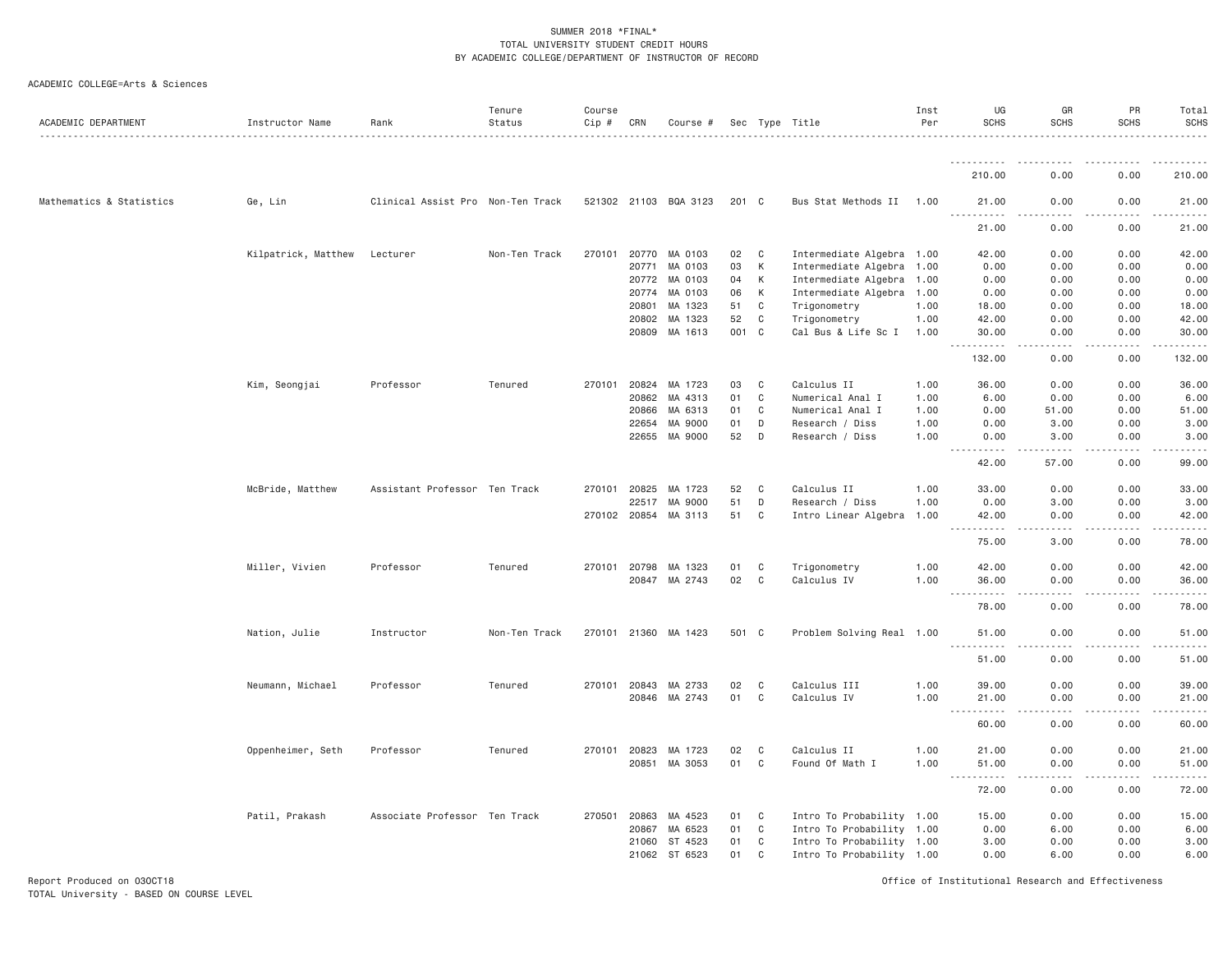| ACADEMIC COLLEGE=Arts & Sciences |  |
|----------------------------------|--|
|----------------------------------|--|

| ACADEMIC DEPARTMENT      | Instructor Name     | Rank                              | Tenure<br>Status | Course<br>$Cip \#$ | CRN          | Course #              |       |              | Sec Type Title            | Inst<br>Per | UG<br><b>SCHS</b>                    | GR<br><b>SCHS</b>                                                                                                                                                 | PR<br><b>SCHS</b>             | Total<br><b>SCHS</b> |
|--------------------------|---------------------|-----------------------------------|------------------|--------------------|--------------|-----------------------|-------|--------------|---------------------------|-------------|--------------------------------------|-------------------------------------------------------------------------------------------------------------------------------------------------------------------|-------------------------------|----------------------|
|                          |                     |                                   |                  |                    |              |                       |       |              |                           |             | <u>.</u><br>210.00                   | .<br>0.00                                                                                                                                                         | 0.00                          | .<br>210.00          |
| Mathematics & Statistics | Ge, Lin             | Clinical Assist Pro Non-Ten Track |                  |                    |              | 521302 21103 BQA 3123 | 201 C |              | Bus Stat Methods II 1.00  |             | 21.00                                | 0.00                                                                                                                                                              | 0.00                          | 21.00                |
|                          |                     |                                   |                  |                    |              |                       |       |              |                           |             | <u>.</u>                             | د د د د                                                                                                                                                           | .                             | .                    |
|                          |                     |                                   |                  |                    |              |                       |       |              |                           |             | 21.00                                | 0.00                                                                                                                                                              | 0.00                          | 21.00                |
|                          | Kilpatrick, Matthew | Lecturer                          | Non-Ten Track    | 270101             | 20770        | MA 0103               | 02    | C            | Intermediate Algebra 1.00 |             | 42.00                                | 0.00                                                                                                                                                              | 0.00                          | 42.00                |
|                          |                     |                                   |                  |                    | 20771        | MA 0103               | 03    | K            | Intermediate Algebra 1.00 |             | 0.00                                 | 0.00                                                                                                                                                              | 0.00                          | 0.00                 |
|                          |                     |                                   |                  |                    |              | 20772 MA 0103         | 04    | K            | Intermediate Algebra 1.00 |             | 0.00                                 | 0.00                                                                                                                                                              | 0.00                          | 0.00                 |
|                          |                     |                                   |                  |                    | 20774        | MA 0103               | 06    | K            | Intermediate Algebra 1.00 |             | 0.00                                 | 0.00                                                                                                                                                              | 0.00                          | 0.00                 |
|                          |                     |                                   |                  |                    | 20801        | MA 1323               | 51    | C            | Trigonometry              | 1.00        | 18.00                                | 0.00                                                                                                                                                              | 0.00                          | 18.00                |
|                          |                     |                                   |                  |                    | 20802        | MA 1323               | 52    | $\mathsf{C}$ | Trigonometry              | 1.00        | 42.00                                | 0.00                                                                                                                                                              | 0.00                          | 42.00                |
|                          |                     |                                   |                  |                    |              | 20809 MA 1613         | 001 C |              | Cal Bus & Life Sc I       | 1.00        | 30.00<br>.                           | 0.00<br>د د د د                                                                                                                                                   | 0.00<br>. <b>.</b>            | 30.00<br>.           |
|                          |                     |                                   |                  |                    |              |                       |       |              |                           |             | 132.00                               | 0.00                                                                                                                                                              | 0.00                          | 132.00               |
|                          | Kim, Seongjai       | Professor                         | Tenured          | 270101             | 20824        | MA 1723               | 03    | C            | Calculus II               | 1,00        | 36.00                                | 0.00                                                                                                                                                              | 0.00                          | 36.00                |
|                          |                     |                                   |                  |                    | 20862        | MA 4313               | 01    | $\mathbf C$  | Numerical Anal I          | 1.00        | 6.00                                 | 0.00                                                                                                                                                              | 0.00                          | 6.00                 |
|                          |                     |                                   |                  |                    | 20866        | MA 6313               | 01    | $\mathbf C$  | Numerical Anal I          | 1.00        | 0.00                                 | 51.00                                                                                                                                                             | 0.00                          | 51.00                |
|                          |                     |                                   |                  |                    | 22654        | MA 9000               | 01    | D            | Research / Diss           | 1.00        | 0.00                                 | 3.00                                                                                                                                                              | 0.00                          | 3.00                 |
|                          |                     |                                   |                  |                    | 22655        | MA 9000               | 52    | D            | Research / Diss           | 1.00        | 0.00                                 | 3.00                                                                                                                                                              | 0.00                          | 3.00                 |
|                          |                     |                                   |                  |                    |              |                       |       |              |                           |             | <u>.</u><br>42.00                    | $\mathcal{L}^{\mathcal{L}}\mathcal{L}^{\mathcal{L}}\mathcal{L}^{\mathcal{L}}\mathcal{L}^{\mathcal{L}}\mathcal{L}^{\mathcal{L}}\mathcal{L}^{\mathcal{L}}$<br>57.00 | . <b>.</b><br>0.00            | .<br>99.00           |
|                          | McBride, Matthew    | Assistant Professor Ten Track     |                  | 270101             | 20825        | MA 1723               | 52    | C            | Calculus II               | 1.00        | 33.00                                | 0.00                                                                                                                                                              | 0.00                          | 33.00                |
|                          |                     |                                   |                  |                    | 22517        | MA 9000               | 51    | D            | Research / Diss           | 1.00        | 0.00                                 | 3.00                                                                                                                                                              | 0.00                          | 3.00                 |
|                          |                     |                                   |                  |                    |              | 270102 20854 MA 3113  | 51    | $\mathbf{C}$ | Intro Linear Algebra 1.00 |             | 42.00                                | 0.00                                                                                                                                                              | 0.00                          | 42.00                |
|                          |                     |                                   |                  |                    |              |                       |       |              |                           |             | $\sim$ $\sim$ $\sim$<br>.<br>75.00   | .<br>3.00                                                                                                                                                         | .<br>0.00                     | .<br>78.00           |
|                          | Miller, Vivien      | Professor                         | Tenured          |                    |              | 270101 20798 MA 1323  | 01    | C            | Trigonometry              | 1.00        | 42.00                                | 0.00                                                                                                                                                              | 0.00                          | 42.00                |
|                          |                     |                                   |                  |                    | 20847        | MA 2743               | 02    | C            | Calculus IV               | 1.00        | 36.00                                | 0.00                                                                                                                                                              | 0.00                          | 36.00                |
|                          |                     |                                   |                  |                    |              |                       |       |              |                           |             | 78.00                                | .<br>0.00                                                                                                                                                         | .<br>0.00                     | .<br>78.00           |
|                          | Nation, Julie       | Instructor                        | Non-Ten Track    |                    |              | 270101 21360 MA 1423  | 501 C |              | Problem Solving Real 1.00 |             | 51.00                                | 0.00                                                                                                                                                              | 0.00                          | 51.00                |
|                          |                     |                                   |                  |                    |              |                       |       |              |                           |             | $ -$<br>.                            |                                                                                                                                                                   |                               | .                    |
|                          |                     |                                   |                  |                    |              |                       |       |              |                           |             | 51.00                                | 0.00                                                                                                                                                              | 0.00                          | 51.00                |
|                          | Neumann, Michael    | Professor                         | Tenured          |                    | 270101 20843 | MA 2733               | 02    | C            | Calculus III              | 1.00        | 39.00                                | 0.00                                                                                                                                                              | 0.00                          | 39.00                |
|                          |                     |                                   |                  |                    |              | 20846 MA 2743         | 01    | C            | Calculus IV               | 1.00        | 21.00<br>$\sim$ $\sim$ .             | 0.00<br>.                                                                                                                                                         | 0.00                          | 21.00                |
|                          |                     |                                   |                  |                    |              |                       |       |              |                           |             | 60.00                                | 0.00                                                                                                                                                              | 0.00                          | 60.00                |
|                          | Oppenheimer, Seth   | Professor                         | Tenured          |                    |              | 270101 20823 MA 1723  | 02    | C            | Calculus II               | 1.00        | 21.00                                | 0.00                                                                                                                                                              | 0.00                          | 21.00                |
|                          |                     |                                   |                  |                    | 20851        | MA 3053               | 01    | C            | Found Of Math I           | 1.00        | 51.00                                | 0.00                                                                                                                                                              | 0.00                          | 51.00                |
|                          |                     |                                   |                  |                    |              |                       |       |              |                           |             | $\frac{1}{2}$<br>. <b>.</b><br>72.00 | .<br>0.00                                                                                                                                                         | . <b>.</b><br>$- - -$<br>0.00 | .<br>72.00           |
|                          | Patil, Prakash      | Associate Professor Ten Track     |                  | 270501             | 20863        | MA 4523               | 01    | C            | Intro To Probability 1.00 |             | 15.00                                | 0.00                                                                                                                                                              | 0.00                          | 15.00                |
|                          |                     |                                   |                  |                    | 20867        | MA 6523               | 01    | C            | Intro To Probability 1.00 |             | 0.00                                 | 6.00                                                                                                                                                              | 0.00                          | 6.00                 |
|                          |                     |                                   |                  |                    | 21060        | ST 4523               | 01    | $\mathbf{C}$ | Intro To Probability 1.00 |             | 3.00                                 | 0.00                                                                                                                                                              | 0.00                          | 3.00                 |
|                          |                     |                                   |                  |                    |              | 21062 ST 6523         | 01    | C            | Intro To Probability 1.00 |             | 0.00                                 | 6.00                                                                                                                                                              | 0.00                          | 6.00                 |

Report Produced on 03OCT18 Office of Institutional Research and Effectiveness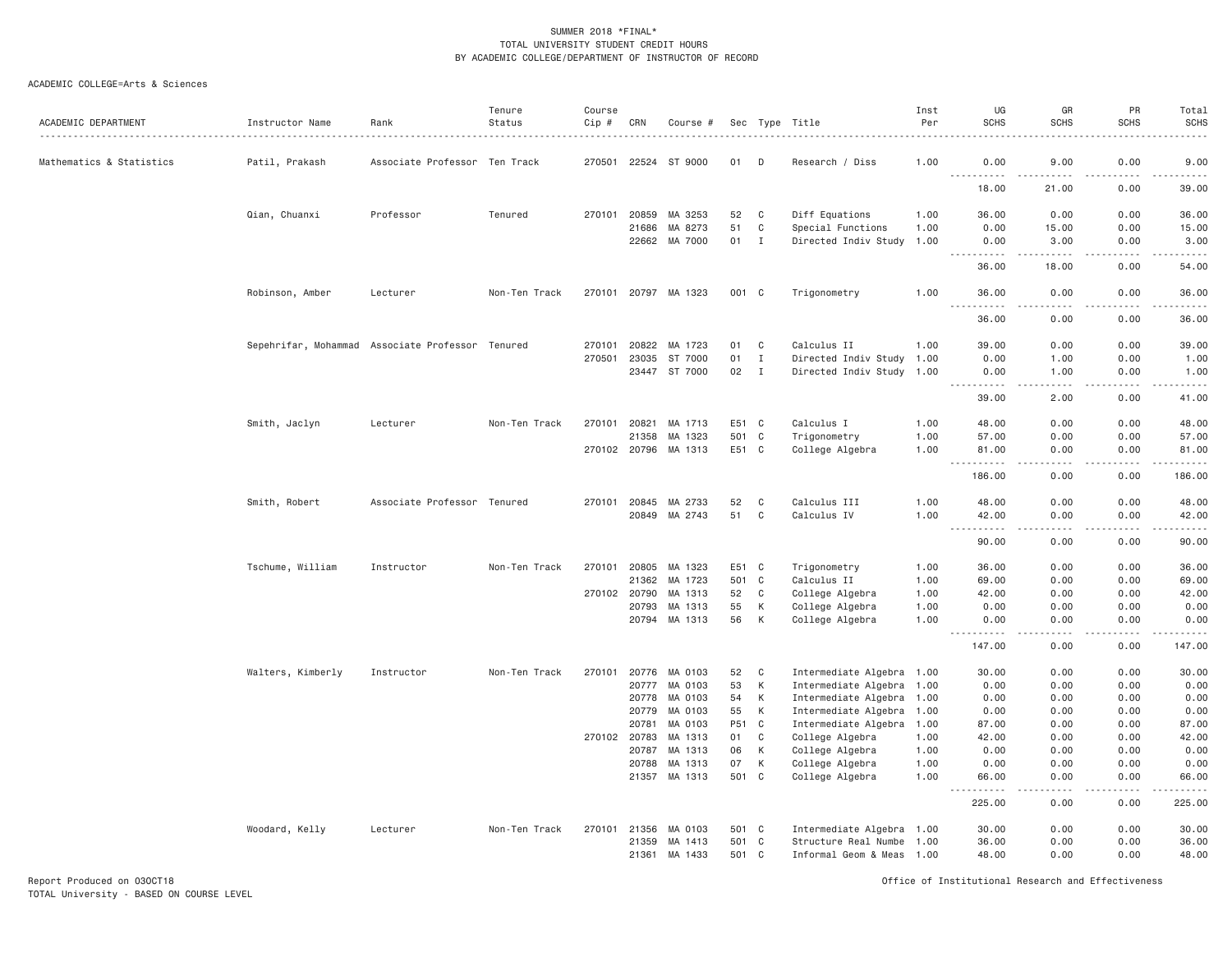| ACADEMIC DEPARTMENT      | Instructor Name                                  | Rank                          | Tenure<br>Status | Course<br>$Cip \#$ | CRN          | Course #             |       |              | Sec Type Title            | Inst<br>Per | UG<br><b>SCHS</b>                                                                                                         | GR<br><b>SCHS</b> | PR<br><b>SCHS</b>     | Total<br><b>SCHS</b> |
|--------------------------|--------------------------------------------------|-------------------------------|------------------|--------------------|--------------|----------------------|-------|--------------|---------------------------|-------------|---------------------------------------------------------------------------------------------------------------------------|-------------------|-----------------------|----------------------|
|                          |                                                  |                               |                  |                    |              |                      |       |              |                           |             |                                                                                                                           |                   |                       |                      |
| Mathematics & Statistics | Patil, Prakash                                   | Associate Professor Ten Track |                  |                    |              | 270501 22524 ST 9000 | 01    | D            | Research / Diss           | 1,00        | 0.00<br><u> - - - - - - - - - -</u>                                                                                       | 9,00              | 0.00                  | 9.00<br>.            |
|                          |                                                  |                               |                  |                    |              |                      |       |              |                           |             | 18.00                                                                                                                     | 21.00             | 0.00                  | 39.00                |
|                          | Qian, Chuanxi                                    | Professor                     | Tenured          | 270101             | 20859        | MA 3253              | 52    | C            | Diff Equations            | 1.00        | 36.00                                                                                                                     | 0.00              | 0.00                  | 36.00                |
|                          |                                                  |                               |                  |                    | 21686        | MA 8273              | 51    | C            | Special Functions         | 1.00        | 0.00                                                                                                                      | 15.00             | 0.00                  | 15.00                |
|                          |                                                  |                               |                  |                    | 22662        | MA 7000              | 01    | $\mathbf{I}$ | Directed Indiv Study 1.00 |             | 0.00<br><b><i><u>.</u></i></b>                                                                                            | 3.00<br>د د د د د | 0.00<br>.             | 3.00<br>.            |
|                          |                                                  |                               |                  |                    |              |                      |       |              |                           |             | 36.00                                                                                                                     | 18.00             | 0.00                  | 54.00                |
|                          | Robinson, Amber                                  | Lecturer                      | Non-Ten Track    | 270101             | 20797        | MA 1323              | 001 C |              | Trigonometry              | 1.00        | 36.00                                                                                                                     | 0.00              | 0.00                  | 36.00<br>المتمامين   |
|                          |                                                  |                               |                  |                    |              |                      |       |              |                           |             | 36.00                                                                                                                     | 0.00              | 0.00                  | 36.00                |
|                          | Sepehrifar, Mohammad Associate Professor Tenured |                               |                  | 270101             | 20822        | MA 1723              | 01    | $\mathsf{C}$ | Calculus II               | 1.00        | 39.00                                                                                                                     | 0.00              | 0.00                  | 39.00                |
|                          |                                                  |                               |                  | 270501             | 23035        | ST 7000              | 01    | $\mathbf I$  | Directed Indiv Study 1.00 |             | 0.00                                                                                                                      | 1.00              | 0.00                  | 1.00                 |
|                          |                                                  |                               |                  |                    |              | 23447 ST 7000        | 02    | $\mathbf I$  | Directed Indiv Study 1.00 |             | 0.00<br>$\sim$ $\sim$ $\sim$<br>.                                                                                         | 1.00<br>والمحامر  | 0.00<br>.             | 1.00<br>.            |
|                          |                                                  |                               |                  |                    |              |                      |       |              |                           |             | 39.00                                                                                                                     | 2.00              | 0.00                  | 41.00                |
|                          | Smith, Jaclyn                                    | Lecturer                      | Non-Ten Track    | 270101             | 20821        | MA 1713              | E51 C |              | Calculus I                | 1.00        | 48,00                                                                                                                     | 0.00              | 0.00                  | 48.00                |
|                          |                                                  |                               |                  |                    | 21358        | MA 1323              | 501   | $\mathbf{C}$ | Trigonometry              | 1.00        | 57.00                                                                                                                     | 0.00              | 0.00                  | 57.00                |
|                          |                                                  |                               |                  |                    |              | 270102 20796 MA 1313 | E51 C |              | College Algebra           | 1.00        | 81.00<br>$\sim$ $\sim$ $\sim$                                                                                             | 0.00<br>.         | 0.00<br>$\frac{1}{2}$ | 81.00<br>.           |
|                          |                                                  |                               |                  |                    |              |                      |       |              |                           |             | 186.00                                                                                                                    | 0.00              | 0.00                  | 186.00               |
|                          | Smith, Robert                                    | Associate Professor Tenured   |                  |                    | 270101 20845 | MA 2733              | 52    | C            | Calculus III              | 1.00        | 48.00                                                                                                                     | 0.00              | 0.00                  | 48.00                |
|                          |                                                  |                               |                  |                    | 20849        | MA 2743              | 51    | C            | Calculus IV               | 1.00        | 42.00<br>. <sub>.</sub><br>$\frac{1}{2} \left( \frac{1}{2} \right) \left( \frac{1}{2} \right) \left( \frac{1}{2} \right)$ | 0.00<br>.         | 0.00<br>.             | 42.00<br>.           |
|                          |                                                  |                               |                  |                    |              |                      |       |              |                           |             | 90.00                                                                                                                     | 0.00              | 0.00                  | 90.00                |
|                          | Tschume, William                                 | Instructor                    | Non-Ten Track    | 270101             | 20805        | MA 1323              | E51   | C            | Trigonometry              | 1.00        | 36.00                                                                                                                     | 0.00              | 0.00                  | 36.00                |
|                          |                                                  |                               |                  |                    | 21362        | MA 1723              | 501   | $\mathbf{C}$ | Calculus II               | 1.00        | 69.00                                                                                                                     | 0.00              | 0.00                  | 69.00                |
|                          |                                                  |                               |                  |                    | 270102 20790 | MA 1313              | 52    | C            | College Algebra           | 1.00        | 42.00                                                                                                                     | 0.00              | 0.00                  | 42.00                |
|                          |                                                  |                               |                  |                    | 20793        | MA 1313              | 55    | К            | College Algebra           | 1.00        | 0.00                                                                                                                      | 0.00              | 0.00                  | 0.00                 |
|                          |                                                  |                               |                  |                    | 20794        | MA 1313              | 56    | К            | College Algebra           | 1.00        | 0.00<br>المتمامين<br>$  -$                                                                                                | 0.00<br>د د د د   | 0.00<br>.             | 0.00<br>.            |
|                          |                                                  |                               |                  |                    |              |                      |       |              |                           |             | 147.00                                                                                                                    | 0.00              | 0.00                  | 147.00               |
|                          | Walters, Kimberly                                | Instructor                    | Non-Ten Track    | 270101             | 20776        | MA 0103              | 52    | C            | Intermediate Algebra 1.00 |             | 30.00                                                                                                                     | 0.00              | 0.00                  | 30.00                |
|                          |                                                  |                               |                  |                    | 20777        | MA 0103              | 53    | К            | Intermediate Algebra 1.00 |             | 0.00                                                                                                                      | 0.00              | 0.00                  | 0.00                 |
|                          |                                                  |                               |                  |                    | 20778        | MA 0103              | 54    | К            | Intermediate Algebra 1.00 |             | 0.00                                                                                                                      | 0.00              | 0.00                  | 0.00                 |
|                          |                                                  |                               |                  |                    | 20779        | MA 0103              | 55    | $\sf K$      | Intermediate Algebra 1.00 |             | 0.00                                                                                                                      | 0.00              | 0.00                  | 0.00                 |
|                          |                                                  |                               |                  |                    | 20781        | MA 0103              | P51   | C            | Intermediate Algebra 1.00 |             | 87.00                                                                                                                     | 0.00              | 0.00                  | 87.00                |
|                          |                                                  |                               |                  |                    | 270102 20783 | MA 1313              | 01    | C            | College Algebra           | 1.00        | 42.00                                                                                                                     | 0.00              | 0.00                  | 42.00                |
|                          |                                                  |                               |                  |                    | 20787        | MA 1313              | 06    | К            | College Algebra           | 1.00        | 0.00                                                                                                                      | 0.00              | 0.00                  | 0.00                 |
|                          |                                                  |                               |                  |                    | 20788        | MA 1313              | 07    | $\,$ K       | College Algebra           | 1.00        | 0.00                                                                                                                      | 0.00              | 0.00                  | 0.00                 |
|                          |                                                  |                               |                  |                    |              | 21357 MA 1313        | 501 C |              | College Algebra           | 1.00        | 66.00<br>.<br>$\sim$ $\sim$ $\sim$                                                                                        | 0.00<br>.         | 0.00<br>.             | 66.00<br>.           |
|                          |                                                  |                               |                  |                    |              |                      |       |              |                           |             | 225.00                                                                                                                    | 0.00              | 0.00                  | 225.00               |
|                          | Woodard, Kelly                                   | Lecturer                      | Non-Ten Track    | 270101             | 21356        | MA 0103              | 501 C |              | Intermediate Algebra 1.00 |             | 30.00                                                                                                                     | 0.00              | 0.00                  | 30.00                |
|                          |                                                  |                               |                  |                    | 21359        | MA 1413              | 501 C |              | Structure Real Numbe 1.00 |             | 36.00                                                                                                                     | 0.00              | 0.00                  | 36.00                |
|                          |                                                  |                               |                  |                    | 21361        | MA 1433              | 501 C |              | Informal Geom & Meas 1.00 |             | 48.00                                                                                                                     | 0.00              | 0.00                  | 48.00                |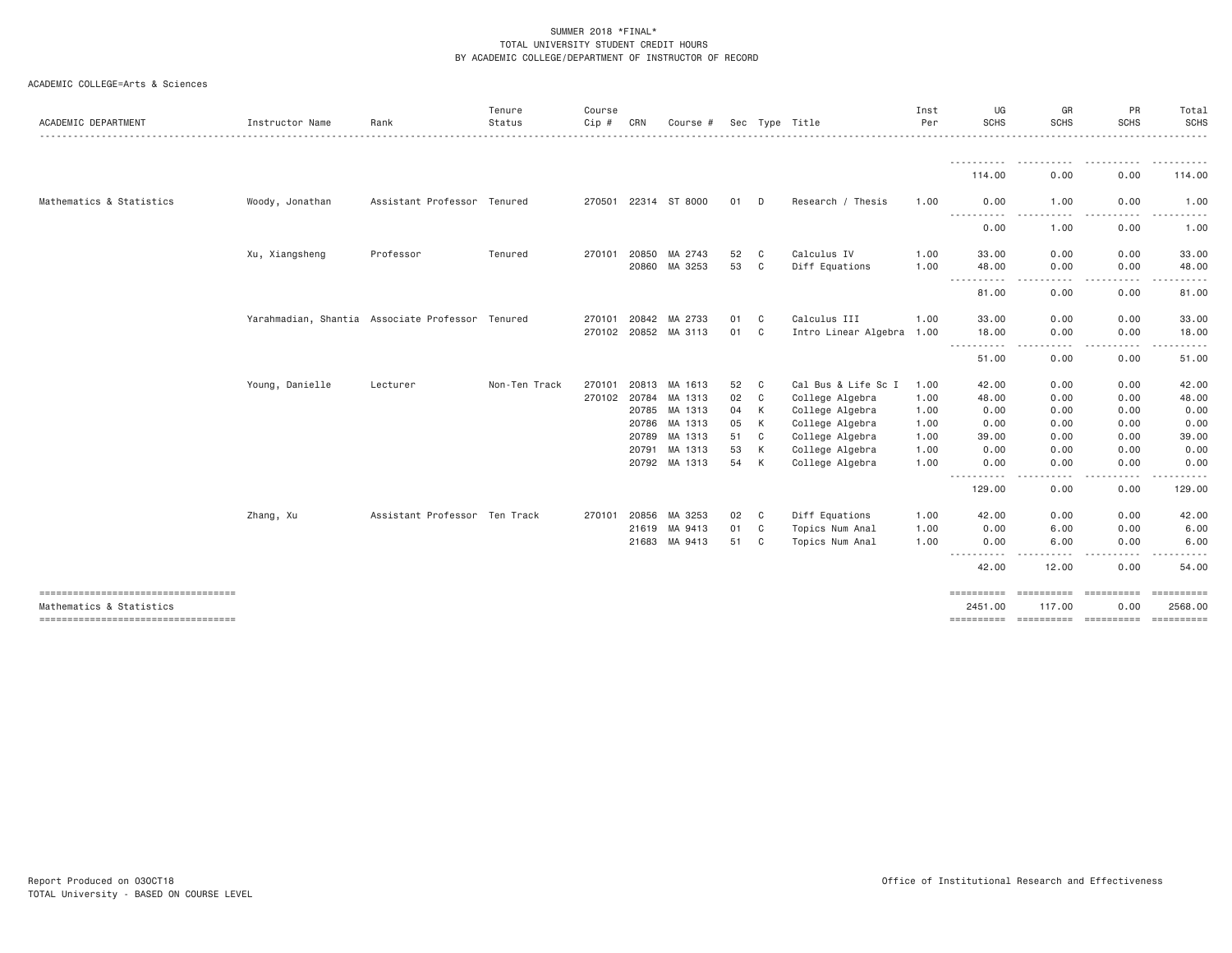| ACADEMIC DEPARTMENT                                            | Instructor Name                                  | Rank                          | Tenure<br>Status | Course<br>Cip# | CRN   | Course #                 |          |        | Sec Type Title                     | Inst<br>Per  | UG<br><b>SCHS</b>                   | GR<br><b>SCHS</b><br>.                                                                                                            | PR<br><b>SCHS</b>                                                                                                                      | Total<br>SCHS<br>.   |
|----------------------------------------------------------------|--------------------------------------------------|-------------------------------|------------------|----------------|-------|--------------------------|----------|--------|------------------------------------|--------------|-------------------------------------|-----------------------------------------------------------------------------------------------------------------------------------|----------------------------------------------------------------------------------------------------------------------------------------|----------------------|
|                                                                |                                                  |                               |                  |                |       |                          |          |        |                                    |              | 114.00                              | 0.00                                                                                                                              | 0.00                                                                                                                                   | 114.00               |
| Mathematics & Statistics                                       | Woody, Jonathan                                  | Assistant Professor Tenured   |                  |                |       | 270501 22314 ST 8000     | 01 D     |        | Research / Thesis                  | 1.00         | 0.00                                | 1.00                                                                                                                              | 0.00                                                                                                                                   | 1.00                 |
|                                                                |                                                  |                               |                  |                |       |                          |          |        |                                    |              | -----------<br>0.00                 | $- - - - -$<br>.<br>1.00                                                                                                          | $\frac{1}{2} \left( \frac{1}{2} \right) \left( \frac{1}{2} \right) \left( \frac{1}{2} \right) \left( \frac{1}{2} \right)$<br>.<br>0.00 | ----------<br>1.00   |
|                                                                | Xu, Xiangsheng                                   | Professor                     | Tenured          | 270101         | 20850 | MA 2743                  | 52       | C      | Calculus IV                        | 1.00         | 33,00                               | 0.00                                                                                                                              | 0.00                                                                                                                                   | 33.00                |
|                                                                |                                                  |                               |                  |                | 20860 | MA 3253                  | 53       | C      | Diff Equations                     | 1.00         | 48.00<br>-----------                | 0.00<br>$\frac{1}{2} \left( \frac{1}{2} \right) \left( \frac{1}{2} \right) \left( \frac{1}{2} \right) \left( \frac{1}{2} \right)$ | 0.00<br>.                                                                                                                              | 48.00<br>.           |
|                                                                |                                                  |                               |                  |                |       |                          |          |        |                                    |              | 81,00                               | 0.00                                                                                                                              | 0.00                                                                                                                                   | 81.00                |
|                                                                | Yarahmadian, Shantia Associate Professor Tenured |                               |                  | 270101         | 20842 | MA 2733                  | 01       | C      | Calculus III                       | 1.00         | 33.00                               | 0.00                                                                                                                              | 0.00                                                                                                                                   | 33.00                |
|                                                                |                                                  |                               |                  |                |       | 270102 20852 MA 3113     | 01       | C      | Intro Linear Algebra 1.00          |              | 18.00<br>$\cdots \cdots \cdots$     | 0.00<br>.                                                                                                                         | 0.00<br>.                                                                                                                              | 18.00<br>.           |
|                                                                |                                                  |                               |                  |                |       |                          |          |        |                                    |              | 51.00                               | 0.00                                                                                                                              | 0.00                                                                                                                                   | 51.00                |
|                                                                | Young, Danielle                                  | Lecturer                      | Non-Ten Track    | 270101         | 20813 | MA 1613                  | 52       | C      | Cal Bus & Life Sc I                | 1.00         | 42.00                               | 0.00                                                                                                                              | 0.00                                                                                                                                   | 42.00                |
|                                                                |                                                  |                               |                  |                |       | 270102 20784 MA 1313     | 02       | C      | College Algebra                    | 1.00         | 48.00                               | 0.00                                                                                                                              | 0.00                                                                                                                                   | 48.00                |
|                                                                |                                                  |                               |                  |                |       | 20785 MA 1313            | 04       | K      | College Algebra                    | 1.00         | 0.00                                | 0.00                                                                                                                              | 0.00                                                                                                                                   | 0.00                 |
|                                                                |                                                  |                               |                  |                | 20786 | MA 1313                  | 05       | K      | College Algebra                    | 1.00         | 0.00                                | 0.00                                                                                                                              | 0.00                                                                                                                                   | 0.00                 |
|                                                                |                                                  |                               |                  |                | 20789 | MA 1313                  | 51       | C      | College Algebra                    | 1.00         | 39.00                               | 0.00                                                                                                                              | 0.00                                                                                                                                   | 39.00                |
|                                                                |                                                  |                               |                  |                | 20791 | MA 1313<br>20792 MA 1313 | 53<br>54 | К<br>K | College Algebra<br>College Algebra | 1.00<br>1.00 | 0.00<br>0.00                        | 0.00<br>0.00                                                                                                                      | 0.00<br>0.00                                                                                                                           | 0.00<br>0.00         |
|                                                                |                                                  |                               |                  |                |       |                          |          |        |                                    |              | .<br>129.00                         | د د د د<br>----<br>0.00                                                                                                           | -----<br>0.00                                                                                                                          | .<br>129.00          |
|                                                                | Zhang, Xu                                        | Assistant Professor Ten Track |                  | 270101         | 20856 | MA 3253                  | 02       | C.     | Diff Equations                     | 1.00         | 42.00                               | 0.00                                                                                                                              | 0.00                                                                                                                                   | 42.00                |
|                                                                |                                                  |                               |                  |                | 21619 | MA 9413                  | 01       | C.     | Topics Num Anal                    | 1.00         | 0.00                                | 6.00                                                                                                                              | 0.00                                                                                                                                   | 6.00                 |
|                                                                |                                                  |                               |                  |                | 21683 | MA 9413                  | 51       | C.     | Topics Num Anal                    | 1.00         | 0.00<br>$- - -$<br>-----            | 6.00<br>$\frac{1}{2}$                                                                                                             | 0.00                                                                                                                                   | 6.00                 |
|                                                                |                                                  |                               |                  |                |       |                          |          |        |                                    |              | 42.00                               | 12.00                                                                                                                             | 0.00                                                                                                                                   | 54,00                |
| ----------------------------------<br>Mathematics & Statistics |                                                  |                               |                  |                |       |                          |          |        |                                    |              | ==========<br>2451.00<br>========== | 117.00<br><b>ESSESSESSE</b>                                                                                                       | ==========<br>0.00<br>==========                                                                                                       | 2568.00<br>EEEEEEEEE |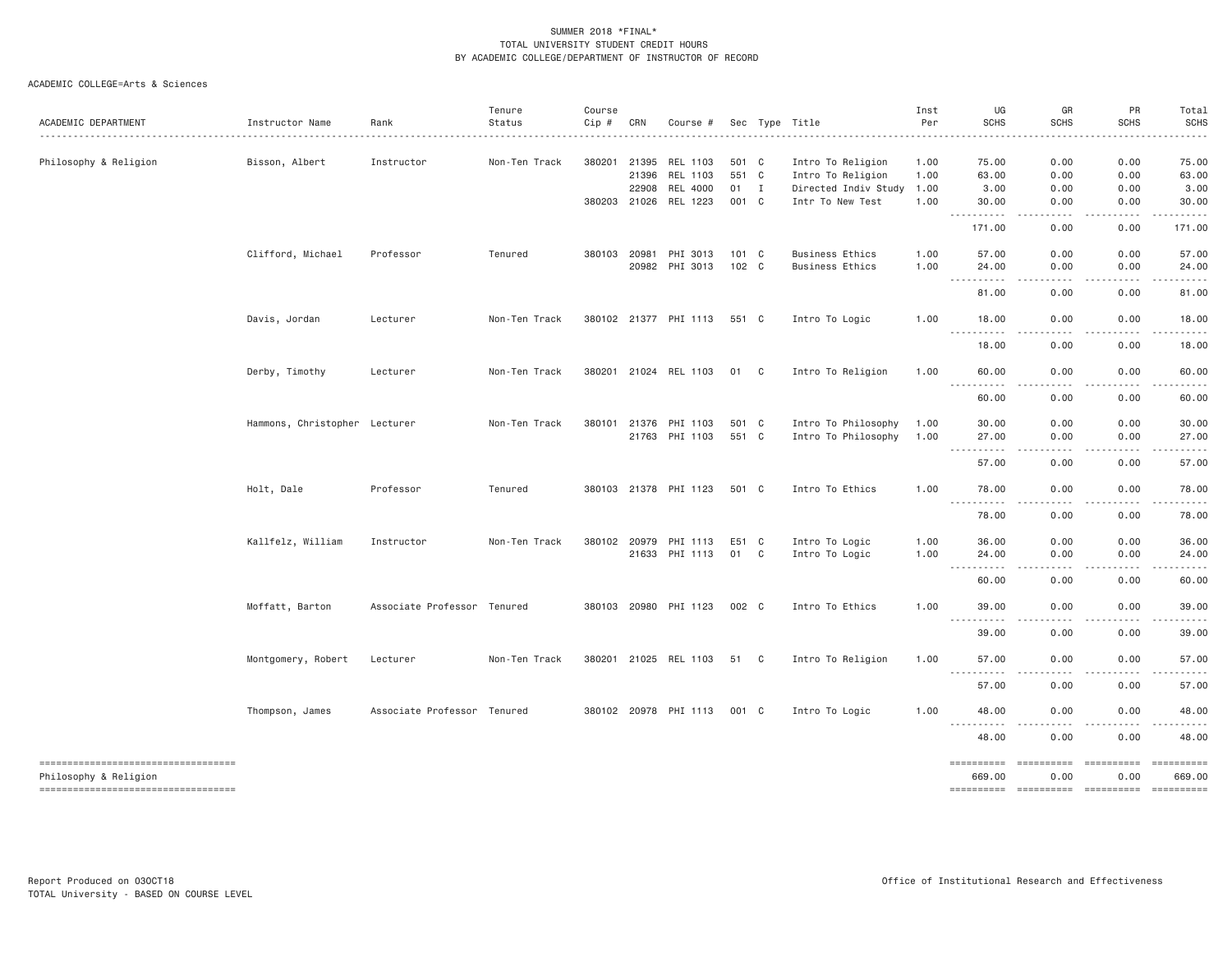| ACADEMIC DEPARTMENT                                         | Instructor Name               | Rank                        | Tenure<br>Status | Course<br>Cip # | CRN          | Course #              |       |              | Sec Type Title         | Inst<br>Per | UG<br><b>SCHS</b>                                                                       | GR<br><b>SCHS</b>          | PR<br><b>SCHS</b>   | Total<br><b>SCHS</b> |
|-------------------------------------------------------------|-------------------------------|-----------------------------|------------------|-----------------|--------------|-----------------------|-------|--------------|------------------------|-------------|-----------------------------------------------------------------------------------------|----------------------------|---------------------|----------------------|
|                                                             |                               |                             |                  |                 |              |                       |       |              |                        |             |                                                                                         |                            |                     |                      |
| Philosophy & Religion                                       | Bisson, Albert                | Instructor                  | Non-Ten Track    |                 | 380201 21395 | REL 1103              | 501 C |              | Intro To Religion      | 1.00        | 75.00                                                                                   | 0.00                       | 0.00                | 75.00                |
|                                                             |                               |                             |                  |                 | 21396        | REL 1103              | 551 C |              | Intro To Religion      | 1.00        | 63.00                                                                                   | 0.00                       | 0.00                | 63.00                |
|                                                             |                               |                             |                  |                 | 22908        | REL 4000              | 01 I  |              | Directed Indiv Study   | 1.00        | 3.00                                                                                    | 0.00                       | 0.00                | 3.00                 |
|                                                             |                               |                             |                  |                 | 380203 21026 | REL 1223              | 001 C |              | Intr To New Test       | 1.00        | 30.00<br>$- - -$<br>.                                                                   | 0.00                       | 0.00                | 30.00                |
|                                                             |                               |                             |                  |                 |              |                       |       |              |                        |             | 171.00                                                                                  | 0.00                       | 0.00                | 171.00               |
|                                                             | Clifford, Michael             | Professor                   | Tenured          | 380103 20981    |              | PHI 3013              | 101 C |              | <b>Business Ethics</b> | 1.00        | 57.00                                                                                   | 0.00                       | 0.00                | 57.00                |
|                                                             |                               |                             |                  |                 | 20982        | PHI 3013              | 102 C |              | <b>Business Ethics</b> | 1.00        | 24.00                                                                                   | 0.00                       | 0.00                | 24.00                |
|                                                             |                               |                             |                  |                 |              |                       |       |              |                        |             | -----<br>$  -$<br>81.00                                                                 | 0.00                       | 0.00                | 81.00                |
|                                                             | Davis, Jordan                 | Lecturer                    | Non-Ten Track    |                 |              | 380102 21377 PHI 1113 | 551 C |              | Intro To Logic         | 1.00        | 18.00                                                                                   | 0.00                       | 0.00                | 18.00                |
|                                                             |                               |                             |                  |                 |              |                       |       |              |                        |             | .<br>18.00                                                                              | .<br>0.00                  | .<br>0.00           | .<br>18.00           |
|                                                             | Derby, Timothy                | Lecturer                    | Non-Ten Track    |                 |              | 380201 21024 REL 1103 | 01 C  |              | Intro To Religion      | 1.00        | 60.00                                                                                   | 0.00                       | 0.00                | 60.00                |
|                                                             |                               |                             |                  |                 |              |                       |       |              |                        |             | 60.00                                                                                   | 0.00                       | 0.00                | 60.00                |
|                                                             | Hammons, Christopher Lecturer |                             | Non-Ten Track    |                 | 380101 21376 | PHI 1103              | 501 C |              | Intro To Philosophy    | 1.00        | 30.00                                                                                   | 0.00                       | 0.00                | 30.00                |
|                                                             |                               |                             |                  |                 |              | 21763 PHI 1103        | 551 C |              | Intro To Philosophy    | 1.00        | 27.00                                                                                   | 0.00                       | 0.00                | 27.00                |
|                                                             |                               |                             |                  |                 |              |                       |       |              |                        |             | $\sim$ $\sim$ $\sim$<br>.<br>57.00                                                      | . <u>. .</u><br>0.00       | .<br>0.00           | .<br>57.00           |
|                                                             | Holt, Dale                    | Professor                   | Tenured          |                 |              | 380103 21378 PHI 1123 | 501 C |              | Intro To Ethics        | 1.00        | 78.00                                                                                   | 0.00                       | 0.00                | 78.00                |
|                                                             |                               |                             |                  |                 |              |                       |       |              |                        |             | <u>.</u><br>78.00                                                                       | ----<br>0.00               | .<br>0.00           | -----<br>78.00       |
|                                                             | Kallfelz, William             | Instructor                  | Non-Ten Track    |                 | 380102 20979 | PHI 1113              | E51 C |              | Intro To Logic         | 1.00        | 36.00                                                                                   | 0.00                       | 0.00                | 36.00                |
|                                                             |                               |                             |                  |                 |              | 21633 PHI 1113        | 01    | $\mathbf{C}$ | Intro To Logic         | 1.00        | 24.00                                                                                   | 0.00                       | 0.00                | 24.00                |
|                                                             |                               |                             |                  |                 |              |                       |       |              |                        |             | .<br>$\frac{1}{2} \frac{1}{2} \frac{1}{2} \frac{1}{2} \frac{1}{2} \frac{1}{2}$<br>60.00 | .<br>0.00                  | .<br>0.00           | .<br>60.00           |
|                                                             | Moffatt, Barton               | Associate Professor Tenured |                  |                 |              | 380103 20980 PHI 1123 | 002 C |              | Intro To Ethics        | 1.00        | 39.00                                                                                   | 0.00                       | 0.00                | 39.00                |
|                                                             |                               |                             |                  |                 |              |                       |       |              |                        |             | 39.00                                                                                   | 0.00                       | 0.00                | 39.00                |
|                                                             | Montgomery, Robert            | Lecturer                    | Non-Ten Track    |                 |              | 380201 21025 REL 1103 | 51 C  |              | Intro To Religion      | 1.00        | 57.00                                                                                   | 0.00                       | 0.00                | 57.00                |
|                                                             |                               |                             |                  |                 |              |                       |       |              |                        |             | .<br>57.00                                                                              | .<br>0.00                  | $- - - - -$<br>0.00 | .<br>57.00           |
|                                                             | Thompson, James               | Associate Professor Tenured |                  |                 |              | 380102 20978 PHI 1113 | 001 C |              | Intro To Logic         | 1.00        | 48.00                                                                                   | 0.00                       | 0.00                | 48.00                |
|                                                             |                               |                             |                  |                 |              |                       |       |              |                        |             | <u>.</u><br>48.00                                                                       | ----<br>. <b>.</b><br>0.00 | .<br>0.00           | .<br>48.00           |
|                                                             |                               |                             |                  |                 |              |                       |       |              |                        |             |                                                                                         |                            |                     |                      |
| ----------------------------------<br>Philosophy & Religion |                               |                             |                  |                 |              |                       |       |              |                        |             | ==========<br>669.00                                                                    | ==========<br>0.00         | ==========<br>0.00  | 669.00               |
| ----------------------------------                          |                               |                             |                  |                 |              |                       |       |              |                        |             |                                                                                         |                            |                     |                      |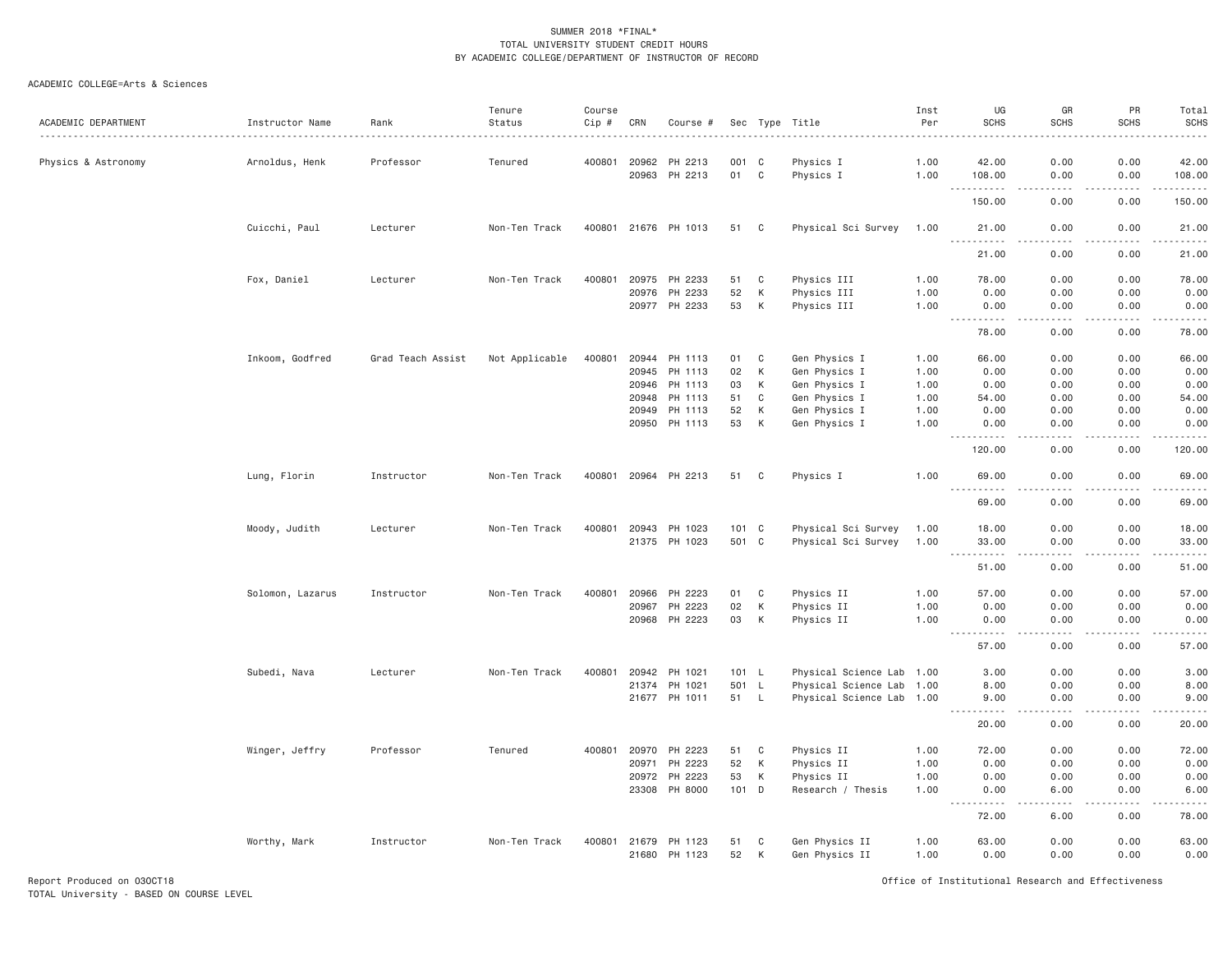### ACADEMIC COLLEGE=Arts & Sciences

|                     |                  |                   | Tenure         | Course |                |                      |           |                               |                           | Inst         | UG                                                           | GR                                  | PR           | Total                             |
|---------------------|------------------|-------------------|----------------|--------|----------------|----------------------|-----------|-------------------------------|---------------------------|--------------|--------------------------------------------------------------|-------------------------------------|--------------|-----------------------------------|
| ACADEMIC DEPARTMENT | Instructor Name  | Rank              | Status         | Cip #  | CRN            | Course #             |           |                               | Sec Type Title            | Per          | <b>SCHS</b>                                                  | <b>SCHS</b>                         | <b>SCHS</b>  | <b>SCHS</b>                       |
|                     |                  |                   |                |        |                |                      |           |                               |                           |              |                                                              |                                     |              |                                   |
| Physics & Astronomy | Arnoldus, Henk   | Professor         | Tenured        | 400801 | 20962<br>20963 | PH 2213<br>PH 2213   | 001<br>01 | C <sub>c</sub><br>$\mathbf C$ | Physics I<br>Physics I    | 1.00<br>1.00 | 42.00<br>108.00                                              | 0.00<br>0.00                        | 0.00<br>0.00 | 42.00<br>108.00                   |
|                     |                  |                   |                |        |                |                      |           |                               |                           |              |                                                              |                                     |              | .                                 |
|                     |                  |                   |                |        |                |                      |           |                               |                           |              | 150.00                                                       | 0.00                                | 0.00         | 150.00                            |
|                     | Cuicchi, Paul    | Lecturer          | Non-Ten Track  |        |                | 400801 21676 PH 1013 | 51        | C                             | Physical Sci Survey       | 1.00         | 21.00<br>$\sim$ $\sim$ $\sim$<br>.                           | 0.00<br>.                           | 0.00<br>.    | 21.00<br>.                        |
|                     |                  |                   |                |        |                |                      |           |                               |                           |              | 21.00                                                        | 0.00                                | 0.00         | 21.00                             |
|                     | Fox, Daniel      | Lecturer          | Non-Ten Track  | 400801 | 20975          | PH 2233              | 51        | C                             | Physics III               | 1.00         | 78.00                                                        | 0.00                                | 0.00         | 78.00                             |
|                     |                  |                   |                |        | 20976          | PH 2233              | 52        | К                             | Physics III               | 1.00         | 0.00                                                         | 0.00                                | 0.00         | 0.00                              |
|                     |                  |                   |                |        | 20977          | PH 2233              | 53        | K                             | Physics III               | 1.00         | 0.00<br><u> - - - - - - - - - -</u>                          | 0.00<br>د د د د                     | 0.00<br>.    | 0.00<br>.                         |
|                     |                  |                   |                |        |                |                      |           |                               |                           |              | 78.00                                                        | 0.00                                | 0.00         | 78.00                             |
|                     | Inkoom, Godfred  | Grad Teach Assist | Not Applicable | 400801 | 20944          | PH 1113              | 01        | $\mathbf C$                   | Gen Physics I             | 1.00         | 66.00                                                        | 0.00                                | 0.00         | 66.00                             |
|                     |                  |                   |                |        | 20945          | PH 1113              | 02        | К                             | Gen Physics I             | 1.00         | 0.00                                                         | 0.00                                | 0.00         | 0.00                              |
|                     |                  |                   |                |        | 20946          | PH 1113              | 03        | К                             | Gen Physics I             | 1.00         | 0.00                                                         | 0.00                                | 0.00         | 0.00                              |
|                     |                  |                   |                |        | 20948          | PH 1113              | 51        | C                             | Gen Physics I             | 1.00         | 54.00                                                        | 0.00                                | 0.00         | 54.00                             |
|                     |                  |                   |                |        | 20949          | PH 1113              | 52        | К                             | Gen Physics I             | 1.00         | 0.00                                                         | 0.00                                | 0.00         | 0.00                              |
|                     |                  |                   |                |        | 20950          | PH 1113              | 53        | К                             | Gen Physics I             | 1.00         | 0.00<br>.                                                    | 0.00<br>$\frac{1}{2}$               | 0.00<br>.    | 0.00<br>.                         |
|                     |                  |                   |                |        |                |                      |           |                               |                           |              | 120.00                                                       | 0.00                                | 0.00         | 120.00                            |
|                     | Lung, Florin     | Instructor        | Non-Ten Track  | 400801 |                | 20964 PH 2213        | 51        | C                             | Physics I                 | 1.00         | 69.00<br>.<br>$\sim$ $\sim$ $\sim$                           | 0.00<br>$\sim$ $\sim$ $\sim$ $\sim$ | 0.00<br>.    | 69.00<br>.                        |
|                     |                  |                   |                |        |                |                      |           |                               |                           |              | 69.00                                                        | 0.00                                | 0.00         | 69.00                             |
|                     | Moody, Judith    | Lecturer          | Non-Ten Track  | 400801 | 20943          | PH 1023              | 101 C     |                               | Physical Sci Survey       | 1.00         | 18.00                                                        | 0.00                                | 0.00         | 18.00                             |
|                     |                  |                   |                |        |                | 21375 PH 1023        | 501 C     |                               | Physical Sci Survey       | 1.00         | 33.00                                                        | 0.00                                | 0.00         | 33.00                             |
|                     |                  |                   |                |        |                |                      |           |                               |                           |              | $\sim$ $\sim$<br>.                                           | $\sim$ $\sim$ $\sim$ $\sim$         | .            | .                                 |
|                     |                  |                   |                |        |                |                      |           |                               |                           |              | 51.00                                                        | 0.00                                | 0.00         | 51.00                             |
|                     | Solomon, Lazarus | Instructor        | Non-Ten Track  | 400801 | 20966          | PH 2223              | 01        | C                             | Physics II                | 1.00         | 57.00                                                        | 0.00                                | 0.00         | 57.00                             |
|                     |                  |                   |                |        | 20967          | PH 2223              | 02        | K                             | Physics II                | 1.00         | 0.00                                                         | 0.00                                | 0.00         | 0.00                              |
|                     |                  |                   |                |        | 20968          | PH 2223              | 03        | К                             | Physics II                | 1.00         | 0.00                                                         | 0.00                                | 0.00         | 0.00                              |
|                     |                  |                   |                |        |                |                      |           |                               |                           |              | $\sim$ $\sim$ $\sim$ $\sim$<br>$\sim$ $\sim$ $\sim$<br>57.00 | $- - -$<br>0.00                     | .<br>0.00    | وبالمحامي<br>57.00                |
|                     | Subedi, Nava     | Lecturer          | Non-Ten Track  | 400801 | 20942          | PH 1021              | 101 L     |                               | Physical Science Lab 1.00 |              | 3.00                                                         | 0.00                                | 0.00         | 3.00                              |
|                     |                  |                   |                |        |                | 21374 PH 1021        | 501 L     |                               | Physical Science Lab 1.00 |              | 8.00                                                         | 0.00                                | 0.00         | 8.00                              |
|                     |                  |                   |                |        |                | 21677 PH 1011        | 51 L      |                               | Physical Science Lab 1.00 |              | 9.00                                                         | 0.00                                | 0.00         | 9.00                              |
|                     |                  |                   |                |        |                |                      |           |                               |                           |              | .<br>20.00                                                   | د د د د<br>0.00                     | .<br>0.00    | $    -$<br>20.00                  |
|                     | Winger, Jeffry   | Professor         | Tenured        | 400801 | 20970          | PH 2223              | 51        | C                             | Physics II                | 1.00         | 72.00                                                        | 0.00                                | 0.00         | 72.00                             |
|                     |                  |                   |                |        | 20971          | PH 2223              | 52        | К                             | Physics II                | 1.00         | 0.00                                                         | 0.00                                | 0.00         | 0.00                              |
|                     |                  |                   |                |        | 20972          | PH 2223              | 53        | K                             | Physics II                | 1.00         | 0.00                                                         | 0.00                                | 0.00         | 0.00                              |
|                     |                  |                   |                |        | 23308          | PH 8000              | 101 D     |                               | Research / Thesis         | 1.00         | 0.00<br>.                                                    | 6.00<br>$\sim$ $\sim$ $\sim$        | 0.00<br>.    | 6.00<br>$\omega$ is $\omega$ in . |
|                     |                  |                   |                |        |                |                      |           |                               |                           |              | 72.00                                                        | 6.00                                | 0.00         | 78.00                             |
|                     | Worthy, Mark     | Instructor        | Non-Ten Track  | 400801 | 21679          | PH 1123              | 51        | C                             | Gen Physics II            | 1.00         | 63.00                                                        | 0.00                                | 0.00         | 63.00                             |
|                     |                  |                   |                |        | 21680          | PH 1123              | 52        | K                             | Gen Physics II            | 1.00         | 0.00                                                         | 0.00                                | 0.00         | 0.00                              |

Report Produced on 03OCT18 Office of Institutional Research and Effectiveness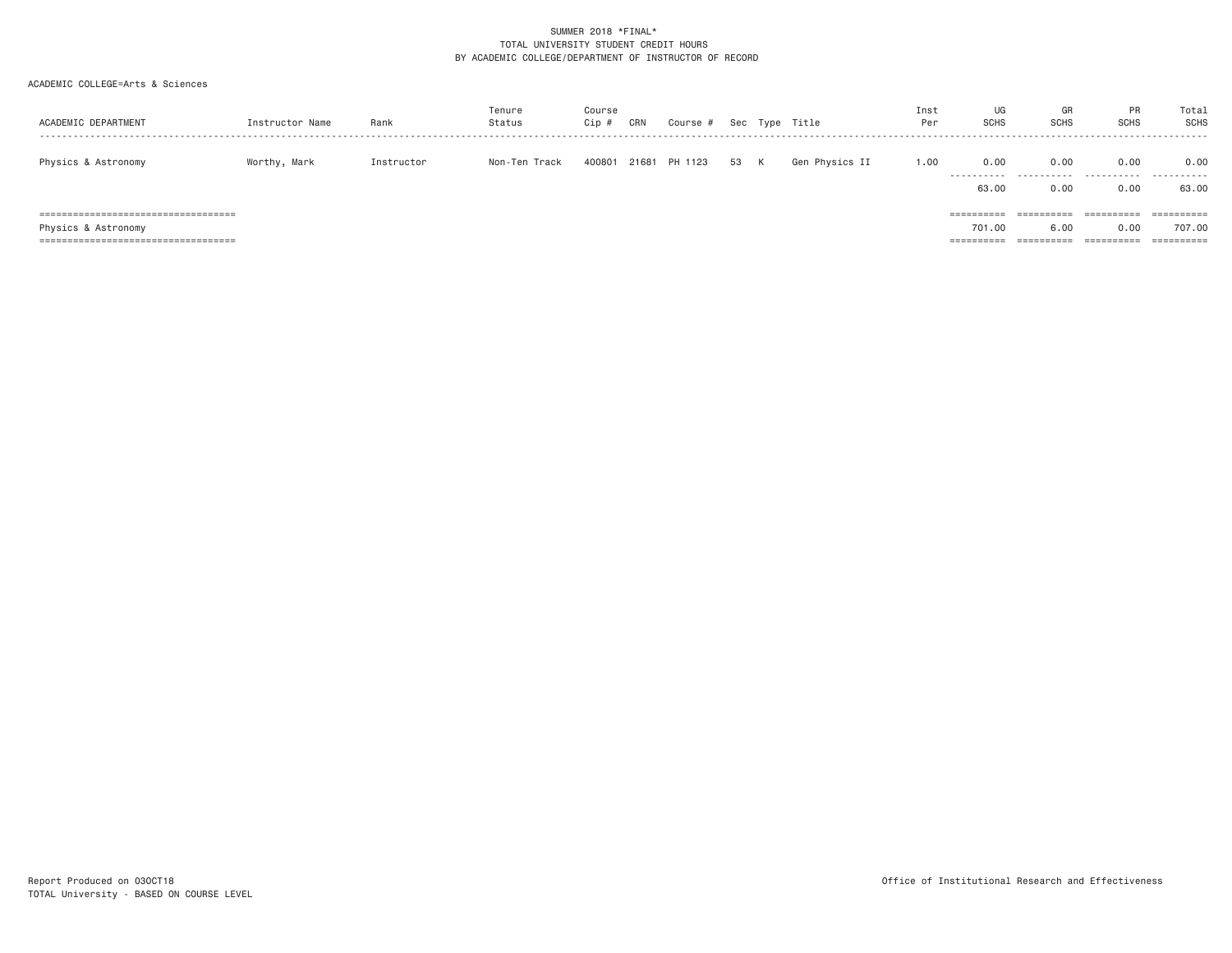| ACADEMIC DEPARTMENT                                                                                     | Instructor Name | Rank       | Tenure<br>Status | Course<br>$Cip$ # | CRN   | Course # | Sec | Type Title     | Inst<br>Per | UG<br><b>SCHS</b>                                | GR<br><b>SCHS</b>                              | <b>PR</b><br><b>SCHS</b>                       | Total<br>SCHS                                                                                                                                                                                                                                                                                                                                                                                                                                                                                                  |
|---------------------------------------------------------------------------------------------------------|-----------------|------------|------------------|-------------------|-------|----------|-----|----------------|-------------|--------------------------------------------------|------------------------------------------------|------------------------------------------------|----------------------------------------------------------------------------------------------------------------------------------------------------------------------------------------------------------------------------------------------------------------------------------------------------------------------------------------------------------------------------------------------------------------------------------------------------------------------------------------------------------------|
| Physics & Astronomy                                                                                     | Worthy, Mark    | Instructor | Non-Ten Track    | 400801            | 21681 | PH 1123  | 53  | Gen Physics II | 1.00        | 0.00<br>.<br>63,00                               | 0.00<br>.<br>0.00                              | 0.00<br>.<br>0.00                              | 0.00<br>.<br>63.00                                                                                                                                                                                                                                                                                                                                                                                                                                                                                             |
| ======================================<br>Physics & Astronomy<br>====================================== |                 |            |                  |                   |       |          |     |                |             | ==========<br>701.00<br>----------<br>---------- | ==========<br>6,00<br>----------<br>---------- | ==========<br>0.00<br>----------<br>---------- | $\begin{array}{cccccccccc} \multicolumn{2}{c}{} & \multicolumn{2}{c}{} & \multicolumn{2}{c}{} & \multicolumn{2}{c}{} & \multicolumn{2}{c}{} & \multicolumn{2}{c}{} & \multicolumn{2}{c}{} & \multicolumn{2}{c}{} & \multicolumn{2}{c}{} & \multicolumn{2}{c}{} & \multicolumn{2}{c}{} & \multicolumn{2}{c}{} & \multicolumn{2}{c}{} & \multicolumn{2}{c}{} & \multicolumn{2}{c}{} & \multicolumn{2}{c}{} & \multicolumn{2}{c}{} & \multicolumn{2}{c}{} & \multicolumn{2}{c}{} & \mult$<br>707.00<br>========== |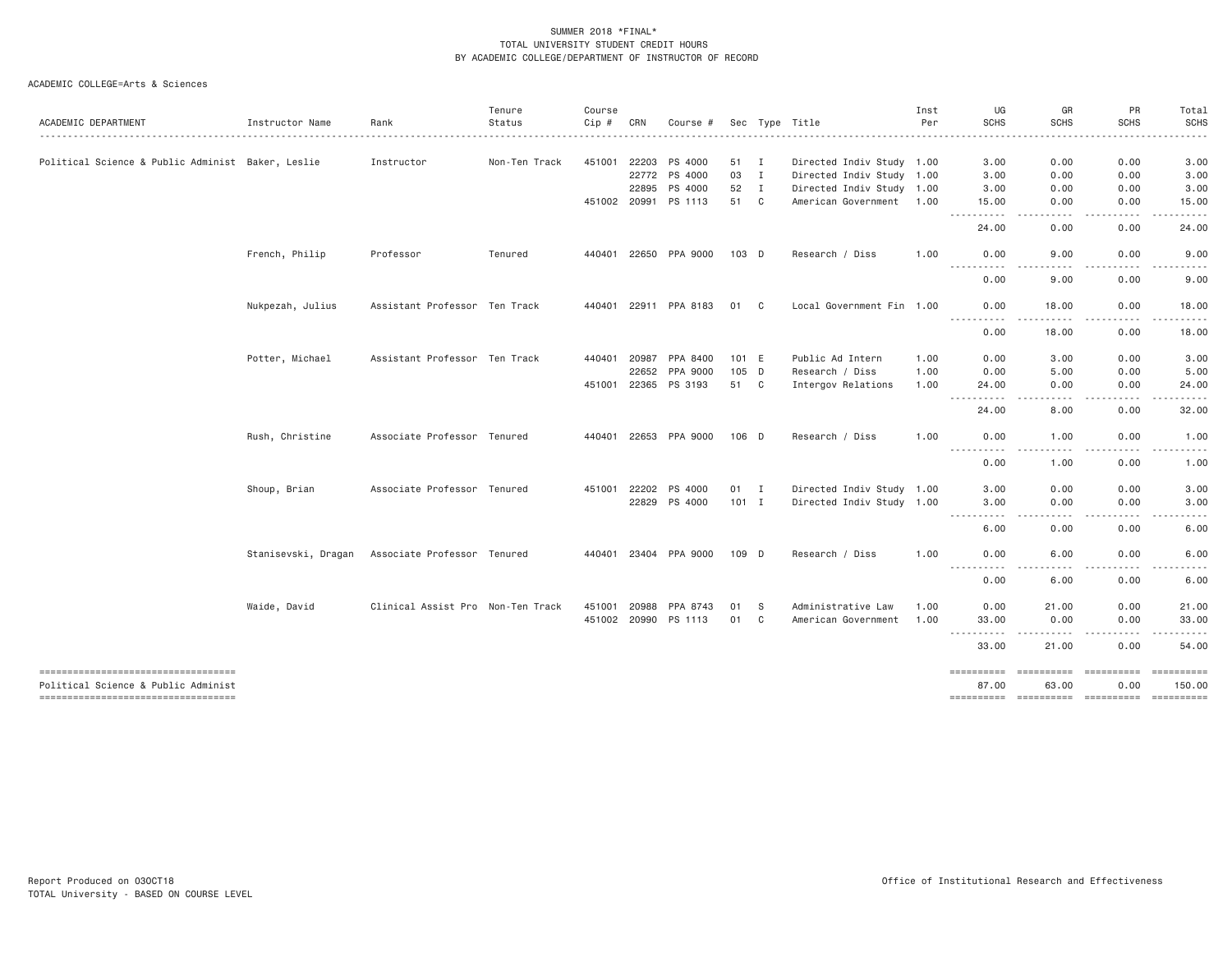|                                                                               |                     |                                   | Tenure        | Course       |       |                       |         |              |                           | Inst | UG                                                                                                                           | GR                                                                                                                                                                                       | PR                    | Total                                                                                                                                                         |
|-------------------------------------------------------------------------------|---------------------|-----------------------------------|---------------|--------------|-------|-----------------------|---------|--------------|---------------------------|------|------------------------------------------------------------------------------------------------------------------------------|------------------------------------------------------------------------------------------------------------------------------------------------------------------------------------------|-----------------------|---------------------------------------------------------------------------------------------------------------------------------------------------------------|
| ACADEMIC DEPARTMENT                                                           | Instructor Name     | Rank                              | Status        | Cip #        | CRN   | Course #              |         |              | Sec Type Title            | Per  | <b>SCHS</b>                                                                                                                  | <b>SCHS</b>                                                                                                                                                                              | <b>SCHS</b>           | <b>SCHS</b>                                                                                                                                                   |
| Political Science & Public Administ Baker, Leslie                             |                     | Instructor                        | Non-Ten Track | 451001       | 22203 | PS 4000               | 51 I    |              | Directed Indiv Study 1.00 |      | 3.00                                                                                                                         | 0.00                                                                                                                                                                                     | 0.00                  | 3.00                                                                                                                                                          |
|                                                                               |                     |                                   |               |              | 22772 | PS 4000               | 03      | $\mathbf{I}$ | Directed Indiv Study 1.00 |      | 3.00                                                                                                                         | 0.00                                                                                                                                                                                     | 0.00                  | 3.00                                                                                                                                                          |
|                                                                               |                     |                                   |               |              | 22895 | PS 4000               | 52      | $\mathbf{I}$ | Directed Indiv Study 1.00 |      | 3.00                                                                                                                         | 0.00                                                                                                                                                                                     | 0.00                  | 3.00                                                                                                                                                          |
|                                                                               |                     |                                   |               |              |       | 451002 20991 PS 1113  | 51 C    |              | American Government 1.00  |      | 15.00<br>.                                                                                                                   | 0.00<br>.                                                                                                                                                                                | 0.00<br>$- - - - - -$ | 15.00<br>.                                                                                                                                                    |
|                                                                               |                     |                                   |               |              |       |                       |         |              |                           |      | 24.00                                                                                                                        | 0.00                                                                                                                                                                                     | 0.00                  | 24.00                                                                                                                                                         |
|                                                                               | French, Philip      | Professor                         | Tenured       | 440401       |       | 22650 PPA 9000        | 103 D   |              | Research / Diss           | 1.00 | 0.00<br>$- - -$<br>.                                                                                                         | 9,00                                                                                                                                                                                     | 0.00                  | 9,00                                                                                                                                                          |
|                                                                               |                     |                                   |               |              |       |                       |         |              |                           |      | 0.00                                                                                                                         | 9.00                                                                                                                                                                                     | 0.00                  | 9.00                                                                                                                                                          |
|                                                                               | Nukpezah, Julius    | Assistant Professor Ten Track     |               |              |       | 440401 22911 PPA 8183 | 01 C    |              | Local Government Fin 1.00 |      | 0.00                                                                                                                         | 18.00                                                                                                                                                                                    | 0.00                  | 18.00                                                                                                                                                         |
|                                                                               |                     |                                   |               |              |       |                       |         |              |                           |      | -----<br>0.00                                                                                                                | $\frac{1}{2} \left( \frac{1}{2} \right) \left( \frac{1}{2} \right) \left( \frac{1}{2} \right) \left( \frac{1}{2} \right) \left( \frac{1}{2} \right) \left( \frac{1}{2} \right)$<br>18.00 | .<br>0.00             | .<br>18.00                                                                                                                                                    |
|                                                                               | Potter, Michael     | Assistant Professor Ten Track     |               | 440401       | 20987 | PPA 8400              | 101 E   |              | Public Ad Intern          | 1.00 | 0.00                                                                                                                         | 3.00                                                                                                                                                                                     | 0.00                  | 3.00                                                                                                                                                          |
|                                                                               |                     |                                   |               |              | 22652 | PPA 9000              | $105$ D |              | Research / Diss           | 1.00 | 0.00                                                                                                                         | 5.00                                                                                                                                                                                     | 0.00                  | 5.00                                                                                                                                                          |
|                                                                               |                     |                                   |               | 451001 22365 |       | PS 3193               | 51 C    |              | Intergov Relations        | 1.00 | 24.00<br>-----                                                                                                               | 0.00<br>$- - - -$                                                                                                                                                                        | 0.00<br>.             | 24.00<br>. <u>.</u> .                                                                                                                                         |
|                                                                               |                     |                                   |               |              |       |                       |         |              |                           |      | 24.00                                                                                                                        | 8.00                                                                                                                                                                                     | 0.00                  | 32.00                                                                                                                                                         |
|                                                                               | Rush, Christine     | Associate Professor Tenured       |               |              |       | 440401 22653 PPA 9000 | $106$ D |              | Research / Diss           | 1.00 | 0.00                                                                                                                         | 1.00                                                                                                                                                                                     | 0.00                  | 1.00                                                                                                                                                          |
|                                                                               |                     |                                   |               |              |       |                       |         |              |                           |      | .<br>0.00                                                                                                                    | $\frac{1}{2}$<br>1.00                                                                                                                                                                    | .<br>0.00             | $\cdots$<br>1.00                                                                                                                                              |
|                                                                               | Shoup, Brian        | Associate Professor Tenured       |               | 451001       | 22202 | PS 4000               | 01 I    |              | Directed Indiv Study 1.00 |      | 3.00                                                                                                                         | 0.00                                                                                                                                                                                     | 0.00                  | 3.00                                                                                                                                                          |
|                                                                               |                     |                                   |               |              | 22829 | PS 4000               | $101$ I |              | Directed Indiv Study 1.00 |      | 3.00                                                                                                                         | 0.00                                                                                                                                                                                     | 0.00                  | 3.00                                                                                                                                                          |
|                                                                               |                     |                                   |               |              |       |                       |         |              |                           |      | $\begin{array}{cccccccccccccc} \bullet & \bullet & \bullet & \bullet & \bullet & \bullet & \bullet \end{array}$<br>.<br>6.00 | ----<br>0.00                                                                                                                                                                             | $- - - -$<br>0.00     | .<br>6.00                                                                                                                                                     |
|                                                                               | Stanisevski, Dragan | Associate Professor Tenured       |               |              |       | 440401 23404 PPA 9000 | 109 D   |              | Research / Diss           | 1.00 | 0.00<br>.                                                                                                                    | 6.00<br>.                                                                                                                                                                                | 0.00<br><u>.</u>      | 6.00<br>-----                                                                                                                                                 |
|                                                                               |                     |                                   |               |              |       |                       |         |              |                           |      | 0.00                                                                                                                         | 6.00                                                                                                                                                                                     | 0.00                  | 6.00                                                                                                                                                          |
|                                                                               | Waide, David        | Clinical Assist Pro Non-Ten Track |               | 451001       | 20988 | PPA 8743              | 01      | - S          | Administrative Law        | 1.00 | 0.00                                                                                                                         | 21.00                                                                                                                                                                                    | 0.00                  | 21.00                                                                                                                                                         |
|                                                                               |                     |                                   |               | 451002 20990 |       | PS 1113               | 01      | C            | American Government       | 1.00 | 33.00                                                                                                                        | 0.00                                                                                                                                                                                     | 0.00                  | 33.00                                                                                                                                                         |
|                                                                               |                     |                                   |               |              |       |                       |         |              |                           |      | <b></b><br>33.00                                                                                                             | .<br>21.00                                                                                                                                                                               | .<br>0.00             | $\frac{1}{2} \left( \frac{1}{2} \right) \left( \frac{1}{2} \right) \left( \frac{1}{2} \right) \left( \frac{1}{2} \right) \left( \frac{1}{2} \right)$<br>54.00 |
| ------------------------------------                                          |                     |                                   |               |              |       |                       |         |              |                           |      | ==========                                                                                                                   | <b>ESSESSESS</b>                                                                                                                                                                         | ==========            | ==========                                                                                                                                                    |
| Political Science & Public Administ<br>====================================== |                     |                                   |               |              |       |                       |         |              |                           |      | 87.00                                                                                                                        | 63.00                                                                                                                                                                                    | 0.00                  | 150.00                                                                                                                                                        |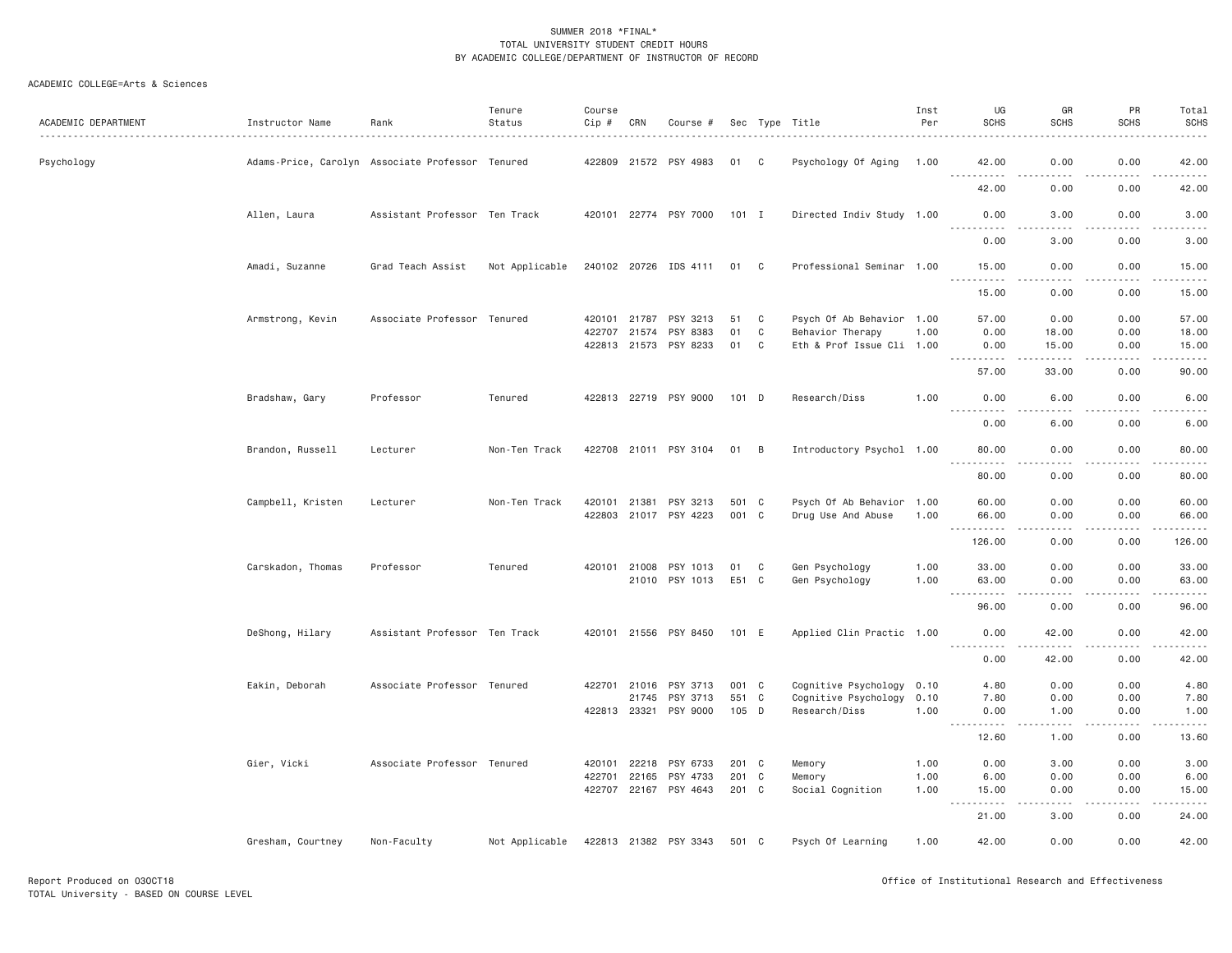| ACADEMIC DEPARTMENT | Instructor Name   | Rank                                             | Tenure<br>Status | Course<br>Cip # | CRN          | Course #              |       |   | Sec Type Title            | Inst<br>Per | UG<br><b>SCHS</b>                                                                                                                                                                                   | GR<br><b>SCHS</b>                   | PR<br><b>SCHS</b> | Total<br><b>SCHS</b>                                                                                                                                                                      |
|---------------------|-------------------|--------------------------------------------------|------------------|-----------------|--------------|-----------------------|-------|---|---------------------------|-------------|-----------------------------------------------------------------------------------------------------------------------------------------------------------------------------------------------------|-------------------------------------|-------------------|-------------------------------------------------------------------------------------------------------------------------------------------------------------------------------------------|
| Psychology          |                   | Adams-Price, Carolyn Associate Professor Tenured |                  |                 |              | 422809 21572 PSY 4983 | 01 C  |   | Psychology Of Aging       | 1.00        | 42.00<br>.                                                                                                                                                                                          | 0.00<br>.                           | 0.00<br>.         | 42.00<br>.                                                                                                                                                                                |
|                     |                   |                                                  |                  |                 |              |                       |       |   |                           |             | 42.00                                                                                                                                                                                               | 0.00                                | 0.00              | 42.00                                                                                                                                                                                     |
|                     | Allen, Laura      | Assistant Professor Ten Track                    |                  |                 |              | 420101 22774 PSY 7000 | 101 I |   | Directed Indiv Study 1.00 |             | 0.00<br>$\frac{1}{2} \left( \frac{1}{2} \right) \left( \frac{1}{2} \right) \left( \frac{1}{2} \right) \left( \frac{1}{2} \right) \left( \frac{1}{2} \right)$                                        | 3.00                                | 0.00              | 3.00                                                                                                                                                                                      |
|                     |                   |                                                  |                  |                 |              |                       |       |   |                           |             | 0.00                                                                                                                                                                                                | 3.00                                | 0.00              | 3.00                                                                                                                                                                                      |
|                     | Amadi, Suzanne    | Grad Teach Assist                                | Not Applicable   |                 |              | 240102 20726 IDS 4111 | 01 C  |   | Professional Seminar 1.00 |             | 15.00                                                                                                                                                                                               | 0.00<br>$\sim$ $\sim$ $\sim$ $\sim$ | 0.00<br>.         | 15.00<br>المتمامين                                                                                                                                                                        |
|                     |                   |                                                  |                  |                 |              |                       |       |   |                           |             | 15.00                                                                                                                                                                                               | 0.00                                | 0.00              | 15.00                                                                                                                                                                                     |
|                     | Armstrong, Kevin  | Associate Professor Tenured                      |                  |                 | 420101 21787 | PSY 3213              | 51    | C | Psych Of Ab Behavior 1.00 |             | 57.00                                                                                                                                                                                               | 0.00                                | 0.00              | 57.00                                                                                                                                                                                     |
|                     |                   |                                                  |                  | 422707 21574    |              | PSY 8383              | 01    | C | Behavior Therapy          | 1.00        | 0.00                                                                                                                                                                                                | 18.00                               | 0.00              | 18.00                                                                                                                                                                                     |
|                     |                   |                                                  |                  |                 |              | 422813 21573 PSY 8233 | 01    | C | Eth & Prof Issue Cli 1.00 |             | 0.00<br>.<br>$\sim$ $\sim$ $\sim$                                                                                                                                                                   | 15.00<br>.                          | 0.00<br>.         | 15.00<br>.                                                                                                                                                                                |
|                     |                   |                                                  |                  |                 |              |                       |       |   |                           |             | 57.00                                                                                                                                                                                               | 33.00                               | 0.00              | 90.00                                                                                                                                                                                     |
|                     | Bradshaw, Gary    | Professor                                        | Tenured          |                 |              | 422813 22719 PSY 9000 | 101 D |   | Research/Diss             | 1.00        | 0.00<br>. <u>.</u> .                                                                                                                                                                                | 6.00<br>والمستناء                   | 0.00<br>-----     | 6.00<br>.                                                                                                                                                                                 |
|                     |                   |                                                  |                  |                 |              |                       |       |   |                           |             | 0.00                                                                                                                                                                                                | 6.00                                | 0.00              | 6.00                                                                                                                                                                                      |
|                     | Brandon, Russell  | Lecturer                                         | Non-Ten Track    |                 |              | 422708 21011 PSY 3104 | 01 B  |   | Introductory Psychol 1.00 |             | 80.00<br>.                                                                                                                                                                                          | 0.00<br>د د د د                     | 0.00<br>.         | 80.00<br>.                                                                                                                                                                                |
|                     |                   |                                                  |                  |                 |              |                       |       |   |                           |             | 80.00                                                                                                                                                                                               | 0.00                                | 0.00              | 80.00                                                                                                                                                                                     |
|                     | Campbell, Kristen | Lecturer                                         | Non-Ten Track    | 420101 21381    |              | PSY 3213              | 501 C |   | Psych Of Ab Behavior 1.00 |             | 60.00                                                                                                                                                                                               | 0.00                                | 0.00              | 60.00                                                                                                                                                                                     |
|                     |                   |                                                  |                  |                 |              | 422803 21017 PSY 4223 | 001 C |   | Drug Use And Abuse        | 1.00        | 66.00                                                                                                                                                                                               | 0.00                                | 0.00              | 66.00                                                                                                                                                                                     |
|                     |                   |                                                  |                  |                 |              |                       |       |   |                           |             | .<br>$- - -$<br>126.00                                                                                                                                                                              | -----<br>0.00                       | .<br>0.00         | $\frac{1}{2} \left( \frac{1}{2} \right) \left( \frac{1}{2} \right) \left( \frac{1}{2} \right) \left( \frac{1}{2} \right) \left( \frac{1}{2} \right) \left( \frac{1}{2} \right)$<br>126.00 |
|                     | Carskadon, Thomas | Professor                                        | Tenured          |                 | 420101 21008 | PSY 1013              | 01    | C | Gen Psychology            | 1.00        | 33.00                                                                                                                                                                                               | 0.00                                | 0.00              | 33.00                                                                                                                                                                                     |
|                     |                   |                                                  |                  |                 |              | 21010 PSY 1013        | E51 C |   | Gen Psychology            | 1.00        | 63.00                                                                                                                                                                                               | 0.00                                | 0.00              | 63.00                                                                                                                                                                                     |
|                     |                   |                                                  |                  |                 |              |                       |       |   |                           |             | .<br>$- - -$<br>96.00                                                                                                                                                                               | $- - - -$<br>0.00                   | .<br>0.00         | . <u>.</u> .<br>96.00                                                                                                                                                                     |
|                     | DeShong, Hilary   | Assistant Professor Ten Track                    |                  |                 |              | 420101 21556 PSY 8450 | 101 E |   | Applied Clin Practic 1.00 |             | 0.00                                                                                                                                                                                                | 42.00                               | 0.00              | 42.00                                                                                                                                                                                     |
|                     |                   |                                                  |                  |                 |              |                       |       |   |                           |             | <u>.</u>                                                                                                                                                                                            | -----                               | .                 | .                                                                                                                                                                                         |
|                     |                   |                                                  |                  |                 |              |                       |       |   |                           |             | 0.00                                                                                                                                                                                                | 42.00                               | 0.00              | 42.00                                                                                                                                                                                     |
|                     | Eakin, Deborah    | Associate Professor Tenured                      |                  |                 | 422701 21016 | PSY 3713              | 001 C |   | Cognitive Psychology 0.10 |             | 4.80                                                                                                                                                                                                | 0.00                                | 0.00              | 4.80                                                                                                                                                                                      |
|                     |                   |                                                  |                  |                 |              | 21745 PSY 3713        | 551 C |   | Cognitive Psychology 0.10 |             | 7.80                                                                                                                                                                                                | 0.00                                | 0.00              | 7.80                                                                                                                                                                                      |
|                     |                   |                                                  |                  |                 |              | 422813 23321 PSY 9000 | 105 D |   | Research/Diss             | 1.00        | 0.00<br>.<br>$\sim$ $\sim$ $\sim$ $\sim$                                                                                                                                                            | 1.00<br>$- - - -$                   | 0.00<br>.         | 1.00<br>.                                                                                                                                                                                 |
|                     |                   |                                                  |                  |                 |              |                       |       |   |                           |             | 12.60                                                                                                                                                                                               | 1.00                                | 0.00              | 13.60                                                                                                                                                                                     |
|                     | Gier, Vicki       | Associate Professor Tenured                      |                  | 420101 22218    |              | PSY 6733              | 201 C |   | Memory                    | 1.00        | 0.00                                                                                                                                                                                                | 3.00                                | 0.00              | 3.00                                                                                                                                                                                      |
|                     |                   |                                                  |                  | 422701          | 22165        | PSY 4733              | 201 C |   | Memory                    | 1.00        | 6.00                                                                                                                                                                                                | 0.00                                | 0.00              | 6.00                                                                                                                                                                                      |
|                     |                   |                                                  |                  |                 |              | 422707 22167 PSY 4643 | 201 C |   | Social Cognition          | 1.00        | 15.00                                                                                                                                                                                               | 0.00                                | 0.00              | 15.00                                                                                                                                                                                     |
|                     |                   |                                                  |                  |                 |              |                       |       |   |                           |             | $\frac{1}{2} \left( \frac{1}{2} \right) \left( \frac{1}{2} \right) \left( \frac{1}{2} \right) \left( \frac{1}{2} \right) \left( \frac{1}{2} \right) \left( \frac{1}{2} \right)$<br>$- - -$<br>21.00 | .<br>3.00                           | .<br>0.00         | .<br>24.00                                                                                                                                                                                |
|                     | Gresham, Courtney | Non-Faculty                                      | Not Applicable   |                 |              | 422813 21382 PSY 3343 | 501 C |   | Psych Of Learning         | 1.00        | 42.00                                                                                                                                                                                               | 0.00                                | 0.00              | 42.00                                                                                                                                                                                     |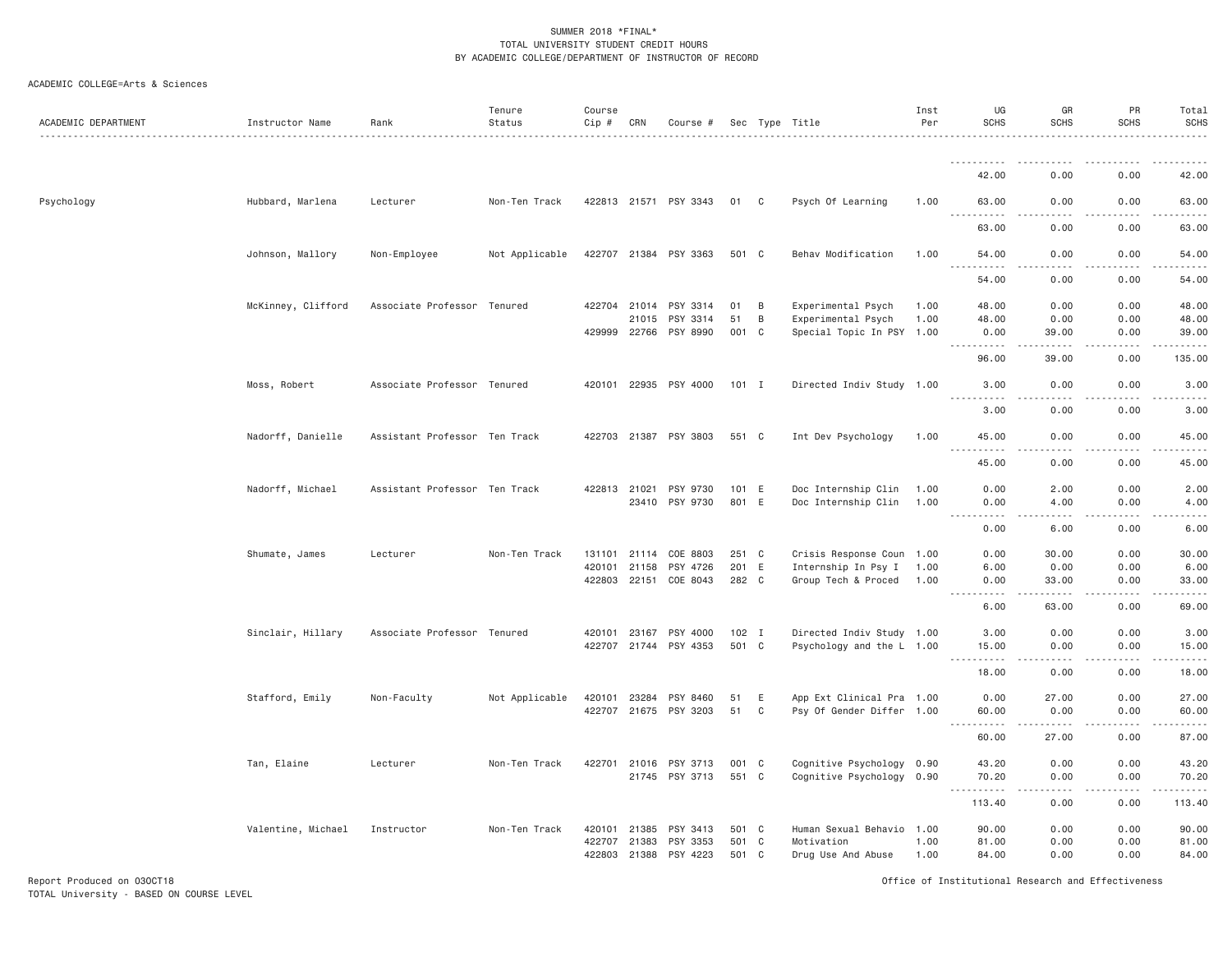#### ACADEMIC COLLEGE=Arts & Sciences

| ACADEMIC DEPARTMENT | Instructor Name    | Rank                          | Tenure<br>Status | Course<br>Cip #        | CRN   | Course #                          |                  |                | Sec Type Title                                         | Inst<br>Per  | UG<br><b>SCHS</b>                        | GR<br><b>SCHS</b>                                                                                                                                            | PR<br><b>SCHS</b>     | Total<br>SCHS<br>.                                                                                                                |
|---------------------|--------------------|-------------------------------|------------------|------------------------|-------|-----------------------------------|------------------|----------------|--------------------------------------------------------|--------------|------------------------------------------|--------------------------------------------------------------------------------------------------------------------------------------------------------------|-----------------------|-----------------------------------------------------------------------------------------------------------------------------------|
|                     |                    |                               |                  |                        |       |                                   |                  |                |                                                        |              |                                          |                                                                                                                                                              |                       |                                                                                                                                   |
|                     |                    |                               |                  |                        |       |                                   |                  |                |                                                        |              | 42.00                                    | 0.00                                                                                                                                                         | 0.00                  | 42.00                                                                                                                             |
| Psychology          | Hubbard, Marlena   | Lecturer                      | Non-Ten Track    |                        |       | 422813 21571 PSY 3343             | 01               | C <sub>c</sub> | Psych Of Learning                                      | 1.00         | 63,00<br>.<br>$- - -$                    | 0.00<br>د د د د                                                                                                                                              | 0.00<br>.             | 63,00<br>.                                                                                                                        |
|                     |                    |                               |                  |                        |       |                                   |                  |                |                                                        |              | 63.00                                    | 0.00                                                                                                                                                         | 0.00                  | 63.00                                                                                                                             |
|                     | Johnson, Mallory   | Non-Employee                  | Not Applicable   |                        |       | 422707 21384 PSY 3363             | 501 C            |                | Behav Modification                                     | 1.00         | 54.00<br>-----                           | 0.00<br>$- - - -$                                                                                                                                            | 0.00<br>$\frac{1}{2}$ | 54.00<br>.                                                                                                                        |
|                     |                    |                               |                  |                        |       |                                   |                  |                |                                                        |              | 54.00                                    | 0.00                                                                                                                                                         | 0.00                  | 54.00                                                                                                                             |
|                     | McKinney, Clifford | Associate Professor Tenured   |                  | 422704                 | 21014 | PSY 3314                          | 01               | B              | Experimental Psych                                     | 1.00         | 48.00                                    | 0.00                                                                                                                                                         | 0.00                  | 48.00                                                                                                                             |
|                     |                    |                               |                  |                        | 21015 | PSY 3314                          | 51               | B              | Experimental Psych                                     | 1.00         | 48.00                                    | 0.00                                                                                                                                                         | 0.00                  | 48.00                                                                                                                             |
|                     |                    |                               |                  |                        |       | 429999 22766 PSY 8990             | 001 C            |                | Special Topic In PSY 1.00                              |              | 0.00<br>$- - - - - - -$<br>$\frac{1}{2}$ | 39,00<br>$- - - - -$                                                                                                                                         | 0.00<br>.             | 39.00<br>.                                                                                                                        |
|                     |                    |                               |                  |                        |       |                                   |                  |                |                                                        |              | 96.00                                    | 39.00                                                                                                                                                        | 0.00                  | 135.00                                                                                                                            |
|                     | Moss, Robert       | Associate Professor Tenured   |                  |                        |       | 420101 22935 PSY 4000             | 101 I            |                | Directed Indiv Study 1.00                              |              | 3.00                                     | 0.00<br>$\sim$ $\sim$ $\sim$                                                                                                                                 | 0.00<br>.             | 3.00<br>$\frac{1}{2} \left( \frac{1}{2} \right) \left( \frac{1}{2} \right) \left( \frac{1}{2} \right) \left( \frac{1}{2} \right)$ |
|                     |                    |                               |                  |                        |       |                                   |                  |                |                                                        |              | 3.00                                     | 0.00                                                                                                                                                         | 0.00                  | 3.00                                                                                                                              |
|                     | Nadorff, Danielle  | Assistant Professor Ten Track |                  |                        |       | 422703 21387 PSY 3803             | 551 C            |                | Int Dev Psychology                                     | 1.00         | 45.00<br>$\frac{1}{2}$<br>. <b>.</b>     | 0.00<br>$\frac{1}{2}$                                                                                                                                        | 0.00<br>.             | 45.00<br>. <u>.</u> .                                                                                                             |
|                     |                    |                               |                  |                        |       |                                   |                  |                |                                                        |              | 45.00                                    | 0.00                                                                                                                                                         | 0.00                  | 45.00                                                                                                                             |
|                     | Nadorff, Michael   | Assistant Professor Ten Track |                  | 422813                 | 21021 | PSY 9730<br>23410 PSY 9730        | 101 E<br>801 E   |                | Doc Internship Clin<br>Doc Internship Clin             | 1.00<br>1.00 | 0.00<br>0.00                             | 2.00<br>4.00                                                                                                                                                 | 0.00<br>0.00          | 2.00<br>4.00                                                                                                                      |
|                     |                    |                               |                  |                        |       |                                   |                  |                |                                                        |              | $\sim$ $\sim$ $\sim$<br>-----<br>0.00    | 22222<br>6.00                                                                                                                                                | .<br>0.00             | د د د د د<br>6.00                                                                                                                 |
|                     | Shumate, James     | Lecturer                      | Non-Ten Track    | 131101                 | 21114 | COE 8803                          | 251 C            |                | Crisis Response Coun 1.00                              |              | 0.00                                     | 30.00                                                                                                                                                        | 0.00                  | 30.00                                                                                                                             |
|                     |                    |                               |                  | 420101                 | 21158 | PSY 4726                          | 201 E            |                | Internship In Psy I                                    | 1.00         | 6.00                                     | 0.00                                                                                                                                                         | 0.00                  | 6.00                                                                                                                              |
|                     |                    |                               |                  | 422803 22151           |       | COE 8043                          | 282 C            |                | Group Tech & Proced 1.00                               |              | 0.00<br>$\sim$ $\sim$ $\sim$<br>.        | 33.00<br>.                                                                                                                                                   | 0.00<br>.             | 33.00<br>.                                                                                                                        |
|                     |                    |                               |                  |                        |       |                                   |                  |                |                                                        |              | 6.00                                     | 63.00                                                                                                                                                        | 0.00                  | 69,00                                                                                                                             |
|                     | Sinclair, Hillary  | Associate Professor Tenured   |                  | 420101                 | 23167 | PSY 4000<br>422707 21744 PSY 4353 | $102$ I<br>501 C |                | Directed Indiv Study 1.00<br>Psychology and the L 1.00 |              | 3.00<br>15.00                            | 0.00<br>0.00                                                                                                                                                 | 0.00<br>0.00          | 3.00<br>15.00                                                                                                                     |
|                     |                    |                               |                  |                        |       |                                   |                  |                |                                                        |              | .<br>18.00                               | .<br>0.00                                                                                                                                                    | .<br>0.00             | .<br>18.00                                                                                                                        |
|                     | Stafford, Emily    | Non-Faculty                   | Not Applicable   | 420101                 | 23284 | PSY 8460                          | 51               | E              | App Ext Clinical Pra 1.00                              |              | 0.00                                     | 27.00                                                                                                                                                        | 0.00                  | 27.00                                                                                                                             |
|                     |                    |                               |                  | 422707 21675           |       | PSY 3203                          | 51               | C              | Psy Of Gender Differ 1.00                              |              | 60.00<br>الدامات مالدان                  | 0.00<br>$\frac{1}{2} \left( \frac{1}{2} \right) \left( \frac{1}{2} \right) \left( \frac{1}{2} \right) \left( \frac{1}{2} \right) \left( \frac{1}{2} \right)$ | 0.00<br>.             | 60,00<br>.                                                                                                                        |
|                     |                    |                               |                  |                        |       |                                   |                  |                |                                                        |              | 60.00                                    | 27.00                                                                                                                                                        | 0.00                  | 87.00                                                                                                                             |
|                     | Tan, Elaine        | Lecturer                      | Non-Ten Track    | 422701                 | 21016 | PSY 3713                          | 001 C            |                | Cognitive Psychology 0.90                              |              | 43.20                                    | 0.00                                                                                                                                                         | 0.00                  | 43.20                                                                                                                             |
|                     |                    |                               |                  |                        | 21745 | PSY 3713                          | 551 C            |                | Cognitive Psychology 0.90                              |              | 70.20                                    | 0.00                                                                                                                                                         | 0.00                  | 70.20<br>.                                                                                                                        |
|                     |                    |                               |                  |                        |       |                                   |                  |                |                                                        |              | 113.40                                   | 0.00                                                                                                                                                         | 0.00                  | 113.40                                                                                                                            |
|                     | Valentine, Michael | Instructor                    | Non-Ten Track    | 420101                 | 21385 | PSY 3413                          | 501 C            |                | Human Sexual Behavio 1.00                              |              | 90.00                                    | 0.00                                                                                                                                                         | 0.00                  | 90.00                                                                                                                             |
|                     |                    |                               |                  | 422707<br>422803 21388 | 21383 | PSY 3353<br>PSY 4223              | 501 C<br>501 C   |                | Motivation<br>Drug Use And Abuse                       | 1.00<br>1.00 | 81.00<br>84.00                           | 0.00<br>0.00                                                                                                                                                 | 0.00<br>0.00          | 81.00<br>84.00                                                                                                                    |

Report Produced on 03OCT18 Office of Institutional Research and Effectiveness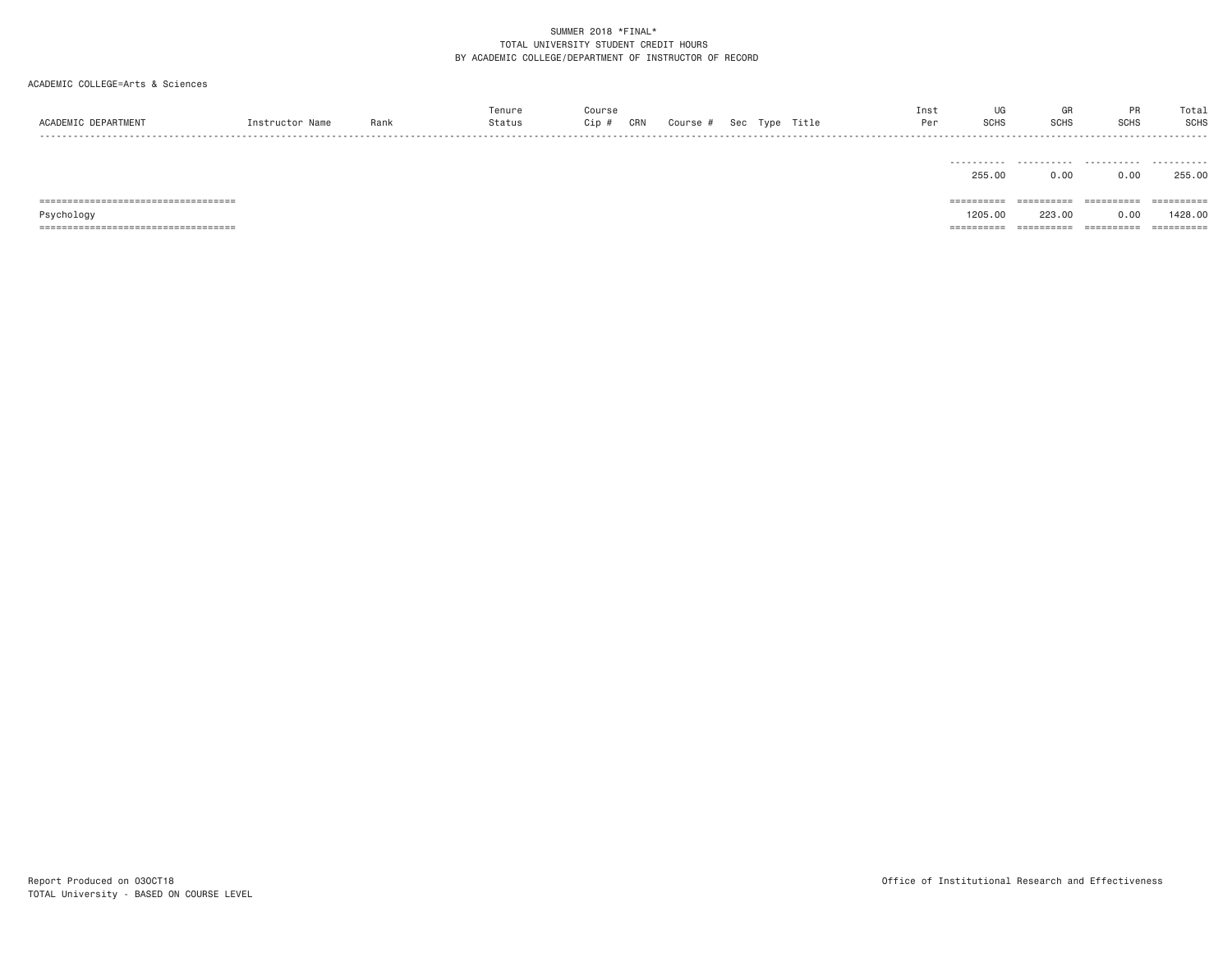| ACADEMIC DEPARTMENT                    | Instructor Name | Rank | Tenure<br>Status | Course<br>Cip # | CRN | Course # |  | Sec Type Title | Inst<br>Per | UG<br><b>SCHS</b>        | GR<br><b>SCHS</b> | PR<br><b>SCHS</b> | Total<br><b>SCHS</b> |
|----------------------------------------|-----------------|------|------------------|-----------------|-----|----------|--|----------------|-------------|--------------------------|-------------------|-------------------|----------------------|
|                                        |                 |      |                  |                 |     |          |  |                |             | .<br>255,00              | 0.00              | 0.00              | 255,00               |
| ====================================== |                 |      |                  |                 |     |          |  |                |             | ==========               | ==========        | ==========        | ==========           |
| Psychology                             |                 |      |                  |                 |     |          |  |                |             | 1205,00                  | 223,00            | 0.00              | 1428,00              |
| ====================================== |                 |      |                  |                 |     |          |  |                |             | ----------<br>---------- | ==========        | ==========        | ==========           |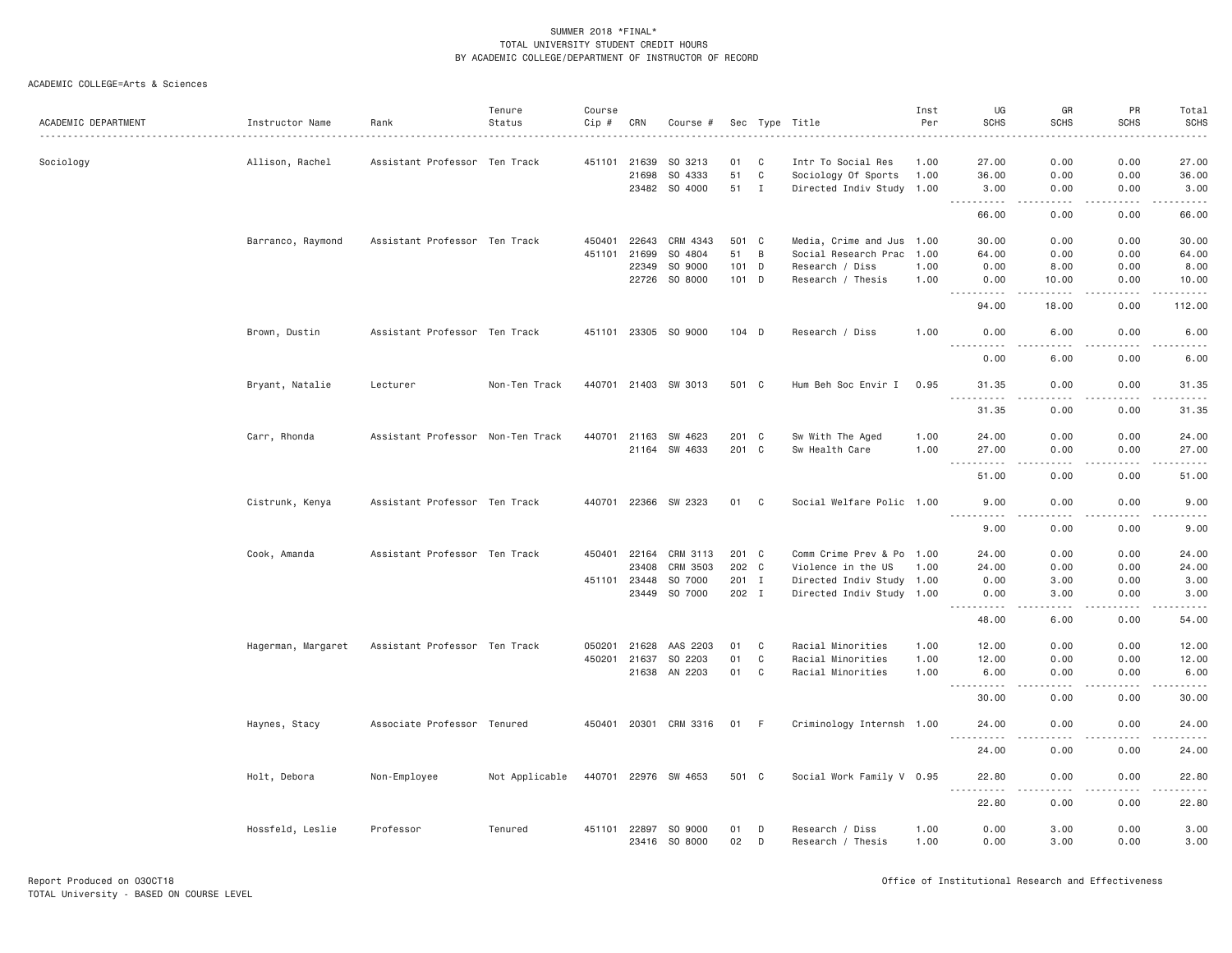|                     |                    |                                   | Tenure         | Course       |              |                       |          |              |                                      | Inst         | UG                                                                                                                         | GR                    | PR           | Total                  |
|---------------------|--------------------|-----------------------------------|----------------|--------------|--------------|-----------------------|----------|--------------|--------------------------------------|--------------|----------------------------------------------------------------------------------------------------------------------------|-----------------------|--------------|------------------------|
| ACADEMIC DEPARTMENT | Instructor Name    | Rank                              | Status         | Cip #        | CRN          | Course #              |          |              | Sec Type Title                       | Per          | <b>SCHS</b>                                                                                                                | <b>SCHS</b>           | <b>SCHS</b>  | <b>SCHS</b>            |
|                     |                    |                                   |                |              |              |                       |          |              |                                      |              |                                                                                                                            |                       |              | .                      |
| Sociology           | Allison, Rachel    | Assistant Professor Ten Track     |                | 451101       | 21639        | SO 3213               | 01       | C            | Intr To Social Res                   | 1.00         | 27.00                                                                                                                      | 0.00                  | 0.00         | 27.00                  |
|                     |                    |                                   |                |              | 21698        | SO 4333               | 51       | $\mathbb C$  | Sociology Of Sports                  | 1.00         | 36.00                                                                                                                      | 0.00                  | 0.00         | 36.00                  |
|                     |                    |                                   |                |              |              | 23482 SO 4000         | 51       | $\mathbf{I}$ | Directed Indiv Study 1.00            |              | 3.00                                                                                                                       | 0.00                  | 0.00         | 3.00                   |
|                     |                    |                                   |                |              |              |                       |          |              |                                      |              | 66.00                                                                                                                      | .<br>0.00             | .<br>0.00    | .<br>66.00             |
|                     | Barranco, Raymond  | Assistant Professor Ten Track     |                | 450401       | 22643        | CRM 4343              | 501 C    |              | Media, Crime and Jus 1.00            |              | 30.00                                                                                                                      | 0.00                  | 0.00         | 30.00                  |
|                     |                    |                                   |                | 451101       | 21699        | SO 4804               | 51       | B            | Social Research Prac 1.00            |              | 64.00                                                                                                                      | 0.00                  | 0.00         | 64.00                  |
|                     |                    |                                   |                |              | 22349        | SO 9000               | $101$ D  |              | Research / Diss                      | 1.00         | 0.00                                                                                                                       | 8.00                  | 0.00         | 8.00                   |
|                     |                    |                                   |                |              | 22726        | SO 8000               | 101 D    |              | Research / Thesis                    | 1.00         | 0.00                                                                                                                       | 10.00                 | 0.00         | 10.00                  |
|                     |                    |                                   |                |              |              |                       |          |              |                                      |              | <u>.</u><br>94.00                                                                                                          | -----<br>18.00        | .<br>0.00    | .<br>112.00            |
|                     |                    |                                   |                |              |              |                       |          |              |                                      |              |                                                                                                                            |                       |              |                        |
|                     | Brown, Dustin      | Assistant Professor Ten Track     |                |              |              | 451101 23305 SO 9000  | $104$ D  |              | Research / Diss                      | 1.00         | 0.00<br><u>.</u>                                                                                                           | 6.00<br>$\frac{1}{2}$ | 0.00<br>.    | 6.00<br>.              |
|                     |                    |                                   |                |              |              |                       |          |              |                                      |              | 0.00                                                                                                                       | 6.00                  | 0.00         | 6.00                   |
|                     | Bryant, Natalie    | Lecturer                          | Non-Ten Track  |              |              | 440701 21403 SW 3013  | 501 C    |              | Hum Beh Soc Envir I                  | 0.95         | 31.35<br>$\sim$ $\sim$ $\sim$ $\sim$<br>$- - - - - - -$                                                                    | 0.00<br>.             | 0.00<br>.    | 31.35<br>.             |
|                     |                    |                                   |                |              |              |                       |          |              |                                      |              | 31.35                                                                                                                      | 0.00                  | 0.00         | 31.35                  |
|                     | Carr, Rhonda       | Assistant Professor Non-Ten Track |                | 440701 21163 |              | SW 4623               | 201 C    |              | Sw With The Aged                     | 1.00         | 24.00                                                                                                                      | 0.00                  | 0.00         | 24.00                  |
|                     |                    |                                   |                |              | 21164        | SW 4633               | 201 C    |              | Sw Health Care                       | 1.00         | 27.00                                                                                                                      | 0.00                  | 0.00         | 27.00                  |
|                     |                    |                                   |                |              |              |                       |          |              |                                      |              | .<br>51.00                                                                                                                 | $\frac{1}{2}$<br>0.00 | .<br>0.00    | .<br>51.00             |
|                     | Cistrunk, Kenya    | Assistant Professor Ten Track     |                |              |              | 440701 22366 SW 2323  | 01 C     |              | Social Welfare Polic 1.00            |              | 9,00                                                                                                                       | 0.00                  | 0.00         | 9.00                   |
|                     |                    |                                   |                |              |              |                       |          |              |                                      |              | .<br>9.00                                                                                                                  | 0.00                  | 0.00         | .<br>9.00              |
|                     |                    |                                   |                |              |              |                       |          |              |                                      |              |                                                                                                                            |                       |              |                        |
|                     | Cook, Amanda       | Assistant Professor Ten Track     |                |              | 450401 22164 | CRM 3113              | 201 C    |              | Comm Crime Prev & Po 1.00            |              | 24.00                                                                                                                      | 0.00                  | 0.00         | 24.00                  |
|                     |                    |                                   |                |              | 23408        | CRM 3503              | 202 C    |              | Violence in the US                   | 1.00         | 24.00                                                                                                                      | 0.00                  | 0.00         | 24.00                  |
|                     |                    |                                   |                | 451101       | 23448        | SO 7000               | 201 I    |              | Directed Indiv Study 1.00            |              | 0.00                                                                                                                       | 3.00                  | 0.00         | 3.00                   |
|                     |                    |                                   |                |              | 23449        | SO 7000               | 202 I    |              | Directed Indiv Study 1.00            |              | 0.00<br>.                                                                                                                  | 3,00<br>.             | 0.00<br>.    | 3,00<br>.              |
|                     |                    |                                   |                |              |              |                       |          |              |                                      |              | 48.00                                                                                                                      | 6.00                  | 0.00         | 54.00                  |
|                     | Hagerman, Margaret | Assistant Professor Ten Track     |                | 050201       | 21628        | AAS 2203              | 01       | C            | Racial Minorities                    | 1.00         | 12.00                                                                                                                      | 0.00                  | 0.00         | 12.00                  |
|                     |                    |                                   |                | 450201       | 21637        | SO 2203               | 01       | C            | Racial Minorities                    | 1.00         | 12.00                                                                                                                      | 0.00                  | 0.00         | 12.00                  |
|                     |                    |                                   |                |              | 21638        | AN 2203               | 01       | C            | Racial Minorities                    | 1.00         | 6.00                                                                                                                       | 0.00                  | 0.00         | 6.00                   |
|                     |                    |                                   |                |              |              |                       |          |              |                                      |              | 30.00                                                                                                                      | 0.00                  | 0.00         | $    -$<br>30.00       |
|                     | Haynes, Stacy      | Associate Professor Tenured       |                |              |              | 450401 20301 CRM 3316 | 01 F     |              | Criminology Internsh 1.00            |              | 24.00                                                                                                                      | 0.00                  | 0.00         | 24.00                  |
|                     |                    |                                   |                |              |              |                       |          |              |                                      |              | 24.00                                                                                                                      | 0.00                  | 0.00         | $\frac{1}{2}$<br>24.00 |
|                     | Holt, Debora       | Non-Employee                      | Not Applicable |              |              | 440701 22976 SW 4653  | 501 C    |              | Social Work Family V 0.95            |              | 22.80                                                                                                                      | 0.00                  | 0.00         | 22.80                  |
|                     |                    |                                   |                |              |              |                       |          |              |                                      |              | $- - - - - - -$<br>$\frac{1}{2} \left( \frac{1}{2} \right) \left( \frac{1}{2} \right) \left( \frac{1}{2} \right)$<br>22.80 | $- - - -$<br>0.00     | .<br>0.00    | .<br>22.80             |
|                     |                    |                                   |                |              |              |                       |          |              |                                      |              |                                                                                                                            |                       |              |                        |
|                     | Hossfeld, Leslie   | Professor                         | Tenured        | 451101 22897 | 23416        | SO 9000<br>SO 8000    | 01<br>02 | D<br>D       | Research / Diss<br>Research / Thesis | 1.00<br>1.00 | 0.00<br>0.00                                                                                                               | 3,00<br>3.00          | 0.00<br>0.00 | 3.00<br>3.00           |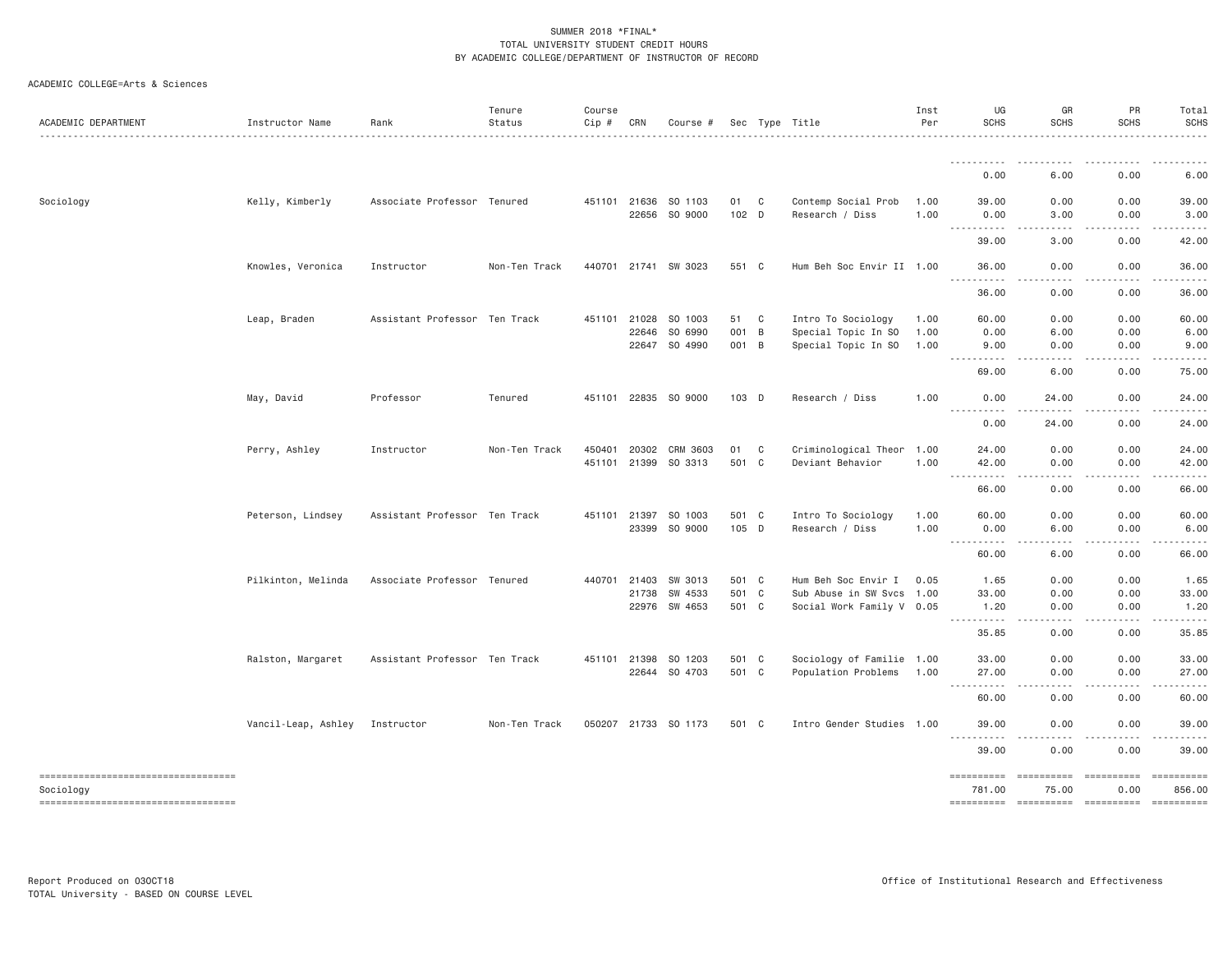|  | ACADEMIC COLLEGE=Arts & Sciences |  |  |
|--|----------------------------------|--|--|
|--|----------------------------------|--|--|

| ACADEMIC DEPARTMENT                               | Instructor Name     | Rank                          | Tenure<br>Status | Course<br>Cip # | CRN          | Course #             |       |                | Sec Type Title            | Inst<br>Per | UG<br><b>SCHS</b>                                                                                                                                                                                                                                                                                                                                                                                                                                                                      | GR<br><b>SCHS</b>             | PR<br><b>SCHS</b> | Total<br>SCHS |
|---------------------------------------------------|---------------------|-------------------------------|------------------|-----------------|--------------|----------------------|-------|----------------|---------------------------|-------------|----------------------------------------------------------------------------------------------------------------------------------------------------------------------------------------------------------------------------------------------------------------------------------------------------------------------------------------------------------------------------------------------------------------------------------------------------------------------------------------|-------------------------------|-------------------|---------------|
|                                                   |                     |                               |                  |                 |              |                      |       |                |                           |             | <u>.</u>                                                                                                                                                                                                                                                                                                                                                                                                                                                                               |                               | $\frac{1}{2}$     | $\frac{1}{2}$ |
|                                                   |                     |                               |                  |                 |              |                      |       |                |                           |             | 0.00                                                                                                                                                                                                                                                                                                                                                                                                                                                                                   | 6.00                          | 0.00              | 6.00          |
| Sociology                                         | Kelly, Kimberly     | Associate Professor Tenured   |                  |                 | 451101 21636 | SO 1103              | 01    | $\mathbf{C}$   | Contemp Social Prob       | 1.00        | 39.00                                                                                                                                                                                                                                                                                                                                                                                                                                                                                  | 0.00                          | 0.00              | 39.00         |
|                                                   |                     |                               |                  |                 | 22656        | SO 9000              | 102 D |                | Research / Diss           | 1.00        | 0.00<br>$- - - -$                                                                                                                                                                                                                                                                                                                                                                                                                                                                      | 3.00                          | 0.00              | 3.00          |
|                                                   |                     |                               |                  |                 |              |                      |       |                |                           |             | 39.00                                                                                                                                                                                                                                                                                                                                                                                                                                                                                  | 3.00                          | 0.00              | 42.00         |
|                                                   | Knowles, Veronica   | Instructor                    | Non-Ten Track    |                 |              | 440701 21741 SW 3023 | 551 C |                | Hum Beh Soc Envir II 1.00 |             | 36,00                                                                                                                                                                                                                                                                                                                                                                                                                                                                                  | 0.00                          | 0.00              | 36.00         |
|                                                   |                     |                               |                  |                 |              |                      |       |                |                           |             | .<br>$\frac{1}{2} \left( \frac{1}{2} \right) \left( \frac{1}{2} \right) \left( \frac{1}{2} \right) \left( \frac{1}{2} \right) \left( \frac{1}{2} \right)$<br>36.00                                                                                                                                                                                                                                                                                                                     | .<br>0.00                     | -----<br>0.00     | .<br>36.00    |
|                                                   | Leap, Braden        | Assistant Professor Ten Track |                  | 451101          | 21028        | SO 1003              | 51    | C <sub>1</sub> | Intro To Sociology        | 1.00        | 60.00                                                                                                                                                                                                                                                                                                                                                                                                                                                                                  | 0.00                          | 0.00              | 60.00         |
|                                                   |                     |                               |                  |                 | 22646        | SO 6990              | 001 B |                | Special Topic In SO       | 1.00        | 0.00                                                                                                                                                                                                                                                                                                                                                                                                                                                                                   | 6.00                          | 0.00              | 6.00          |
|                                                   |                     |                               |                  |                 | 22647        | SO 4990              | 001 B |                | Special Topic In SO       | 1.00        | 9.00<br><u>.</u>                                                                                                                                                                                                                                                                                                                                                                                                                                                                       | 0.00<br>.                     | 0.00<br>-----     | 9.00<br>.     |
|                                                   |                     |                               |                  |                 |              |                      |       |                |                           |             | 69.00                                                                                                                                                                                                                                                                                                                                                                                                                                                                                  | 6.00                          | 0.00              | 75.00         |
|                                                   | May, David          | Professor                     | Tenured          |                 |              | 451101 22835 SO 9000 | 103 D |                | Research / Diss           | 1.00        | 0.00<br><u>.</u>                                                                                                                                                                                                                                                                                                                                                                                                                                                                       | 24.00                         | 0.00              | 24.00         |
|                                                   |                     |                               |                  |                 |              |                      |       |                |                           |             | 0.00                                                                                                                                                                                                                                                                                                                                                                                                                                                                                   | 24.00                         | 0.00              | 24.00         |
|                                                   | Perry, Ashley       | Instructor                    | Non-Ten Track    | 450401          | 20302        | CRM 3603             | 01    | C              | Criminological Theor 1.00 |             | 24.00                                                                                                                                                                                                                                                                                                                                                                                                                                                                                  | 0.00                          | 0.00              | 24.00         |
|                                                   |                     |                               |                  |                 | 451101 21399 | SO 3313              | 501 C |                | Deviant Behavior          | 1.00        | 42.00<br><u>.</u>                                                                                                                                                                                                                                                                                                                                                                                                                                                                      | 0.00                          | 0.00              | 42.00         |
|                                                   |                     |                               |                  |                 |              |                      |       |                |                           |             | 66.00                                                                                                                                                                                                                                                                                                                                                                                                                                                                                  | 0.00                          | 0.00              | 66.00         |
|                                                   | Peterson, Lindsey   | Assistant Professor Ten Track |                  |                 | 451101 21397 | SO 1003              | 501 C |                | Intro To Sociology        | 1.00        | 60.00                                                                                                                                                                                                                                                                                                                                                                                                                                                                                  | 0.00                          | 0.00              | 60.00         |
|                                                   |                     |                               |                  |                 | 23399        | SO 9000              | 105 D |                | Research / Diss           | 1.00        | 0.00<br>$\frac{1}{2} \left( \frac{1}{2} \right) \left( \frac{1}{2} \right) \left( \frac{1}{2} \right) \left( \frac{1}{2} \right) \left( \frac{1}{2} \right)$<br>$- - - -$                                                                                                                                                                                                                                                                                                              | 6.00<br>.                     | 0.00<br>.         | 6.00          |
|                                                   |                     |                               |                  |                 |              |                      |       |                |                           |             | 60.00                                                                                                                                                                                                                                                                                                                                                                                                                                                                                  | 6.00                          | 0.00              | 66.00         |
|                                                   | Pilkinton, Melinda  | Associate Professor Tenured   |                  |                 | 440701 21403 | SW 3013              | 501 C |                | Hum Beh Soc Envir I       | 0.05        | 1.65                                                                                                                                                                                                                                                                                                                                                                                                                                                                                   | 0.00                          | 0.00              | 1.65          |
|                                                   |                     |                               |                  |                 | 21738        | SW 4533              | 501 C |                | Sub Abuse in SW Svcs 1.00 |             | 33.00                                                                                                                                                                                                                                                                                                                                                                                                                                                                                  | 0.00                          | 0.00              | 33.00         |
|                                                   |                     |                               |                  |                 |              | 22976 SW 4653        | 501 C |                | Social Work Family V 0.05 |             | 1.20<br>$\frac{1}{2} \left( \frac{1}{2} \right) \left( \frac{1}{2} \right) \left( \frac{1}{2} \right) \left( \frac{1}{2} \right)$<br>.                                                                                                                                                                                                                                                                                                                                                 | 0.00<br>.                     | 0.00              | 1.20          |
|                                                   |                     |                               |                  |                 |              |                      |       |                |                           |             | 35.85                                                                                                                                                                                                                                                                                                                                                                                                                                                                                  | 0.00                          | 0.00              | 35.85         |
|                                                   | Ralston, Margaret   | Assistant Professor Ten Track |                  |                 | 451101 21398 | SO 1203              | 501 C |                | Sociology of Familie 1.00 |             | 33.00                                                                                                                                                                                                                                                                                                                                                                                                                                                                                  | 0.00                          | 0.00              | 33.00         |
|                                                   |                     |                               |                  |                 | 22644        | SO 4703              | 501 C |                | Population Problems       | 1.00        | 27.00<br>.                                                                                                                                                                                                                                                                                                                                                                                                                                                                             | 0.00<br>$   -$                | 0.00<br>.         | 27.00         |
|                                                   |                     |                               |                  |                 |              |                      |       |                |                           |             | 60.00                                                                                                                                                                                                                                                                                                                                                                                                                                                                                  | 0.00                          | 0.00              | 60.00         |
|                                                   | Vancil-Leap, Ashley | Instructor                    | Non-Ten Track    |                 |              | 050207 21733 SO 1173 | 501 C |                | Intro Gender Studies 1.00 |             | 39.00                                                                                                                                                                                                                                                                                                                                                                                                                                                                                  | 0.00                          | 0.00              | 39.00         |
|                                                   |                     |                               |                  |                 |              |                      |       |                |                           |             | <u>.</u><br>39.00                                                                                                                                                                                                                                                                                                                                                                                                                                                                      | $- - -$<br>. <b>.</b><br>0.00 | 0.00              | 39.00         |
| ----------------------------------                |                     |                               |                  |                 |              |                      |       |                |                           |             | $\begin{array}{cccccccccc} \multicolumn{2}{c}{} & \multicolumn{2}{c}{} & \multicolumn{2}{c}{} & \multicolumn{2}{c}{} & \multicolumn{2}{c}{} & \multicolumn{2}{c}{} & \multicolumn{2}{c}{} & \multicolumn{2}{c}{} & \multicolumn{2}{c}{} & \multicolumn{2}{c}{} & \multicolumn{2}{c}{} & \multicolumn{2}{c}{} & \multicolumn{2}{c}{} & \multicolumn{2}{c}{} & \multicolumn{2}{c}{} & \multicolumn{2}{c}{} & \multicolumn{2}{c}{} & \multicolumn{2}{c}{} & \multicolumn{2}{c}{} & \mult$ | ==========                    | ==========        | ==========    |
| Sociology<br>==================================== |                     |                               |                  |                 |              |                      |       |                |                           |             | 781.00                                                                                                                                                                                                                                                                                                                                                                                                                                                                                 | 75.00                         | 0.00              | 856.00        |
|                                                   |                     |                               |                  |                 |              |                      |       |                |                           |             |                                                                                                                                                                                                                                                                                                                                                                                                                                                                                        |                               |                   |               |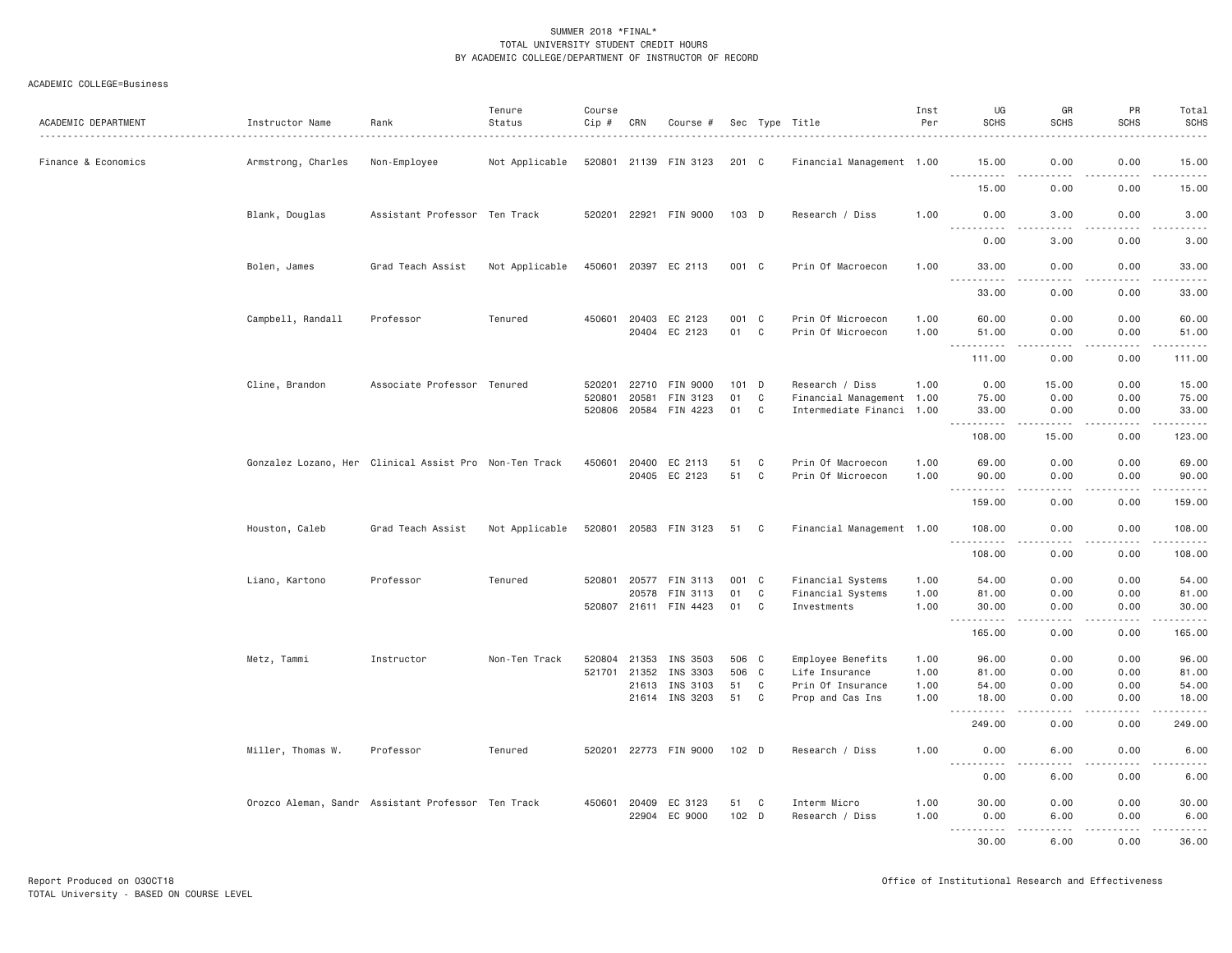| ACADEMIC DEPARTMENT | Instructor Name    | Rank                                                   | Tenure<br>Status<br>. | Course<br>Cip #  | CRN            | Course #                                      |                     |              | Sec Type Title                                                            | Inst<br>Per  | UG<br><b>SCHS</b>                     | GR<br><b>SCHS</b>                                                                                                                                             | PR<br><b>SCHS</b>          | Total<br><b>SCHS</b><br>. <u>.</u> . |
|---------------------|--------------------|--------------------------------------------------------|-----------------------|------------------|----------------|-----------------------------------------------|---------------------|--------------|---------------------------------------------------------------------------|--------------|---------------------------------------|---------------------------------------------------------------------------------------------------------------------------------------------------------------|----------------------------|--------------------------------------|
| Finance & Economics | Armstrong, Charles | Non-Employee                                           | Not Applicable        |                  |                | 520801 21139 FIN 3123                         | 201 C               |              | Financial Management 1.00                                                 |              | 15.00                                 | 0.00                                                                                                                                                          | 0.00                       | 15.00                                |
|                     |                    |                                                        |                       |                  |                |                                               |                     |              |                                                                           |              | 15.00                                 | 0.00                                                                                                                                                          | 0.00                       | .<br>15.00                           |
|                     | Blank, Douglas     | Assistant Professor Ten Track                          |                       |                  |                | 520201 22921 FIN 9000                         | $103$ D             |              | Research / Diss                                                           | 1.00         | 0.00                                  | 3,00                                                                                                                                                          | 0.00                       | 3.00                                 |
|                     |                    |                                                        |                       |                  |                |                                               |                     |              |                                                                           |              | $- - - -$<br>0.00                     | $\frac{1}{2}$<br>3.00                                                                                                                                         | .<br>0.00                  | $- - - -$<br>3.00                    |
|                     | Bolen, James       | Grad Teach Assist                                      | Not Applicable        |                  |                | 450601 20397 EC 2113                          | 001 C               |              | Prin Of Macroecon                                                         | 1.00         | 33.00<br><b></b>                      | 0.00<br>.                                                                                                                                                     | 0.00<br>-----              | 33.00<br>.                           |
|                     |                    |                                                        |                       |                  |                |                                               |                     |              |                                                                           |              | 33.00                                 | 0.00                                                                                                                                                          | 0.00                       | 33.00                                |
|                     | Campbell, Randall  | Professor                                              | Tenured               | 450601           | 20403          | EC 2123<br>20404 EC 2123                      | 001 C<br>01 C       |              | Prin Of Microecon<br>Prin Of Microecon                                    | 1.00<br>1.00 | 60.00<br>51.00<br>.                   | 0.00<br>0.00<br>.                                                                                                                                             | 0.00<br>0.00<br>. <b>.</b> | 60.00<br>51.00<br>. <u>.</u>         |
|                     |                    |                                                        |                       |                  |                |                                               |                     |              |                                                                           |              | 111.00                                | 0.00                                                                                                                                                          | 0.00                       | 111.00                               |
|                     | Cline, Brandon     | Associate Professor Tenured                            |                       | 520201<br>520801 | 22710<br>20581 | FIN 9000<br>FIN 3123<br>520806 20584 FIN 4223 | $101$ D<br>01<br>01 | C<br>C       | Research / Diss<br>Financial Management 1.00<br>Intermediate Financi 1.00 | 1.00         | 0.00<br>75.00<br>33.00                | 15.00<br>0.00<br>0.00                                                                                                                                         | 0.00<br>0.00<br>0.00       | 15.00<br>75.00<br>33.00              |
|                     |                    |                                                        |                       |                  |                |                                               |                     |              |                                                                           |              | <u> - - - - - - - - - -</u><br>108.00 | $\frac{1}{2} \left( \frac{1}{2} \right) \left( \frac{1}{2} \right) \left( \frac{1}{2} \right) \left( \frac{1}{2} \right) \left( \frac{1}{2} \right)$<br>15.00 | -----<br>0.00              | 123.00                               |
|                     |                    | Gonzalez Lozano, Her Clinical Assist Pro Non-Ten Track |                       | 450601           | 20400<br>20405 | EC 2113<br>EC 2123                            | 51<br>51            | C<br>C       | Prin Of Macroecon<br>Prin Of Microecon                                    | 1.00<br>1.00 | 69.00<br>90.00                        | 0.00<br>0.00                                                                                                                                                  | 0.00<br>0.00               | 69.00<br>90.00                       |
|                     |                    |                                                        |                       |                  |                |                                               |                     |              |                                                                           |              | .<br>$- - -$<br>159.00                | $- - - -$<br>0.00                                                                                                                                             | .<br>0.00                  | .<br>159.00                          |
|                     | Houston, Caleb     | Grad Teach Assist                                      | Not Applicable        | 520801           |                | 20583 FIN 3123                                | 51 C                |              | Financial Management 1.00                                                 |              | 108.00<br>$\frac{1}{2}$<br>.          | 0.00                                                                                                                                                          | 0.00<br><u>.</u>           | 108.00<br>.                          |
|                     |                    |                                                        |                       |                  |                |                                               |                     |              |                                                                           |              | 108.00                                | 0.00                                                                                                                                                          | 0.00                       | 108.00                               |
|                     | Liano, Kartono     | Professor                                              | Tenured               | 520801           | 20577          | FIN 3113                                      | 001 C               |              | Financial Systems                                                         | 1.00         | 54.00                                 | 0.00                                                                                                                                                          | 0.00                       | 54.00                                |
|                     |                    |                                                        |                       |                  | 20578          | FIN 3113                                      | 01                  | C            | Financial Systems                                                         | 1.00         | 81.00                                 | 0.00                                                                                                                                                          | 0.00                       | 81.00                                |
|                     |                    |                                                        |                       |                  |                | 520807 21611 FIN 4423                         | 01                  | C            | Investments                                                               | 1.00         | 30.00<br>$  -$<br><u>.</u>            | 0.00<br>$- - - -$                                                                                                                                             | 0.00<br>.                  | 30.00<br>.                           |
|                     |                    |                                                        |                       |                  |                |                                               |                     |              |                                                                           |              | 165.00                                | 0.00                                                                                                                                                          | 0.00                       | 165.00                               |
|                     | Metz, Tammi        | Instructor                                             | Non-Ten Track         | 520804           | 21353          | INS 3503                                      | 506 C               |              | Employee Benefits                                                         | 1.00         | 96.00                                 | 0.00                                                                                                                                                          | 0.00                       | 96.00                                |
|                     |                    |                                                        |                       | 521701           | 21352          | INS 3303                                      | 506 C               |              | Life Insurance                                                            | 1.00         | 81.00                                 | 0.00                                                                                                                                                          | 0.00                       | 81.00                                |
|                     |                    |                                                        |                       |                  | 21613          | INS 3103                                      | 51                  | C            | Prin Of Insurance                                                         | 1.00         | 54.00                                 | 0.00                                                                                                                                                          | 0.00                       | 54.00                                |
|                     |                    |                                                        |                       |                  | 21614          | INS 3203                                      | 51                  | C            | Prop and Cas Ins                                                          | 1.00         | 18.00<br>.                            | 0.00<br>$- - -$                                                                                                                                               | 0.00<br>.                  | 18.00<br>.                           |
|                     |                    |                                                        |                       |                  |                |                                               |                     |              |                                                                           |              | 249.00                                | 0.00                                                                                                                                                          | 0.00                       | 249.00                               |
|                     | Miller, Thomas W.  | Professor                                              | Tenured               |                  |                | 520201 22773 FIN 9000                         | 102 D               |              | Research / Diss                                                           | 1.00         | 0.00<br><b></b>                       | 6.00<br>$\frac{1}{2} \left( \frac{1}{2} \right) \left( \frac{1}{2} \right) \left( \frac{1}{2} \right) \left( \frac{1}{2} \right)$                             | 0.00<br>.                  | 6.00<br>-----                        |
|                     |                    |                                                        |                       |                  |                |                                               |                     |              |                                                                           |              | 0.00                                  | 6.00                                                                                                                                                          | 0.00                       | 6.00                                 |
|                     |                    | Orozco Aleman, Sandr Assistant Professor Ten Track     |                       | 450601           | 20409          | EC 3123                                       | 51                  | $\mathbf{C}$ | Interm Micro                                                              | 1.00         | 30.00                                 | 0.00                                                                                                                                                          | 0.00                       | 30.00                                |
|                     |                    |                                                        |                       |                  | 22904          | EC 9000                                       | 102 D               |              | Research / Diss                                                           | 1.00         | 0.00                                  | 6.00                                                                                                                                                          | 0.00                       | 6.00                                 |
|                     |                    |                                                        |                       |                  |                |                                               |                     |              |                                                                           |              | -----------<br>30,00                  | .<br>6.00                                                                                                                                                     | .<br>0.00                  | .<br>36.00                           |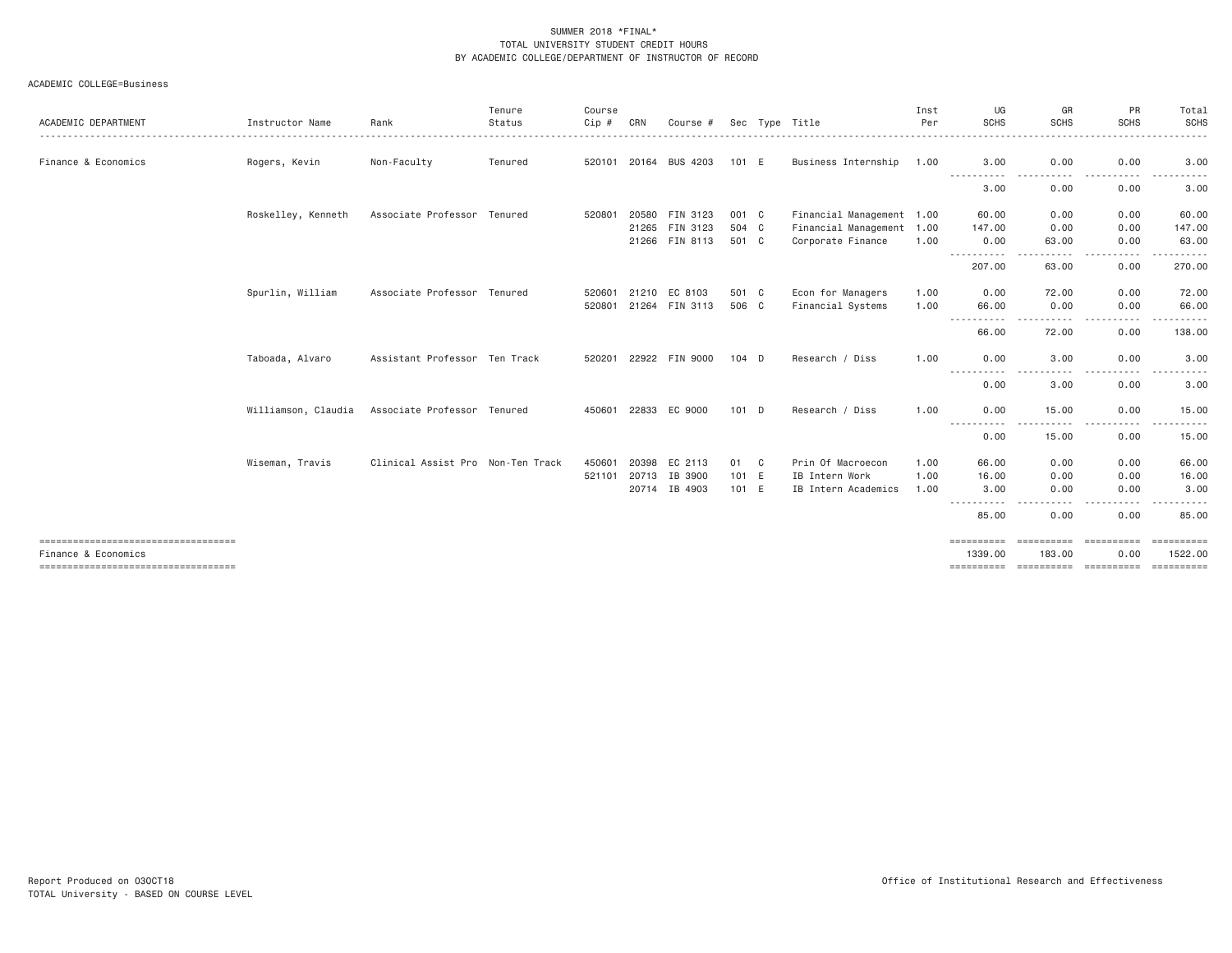| ACADEMIC DEPARTMENT                                          | Instructor Name     | Rank                              | Tenure<br>Status | Course<br>Cip # | CRN   | Course #              |         | Sec Type Title            | Inst<br>Per | UG<br><b>SCHS</b>                   | GR<br>SCHS        | <b>PR</b><br><b>SCHS</b>                                                                                                                                          | Total<br><b>SCHS</b>                                                                                                                                         |
|--------------------------------------------------------------|---------------------|-----------------------------------|------------------|-----------------|-------|-----------------------|---------|---------------------------|-------------|-------------------------------------|-------------------|-------------------------------------------------------------------------------------------------------------------------------------------------------------------|--------------------------------------------------------------------------------------------------------------------------------------------------------------|
|                                                              |                     |                                   |                  |                 |       |                       |         |                           |             |                                     | .                 | .                                                                                                                                                                 | .                                                                                                                                                            |
| Finance & Economics                                          | Rogers, Kevin       | Non-Faculty                       | Tenured          |                 |       | 520101 20164 BUS 4203 | 101 E   | Business Internship 1.00  |             | 3,00<br>-----------                 | 0.00              | 0.00<br>. <b>.</b> .                                                                                                                                              | 3.00<br>$\frac{1}{2} \left( \frac{1}{2} \right) \left( \frac{1}{2} \right) \left( \frac{1}{2} \right) \left( \frac{1}{2} \right) \left( \frac{1}{2} \right)$ |
|                                                              |                     |                                   |                  |                 |       |                       |         |                           |             | 3.00                                | 0.00              | 0.00                                                                                                                                                              | 3.00                                                                                                                                                         |
|                                                              | Roskelley, Kenneth  | Associate Professor Tenured       |                  | 520801          |       | 20580 FIN 3123        | 001 C   | Financial Management 1.00 |             | 60.00                               | 0.00              | 0.00                                                                                                                                                              | 60.00                                                                                                                                                        |
|                                                              |                     |                                   |                  |                 |       | 21265 FIN 3123        | 504 C   | Financial Management 1.00 |             | 147.00                              | 0.00              | 0.00                                                                                                                                                              | 147.00                                                                                                                                                       |
|                                                              |                     |                                   |                  |                 |       | 21266 FIN 8113        | 501 C   | Corporate Finance         | 1.00        | 0.00<br>.                           | 63,00<br>.        | 0.00<br><b></b>                                                                                                                                                   | 63,00<br>.                                                                                                                                                   |
|                                                              |                     |                                   |                  |                 |       |                       |         |                           |             | 207.00                              | 63.00             | 0.00                                                                                                                                                              | 270.00                                                                                                                                                       |
|                                                              | Spurlin, William    | Associate Professor Tenured       |                  | 520601          | 21210 | EC 8103               | 501 C   | Econ for Managers         | 1.00        | 0.00                                | 72.00             | 0.00                                                                                                                                                              | 72.00                                                                                                                                                        |
|                                                              |                     |                                   |                  | 520801          |       | 21264 FIN 3113        | 506 C   | Financial Systems         | 1.00        | 66.00<br>.                          | 0.00<br>.         | 0.00<br>.<br>$\frac{1}{2} \left( \frac{1}{2} \right) \left( \frac{1}{2} \right) \left( \frac{1}{2} \right) \left( \frac{1}{2} \right) \left( \frac{1}{2} \right)$ | 66.00<br>------                                                                                                                                              |
|                                                              |                     |                                   |                  |                 |       |                       |         |                           |             | 66.00                               | 72.00             | 0.00                                                                                                                                                              | 138.00                                                                                                                                                       |
|                                                              | Taboada, Alvaro     | Assistant Professor Ten Track     |                  | 520201          |       | 22922 FIN 9000        | $104$ D | Research / Diss           | 1,00        | 0.00                                | 3.00              | 0.00                                                                                                                                                              | 3.00                                                                                                                                                         |
|                                                              |                     |                                   |                  |                 |       |                       |         |                           |             | -----<br>0.00                       | $- - - -$<br>3.00 | $\cdots$<br>0.00                                                                                                                                                  | 3.00                                                                                                                                                         |
|                                                              | Williamson, Claudia | Associate Professor Tenured       |                  | 450601          | 22833 | EC 9000               | $101$ D | Research / Diss           | 1.00        | 0.00                                | 15.00             | 0.00                                                                                                                                                              | 15.00                                                                                                                                                        |
|                                                              |                     |                                   |                  |                 |       |                       |         |                           |             | .<br>0.00                           | 15.00             | $\frac{1}{2} \left( \frac{1}{2} \right) \left( \frac{1}{2} \right) \left( \frac{1}{2} \right) \left( \frac{1}{2} \right)$<br>0.00                                 | $- - - - -$<br>15.00                                                                                                                                         |
|                                                              | Wiseman, Travis     | Clinical Assist Pro Non-Ten Track |                  | 450601          | 20398 | EC 2113               | 01 C    | Prin Of Macroecon         | 1.00        | 66.00                               | 0.00              | 0.00                                                                                                                                                              | 66.00                                                                                                                                                        |
|                                                              |                     |                                   |                  | 521101          | 20713 | IB 3900               | 101 E   | IB Intern Work            | 1.00        | 16.00                               | 0.00              | 0.00                                                                                                                                                              | 16.00                                                                                                                                                        |
|                                                              |                     |                                   |                  |                 |       | 20714 IB 4903         | 101 E   | IB Intern Academics       | 1.00        | 3.00<br>$\sim$ $\sim$ $\sim$ $\sim$ | 0.00              | 0.00                                                                                                                                                              | 3.00                                                                                                                                                         |
|                                                              |                     |                                   |                  |                 |       |                       |         |                           |             | 85.00                               | 0.00              | 0.00                                                                                                                                                              | 85.00                                                                                                                                                        |
| =====================================                        |                     |                                   |                  |                 |       |                       |         |                           |             | ==========                          | ___________       | ==========                                                                                                                                                        | ==========                                                                                                                                                   |
| Finance & Economics<br>===================================== |                     |                                   |                  |                 |       |                       |         |                           |             | 1339,00                             | 183,00            | 0.00<br>========== ========== ==========                                                                                                                          | 1522.00<br>==========                                                                                                                                        |
|                                                              |                     |                                   |                  |                 |       |                       |         |                           |             |                                     |                   |                                                                                                                                                                   |                                                                                                                                                              |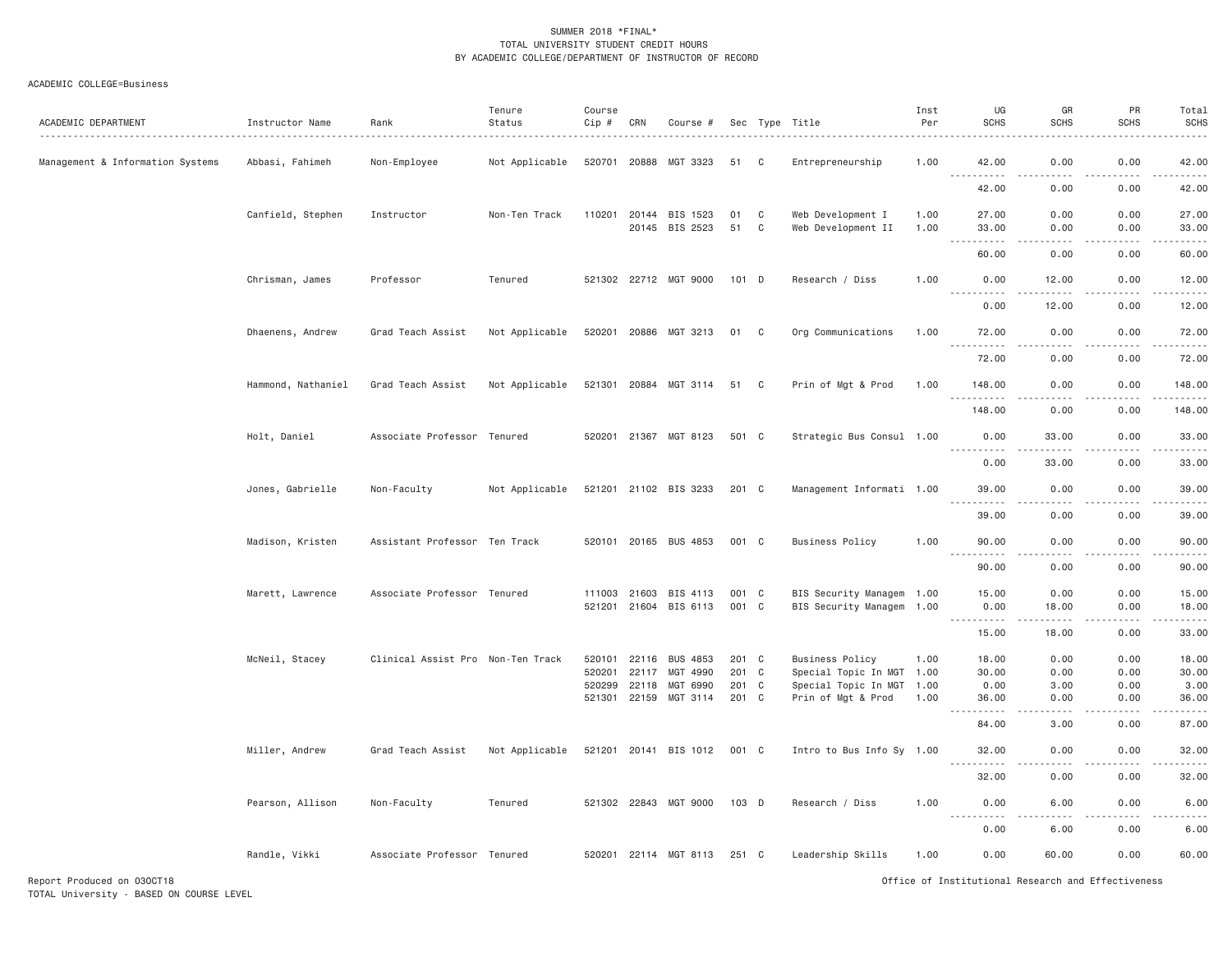#### ACADEMIC COLLEGE=Business

| ACADEMIC DEPARTMENT              | Instructor Name    | Rank                              | Tenure<br>Status | Course<br>Cip #  | CRN            | Course #              |            |        | Sec Type Title                                    | Inst<br>Per | UG<br><b>SCHS</b> | GR<br><b>SCHS</b>     | PR<br><b>SCHS</b> | Total<br><b>SCHS</b>                                                                                                                                                                      |
|----------------------------------|--------------------|-----------------------------------|------------------|------------------|----------------|-----------------------|------------|--------|---------------------------------------------------|-------------|-------------------|-----------------------|-------------------|-------------------------------------------------------------------------------------------------------------------------------------------------------------------------------------------|
| Management & Information Systems | Abbasi, Fahimeh    | Non-Employee                      | Not Applicable   | 520701 20888     |                | MGT 3323              | 51         | C      | Entrepreneurship                                  | 1.00        | 42.00             | 0.00                  | 0.00              | وبالمحامي<br>42.00                                                                                                                                                                        |
|                                  |                    |                                   |                  |                  |                |                       |            |        |                                                   |             | 42.00             | 0.00                  | 0.00              | والمستحدث<br>42.00                                                                                                                                                                        |
|                                  | Canfield, Stephen  | Instructor                        | Non-Ten Track    | 110201           |                | 20144 BIS 1523        | 01         | C      | Web Development I                                 | 1.00        | 27.00             | 0.00                  | 0.00              | 27.00                                                                                                                                                                                     |
|                                  |                    |                                   |                  |                  |                | 20145 BIS 2523        | 51         | C      | Web Development II                                | 1.00        | 33.00<br>.        | 0.00<br>$\frac{1}{2}$ | 0.00<br>$- - - -$ | 33.00<br>$    -$                                                                                                                                                                          |
|                                  | Chrisman, James    | Professor                         | Tenured          |                  |                | 521302 22712 MGT 9000 | 101 D      |        | Research / Diss                                   | 1.00        | 60.00<br>0.00     | 0.00<br>12.00         | 0.00<br>0.00      | 60.00<br>12.00                                                                                                                                                                            |
|                                  |                    |                                   |                  |                  |                |                       |            |        |                                                   |             |                   |                       |                   | $\sim$ $\sim$ $\sim$ $\sim$                                                                                                                                                               |
|                                  |                    |                                   |                  |                  |                |                       |            |        |                                                   |             | 0.00              | 12.00                 | 0.00              | 12.00                                                                                                                                                                                     |
|                                  | Dhaenens, Andrew   | Grad Teach Assist                 | Not Applicable   |                  |                | 520201 20886 MGT 3213 | 01 C       |        | Org Communications                                | 1.00        | 72.00<br>.        | 0.00<br>.             | 0.00<br>.         | 72.00<br>.                                                                                                                                                                                |
|                                  |                    |                                   |                  |                  |                |                       |            |        |                                                   |             | 72.00             | 0.00                  | 0.00              | 72.00                                                                                                                                                                                     |
|                                  | Hammond, Nathaniel | Grad Teach Assist                 | Not Applicable   | 521301 20884     |                | MGT 3114              | 51         | C      | Prin of Mgt & Prod                                | 1.00        | 148.00<br>.       | 0.00<br>.             | 0.00<br>.         | 148.00<br>$\frac{1}{2} \left( \frac{1}{2} \right) \left( \frac{1}{2} \right) \left( \frac{1}{2} \right) \left( \frac{1}{2} \right) \left( \frac{1}{2} \right) \left( \frac{1}{2} \right)$ |
|                                  |                    |                                   |                  |                  |                |                       |            |        |                                                   |             | 148.00            | 0.00                  | 0.00              | 148.00                                                                                                                                                                                    |
|                                  | Holt, Daniel       | Associate Professor               | Tenured          |                  |                | 520201 21367 MGT 8123 | 501 C      |        | Strategic Bus Consul 1.00                         |             | 0.00<br><u>.</u>  | 33.00<br>$- - - - -$  | 0.00<br>.         | 33.00<br>.                                                                                                                                                                                |
|                                  |                    |                                   |                  |                  |                |                       |            |        |                                                   |             | 0.00              | 33.00                 | 0.00              | 33.00                                                                                                                                                                                     |
|                                  | Jones, Gabrielle   | Non-Faculty                       | Not Applicable   |                  |                | 521201 21102 BIS 3233 | 201 C      |        | Management Informati 1.00                         |             | 39.00<br>.        | 0.00<br>د د د د       | 0.00<br>.         | 39.00<br>.                                                                                                                                                                                |
|                                  |                    |                                   |                  |                  |                |                       |            |        |                                                   |             | 39.00             | 0.00                  | 0.00              | 39.00                                                                                                                                                                                     |
|                                  | Madison, Kristen   | Assistant Professor Ten Track     |                  |                  |                | 520101 20165 BUS 4853 | 001 C      |        | <b>Business Policy</b>                            | 1.00        | 90.00             | 0.00                  | 0.00              | 90.00                                                                                                                                                                                     |
|                                  |                    |                                   |                  |                  |                |                       |            |        |                                                   |             | 90.00             | 0.00                  | 0.00              | 90.00                                                                                                                                                                                     |
|                                  | Marett, Lawrence   | Associate Professor Tenured       |                  | 111003           | 21603          | BIS 4113              | 001 C      |        | BIS Security Managem 1.00                         |             | 15.00             | 0.00                  | 0.00              | 15.00                                                                                                                                                                                     |
|                                  |                    |                                   |                  |                  |                | 521201 21604 BIS 6113 | 001 C      |        | BIS Security Managem 1.00                         |             | 0.00<br>.         | 18.00<br><b>.</b>     | 0.00<br>.         | 18.00<br>.                                                                                                                                                                                |
|                                  |                    |                                   |                  |                  |                |                       |            |        |                                                   |             | 15.00             | 18.00                 | 0.00              | 33.00                                                                                                                                                                                     |
|                                  | McNeil, Stacey     | Clinical Assist Pro Non-Ten Track |                  | 520101           | 22116          | <b>BUS 4853</b>       | 201 C      |        | <b>Business Policy</b>                            | 1.00        | 18.00             | 0.00                  | 0.00              | 18.00                                                                                                                                                                                     |
|                                  |                    |                                   |                  | 520201<br>520299 | 22117<br>22118 | MGT 4990<br>MGT 6990  | 201<br>201 | C<br>C | Special Topic In MGT 1.00<br>Special Topic In MGT | 1.00        | 30.00<br>0.00     | 0.00<br>3.00          | 0.00<br>0.00      | 30.00<br>3.00                                                                                                                                                                             |
|                                  |                    |                                   |                  | 521301 22159     |                | MGT 3114              | 201 C      |        | Prin of Mgt & Prod                                | 1.00        | 36.00             | 0.00                  | 0.00              | 36.00                                                                                                                                                                                     |
|                                  |                    |                                   |                  |                  |                |                       |            |        |                                                   |             | .<br>84.00        | د د د د<br>3.00       | .<br>0.00         | .<br>87.00                                                                                                                                                                                |
|                                  | Miller, Andrew     | Grad Teach Assist                 | Not Applicable   |                  |                | 521201 20141 BIS 1012 | 001 C      |        | Intro to Bus Info Sy 1.00                         |             | 32.00             | 0.00                  | 0.00              | 32.00                                                                                                                                                                                     |
|                                  |                    |                                   |                  |                  |                |                       |            |        |                                                   |             | .<br>32.00        | 0.00                  | 0.00              | .<br>32.00                                                                                                                                                                                |
|                                  | Pearson, Allison   | Non-Faculty                       | Tenured          |                  |                | 521302 22843 MGT 9000 | $103$ D    |        | Research / Diss                                   | 1.00        | 0.00              | 6.00                  | 0.00              | 6.00                                                                                                                                                                                      |
|                                  |                    |                                   |                  |                  |                |                       |            |        |                                                   |             | 0.00              | 6.00                  | 0.00              | 6.00                                                                                                                                                                                      |
|                                  | Randle, Vikki      | Associate Professor Tenured       |                  |                  |                | 520201 22114 MGT 8113 | 251 C      |        | Leadership Skills                                 | 1.00        | 0.00              | 60.00                 | 0.00              | 60.00                                                                                                                                                                                     |

Report Produced on 03OCT18 Office of Institutional Research and Effectiveness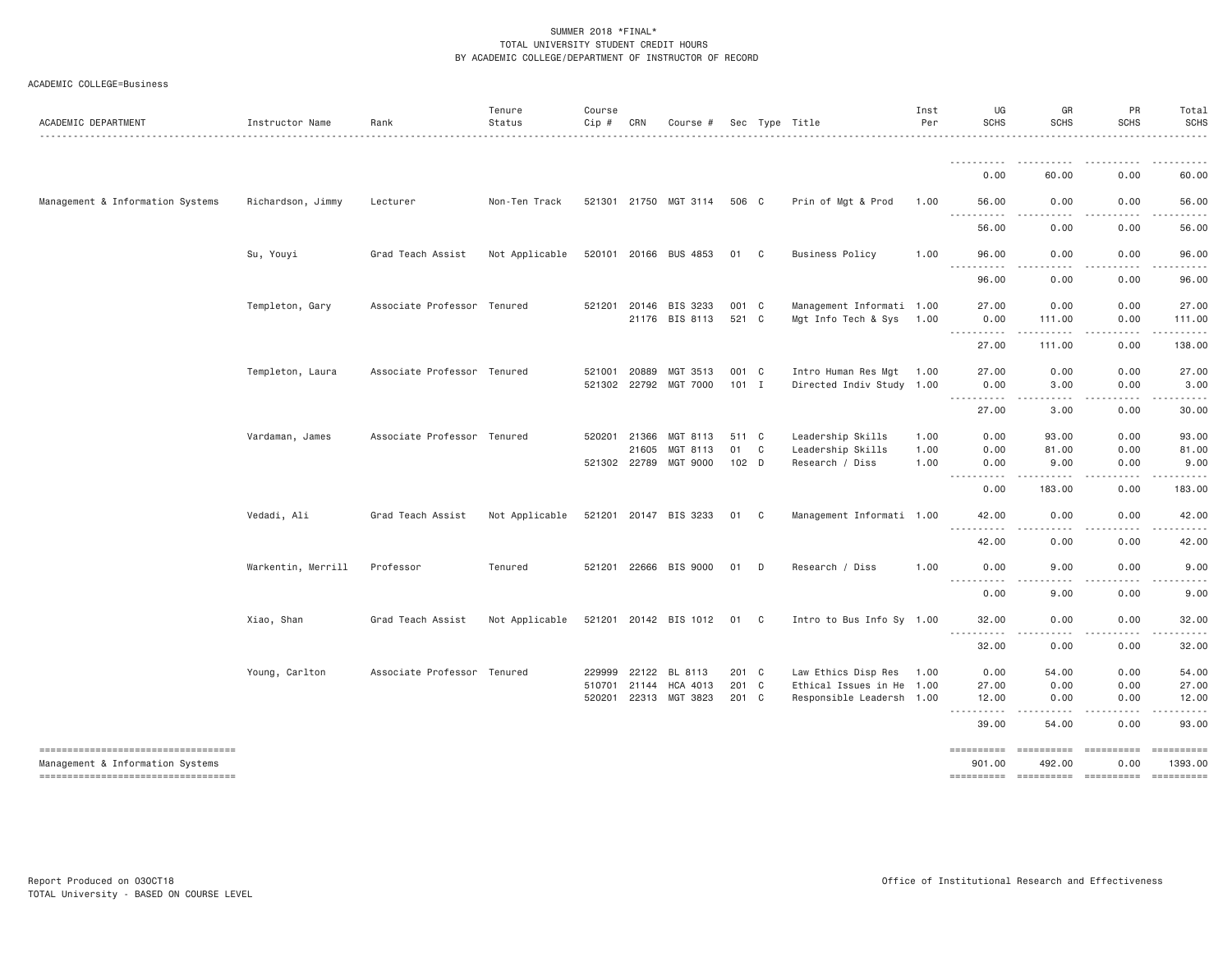| ACADEMIC DEPARTMENT                                                    | Instructor Name    | Rank                        | Tenure<br>Status | Course<br>Cip # | CRN          | Course #              |         |                | Sec Type Title            | Inst<br>Per | UG<br><b>SCHS</b>                                           | GR<br><b>SCHS</b>                                                                                                                                                                                | PR<br><b>SCHS</b>                                                                                                                                                                                                  | Total<br><b>SCHS</b>  |
|------------------------------------------------------------------------|--------------------|-----------------------------|------------------|-----------------|--------------|-----------------------|---------|----------------|---------------------------|-------------|-------------------------------------------------------------|--------------------------------------------------------------------------------------------------------------------------------------------------------------------------------------------------|--------------------------------------------------------------------------------------------------------------------------------------------------------------------------------------------------------------------|-----------------------|
|                                                                        |                    |                             |                  |                 |              |                       |         |                |                           |             | .                                                           | $\frac{1}{2}$<br>$\frac{1}{2} \left( \frac{1}{2} \right) \left( \frac{1}{2} \right) \left( \frac{1}{2} \right) \left( \frac{1}{2} \right) \left( \frac{1}{2} \right) \left( \frac{1}{2} \right)$ |                                                                                                                                                                                                                    |                       |
|                                                                        |                    |                             |                  |                 |              |                       |         |                |                           |             | 0.00                                                        | 60.00                                                                                                                                                                                            | 0.00                                                                                                                                                                                                               | 60.00                 |
| Management & Information Systems                                       | Richardson, Jimmy  | Lecturer                    | Non-Ten Track    |                 |              | 521301 21750 MGT 3114 | 506 C   |                | Prin of Mgt & Prod        | 1.00        | 56.00<br>.                                                  | 0.00<br>.                                                                                                                                                                                        | 0.00                                                                                                                                                                                                               | 56.00                 |
|                                                                        |                    |                             |                  |                 |              |                       |         |                |                           |             | $\frac{1}{2}$<br>56.00                                      | 0.00                                                                                                                                                                                             | .<br>0.00                                                                                                                                                                                                          | .<br>56.00            |
|                                                                        | Su, Youyi          | Grad Teach Assist           | Not Applicable   |                 |              | 520101 20166 BUS 4853 | 01      | C <sub>c</sub> | <b>Business Policy</b>    | 1.00        | 96.00                                                       | 0.00                                                                                                                                                                                             | 0.00                                                                                                                                                                                                               | 96.00                 |
|                                                                        |                    |                             |                  |                 |              |                       |         |                |                           |             | <b></b><br>96.00                                            | .<br>0.00                                                                                                                                                                                        | 0.00                                                                                                                                                                                                               | 96.00                 |
|                                                                        | Templeton, Gary    | Associate Professor Tenured |                  | 521201          | 20146        | BIS 3233              | 001 C   |                | Management Informati 1.00 |             | 27.00                                                       | 0.00                                                                                                                                                                                             | 0.00                                                                                                                                                                                                               | 27.00                 |
|                                                                        |                    |                             |                  |                 |              | 21176 BIS 8113        | 521 C   |                | Mgt Info Tech & Sys       | 1.00        | 0.00<br>$\omega$ is a set of<br>$\sim$ $\sim$ $\sim$ $\sim$ | 111.00                                                                                                                                                                                           | 0.00                                                                                                                                                                                                               | 111.00                |
|                                                                        |                    |                             |                  |                 |              |                       |         |                |                           |             | 27.00                                                       | 111.00                                                                                                                                                                                           | 0.00                                                                                                                                                                                                               | 138.00                |
|                                                                        | Templeton, Laura   | Associate Professor Tenured |                  | 521001          | 20889        | MGT 3513              | 001 C   |                | Intro Human Res Mgt       | 1.00        | 27.00                                                       | 0.00                                                                                                                                                                                             | 0.00                                                                                                                                                                                                               | 27.00                 |
|                                                                        |                    |                             |                  |                 |              | 521302 22792 MGT 7000 | $101$ I |                | Directed Indiv Study 1.00 |             | 0.00<br>----------                                          | 3.00<br>$\frac{1}{2} \left( \frac{1}{2} \right) \left( \frac{1}{2} \right) \left( \frac{1}{2} \right) \left( \frac{1}{2} \right) \left( \frac{1}{2} \right) \left( \frac{1}{2} \right)$          | 0.00<br>$\frac{1}{2} \left( \frac{1}{2} \right) \left( \frac{1}{2} \right) \left( \frac{1}{2} \right) \left( \frac{1}{2} \right) \left( \frac{1}{2} \right) \left( \frac{1}{2} \right) \left( \frac{1}{2} \right)$ | 3.00                  |
|                                                                        |                    |                             |                  |                 |              |                       |         |                |                           |             | 27.00                                                       | 3.00                                                                                                                                                                                             | 0.00                                                                                                                                                                                                               | 30.00                 |
|                                                                        | Vardaman, James    | Associate Professor Tenured |                  |                 | 520201 21366 | MGT 8113              | 511 C   |                | Leadership Skills         | 1.00        | 0.00                                                        | 93.00                                                                                                                                                                                            | 0.00                                                                                                                                                                                                               | 93.00                 |
|                                                                        |                    |                             |                  |                 | 21605        | MGT 8113              | 01      | C              | Leadership Skills         | 1.00        | 0.00                                                        | 81.00                                                                                                                                                                                            | 0.00                                                                                                                                                                                                               | 81.00                 |
|                                                                        |                    |                             |                  |                 | 521302 22789 | MGT 9000              | $102$ D |                | Research / Diss           | 1.00        | 0.00                                                        | 9.00<br>.                                                                                                                                                                                        | 0.00<br>-----                                                                                                                                                                                                      | 9.00<br>.             |
|                                                                        |                    |                             |                  |                 |              |                       |         |                |                           |             | 0.00                                                        | 183.00                                                                                                                                                                                           | 0.00                                                                                                                                                                                                               | 183.00                |
|                                                                        | Vedadi, Ali        | Grad Teach Assist           | Not Applicable   |                 |              | 521201 20147 BIS 3233 | 01      | C              | Management Informati 1.00 |             | 42.00                                                       | 0.00                                                                                                                                                                                             | 0.00                                                                                                                                                                                                               | 42.00                 |
|                                                                        |                    |                             |                  |                 |              |                       |         |                |                           |             | . <b>.</b><br>42.00                                         | 0.00                                                                                                                                                                                             | 0.00                                                                                                                                                                                                               | 42.00                 |
|                                                                        | Warkentin, Merrill | Professor                   | Tenured          |                 |              | 521201 22666 BIS 9000 | 01      | D              | Research / Diss           | 1.00        | 0.00                                                        | 9.00                                                                                                                                                                                             | 0.00                                                                                                                                                                                                               | 9.00                  |
|                                                                        |                    |                             |                  |                 |              |                       |         |                |                           |             | .<br>$\frac{1}{2}$<br>0.00                                  | .<br>9.00                                                                                                                                                                                        | .<br>0.00                                                                                                                                                                                                          | .<br>9.00             |
|                                                                        | Xiao, Shan         | Grad Teach Assist           | Not Applicable   |                 |              | 521201 20142 BIS 1012 | 01 C    |                | Intro to Bus Info Sy 1.00 |             | 32.00                                                       | 0.00                                                                                                                                                                                             | 0.00                                                                                                                                                                                                               | 32.00                 |
|                                                                        |                    |                             |                  |                 |              |                       |         |                |                           |             | <b></b><br>32.00                                            | 0.00                                                                                                                                                                                             | 0.00                                                                                                                                                                                                               | 32.00                 |
|                                                                        | Young, Carlton     | Associate Professor Tenured |                  | 229999          | 22122        | BL 8113               | 201 C   |                | Law Ethics Disp Res       | 1.00        | 0.00                                                        | 54.00                                                                                                                                                                                            | 0.00                                                                                                                                                                                                               | 54.00                 |
|                                                                        |                    |                             |                  | 510701          | 21144        | HCA 4013              | 201 C   |                | Ethical Issues in He 1.00 |             | 27.00                                                       | 0.00                                                                                                                                                                                             | 0.00                                                                                                                                                                                                               | 27.00                 |
|                                                                        |                    |                             |                  | 520201          |              | 22313 MGT 3823        | 201 C   |                | Responsible Leadersh 1.00 |             | 12.00                                                       | 0.00                                                                                                                                                                                             | 0.00                                                                                                                                                                                                               | 12.00                 |
|                                                                        |                    |                             |                  |                 |              |                       |         |                |                           |             | <b></b><br>39.00                                            | 54.00                                                                                                                                                                                            | 0.00                                                                                                                                                                                                               | 93.00                 |
| ----------------------------------<br>Management & Information Systems |                    |                             |                  |                 |              |                       |         |                |                           |             | ==========<br>901.00                                        | ==========<br>492.00                                                                                                                                                                             | $\qquad \qquad \equiv \equiv \equiv \equiv \equiv \equiv \equiv \equiv \equiv \equiv$<br>0.00                                                                                                                      | ==========<br>1393.00 |
| ====================================                                   |                    |                             |                  |                 |              |                       |         |                |                           |             | ==========                                                  |                                                                                                                                                                                                  |                                                                                                                                                                                                                    | ==========            |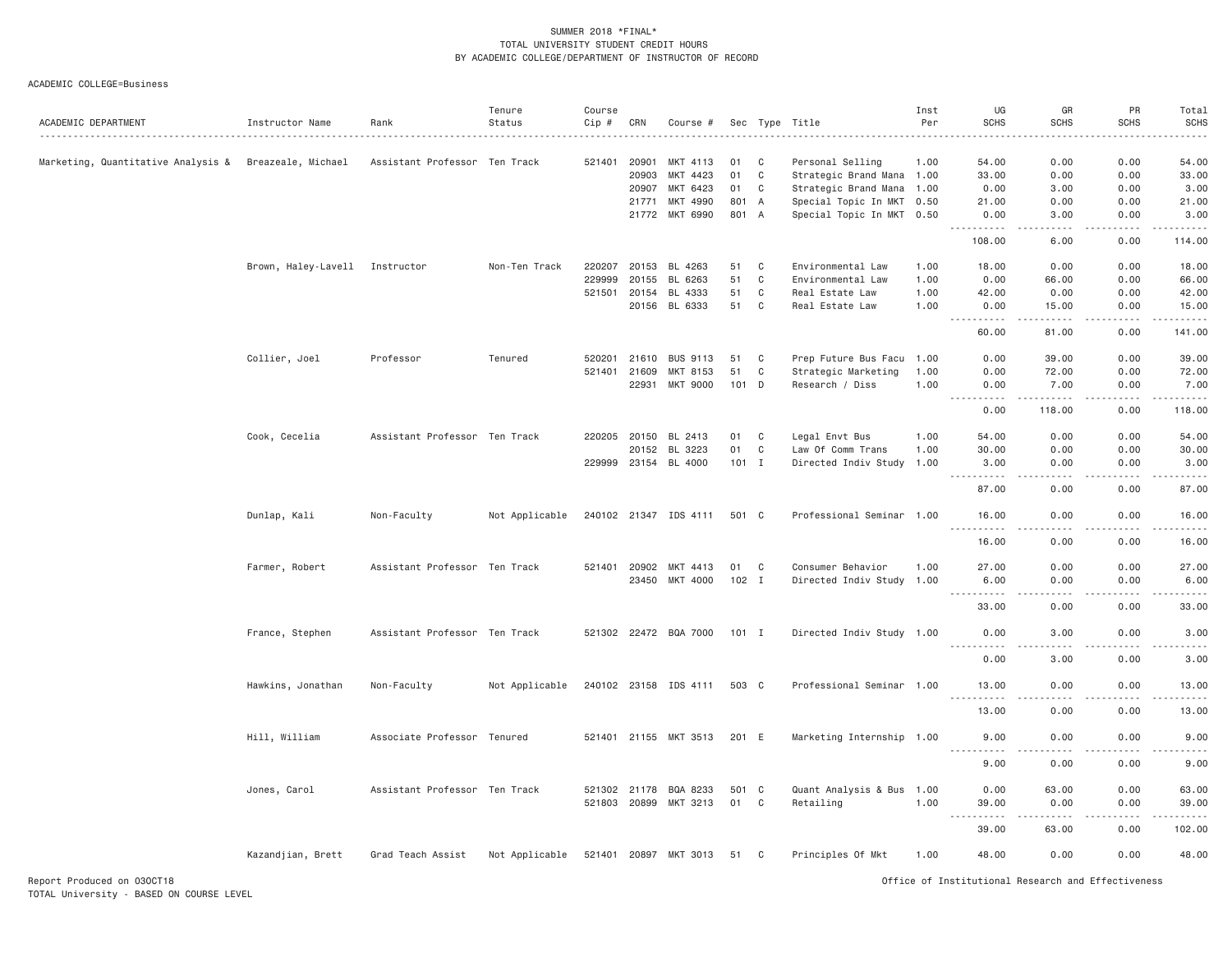| ACADEMIC DEPARTMENT                | Instructor Name                | Rank                          | Tenure<br>Status | Course<br>Cip # | CRN          | Course #              |         |             | Sec Type Title            | Inst<br>Per | UG<br><b>SCHS</b>                                                                                                                                            | GR<br><b>SCHS</b><br>.       | PR<br><b>SCHS</b><br>$- - - - -$ | Total<br><b>SCHS</b><br>.                                                                                                                                                               |
|------------------------------------|--------------------------------|-------------------------------|------------------|-----------------|--------------|-----------------------|---------|-------------|---------------------------|-------------|--------------------------------------------------------------------------------------------------------------------------------------------------------------|------------------------------|----------------------------------|-----------------------------------------------------------------------------------------------------------------------------------------------------------------------------------------|
| Marketing, Quantitative Analysis & | Breazeale, Michael             | Assistant Professor Ten Track |                  | 521401          | 20901        | MKT 4113              | 01      | C           | Personal Selling          | 1.00        | 54.00                                                                                                                                                        | 0.00                         | 0.00                             | 54.00                                                                                                                                                                                   |
|                                    |                                |                               |                  |                 | 20903        | MKT 4423              | 01      | C           | Strategic Brand Mana 1.00 |             | 33.00                                                                                                                                                        | 0.00                         | 0.00                             | 33.00                                                                                                                                                                                   |
|                                    |                                |                               |                  |                 | 20907        | MKT 6423              | 01      | $\mathbf C$ | Strategic Brand Mana 1.00 |             | 0.00                                                                                                                                                         | 3.00                         | 0.00                             | 3.00                                                                                                                                                                                    |
|                                    |                                |                               |                  |                 | 21771        | MKT 4990              | 801     | A           | Special Topic In MKT 0.50 |             | 21.00                                                                                                                                                        | 0.00                         | 0.00                             | 21.00                                                                                                                                                                                   |
|                                    |                                |                               |                  |                 | 21772        | MKT 6990              | 801 A   |             | Special Topic In MKT 0.50 |             | 0.00<br>$\frac{1}{2} \left( \frac{1}{2} \right) \left( \frac{1}{2} \right) \left( \frac{1}{2} \right) \left( \frac{1}{2} \right) \left( \frac{1}{2} \right)$ | 3.00<br>د د د د              | 0.00<br>.                        | 3.00<br>------                                                                                                                                                                          |
|                                    |                                |                               |                  |                 |              |                       |         |             |                           |             | 108.00                                                                                                                                                       | 6.00                         | 0.00                             | 114.00                                                                                                                                                                                  |
|                                    | Brown, Haley-Lavell Instructor |                               | Non-Ten Track    | 220207          | 20153        | BL 4263               | 51      | C           | Environmental Law         | 1.00        | 18.00                                                                                                                                                        | 0.00                         | 0.00                             | 18.00                                                                                                                                                                                   |
|                                    |                                |                               |                  | 229999          | 20155        | BL 6263               | 51      | $\mathbf C$ | Environmental Law         | 1.00        | 0.00                                                                                                                                                         | 66.00                        | 0.00                             | 66.00                                                                                                                                                                                   |
|                                    |                                |                               |                  | 521501          | 20154        | BL 4333               | 51      | C           | Real Estate Law           | 1.00        | 42.00                                                                                                                                                        | 0.00                         | 0.00                             | 42.00                                                                                                                                                                                   |
|                                    |                                |                               |                  |                 | 20156        | BL 6333               | 51      | C           | Real Estate Law           | 1.00        | 0.00                                                                                                                                                         | 15.00                        | 0.00                             | 15.00<br>.                                                                                                                                                                              |
|                                    |                                |                               |                  |                 |              |                       |         |             |                           |             | 60,00                                                                                                                                                        | 81,00                        | 0.00                             | 141.00                                                                                                                                                                                  |
|                                    | Collier, Joel                  | Professor                     | Tenured          | 520201          | 21610        | <b>BUS 9113</b>       | 51      | C           | Prep Future Bus Facu 1.00 |             | 0.00                                                                                                                                                         | 39.00                        | 0.00                             | 39.00                                                                                                                                                                                   |
|                                    |                                |                               |                  | 521401          | 21609        | MKT 8153              | 51      | C           | Strategic Marketing       | 1.00        | 0.00                                                                                                                                                         | 72.00                        | 0.00                             | 72.00                                                                                                                                                                                   |
|                                    |                                |                               |                  |                 | 22931        | MKT 9000              | $101$ D |             | Research / Diss           | 1.00        | 0.00<br>$\sim$ $\sim$ $\sim$<br>.                                                                                                                            | 7.00<br>.                    | 0.00<br>.                        | 7.00<br>$\frac{1}{2} \left( \frac{1}{2} \right) \left( \frac{1}{2} \right) \left( \frac{1}{2} \right) \left( \frac{1}{2} \right) \left( \frac{1}{2} \right) \left( \frac{1}{2} \right)$ |
|                                    |                                |                               |                  |                 |              |                       |         |             |                           |             | 0.00                                                                                                                                                         | 118.00                       | 0.00                             | 118.00                                                                                                                                                                                  |
|                                    | Cook, Cecelia                  | Assistant Professor Ten Track |                  |                 | 220205 20150 | BL 2413               | 01      | C           | Legal Envt Bus            | 1.00        | 54.00                                                                                                                                                        | 0.00                         | 0.00                             | 54.00                                                                                                                                                                                   |
|                                    |                                |                               |                  |                 | 20152        | BL 3223               | 01      | $\mathbf C$ | Law Of Comm Trans         | 1.00        | 30.00                                                                                                                                                        | 0.00                         | 0.00                             | 30.00                                                                                                                                                                                   |
|                                    |                                |                               |                  |                 |              | 229999 23154 BL 4000  | $101$ I |             | Directed Indiv Study      | 1.00        | 3.00                                                                                                                                                         | 0.00                         | 0.00                             | 3.00<br>$\frac{1}{2}$                                                                                                                                                                   |
|                                    |                                |                               |                  |                 |              |                       |         |             |                           |             | 87.00                                                                                                                                                        | 0.00                         | 0.00                             | 87.00                                                                                                                                                                                   |
|                                    | Dunlap, Kali                   | Non-Faculty                   | Not Applicable   |                 |              | 240102 21347 IDS 4111 | 501 C   |             | Professional Seminar 1.00 |             | 16.00<br><u>.</u>                                                                                                                                            | 0.00<br>.                    | 0.00<br>$- - - - -$              | 16.00<br><u>.</u>                                                                                                                                                                       |
|                                    |                                |                               |                  |                 |              |                       |         |             |                           |             | 16.00                                                                                                                                                        | 0.00                         | 0.00                             | 16.00                                                                                                                                                                                   |
|                                    | Farmer, Robert                 | Assistant Professor Ten Track |                  |                 | 521401 20902 | MKT 4413              | 01      | C           | Consumer Behavior         | 1.00        | 27.00                                                                                                                                                        | 0.00                         | 0.00                             | 27.00                                                                                                                                                                                   |
|                                    |                                |                               |                  |                 |              | 23450 MKT 4000        | $102$ I |             | Directed Indiv Study 1.00 |             | 6.00                                                                                                                                                         | 0.00                         | 0.00                             | 6.00                                                                                                                                                                                    |
|                                    |                                |                               |                  |                 |              |                       |         |             |                           |             | .<br>33.00                                                                                                                                                   | $\sim$ $\sim$ $\sim$<br>0.00 | .<br>0.00                        | $    -$<br>33.00                                                                                                                                                                        |
|                                    | France, Stephen                | Assistant Professor Ten Track |                  |                 |              | 521302 22472 BQA 7000 | $101$ I |             | Directed Indiv Study 1.00 |             | 0.00                                                                                                                                                         | 3,00                         | 0.00                             | 3,00                                                                                                                                                                                    |
|                                    |                                |                               |                  |                 |              |                       |         |             |                           |             | $- - - - -$                                                                                                                                                  | $\frac{1}{2}$                | .                                | $\frac{1}{2}$                                                                                                                                                                           |
|                                    |                                |                               |                  |                 |              |                       |         |             |                           |             | 0.00                                                                                                                                                         | 3.00                         | 0.00                             | 3.00                                                                                                                                                                                    |
|                                    | Hawkins, Jonathan              | Non-Faculty                   | Not Applicable   |                 |              | 240102 23158 IDS 4111 | 503 C   |             | Professional Seminar 1.00 |             | 13.00<br>$  -$<br>.                                                                                                                                          | 0.00<br>$- - - -$            | 0.00<br>-----                    | 13.00<br>.                                                                                                                                                                              |
|                                    |                                |                               |                  |                 |              |                       |         |             |                           |             | 13.00                                                                                                                                                        | 0.00                         | 0.00                             | 13.00                                                                                                                                                                                   |
|                                    | Hill, William                  | Associate Professor Tenured   |                  |                 |              | 521401 21155 MKT 3513 | 201 E   |             | Marketing Internship 1.00 |             | 9.00<br><u>.</u>                                                                                                                                             | 0.00<br>.                    | 0.00<br>-----                    | 9.00<br>.                                                                                                                                                                               |
|                                    |                                |                               |                  |                 |              |                       |         |             |                           |             | 9.00                                                                                                                                                         | 0.00                         | 0.00                             | 9.00                                                                                                                                                                                    |
|                                    | Jones, Carol                   | Assistant Professor Ten Track |                  |                 | 521302 21178 | BQA 8233              | 501 C   |             | Quant Analysis & Bus 1.00 |             | 0.00                                                                                                                                                         | 63.00                        | 0.00                             | 63.00                                                                                                                                                                                   |
|                                    |                                |                               |                  |                 | 521803 20899 | MKT 3213              | 01      | C           | Retailing                 | 1.00        | 39.00                                                                                                                                                        | 0.00                         | 0.00                             | 39.00                                                                                                                                                                                   |
|                                    |                                |                               |                  |                 |              |                       |         |             |                           |             | $\sim$ $\sim$ $\sim$                                                                                                                                         | $\sim$ $\sim$ $\sim$ $\sim$  | $\sim$ $\sim$ $\sim$             | والمناصبات                                                                                                                                                                              |
|                                    |                                |                               |                  |                 |              |                       |         |             |                           |             | 39.00                                                                                                                                                        | 63.00                        | 0.00                             | 102.00                                                                                                                                                                                  |
|                                    | Kazandjian, Brett              | Grad Teach Assist             | Not Applicable   |                 |              | 521401 20897 MKT 3013 | 51 C    |             | Principles Of Mkt         | 1.00        | 48.00                                                                                                                                                        | 0.00                         | 0.00                             | 48.00                                                                                                                                                                                   |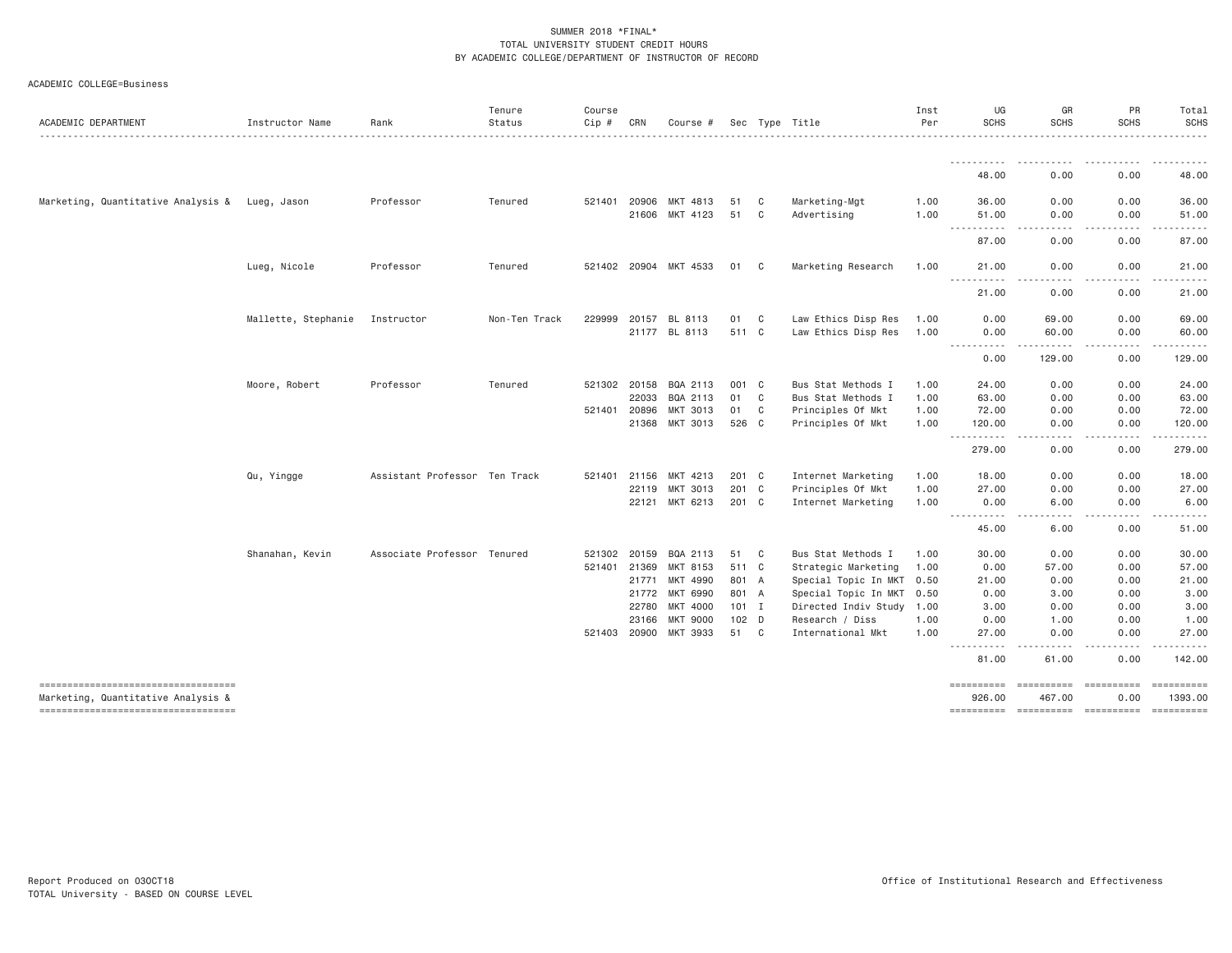| ACADEMIC DEPARTMENT                            | Instructor Name     | Rank                          | Tenure<br>Status | Course<br>Cip # | CRN   | Course #              |         | Sec Type Title |                           | Inst<br>Per | UG<br><b>SCHS</b>                  | GR<br><b>SCHS</b>      | PR<br><b>SCHS</b>                                                                                                                 | Total<br><b>SCHS</b>                       |
|------------------------------------------------|---------------------|-------------------------------|------------------|-----------------|-------|-----------------------|---------|----------------|---------------------------|-------------|------------------------------------|------------------------|-----------------------------------------------------------------------------------------------------------------------------------|--------------------------------------------|
|                                                |                     |                               |                  |                 |       |                       |         |                |                           |             |                                    |                        |                                                                                                                                   |                                            |
|                                                |                     |                               |                  |                 |       |                       |         |                |                           |             | ----------<br>48.00                | .<br>0.00              | .<br>0.00                                                                                                                         | <b>.</b><br>48.00                          |
| Marketing, Quantitative Analysis & Lueg, Jason |                     | Professor                     | Tenured          | 521401 20906    |       | MKT 4813              | 51      | C              | Marketing-Mgt             | 1.00        | 36.00                              | 0.00                   | 0.00                                                                                                                              | 36,00                                      |
|                                                |                     |                               |                  |                 |       | 21606 MKT 4123        | 51      | C              | Advertising               | 1.00        | 51.00<br>-----------               | 0.00<br><u>.</u>       | 0.00<br><u>.</u>                                                                                                                  | 51.00<br>.                                 |
|                                                |                     |                               |                  |                 |       |                       |         |                |                           |             | 87.00                              | 0.00                   | 0.00                                                                                                                              | 87.00                                      |
|                                                | Lueg, Nicole        | Professor                     | Tenured          |                 |       | 521402 20904 MKT 4533 | 01      | C              | Marketing Research        | 1.00        | 21.00<br>----------                | 0.00                   | 0.00<br>$\frac{1}{2} \left( \frac{1}{2} \right) \left( \frac{1}{2} \right) \left( \frac{1}{2} \right) \left( \frac{1}{2} \right)$ | 21.00<br>د د د د د                         |
|                                                |                     |                               |                  |                 |       |                       |         |                |                           |             | 21.00                              | 0.00                   | 0.00                                                                                                                              | 21.00                                      |
|                                                | Mallette, Stephanie | Instructor                    | Non-Ten Track    | 229999          | 20157 | BL 8113               | 01      | C              | Law Ethics Disp Res       | 1.00        | 0.00                               | 69.00                  | 0.00                                                                                                                              | 69.00                                      |
|                                                |                     |                               |                  |                 |       | 21177 BL 8113         | 511 C   |                | Law Ethics Disp Res       | 1.00        | 0.00<br><u>.</u>                   | 60.00<br>$- - - - - -$ | 0.00<br>.                                                                                                                         | 60.00<br>.                                 |
|                                                |                     |                               |                  |                 |       |                       |         |                |                           |             | 0.00                               | 129.00                 | 0.00                                                                                                                              | 129.00                                     |
|                                                | Moore, Robert       | Professor                     | Tenured          | 521302 20158    |       | BQA 2113              | 001 C   |                | Bus Stat Methods I        | 1.00        | 24.00                              | 0.00                   | 0.00                                                                                                                              | 24.00                                      |
|                                                |                     |                               |                  |                 | 22033 | BQA 2113              | 01      | C              | Bus Stat Methods I        | 1.00        | 63.00                              | 0.00                   | 0.00                                                                                                                              | 63.00                                      |
|                                                |                     |                               |                  | 521401          | 20896 | MKT 3013              | 01      | C              | Principles Of Mkt         | 1.00        | 72.00                              | 0.00                   | 0.00                                                                                                                              | 72.00                                      |
|                                                |                     |                               |                  |                 | 21368 | MKT 3013              | 526 C   |                | Principles Of Mkt         | 1.00        | 120.00<br>.                        | 0.00<br>المتمالين      | 0.00<br>.<br>----                                                                                                                 | 120.00<br>$\omega$ is a second or $\omega$ |
|                                                |                     |                               |                  |                 |       |                       |         |                |                           |             | 279.00                             | 0.00                   | 0.00                                                                                                                              | 279.00                                     |
|                                                | Qu, Yingge          | Assistant Professor Ten Track |                  | 521401          | 21156 | MKT 4213              | 201 C   |                | Internet Marketing        | 1.00        | 18.00                              | 0.00                   | 0.00                                                                                                                              | 18.00                                      |
|                                                |                     |                               |                  |                 | 22119 | MKT 3013              | 201 C   |                | Principles Of Mkt         | 1.00        | 27.00                              | 0.00                   | 0.00                                                                                                                              | 27.00                                      |
|                                                |                     |                               |                  |                 | 22121 | MKT 6213              | 201 C   |                | Internet Marketing        | 1.00        | 0.00                               | 6.00                   | 0.00                                                                                                                              | 6.00                                       |
|                                                |                     |                               |                  |                 |       |                       |         |                |                           |             | $\sim$ $\sim$ $\sim$<br>.<br>45.00 | .<br>6.00              | $\frac{1}{2} \left( \frac{1}{2} \right) \left( \frac{1}{2} \right) \left( \frac{1}{2} \right) \left( \frac{1}{2} \right)$<br>0.00 | -----<br>51.00                             |
|                                                | Shanahan, Kevin     | Associate Professor Tenured   |                  | 521302          | 20159 | BQA 2113              | 51      | C              | Bus Stat Methods I        | 1.00        | 30.00                              | 0.00                   | 0.00                                                                                                                              | 30.00                                      |
|                                                |                     |                               |                  | 521401          | 21369 | MKT 8153              | 511 C   |                | Strategic Marketing       | 1.00        | 0.00                               | 57.00                  | 0.00                                                                                                                              | 57.00                                      |
|                                                |                     |                               |                  |                 | 21771 | MKT 4990              | 801 A   |                | Special Topic In MKT      | 0.50        | 21.00                              | 0.00                   | 0.00                                                                                                                              | 21.00                                      |
|                                                |                     |                               |                  |                 | 21772 | MKT 6990              | 801 A   |                | Special Topic In MKT 0.50 |             | 0.00                               | 3.00                   | 0.00                                                                                                                              | 3.00                                       |
|                                                |                     |                               |                  |                 | 22780 | MKT 4000              | $101$ I |                | Directed Indiv Study 1.00 |             | 3.00                               | 0.00                   | 0.00                                                                                                                              | 3.00                                       |
|                                                |                     |                               |                  |                 | 23166 | <b>MKT 9000</b>       | $102$ D |                | Research / Diss           | 1.00        | 0.00                               | 1.00                   | 0.00                                                                                                                              | 1.00                                       |
|                                                |                     |                               |                  | 521403          | 20900 | MKT 3933              | 51      | C              | International Mkt         | 1.00        | 27.00<br>$\sim$ $\sim$ $\sim$      | 0.00                   | 0.00                                                                                                                              | 27.00                                      |
|                                                |                     |                               |                  |                 |       |                       |         |                |                           |             | 81.00                              | 61.00                  | 0.00                                                                                                                              | 142.00                                     |
| ----------------------------------             |                     |                               |                  |                 |       |                       |         |                |                           |             |                                    | <b>CODEDITION</b>      | essessesse                                                                                                                        | ==========                                 |
| Marketing, Quantitative Analysis &             |                     |                               |                  |                 |       |                       |         |                |                           |             | 926.00                             | 467.00                 | 0.00                                                                                                                              | 1393.00                                    |
| ----------------------------------             |                     |                               |                  |                 |       |                       |         |                |                           |             |                                    |                        |                                                                                                                                   | ==========                                 |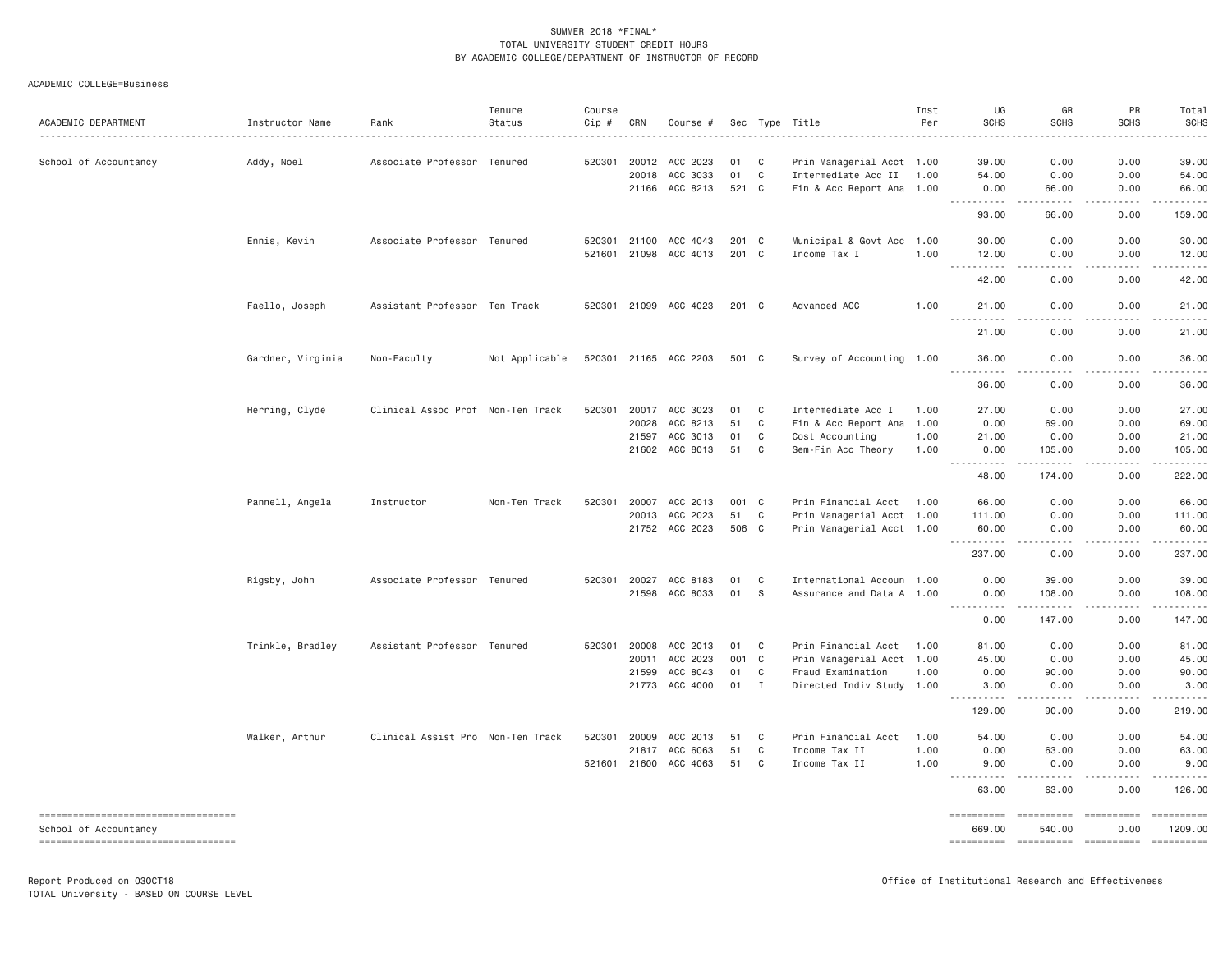| ACADEMIC DEPARTMENT                                                                                  | Instructor Name   | Rank                              | Tenure<br>Status | Course<br>$Cip$ # | CRN                                     | Course #                                           |                       |                             | Sec Type Title                                                                                     | Inst<br>Per                  | UG<br><b>SCHS</b>                                                                                                                                                     | GR<br><b>SCHS</b>                                                                                                                                                                                                                                                                                                                                                                                                                                                                                         | PR<br><b>SCHS</b>                                                                                                                                                                                       | Total<br><b>SCHS</b>                      |
|------------------------------------------------------------------------------------------------------|-------------------|-----------------------------------|------------------|-------------------|-----------------------------------------|----------------------------------------------------|-----------------------|-----------------------------|----------------------------------------------------------------------------------------------------|------------------------------|-----------------------------------------------------------------------------------------------------------------------------------------------------------------------|-----------------------------------------------------------------------------------------------------------------------------------------------------------------------------------------------------------------------------------------------------------------------------------------------------------------------------------------------------------------------------------------------------------------------------------------------------------------------------------------------------------|---------------------------------------------------------------------------------------------------------------------------------------------------------------------------------------------------------|-------------------------------------------|
| School of Accountancy                                                                                | Addy, Noel        | Associate Professor Tenured       |                  | 520301            | 20012<br>20018<br>21166                 | ACC 2023<br>ACC 3033<br>ACC 8213                   | 01<br>01<br>521 C     | C<br>$\mathbf{C}$           | Prin Managerial Acct 1.00<br>Intermediate Acc II 1.00<br>Fin & Acc Report Ana 1.00                 |                              | 39,00<br>54.00<br>0.00                                                                                                                                                | 0.00<br>0.00<br>66.00                                                                                                                                                                                                                                                                                                                                                                                                                                                                                     | 0.00<br>0.00<br>0.00                                                                                                                                                                                    | 39,00<br>54.00<br>66.00                   |
|                                                                                                      |                   |                                   |                  |                   |                                         |                                                    |                       |                             |                                                                                                    |                              | <u>.</u><br>93.00                                                                                                                                                     | -----<br>66.00                                                                                                                                                                                                                                                                                                                                                                                                                                                                                            | .<br>0.00                                                                                                                                                                                               | .<br>159.00                               |
|                                                                                                      | Ennis, Kevin      | Associate Professor Tenured       |                  |                   | 520301 21100                            | ACC 4043<br>521601 21098 ACC 4013                  | 201 C<br>201 C        |                             | Municipal & Govt Acc<br>Income Tax I                                                               | 1.00<br>1.00                 | 30,00<br>12.00                                                                                                                                                        | 0.00<br>0.00                                                                                                                                                                                                                                                                                                                                                                                                                                                                                              | 0.00<br>0.00                                                                                                                                                                                            | 30.00<br>12.00                            |
|                                                                                                      |                   |                                   |                  |                   |                                         |                                                    |                       |                             |                                                                                                    |                              | <u> - - - - - - - - - -</u><br>42.00                                                                                                                                  | .<br>0.00                                                                                                                                                                                                                                                                                                                                                                                                                                                                                                 | .<br>0.00                                                                                                                                                                                               | .<br>42.00                                |
|                                                                                                      | Faello, Joseph    | Assistant Professor Ten Track     |                  |                   |                                         | 520301 21099 ACC 4023                              | 201 C                 |                             | Advanced ACC                                                                                       | 1.00                         | 21.00<br><u> - - - - - - - - - -</u>                                                                                                                                  | 0.00<br>.                                                                                                                                                                                                                                                                                                                                                                                                                                                                                                 | 0.00<br>-----                                                                                                                                                                                           | 21.00<br>.                                |
|                                                                                                      |                   |                                   |                  |                   |                                         |                                                    |                       |                             |                                                                                                    |                              | 21.00                                                                                                                                                                 | 0.00                                                                                                                                                                                                                                                                                                                                                                                                                                                                                                      | 0.00                                                                                                                                                                                                    | 21.00                                     |
|                                                                                                      | Gardner, Virginia | Non-Faculty                       | Not Applicable   |                   |                                         | 520301 21165 ACC 2203                              | 501 C                 |                             | Survey of Accounting 1.00                                                                          |                              | 36.00<br>.                                                                                                                                                            | 0.00<br>.                                                                                                                                                                                                                                                                                                                                                                                                                                                                                                 | 0.00<br>-----                                                                                                                                                                                           | 36.00<br>.                                |
|                                                                                                      |                   |                                   |                  |                   |                                         |                                                    |                       |                             |                                                                                                    |                              | 36.00                                                                                                                                                                 | 0.00                                                                                                                                                                                                                                                                                                                                                                                                                                                                                                      | 0.00                                                                                                                                                                                                    | 36.00                                     |
|                                                                                                      | Herring, Clyde    | Clinical Assoc Prof Non-Ten Track |                  | 520301            | 20017<br>20028<br>21597                 | ACC 3023<br>ACC 8213<br>ACC 3013<br>21602 ACC 8013 | 01<br>51<br>01<br>51  | C<br>C<br>C<br>C            | Intermediate Acc I<br>Fin & Acc Report Ana<br>Cost Accounting<br>Sem-Fin Acc Theory                | 1.00<br>1.00<br>1.00<br>1.00 | 27.00<br>0.00<br>21.00<br>0.00<br><u> - - - - - - - - - -</u>                                                                                                         | 0.00<br>69.00<br>0.00<br>105.00<br>$\begin{array}{cccccccccccccc} \bullet & \bullet & \bullet & \bullet & \bullet & \bullet & \bullet & \bullet \end{array}$                                                                                                                                                                                                                                                                                                                                              | 0.00<br>0.00<br>0.00<br>0.00<br>-----                                                                                                                                                                   | 27.00<br>69.00<br>21.00<br>105.00         |
|                                                                                                      |                   |                                   |                  |                   |                                         |                                                    |                       |                             |                                                                                                    |                              | 48.00                                                                                                                                                                 | 174.00                                                                                                                                                                                                                                                                                                                                                                                                                                                                                                    | 0.00                                                                                                                                                                                                    | 222.00                                    |
|                                                                                                      | Pannell, Angela   | Instructor                        | Non-Ten Track    | 520301            | 20007                                   | ACC 2013<br>20013 ACC 2023<br>21752 ACC 2023       | 001 C<br>51<br>506 C  | C                           | Prin Financial Acct 1.00<br>Prin Managerial Acct 1.00<br>Prin Managerial Acct 1.00                 |                              | 66.00<br>111.00<br>60.00<br>.                                                                                                                                         | 0.00<br>0.00<br>0.00<br>.                                                                                                                                                                                                                                                                                                                                                                                                                                                                                 | 0.00<br>0.00<br>0.00<br>.                                                                                                                                                                               | 66.00<br>111.00<br>60.00<br>------        |
|                                                                                                      |                   |                                   |                  |                   |                                         |                                                    |                       |                             |                                                                                                    |                              | 237.00                                                                                                                                                                | 0.00                                                                                                                                                                                                                                                                                                                                                                                                                                                                                                      | 0.00                                                                                                                                                                                                    | 237.00                                    |
|                                                                                                      | Rigsby, John      | Associate Professor Tenured       |                  |                   | 21598                                   | 520301 20027 ACC 8183<br>ACC 8033                  | 01<br>01              | C<br>S.                     | International Accoun 1.00<br>Assurance and Data A 1.00                                             |                              | 0.00<br>0.00                                                                                                                                                          | 39.00<br>108.00                                                                                                                                                                                                                                                                                                                                                                                                                                                                                           | 0.00<br>0.00                                                                                                                                                                                            | 39.00<br>108.00<br>.                      |
|                                                                                                      |                   |                                   |                  |                   |                                         |                                                    |                       |                             |                                                                                                    |                              | $\frac{1}{2} \left( \frac{1}{2} \right) \left( \frac{1}{2} \right) \left( \frac{1}{2} \right) \left( \frac{1}{2} \right) \left( \frac{1}{2} \right)$<br>-----<br>0.00 | .<br>147.00                                                                                                                                                                                                                                                                                                                                                                                                                                                                                               | $\frac{1}{2} \left( \frac{1}{2} \right) \left( \frac{1}{2} \right) \left( \frac{1}{2} \right) \left( \frac{1}{2} \right) \left( \frac{1}{2} \right)$<br>0.00                                            | 147.00                                    |
|                                                                                                      | Trinkle, Bradley  | Assistant Professor Tenured       |                  |                   | 520301 20008<br>20011<br>21599<br>21773 | ACC 2013<br>ACC 2023<br>ACC 8043<br>ACC 4000       | 01<br>001<br>01<br>01 | C<br>$\mathbf{C}$<br>C<br>I | Prin Financial Acct<br>Prin Managerial Acct 1.00<br>Fraud Examination<br>Directed Indiv Study 1.00 | 1.00<br>1.00                 | 81.00<br>45.00<br>0.00<br>3.00<br>.<br>129.00                                                                                                                         | 0.00<br>0.00<br>90.00<br>0.00<br>90.00                                                                                                                                                                                                                                                                                                                                                                                                                                                                    | 0.00<br>0.00<br>0.00<br>0.00<br>0.00                                                                                                                                                                    | 81.00<br>45.00<br>90.00<br>3.00<br>219.00 |
|                                                                                                      | Walker, Arthur    | Clinical Assist Pro Non-Ten Track |                  | 520301            | 20009<br>21817                          | ACC 2013<br>ACC 6063<br>521601 21600 ACC 4063      | 51<br>51<br>51        | C<br>$\mathbf{C}$<br>C      | Prin Financial Acct<br>Income Tax II<br>Income Tax II                                              | 1.00<br>1.00<br>1.00         | 54.00<br>0.00<br>9.00<br><u> - - - - - - - - - -</u>                                                                                                                  | 0.00<br>63.00<br>0.00<br>-----                                                                                                                                                                                                                                                                                                                                                                                                                                                                            | 0.00<br>0.00<br>0.00<br>$\frac{1}{2} \left( \frac{1}{2} \right) \left( \frac{1}{2} \right) \left( \frac{1}{2} \right) \left( \frac{1}{2} \right) \left( \frac{1}{2} \right) \left( \frac{1}{2} \right)$ | 54.00<br>63.00<br>9.00<br>$- - - - - - -$ |
| =====================================<br>School of Accountancy<br>---------------------------------- |                   |                                   |                  |                   |                                         |                                                    |                       |                             |                                                                                                    |                              | 63.00<br>==========<br>669.00                                                                                                                                         | 63.00<br>$\begin{array}{cccccccccc} \multicolumn{2}{c}{} & \multicolumn{2}{c}{} & \multicolumn{2}{c}{} & \multicolumn{2}{c}{} & \multicolumn{2}{c}{} & \multicolumn{2}{c}{} & \multicolumn{2}{c}{} & \multicolumn{2}{c}{} & \multicolumn{2}{c}{} & \multicolumn{2}{c}{} & \multicolumn{2}{c}{} & \multicolumn{2}{c}{} & \multicolumn{2}{c}{} & \multicolumn{2}{c}{} & \multicolumn{2}{c}{} & \multicolumn{2}{c}{} & \multicolumn{2}{c}{} & \multicolumn{2}{c}{} & \multicolumn{2}{c}{} & \mult$<br>540.00 | 0.00<br><b>ESSESSEES</b><br>0.00                                                                                                                                                                        | 126.00<br>1209.00                         |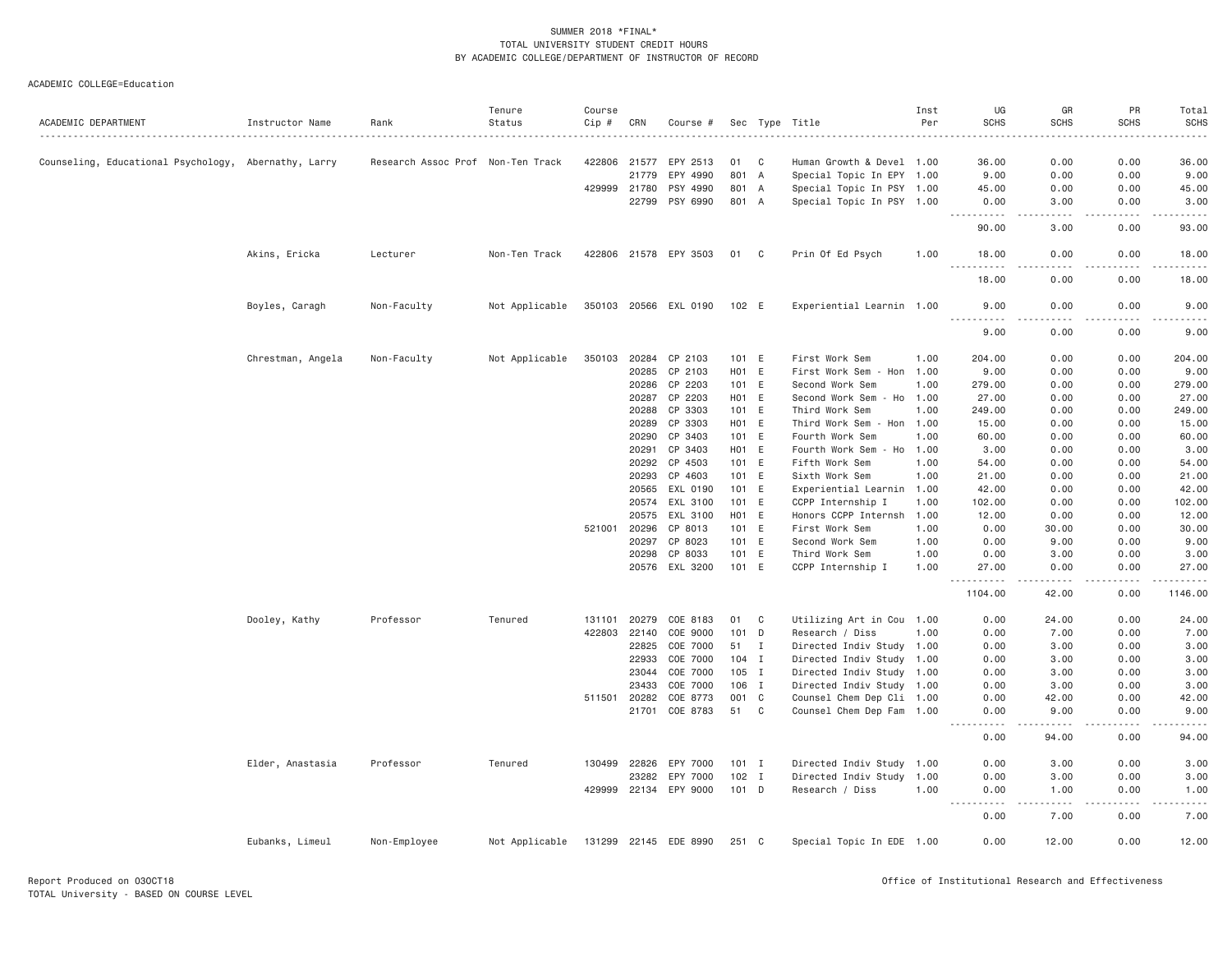|                                                      |                   |                                   | Tenure         | Course |              |                       |                  |              |                           | Inst | UG                     | GR                                  | PR          | Total             |
|------------------------------------------------------|-------------------|-----------------------------------|----------------|--------|--------------|-----------------------|------------------|--------------|---------------------------|------|------------------------|-------------------------------------|-------------|-------------------|
| ACADEMIC DEPARTMENT                                  | Instructor Name   | Rank                              | Status         | Cip #  | CRN          | Course #              |                  |              | Sec Type Title            | Per  | <b>SCHS</b>            | <b>SCHS</b>                         | <b>SCHS</b> | <b>SCHS</b>       |
|                                                      |                   |                                   |                |        |              |                       |                  |              |                           |      |                        |                                     |             |                   |
| Counseling, Educational Psychology, Abernathy, Larry |                   | Research Assoc Prof Non-Ten Track |                |        | 422806 21577 | EPY 2513              | 01               | C            | Human Growth & Devel 1.00 |      | 36.00                  | 0.00                                | 0.00        | 36.00             |
|                                                      |                   |                                   |                |        | 21779        | EPY 4990              |                  | 801 A        | Special Topic In EPY 1.00 |      | 9.00                   | 0.00                                | 0.00        | 9.00              |
|                                                      |                   |                                   |                |        | 429999 21780 | PSY 4990              | 801              | A            | Special Topic In PSY 1.00 |      | 45.00                  | 0.00                                | 0.00        | 45.00             |
|                                                      |                   |                                   |                |        | 22799        | PSY 6990              |                  | 801 A        | Special Topic In PSY 1.00 |      | 0.00<br>.<br>.         | 3.00<br>.                           | 0.00        | 3.00<br>.         |
|                                                      |                   |                                   |                |        |              |                       |                  |              |                           |      | 90.00                  | 3.00                                | 0.00        | 93.00             |
|                                                      | Akins, Ericka     | Lecturer                          | Non-Ten Track  |        |              | 422806 21578 EPY 3503 | 01               | C.           | Prin Of Ed Psych          | 1.00 | 18.00                  | 0.00                                | 0.00        | 18.00             |
|                                                      |                   |                                   |                |        |              |                       |                  |              |                           |      | 18.00                  | 0.00                                | 0.00        | 18.00             |
|                                                      | Boyles, Caragh    | Non-Faculty                       | Not Applicable |        |              | 350103 20566 EXL 0190 | 102 E            |              | Experiential Learnin 1.00 |      | 9.00<br><u>.</u>       | 0.00<br>$\sim$ $\sim$ $\sim$ $\sim$ | 0.00        | 9.00<br>$- - - -$ |
|                                                      |                   |                                   |                |        |              |                       |                  |              |                           |      | 9.00                   | 0.00                                | 0.00        | 9.00              |
|                                                      | Chrestman, Angela | Non-Faculty                       | Not Applicable | 350103 |              | 20284 CP 2103         |                  | 101 E        | First Work Sem            | 1.00 | 204.00                 | 0.00                                | 0.00        | 204.00            |
|                                                      |                   |                                   |                |        | 20285        | CP 2103               | H <sub>0</sub> 1 | E            | First Work Sem - Hon 1.00 |      | 9.00                   | 0.00                                | 0.00        | 9.00              |
|                                                      |                   |                                   |                |        | 20286        | CP 2203               |                  | 101 E        | Second Work Sem           | 1.00 | 279.00                 | 0.00                                | 0.00        | 279.00            |
|                                                      |                   |                                   |                |        | 20287        | CP 2203               |                  | H01 E        | Second Work Sem - Ho 1.00 |      | 27.00                  | 0.00                                | 0.00        | 27.00             |
|                                                      |                   |                                   |                |        | 20288        | CP 3303               |                  | 101 E        | Third Work Sem            | 1.00 | 249.00                 | 0.00                                | 0.00        | 249.00            |
|                                                      |                   |                                   |                |        | 20289        | CP 3303               | H <sub>0</sub> 1 | E            | Third Work Sem - Hon      | 1.00 | 15.00                  | 0.00                                | 0.00        | 15.00             |
|                                                      |                   |                                   |                |        | 20290        | CP 3403               |                  | 101 E        | Fourth Work Sem           | 1.00 | 60.00                  | 0.00                                | 0.00        | 60.00             |
|                                                      |                   |                                   |                |        | 20291        | CP 3403               |                  | H01 E        | Fourth Work Sem - Ho      | 1.00 | 3.00                   | 0.00                                | 0.00        | 3.00              |
|                                                      |                   |                                   |                |        | 20292        | CP 4503               | 101              | E            | Fifth Work Sem            | 1.00 | 54.00                  | 0.00                                | 0.00        | 54.00             |
|                                                      |                   |                                   |                |        | 20293        | CP 4603               |                  | 101 E        | Sixth Work Sem            | 1.00 | 21.00                  | 0.00                                | 0.00        | 21.00             |
|                                                      |                   |                                   |                |        | 20565        | EXL 0190              |                  | 101 E        | Experiential Learnin 1.00 |      | 42.00                  | 0.00                                | 0.00        | 42.00             |
|                                                      |                   |                                   |                |        | 20574        | EXL 3100              |                  | 101 E        | CCPP Internship I         | 1.00 | 102.00                 | 0.00                                | 0.00        | 102.00            |
|                                                      |                   |                                   |                |        | 20575        | EXL 3100              | HO1 E            |              | Honors CCPP Internsh      | 1.00 | 12.00                  | 0.00                                | 0.00        | 12.00             |
|                                                      |                   |                                   |                | 521001 | 20296        | CP 8013               |                  | 101 E        | First Work Sem            | 1.00 | 0.00                   | 30.00                               | 0.00        | 30.00             |
|                                                      |                   |                                   |                |        | 20297        | CP 8023               |                  | 101 E        | Second Work Sem           | 1.00 | 0.00                   | 9.00                                | 0.00        | 9.00              |
|                                                      |                   |                                   |                |        | 20298        | CP 8033               | 101              | E            | Third Work Sem            | 1.00 | 0.00                   | 3.00                                | 0.00        | 3.00              |
|                                                      |                   |                                   |                |        | 20576        | EXL 3200              |                  | 101 E        | CCPP Internship I         | 1.00 | 27.00                  | 0.00                                | 0.00        | 27.00             |
|                                                      |                   |                                   |                |        |              |                       |                  |              |                           |      | .<br>1104.00           | .<br>42.00                          | 0.00        | .<br>1146.00      |
|                                                      | Dooley, Kathy     | Professor                         | Tenured        | 131101 | 20279        | COE 8183              | 01               | C            | Utilizing Art in Cou 1.00 |      | 0.00                   | 24.00                               | 0.00        | 24.00             |
|                                                      |                   |                                   |                | 422803 | 22140        | COE 9000              |                  | $101$ D      | Research / Diss           | 1.00 | 0.00                   | 7.00                                | 0.00        | 7.00              |
|                                                      |                   |                                   |                |        | 22825        | COE 7000              | 51               | $\mathbf{I}$ | Directed Indiv Study 1.00 |      | 0.00                   | 3.00                                | 0.00        | 3.00              |
|                                                      |                   |                                   |                |        | 22933        | COE 7000              |                  | 104 I        | Directed Indiv Study 1.00 |      | 0.00                   | 3.00                                | 0.00        | 3.00              |
|                                                      |                   |                                   |                |        | 23044        | COE 7000              |                  | 105 I        | Directed Indiv Study 1.00 |      | 0.00                   | 3.00                                | 0.00        | 3.00              |
|                                                      |                   |                                   |                |        | 23433        | COE 7000              | 106              | $\mathbf{I}$ | Directed Indiv Study 1.00 |      | 0.00                   | 3.00                                | 0.00        | 3.00              |
|                                                      |                   |                                   |                |        | 511501 20282 | COE 8773              |                  | 001 C        | Counsel Chem Dep Cli 1.00 |      | 0.00                   | 42.00                               | 0.00        | 42.00             |
|                                                      |                   |                                   |                |        |              | 21701 COE 8783        | 51               | $\mathbf{C}$ | Counsel Chem Dep Fam 1.00 |      | 0.00                   | 9.00                                | 0.00        | 9.00              |
|                                                      |                   |                                   |                |        |              |                       |                  |              |                           |      | .<br>0.00              | -----<br>94.00                      | .<br>0.00   | .<br>94.00        |
|                                                      | Elder, Anastasia  | Professor                         | Tenured        | 130499 | 22826        | EPY 7000              |                  | $101$ I      | Directed Indiv Study 1.00 |      | 0.00                   | 3.00                                | 0.00        | 3.00              |
|                                                      |                   |                                   |                |        | 23282        | EPY 7000              |                  | $102$ I      | Directed Indiv Study      | 1.00 | 0.00                   | 3.00                                | 0.00        | 3.00              |
|                                                      |                   |                                   |                |        |              | 429999 22134 EPY 9000 |                  | 101 D        | Research / Diss           | 1.00 | 0.00                   | 1.00                                | 0.00        | 1.00              |
|                                                      |                   |                                   |                |        |              |                       |                  |              |                           |      | $- - - -$<br>.<br>0.00 | .<br>7.00                           | .<br>0.00   | $- - - -$<br>7.00 |
|                                                      | Eubanks, Limeul   | Non-Employee                      | Not Applicable |        |              | 131299 22145 EDE 8990 | 251 C            |              | Special Topic In EDE 1.00 |      | 0.00                   | 12.00                               | 0.00        | 12.00             |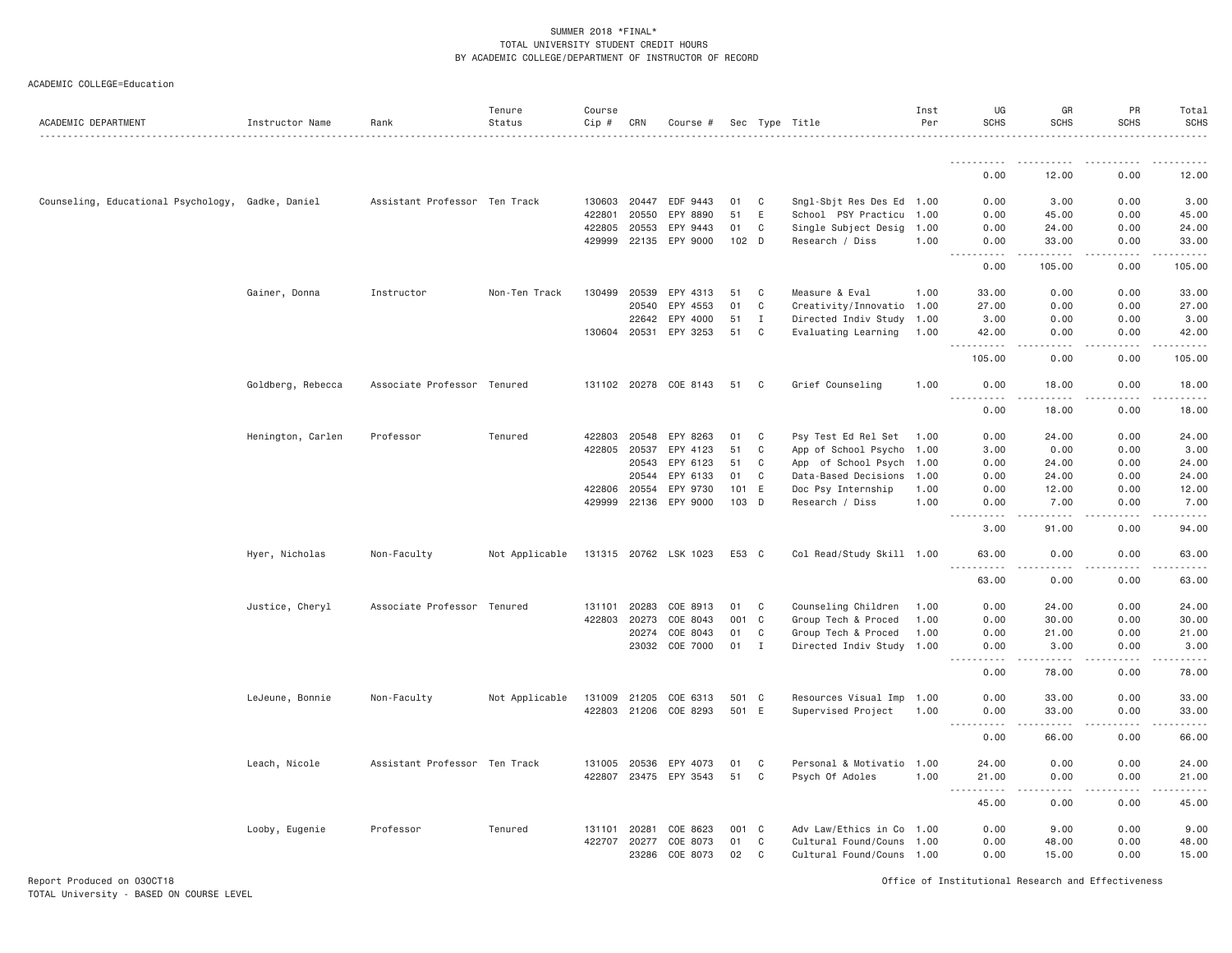#### ACADEMIC COLLEGE=Education

| ACADEMIC DEPARTMENT                               | Instructor Name   | Rank                          | Tenure<br>Status | Course<br>Cip # | CRN   | Course #              |        |              | Sec Type Title            | Inst<br>Per | UG<br><b>SCHS</b>                  | GR<br><b>SCHS</b>              | PR<br><b>SCHS</b>                   | Total<br><b>SCHS</b><br>.                                                                                                                                     |
|---------------------------------------------------|-------------------|-------------------------------|------------------|-----------------|-------|-----------------------|--------|--------------|---------------------------|-------------|------------------------------------|--------------------------------|-------------------------------------|---------------------------------------------------------------------------------------------------------------------------------------------------------------|
|                                                   |                   |                               |                  |                 |       |                       |        |              |                           |             | <u>.</u>                           |                                | .                                   |                                                                                                                                                               |
|                                                   |                   |                               |                  |                 |       |                       |        |              |                           |             | 0.00                               | 12.00                          | 0.00                                | 12.00                                                                                                                                                         |
| Counseling, Educational Psychology, Gadke, Daniel |                   | Assistant Professor Ten Track |                  | 130603          | 20447 | EDF 9443              | 01     | C            | Sngl-Sbjt Res Des Ed 1.00 |             | 0.00                               | 3.00                           | 0.00                                | 3.00                                                                                                                                                          |
|                                                   |                   |                               |                  | 422801          | 20550 | EPY 8890              | 51     | Ε            | School PSY Practicu 1.00  |             | 0.00                               | 45.00                          | 0.00                                | 45.00                                                                                                                                                         |
|                                                   |                   |                               |                  | 422805          | 20553 | EPY 9443              | 01     | C            | Single Subject Desig 1.00 |             | 0.00                               | 24.00                          | 0.00                                | 24.00                                                                                                                                                         |
|                                                   |                   |                               |                  | 429999          | 22135 | EPY 9000              | 102 D  |              | Research / Diss           | 1.00        | 0.00<br>.                          | 33.00<br>. <u>.</u>            | 0.00<br>.                           | 33.00<br>.                                                                                                                                                    |
|                                                   |                   |                               |                  |                 |       |                       |        |              |                           |             | 0.00                               | 105.00                         | 0.00                                | 105.00                                                                                                                                                        |
|                                                   | Gainer, Donna     | Instructor                    | Non-Ten Track    | 130499          | 20539 | EPY 4313              | 51     | C            | Measure & Eval            | 1.00        | 33.00                              | 0.00                           | 0.00                                | 33.00                                                                                                                                                         |
|                                                   |                   |                               |                  |                 | 20540 | EPY 4553              | 01     | $\mathbb C$  | Creativity/Innovatio 1.00 |             | 27.00                              | 0.00                           | 0.00                                | 27.00                                                                                                                                                         |
|                                                   |                   |                               |                  |                 | 22642 | EPY 4000              | 51     | $\mathbf{I}$ | Directed Indiv Study 1.00 |             | 3.00                               | 0.00                           | 0.00                                | 3.00                                                                                                                                                          |
|                                                   |                   |                               |                  | 130604 20531    |       | EPY 3253              | 51     | C            | Evaluating Learning       | 1.00        | 42.00<br>.                         | 0.00<br>الدامات بال            | 0.00<br>.                           | 42.00<br>.                                                                                                                                                    |
|                                                   |                   |                               |                  |                 |       |                       |        |              |                           |             | 105.00                             | 0.00                           | 0.00                                | 105.00                                                                                                                                                        |
|                                                   | Goldberg, Rebecca | Associate Professor Tenured   |                  | 131102 20278    |       | COE 8143              | 51     | C            | Grief Counseling          | 1.00        | 0.00<br><b>.</b>                   | 18.00<br>.                     | 0.00<br>$- - - -$                   | 18.00<br>.                                                                                                                                                    |
|                                                   |                   |                               |                  |                 |       |                       |        |              |                           |             | 0.00                               | 18.00                          | 0.00                                | 18.00                                                                                                                                                         |
|                                                   | Henington, Carlen | Professor                     | Tenured          | 422803          | 20548 | EPY 8263              | 01     | C            | Psy Test Ed Rel Set       | 1.00        | 0.00                               | 24.00                          | 0.00                                | 24.00                                                                                                                                                         |
|                                                   |                   |                               |                  | 422805          | 20537 | EPY 4123              | 51     | C            | App of School Psycho 1.00 |             | 3.00                               | 0.00                           | 0.00                                | 3.00                                                                                                                                                          |
|                                                   |                   |                               |                  |                 | 20543 | EPY 6123              | 51     | C            | App of School Psych 1.00  |             | 0.00                               | 24.00                          | 0.00                                | 24.00                                                                                                                                                         |
|                                                   |                   |                               |                  |                 | 20544 | EPY 6133              | 01     | C            | Data-Based Decisions      | 1.00        | 0.00                               | 24.00                          | 0.00                                | 24.00                                                                                                                                                         |
|                                                   |                   |                               |                  | 422806          | 20554 | EPY 9730              | 101    | E            | Doc Psy Internship        | 1.00        | 0.00                               | 12.00                          | 0.00                                | 12.00                                                                                                                                                         |
|                                                   |                   |                               |                  | 429999          | 22136 | EPY 9000              | 103 D  |              | Research / Diss           | 1.00        | 0.00                               | 7.00                           | 0.00                                | 7.00                                                                                                                                                          |
|                                                   |                   |                               |                  |                 |       |                       |        |              |                           |             | 3.00                               | 91.00                          | $\sim$ $\sim$ $\sim$ $\sim$<br>0.00 | $\frac{1}{2} \left( \frac{1}{2} \right) \left( \frac{1}{2} \right) \left( \frac{1}{2} \right) \left( \frac{1}{2} \right) \left( \frac{1}{2} \right)$<br>94.00 |
|                                                   | Hyer, Nicholas    | Non-Faculty                   | Not Applicable   |                 |       | 131315 20762 LSK 1023 | E53 C  |              | Col Read/Study Skill 1.00 |             | 63.00<br>$- - - - -$               | 0.00<br>.                      | 0.00<br>.                           | 63.00<br>.                                                                                                                                                    |
|                                                   |                   |                               |                  |                 |       |                       |        |              |                           |             | 63.00                              | 0.00                           | 0.00                                | 63.00                                                                                                                                                         |
|                                                   | Justice, Cheryl   | Associate Professor Tenured   |                  | 131101          | 20283 | COE 8913              | 01     | C            | Counseling Children       | 1.00        | 0.00                               | 24.00                          | 0.00                                | 24.00                                                                                                                                                         |
|                                                   |                   |                               |                  | 422803          | 20273 | COE 8043              | 001    | C            | Group Tech & Proced       | 1.00        | 0.00                               | 30.00                          | 0.00                                | 30.00                                                                                                                                                         |
|                                                   |                   |                               |                  |                 | 20274 | COE 8043              | 01     | C            | Group Tech & Proced       | 1.00        | 0.00                               | 21.00                          | 0.00                                | 21.00                                                                                                                                                         |
|                                                   |                   |                               |                  |                 |       | 23032 COE 7000        | $01$ I |              | Directed Indiv Study 1.00 |             | 0.00<br>.                          | 3.00<br>$\cdots \cdots \cdots$ | 0.00<br>.                           | 3.00<br>$   -$                                                                                                                                                |
|                                                   |                   |                               |                  |                 |       |                       |        |              |                           |             | 0.00                               | 78.00                          | 0.00                                | 78.00                                                                                                                                                         |
|                                                   | LeJeune, Bonnie   | Non-Faculty                   | Not Applicable   | 131009          | 21205 | COE 6313              | 501 C  |              | Resources Visual Imp 1.00 |             | 0.00                               | 33.00                          | 0.00                                | 33.00                                                                                                                                                         |
|                                                   |                   |                               |                  | 422803          | 21206 | COE 8293              | 501    | E            | Supervised Project        | 1.00        | 0.00<br><u>.</u>                   | 33.00<br>.                     | 0.00<br>$\omega$ is a $\omega$      | 33.00<br>$    -$                                                                                                                                              |
|                                                   |                   |                               |                  |                 |       |                       |        |              |                           |             | 0.00                               | 66.00                          | 0.00                                | 66.00                                                                                                                                                         |
|                                                   | Leach, Nicole     | Assistant Professor Ten Track |                  | 131005          | 20536 | EPY 4073              | 01     | C            | Personal & Motivatio 1.00 |             | 24.00                              | 0.00                           | 0.00                                | 24.00                                                                                                                                                         |
|                                                   |                   |                               |                  |                 |       | 422807 23475 EPY 3543 | 51     | C            | Psych Of Adoles           | 1.00        | 21.00<br>$\sim$ $\sim$ $\sim$<br>. | 0.00<br>.                      | 0.00<br>.                           | 21.00<br>.                                                                                                                                                    |
|                                                   |                   |                               |                  |                 |       |                       |        |              |                           |             | 45.00                              | 0.00                           | 0.00                                | 45.00                                                                                                                                                         |
|                                                   | Looby, Eugenie    | Professor                     | Tenured          | 131101          | 20281 | COE 8623              | 001 C  |              | Adv Law/Ethics in Co 1.00 |             | 0.00                               | 9.00                           | 0.00                                | 9.00                                                                                                                                                          |
|                                                   |                   |                               |                  | 422707          | 20277 | COE 8073              | 01     | $\mathbb C$  | Cultural Found/Couns 1.00 |             | 0.00                               | 48.00                          | 0.00                                | 48.00                                                                                                                                                         |
|                                                   |                   |                               |                  |                 | 23286 | COE 8073              | 02     | C            | Cultural Found/Couns 1.00 |             | 0.00                               | 15.00                          | 0.00                                | 15.00                                                                                                                                                         |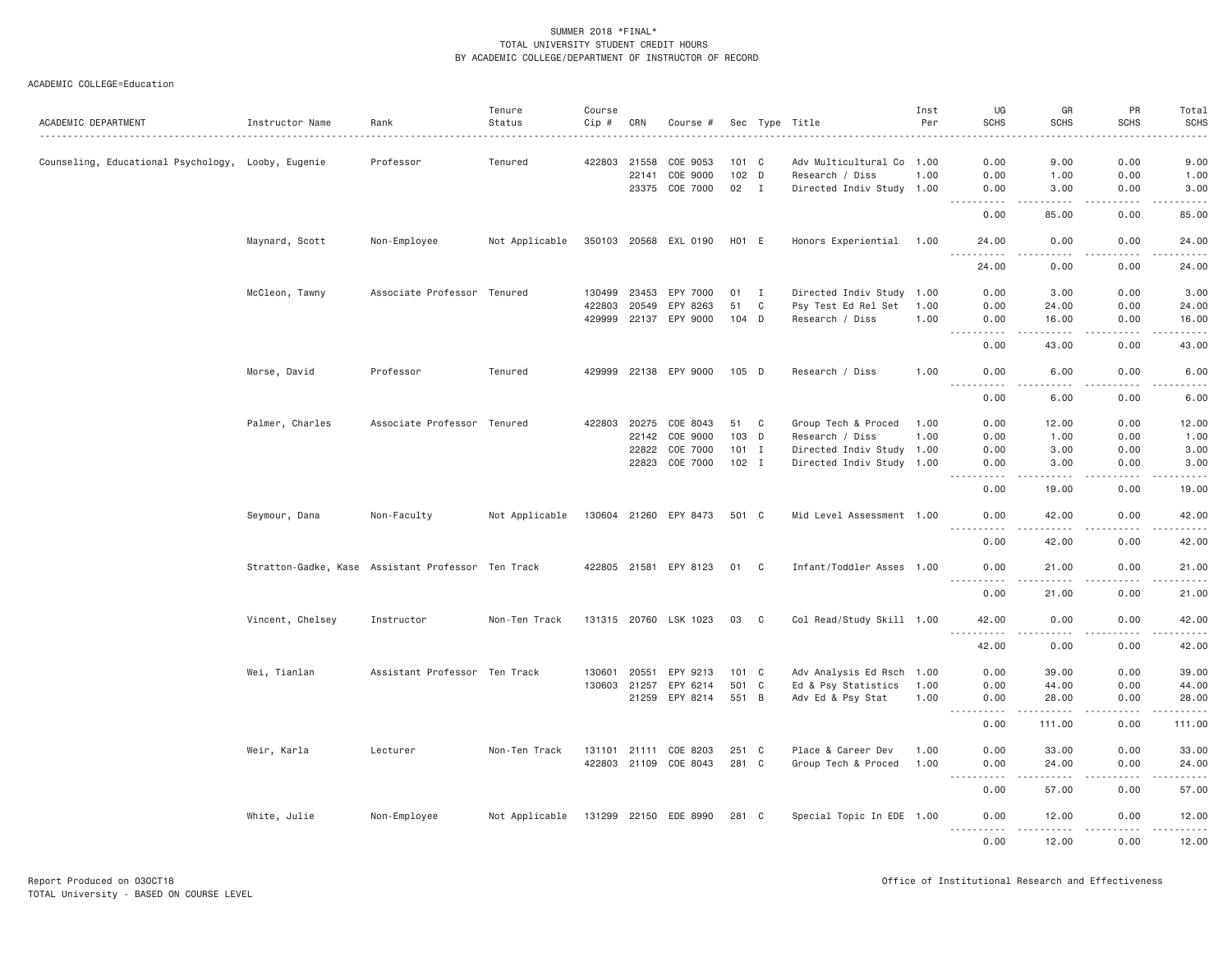|                                                    |                                                    |                               | Tenure         | Course |       |                       |         |                |                           | Inst | UG                                                                                                                                                                                                                                              | GR                     | PR                    | Total                             |
|----------------------------------------------------|----------------------------------------------------|-------------------------------|----------------|--------|-------|-----------------------|---------|----------------|---------------------------|------|-------------------------------------------------------------------------------------------------------------------------------------------------------------------------------------------------------------------------------------------------|------------------------|-----------------------|-----------------------------------|
| ACADEMIC DEPARTMENT                                | Instructor Name                                    | Rank                          | Status         | Cip #  | CRN   | Course #              |         |                | Sec Type Title            | Per  | <b>SCHS</b>                                                                                                                                                                                                                                     | <b>SCHS</b>            | <b>SCHS</b><br>.      | <b>SCHS</b><br>.                  |
| Counseling, Educational Psychology, Looby, Eugenie |                                                    | Professor                     | Tenured        | 422803 | 21558 | COE 9053              | 101 C   |                | Adv Multicultural Co 1.00 |      | 0.00                                                                                                                                                                                                                                            | 9.00                   | 0.00                  | 9.00                              |
|                                                    |                                                    |                               |                |        | 22141 | COE 9000              | 102 D   |                | Research / Diss           | 1.00 | 0.00                                                                                                                                                                                                                                            | 1.00                   | 0.00                  | 1.00                              |
|                                                    |                                                    |                               |                |        |       | 23375 COE 7000        | 02      | $\blacksquare$ | Directed Indiv Study 1.00 |      | 0.00                                                                                                                                                                                                                                            | 3.00                   | 0.00                  | 3.00                              |
|                                                    |                                                    |                               |                |        |       |                       |         |                |                           |      | .<br>$- - -$                                                                                                                                                                                                                                    | .                      | .                     | $\omega$ is a set of              |
|                                                    |                                                    |                               |                |        |       |                       |         |                |                           |      | 0.00                                                                                                                                                                                                                                            | 85.00                  | 0.00                  | 85.00                             |
|                                                    | Maynard, Scott                                     | Non-Employee                  | Not Applicable |        |       | 350103 20568 EXL 0190 | H01 E   |                | Honors Experiential       | 1.00 | 24.00<br>.                                                                                                                                                                                                                                      | 0.00                   | 0.00<br>.             | 24.00<br>.                        |
|                                                    |                                                    |                               |                |        |       |                       |         |                |                           |      | 24.00                                                                                                                                                                                                                                           | 0.00                   | 0.00                  | 24.00                             |
|                                                    | McCleon, Tawny                                     | Associate Professor Tenured   |                | 130499 | 23453 | EPY 7000              | 01      | $\mathbf{I}$   | Directed Indiv Study 1.00 |      | 0.00                                                                                                                                                                                                                                            | 3.00                   | 0.00                  | 3.00                              |
|                                                    |                                                    |                               |                | 422803 | 20549 | EPY 8263              | 51      | C              | Psy Test Ed Rel Set       | 1.00 | 0.00                                                                                                                                                                                                                                            | 24.00                  | 0.00                  | 24.00                             |
|                                                    |                                                    |                               |                | 429999 | 22137 | EPY 9000              | $104$ D |                | Research / Diss           | 1.00 | 0.00<br>.                                                                                                                                                                                                                                       | 16.00<br>$- - - - - -$ | 0.00<br>.             | 16.00<br>.                        |
|                                                    |                                                    |                               |                |        |       |                       |         |                |                           |      | 0.00                                                                                                                                                                                                                                            | 43.00                  | 0.00                  | 43.00                             |
|                                                    | Morse, David                                       | Professor                     | Tenured        |        |       | 429999 22138 EPY 9000 | 105 D   |                | Research / Diss           | 1.00 | 0.00                                                                                                                                                                                                                                            | 6.00                   | 0.00                  | 6.00                              |
|                                                    |                                                    |                               |                |        |       |                       |         |                |                           |      | $- - -$<br>.<br>0.00                                                                                                                                                                                                                            | .<br>6.00              | .<br>0.00             | .<br>$\sim$ $\sim$ $\sim$<br>6.00 |
|                                                    | Palmer, Charles                                    | Associate Professor Tenured   |                | 422803 | 20275 | COE 8043              | 51      | C              | Group Tech & Proced       | 1.00 | 0.00                                                                                                                                                                                                                                            | 12.00                  | 0.00                  | 12.00                             |
|                                                    |                                                    |                               |                |        |       | 22142 COE 9000        | 103 D   |                | Research / Diss           | 1.00 | 0.00                                                                                                                                                                                                                                            | 1.00                   | 0.00                  | 1.00                              |
|                                                    |                                                    |                               |                |        | 22822 | COE 7000              | $101$ I |                | Directed Indiv Study 1.00 |      | 0.00                                                                                                                                                                                                                                            | 3.00                   | 0.00                  | 3.00                              |
|                                                    |                                                    |                               |                |        | 22823 | COE 7000              | $102$ I |                | Directed Indiv Study 1.00 |      | 0.00<br>.                                                                                                                                                                                                                                       | 3.00                   | 0.00<br>.             | 3.00                              |
|                                                    |                                                    |                               |                |        |       |                       |         |                |                           |      | 0.00                                                                                                                                                                                                                                            | .<br>19.00             | 0.00                  | <u>.</u><br>19.00                 |
|                                                    | Seymour, Dana                                      | Non-Faculty                   | Not Applicable |        |       | 130604 21260 EPY 8473 | 501 C   |                | Mid Level Assessment 1.00 |      | 0.00                                                                                                                                                                                                                                            | 42.00                  | 0.00                  | 42.00                             |
|                                                    |                                                    |                               |                |        |       |                       |         |                |                           |      | .<br>0.00                                                                                                                                                                                                                                       | $- - - - -$<br>42.00   | .<br>0.00             | .<br>42.00                        |
|                                                    | Stratton-Gadke, Kase Assistant Professor Ten Track |                               |                |        |       | 422805 21581 EPY 8123 | 01 C    |                | Infant/Toddler Asses 1.00 |      | 0.00                                                                                                                                                                                                                                            | 21.00                  | 0.00<br>$\frac{1}{2}$ | 21.00<br>$- - - - -$              |
|                                                    |                                                    |                               |                |        |       |                       |         |                |                           |      | <u>.</u><br>0.00                                                                                                                                                                                                                                | 21.00                  | 0.00                  | 21.00                             |
|                                                    | Vincent, Chelsey                                   | Instructor                    | Non-Ten Track  |        |       | 131315 20760 LSK 1023 | 03      | C              | Col Read/Study Skill 1.00 |      | 42.00                                                                                                                                                                                                                                           | 0.00                   | 0.00                  | 42.00                             |
|                                                    |                                                    |                               |                |        |       |                       |         |                |                           |      | <u>.</u><br>42.00                                                                                                                                                                                                                               | -----<br>0.00          | .<br>0.00             | .<br>42.00                        |
|                                                    | Wei, Tianlan                                       | Assistant Professor Ten Track |                | 130601 | 20551 | EPY 9213              | 101 C   |                | Adv Analysis Ed Rsch 1.00 |      | 0.00                                                                                                                                                                                                                                            | 39.00                  | 0.00                  | 39.00                             |
|                                                    |                                                    |                               |                | 130603 | 21257 | EPY 6214              | 501 C   |                | Ed & Psy Statistics       | 1.00 | 0.00                                                                                                                                                                                                                                            | 44.00                  | 0.00                  | 44.00                             |
|                                                    |                                                    |                               |                |        |       | 21259 EPY 8214        | 551 B   |                | Adv Ed & Psy Stat         | 1.00 | 0.00<br>$- - -$                                                                                                                                                                                                                                 | 28.00                  | 0.00<br>.             | 28.00<br>.                        |
|                                                    |                                                    |                               |                |        |       |                       |         |                |                           |      | 0.00                                                                                                                                                                                                                                            | 111.00                 | 0.00                  | 111.00                            |
|                                                    | Weir, Karla                                        | Lecturer                      | Non-Ten Track  |        |       | 131101 21111 COE 8203 | 251 C   |                | Place & Career Dev        | 1.00 | 0.00                                                                                                                                                                                                                                            | 33.00                  | 0.00                  | 33.00                             |
|                                                    |                                                    |                               |                |        |       | 422803 21109 COE 8043 | 281 C   |                | Group Tech & Proced       | 1.00 | 0.00<br>$\frac{1}{2} \left( \frac{1}{2} \right) \left( \frac{1}{2} \right) \left( \frac{1}{2} \right) \left( \frac{1}{2} \right) \left( \frac{1}{2} \right)$<br>$\frac{1}{2} \left( \frac{1}{2} \right) \frac{1}{2} \left( \frac{1}{2} \right)$ | 24.00<br>$- - - - -$   | 0.00<br>.             | 24.00<br>.                        |
|                                                    |                                                    |                               |                |        |       |                       |         |                |                           |      | 0.00                                                                                                                                                                                                                                            | 57.00                  | 0.00                  | 57.00                             |
|                                                    | White, Julie                                       | Non-Employee                  | Not Applicable |        |       | 131299 22150 EDE 8990 | 281 C   |                | Special Topic In EDE 1.00 |      | 0.00<br><u>.</u>                                                                                                                                                                                                                                | 12.00<br>. <u>.</u>    | 0.00<br>.<br>-----    | 12.00<br><b></b>                  |
|                                                    |                                                    |                               |                |        |       |                       |         |                |                           |      | 0.00                                                                                                                                                                                                                                            | 12.00                  | 0.00                  | 12.00                             |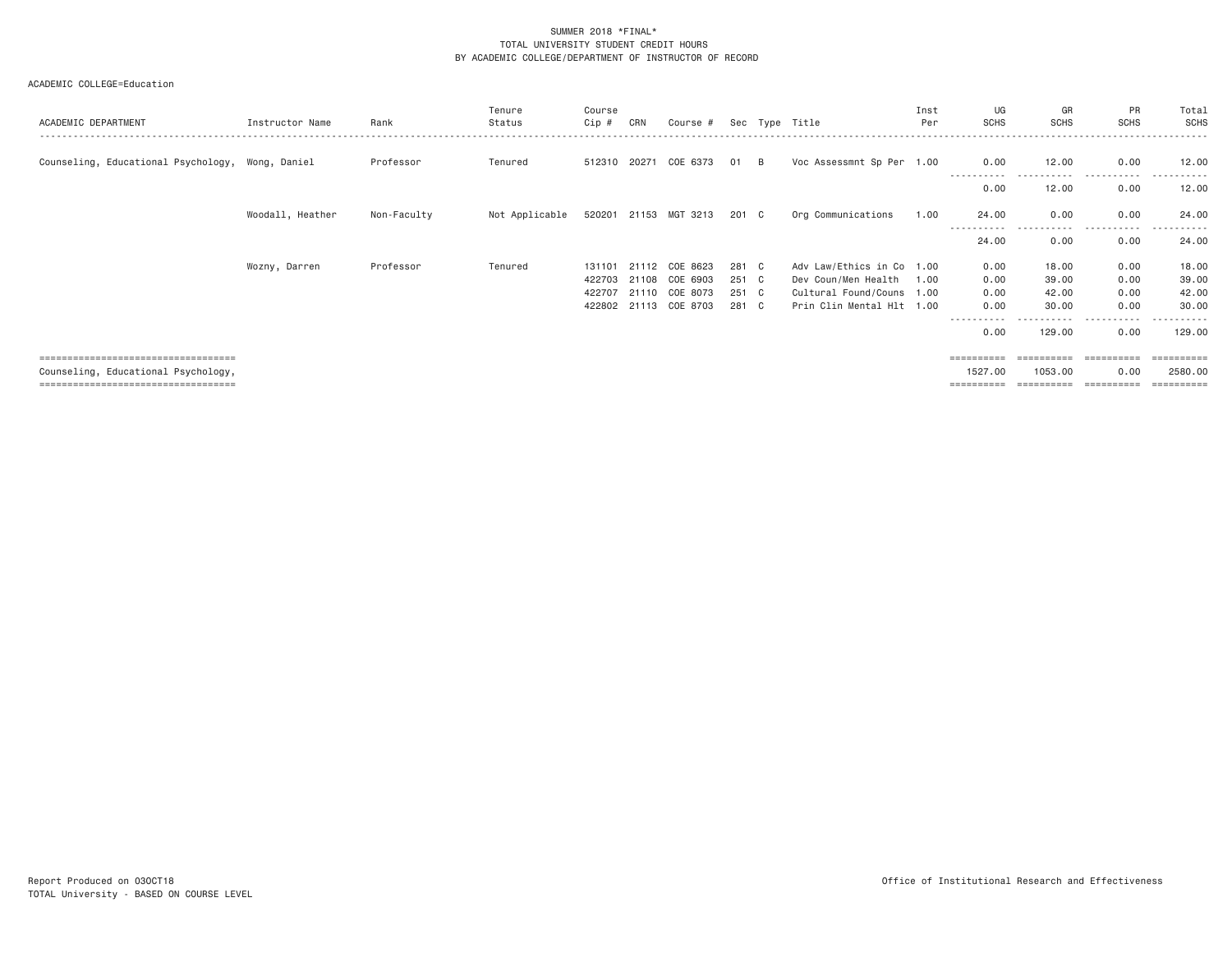| ACADEMIC DEPARTMENT                              | Instructor Name  | Rank        | Tenure<br>Status | Course<br>Cip # | CRN   | Course #              |       |   | Sec Type Title            | Inst<br>Per | UG<br><b>SCHS</b> | GR<br><b>SCHS</b>    | <b>PR</b><br><b>SCHS</b> | Total<br><b>SCHS</b>  |
|--------------------------------------------------|------------------|-------------|------------------|-----------------|-------|-----------------------|-------|---|---------------------------|-------------|-------------------|----------------------|--------------------------|-----------------------|
| Counseling, Educational Psychology, Wong, Daniel |                  | Professor   | Tenured          |                 |       | 512310 20271 COE 6373 | 01    | B | Voc Assessmnt Sp Per 1.00 |             | 0.00              | 12.00                | 0.00                     | 12.00                 |
|                                                  |                  |             |                  |                 |       |                       |       |   |                           |             | 0.00              | 12.00                | 0.00                     | 12.00                 |
|                                                  | Woodall, Heather | Non-Faculty | Not Applicable   |                 |       | 520201 21153 MGT 3213 | 201 C |   | Org Communications        | 1.00        | 24.00             | 0.00<br>. <u>.</u> . | 0.00<br>- - - - -        | 24.00                 |
|                                                  |                  |             |                  |                 |       |                       |       |   |                           |             | 24.00             | 0.00                 | 0.00                     | 24.00                 |
|                                                  | Wozny, Darren    | Professor   | Tenured          | 131101          | 21112 | COE 8623              | 281 C |   | Adv Law/Ethics in Co 1.00 |             | 0.00              | 18.00                | 0.00                     | 18.00                 |
|                                                  |                  |             |                  | 422703          |       | 21108 COE 6903        | 251 C |   | Dev Coun/Men Health       | 1.00        | 0.00              | 39.00                | 0.00                     | 39.00                 |
|                                                  |                  |             |                  | 422707          |       | 21110 COE 8073        | 251 C |   | Cultural Found/Couns 1.00 |             | 0.00              | 42.00                | 0.00                     | 42.00                 |
|                                                  |                  |             |                  |                 |       | 422802 21113 COE 8703 | 281 C |   | Prin Clin Mental Hlt 1.00 |             | 0.00              | 30.00                | 0.00                     | 30.00                 |
|                                                  |                  |             |                  |                 |       |                       |       |   |                           |             | 0.00              | 129.00               | - - - - -<br>0.00        | ------<br>129.00      |
| =====================================            |                  |             |                  |                 |       |                       |       |   |                           |             | ==========        | ==========           | ==========               | $=$ = = = = = = = = = |
| Counseling, Educational Psychology,              |                  |             |                  |                 |       |                       |       |   |                           |             | 1527.00           | 1053.00              | 0.00                     | 2580.00               |
| ====================================             |                  |             |                  |                 |       |                       |       |   |                           |             | ==========        | ==========           |                          | $=$ = = = = = = = = = |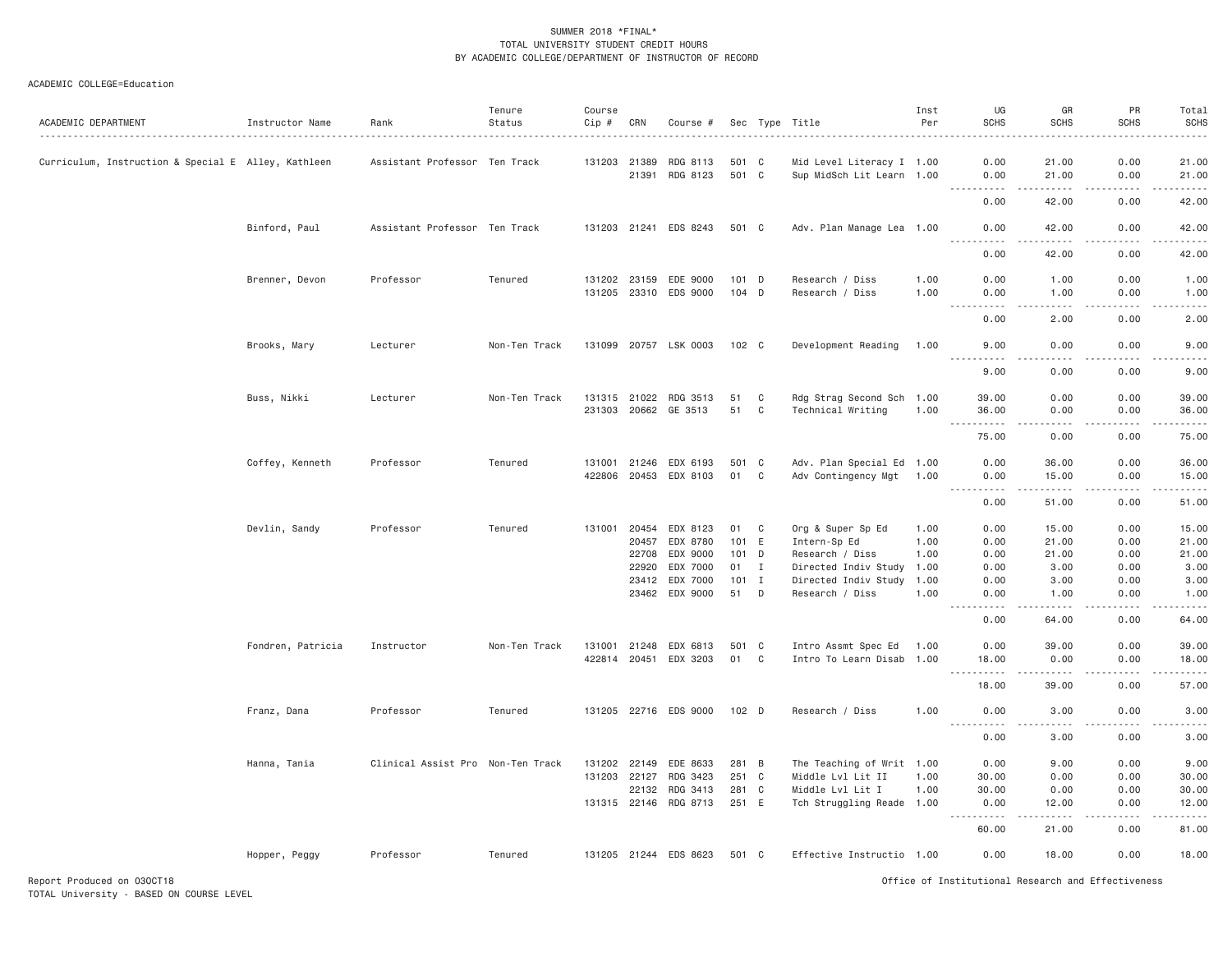#### ACADEMIC COLLEGE=Education

| ACADEMIC DEPARTMENT                                 | Instructor Name   | Rank                              | Tenure<br>Status | Course<br>Cip # | CRN            | Course #                   |                |              | Sec Type Title                                         | Inst<br>Per  | UG<br><b>SCHS</b>                       | GR<br><b>SCHS</b>                                                                                                                                             | PR<br><b>SCHS</b> | Total<br><b>SCHS</b>                 |
|-----------------------------------------------------|-------------------|-----------------------------------|------------------|-----------------|----------------|----------------------------|----------------|--------------|--------------------------------------------------------|--------------|-----------------------------------------|---------------------------------------------------------------------------------------------------------------------------------------------------------------|-------------------|--------------------------------------|
| Curriculum, Instruction & Special E Alley, Kathleen |                   | Assistant Professor Ten Track     |                  |                 | 131203 21389   | RDG 8113<br>21391 RDG 8123 | 501 C<br>501 C |              | Mid Level Literacy I 1.00<br>Sup MidSch Lit Learn 1.00 |              | 0.00<br>0.00                            | 21.00<br>21.00                                                                                                                                                | 0.00<br>0.00      | 21.00<br>21.00                       |
|                                                     |                   |                                   |                  |                 |                |                            |                |              |                                                        |              | .<br>0.00                               | $\frac{1}{2} \left( \frac{1}{2} \right) \left( \frac{1}{2} \right) \left( \frac{1}{2} \right) \left( \frac{1}{2} \right) \left( \frac{1}{2} \right)$<br>42.00 | .<br>0.00         | .<br>42.00                           |
|                                                     | Binford, Paul     | Assistant Professor Ten Track     |                  |                 |                | 131203 21241 EDS 8243      | 501 C          |              | Adv. Plan Manage Lea 1.00                              |              | 0.00                                    | 42.00                                                                                                                                                         | 0.00              | 42.00                                |
|                                                     |                   |                                   |                  |                 |                |                            |                |              |                                                        |              | .<br>0.00                               | .<br>42.00                                                                                                                                                    | .<br>0.00         | .<br>42.00                           |
|                                                     | Brenner, Devon    | Professor                         | Tenured          |                 | 131202 23159   | EDE 9000                   | $101$ D        |              | Research / Diss                                        | 1.00         | 0.00                                    | 1.00                                                                                                                                                          | 0.00              | 1.00                                 |
|                                                     |                   |                                   |                  |                 |                | 131205 23310 EDS 9000      | 104 D          |              | Research / Diss                                        | 1.00         | 0.00<br>.                               | 1.00<br>.                                                                                                                                                     | 0.00<br>.         | 1.00<br>$\frac{1}{2}$                |
|                                                     |                   |                                   |                  |                 |                |                            |                |              |                                                        |              | 0.00                                    | 2.00                                                                                                                                                          | 0.00              | 2.00                                 |
|                                                     | Brooks, Mary      | Lecturer                          | Non-Ten Track    |                 |                | 131099 20757 LSK 0003      | 102 C          |              | Development Reading                                    | 1.00         | 9.00<br>$\sim$ $\sim$ $\sim$ $\sim$     | 0.00<br>د د د د                                                                                                                                               | 0.00<br>.         | 9.00<br>$\omega$ is a $\omega$       |
|                                                     |                   |                                   |                  |                 |                |                            |                |              |                                                        |              | 9.00                                    | 0.00                                                                                                                                                          | 0.00              | 9.00                                 |
|                                                     | Buss, Nikki       | Lecturer                          | Non-Ten Track    |                 |                | 131315 21022 RDG 3513      | 51             | C            | Rdg Strag Second Sch 1.00                              |              | 39.00                                   | 0.00                                                                                                                                                          | 0.00              | 39.00                                |
|                                                     |                   |                                   |                  |                 |                | 231303 20662 GE 3513       | 51             | $\mathbf{C}$ | Technical Writing                                      | 1.00         | 36.00<br>$ -$<br><b><i><u>.</u></i></b> | 0.00<br>. <u>. .</u>                                                                                                                                          | 0.00              | 36.00                                |
|                                                     |                   |                                   |                  |                 |                |                            |                |              |                                                        |              | 75.00                                   | 0.00                                                                                                                                                          | 0.00              | 75.00                                |
|                                                     | Coffey, Kenneth   | Professor                         | Tenured          |                 | 131001 21246   | EDX 6193                   | 501 C          |              | Adv. Plan Special Ed 1.00                              |              | 0.00                                    | 36.00                                                                                                                                                         | 0.00              | 36.00                                |
|                                                     |                   |                                   |                  |                 | 422806 20453   | EDX 8103                   | 01             | $\mathbf{C}$ | Adv Contingency Mgt 1.00                               |              | 0.00<br>$- - -$<br>. <b>.</b>           | 15.00<br>.                                                                                                                                                    | 0.00<br>.         | 15.00<br>.                           |
|                                                     |                   |                                   |                  |                 |                |                            |                |              |                                                        |              | 0.00                                    | 51.00                                                                                                                                                         | 0.00              | 51.00                                |
|                                                     | Devlin, Sandy     | Professor                         | Tenured          | 131001          |                | 20454 EDX 8123             | 01             | $\mathbf{C}$ | Org & Super Sp Ed                                      | 1.00         | 0.00                                    | 15.00                                                                                                                                                         | 0.00              | 15.00                                |
|                                                     |                   |                                   |                  |                 | 20457          | EDX 8780                   | 101 E          |              | Intern-Sp Ed                                           | 1.00         | 0.00                                    | 21.00                                                                                                                                                         | 0.00              | 21.00                                |
|                                                     |                   |                                   |                  |                 | 22708          | EDX 9000                   | 101 D          |              | Research / Diss                                        | 1.00         | 0.00                                    | 21.00                                                                                                                                                         | 0.00              | 21.00                                |
|                                                     |                   |                                   |                  |                 | 22920          | EDX 7000                   | 01             | I            | Directed Indiv Study 1.00                              |              | 0.00                                    | 3.00                                                                                                                                                          | 0.00              | 3.00                                 |
|                                                     |                   |                                   |                  |                 | 23412<br>23462 | EDX 7000<br>EDX 9000       | $101$ I<br>51  | D            | Directed Indiv Study<br>Research / Diss                | 1.00<br>1.00 | 0.00<br>0.00                            | 3.00<br>1.00                                                                                                                                                  | 0.00<br>0.00      | 3.00<br>1.00                         |
|                                                     |                   |                                   |                  |                 |                |                            |                |              |                                                        |              | .<br>0.00                               | -----<br>64.00                                                                                                                                                | .<br>0.00         | $\sim$ $\sim$ $\sim$ $\sim$<br>64.00 |
|                                                     |                   |                                   |                  |                 |                |                            |                |              |                                                        |              |                                         |                                                                                                                                                               |                   |                                      |
|                                                     | Fondren, Patricia | Instructor                        | Non-Ten Track    |                 | 131001 21248   | EDX 6813                   | 501 C<br>01    | C            | Intro Assmt Spec Ed                                    | 1.00         | 0.00<br>18.00                           | 39.00<br>0.00                                                                                                                                                 | 0.00<br>0.00      | 39.00                                |
|                                                     |                   |                                   |                  |                 |                | 422814 20451 EDX 3203      |                |              | Intro To Learn Disab 1.00                              |              | .<br>18.00                              | 39.00                                                                                                                                                         | 0.00              | 18.00<br>57.00                       |
|                                                     |                   |                                   |                  |                 |                |                            |                |              |                                                        |              |                                         |                                                                                                                                                               |                   |                                      |
|                                                     | Franz, Dana       | Professor                         | Tenured          |                 |                | 131205 22716 EDS 9000      | 102 D          |              | Research / Diss                                        | 1.00         | 0.00<br>.                               | 3.00                                                                                                                                                          | 0.00              | 3.00                                 |
|                                                     |                   |                                   |                  |                 |                |                            |                |              |                                                        |              | 0.00                                    | 3.00                                                                                                                                                          | 0.00              | 3.00                                 |
|                                                     | Hanna, Tania      | Clinical Assist Pro Non-Ten Track |                  | 131202 22149    |                | EDE 8633                   | 281 B          |              | The Teaching of Writ 1.00                              |              | 0.00                                    | 9.00                                                                                                                                                          | 0.00              | 9.00                                 |
|                                                     |                   |                                   |                  | 131203 22127    |                | RDG 3423                   | 251 C          |              | Middle Lvl Lit II                                      | 1.00         | 30.00                                   | 0.00                                                                                                                                                          | 0.00              | 30.00                                |
|                                                     |                   |                                   |                  |                 | 22132          | RDG 3413                   | 281 C          |              | Middle Lvl Lit I                                       | 1.00         | 30.00                                   | 0.00                                                                                                                                                          | 0.00              | 30.00                                |
|                                                     |                   |                                   |                  |                 | 131315 22146   | RDG 8713                   | 251 E          |              | Tch Struggling Reade 1.00                              |              | 0.00<br>.                               | 12.00<br>.                                                                                                                                                    | 0.00              | 12.00                                |
|                                                     |                   |                                   |                  |                 |                |                            |                |              |                                                        |              | 60.00                                   | 21.00                                                                                                                                                         | 0.00              | 81.00                                |
|                                                     | Hopper, Peggy     | Professor                         | Tenured          |                 |                | 131205 21244 EDS 8623      | 501 C          |              | Effective Instructio 1.00                              |              | 0.00                                    | 18.00                                                                                                                                                         | 0.00              | 18.00                                |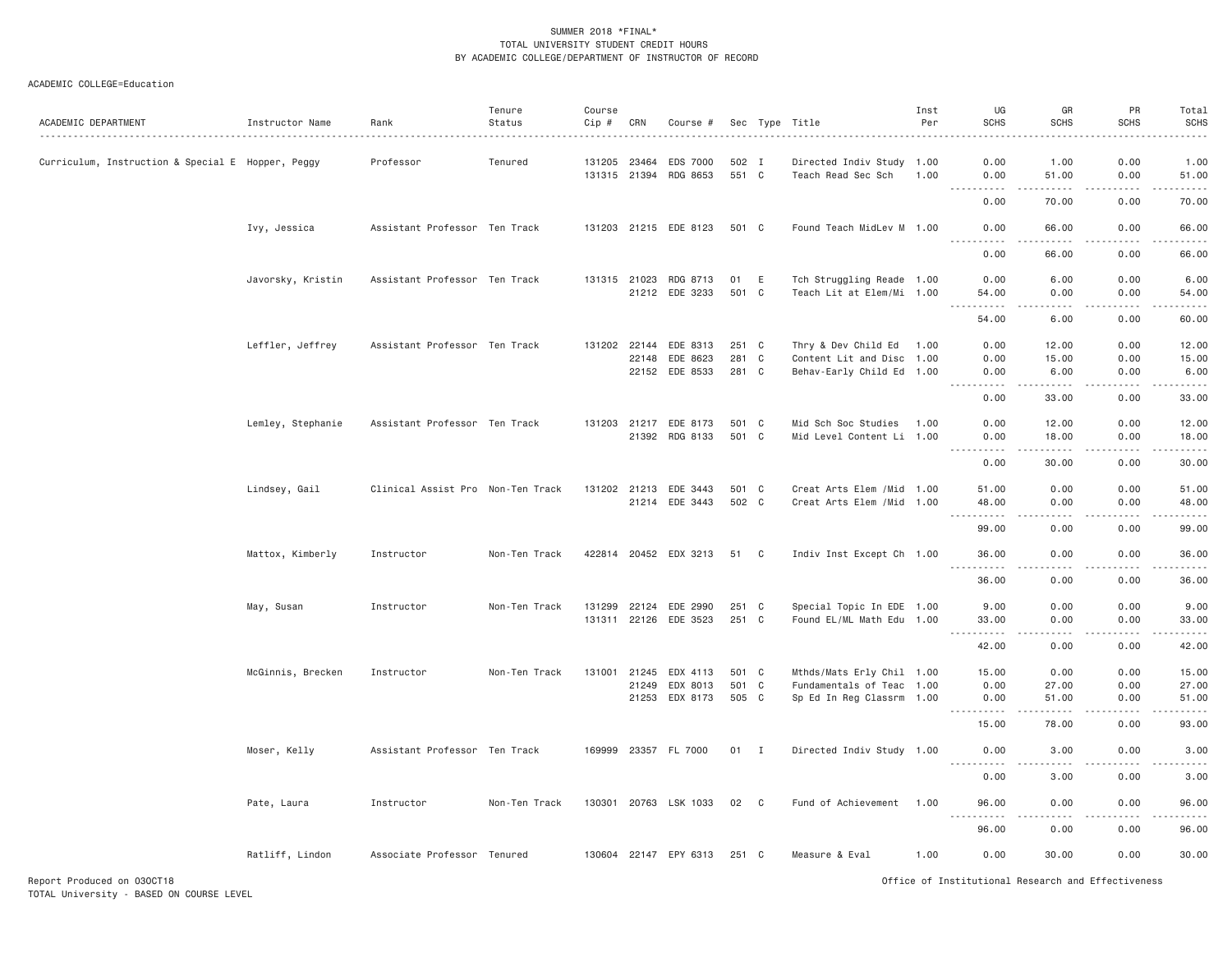| ACADEMIC DEPARTMENT                               | Instructor Name   | Rank                              | Tenure<br>Status | Course<br>Cip # | CRN   | Course #                          |                |                | Sec Type Title                                         | Inst<br>Per | UG<br><b>SCHS</b>                                                                                                                                                                                                                                                                                                                             | GR<br><b>SCHS</b>            | PR<br><b>SCHS</b> | Total<br><b>SCHS</b>                                                                                                                                          |
|---------------------------------------------------|-------------------|-----------------------------------|------------------|-----------------|-------|-----------------------------------|----------------|----------------|--------------------------------------------------------|-------------|-----------------------------------------------------------------------------------------------------------------------------------------------------------------------------------------------------------------------------------------------------------------------------------------------------------------------------------------------|------------------------------|-------------------|---------------------------------------------------------------------------------------------------------------------------------------------------------------|
| Curriculum, Instruction & Special E Hopper, Peggy |                   | Professor                         | Tenured          | 131205 23464    |       | EDS 7000<br>131315 21394 RDG 8653 | 502 I<br>551 C |                | Directed Indiv Study 1.00<br>Teach Read Sec Sch        | 1.00        | 0.00<br>0.00<br>$\frac{1}{2} \left( \frac{1}{2} \right) \left( \frac{1}{2} \right) \left( \frac{1}{2} \right) \left( \frac{1}{2} \right)$                                                                                                                                                                                                     | 1.00<br>51.00<br>.           | 0.00<br>0.00<br>. | 1.00<br>51.00<br>.                                                                                                                                            |
|                                                   |                   |                                   |                  |                 |       |                                   |                |                |                                                        |             | 0.00                                                                                                                                                                                                                                                                                                                                          | 70.00                        | 0.00              | 70.00                                                                                                                                                         |
|                                                   | Ivy, Jessica      | Assistant Professor Ten Track     |                  |                 |       | 131203 21215 EDE 8123             | 501 C          |                | Found Teach MidLev M 1.00                              |             | 0.00<br><b>.</b><br>$- - - - - -$                                                                                                                                                                                                                                                                                                             | 66.00<br><u>.</u>            | 0.00<br>.         | 66.00<br>.                                                                                                                                                    |
|                                                   |                   |                                   |                  |                 |       |                                   |                |                |                                                        |             | 0.00                                                                                                                                                                                                                                                                                                                                          | 66.00                        | 0.00              | 66.00                                                                                                                                                         |
|                                                   | Javorsky, Kristin | Assistant Professor Ten Track     |                  |                 |       | 131315 21023 RDG 8713             | 01 E           |                | Tch Struggling Reade 1.00                              |             | 0.00                                                                                                                                                                                                                                                                                                                                          | 6.00                         | 0.00              | 6.00                                                                                                                                                          |
|                                                   |                   |                                   |                  |                 |       | 21212 EDE 3233                    | 501 C          |                | Teach Lit at Elem/Mi 1.00                              |             | 54.00<br>$\frac{1}{2} \left( \begin{array}{ccc} 1 & 0 & 0 & 0 \\ 0 & 0 & 0 & 0 \\ 0 & 0 & 0 & 0 \\ 0 & 0 & 0 & 0 \\ 0 & 0 & 0 & 0 \\ 0 & 0 & 0 & 0 \\ 0 & 0 & 0 & 0 \\ 0 & 0 & 0 & 0 \\ 0 & 0 & 0 & 0 \\ 0 & 0 & 0 & 0 \\ 0 & 0 & 0 & 0 & 0 \\ 0 & 0 & 0 & 0 & 0 \\ 0 & 0 & 0 & 0 & 0 \\ 0 & 0 & 0 & 0 & 0 \\ 0 & 0 & 0 & 0 & 0 \\ 0 & 0 & 0$ | 0.00<br>.                    | 0.00<br>.         | 54.00<br>.                                                                                                                                                    |
|                                                   |                   |                                   |                  |                 |       |                                   |                |                |                                                        |             | 54.00                                                                                                                                                                                                                                                                                                                                         | 6.00                         | 0.00              | 60.00                                                                                                                                                         |
|                                                   | Leffler, Jeffrey  | Assistant Professor Ten Track     |                  |                 |       | 131202 22144 EDE 8313             | 251 C          |                | Thry & Dev Child Ed 1.00                               |             | 0.00                                                                                                                                                                                                                                                                                                                                          | 12.00                        | 0.00              | 12.00                                                                                                                                                         |
|                                                   |                   |                                   |                  |                 | 22148 | EDE 8623<br>22152 EDE 8533        | 281 C<br>281 C |                | Content Lit and Disc 1.00<br>Behav-Early Child Ed 1.00 |             | 0.00<br>0.00                                                                                                                                                                                                                                                                                                                                  | 15.00<br>6.00                | 0.00<br>0.00      | 15.00<br>6.00                                                                                                                                                 |
|                                                   |                   |                                   |                  |                 |       |                                   |                |                |                                                        |             | .<br>0.00                                                                                                                                                                                                                                                                                                                                     | .<br>33.00                   | .<br>0.00         | .<br>33.00                                                                                                                                                    |
|                                                   | Lemley, Stephanie | Assistant Professor Ten Track     |                  |                 |       | 131203 21217 EDE 8173             | 501 C          |                | Mid Sch Soc Studies 1.00                               |             | 0.00                                                                                                                                                                                                                                                                                                                                          | 12.00                        | 0.00              | 12.00                                                                                                                                                         |
|                                                   |                   |                                   |                  |                 |       | 21392 RDG 8133                    | 501 C          |                | Mid Level Content Li 1.00                              |             | 0.00                                                                                                                                                                                                                                                                                                                                          | 18.00                        | 0.00              | 18.00                                                                                                                                                         |
|                                                   |                   |                                   |                  |                 |       |                                   |                |                |                                                        |             | $\cdots$<br>0.00                                                                                                                                                                                                                                                                                                                              | .<br>30.00                   | .<br>0.00         | .<br>30.00                                                                                                                                                    |
|                                                   | Lindsey, Gail     | Clinical Assist Pro Non-Ten Track |                  |                 |       | 131202 21213 EDE 3443             | 501 C          |                | Creat Arts Elem / Mid 1.00                             |             | 51.00                                                                                                                                                                                                                                                                                                                                         | 0.00                         | 0.00              | 51.00                                                                                                                                                         |
|                                                   |                   |                                   |                  |                 |       | 21214 EDE 3443                    | 502 C          |                | Creat Arts Elem / Mid 1.00                             |             | 48,00                                                                                                                                                                                                                                                                                                                                         | 0.00                         | 0.00              | 48,00                                                                                                                                                         |
|                                                   |                   |                                   |                  |                 |       |                                   |                |                |                                                        |             | $- - - - - -$<br>99.00                                                                                                                                                                                                                                                                                                                        | $- - - -$<br>0.00            | .<br>0.00         | .<br>99.00                                                                                                                                                    |
|                                                   | Mattox, Kimberly  | Instructor                        | Non-Ten Track    |                 |       | 422814 20452 EDX 3213             | 51 C           |                | Indiv Inst Except Ch 1.00                              |             | 36.00                                                                                                                                                                                                                                                                                                                                         | 0.00                         | 0.00              | 36.00<br>. <u>.</u> .                                                                                                                                         |
|                                                   |                   |                                   |                  |                 |       |                                   |                |                |                                                        |             | 36.00                                                                                                                                                                                                                                                                                                                                         | 0.00                         | 0.00              | 36.00                                                                                                                                                         |
|                                                   | May, Susan        | Instructor                        | Non-Ten Track    |                 |       | 131299 22124 EDE 2990             | 251 C          |                | Special Topic In EDE 1.00                              |             | 9.00                                                                                                                                                                                                                                                                                                                                          | 0.00                         | 0.00              | 9.00                                                                                                                                                          |
|                                                   |                   |                                   |                  |                 |       | 131311 22126 EDE 3523             | 251 C          |                | Found EL/ML Math Edu 1.00                              |             | 33.00<br>$\frac{1}{2} \left( \frac{1}{2} \right) \left( \frac{1}{2} \right) \left( \frac{1}{2} \right) \left( \frac{1}{2} \right) \left( \frac{1}{2} \right)$                                                                                                                                                                                 | 0.00<br>$- - - -$            | 0.00<br>$- - - -$ | 33.00<br>$\frac{1}{2} \left( \frac{1}{2} \right) \left( \frac{1}{2} \right) \left( \frac{1}{2} \right) \left( \frac{1}{2} \right) \left( \frac{1}{2} \right)$ |
|                                                   |                   |                                   |                  |                 |       |                                   |                |                |                                                        |             | 42.00                                                                                                                                                                                                                                                                                                                                         | 0.00                         | 0.00              | 42.00                                                                                                                                                         |
|                                                   | McGinnis, Brecken | Instructor                        | Non-Ten Track    |                 |       | 131001 21245 EDX 4113             | 501 C          |                | Mthds/Mats Erly Chil 1.00                              |             | 15.00                                                                                                                                                                                                                                                                                                                                         | 0.00                         | 0.00              | 15.00                                                                                                                                                         |
|                                                   |                   |                                   |                  |                 | 21249 | EDX 8013<br>21253 EDX 8173        | 501<br>505 C   | $\mathbf{C}$   | Fundamentals of Teac 1.00<br>Sp Ed In Reg Classrm 1.00 |             | 0.00<br>0.00                                                                                                                                                                                                                                                                                                                                  | 27.00<br>51.00               | 0.00<br>0.00      | 27.00<br>51.00                                                                                                                                                |
|                                                   |                   |                                   |                  |                 |       |                                   |                |                |                                                        |             | . <u>.</u> .<br>15.00                                                                                                                                                                                                                                                                                                                         | 78.00                        | 0.00              | .<br>93.00                                                                                                                                                    |
|                                                   | Moser, Kelly      | Assistant Professor Ten Track     |                  |                 |       | 169999 23357 FL 7000              | 01             | $\blacksquare$ | Directed Indiv Study 1.00                              |             | 0.00                                                                                                                                                                                                                                                                                                                                          | 3.00                         | 0.00              | 3.00                                                                                                                                                          |
|                                                   |                   |                                   |                  |                 |       |                                   |                |                |                                                        |             | <u>.</u>                                                                                                                                                                                                                                                                                                                                      | $\frac{1}{2}$                |                   | $    -$                                                                                                                                                       |
|                                                   |                   |                                   |                  |                 |       |                                   |                |                |                                                        |             | 0.00                                                                                                                                                                                                                                                                                                                                          | 3.00                         | 0.00              | 3.00                                                                                                                                                          |
|                                                   | Pate, Laura       | Instructor                        | Non-Ten Track    |                 |       | 130301 20763 LSK 1033             | 02             | C <sub>c</sub> | Fund of Achievement                                    | 1.00        | 96.00<br>----------                                                                                                                                                                                                                                                                                                                           | 0.00<br>$\sim$ $\sim$ $\sim$ | 0.00              | 96.00<br>------                                                                                                                                               |
|                                                   |                   |                                   |                  |                 |       |                                   |                |                |                                                        |             | 96.00                                                                                                                                                                                                                                                                                                                                         | 0.00                         | 0.00              | 96.00                                                                                                                                                         |
|                                                   | Ratliff, Lindon   | Associate Professor Tenured       |                  |                 |       | 130604 22147 EPY 6313             | 251 C          |                | Measure & Eval                                         | 1,00        | 0.00                                                                                                                                                                                                                                                                                                                                          | 30,00                        | 0.00              | 30.00                                                                                                                                                         |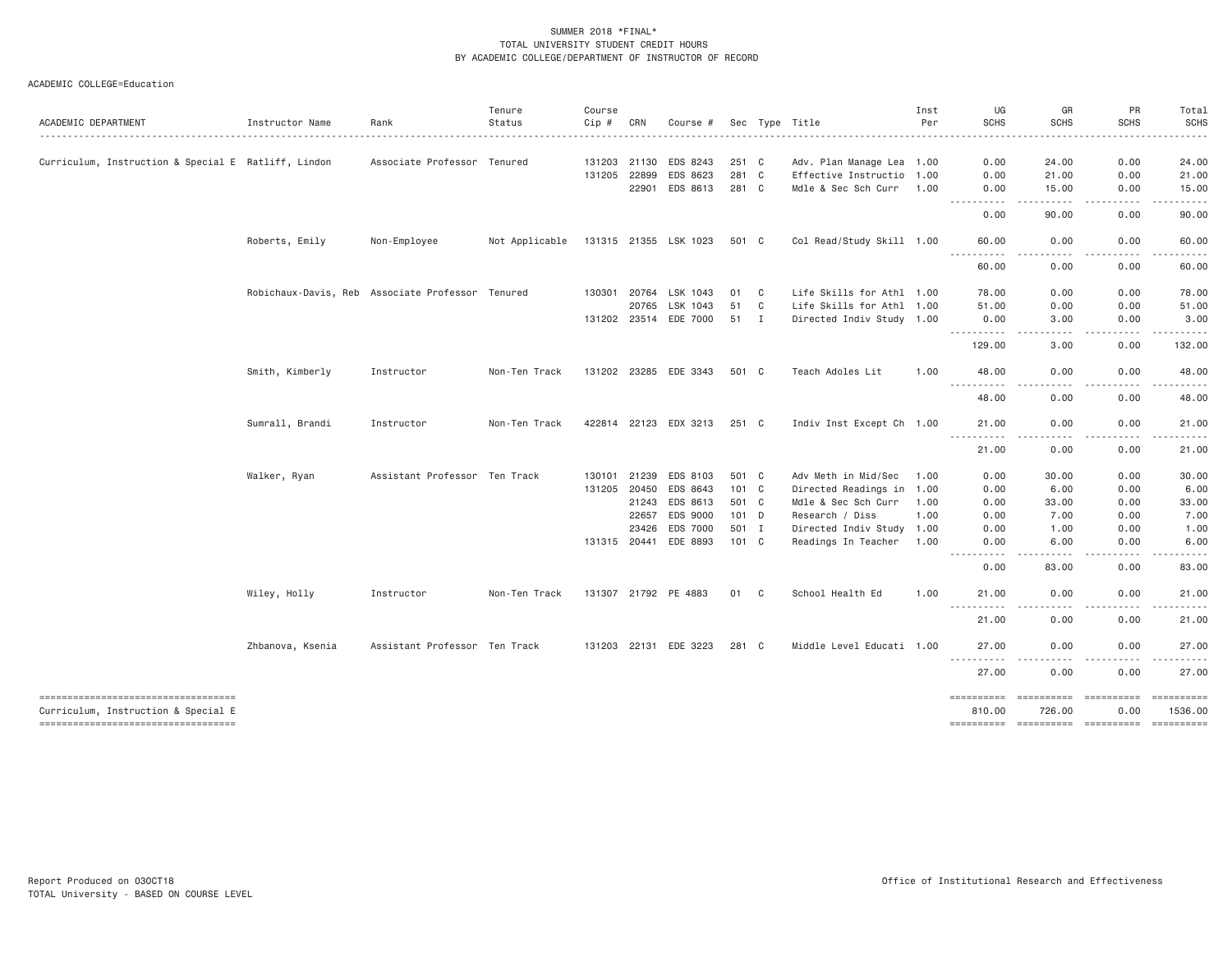|                                                                            |                                                  |                               | Tenure                 | Course  |                       |                       |       |              |                                                        | Inst | UG                                                                                                                                                                                                               | GR                                                                                                                                | PR                        | Total                                                                                                                                                                                     |
|----------------------------------------------------------------------------|--------------------------------------------------|-------------------------------|------------------------|---------|-----------------------|-----------------------|-------|--------------|--------------------------------------------------------|------|------------------------------------------------------------------------------------------------------------------------------------------------------------------------------------------------------------------|-----------------------------------------------------------------------------------------------------------------------------------|---------------------------|-------------------------------------------------------------------------------------------------------------------------------------------------------------------------------------------|
| ACADEMIC DEPARTMENT                                                        | Instructor Name                                  | Rank                          | Status<br>. <u>.</u> . | $Cip$ # | CRN                   | Course #              |       |              | Sec Type Title                                         | Per  | <b>SCHS</b>                                                                                                                                                                                                      | <b>SCHS</b><br>.                                                                                                                  | <b>SCHS</b><br>. <b>.</b> | <b>SCHS</b><br>.                                                                                                                                                                          |
|                                                                            |                                                  |                               |                        |         |                       | EDS 8243              | 251 C |              |                                                        |      |                                                                                                                                                                                                                  |                                                                                                                                   | 0.00                      | 24.00                                                                                                                                                                                     |
| Curriculum, Instruction & Special E Ratliff, Lindon                        |                                                  | Associate Professor Tenured   |                        | 131205  | 131203 21130<br>22899 | EDS 8623              | 281 C |              | Adv. Plan Manage Lea 1.00<br>Effective Instructio 1.00 |      | 0.00<br>0.00                                                                                                                                                                                                     | 24.00<br>21.00                                                                                                                    | 0.00                      | 21.00                                                                                                                                                                                     |
|                                                                            |                                                  |                               |                        |         |                       |                       | 281 C |              |                                                        |      |                                                                                                                                                                                                                  |                                                                                                                                   |                           |                                                                                                                                                                                           |
|                                                                            |                                                  |                               |                        |         |                       | 22901 EDS 8613        |       |              | Mdle & Sec Sch Curr 1.00                               |      | 0.00<br>$- - -$<br><u>.</u>                                                                                                                                                                                      | 15.00<br>-----                                                                                                                    | 0.00<br>.                 | 15.00<br>.                                                                                                                                                                                |
|                                                                            |                                                  |                               |                        |         |                       |                       |       |              |                                                        |      | 0.00                                                                                                                                                                                                             | 90.00                                                                                                                             | 0.00                      | 90.00                                                                                                                                                                                     |
|                                                                            | Roberts, Emily                                   | Non-Employee                  | Not Applicable         |         |                       | 131315 21355 LSK 1023 | 501 C |              | Col Read/Study Skill 1.00                              |      | 60.00<br>$  -$<br>. <u>.</u>                                                                                                                                                                                     | 0.00<br>$\frac{1}{2}$                                                                                                             | 0.00<br>.                 | 60.00<br>. <u>.</u> .                                                                                                                                                                     |
|                                                                            |                                                  |                               |                        |         |                       |                       |       |              |                                                        |      | 60.00                                                                                                                                                                                                            | 0.00                                                                                                                              | 0.00                      | 60.00                                                                                                                                                                                     |
|                                                                            | Robichaux-Davis, Reb Associate Professor Tenured |                               |                        | 130301  | 20764                 | LSK 1043              | 01    | C            | Life Skills for Athl 1.00                              |      | 78.00                                                                                                                                                                                                            | 0.00                                                                                                                              | 0.00                      | 78.00                                                                                                                                                                                     |
|                                                                            |                                                  |                               |                        |         | 20765                 | LSK 1043              | 51    | C            | Life Skills for Athl 1.00                              |      | 51.00                                                                                                                                                                                                            | 0.00                                                                                                                              | 0.00                      | 51.00                                                                                                                                                                                     |
|                                                                            |                                                  |                               |                        |         |                       | 131202 23514 EDE 7000 | 51 I  |              | Directed Indiv Study 1.00                              |      | 0.00                                                                                                                                                                                                             | 3.00                                                                                                                              | 0.00                      | 3.00                                                                                                                                                                                      |
|                                                                            |                                                  |                               |                        |         |                       |                       |       |              |                                                        |      | ----------<br>129.00                                                                                                                                                                                             | .<br>3.00                                                                                                                         | <u>.</u><br>0.00          | $\frac{1}{2} \left( \frac{1}{2} \right) \left( \frac{1}{2} \right) \left( \frac{1}{2} \right) \left( \frac{1}{2} \right) \left( \frac{1}{2} \right) \left( \frac{1}{2} \right)$<br>132.00 |
|                                                                            | Smith, Kimberly                                  | Instructor                    | Non-Ten Track          |         |                       | 131202 23285 EDE 3343 | 501 C |              | Teach Adoles Lit                                       | 1.00 | 48.00                                                                                                                                                                                                            | 0.00                                                                                                                              | 0.00                      | 48.00                                                                                                                                                                                     |
|                                                                            |                                                  |                               |                        |         |                       |                       |       |              |                                                        |      | .<br>48.00                                                                                                                                                                                                       | $\frac{1}{2} \left( \frac{1}{2} \right) \left( \frac{1}{2} \right) \left( \frac{1}{2} \right) \left( \frac{1}{2} \right)$<br>0.00 | <u>.</u><br>0.00          | .<br>48.00                                                                                                                                                                                |
|                                                                            | Sumrall, Brandi                                  | Instructor                    | Non-Ten Track          |         |                       | 422814 22123 EDX 3213 | 251 C |              | Indiv Inst Except Ch 1.00                              |      | 21.00                                                                                                                                                                                                            | 0.00                                                                                                                              | 0.00                      | 21.00                                                                                                                                                                                     |
|                                                                            |                                                  |                               |                        |         |                       |                       |       |              |                                                        |      | $\sim$ $\sim$ $\sim$<br>$\frac{1}{2} \left( \frac{1}{2} \right) \left( \frac{1}{2} \right) \left( \frac{1}{2} \right) \left( \frac{1}{2} \right) \left( \frac{1}{2} \right) \left( \frac{1}{2} \right)$<br>21.00 | $\frac{1}{2} \left( \frac{1}{2} \right) \left( \frac{1}{2} \right) \left( \frac{1}{2} \right) \left( \frac{1}{2} \right)$<br>0.00 | .<br>0.00                 | .<br>21.00                                                                                                                                                                                |
|                                                                            | Walker, Ryan                                     | Assistant Professor Ten Track |                        | 130101  | 21239                 | EDS 8103              | 501 C |              | Adv Meth in Mid/Sec                                    | 1.00 | 0.00                                                                                                                                                                                                             | 30.00                                                                                                                             | 0.00                      | 30.00                                                                                                                                                                                     |
|                                                                            |                                                  |                               |                        |         | 131205 20450          | EDS 8643              | 101 C |              | Directed Readings in 1.00                              |      | 0.00                                                                                                                                                                                                             | 6.00                                                                                                                              | 0.00                      | 6.00                                                                                                                                                                                      |
|                                                                            |                                                  |                               |                        |         | 21243                 | EDS 8613              | 501 C |              | Mdle & Sec Sch Curr                                    | 1.00 | 0.00                                                                                                                                                                                                             | 33.00                                                                                                                             | 0.00                      | 33.00                                                                                                                                                                                     |
|                                                                            |                                                  |                               |                        |         | 22657                 | EDS 9000              | 101 D |              | Research / Diss                                        | 1.00 | 0.00                                                                                                                                                                                                             | 7.00                                                                                                                              | 0.00                      | 7.00                                                                                                                                                                                      |
|                                                                            |                                                  |                               |                        |         | 23426                 | EDS 7000              | 501 I |              | Directed Indiv Study 1.00                              |      | 0.00                                                                                                                                                                                                             | 1.00                                                                                                                              | 0.00                      | 1.00                                                                                                                                                                                      |
|                                                                            |                                                  |                               |                        |         |                       | 131315 20441 EDE 8893 | 101 C |              | Readings In Teacher                                    | 1.00 | 0.00                                                                                                                                                                                                             | 6.00                                                                                                                              | 0.00                      | 6.00                                                                                                                                                                                      |
|                                                                            |                                                  |                               |                        |         |                       |                       |       |              |                                                        |      | $\frac{1}{2} \left( \frac{1}{2} \right) \left( \frac{1}{2} \right) \left( \frac{1}{2} \right) \left( \frac{1}{2} \right)$<br>.<br>0.00                                                                           | .<br>83.00                                                                                                                        | -----<br>0.00             | . <b>.</b> .<br>83.00                                                                                                                                                                     |
|                                                                            | Wiley, Holly                                     | Instructor                    | Non-Ten Track          |         |                       | 131307 21792 PE 4883  | 01    | $\mathbf{C}$ | School Health Ed                                       | 1.00 | 21,00                                                                                                                                                                                                            | 0.00                                                                                                                              | 0.00                      | 21.00                                                                                                                                                                                     |
|                                                                            |                                                  |                               |                        |         |                       |                       |       |              |                                                        |      | .<br>21.00                                                                                                                                                                                                       | .<br>0.00                                                                                                                         | .<br>0.00                 | .<br>21.00                                                                                                                                                                                |
|                                                                            | Zhbanova, Ksenia                                 | Assistant Professor Ten Track |                        |         |                       | 131203 22131 EDE 3223 | 281 C |              | Middle Level Educati 1.00                              |      | 27.00                                                                                                                                                                                                            | 0.00                                                                                                                              | 0.00                      | 27.00                                                                                                                                                                                     |
|                                                                            |                                                  |                               |                        |         |                       |                       |       |              |                                                        |      | ----------<br>27.00                                                                                                                                                                                              | .<br>0.00                                                                                                                         | 0.00                      | 27.00                                                                                                                                                                                     |
| ----------------------------------                                         |                                                  |                               |                        |         |                       |                       |       |              |                                                        |      | ==========                                                                                                                                                                                                       | <b>ESSESSESSE</b>                                                                                                                 | ESSESSESSE<br>0.00        | 1536.00                                                                                                                                                                                   |
| Curriculum, Instruction & Special E<br>----------------------------------- |                                                  |                               |                        |         |                       |                       |       |              |                                                        |      | 810.00                                                                                                                                                                                                           | 726.00                                                                                                                            |                           | ==========                                                                                                                                                                                |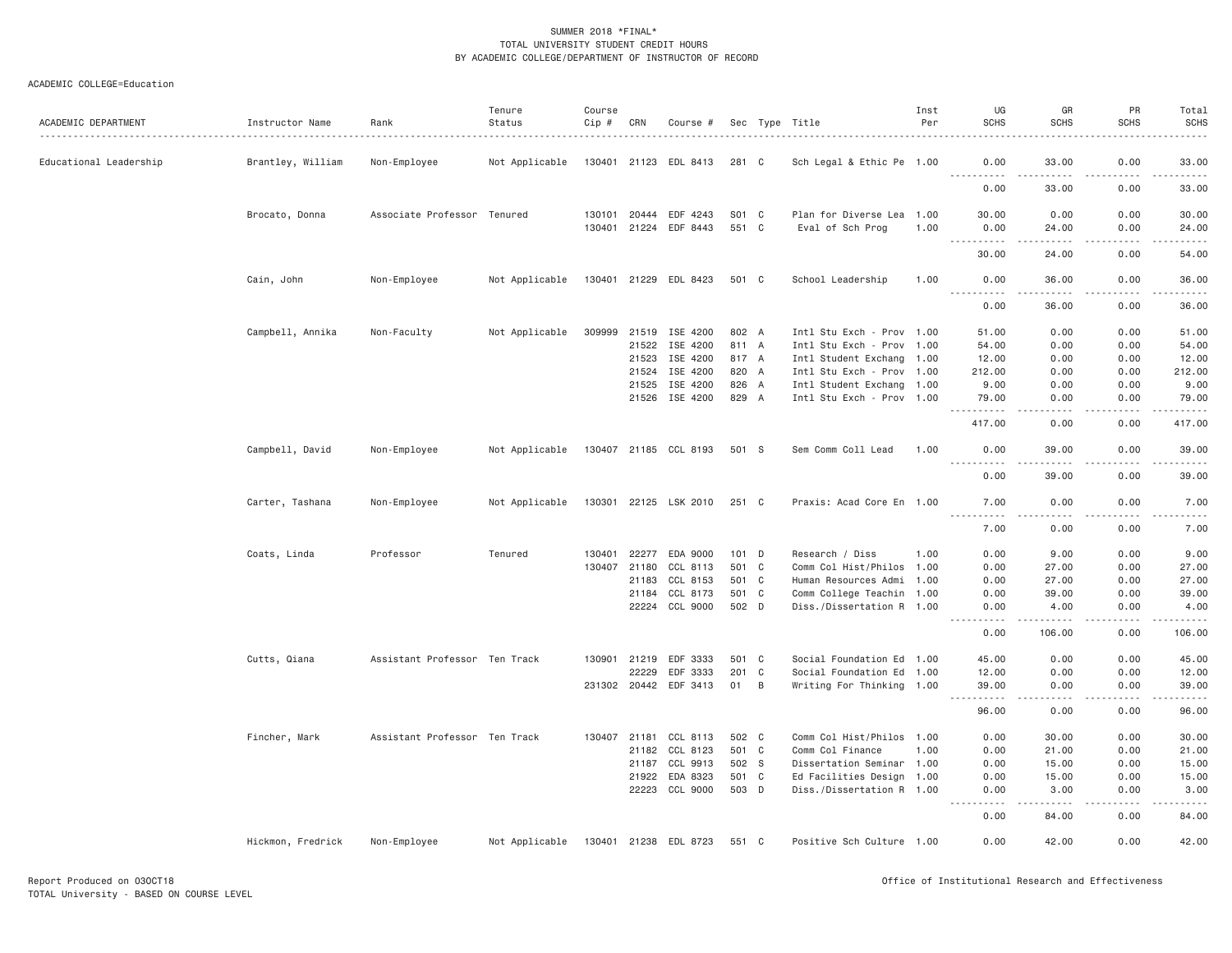| ACADEMIC DEPARTMENT    | Instructor Name   | Rank                          | Tenure<br>Status | Course<br>Cip # | CRN                   | Course #              |                |        | Sec Type Title                                | Inst<br>Per | UG<br><b>SCHS</b>                                                                                                                                             | GR<br><b>SCHS</b>                                                                                                                                             | PR<br><b>SCHS</b> | Total<br><b>SCHS</b><br>.                     |
|------------------------|-------------------|-------------------------------|------------------|-----------------|-----------------------|-----------------------|----------------|--------|-----------------------------------------------|-------------|---------------------------------------------------------------------------------------------------------------------------------------------------------------|---------------------------------------------------------------------------------------------------------------------------------------------------------------|-------------------|-----------------------------------------------|
| Educational Leadership | Brantley, William | Non-Employee                  | Not Applicable   |                 |                       | 130401 21123 EDL 8413 | 281 C          |        | Sch Legal & Ethic Pe 1.00                     |             | 0.00                                                                                                                                                          | 33.00                                                                                                                                                         | 0.00              | 33.00                                         |
|                        |                   |                               |                  |                 |                       |                       |                |        |                                               |             | <u> - - - - - - - - - -</u><br>0.00                                                                                                                           | $\frac{1}{2} \left( \frac{1}{2} \right) \left( \frac{1}{2} \right) \left( \frac{1}{2} \right) \left( \frac{1}{2} \right) \left( \frac{1}{2} \right)$<br>33.00 | 0.00              | .<br>33.00                                    |
|                        | Brocato, Donna    | Associate Professor Tenured   |                  | 130101          | 20444<br>130401 21224 | EDF 4243<br>EDF 8443  | S01 C<br>551 C |        | Plan for Diverse Lea 1.00<br>Eval of Sch Prog | 1.00        | 30.00<br>0.00                                                                                                                                                 | 0.00<br>24.00                                                                                                                                                 | 0.00<br>0.00      | 30.00<br>24.00                                |
|                        |                   |                               |                  |                 |                       |                       |                |        |                                               |             | $\frac{1}{2} \left( \frac{1}{2} \right) \left( \frac{1}{2} \right) \left( \frac{1}{2} \right) \left( \frac{1}{2} \right) \left( \frac{1}{2} \right)$<br>30.00 | $\frac{1}{2} \left( \frac{1}{2} \right) \left( \frac{1}{2} \right) \left( \frac{1}{2} \right) \left( \frac{1}{2} \right) \left( \frac{1}{2} \right)$<br>24.00 | د د د د<br>0.00   | $\sim$<br>54.00                               |
|                        | Cain, John        | Non-Employee                  | Not Applicable   |                 |                       | 130401 21229 EDL 8423 | 501 C          |        | School Leadership                             | 1.00        | 0.00                                                                                                                                                          | 36.00                                                                                                                                                         | 0.00              | 36.00<br>والمستحدث                            |
|                        |                   |                               |                  |                 |                       |                       |                |        |                                               |             | 0.00                                                                                                                                                          | 36.00                                                                                                                                                         | 0.00              | 36.00                                         |
|                        | Campbell, Annika  | Non-Faculty                   | Not Applicable   | 309999          |                       | 21519 ISE 4200        | 802 A          |        | Intl Stu Exch - Prov 1.00                     |             | 51.00                                                                                                                                                         | 0.00                                                                                                                                                          | 0.00              | 51.00                                         |
|                        |                   |                               |                  |                 | 21522                 | ISE 4200              | 811 A          |        | Intl Stu Exch - Prov 1.00                     |             | 54.00                                                                                                                                                         | 0.00                                                                                                                                                          | 0.00              | 54.00                                         |
|                        |                   |                               |                  |                 | 21523                 | ISE 4200              | 817 A          |        | Intl Student Exchang 1.00                     |             | 12.00                                                                                                                                                         | 0.00                                                                                                                                                          | 0.00              | 12.00                                         |
|                        |                   |                               |                  |                 | 21524                 | ISE 4200              | 820 A          |        | Intl Stu Exch - Prov 1.00                     |             | 212.00                                                                                                                                                        | 0.00                                                                                                                                                          | 0.00              | 212.00                                        |
|                        |                   |                               |                  |                 |                       |                       | 826 A          |        |                                               |             |                                                                                                                                                               |                                                                                                                                                               |                   |                                               |
|                        |                   |                               |                  |                 | 21525                 | ISE 4200              |                |        | Intl Student Exchang 1.00                     |             | 9.00                                                                                                                                                          | 0.00                                                                                                                                                          | 0.00              | 9.00                                          |
|                        |                   |                               |                  |                 |                       | 21526 ISE 4200        | 829 A          |        | Intl Stu Exch - Prov 1.00                     |             | 79.00<br>.                                                                                                                                                    | 0.00<br>.                                                                                                                                                     | 0.00<br>.         | 79.00<br>$\omega$ is a second set of $\omega$ |
|                        |                   |                               |                  |                 |                       |                       |                |        |                                               |             | 417.00                                                                                                                                                        | 0.00                                                                                                                                                          | 0.00              | 417.00                                        |
|                        | Campbell, David   | Non-Employee                  | Not Applicable   |                 |                       | 130407 21185 CCL 8193 | 501 S          |        | Sem Comm Coll Lead                            | 1.00        | 0.00                                                                                                                                                          | 39.00                                                                                                                                                         | 0.00<br>$- - - -$ | 39.00<br>.                                    |
|                        |                   |                               |                  |                 |                       |                       |                |        |                                               |             | 0.00                                                                                                                                                          | 39.00                                                                                                                                                         | 0.00              | 39.00                                         |
|                        | Carter, Tashana   | Non-Employee                  | Not Applicable   |                 |                       | 130301 22125 LSK 2010 | 251 C          |        | Praxis: Acad Core En 1.00                     |             | 7.00                                                                                                                                                          | 0.00                                                                                                                                                          | 0.00              | 7.00<br>$    -$                               |
|                        |                   |                               |                  |                 |                       |                       |                |        |                                               |             | 7.00                                                                                                                                                          | 0.00                                                                                                                                                          | 0.00              | 7.00                                          |
|                        | Coats, Linda      | Professor                     | Tenured          | 130401          | 22277                 | EDA 9000              | 101 D          |        | Research / Diss                               | 1.00        | 0.00                                                                                                                                                          | 9.00                                                                                                                                                          | 0.00              | 9.00                                          |
|                        |                   |                               |                  | 130407          | 21180                 | CCL 8113              | 501 C          |        | Comm Col Hist/Philos 1.00                     |             | 0.00                                                                                                                                                          | 27.00                                                                                                                                                         | 0.00              | 27.00                                         |
|                        |                   |                               |                  |                 | 21183                 | CCL 8153              | 501 C          |        | Human Resources Admi 1.00                     |             | 0.00                                                                                                                                                          | 27.00                                                                                                                                                         | 0.00              | 27.00                                         |
|                        |                   |                               |                  |                 | 21184                 | CCL 8173              | 501 C          |        | Comm College Teachin 1.00                     |             | 0.00                                                                                                                                                          | 39.00                                                                                                                                                         | 0.00              | 39.00                                         |
|                        |                   |                               |                  |                 |                       | 22224 CCL 9000        | 502 D          |        | Diss./Dissertation R 1.00                     |             | 0.00                                                                                                                                                          | 4.00                                                                                                                                                          | 0.00<br>.         | 4.00<br>.                                     |
|                        |                   |                               |                  |                 |                       |                       |                |        |                                               |             | .<br>0.00                                                                                                                                                     | .<br>106.00                                                                                                                                                   | 0.00              | 106.00                                        |
|                        | Cutts, Qiana      | Assistant Professor Ten Track |                  | 130901          | 21219                 | EDF 3333              | 501 C          |        | Social Foundation Ed 1.00                     |             | 45.00                                                                                                                                                         | 0.00                                                                                                                                                          | 0.00              | 45.00                                         |
|                        |                   |                               |                  |                 | 22229                 | EDF 3333              | 201 C          |        | Social Foundation Ed 1.00                     |             | 12.00                                                                                                                                                         | 0.00                                                                                                                                                          | 0.00              | 12.00                                         |
|                        |                   |                               |                  |                 | 231302 20442          | EDF 3413              | 01             | $\,$ B | Writing For Thinking 1.00                     |             | 39.00<br>.                                                                                                                                                    | 0.00<br>$- - - -$                                                                                                                                             | 0.00<br>.         | 39.00<br>.                                    |
|                        |                   |                               |                  |                 |                       |                       |                |        |                                               |             | 96.00                                                                                                                                                         | 0.00                                                                                                                                                          | 0.00              | 96.00                                         |
|                        | Fincher, Mark     | Assistant Professor Ten Track |                  |                 | 130407 21181          | CCL 8113              | 502 C          |        | Comm Col Hist/Philos 1.00                     |             | 0.00                                                                                                                                                          | 30.00                                                                                                                                                         | 0.00              | 30.00                                         |
|                        |                   |                               |                  |                 | 21182                 | CCL 8123              | 501 C          |        | Comm Col Finance                              | 1.00        | 0.00                                                                                                                                                          | 21.00                                                                                                                                                         | 0.00              | 21.00                                         |
|                        |                   |                               |                  |                 | 21187                 | CCL 9913              | 502 S          |        | Dissertation Seminar 1.00                     |             | 0.00                                                                                                                                                          | 15.00                                                                                                                                                         | 0.00              | 15.00                                         |
|                        |                   |                               |                  |                 | 21922                 | EDA 8323              | 501 C          |        | Ed Facilities Design 1.00                     |             | 0.00                                                                                                                                                          | 15.00                                                                                                                                                         | 0.00              | 15.00                                         |
|                        |                   |                               |                  |                 | 22223                 | CCL 9000              | 503 D          |        | Diss./Dissertation R 1.00                     |             | 0.00<br>.                                                                                                                                                     | 3.00<br>$- - - - -$                                                                                                                                           | 0.00<br>.         | 3.00<br>$- - - - -$                           |
|                        |                   |                               |                  |                 |                       |                       |                |        |                                               |             | 0.00                                                                                                                                                          | 84.00                                                                                                                                                         | 0.00              | 84.00                                         |
|                        | Hickmon, Fredrick | Non-Employee                  | Not Applicable   |                 |                       | 130401 21238 EDL 8723 | 551 C          |        | Positive Sch Culture 1.00                     |             | 0.00                                                                                                                                                          | 42.00                                                                                                                                                         | 0.00              | 42.00                                         |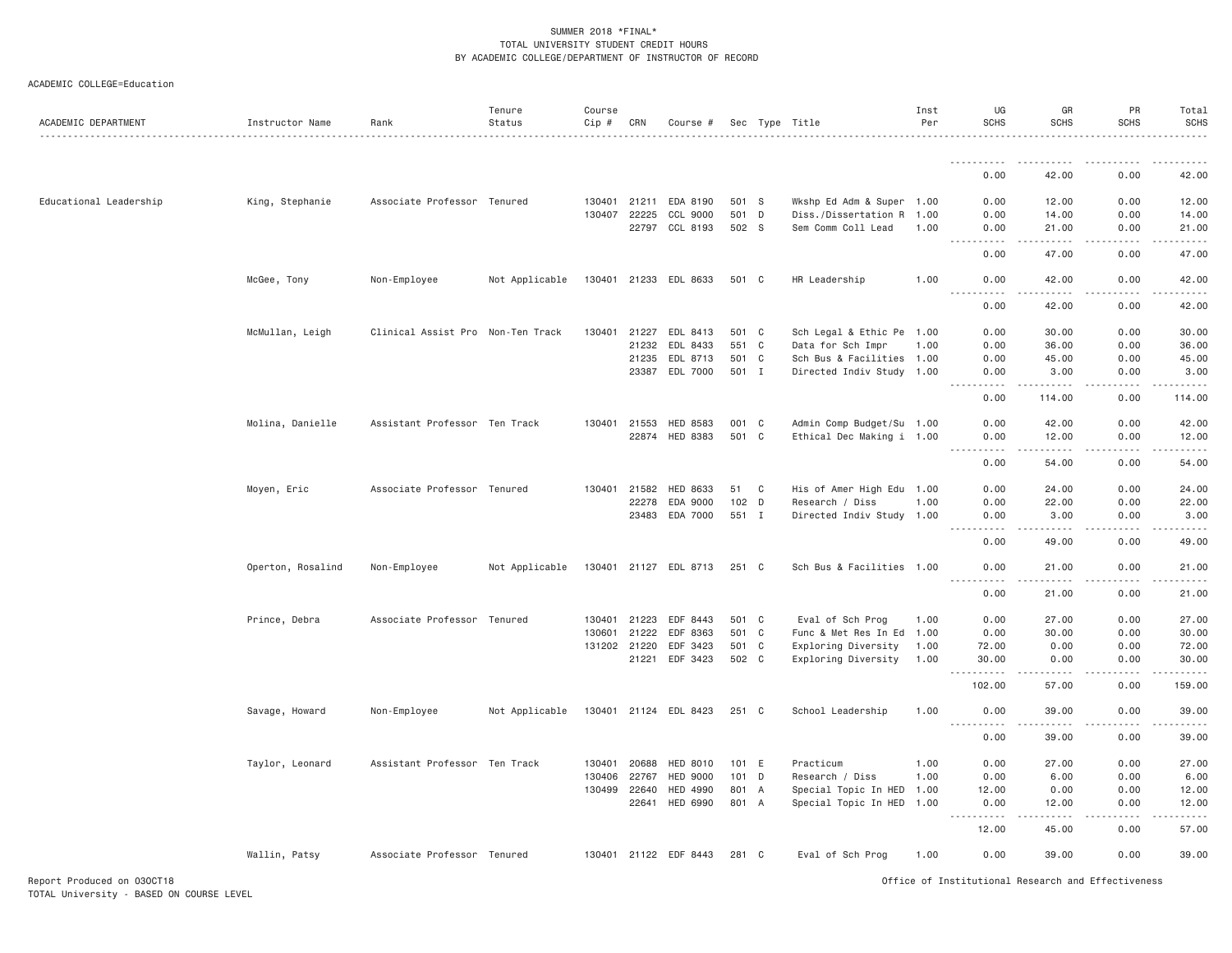|  | ACADEMIC COLLEGE=Education |
|--|----------------------------|
|--|----------------------------|

| ACADEMIC DEPARTMENT        | Instructor Name   | Rank                              | Tenure<br>Status | Course<br>Cip # | CRN          | Course #              |         |                | Sec Type Title            | Inst<br>Per | UG<br><b>SCHS</b>                                  | GR<br><b>SCHS</b>                                                                                                                                            | PR<br><b>SCHS</b>   | Total<br><b>SCHS</b> |
|----------------------------|-------------------|-----------------------------------|------------------|-----------------|--------------|-----------------------|---------|----------------|---------------------------|-------------|----------------------------------------------------|--------------------------------------------------------------------------------------------------------------------------------------------------------------|---------------------|----------------------|
|                            |                   |                                   |                  |                 |              |                       |         |                |                           |             |                                                    |                                                                                                                                                              |                     |                      |
|                            |                   |                                   |                  |                 |              |                       |         |                |                           |             | .<br>0.00                                          | 42.00                                                                                                                                                        | -----<br>0.00       | .<br>42.00           |
| Educational Leadership     | King, Stephanie   | Associate Professor Tenured       |                  |                 | 130401 21211 | EDA 8190              | 501 S   |                | Wkshp Ed Adm & Super 1.00 |             | 0.00                                               | 12.00                                                                                                                                                        | 0.00                | 12.00                |
|                            |                   |                                   |                  |                 | 130407 22225 | CCL 9000              | 501 D   |                | Diss./Dissertation R      | 1.00        | 0.00                                               | 14.00                                                                                                                                                        | 0.00                | 14.00                |
|                            |                   |                                   |                  |                 | 22797        | CCL 8193              | 502 S   |                | Sem Comm Coll Lead        | 1.00        | 0.00<br>$\omega$ is a set of                       | 21.00                                                                                                                                                        | 0.00                | 21.00<br>.           |
|                            |                   |                                   |                  |                 |              |                       |         |                |                           |             | 0.00                                               | 47.00                                                                                                                                                        | 0.00                | 47.00                |
|                            | McGee, Tony       | Non-Employee                      | Not Applicable   |                 |              | 130401 21233 EDL 8633 | 501 C   |                | HR Leadership             | 1.00        | 0.00                                               | 42.00                                                                                                                                                        | 0.00                | 42.00                |
|                            |                   |                                   |                  |                 |              |                       |         |                |                           |             | 0.00                                               | 42.00                                                                                                                                                        | 0.00                | 42.00                |
|                            | McMullan, Leigh   | Clinical Assist Pro Non-Ten Track |                  | 130401          | 21227        | EDL 8413              | 501     | $\mathbf{C}$   | Sch Legal & Ethic Pe      | 1.00        | 0.00                                               | 30.00                                                                                                                                                        | 0.00                | 30.00                |
|                            |                   |                                   |                  |                 | 21232        | EDL 8433              | 551 C   |                | Data for Sch Impr         | 1.00        | 0.00                                               | 36.00                                                                                                                                                        | 0.00                | 36.00                |
|                            |                   |                                   |                  |                 | 21235        | EDL 8713              | 501 C   |                | Sch Bus & Facilities      | 1.00        | 0.00                                               | 45.00                                                                                                                                                        | 0.00                | 45.00                |
|                            |                   |                                   |                  |                 | 23387        | EDL 7000              | 501     | I              | Directed Indiv Study      | 1.00        | 0.00<br>$\sim$ $\sim$ $\sim$ $\sim$                | 3.00                                                                                                                                                         | 0.00                | 3.00                 |
|                            |                   |                                   |                  |                 |              |                       |         |                |                           |             | 0.00                                               | 114.00                                                                                                                                                       | 0.00                | 114.00               |
|                            | Molina, Danielle  | Assistant Professor Ten Track     |                  | 130401          | 21553        | HED 8583              | 001     | $\mathbf{C}$   | Admin Comp Budget/Su 1.00 |             | 0.00                                               | 42.00                                                                                                                                                        | 0.00                | 42.00                |
|                            |                   |                                   |                  |                 | 22874        | HED 8383              | 501     | $\mathbf{C}$   | Ethical Dec Making i 1.00 |             | 0.00<br><b></b>                                    | 12.00<br>.                                                                                                                                                   | 0.00<br>.           | 12.00                |
|                            |                   |                                   |                  |                 |              |                       |         |                |                           |             | 0.00                                               | 54.00                                                                                                                                                        | 0.00                | 54.00                |
|                            | Moyen, Eric       | Associate Professor Tenured       |                  |                 | 130401 21582 | HED 8633              | 51      | C <sub>c</sub> | His of Amer High Edu 1.00 |             | 0.00                                               | 24.00                                                                                                                                                        | 0.00                | 24.00                |
|                            |                   |                                   |                  |                 | 22278        | EDA 9000              | 102 D   |                | Research / Diss           | 1.00        | 0.00                                               | 22.00                                                                                                                                                        | 0.00                | 22.00                |
|                            |                   |                                   |                  |                 | 23483        | EDA 7000              | 551 I   |                | Directed Indiv Study 1.00 |             | 0.00<br>.                                          | 3.00<br>.                                                                                                                                                    | 0.00<br>.           | 3.00<br><u>.</u>     |
|                            |                   |                                   |                  |                 |              |                       |         |                |                           |             | 0.00                                               | 49.00                                                                                                                                                        | 0.00                | 49.00                |
|                            | Operton, Rosalind | Non-Employee                      | Not Applicable   |                 |              | 130401 21127 EDL 8713 | 251 C   |                | Sch Bus & Facilities 1.00 |             | 0.00<br><b>.</b>                                   | 21.00<br>.                                                                                                                                                   | 0.00<br>$- - - - -$ | 21.00<br><u>.</u>    |
|                            |                   |                                   |                  |                 |              |                       |         |                |                           |             | 0.00                                               | 21.00                                                                                                                                                        | 0.00                | 21.00                |
|                            | Prince, Debra     | Associate Professor Tenured       |                  |                 | 130401 21223 | EDF 8443              | 501 C   |                | Eval of Sch Prog          | 1.00        | 0.00                                               | 27.00                                                                                                                                                        | 0.00                | 27.00                |
|                            |                   |                                   |                  | 130601          | 21222        | EDF 8363              | 501 C   |                | Func & Met Res In Ed      | 1.00        | 0.00                                               | 30.00                                                                                                                                                        | 0.00                | 30.00                |
|                            |                   |                                   |                  |                 | 131202 21220 | EDF 3423              | 501 C   |                | Exploring Diversity       | 1.00        | 72.00                                              | 0.00                                                                                                                                                         | 0.00                | 72.00                |
|                            |                   |                                   |                  |                 | 21221        | EDF 3423              | 502 C   |                | Exploring Diversity       | 1.00        | 30.00<br><u>.</u>                                  | 0.00<br>$\frac{1}{2} \left( \frac{1}{2} \right) \left( \frac{1}{2} \right) \left( \frac{1}{2} \right) \left( \frac{1}{2} \right) \left( \frac{1}{2} \right)$ | 0.00<br>-----       | 30.00<br>.           |
|                            |                   |                                   |                  |                 |              |                       |         |                |                           |             | 102.00                                             | 57.00                                                                                                                                                        | 0.00                | 159.00               |
|                            | Savage, Howard    | Non-Employee                      | Not Applicable   |                 |              | 130401 21124 EDL 8423 | 251 C   |                | School Leadership         | 1.00        | 0.00<br>$\sim$ $\sim$ $\sim$ $\sim$                | 39.00                                                                                                                                                        | 0.00                | 39.00<br>.           |
|                            |                   |                                   |                  |                 |              |                       |         |                |                           |             | 0.00                                               | 39.00                                                                                                                                                        | 0.00                | 39.00                |
|                            | Taylor, Leonard   | Assistant Professor Ten Track     |                  |                 | 130401 20688 | HED 8010              | 101 E   |                | Practicum                 | 1.00        | 0.00                                               | 27.00                                                                                                                                                        | 0.00                | 27.00                |
|                            |                   |                                   |                  |                 | 130406 22767 | <b>HED 9000</b>       | $101$ D |                | Research / Diss           | 1,00        | 0.00                                               | 6.00                                                                                                                                                         | 0.00                | 6.00                 |
|                            |                   |                                   |                  |                 | 130499 22640 | HED 4990              | 801 A   |                | Special Topic In HED      | 1.00        | 12.00                                              | 0.00                                                                                                                                                         | 0.00                | 12.00                |
|                            |                   |                                   |                  |                 | 22641        | HED 6990              | 801 A   |                | Special Topic In HED      | 1.00        | 0.00<br>.                                          | 12.00                                                                                                                                                        | 0.00                | 12.00                |
|                            |                   |                                   |                  |                 |              |                       |         |                |                           |             | 12.00                                              | 45.00                                                                                                                                                        | 0.00                | 57.00                |
|                            | Wallin, Patsy     | Associate Professor Tenured       |                  |                 |              | 130401 21122 EDF 8443 | 281 C   |                | Eval of Sch Prog          | 1.00        | 0.00                                               | 39.00                                                                                                                                                        | 0.00                | 39.00                |
| Report Produced on 030CT18 |                   |                                   |                  |                 |              |                       |         |                |                           |             | Office of Institutional Research and Effectiveness |                                                                                                                                                              |                     |                      |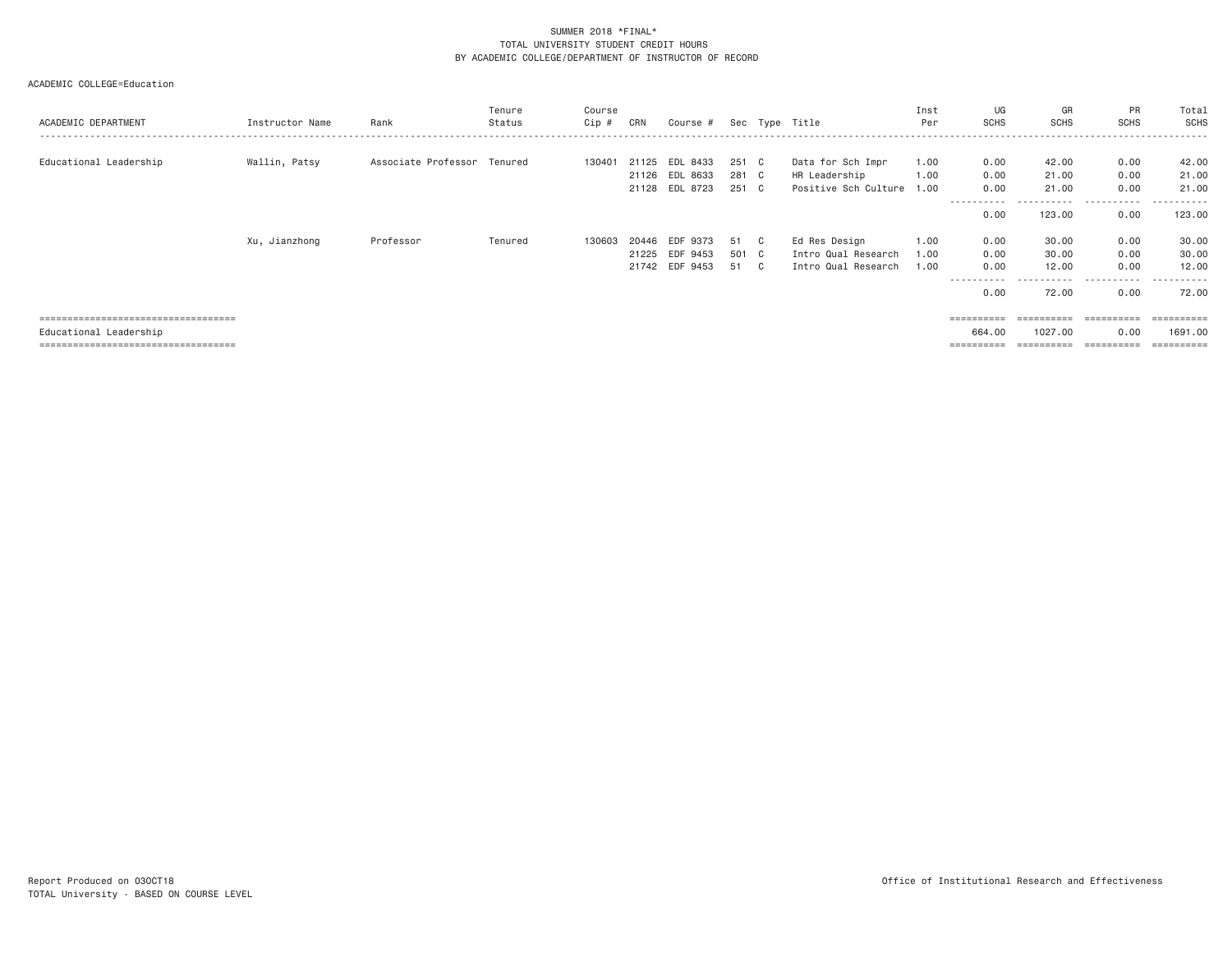| ACADEMIC DEPARTMENT                                                                                       | Instructor Name | Rank                        | Tenure<br>Status | Course<br>Cip # | CRN                     | Course #                               |                         | Sec Type Title                                                  | Inst<br>Per          | UG<br><b>SCHS</b>                   | GR<br><b>SCHS</b>                   | PR<br>SCHS                            | Total<br><b>SCHS</b>                       |
|-----------------------------------------------------------------------------------------------------------|-----------------|-----------------------------|------------------|-----------------|-------------------------|----------------------------------------|-------------------------|-----------------------------------------------------------------|----------------------|-------------------------------------|-------------------------------------|---------------------------------------|--------------------------------------------|
| Educational Leadership                                                                                    | Wallin, Patsy   | Associate Professor Tenured |                  | 130401          | 21125<br>21128          | EDL 8433<br>21126 EDL 8633<br>EDL 8723 | 251 C<br>281 C<br>251 C | Data for Sch Impr<br>HR Leadership<br>Positive Sch Culture 1.00 | 1.00<br>1.00         | 0.00<br>0.00<br>0.00<br>----------- | 42.00<br>21.00<br>21.00             | 0.00<br>0.00<br>0.00                  | 42.00<br>21.00<br>21.00<br>- - - - - - -   |
|                                                                                                           |                 |                             |                  |                 |                         |                                        |                         |                                                                 |                      | 0.00                                | 123,00                              | 0.00                                  | 123.00                                     |
|                                                                                                           | Xu, Jianzhong   | Professor                   | Tenured          | 130603          | 20446<br>21225<br>21742 | EDF 9373<br>EDF 9453<br>EDF 9453       | 51 C<br>501 C<br>51 C   | Ed Res Design<br>Intro Qual Research<br>Intro Qual Research     | 1.00<br>1.00<br>1.00 | 0.00<br>0.00<br>0.00<br>0.00        | 30.00<br>30.00<br>12.00<br>72.00    | 0.00<br>0.00<br>0.00<br>-----<br>0.00 | 30.00<br>30.00<br>12.00<br>------<br>72.00 |
| ======================================<br>Educational Leadership<br>===================================== |                 |                             |                  |                 |                         |                                        |                         |                                                                 |                      | ==========<br>664.00<br>=========   | ==========<br>1027.00<br>========== | -----------<br>0.00<br>-----------    | ==========<br>1691,00<br>eesseesse         |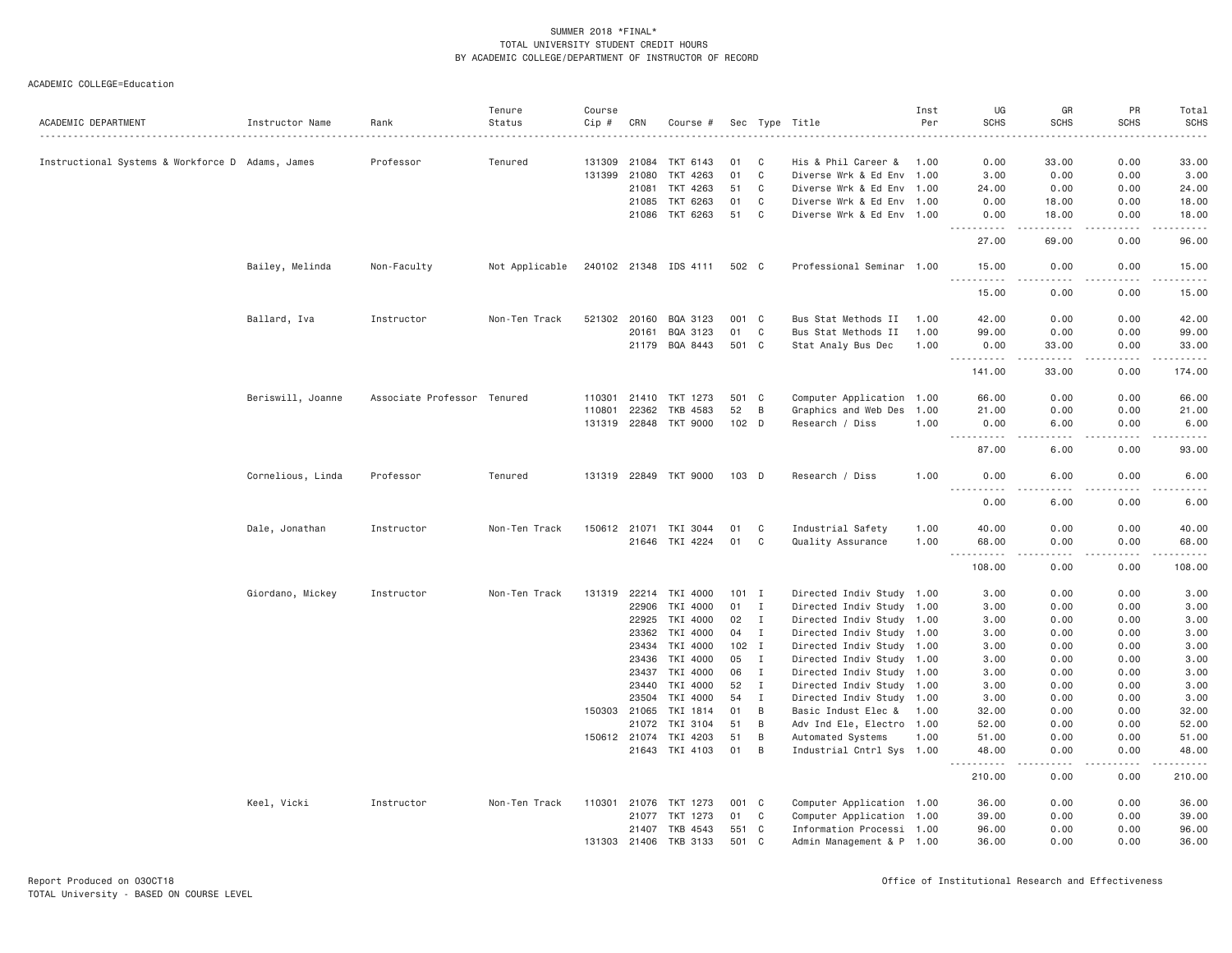|                                                  |                   |                             | Tenure         | Course       |              |                       |                  |              |                           | Inst | UG                                                                                                                                                            | GR                   | PR                  | Total                 |
|--------------------------------------------------|-------------------|-----------------------------|----------------|--------------|--------------|-----------------------|------------------|--------------|---------------------------|------|---------------------------------------------------------------------------------------------------------------------------------------------------------------|----------------------|---------------------|-----------------------|
| ACADEMIC DEPARTMENT                              | Instructor Name   | Rank                        | Status         | Cip #        | CRN          | Course #              |                  |              | Sec Type Title            | Per  | <b>SCHS</b>                                                                                                                                                   | <b>SCHS</b>          | <b>SCHS</b>         | <b>SCHS</b>           |
|                                                  |                   |                             |                |              |              |                       |                  |              |                           |      |                                                                                                                                                               |                      |                     |                       |
| Instructional Systems & Workforce D Adams, James |                   | Professor                   | Tenured        | 131309       | 21084        | TKT 6143              | 01               | - C          | His & Phil Career & 1.00  |      | 0.00                                                                                                                                                          | 33.00                | 0.00                | 33.00                 |
|                                                  |                   |                             |                | 131399       | 21080        | TKT 4263              | 01               | C            | Diverse Wrk & Ed Env 1.00 |      | 3.00                                                                                                                                                          | 0.00                 | 0.00                | 3.00                  |
|                                                  |                   |                             |                |              | 21081        | TKT 4263              | 51               | C            | Diverse Wrk & Ed Env 1.00 |      | 24.00                                                                                                                                                         | 0.00                 | 0.00                | 24.00                 |
|                                                  |                   |                             |                |              | 21085        | TKT 6263              | 01               | C            | Diverse Wrk & Ed Env 1.00 |      | 0.00                                                                                                                                                          | 18.00                | 0.00                | 18.00                 |
|                                                  |                   |                             |                |              |              | 21086 TKT 6263        | 51               | C            | Diverse Wrk & Ed Env 1.00 |      | 0.00<br>$- - - - - -$                                                                                                                                         | 18.00<br>$- - - - -$ | 0.00<br>.           | 18.00<br>. <u>.</u> . |
|                                                  |                   |                             |                |              |              |                       |                  |              |                           |      | 27.00                                                                                                                                                         | 69.00                | 0.00                | 96.00                 |
|                                                  | Bailey, Melinda   | Non-Faculty                 | Not Applicable |              |              | 240102 21348 IDS 4111 | 502 C            |              | Professional Seminar 1.00 |      | 15.00                                                                                                                                                         | 0.00                 | 0.00                | 15.00                 |
|                                                  |                   |                             |                |              |              |                       |                  |              |                           |      | <u> - - - - - - - - - -</u><br>15.00                                                                                                                          | .<br>0.00            | $- - - - -$<br>0.00 | .<br>15.00            |
|                                                  | Ballard, Iva      | Instructor                  | Non-Ten Track  | 521302       | 20160        | BQA 3123              | 001 C            |              | Bus Stat Methods II       | 1.00 | 42.00                                                                                                                                                         | 0.00                 | 0.00                | 42.00                 |
|                                                  |                   |                             |                |              | 20161        | BQA 3123              | 01               | C            | Bus Stat Methods II       | 1.00 | 99.00                                                                                                                                                         | 0.00                 | 0.00                | 99.00                 |
|                                                  |                   |                             |                |              |              | 21179 BQA 8443        | 501 C            |              | Stat Analy Bus Dec        | 1.00 | 0.00                                                                                                                                                          | 33.00                | 0.00                | 33.00                 |
|                                                  |                   |                             |                |              |              |                       |                  |              |                           |      | .<br>141.00                                                                                                                                                   | .<br>33.00           | 0.00                | .<br>174.00           |
|                                                  | Beriswill, Joanne | Associate Professor Tenured |                | 110301       | 21410        | TKT 1273              | 501 C            |              | Computer Application 1.00 |      | 66.00                                                                                                                                                         | 0.00                 | 0.00                | 66.00                 |
|                                                  |                   |                             |                | 110801       | 22362        | TKB 4583              | 52               | B            | Graphics and Web Des      | 1.00 | 21.00                                                                                                                                                         | 0.00                 | 0.00                | 21.00                 |
|                                                  |                   |                             |                |              |              | 131319 22848 TKT 9000 | 102 <sub>D</sub> |              | Research / Diss           | 1.00 | 0.00                                                                                                                                                          | 6.00                 | 0.00                | 6.00                  |
|                                                  |                   |                             |                |              |              |                       |                  |              |                           |      | .                                                                                                                                                             | د د د د              | .                   | .                     |
|                                                  |                   |                             |                |              |              |                       |                  |              |                           |      | 87.00                                                                                                                                                         | 6.00                 | 0.00                | 93.00                 |
|                                                  | Cornelious, Linda | Professor                   | Tenured        |              |              | 131319 22849 TKT 9000 | $103$ D          |              | Research / Diss           | 1.00 | 0.00<br>.                                                                                                                                                     | 6.00<br>$- - - -$    | 0.00<br>.           | 6.00<br>$- - - -$     |
|                                                  |                   |                             |                |              |              |                       |                  |              |                           |      | 0.00                                                                                                                                                          | 6.00                 | 0.00                | 6.00                  |
|                                                  | Dale, Jonathan    | Instructor                  | Non-Ten Track  |              | 150612 21071 | TKI 3044              | 01               | C            | Industrial Safety         | 1.00 | 40.00                                                                                                                                                         | 0.00                 | 0.00                | 40.00                 |
|                                                  |                   |                             |                |              | 21646        | TKI 4224              | 01               | $\mathbf C$  | Quality Assurance         | 1.00 | 68.00                                                                                                                                                         | 0.00                 | 0.00                | 68.00                 |
|                                                  |                   |                             |                |              |              |                       |                  |              |                           |      | $  -$<br>108.00                                                                                                                                               | 0.00                 | 0.00                | 108.00                |
|                                                  | Giordano, Mickey  | Instructor                  | Non-Ten Track  | 131319       |              | 22214 TKI 4000        | $101$ I          |              | Directed Indiv Study 1.00 |      | 3.00                                                                                                                                                          | 0.00                 | 0.00                | 3.00                  |
|                                                  |                   |                             |                |              | 22906        | TKI 4000              | 01               | $\mathbf I$  | Directed Indiv Study 1.00 |      | 3.00                                                                                                                                                          | 0.00                 | 0.00                | 3.00                  |
|                                                  |                   |                             |                |              | 22925        | TKI 4000              | 02               | Ι.           | Directed Indiv Study 1.00 |      | 3,00                                                                                                                                                          | 0.00                 | 0.00                | 3.00                  |
|                                                  |                   |                             |                |              | 23362        | TKI 4000              | 04               | $\mathbf{I}$ | Directed Indiv Study 1.00 |      | 3.00                                                                                                                                                          | 0.00                 | 0.00                | 3.00                  |
|                                                  |                   |                             |                |              | 23434        | TKI 4000              | $102$ I          |              | Directed Indiv Study 1.00 |      | 3.00                                                                                                                                                          | 0.00                 | 0.00                | 3.00                  |
|                                                  |                   |                             |                |              | 23436        | TKI 4000              | 05               | I            | Directed Indiv Study 1.00 |      | 3.00                                                                                                                                                          | 0.00                 | 0.00                | 3.00                  |
|                                                  |                   |                             |                |              | 23437        | TKI 4000              | 06               | $\mathbf I$  | Directed Indiv Study 1.00 |      | 3.00                                                                                                                                                          | 0.00                 | 0.00                | 3.00                  |
|                                                  |                   |                             |                |              | 23440        | TKI 4000              | 52               | Ι.           | Directed Indiv Study 1.00 |      | 3.00                                                                                                                                                          | 0.00                 | 0.00                | 3.00                  |
|                                                  |                   |                             |                |              | 23504        | TKI 4000              | 54               | $\mathbf{I}$ | Directed Indiv Study 1.00 |      | 3.00                                                                                                                                                          | 0.00                 | 0.00                | 3.00                  |
|                                                  |                   |                             |                | 150303       | 21065        | TKI 1814              | 01               | B            | Basic Indust Elec & 1.00  |      | 32.00                                                                                                                                                         | 0.00                 | 0.00                | 32.00                 |
|                                                  |                   |                             |                |              | 21072        | TKI 3104              | 51               | B            | Adv Ind Ele, Electro 1.00 |      | 52.00                                                                                                                                                         | 0.00                 | 0.00                | 52.00                 |
|                                                  |                   |                             |                | 150612 21074 |              | TKI 4203              | 51               | B            | Automated Systems         | 1.00 | 51.00                                                                                                                                                         | 0.00                 | 0.00                | 51.00                 |
|                                                  |                   |                             |                |              | 21643        | TKI 4103              | 01               | B            | Industrial Cntrl Sys 1.00 |      | 48.00<br>$\frac{1}{2} \left( \frac{1}{2} \right) \left( \frac{1}{2} \right) \left( \frac{1}{2} \right) \left( \frac{1}{2} \right) \left( \frac{1}{2} \right)$ | 0.00<br>د د د د      | 0.00<br>-----       | 48.00                 |
|                                                  |                   |                             |                |              |              |                       |                  |              |                           |      | 210.00                                                                                                                                                        | 0.00                 | 0.00                | 210.00                |
|                                                  | Keel, Vicki       | Instructor                  | Non-Ten Track  | 110301       | 21076        | TKT 1273              | 001              | $\mathbf{C}$ | Computer Application 1.00 |      | 36.00                                                                                                                                                         | 0.00                 | 0.00                | 36.00                 |
|                                                  |                   |                             |                |              | 21077        | TKT 1273              | 01               | C            | Computer Application 1.00 |      | 39.00                                                                                                                                                         | 0.00                 | 0.00                | 39.00                 |
|                                                  |                   |                             |                |              | 21407        | TKB 4543              | 551              | C            | Information Processi 1.00 |      | 96.00                                                                                                                                                         | 0.00                 | 0.00                | 96.00                 |
|                                                  |                   |                             |                | 131303       |              | 21406 TKB 3133        | 501 C            |              | Admin Management & P 1.00 |      | 36,00                                                                                                                                                         | 0.00                 | 0.00                | 36.00                 |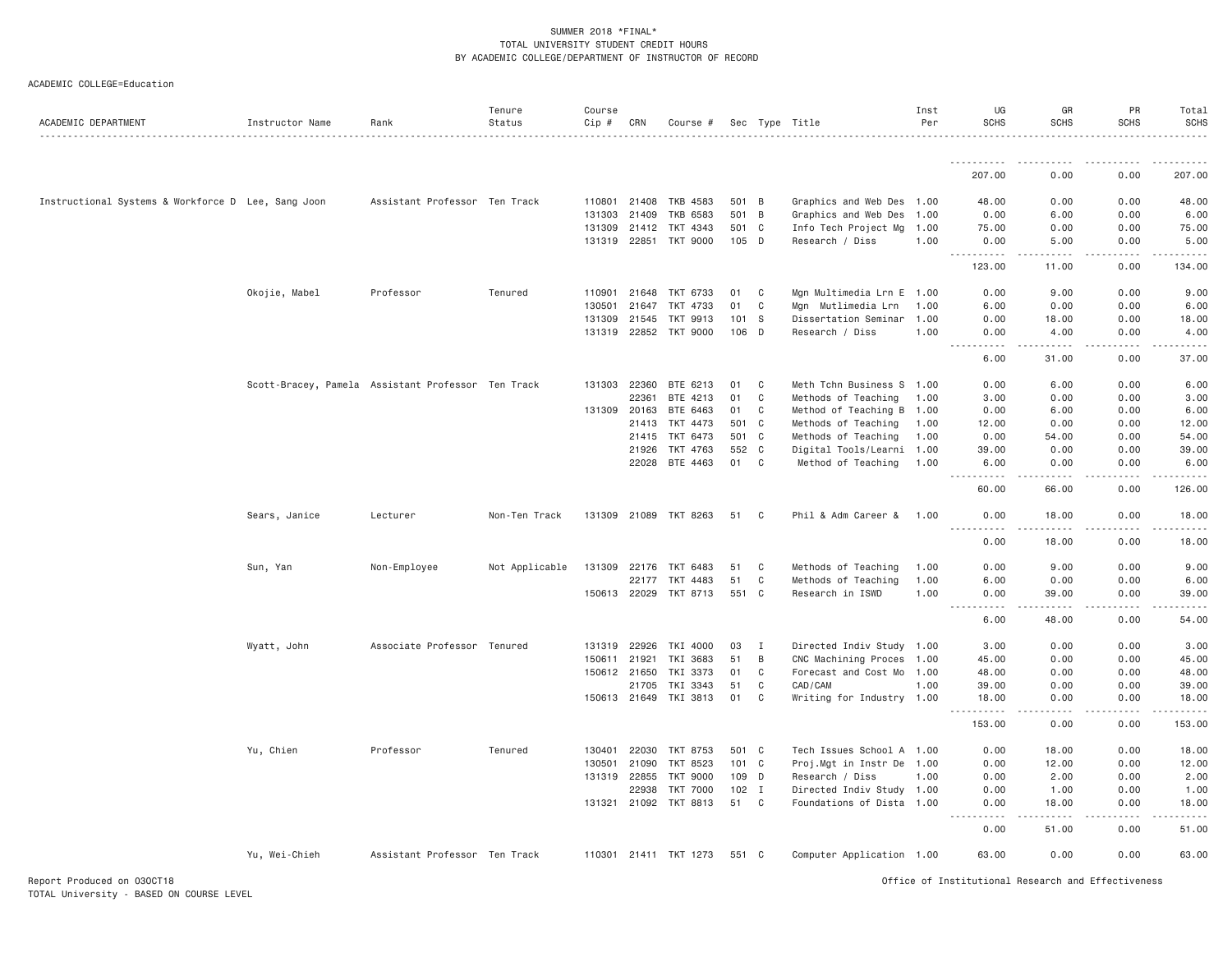#### ACADEMIC COLLEGE=Education

|                                                    |                 |                                                    | Tenure         | Course       |              |                       |         |                |                           | Inst | UG                                                   | GR                                                                                                                                                           | PR                                                                                                                                                           | Total                 |
|----------------------------------------------------|-----------------|----------------------------------------------------|----------------|--------------|--------------|-----------------------|---------|----------------|---------------------------|------|------------------------------------------------------|--------------------------------------------------------------------------------------------------------------------------------------------------------------|--------------------------------------------------------------------------------------------------------------------------------------------------------------|-----------------------|
| ACADEMIC DEPARTMENT                                | Instructor Name | Rank                                               | Status         | Cip #        | CRN          | Course #              |         |                | Sec Type Title            | Per  | <b>SCHS</b>                                          | <b>SCHS</b>                                                                                                                                                  | <b>SCHS</b>                                                                                                                                                  | <b>SCHS</b>           |
|                                                    |                 |                                                    |                |              |              |                       |         |                |                           |      |                                                      |                                                                                                                                                              |                                                                                                                                                              |                       |
|                                                    |                 |                                                    |                |              |              |                       |         |                |                           |      | 207.00                                               | 0.00                                                                                                                                                         | 0.00                                                                                                                                                         | 207.00                |
| Instructional Systems & Workforce D Lee, Sang Joon |                 | Assistant Professor Ten Track                      |                | 110801       | 21408        | TKB 4583              | 501 B   |                | Graphics and Web Des 1.00 |      | 48.00                                                | 0.00                                                                                                                                                         | 0.00                                                                                                                                                         | 48.00                 |
|                                                    |                 |                                                    |                | 131303       | 21409        | <b>TKB 6583</b>       | 501     | $\overline{B}$ | Graphics and Web Des      | 1.00 | 0.00                                                 | 6.00                                                                                                                                                         | 0.00                                                                                                                                                         | 6.00                  |
|                                                    |                 |                                                    |                |              | 131309 21412 | TKT 4343              | 501 C   |                | Info Tech Project Mg 1.00 |      | 75.00                                                | 0.00                                                                                                                                                         | 0.00                                                                                                                                                         | 75.00                 |
|                                                    |                 |                                                    |                |              |              | 131319 22851 TKT 9000 | 105 D   |                | Research / Diss           | 1.00 | 0.00<br>.                                            | 5.00<br>$\frac{1}{2} \left( \frac{1}{2} \right) \left( \frac{1}{2} \right) \left( \frac{1}{2} \right) \left( \frac{1}{2} \right) \left( \frac{1}{2} \right)$ | 0.00<br>$\frac{1}{2} \left( \frac{1}{2} \right) \left( \frac{1}{2} \right) \left( \frac{1}{2} \right) \left( \frac{1}{2} \right) \left( \frac{1}{2} \right)$ | 5.00<br>.             |
|                                                    |                 |                                                    |                |              |              |                       |         |                |                           |      | 123.00                                               | 11.00                                                                                                                                                        | 0.00                                                                                                                                                         | 134.00                |
|                                                    | Okojie, Mabel   | Professor                                          | Tenured        | 110901       | 21648        | TKT 6733              | 01      | $\mathbf C$    | Mgn Multimedia Lrn E 1.00 |      | 0.00                                                 | 9.00                                                                                                                                                         | 0.00                                                                                                                                                         | 9.00                  |
|                                                    |                 |                                                    |                | 130501       | 21647        | TKT 4733              | 01      | C              | Mgn Mutlimedia Lrn        | 1.00 | 6.00                                                 | 0.00                                                                                                                                                         | 0.00                                                                                                                                                         | 6.00                  |
|                                                    |                 |                                                    |                | 131309       | 21545        | TKT 9913              | 101     | - S            | Dissertation Seminar      | 1.00 | 0.00                                                 | 18.00                                                                                                                                                        | 0.00                                                                                                                                                         | 18.00                 |
|                                                    |                 |                                                    |                |              | 131319 22852 | TKT 9000              | 106 D   |                | Research / Diss           | 1.00 | 0.00<br>$\sim$ $\sim$<br>$\sim$ $\sim$ $\sim$ $\sim$ | 4.00<br>.                                                                                                                                                    | 0.00                                                                                                                                                         | 4.00                  |
|                                                    |                 |                                                    |                |              |              |                       |         |                |                           |      | 6.00                                                 | 31.00                                                                                                                                                        | 0.00                                                                                                                                                         | 37.00                 |
|                                                    |                 | Scott-Bracey, Pamela Assistant Professor Ten Track |                |              | 131303 22360 | BTE 6213              | 01      | C              | Meth Tchn Business S 1.00 |      | 0.00                                                 | 6.00                                                                                                                                                         | 0.00                                                                                                                                                         | 6,00                  |
|                                                    |                 |                                                    |                |              | 22361        | BTE 4213              | 01      | C              | Methods of Teaching       | 1.00 | 3,00                                                 | 0.00                                                                                                                                                         | 0.00                                                                                                                                                         | 3.00                  |
|                                                    |                 |                                                    |                | 131309       | 20163        | BTE 6463              | 01      | C              | Method of Teaching B 1.00 |      | 0.00                                                 | 6.00                                                                                                                                                         | 0.00                                                                                                                                                         | 6.00                  |
|                                                    |                 |                                                    |                |              | 21413        | TKT 4473              | 501 C   |                | Methods of Teaching       | 1.00 | 12.00                                                | 0.00                                                                                                                                                         | 0.00                                                                                                                                                         | 12.00                 |
|                                                    |                 |                                                    |                |              | 21415        | TKT 6473              | 501 C   |                | Methods of Teaching       | 1.00 | 0.00                                                 | 54.00                                                                                                                                                        | 0.00                                                                                                                                                         | 54.00                 |
|                                                    |                 |                                                    |                |              | 21926        | TKT 4763              | 552 C   |                | Digital Tools/Learni 1.00 |      | 39.00                                                | 0.00                                                                                                                                                         | 0.00                                                                                                                                                         | 39.00                 |
|                                                    |                 |                                                    |                |              |              | 22028 BTE 4463        | 01      | C              | Method of Teaching        | 1.00 | 6.00<br>.                                            | 0.00<br><u>.</u>                                                                                                                                             | 0.00<br>$- - - - - -$                                                                                                                                        | 6.00<br>$- - - - - -$ |
|                                                    |                 |                                                    |                |              |              |                       |         |                |                           |      | 60.00                                                | 66.00                                                                                                                                                        | 0.00                                                                                                                                                         | 126.00                |
|                                                    | Sears, Janice   | Lecturer                                           | Non-Ten Track  |              |              | 131309 21089 TKT 8263 | 51      | C              | Phil & Adm Career &       | 1.00 | 0.00<br>.                                            | 18.00<br>.                                                                                                                                                   | 0.00                                                                                                                                                         | 18.00                 |
|                                                    |                 |                                                    |                |              |              |                       |         |                |                           |      | 0.00                                                 | 18.00                                                                                                                                                        | 0.00                                                                                                                                                         | 18.00                 |
|                                                    | Sun, Yan        | Non-Employee                                       | Not Applicable |              | 131309 22176 | TKT 6483              | 51      | C              | Methods of Teaching       | 1.00 | 0.00                                                 | 9.00                                                                                                                                                         | 0.00                                                                                                                                                         | 9.00                  |
|                                                    |                 |                                                    |                |              | 22177        | TKT 4483              | 51      | C              | Methods of Teaching       | 1.00 | 6.00                                                 | 0.00                                                                                                                                                         | 0.00                                                                                                                                                         | 6.00                  |
|                                                    |                 |                                                    |                |              | 150613 22029 | TKT 8713              | 551     | $\mathbf{C}$   | Research in ISWD          | 1.00 | 0.00<br>. <b>.</b><br>$- - -$                        | 39.00<br>$- - - - -$                                                                                                                                         | 0.00<br>.                                                                                                                                                    | 39.00<br>.            |
|                                                    |                 |                                                    |                |              |              |                       |         |                |                           |      | 6.00                                                 | 48.00                                                                                                                                                        | 0.00                                                                                                                                                         | 54.00                 |
|                                                    | Wyatt, John     | Associate Professor Tenured                        |                | 131319       | 22926        | TKI 4000              | 03      | $\mathbf{I}$   | Directed Indiv Study 1.00 |      | 3.00                                                 | 0.00                                                                                                                                                         | 0.00                                                                                                                                                         | 3.00                  |
|                                                    |                 |                                                    |                | 150611 21921 |              | TKI 3683              | 51      | B              | CNC Machining Proces 1.00 |      | 45.00                                                | 0.00                                                                                                                                                         | 0.00                                                                                                                                                         | 45.00                 |
|                                                    |                 |                                                    |                |              | 150612 21650 | TKI 3373              | 01      | C              | Forecast and Cost Mo 1.00 |      | 48.00                                                | 0.00                                                                                                                                                         | 0.00                                                                                                                                                         | 48.00                 |
|                                                    |                 |                                                    |                |              | 21705        | TKI 3343              | 51      | C              | CAD/CAM                   | 1.00 | 39.00                                                | 0.00                                                                                                                                                         | 0.00                                                                                                                                                         | 39.00                 |
|                                                    |                 |                                                    |                |              | 150613 21649 | TKI 3813              | 01      | C              | Writing for Industry 1.00 |      | 18.00                                                | 0.00<br>$- - - -$                                                                                                                                            | 0.00                                                                                                                                                         | 18.00<br>.            |
|                                                    |                 |                                                    |                |              |              |                       |         |                |                           |      | 153.00                                               | 0.00                                                                                                                                                         | 0.00                                                                                                                                                         | 153.00                |
|                                                    | Yu, Chien       | Professor                                          | Tenured        | 130401       | 22030        | TKT 8753              | 501 C   |                | Tech Issues School A 1.00 |      | 0.00                                                 | 18.00                                                                                                                                                        | 0.00                                                                                                                                                         | 18.00                 |
|                                                    |                 |                                                    |                | 130501       | 21090        | TKT 8523              | 101 C   |                | Proj.Mgt in Instr De 1.00 |      | 0.00                                                 | 12.00                                                                                                                                                        | 0.00                                                                                                                                                         | 12.00                 |
|                                                    |                 |                                                    |                |              | 131319 22855 | <b>TKT 9000</b>       | 109 D   |                | Research / Diss           | 1.00 | 0.00                                                 | 2.00                                                                                                                                                         | 0.00                                                                                                                                                         | 2.00                  |
|                                                    |                 |                                                    |                |              | 22938        | <b>TKT 7000</b>       | $102$ I |                | Directed Indiv Study 1.00 |      | 0.00                                                 | 1.00                                                                                                                                                         | 0.00                                                                                                                                                         | 1.00                  |
|                                                    |                 |                                                    |                |              | 131321 21092 | TKT 8813              | 51      | C              | Foundations of Dista 1.00 |      | 0.00<br>.                                            | 18,00<br>-----                                                                                                                                               | 0.00                                                                                                                                                         | 18.00                 |
|                                                    |                 |                                                    |                |              |              |                       |         |                |                           |      | 0.00                                                 | 51.00                                                                                                                                                        | 0.00                                                                                                                                                         | 51.00                 |
|                                                    | Yu, Wei-Chieh   | Assistant Professor Ten Track                      |                |              |              | 110301 21411 TKT 1273 | 551 C   |                | Computer Application 1.00 |      | 63.00                                                | 0.00                                                                                                                                                         | 0.00                                                                                                                                                         | 63.00                 |
|                                                    |                 |                                                    |                |              |              |                       |         |                |                           |      |                                                      |                                                                                                                                                              |                                                                                                                                                              |                       |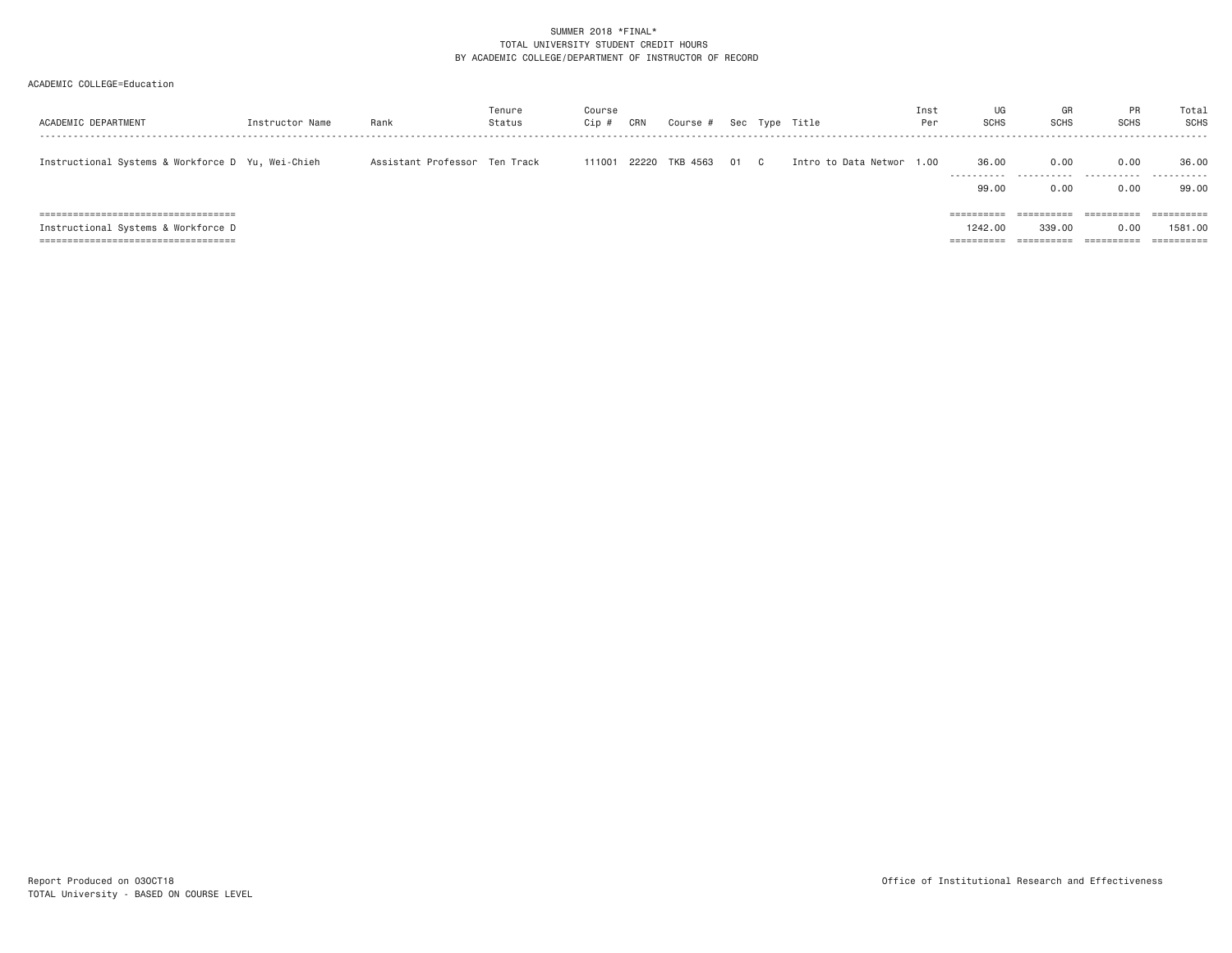| ACADEMIC DEPARTMENT                               | Instructor Name | Rank                          | Tenure<br>Status | Course<br>Cip f | CRN   | Course # |      | Sec Type Title            | Inst<br>Per | UG<br><b>SCHS</b>        | GR<br><b>SCHS</b> | <b>PR</b><br><b>SCHS</b> | Total<br><b>SCHS</b> |
|---------------------------------------------------|-----------------|-------------------------------|------------------|-----------------|-------|----------|------|---------------------------|-------------|--------------------------|-------------------|--------------------------|----------------------|
| Instructional Systems & Workforce D Yu, Wei-Chieh |                 | Assistant Professor Ten Track |                  | 111001          | 22220 | TKB 4563 | 01 C | Intro to Data Networ 1.00 |             | 36.00                    | 0.00              | 0.00                     | 36.00                |
|                                                   |                 |                               |                  |                 |       |          |      |                           |             | 99,00                    | 0.00              | 0.00                     | 99.00                |
| ======================================            |                 |                               |                  |                 |       |          |      |                           |             | ----------<br>---------- | ==========        | $=$ = = = = = = = = =    |                      |
| Instructional Systems & Workforce D               |                 |                               |                  |                 |       |          |      |                           |             | 1242,00                  | 339,00            | 0.00                     | 1581.00              |
| ======================================            |                 |                               |                  |                 |       |          |      |                           |             | ==========               | ==========        | ==========               | ==========           |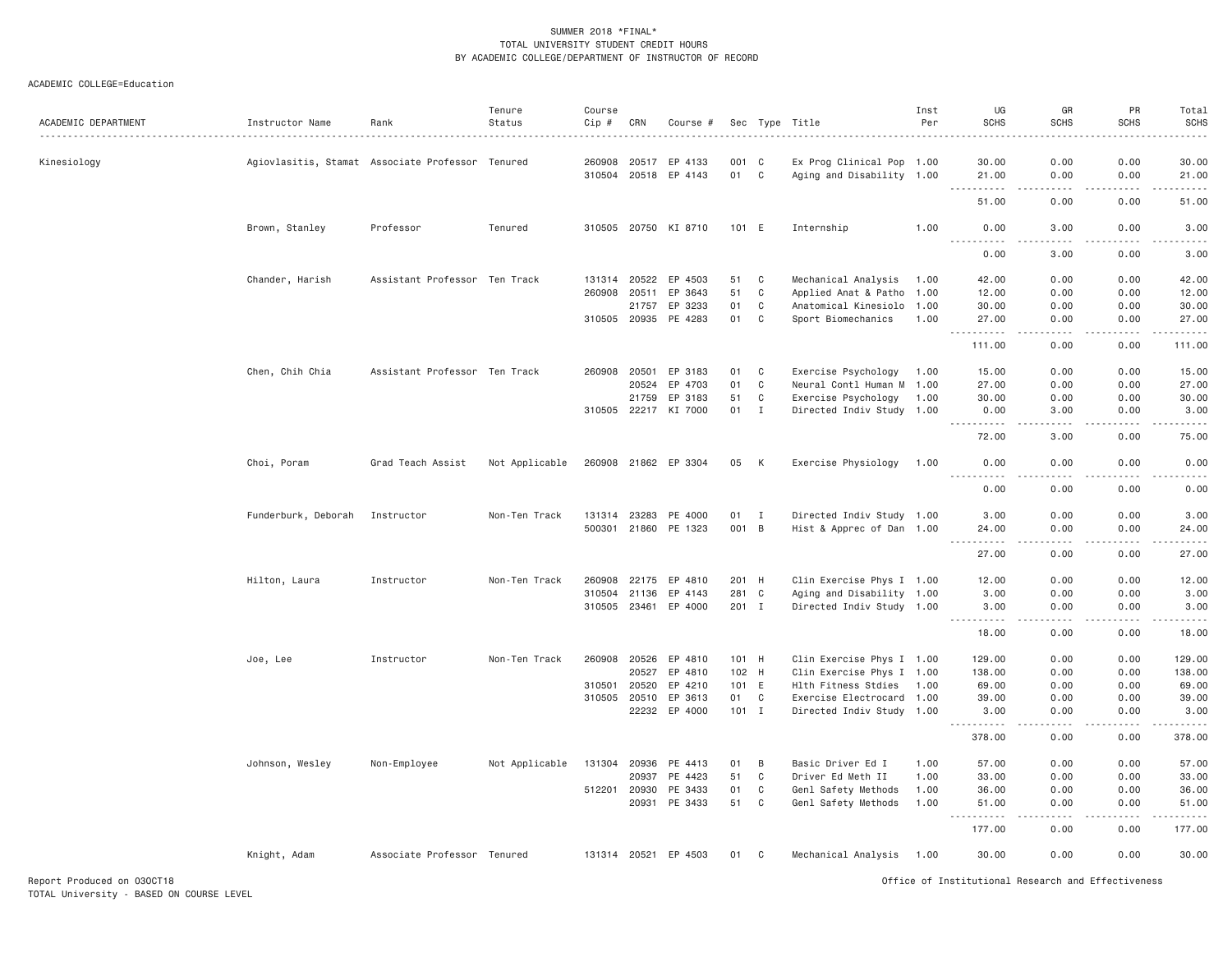#### ACADEMIC COLLEGE=Education

|                     |                                                  |                               | Tenure         | Course       |       |                                 |             |              |                                                        | Inst | UG                                                                                                                                 | GR                    | PR            | Total            |
|---------------------|--------------------------------------------------|-------------------------------|----------------|--------------|-------|---------------------------------|-------------|--------------|--------------------------------------------------------|------|------------------------------------------------------------------------------------------------------------------------------------|-----------------------|---------------|------------------|
| ACADEMIC DEPARTMENT | Instructor Name<br>.                             | Rank                          | Status         | Cip #        | CRN   | Course #                        |             |              | Sec Type Title                                         | Per  | <b>SCHS</b>                                                                                                                        | <b>SCHS</b>           | <b>SCHS</b>   | <b>SCHS</b>      |
|                     |                                                  |                               |                |              |       |                                 |             |              |                                                        |      |                                                                                                                                    |                       |               |                  |
| Kinesiology         | Agiovlasitis, Stamat Associate Professor Tenured |                               |                | 260908       | 20517 | EP 4133<br>310504 20518 EP 4143 | 001 C<br>01 | C            | Ex Prog Clinical Pop 1.00<br>Aging and Disability 1.00 |      | 30.00<br>21.00                                                                                                                     | 0.00<br>0.00          | 0.00<br>0.00  | 30.00<br>21.00   |
|                     |                                                  |                               |                |              |       |                                 |             |              |                                                        |      |                                                                                                                                    | .                     |               | .                |
|                     |                                                  |                               |                |              |       |                                 |             |              |                                                        |      | 51.00                                                                                                                              | 0.00                  | 0.00          | 51,00            |
|                     | Brown, Stanley                                   | Professor                     | Tenured        |              |       | 310505 20750 KI 8710            | 101 E       |              | Internship                                             | 1.00 | 0.00<br><u>.</u>                                                                                                                   | 3.00<br>$\frac{1}{2}$ | 0.00<br>.     | 3.00<br>.        |
|                     |                                                  |                               |                |              |       |                                 |             |              |                                                        |      | 0.00                                                                                                                               | 3.00                  | 0.00          | 3.00             |
|                     | Chander, Harish                                  | Assistant Professor Ten Track |                | 131314       | 20522 | EP 4503                         | 51          | $\mathbf C$  | Mechanical Analysis                                    | 1.00 | 42.00                                                                                                                              | 0.00                  | 0.00          | 42.00            |
|                     |                                                  |                               |                | 260908       | 20511 | EP 3643                         | 51          | $\mathbf C$  | Applied Anat & Patho 1.00                              |      | 12.00                                                                                                                              | 0.00                  | 0.00          | 12.00            |
|                     |                                                  |                               |                |              | 21757 | EP 3233                         | 01          | C            | Anatomical Kinesiolo 1.00                              |      | 30.00                                                                                                                              | 0.00                  | 0.00          | 30.00            |
|                     |                                                  |                               |                |              |       | 310505 20935 PE 4283            | 01          | C            | Sport Biomechanics                                     | 1.00 | 27.00<br>$\omega = \omega \omega + \omega$                                                                                         | 0.00                  | 0.00          | 27.00<br>.       |
|                     |                                                  |                               |                |              |       |                                 |             |              |                                                        |      | 111.00                                                                                                                             | 0.00                  | 0.00          | 111.00           |
|                     | Chen, Chih Chia                                  | Assistant Professor Ten Track |                | 260908 20501 |       | EP 3183                         | 01          | C            | Exercise Psychology                                    | 1.00 | 15.00                                                                                                                              | 0.00                  | 0.00          | 15.00            |
|                     |                                                  |                               |                |              | 20524 | EP 4703                         | 01          | C            | Neural Contl Human M 1.00                              |      | 27.00                                                                                                                              | 0.00                  | 0.00          | 27.00            |
|                     |                                                  |                               |                |              | 21759 | EP 3183                         | 51          | C            | Exercise Psychology                                    | 1.00 | 30.00                                                                                                                              | 0.00                  | 0.00          | 30.00            |
|                     |                                                  |                               |                | 310505 22217 |       | KI 7000                         | 01          | $\mathbf I$  | Directed Indiv Study 1.00                              |      | 0.00                                                                                                                               | 3.00                  | 0.00          | 3.00             |
|                     |                                                  |                               |                |              |       |                                 |             |              |                                                        |      | . <u>.</u><br>72.00                                                                                                                | 3.00                  | 0.00          | .<br>75.00       |
|                     | Choi, Poram                                      | Grad Teach Assist             | Not Applicable |              |       | 260908 21862 EP 3304            | 05          | К            | Exercise Physiology                                    | 1.00 | 0.00                                                                                                                               | 0.00                  | 0.00          | 0.00             |
|                     |                                                  |                               |                |              |       |                                 |             |              |                                                        |      | 0.00                                                                                                                               | 0.00                  | 0.00          | 0.00             |
|                     | Funderburk, Deborah                              | Instructor                    | Non-Ten Track  | 131314       | 23283 | PE 4000                         | 01          | I            | Directed Indiv Study 1.00                              |      | 3.00                                                                                                                               | 0.00                  | 0.00          | 3.00             |
|                     |                                                  |                               |                |              |       | 500301 21860 PE 1323            | 001 B       |              | Hist & Apprec of Dan 1.00                              |      | 24.00                                                                                                                              | 0.00                  | 0.00          | 24.00            |
|                     |                                                  |                               |                |              |       |                                 |             |              |                                                        |      | . <u>.</u><br>27.00                                                                                                                | . <u>. .</u><br>0.00  | .<br>0.00     | .<br>27.00       |
|                     | Hilton, Laura                                    | Instructor                    | Non-Ten Track  | 260908       | 22175 | EP 4810                         | 201 H       |              | Clin Exercise Phys I 1.00                              |      | 12.00                                                                                                                              | 0.00                  | 0.00          | 12.00            |
|                     |                                                  |                               |                | 310504       | 21136 | EP 4143                         | 281         | $\mathbf C$  | Aging and Disability 1.00                              |      | 3.00                                                                                                                               | 0.00                  | 0.00          | 3.00             |
|                     |                                                  |                               |                | 310505 23461 |       | EP 4000                         | 201 I       |              | Directed Indiv Study 1.00                              |      | 3.00                                                                                                                               | 0.00                  | 0.00          | 3.00             |
|                     |                                                  |                               |                |              |       |                                 |             |              |                                                        |      | $\frac{1}{2} \left( \frac{1}{2} \right) \left( \frac{1}{2} \right) \left( \frac{1}{2} \right) \left( \frac{1}{2} \right)$<br>18.00 | 0.00                  | 0.00          | .<br>18.00       |
|                     | Joe, Lee                                         | Instructor                    | Non-Ten Track  | 260908 20526 |       | EP 4810                         | 101 H       |              | Clin Exercise Phys I 1.00                              |      | 129.00                                                                                                                             | 0.00                  | 0.00          | 129.00           |
|                     |                                                  |                               |                |              | 20527 | EP 4810                         | 102 H       |              | Clin Exercise Phys I 1.00                              |      | 138.00                                                                                                                             | 0.00                  | 0.00          | 138.00           |
|                     |                                                  |                               |                | 310501       | 20520 | EP 4210                         | 101 E       |              | Hlth Fitness Stdies                                    | 1.00 | 69.00                                                                                                                              | 0.00                  | 0.00          | 69.00            |
|                     |                                                  |                               |                | 310505       | 20510 | EP 3613                         | 01          | $\mathbf{C}$ | Exercise Electrocard 1.00                              |      | 39.00                                                                                                                              | 0.00                  | 0.00          | 39.00            |
|                     |                                                  |                               |                |              |       | 22232 EP 4000                   | $101$ I     |              | Directed Indiv Study 1.00                              |      | 3.00                                                                                                                               | 0.00                  | 0.00          | 3.00             |
|                     |                                                  |                               |                |              |       |                                 |             |              |                                                        |      | .<br>378.00                                                                                                                        | .<br>0.00             | .<br>0.00     | .<br>378.00      |
|                     | Johnson, Wesley                                  | Non-Employee                  | Not Applicable | 131304       | 20936 | PE 4413                         | 01          | B            | Basic Driver Ed I                                      | 1.00 | 57.00                                                                                                                              | 0.00                  | 0.00          | 57.00            |
|                     |                                                  |                               |                |              | 20937 | PE 4423                         | 51          | C            | Driver Ed Meth II                                      | 1.00 | 33.00                                                                                                                              | 0.00                  | 0.00          | 33.00            |
|                     |                                                  |                               |                | 512201       | 20930 | PE 3433                         | 01          | C            | Genl Safety Methods                                    | 1.00 | 36.00                                                                                                                              | 0.00                  | 0.00          | 36.00            |
|                     |                                                  |                               |                |              | 20931 | PE 3433                         | 51          | C            | Genl Safety Methods                                    | 1.00 | 51.00                                                                                                                              | 0.00                  | 0.00          | 51.00            |
|                     |                                                  |                               |                |              |       |                                 |             |              |                                                        |      | . <b>.</b><br>177.00                                                                                                               | .<br>0.00             | -----<br>0.00 | ------<br>177.00 |
|                     | Knight, Adam                                     | Associate Professor Tenured   |                | 131314 20521 |       | EP 4503                         | 01          | C            | Mechanical Analysis                                    | 1.00 | 30,00                                                                                                                              | 0.00                  | 0.00          | 30,00            |
|                     |                                                  |                               |                |              |       |                                 |             |              |                                                        |      |                                                                                                                                    |                       |               |                  |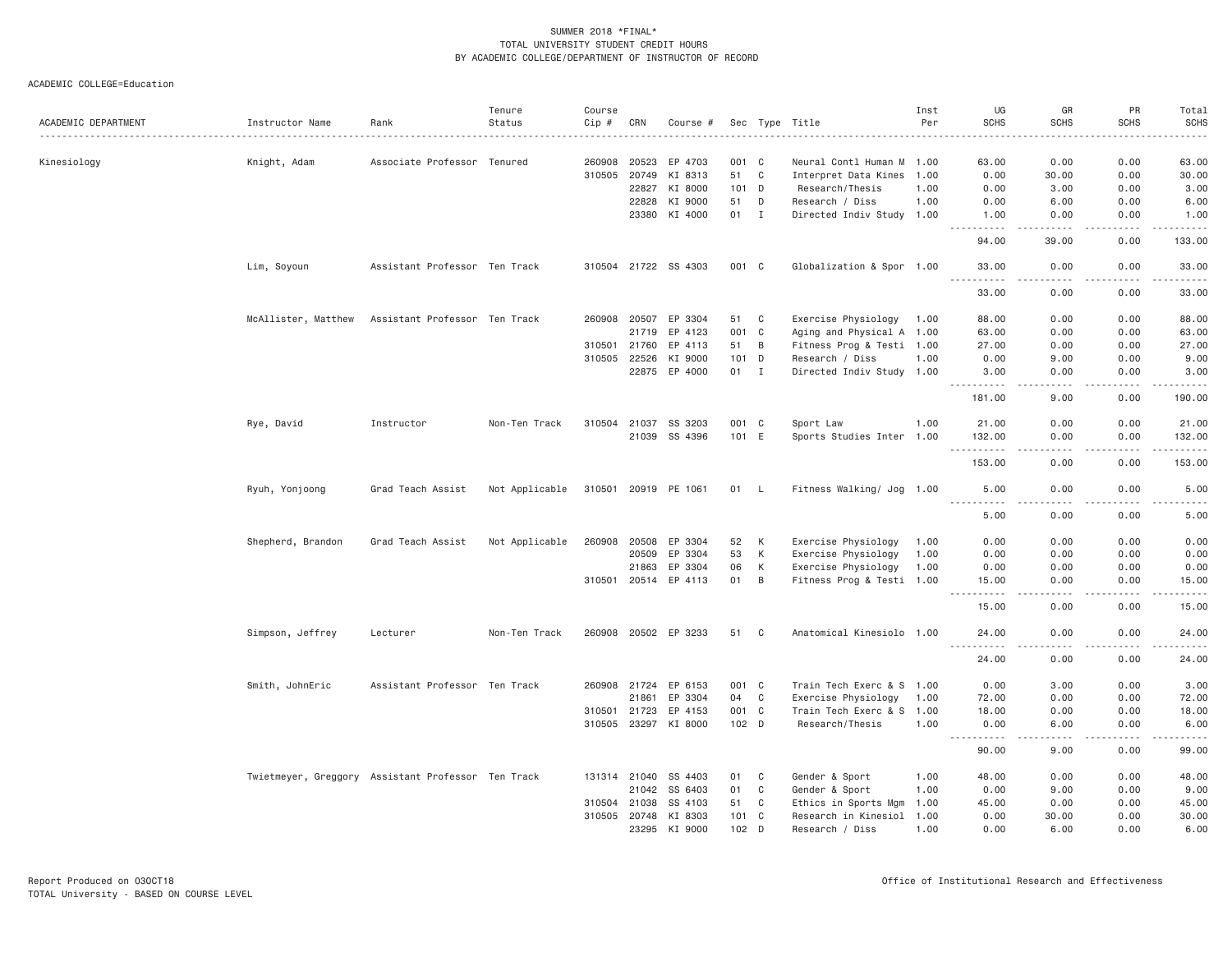|                     |                                                    |                               | Tenure         | Course       |       |                      |                  |                |                           | Inst | UG                                                                                                                                                           | GR                                                                                                                                                           | PR                    | Total                               |
|---------------------|----------------------------------------------------|-------------------------------|----------------|--------------|-------|----------------------|------------------|----------------|---------------------------|------|--------------------------------------------------------------------------------------------------------------------------------------------------------------|--------------------------------------------------------------------------------------------------------------------------------------------------------------|-----------------------|-------------------------------------|
| ACADEMIC DEPARTMENT | Instructor Name                                    | Rank                          | Status         | Cip #        | CRN   | Course #             |                  |                | Sec Type Title            | Per  | <b>SCHS</b>                                                                                                                                                  | <b>SCHS</b>                                                                                                                                                  | <b>SCHS</b>           | <b>SCHS</b><br>$    -$              |
|                     |                                                    |                               |                |              |       |                      |                  |                |                           |      |                                                                                                                                                              |                                                                                                                                                              |                       |                                     |
| Kinesiology         | Knight, Adam                                       | Associate Professor Tenured   |                | 260908       | 20523 | EP 4703              | 001 C            |                | Neural Contl Human M 1.00 |      | 63.00                                                                                                                                                        | 0.00                                                                                                                                                         | 0.00                  | 63.00                               |
|                     |                                                    |                               |                | 310505       | 20749 | KI 8313              | 51 C             |                | Interpret Data Kines 1.00 |      | 0.00                                                                                                                                                         | 30.00                                                                                                                                                        | 0.00                  | 30.00                               |
|                     |                                                    |                               |                |              | 22827 | KI 8000              | $101$ D          |                | Research/Thesis           | 1.00 | 0.00                                                                                                                                                         | 3.00                                                                                                                                                         | 0.00                  | 3.00                                |
|                     |                                                    |                               |                |              | 22828 | KI 9000              | 51               | D              | Research / Diss           | 1.00 | 0.00                                                                                                                                                         | 6.00                                                                                                                                                         | 0.00                  | 6.00                                |
|                     |                                                    |                               |                |              | 23380 | KI 4000              | 01               | $\mathbf{I}$   | Directed Indiv Study 1.00 |      | 1.00<br>$\frac{1}{2} \left( \frac{1}{2} \right) \left( \frac{1}{2} \right) \left( \frac{1}{2} \right) \left( \frac{1}{2} \right) \left( \frac{1}{2} \right)$ | 0.00<br>$\frac{1}{2} \left( \frac{1}{2} \right) \left( \frac{1}{2} \right) \left( \frac{1}{2} \right) \left( \frac{1}{2} \right) \left( \frac{1}{2} \right)$ | 0.00<br>بالمحام       | 1.00<br>$\sim$ $\sim$ $\sim$ $\sim$ |
|                     |                                                    |                               |                |              |       |                      |                  |                |                           |      | 94.00                                                                                                                                                        | 39.00                                                                                                                                                        | 0.00                  | 133.00                              |
|                     | Lim, Soyoun                                        | Assistant Professor Ten Track |                |              |       | 310504 21722 SS 4303 | 001 C            |                | Globalization & Spor 1.00 |      | 33.00<br>.                                                                                                                                                   | 0.00<br>.                                                                                                                                                    | 0.00<br>.             | 33.00<br>.                          |
|                     |                                                    |                               |                |              |       |                      |                  |                |                           |      | 33.00                                                                                                                                                        | 0.00                                                                                                                                                         | 0.00                  | 33.00                               |
|                     | McAllister, Matthew                                | Assistant Professor Ten Track |                | 260908 20507 |       | EP 3304              | 51               | C              | Exercise Physiology       | 1.00 | 88.00                                                                                                                                                        | 0.00                                                                                                                                                         | 0.00                  | 88.00                               |
|                     |                                                    |                               |                |              | 21719 | EP 4123              | 001 C            |                | Aging and Physical A 1.00 |      | 63.00                                                                                                                                                        | 0.00                                                                                                                                                         | 0.00                  | 63.00                               |
|                     |                                                    |                               |                | 310501       | 21760 | EP 4113              | 51               | B              | Fitness Prog & Testi 1.00 |      | 27.00                                                                                                                                                        | 0.00                                                                                                                                                         | 0.00                  | 27.00                               |
|                     |                                                    |                               |                | 310505       | 22526 | KI 9000              | 101 D            |                | Research / Diss           | 1.00 | 0.00                                                                                                                                                         | 9.00                                                                                                                                                         | 0.00                  | 9.00                                |
|                     |                                                    |                               |                |              | 22875 | EP 4000              | 01 I             |                | Directed Indiv Study 1.00 |      | 3.00                                                                                                                                                         | 0.00                                                                                                                                                         | 0.00                  | 3.00                                |
|                     |                                                    |                               |                |              |       |                      |                  |                |                           |      | .<br>181.00                                                                                                                                                  | الدامات بال<br>9.00                                                                                                                                          | .<br>0.00             | .<br>190.00                         |
|                     | Rye, David                                         | Instructor                    | Non-Ten Track  | 310504       | 21037 | SS 3203              | 001 C            |                | Sport Law                 | 1.00 | 21.00                                                                                                                                                        | 0.00                                                                                                                                                         | 0.00                  | 21.00                               |
|                     |                                                    |                               |                |              |       | 21039 SS 4396        | 101 E            |                | Sports Studies Inter 1.00 |      | 132.00                                                                                                                                                       | 0.00                                                                                                                                                         | 0.00                  | 132.00                              |
|                     |                                                    |                               |                |              |       |                      |                  |                |                           |      | .<br>153.00                                                                                                                                                  | 0.00                                                                                                                                                         | $\frac{1}{2}$<br>0.00 | .<br>153.00                         |
|                     | Ryuh, Yonjoong                                     | Grad Teach Assist             | Not Applicable |              |       | 310501 20919 PE 1061 | 01               | - L            | Fitness Walking/ Jog 1.00 |      | 5.00                                                                                                                                                         | 0.00                                                                                                                                                         | 0.00                  | 5.00                                |
|                     |                                                    |                               |                |              |       |                      |                  |                |                           |      | .<br>5.00                                                                                                                                                    | .<br>0.00                                                                                                                                                    | .<br>0.00             | $    -$<br>5.00                     |
|                     | Shepherd, Brandon                                  | Grad Teach Assist             | Not Applicable | 260908       | 20508 | EP 3304              | 52               | K              | Exercise Physiology       | 1.00 | 0.00                                                                                                                                                         | 0.00                                                                                                                                                         | 0.00                  | 0.00                                |
|                     |                                                    |                               |                |              | 20509 | EP 3304              | 53               | К              | Exercise Physiology       | 1.00 | 0.00                                                                                                                                                         | 0.00                                                                                                                                                         | 0.00                  | 0.00                                |
|                     |                                                    |                               |                |              | 21863 | EP 3304              | 06               | К              | Exercise Physiology       | 1.00 | 0.00                                                                                                                                                         | 0.00                                                                                                                                                         | 0.00                  | 0.00                                |
|                     |                                                    |                               |                |              |       | 310501 20514 EP 4113 | 01               | $\overline{B}$ | Fitness Prog & Testi 1.00 |      | 15.00                                                                                                                                                        | 0.00                                                                                                                                                         | 0.00                  | 15.00                               |
|                     |                                                    |                               |                |              |       |                      |                  |                |                           |      | .<br>15.00                                                                                                                                                   | $\frac{1}{2}$<br>0.00                                                                                                                                        | .<br>0.00             | $- - - - -$<br>15.00                |
|                     | Simpson, Jeffrey                                   | Lecturer                      | Non-Ten Track  |              |       | 260908 20502 EP 3233 | 51               | C              | Anatomical Kinesiolo 1.00 |      | 24.00                                                                                                                                                        | 0.00                                                                                                                                                         | 0.00                  | 24.00                               |
|                     |                                                    |                               |                |              |       |                      |                  |                |                           |      | 24.00                                                                                                                                                        | 0.00                                                                                                                                                         | 0.00                  | 24.00                               |
|                     | Smith, JohnEric                                    | Assistant Professor Ten Track |                | 260908 21724 |       | EP 6153              | 001 C            |                | Train Tech Exerc & S 1.00 |      | 0.00                                                                                                                                                         | 3.00                                                                                                                                                         | 0.00                  | 3.00                                |
|                     |                                                    |                               |                |              | 21861 | EP 3304              | 04               | C              | Exercise Physiology       | 1.00 | 72.00                                                                                                                                                        | 0.00                                                                                                                                                         | 0.00                  | 72.00                               |
|                     |                                                    |                               |                | 310501       | 21723 | EP 4153              | 001 C            |                | Train Tech Exerc & S 1.00 |      | 18.00                                                                                                                                                        | 0.00                                                                                                                                                         | 0.00                  | 18.00                               |
|                     |                                                    |                               |                | 310505 23297 |       | KI 8000              | 102 <sub>D</sub> |                | Research/Thesis           | 1.00 | 0.00                                                                                                                                                         | 6.00                                                                                                                                                         | 0.00                  | 6.00                                |
|                     |                                                    |                               |                |              |       |                      |                  |                |                           |      | <u>.</u><br>90.00                                                                                                                                            | .<br>9.00                                                                                                                                                    | .<br>0.00             | .<br>99.00                          |
|                     | Twietmeyer, Greggory Assistant Professor Ten Track |                               |                | 131314 21040 |       | SS 4403              | 01               | C              | Gender & Sport            | 1.00 | 48.00                                                                                                                                                        | 0.00                                                                                                                                                         | 0.00                  | 48.00                               |
|                     |                                                    |                               |                |              | 21042 | SS 6403              | 01               | C              | Gender & Sport            | 1.00 | 0.00                                                                                                                                                         | 9.00                                                                                                                                                         | 0.00                  | 9.00                                |
|                     |                                                    |                               |                | 310504 21038 |       | SS 4103              | 51               | C              | Ethics in Sports Mgm      | 1.00 | 45.00                                                                                                                                                        | 0.00                                                                                                                                                         | 0.00                  | 45.00                               |
|                     |                                                    |                               |                | 310505 20748 |       | KI 8303              | 101 C            |                | Research in Kinesiol 1.00 |      | 0.00                                                                                                                                                         | 30.00                                                                                                                                                        | 0.00                  | 30.00                               |
|                     |                                                    |                               |                |              | 23295 | KI 9000              | 102              | D              | Research / Diss           | 1.00 | 0.00                                                                                                                                                         | 6.00                                                                                                                                                         | 0.00                  | 6.00                                |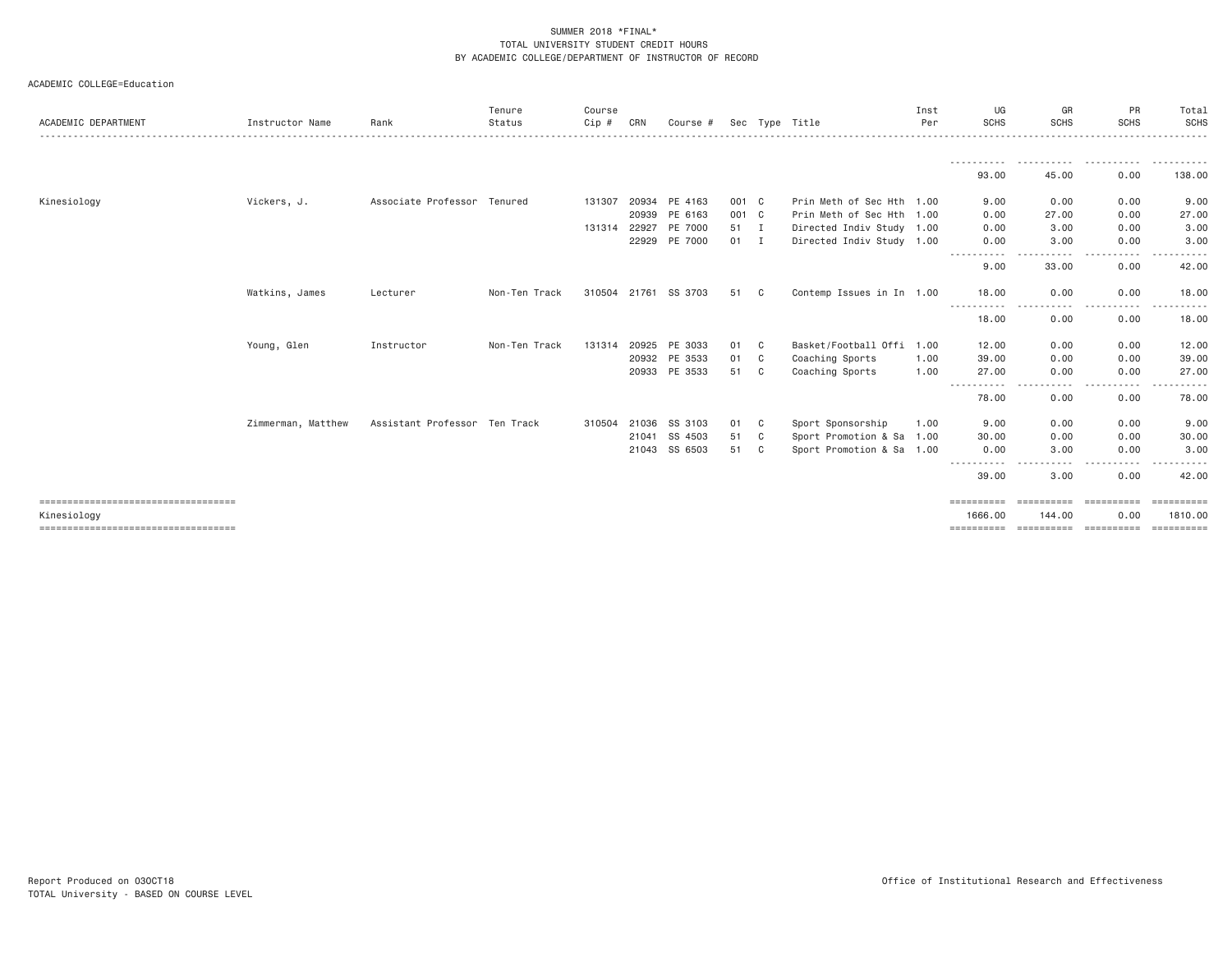| ACADEMIC COLLEGE=Education |  |  |
|----------------------------|--|--|
|----------------------------|--|--|

| ACADEMIC DEPARTMENT                   | Instructor Name    | Rank                          | Tenure<br>Status | Course<br>Cip # | CRN   | Course #      |       |   | Sec Type Title            | Inst<br>Per | UG<br><b>SCHS</b>                                                                                                                             | GR<br><b>SCHS</b>     | PR<br><b>SCHS</b> | Total<br>SCHS   |
|---------------------------------------|--------------------|-------------------------------|------------------|-----------------|-------|---------------|-------|---|---------------------------|-------------|-----------------------------------------------------------------------------------------------------------------------------------------------|-----------------------|-------------------|-----------------|
|                                       |                    |                               |                  |                 |       |               |       |   |                           |             |                                                                                                                                               |                       |                   |                 |
|                                       |                    |                               |                  |                 |       |               |       |   |                           |             |                                                                                                                                               | -----------           | .                 | ----------      |
|                                       |                    |                               |                  |                 |       |               |       |   |                           |             | 93.00                                                                                                                                         | 45.00                 | 0.00              | 138.00          |
| Kinesiology                           | Vickers, J.        | Associate Professor Tenured   |                  | 131307          | 20934 | PE 4163       | 001 C |   | Prin Meth of Sec Hth 1.00 |             | 9.00                                                                                                                                          | 0.00                  | 0.00              | 9.00            |
|                                       |                    |                               |                  |                 | 20939 | PE 6163       | 001 C |   | Prin Meth of Sec Hth 1.00 |             | 0.00                                                                                                                                          | 27,00                 | 0.00              | 27.00           |
|                                       |                    |                               |                  | 131314 22927    |       | PE 7000       | 51 I  |   | Directed Indiv Study 1.00 |             | 0.00                                                                                                                                          | 3,00                  | 0.00              | 3.00            |
|                                       |                    |                               |                  |                 | 22929 | PE 7000       | 01 I  |   | Directed Indiv Study 1.00 |             | 0.00                                                                                                                                          | 3.00                  | 0.00              | 3.00            |
|                                       |                    |                               |                  |                 |       |               |       |   |                           |             | .<br>9.00                                                                                                                                     | .<br>33.00            | -----<br>0.00     | 42.00           |
|                                       | Watkins, James     | Lecturer                      | Non-Ten Track    | 310504 21761    |       | SS 3703       | 51    | C | Contemp Issues in In 1.00 |             | 18,00                                                                                                                                         | 0.00                  | 0.00              | 18.00           |
|                                       |                    |                               |                  |                 |       |               |       |   |                           |             | $\cdots$<br>18.00                                                                                                                             | 0.00                  | 0.00              | 18.00           |
|                                       |                    |                               |                  |                 |       |               |       |   |                           |             |                                                                                                                                               |                       |                   |                 |
|                                       | Young, Glen        | Instructor                    | Non-Ten Track    | 131314          | 20925 | PE 3033       | 01    | C | Basket/Football Offi 1.00 |             | 12.00                                                                                                                                         | 0.00                  | 0.00              | 12.00           |
|                                       |                    |                               |                  |                 | 20932 | PE 3533       | 01    | C | Coaching Sports           | 1.00        | 39.00                                                                                                                                         | 0.00                  | 0.00              | 39.00           |
|                                       |                    |                               |                  |                 |       | 20933 PE 3533 | 51    | C | Coaching Sports           | 1.00        | 27,00                                                                                                                                         | 0.00<br>$\frac{1}{2}$ | 0.00<br>- - - - - | 27.00<br>------ |
|                                       |                    |                               |                  |                 |       |               |       |   |                           |             | 78.00                                                                                                                                         | 0.00                  | 0.00              | 78.00           |
|                                       | Zimmerman, Matthew | Assistant Professor Ten Track |                  | 310504          | 21036 | SS 3103       | 01    | C | Sport Sponsorship         | 1.00        | 9.00                                                                                                                                          | 0.00                  | 0.00              | 9.00            |
|                                       |                    |                               |                  |                 | 21041 | SS 4503       | 51    | C | Sport Promotion & Sa 1.00 |             | 30.00                                                                                                                                         | 0.00                  | 0.00              | 30.00           |
|                                       |                    |                               |                  |                 | 21043 | SS 6503       | 51    | C | Sport Promotion & Sa 1.00 |             | 0.00                                                                                                                                          | 3.00                  | 0.00              | 3.00            |
|                                       |                    |                               |                  |                 |       |               |       |   |                           |             | $\frac{1}{2} \left( \frac{1}{2} \right) \left( \frac{1}{2} \right) \left( \frac{1}{2} \right) \left( \frac{1}{2} \right)$<br>- - - -<br>39.00 | 3.00                  | 0.00              | 42.00           |
| -----------------------------------   |                    |                               |                  |                 |       |               |       |   |                           |             | ==========                                                                                                                                    | ----------            | -----------       |                 |
| Kinesiology                           |                    |                               |                  |                 |       |               |       |   |                           |             | 1666.00                                                                                                                                       | 144.00                | 0.00              | 1810.00         |
| ===================================== |                    |                               |                  |                 |       |               |       |   |                           |             | ==========                                                                                                                                    | ==========            | -----------       |                 |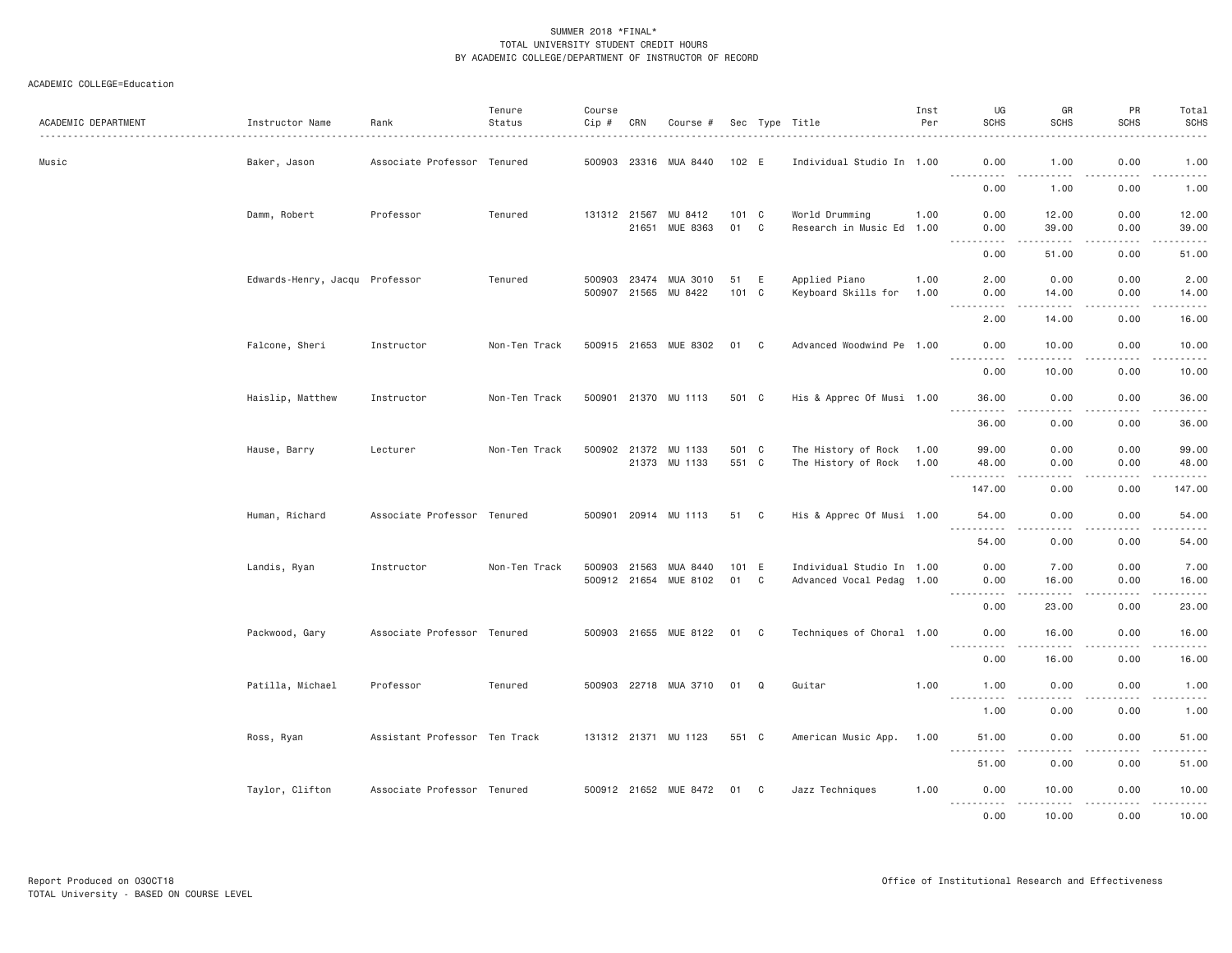| ACADEMIC DEPARTMENT | Instructor Name                | Rank                          | Tenure<br>Status | Course<br>Cip # | CRN   | Course #              |               |   | Sec Type Title            | Inst<br>Per | UG<br><b>SCHS</b>            | GR<br><b>SCHS</b>            | PR<br><b>SCHS</b>     | Total<br><b>SCHS</b>                                                                                                                                          |
|---------------------|--------------------------------|-------------------------------|------------------|-----------------|-------|-----------------------|---------------|---|---------------------------|-------------|------------------------------|------------------------------|-----------------------|---------------------------------------------------------------------------------------------------------------------------------------------------------------|
| Music               | Baker, Jason                   | Associate Professor Tenured   |                  |                 |       | 500903 23316 MUA 8440 | 102 E         |   | Individual Studio In 1.00 |             | 0.00<br>.                    | 1.00                         | 0.00<br>$- - - -$     | 1.00<br>$- - - - -$                                                                                                                                           |
|                     |                                |                               |                  |                 |       |                       |               |   |                           |             | 0.00                         | 1.00                         | 0.00                  | 1.00                                                                                                                                                          |
|                     | Damm, Robert                   | Professor                     | Tenured          | 131312 21567    |       | MU 8412               | $101 \quad C$ |   | World Drumming            | 1.00        | 0.00                         | 12.00                        | 0.00                  | 12.00                                                                                                                                                         |
|                     |                                |                               |                  |                 | 21651 | MUE 8363              | 01            | C | Research in Music Ed 1.00 |             | 0.00<br>.                    | 39.00<br>.                   | 0.00<br>.             | 39.00<br>.                                                                                                                                                    |
|                     |                                |                               |                  |                 |       |                       |               |   |                           |             | 0.00                         | 51.00                        | 0.00                  | 51.00                                                                                                                                                         |
|                     | Edwards-Henry, Jacqu Professor |                               | Tenured          | 500903          | 23474 | MUA 3010              | 51            | E | Applied Piano             | 1.00        | 2.00                         | 0.00                         | 0.00                  | 2.00                                                                                                                                                          |
|                     |                                |                               |                  |                 |       | 500907 21565 MU 8422  | 101 C         |   | Keyboard Skills for       | 1.00        | 0.00                         | 14.00                        | 0.00<br>.             | 14.00<br>.                                                                                                                                                    |
|                     |                                |                               |                  |                 |       |                       |               |   |                           |             | 2.00                         | 14.00                        | 0.00                  | 16.00                                                                                                                                                         |
|                     | Falcone, Sheri                 | Instructor                    | Non-Ten Track    |                 |       | 500915 21653 MUE 8302 | 01            | C | Advanced Woodwind Pe 1.00 |             | 0.00                         | 10.00                        | 0.00                  | 10.00<br>$\frac{1}{2} \left( \frac{1}{2} \right) \left( \frac{1}{2} \right) \left( \frac{1}{2} \right) \left( \frac{1}{2} \right) \left( \frac{1}{2} \right)$ |
|                     |                                |                               |                  |                 |       |                       |               |   |                           |             | 0.00                         | 10.00                        | 0.00                  | 10.00                                                                                                                                                         |
|                     | Haislip, Matthew               | Instructor                    | Non-Ten Track    | 500901          |       | 21370 MU 1113         | 501 C         |   | His & Apprec Of Musi 1.00 |             | 36.00                        | 0.00                         | 0.00<br>$\frac{1}{2}$ | 36.00<br>$- - - - -$                                                                                                                                          |
|                     |                                |                               |                  |                 |       |                       |               |   |                           |             | 36.00                        | 0.00                         | 0.00                  | 36.00                                                                                                                                                         |
|                     | Hause, Barry                   | Lecturer                      | Non-Ten Track    |                 |       | 500902 21372 MU 1133  | 501 C         |   | The History of Rock       | 1.00        | 99.00                        | 0.00                         | 0.00                  | 99.00                                                                                                                                                         |
|                     |                                |                               |                  |                 |       | 21373 MU 1133         | 551 C         |   | The History of Rock       | 1.00        | 48.00<br>. <b>.</b>          | 0.00<br>$\sim$ $\sim$ $\sim$ | 0.00<br>.             | 48.00<br>.                                                                                                                                                    |
|                     |                                |                               |                  |                 |       |                       |               |   |                           |             | 147.00                       | 0.00                         | 0.00                  | 147.00                                                                                                                                                        |
|                     | Human, Richard                 | Associate Professor Tenured   |                  | 500901          |       | 20914 MU 1113         | 51 C          |   | His & Apprec Of Musi 1.00 |             | 54.00<br>$ -$<br>$- - - - -$ | 0.00<br>-----                | 0.00<br>.             | 54.00<br>.                                                                                                                                                    |
|                     |                                |                               |                  |                 |       |                       |               |   |                           |             | 54.00                        | 0.00                         | 0.00                  | 54.00                                                                                                                                                         |
|                     | Landis, Ryan                   | Instructor                    | Non-Ten Track    | 500903          | 21563 | MUA 8440              | 101 E         |   | Individual Studio In 1.00 |             | 0.00                         | 7.00                         | 0.00                  | 7.00                                                                                                                                                          |
|                     |                                |                               |                  |                 |       | 500912 21654 MUE 8102 | 01            | C | Advanced Vocal Pedag 1.00 |             | 0.00                         | 16.00                        | 0.00                  | 16.00                                                                                                                                                         |
|                     |                                |                               |                  |                 |       |                       |               |   |                           |             | .<br>0.00                    | .<br>23.00                   | .<br>0.00             | .<br>23.00                                                                                                                                                    |
|                     | Packwood, Gary                 | Associate Professor Tenured   |                  | 500903 21655    |       | MUE 8122              | 01            | C | Techniques of Choral 1.00 |             | 0.00                         | 16.00                        | 0.00                  | 16.00                                                                                                                                                         |
|                     |                                |                               |                  |                 |       |                       |               |   |                           |             | .<br>0.00                    | .<br>16.00                   | .<br>0.00             | .<br>16.00                                                                                                                                                    |
|                     | Patilla, Michael               | Professor                     | Tenured          |                 |       | 500903 22718 MUA 3710 | 01            | Q | Guitar                    | 1.00        | 1.00                         | 0.00                         | 0.00                  | 1.00                                                                                                                                                          |
|                     |                                |                               |                  |                 |       |                       |               |   |                           |             | .<br>1.00                    | $   -$<br>0.00               | .<br>0.00             | .<br>1.00                                                                                                                                                     |
|                     | Ross, Ryan                     | Assistant Professor Ten Track |                  |                 |       | 131312 21371 MU 1123  | 551 C         |   | American Music App.       | 1.00        | 51.00                        | 0.00                         | 0.00                  | 51.00                                                                                                                                                         |
|                     |                                |                               |                  |                 |       |                       |               |   |                           |             | $  -$<br>51.00               | 0.00                         | 0.00                  | .<br>51.00                                                                                                                                                    |
|                     | Taylor, Clifton                | Associate Professor Tenured   |                  |                 |       | 500912 21652 MUE 8472 | 01 C          |   | Jazz Techniques           | 1.00        | 0.00<br>.                    | 10.00<br>.                   | 0.00<br>.             | 10.00<br>$- - - - - -$                                                                                                                                        |
|                     |                                |                               |                  |                 |       |                       |               |   |                           |             | 0.00                         | 10.00                        | 0.00                  | 10.00                                                                                                                                                         |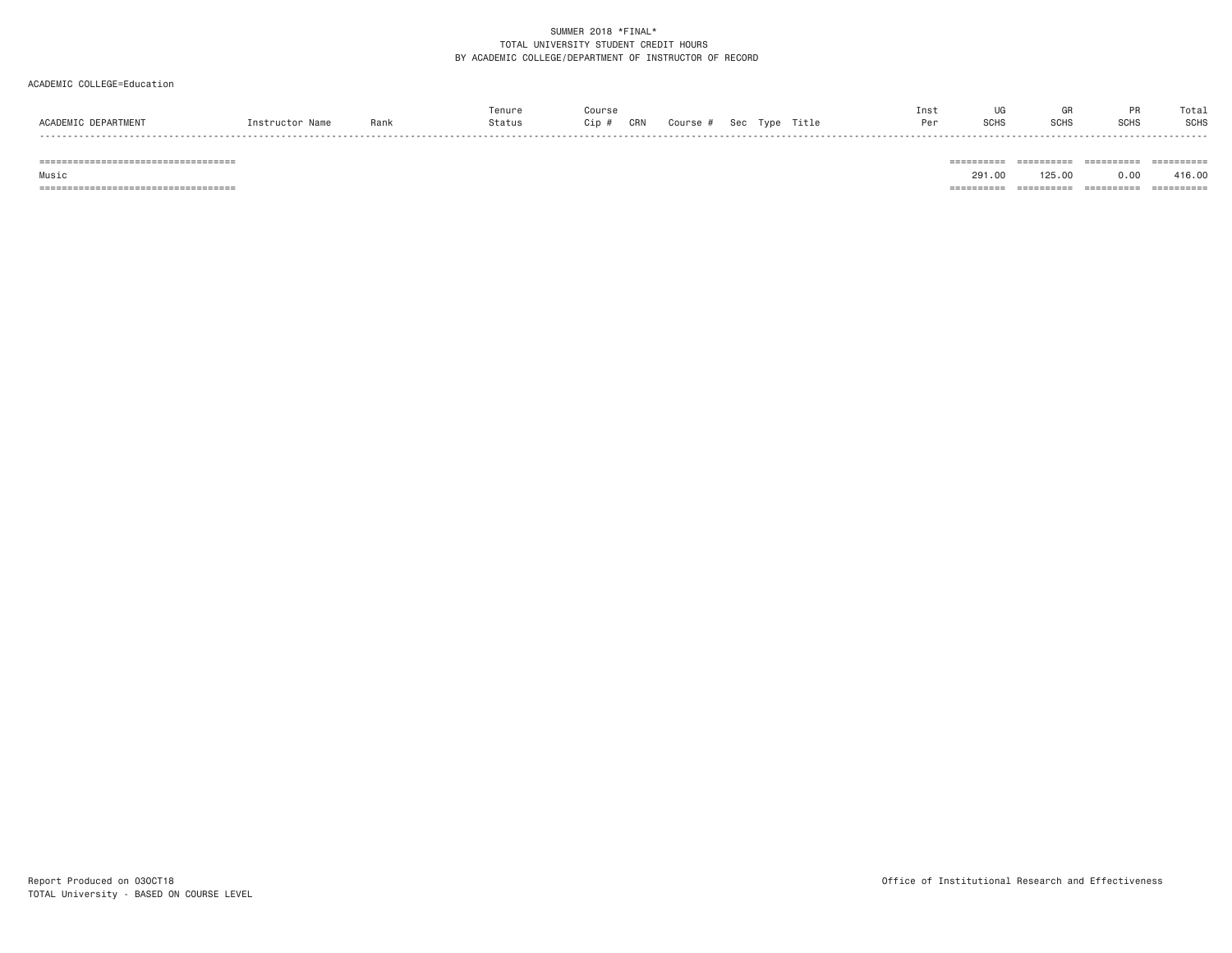#### ACADEMIC COLLEGE=Education

|           | Rank | .enure<br>Status | Course<br>CRN<br>Cip | Course | <b>OCC</b> | Title | Inst | ~~<br>SCH: | uн<br><b>SCHS</b> | .<br><b>SCHS</b> | Total<br><b>SCHS</b>          |
|-----------|------|------------------|----------------------|--------|------------|-------|------|------------|-------------------|------------------|-------------------------------|
| - - - - - |      |                  |                      |        |            |       |      |            |                   |                  | ------<br>__________<br>----- |

 Music 291.00 125.00 0.00 416.00=================================== ========== ========== ========== ==========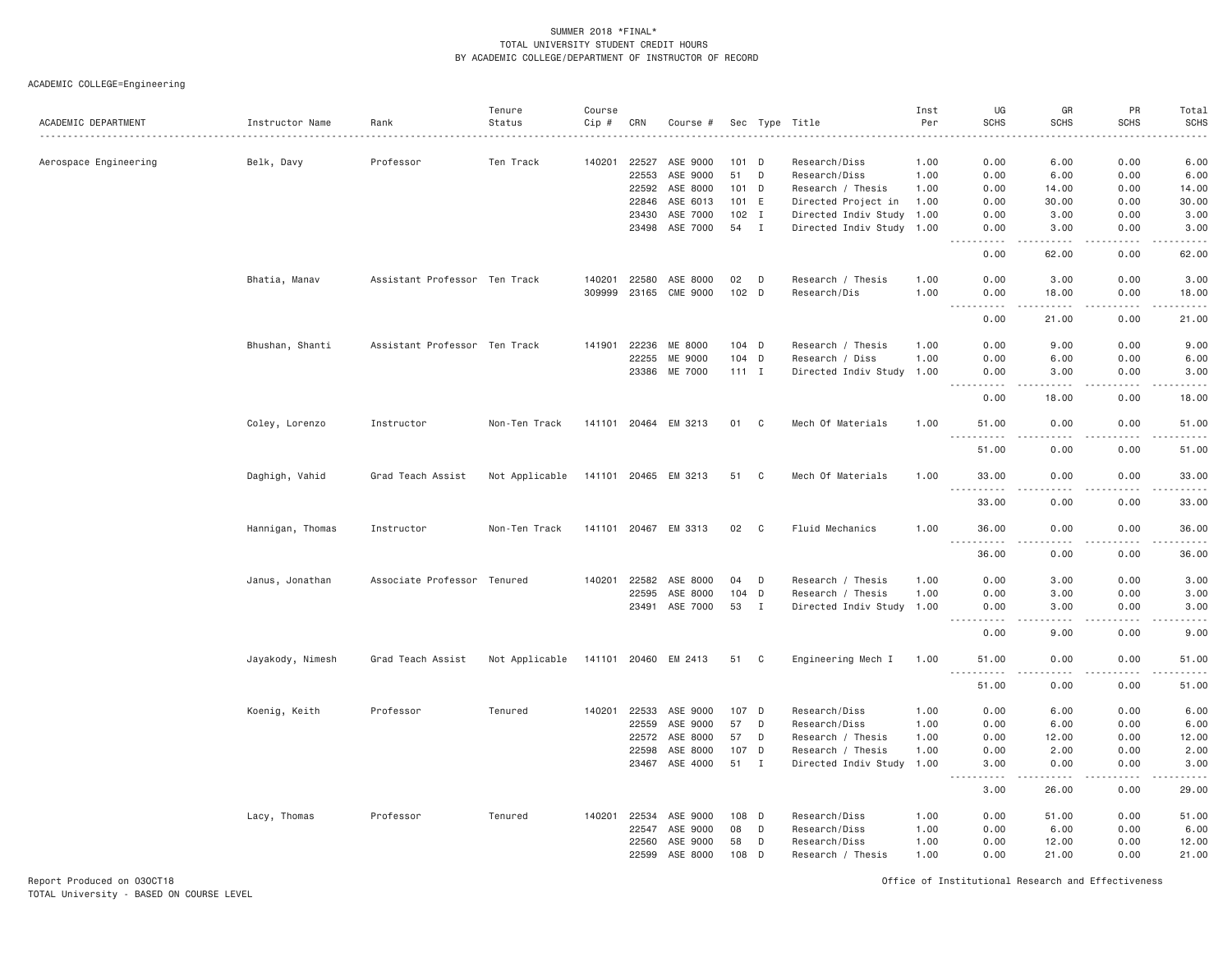ACADEMIC COLLEGE=Engineering

| ACADEMIC DEPARTMENT   | Instructor Name  | Rank                          | Tenure<br>Status | Course<br>Cip # | CRN          | Course #             |         |                | Sec Type Title            | Inst<br>Per | UG<br><b>SCHS</b>                   | GR<br><b>SCHS</b>                   | PR<br><b>SCHS</b> | Total<br><b>SCHS</b><br>.         |
|-----------------------|------------------|-------------------------------|------------------|-----------------|--------------|----------------------|---------|----------------|---------------------------|-------------|-------------------------------------|-------------------------------------|-------------------|-----------------------------------|
| Aerospace Engineering | Belk, Davy       | Professor                     | Ten Track        | 140201          | 22527        | ASE 9000             | 101 D   |                | Research/Diss             | 1.00        | 0.00                                | 6.00                                | 0.00              | 6.00                              |
|                       |                  |                               |                  |                 | 22553        | ASE 9000             | 51      | D              | Research/Diss             | 1.00        | 0.00                                | 6.00                                | 0.00              | 6.00                              |
|                       |                  |                               |                  |                 | 22592        | ASE 8000             | 101 D   |                | Research / Thesis         | 1.00        | 0.00                                | 14.00                               | 0.00              | 14.00                             |
|                       |                  |                               |                  |                 | 22846        | ASE 6013             | 101     | E              | Directed Project in       | 1.00        | 0.00                                | 30.00                               | 0.00              | 30.00                             |
|                       |                  |                               |                  |                 | 23430        | ASE 7000             | $102$ I |                | Directed Indiv Study      | 1.00        | 0.00                                | 3.00                                | 0.00              | 3.00                              |
|                       |                  |                               |                  |                 | 23498        | ASE 7000             | 54 I    |                | Directed Indiv Study 1.00 |             | 0.00                                | 3.00                                | 0.00              | 3.00<br>$\sim 100$ and $\sim 100$ |
|                       |                  |                               |                  |                 |              |                      |         |                |                           |             | 0.00                                | 62.00                               | 0.00              | 62.00                             |
|                       | Bhatia, Manav    | Assistant Professor Ten Track |                  | 140201          | 22580        | ASE 8000             | 02      | D              | Research / Thesis         | 1.00        | 0.00                                | 3.00                                | 0.00              | 3.00                              |
|                       |                  |                               |                  | 309999          | 23165        | CME 9000             | 102 D   |                | Research/Dis              | 1.00        | 0.00<br>$- - - -$<br>$- - -$        | 18.00<br><b>.</b>                   | 0.00<br>.         | 18.00<br>.                        |
|                       |                  |                               |                  |                 |              |                      |         |                |                           |             | 0.00                                | 21.00                               | 0.00              | 21.00                             |
|                       | Bhushan, Shanti  | Assistant Professor Ten Track |                  | 141901          | 22236        | ME 8000              | $104$ D |                | Research / Thesis         | 1.00        | 0.00                                | 9.00                                | 0.00              | 9.00                              |
|                       |                  |                               |                  |                 | 22255        | ME 9000              | $104$ D |                | Research / Diss           | 1.00        | 0.00                                | 6.00                                | 0.00              | 6.00                              |
|                       |                  |                               |                  |                 |              | 23386 ME 7000        | $111$ I |                | Directed Indiv Study      | 1.00        | 0.00<br>$\sim$ $\sim$ $\sim$<br>.   | 3.00<br>.                           | 0.00<br>.         | 3.00<br>$    -$                   |
|                       |                  |                               |                  |                 |              |                      |         |                |                           |             | 0.00                                | 18.00                               | 0.00              | 18.00                             |
|                       | Coley, Lorenzo   | Instructor                    | Non-Ten Track    |                 |              | 141101 20464 EM 3213 | 01      | $\mathbf{C}$   | Mech Of Materials         | 1.00        | 51.00<br>-----                      | 0.00<br>$- - - -$                   | 0.00<br>.         | 51.00<br>.                        |
|                       |                  |                               |                  |                 |              |                      |         |                |                           |             | 51.00                               | 0.00                                | 0.00              | 51.00                             |
|                       | Daghigh, Vahid   | Grad Teach Assist             | Not Applicable   |                 |              | 141101 20465 EM 3213 | 51      | C <sub>c</sub> | Mech Of Materials         | 1.00        | 33.00                               | 0.00<br>$\sim$ $\sim$ $\sim$        | 0.00<br>.         | 33.00<br>د د د د د                |
|                       |                  |                               |                  |                 |              |                      |         |                |                           |             | 33.00                               | 0.00                                | 0.00              | 33.00                             |
|                       | Hannigan, Thomas | Instructor                    | Non-Ten Track    |                 | 141101 20467 | EM 3313              | 02      | C              | Fluid Mechanics           | 1.00        | 36.00<br>.                          | 0.00<br>$\sim$ $\sim$ $\sim$ $\sim$ | 0.00<br>.         | 36.00<br>.                        |
|                       |                  |                               |                  |                 |              |                      |         |                |                           |             | 36.00                               | 0.00                                | 0.00              | 36.00                             |
|                       | Janus, Jonathan  | Associate Professor Tenured   |                  | 140201          | 22582        | ASE 8000             | 04      | D              | Research / Thesis         | 1.00        | 0.00                                | 3.00                                | 0.00              | 3.00                              |
|                       |                  |                               |                  |                 | 22595        | ASE 8000             | 104 D   |                | Research / Thesis         | 1.00        | 0.00                                | 3.00                                | 0.00              | 3.00                              |
|                       |                  |                               |                  |                 | 23491        | ASE 7000             | 53 I    |                | Directed Indiv Study 1.00 |             | 0.00                                | 3.00                                | 0.00              | 3.00                              |
|                       |                  |                               |                  |                 |              |                      |         |                |                           |             | 0.00                                | 9.00                                | 0.00              | .<br>9.00                         |
|                       | Jayakody, Nimesh | Grad Teach Assist             | Not Applicable   |                 |              | 141101 20460 EM 2413 | 51 C    |                | Engineering Mech I        | 1.00        | 51.00<br>$\sim$ $\sim$ $\sim$<br>.  | 0.00<br>د د د د                     | 0.00<br>-----     | 51.00<br>.                        |
|                       |                  |                               |                  |                 |              |                      |         |                |                           |             | 51.00                               | 0.00                                | 0.00              | 51.00                             |
|                       | Koenig, Keith    | Professor                     | Tenured          | 140201          | 22533        | ASE 9000             | 107 D   |                | Research/Diss             | 1.00        | 0.00                                | 6.00                                | 0.00              | 6.00                              |
|                       |                  |                               |                  |                 | 22559        | ASE 9000             | 57      | D              | Research/Diss             | 1.00        | 0.00                                | 6.00                                | 0.00              | 6.00                              |
|                       |                  |                               |                  |                 | 22572        | ASE 8000             | 57      | D              | Research / Thesis         | 1.00        | 0.00                                | 12.00                               | 0.00              | 12.00                             |
|                       |                  |                               |                  |                 | 22598        | ASE 8000             | 107 D   |                | Research / Thesis         | 1.00        | 0.00                                | 2.00                                | 0.00              | 2.00                              |
|                       |                  |                               |                  |                 | 23467        | ASE 4000             | 51      | I              | Directed Indiv Study      | 1.00        | 3.00<br>$\sim$ $\sim$ $\sim$ $\sim$ | 0.00<br>22222                       | 0.00<br>.         | 3.00<br>$    -$                   |
|                       |                  |                               |                  |                 |              |                      |         |                |                           |             | 3.00                                | 26.00                               | 0.00              | 29.00                             |
|                       | Lacy, Thomas     | Professor                     | Tenured          | 140201          | 22534        | ASE 9000             | 108     | D              | Research/Diss             | 1.00        | 0.00                                | 51.00                               | 0.00              | 51.00                             |
|                       |                  |                               |                  |                 | 22547        | ASE 9000             | 08      | D              | Research/Diss             | 1.00        | 0.00                                | 6.00                                | 0.00              | 6.00                              |
|                       |                  |                               |                  |                 | 22560        | ASE 9000             | 58      | D              | Research/Diss             | 1.00        | 0.00                                | 12.00                               | 0.00              | 12.00                             |
|                       |                  |                               |                  |                 | 22599        | ASE 8000             | 108 D   |                | Research / Thesis         | 1.00        | 0.00                                | 21.00                               | 0.00              | 21.00                             |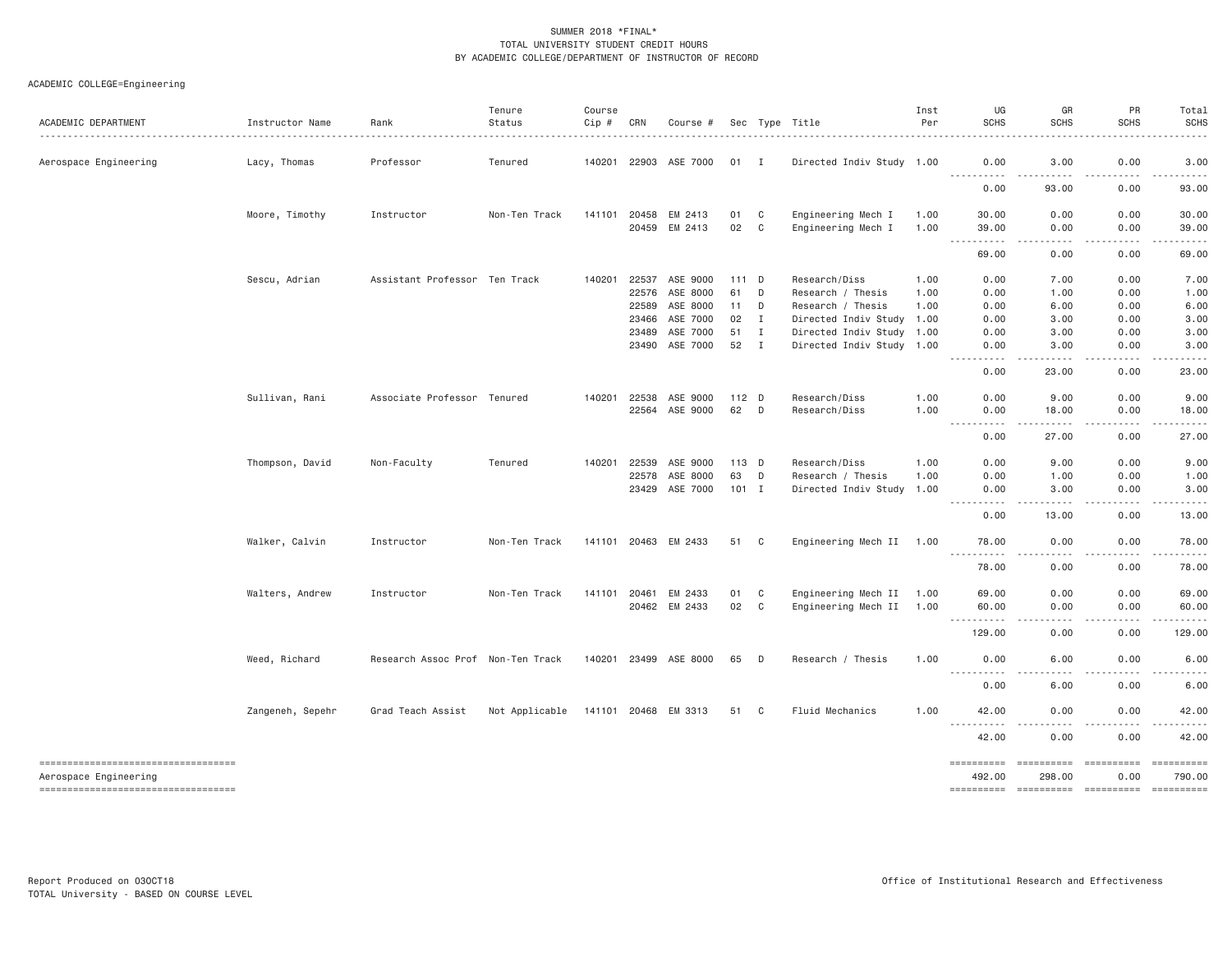| ACADEMIC DEPARTMENT                                             | Instructor Name  | Rank                              | Tenure<br>Status | Course<br>Cip # | CRN   | Course #              |         |                | Sec Type Title            | Inst<br>Per | UG<br><b>SCHS</b>                                                                                                                                                 | GR<br><b>SCHS</b>                                                                                                                 | PR<br><b>SCHS</b>                                                                                                                                            | Total<br><b>SCHS</b>                                                                                                                                                                                                                                                                                                                                                                                                        |
|-----------------------------------------------------------------|------------------|-----------------------------------|------------------|-----------------|-------|-----------------------|---------|----------------|---------------------------|-------------|-------------------------------------------------------------------------------------------------------------------------------------------------------------------|-----------------------------------------------------------------------------------------------------------------------------------|--------------------------------------------------------------------------------------------------------------------------------------------------------------|-----------------------------------------------------------------------------------------------------------------------------------------------------------------------------------------------------------------------------------------------------------------------------------------------------------------------------------------------------------------------------------------------------------------------------|
| Aerospace Engineering                                           | Lacy, Thomas     | Professor                         | Tenured          |                 |       | 140201 22903 ASE 7000 | 01 I    |                | Directed Indiv Study 1.00 |             | 0.00<br><u>.</u>                                                                                                                                                  | 3.00<br>.<br>$\frac{1}{2}$                                                                                                        | 0.00<br>$\mathbf{1} \cdot \mathbf{1} \cdot \mathbf{1} \cdot \mathbf{1} \cdot \mathbf{1}$                                                                     | 3.00<br>$\begin{array}{cccccccccccccc} \bullet & \bullet & \bullet & \bullet & \bullet & \bullet & \bullet & \bullet \end{array}$                                                                                                                                                                                                                                                                                           |
|                                                                 |                  |                                   |                  |                 |       |                       |         |                |                           |             | 0.00                                                                                                                                                              | 93.00                                                                                                                             | 0.00                                                                                                                                                         | 93.00                                                                                                                                                                                                                                                                                                                                                                                                                       |
|                                                                 | Moore, Timothy   | Instructor                        | Non-Ten Track    | 141101 20458    |       | EM 2413               | 01      | C              | Engineering Mech I        | 1.00        | 30.00                                                                                                                                                             | 0.00                                                                                                                              | 0.00                                                                                                                                                         | 30.00                                                                                                                                                                                                                                                                                                                                                                                                                       |
|                                                                 |                  |                                   |                  |                 | 20459 | EM 2413               | 02      | C <sub>1</sub> | Engineering Mech I        | 1.00        | 39,00<br>.                                                                                                                                                        | 0.00<br>.                                                                                                                         | 0.00<br>.                                                                                                                                                    | 39.00<br>.                                                                                                                                                                                                                                                                                                                                                                                                                  |
|                                                                 |                  |                                   |                  |                 |       |                       |         |                |                           |             | 69.00                                                                                                                                                             | 0.00                                                                                                                              | 0.00                                                                                                                                                         | 69.00                                                                                                                                                                                                                                                                                                                                                                                                                       |
|                                                                 | Sescu, Adrian    | Assistant Professor Ten Track     |                  | 140201          | 22537 | ASE 9000              | 111 D   |                | Research/Diss             | 1.00        | 0.00                                                                                                                                                              | 7.00                                                                                                                              | 0.00                                                                                                                                                         | 7.00                                                                                                                                                                                                                                                                                                                                                                                                                        |
|                                                                 |                  |                                   |                  |                 | 22576 | ASE 8000              | 61      | D              | Research / Thesis         | 1.00        | 0.00                                                                                                                                                              | 1.00                                                                                                                              | 0.00                                                                                                                                                         | 1.00                                                                                                                                                                                                                                                                                                                                                                                                                        |
|                                                                 |                  |                                   |                  |                 | 22589 | ASE 8000              | 11      | D              | Research / Thesis         | 1.00        | 0.00                                                                                                                                                              | 6.00                                                                                                                              | 0.00                                                                                                                                                         | 6.00                                                                                                                                                                                                                                                                                                                                                                                                                        |
|                                                                 |                  |                                   |                  |                 | 23466 | ASE 7000              | 02      | $\mathbf{I}$   | Directed Indiv Study 1.00 |             | 0.00                                                                                                                                                              | 3.00                                                                                                                              | 0.00                                                                                                                                                         | 3.00                                                                                                                                                                                                                                                                                                                                                                                                                        |
|                                                                 |                  |                                   |                  |                 | 23489 | ASE 7000              | 51      | I              | Directed Indiv Study 1.00 |             | 0.00                                                                                                                                                              | 3.00                                                                                                                              | 0.00                                                                                                                                                         | 3.00                                                                                                                                                                                                                                                                                                                                                                                                                        |
|                                                                 |                  |                                   |                  |                 |       | 23490 ASE 7000        | 52 I    |                | Directed Indiv Study 1.00 |             | 0.00<br>$\frac{1}{2} \left( \frac{1}{2} \right) \left( \frac{1}{2} \right) \left( \frac{1}{2} \right) \left( \frac{1}{2} \right)$<br>$- - - - - -$                | 3.00<br>-----                                                                                                                     | 0.00<br>.                                                                                                                                                    | 3.00<br>.                                                                                                                                                                                                                                                                                                                                                                                                                   |
|                                                                 |                  |                                   |                  |                 |       |                       |         |                |                           |             | 0.00                                                                                                                                                              | 23.00                                                                                                                             | 0.00                                                                                                                                                         | 23.00                                                                                                                                                                                                                                                                                                                                                                                                                       |
|                                                                 | Sullivan, Rani   | Associate Professor Tenured       |                  | 140201 22538    |       | ASE 9000              | $112$ D |                | Research/Diss             | 1.00        | 0.00                                                                                                                                                              | 9.00                                                                                                                              | 0.00                                                                                                                                                         | 9.00                                                                                                                                                                                                                                                                                                                                                                                                                        |
|                                                                 |                  |                                   |                  |                 |       | 22564 ASE 9000        | 62 D    |                | Research/Diss             | 1.00        | 0.00<br>.<br>$\sim 100$ km s $^{-1}$                                                                                                                              | 18.00<br>$\sim$ $\sim$ $\sim$ $\sim$ $\sim$                                                                                       | 0.00<br>$\frac{1}{2} \left( \frac{1}{2} \right) \left( \frac{1}{2} \right) \left( \frac{1}{2} \right) \left( \frac{1}{2} \right) \left( \frac{1}{2} \right)$ | 18.00<br>------                                                                                                                                                                                                                                                                                                                                                                                                             |
|                                                                 |                  |                                   |                  |                 |       |                       |         |                |                           |             | 0.00                                                                                                                                                              | 27.00                                                                                                                             | 0.00                                                                                                                                                         | 27.00                                                                                                                                                                                                                                                                                                                                                                                                                       |
|                                                                 | Thompson, David  | Non-Faculty                       | Tenured          | 140201          | 22539 | ASE 9000              | 113 D   |                | Research/Diss             | 1.00        | 0.00                                                                                                                                                              | 9.00                                                                                                                              | 0.00                                                                                                                                                         | 9.00                                                                                                                                                                                                                                                                                                                                                                                                                        |
|                                                                 |                  |                                   |                  |                 | 22578 | ASE 8000              | 63      | D              | Research / Thesis         | 1.00        | 0.00                                                                                                                                                              | 1.00                                                                                                                              | 0.00                                                                                                                                                         | 1.00                                                                                                                                                                                                                                                                                                                                                                                                                        |
|                                                                 |                  |                                   |                  |                 | 23429 | ASE 7000              | $101$ I |                | Directed Indiv Study 1.00 |             | 0.00<br>.<br>$\frac{1}{2} \left( \frac{1}{2} \right) \left( \frac{1}{2} \right) \left( \frac{1}{2} \right) \left( \frac{1}{2} \right) \left( \frac{1}{2} \right)$ | 3.00                                                                                                                              | 0.00                                                                                                                                                         | 3.00                                                                                                                                                                                                                                                                                                                                                                                                                        |
|                                                                 |                  |                                   |                  |                 |       |                       |         |                |                           |             | 0.00                                                                                                                                                              | 13.00                                                                                                                             | 0.00                                                                                                                                                         | 13.00                                                                                                                                                                                                                                                                                                                                                                                                                       |
|                                                                 | Walker, Calvin   | Instructor                        | Non-Ten Track    | 141101 20463    |       | EM 2433               | 51      | C              | Engineering Mech II 1.00  |             | 78.00<br>.                                                                                                                                                        | 0.00                                                                                                                              | 0.00                                                                                                                                                         | 78.00                                                                                                                                                                                                                                                                                                                                                                                                                       |
|                                                                 |                  |                                   |                  |                 |       |                       |         |                |                           |             | 78.00                                                                                                                                                             | .<br>0.00                                                                                                                         | .<br>0.00                                                                                                                                                    | .<br>78.00                                                                                                                                                                                                                                                                                                                                                                                                                  |
|                                                                 | Walters, Andrew  | Instructor                        | Non-Ten Track    | 141101 20461    |       | EM 2433               | 01      | C              | Engineering Mech II 1.00  |             | 69.00                                                                                                                                                             | 0.00                                                                                                                              | 0.00                                                                                                                                                         | 69.00                                                                                                                                                                                                                                                                                                                                                                                                                       |
|                                                                 |                  |                                   |                  |                 |       | 20462 EM 2433         | 02      | $\mathbf{C}$   | Engineering Mech II       | 1.00        | 60.00<br>-----------                                                                                                                                              | 0.00<br>.<br>$- - -$                                                                                                              | 0.00<br>.                                                                                                                                                    | 60.00<br><b>.</b>                                                                                                                                                                                                                                                                                                                                                                                                           |
|                                                                 |                  |                                   |                  |                 |       |                       |         |                |                           |             | 129.00                                                                                                                                                            | 0.00                                                                                                                              | 0.00                                                                                                                                                         | 129.00                                                                                                                                                                                                                                                                                                                                                                                                                      |
|                                                                 | Weed, Richard    | Research Assoc Prof Non-Ten Track |                  |                 |       | 140201 23499 ASE 8000 | 65      | $\mathsf{D}$   | Research / Thesis         | 1.00        | 0.00                                                                                                                                                              | 6.00                                                                                                                              | 0.00                                                                                                                                                         | 6.00                                                                                                                                                                                                                                                                                                                                                                                                                        |
|                                                                 |                  |                                   |                  |                 |       |                       |         |                |                           |             | ----------<br>0.00                                                                                                                                                | .<br>6.00                                                                                                                         | <u>.</u><br>0.00                                                                                                                                             | 6.00                                                                                                                                                                                                                                                                                                                                                                                                                        |
|                                                                 | Zangeneh, Sepehr | Grad Teach Assist                 | Not Applicable   |                 |       | 141101 20468 EM 3313  | 51 C    |                | Fluid Mechanics           | 1.00        | 42.00                                                                                                                                                             | 0.00                                                                                                                              | 0.00                                                                                                                                                         | 42.00                                                                                                                                                                                                                                                                                                                                                                                                                       |
|                                                                 |                  |                                   |                  |                 |       |                       |         |                |                           |             | .<br>42.00                                                                                                                                                        | $\frac{1}{2} \left( \frac{1}{2} \right) \left( \frac{1}{2} \right) \left( \frac{1}{2} \right) \left( \frac{1}{2} \right)$<br>0.00 | 0.00                                                                                                                                                         | 42.00                                                                                                                                                                                                                                                                                                                                                                                                                       |
|                                                                 |                  |                                   |                  |                 |       |                       |         |                |                           |             |                                                                                                                                                                   |                                                                                                                                   |                                                                                                                                                              |                                                                                                                                                                                                                                                                                                                                                                                                                             |
| ======================================<br>Aerospace Engineering |                  |                                   |                  |                 |       |                       |         |                |                           |             | ==========<br>492.00                                                                                                                                              | ==========<br>298.00                                                                                                              | ==========<br>0.00                                                                                                                                           | 790.00                                                                                                                                                                                                                                                                                                                                                                                                                      |
| -----------------------------------                             |                  |                                   |                  |                 |       |                       |         |                |                           |             | ==========                                                                                                                                                        | ==========                                                                                                                        | $=$ ===========                                                                                                                                              | $\begin{minipage}{0.9\linewidth} \hspace*{-0.2cm} \textbf{1} & \textbf{2} & \textbf{3} & \textbf{5} & \textbf{6} & \textbf{7} \\ \textbf{5} & \textbf{6} & \textbf{7} & \textbf{8} & \textbf{9} & \textbf{10} & \textbf{10} \\ \textbf{6} & \textbf{8} & \textbf{8} & \textbf{9} & \textbf{10} & \textbf{10} & \textbf{10} \\ \textbf{10} & \textbf{10} & \textbf{10} & \textbf{10} & \textbf{10} & \textbf{10} & \textbf{$ |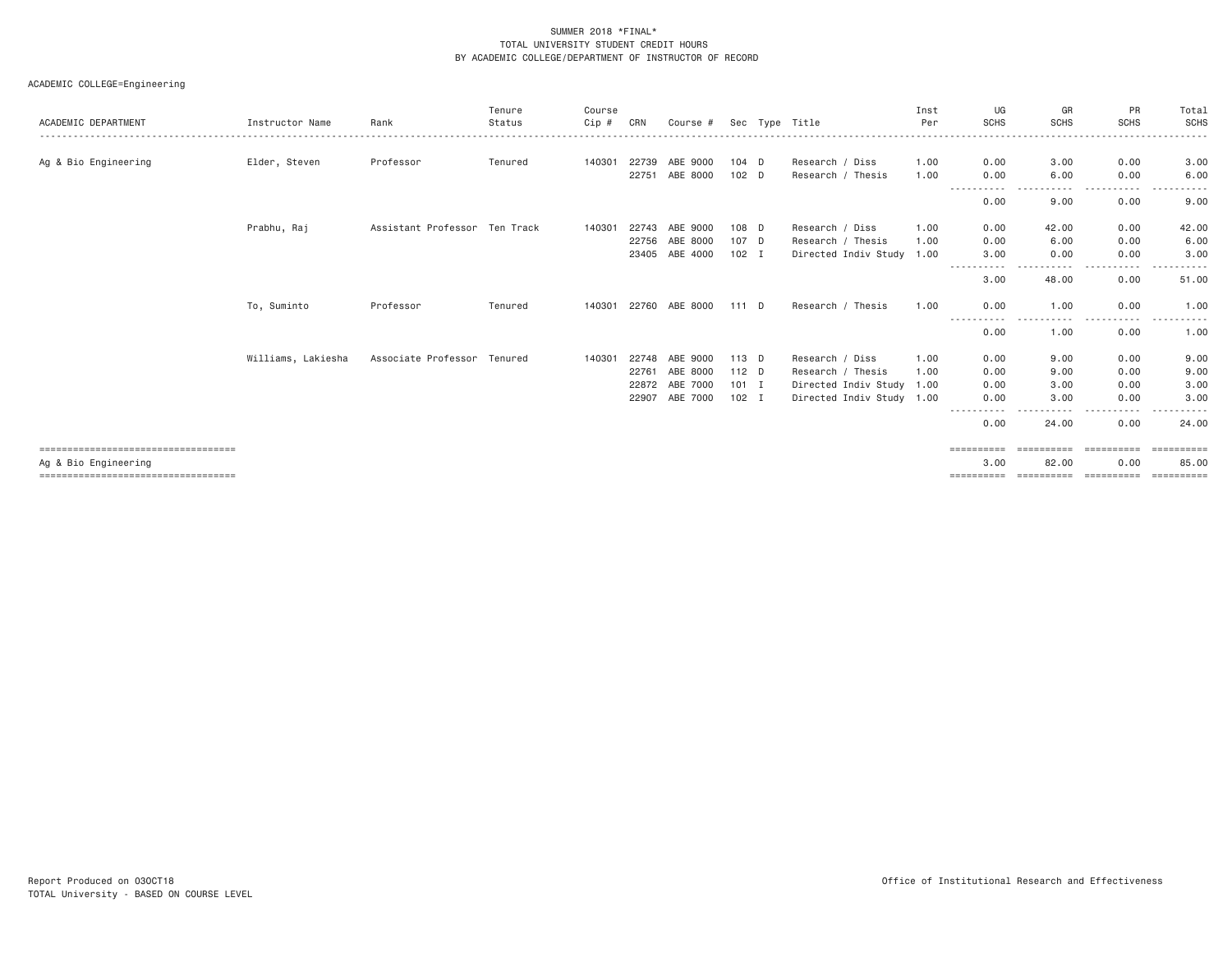| ACADEMIC DEPARTMENT                                          | Instructor Name    | Rank                          | Tenure<br>Status | Course<br>Cip # | CRN   | Course #       |         | Sec Type Title            | Inst<br>Per | UG<br><b>SCHS</b>          | GR<br><b>SCHS</b>   | <b>PR</b><br><b>SCHS</b> | Total<br>SCHS        |
|--------------------------------------------------------------|--------------------|-------------------------------|------------------|-----------------|-------|----------------|---------|---------------------------|-------------|----------------------------|---------------------|--------------------------|----------------------|
| Ag & Bio Engineering                                         | Elder, Steven      | Professor                     | Tenured          | 140301          | 22739 | ABE 9000       | $104$ D | Research / Diss           | 1.00        | 0.00                       | 3,00                | 0.00                     | 3.00                 |
|                                                              |                    |                               |                  |                 | 22751 | ABE 8000       | 102 D   | Research / Thesis         | 1.00        | 0.00                       | 6.00<br>.           | 0.00<br>.                | 6.00                 |
|                                                              |                    |                               |                  |                 |       |                |         |                           |             | -----------<br>0.00        | 9.00                | 0.00                     | 9.00                 |
|                                                              | Prabhu, Raj        | Assistant Professor Ten Track |                  | 140301          | 22743 | ABE 9000       | 108 D   | Research / Diss           | 1.00        | 0.00                       | 42.00               | 0.00                     | 42.00                |
|                                                              |                    |                               |                  |                 | 22756 | ABE 8000       | 107 D   | Research / Thesis         | 1.00        | 0.00                       | 6.00                | 0.00                     | 6.00                 |
|                                                              |                    |                               |                  |                 |       | 23405 ABE 4000 | $102$ I | Directed Indiv Study 1.00 |             | 3.00<br>-----------        | 0.00<br>. <b>.</b>  | 0.00<br>-----            | 3.00<br>------       |
|                                                              |                    |                               |                  |                 |       |                |         |                           |             | 3,00                       | 48.00               | 0.00                     | 51.00                |
|                                                              | To, Suminto        | Professor                     | Tenured          | 140301          |       | 22760 ABE 8000 | 111 D   | Research / Thesis         | 1.00        | 0.00                       | 1.00                | 0.00                     | 1.00                 |
|                                                              |                    |                               |                  |                 |       |                |         |                           |             | ------<br>$\cdots$<br>0.00 | .<br>1.00           | .<br>$\cdots$<br>0.00    | . <u>.</u> .<br>1.00 |
|                                                              | Williams, Lakiesha | Associate Professor Tenured   |                  | 140301          | 22748 | ABE 9000       | 113 D   | Research / Diss           | 1.00        | 0.00                       | 9.00                | 0.00                     | 9.00                 |
|                                                              |                    |                               |                  |                 | 22761 | ABE 8000       | $112$ D | Research / Thesis         | 1.00        | 0.00                       | 9.00                | 0.00                     | 9.00                 |
|                                                              |                    |                               |                  |                 | 22872 | ABE 7000       | $101$ I | Directed Indiv Study 1.00 |             | 0.00                       | 3.00                | 0.00                     | 3.00                 |
|                                                              |                    |                               |                  |                 | 22907 | ABE 7000       | $102$ I | Directed Indiv Study 1.00 |             | 0.00                       | 3.00                | 0.00                     | 3.00                 |
|                                                              |                    |                               |                  |                 |       |                |         |                           |             | $- - -$<br>0.00            | 24.00               | 0.00                     | 24,00                |
| ====================================<br>Ag & Bio Engineering |                    |                               |                  |                 |       |                |         |                           |             | ==========<br>3.00         | ==========<br>82.00 | ==========<br>0.00       | -----------<br>85.00 |
| ====================================                         |                    |                               |                  |                 |       |                |         |                           |             | ==========                 | ==========          | ==========               |                      |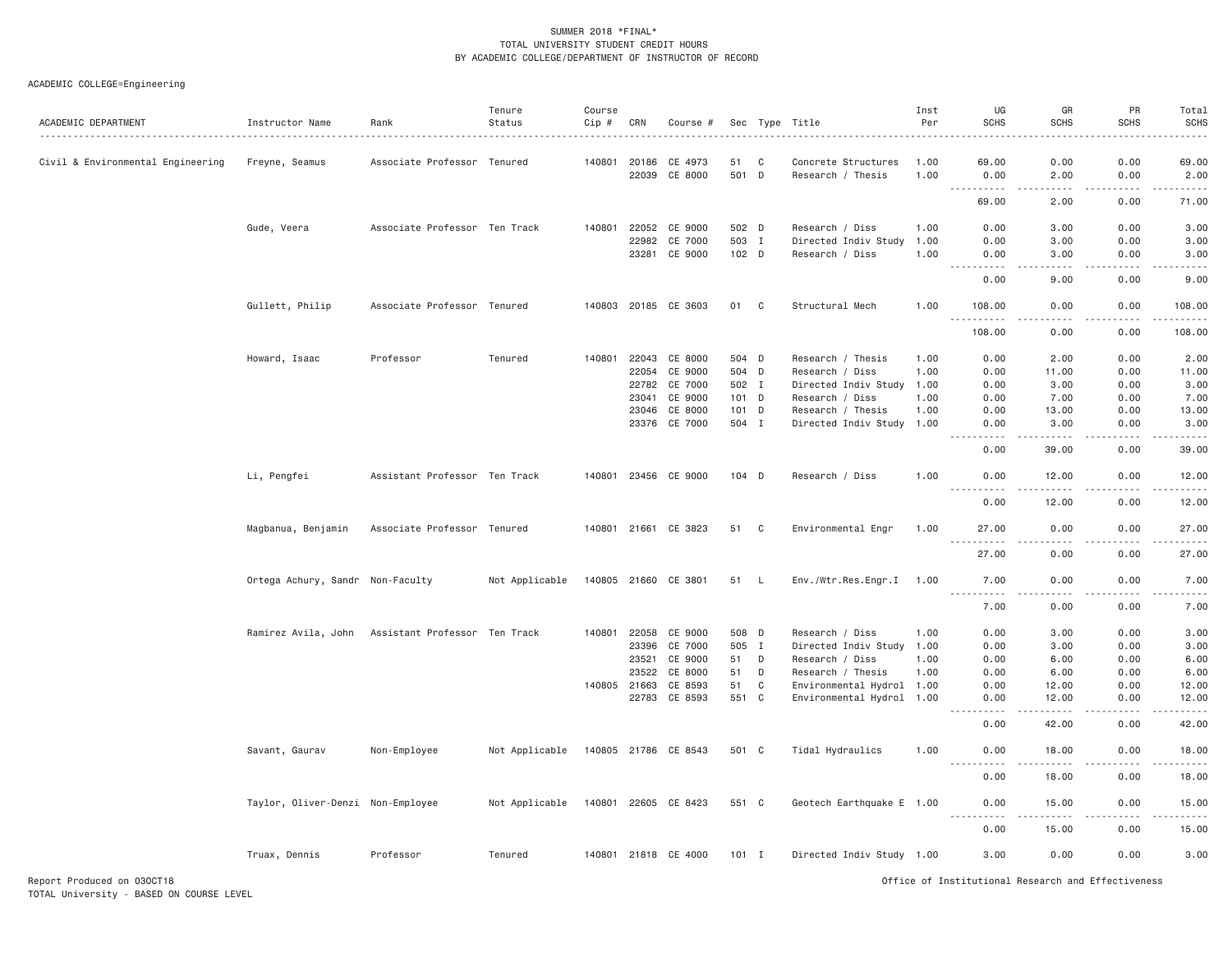## ACADEMIC COLLEGE=Engineering

| ACADEMIC DEPARTMENT               | Instructor Name                                   | Rank                          | Tenure<br>Status | Course<br>Cip # | CRN   | Course #             |         |     | Sec Type Title            | Inst<br>Per<br><u> - - - - - - - - - -</u> | UG<br><b>SCHS</b>                                                                                                                                                                                               | GR<br><b>SCHS</b>                                                                                                                                             | PR<br><b>SCHS</b>     | Total<br><b>SCHS</b><br>ه د د د د |
|-----------------------------------|---------------------------------------------------|-------------------------------|------------------|-----------------|-------|----------------------|---------|-----|---------------------------|--------------------------------------------|-----------------------------------------------------------------------------------------------------------------------------------------------------------------------------------------------------------------|---------------------------------------------------------------------------------------------------------------------------------------------------------------|-----------------------|-----------------------------------|
| Civil & Environmental Engineering | Freyne, Seamus                                    | Associate Professor Tenured   |                  | 140801          | 20186 | CE 4973              | 51      | C   | Concrete Structures       | 1,00                                       | 69.00                                                                                                                                                                                                           | 0.00                                                                                                                                                          | 0.00                  | 69.00                             |
|                                   |                                                   |                               |                  |                 | 22039 | CE 8000              | 501 D   |     | Research / Thesis         | 1.00                                       | 0.00<br><u>.</u>                                                                                                                                                                                                | 2.00<br>.                                                                                                                                                     | 0.00<br>.             | 2.00<br>.                         |
|                                   |                                                   |                               |                  |                 |       |                      |         |     |                           |                                            | 69.00                                                                                                                                                                                                           | 2.00                                                                                                                                                          | 0.00                  | 71.00                             |
|                                   | Gude, Veera                                       | Associate Professor Ten Track |                  | 140801          | 22052 | CE 9000              | 502 D   |     | Research / Diss           | 1.00                                       | 0.00                                                                                                                                                                                                            | 3.00                                                                                                                                                          | 0.00                  | 3.00                              |
|                                   |                                                   |                               |                  |                 | 22982 | CE 7000              | 503 I   |     | Directed Indiv Study      | 1.00                                       | 0.00                                                                                                                                                                                                            | 3.00                                                                                                                                                          | 0.00                  | 3.00                              |
|                                   |                                                   |                               |                  |                 | 23281 | CE 9000              | 102 D   |     | Research / Diss           | 1.00                                       | 0.00<br>.                                                                                                                                                                                                       | 3.00<br>----                                                                                                                                                  | 0.00<br>$\frac{1}{2}$ | 3.00<br>$- - - - -$               |
|                                   |                                                   |                               |                  |                 |       |                      |         |     |                           |                                            | 0.00                                                                                                                                                                                                            | 9.00                                                                                                                                                          | 0.00                  | 9.00                              |
|                                   | Gullett, Philip                                   | Associate Professor Tenured   |                  |                 |       | 140803 20185 CE 3603 | 01      | C   | Structural Mech           | 1.00                                       | 108.00                                                                                                                                                                                                          | 0.00                                                                                                                                                          | 0.00                  | 108.00<br>.                       |
|                                   |                                                   |                               |                  |                 |       |                      |         |     |                           |                                            | 108.00                                                                                                                                                                                                          | 0.00                                                                                                                                                          | 0.00                  | 108.00                            |
|                                   | Howard, Isaac                                     | Professor                     | Tenured          | 140801          | 22043 | CE 8000              | 504 D   |     | Research / Thesis         | 1.00                                       | 0.00                                                                                                                                                                                                            | 2.00                                                                                                                                                          | 0.00                  | 2.00                              |
|                                   |                                                   |                               |                  |                 | 22054 | CE 9000              | 504 D   |     | Research / Diss           | 1.00                                       | 0.00                                                                                                                                                                                                            | 11.00                                                                                                                                                         | 0.00                  | 11.00                             |
|                                   |                                                   |                               |                  |                 | 22782 | CE 7000              | 502 I   |     | Directed Indiv Study      | 1.00                                       | 0.00                                                                                                                                                                                                            | 3.00                                                                                                                                                          | 0.00                  | 3.00                              |
|                                   |                                                   |                               |                  |                 | 23041 | CE 9000              | 101 D   |     | Research / Diss           | 1.00                                       | 0.00                                                                                                                                                                                                            | 7.00                                                                                                                                                          | 0.00                  | 7.00                              |
|                                   |                                                   |                               |                  |                 | 23046 | CE 8000              | 101 D   |     | Research / Thesis         | 1.00                                       | 0.00                                                                                                                                                                                                            | 13.00                                                                                                                                                         | 0.00                  | 13.00                             |
|                                   |                                                   |                               |                  |                 | 23376 | CE 7000              | 504 I   |     | Directed Indiv Study 1.00 |                                            | 0.00<br>.                                                                                                                                                                                                       | 3.00<br>.                                                                                                                                                     | 0.00<br>$- - - -$     | 3.00<br>$- - - - -$               |
|                                   |                                                   |                               |                  |                 |       |                      |         |     |                           |                                            | 0.00                                                                                                                                                                                                            | 39.00                                                                                                                                                         | 0.00                  | 39.00                             |
|                                   | Li, Pengfei                                       | Assistant Professor Ten Track |                  |                 |       | 140801 23456 CE 9000 | $104$ D |     | Research / Diss           | 1.00                                       | 0.00<br>$\sim$ $\sim$ $\sim$<br>$\frac{1}{2} \left( \frac{1}{2} \right) \left( \frac{1}{2} \right) \left( \frac{1}{2} \right) \left( \frac{1}{2} \right) \left( \frac{1}{2} \right) \left( \frac{1}{2} \right)$ | 12.00<br>$\frac{1}{2} \left( \frac{1}{2} \right) \left( \frac{1}{2} \right) \left( \frac{1}{2} \right) \left( \frac{1}{2} \right) \left( \frac{1}{2} \right)$ | 0.00<br>.             | 12.00<br>.                        |
|                                   |                                                   |                               |                  |                 |       |                      |         |     |                           |                                            | 0.00                                                                                                                                                                                                            | 12.00                                                                                                                                                         | 0.00                  | 12.00                             |
|                                   | Magbanua, Benjamin                                | Associate Professor Tenured   |                  |                 |       | 140801 21661 CE 3823 | 51      | C   | Environmental Engr        | 1.00                                       | 27.00                                                                                                                                                                                                           | 0.00                                                                                                                                                          | 0.00                  | 27.00                             |
|                                   |                                                   |                               |                  |                 |       |                      |         |     |                           |                                            | .<br>27.00                                                                                                                                                                                                      | . <i>. .</i><br>0.00                                                                                                                                          | .<br>0.00             | .<br>27.00                        |
|                                   | Ortega Achury, Sandr Non-Faculty                  |                               | Not Applicable   | 140805 21660    |       | CE 3801              | 51      | - L | Env./Wtr.Res.Engr.I       | 1.00                                       | 7.00                                                                                                                                                                                                            | 0.00                                                                                                                                                          | 0.00                  | 7.00                              |
|                                   |                                                   |                               |                  |                 |       |                      |         |     |                           |                                            | .<br>7.00                                                                                                                                                                                                       | .<br>0.00                                                                                                                                                     | .<br>0.00             | $    -$<br>7.00                   |
|                                   | Ramirez Avila, John Assistant Professor Ten Track |                               |                  | 140801          | 22058 | CE 9000              | 508 D   |     | Research / Diss           | 1.00                                       | 0.00                                                                                                                                                                                                            | 3.00                                                                                                                                                          | 0.00                  | 3.00                              |
|                                   |                                                   |                               |                  |                 | 23396 | CE 7000              | 505     | I   | Directed Indiv Study      | 1.00                                       | 0.00                                                                                                                                                                                                            | 3.00                                                                                                                                                          | 0.00                  | 3.00                              |
|                                   |                                                   |                               |                  |                 | 23521 | CE 9000              | 51      | D   | Research / Diss           | 1.00                                       | 0.00                                                                                                                                                                                                            | 6.00                                                                                                                                                          | 0.00                  | 6.00                              |
|                                   |                                                   |                               |                  |                 | 23522 | CE 8000              | 51      | D   | Research / Thesis         | 1.00                                       | 0.00                                                                                                                                                                                                            | 6,00                                                                                                                                                          | 0.00                  | 6.00                              |
|                                   |                                                   |                               |                  | 140805 21663    |       | CE 8593              | 51      | C   | Environmental Hydrol 1.00 |                                            | 0.00                                                                                                                                                                                                            | 12.00                                                                                                                                                         | 0.00                  | 12.00                             |
|                                   |                                                   |                               |                  |                 | 22783 | CE 8593              | 551 C   |     | Environmental Hydrol 1.00 |                                            | 0.00<br>.                                                                                                                                                                                                       | 12.00<br>.                                                                                                                                                    | 0.00<br>.             | 12.00<br>.                        |
|                                   |                                                   |                               |                  |                 |       |                      |         |     |                           |                                            | 0.00                                                                                                                                                                                                            | 42.00                                                                                                                                                         | 0.00                  | 42.00                             |
|                                   | Savant, Gaurav                                    | Non-Employee                  | Not Applicable   |                 |       | 140805 21786 CE 8543 | 501 C   |     | Tidal Hydraulics          | 1.00                                       | 0.00                                                                                                                                                                                                            | 18.00                                                                                                                                                         | 0.00                  | 18.00                             |
|                                   |                                                   |                               |                  |                 |       |                      |         |     |                           |                                            | 0.00                                                                                                                                                                                                            | 18.00                                                                                                                                                         | 0.00                  | 18.00                             |
|                                   | Taylor, Oliver-Denzi Non-Employee                 |                               | Not Applicable   |                 |       | 140801 22605 CE 8423 | 551 C   |     | Geotech Earthquake E 1.00 |                                            | 0.00                                                                                                                                                                                                            | 15.00                                                                                                                                                         | 0.00                  | 15.00                             |
|                                   |                                                   |                               |                  |                 |       |                      |         |     |                           |                                            | 0.00                                                                                                                                                                                                            | 15.00                                                                                                                                                         | 0.00                  | والمستحدث<br>15.00                |
|                                   | Truax, Dennis                                     | Professor                     | Tenured          |                 |       | 140801 21818 CE 4000 | $101$ I |     | Directed Indiv Study 1.00 |                                            | 3,00                                                                                                                                                                                                            | 0.00                                                                                                                                                          | 0.00                  | 3.00                              |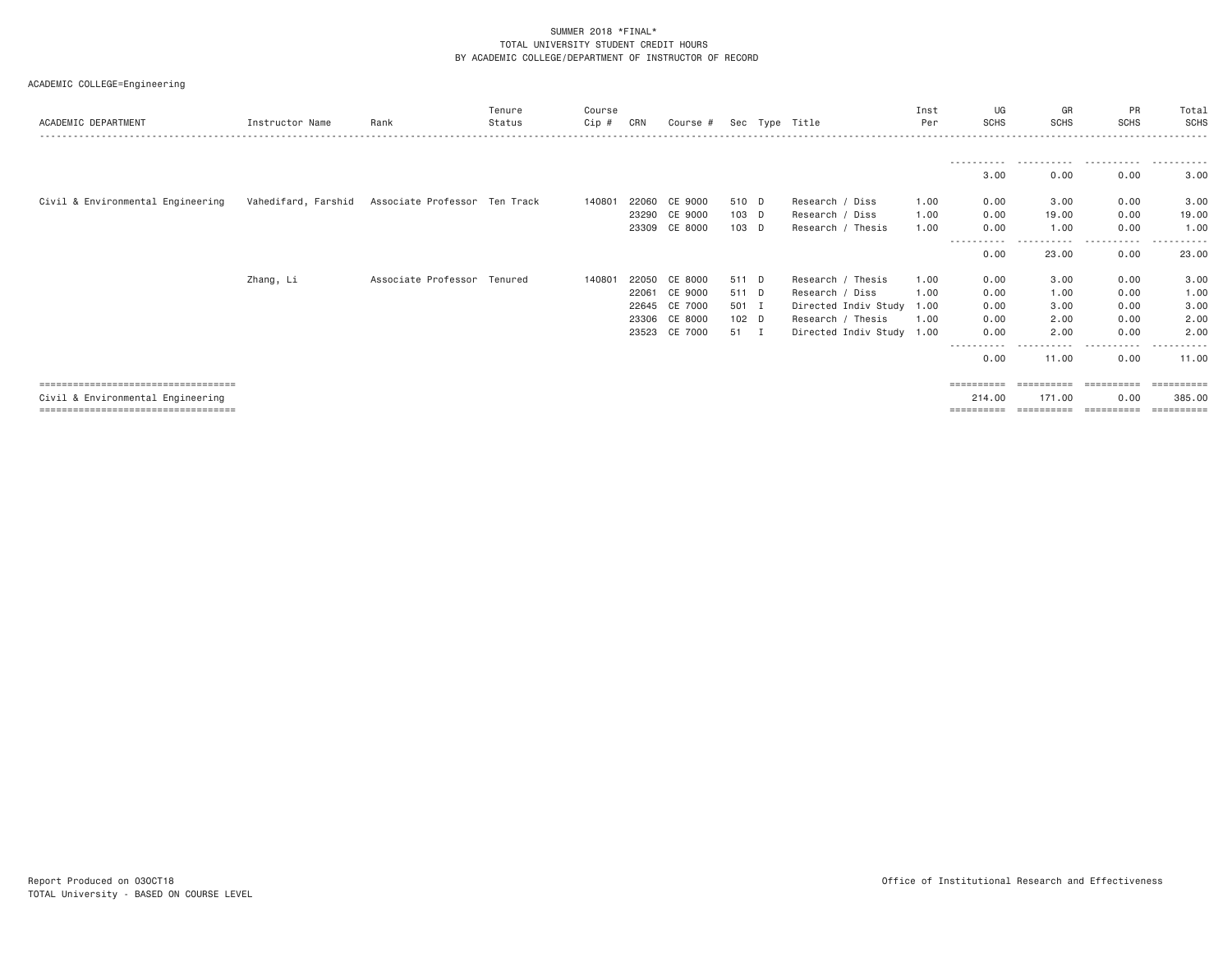| ACADEMIC DEPARTMENT                  | Instructor Name     | Rank                          | Tenure<br>Status | Course<br>Cip # | CRN   | Course #      |       | Sec Type Title            | Inst<br>Per | UG<br><b>SCHS</b>   | GR<br><b>SCHS</b>    | <b>PR</b><br><b>SCHS</b> | Total<br>SCHS |
|--------------------------------------|---------------------|-------------------------------|------------------|-----------------|-------|---------------|-------|---------------------------|-------------|---------------------|----------------------|--------------------------|---------------|
|                                      |                     |                               |                  |                 |       |               |       |                           |             |                     |                      |                          |               |
|                                      |                     |                               |                  |                 |       |               |       |                           |             | 3.00                | 0.00                 | 0.00                     | 3.00          |
| Civil & Environmental Engineering    | Vahedifard, Farshid | Associate Professor Ten Track |                  | 140801          | 22060 | CE 9000       | 510 D | Research / Diss           | 1.00        | 0.00                | 3.00                 | 0.00                     | 3.00          |
|                                      |                     |                               |                  |                 |       | 23290 CE 9000 | 103 D | Research / Diss           | 1.00        | 0.00                | 19,00                | 0.00                     | 19.00         |
|                                      |                     |                               |                  |                 | 23309 | CE 8000       | 103 D | Research / Thesis         | 1.00        | 0.00                | 1.00                 | 0.00                     | 1.00          |
|                                      |                     |                               |                  |                 |       |               |       |                           |             | 0.00                | 23.00                | 0.00                     | 23.00         |
|                                      | Zhang, Li           | Associate Professor Tenured   |                  | 140801          | 22050 | CE 8000       | 511 D | Research / Thesis         | 1.00        | 0.00                | 3.00                 | 0.00                     | 3.00          |
|                                      |                     |                               |                  |                 | 22061 | CE 9000       | 511 D | Research / Diss           | 1.00        | 0.00                | 1.00                 | 0.00                     | 1.00          |
|                                      |                     |                               |                  |                 | 22645 | CE 7000       | 501 I | Directed Indiv Study 1.00 |             | 0.00                | 3.00                 | 0.00                     | 3.00          |
|                                      |                     |                               |                  |                 | 23306 | CE 8000       | 102 D | Research / Thesis         | 1.00        | 0.00                | 2.00                 | 0.00                     | 2.00          |
|                                      |                     |                               |                  |                 | 23523 | CE 7000       | 51 I  | Directed Indiv Study 1.00 |             | 0.00                | 2.00                 | 0.00                     | 2,00          |
|                                      |                     |                               |                  |                 |       |               |       |                           |             | -----------<br>0.00 | -----------<br>11.00 | .<br>0.00                | .<br>11.00    |
| ==================================== |                     |                               |                  |                 |       |               |       |                           |             |                     | ==========           | ==========               |               |
| Civil & Environmental Engineering    |                     |                               |                  |                 |       |               |       |                           |             | 214,00              | 171.00               | 0.00                     | 385,00        |
| ==================================== |                     |                               |                  |                 |       |               |       |                           |             | ==========          | ==========           | ==========               | ==========    |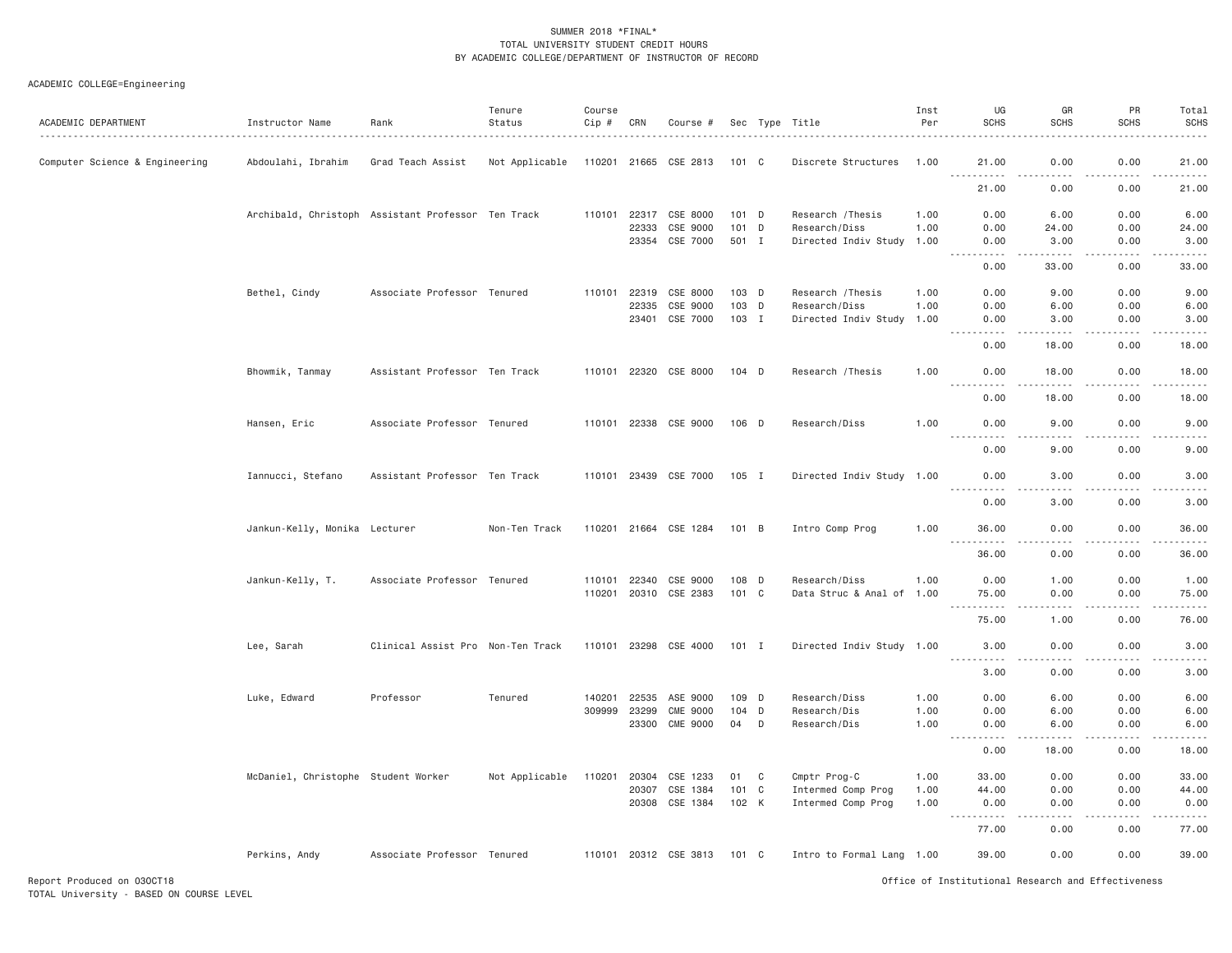## ACADEMIC COLLEGE=Engineering

| ACADEMIC DEPARTMENT            | Instructor Name<br>.                               | Rank                              | Tenure<br>Status | Course<br>Cip # | CRN   | Course #              |         |   | Sec Type Title            | Inst<br>Per | UG<br><b>SCHS</b>                                                                                                                                                        | GR<br><b>SCHS</b> | PR<br><b>SCHS</b>            | Total<br><b>SCHS</b>                                                                                                                                         |
|--------------------------------|----------------------------------------------------|-----------------------------------|------------------|-----------------|-------|-----------------------|---------|---|---------------------------|-------------|--------------------------------------------------------------------------------------------------------------------------------------------------------------------------|-------------------|------------------------------|--------------------------------------------------------------------------------------------------------------------------------------------------------------|
| Computer Science & Engineering | Abdoulahi, Ibrahim                                 | Grad Teach Assist                 | Not Applicable   | 110201 21665    |       | CSE 2813              | 101 C   |   | Discrete Structures       | 1.00        | 21.00<br>$- - -$<br>.                                                                                                                                                    | 0.00<br>.         | 0.00<br>.                    | 21.00<br>.                                                                                                                                                   |
|                                |                                                    |                                   |                  |                 |       |                       |         |   |                           |             | 21.00                                                                                                                                                                    | 0.00              | 0.00                         | 21.00                                                                                                                                                        |
|                                | Archibald, Christoph Assistant Professor Ten Track |                                   |                  | 110101          | 22317 | CSE 8000              | $101$ D |   | Research / Thesis         | 1.00        | 0.00                                                                                                                                                                     | 6.00              | 0.00                         | 6.00                                                                                                                                                         |
|                                |                                                    |                                   |                  |                 | 22333 | CSE 9000              | 101 D   |   | Research/Diss             | 1.00        | 0.00                                                                                                                                                                     | 24.00             | 0.00                         | 24.00                                                                                                                                                        |
|                                |                                                    |                                   |                  |                 | 23354 | CSE 7000              | 501 I   |   | Directed Indiv Study      | 1.00        | 0.00<br>$2 - 2 - 2 - 2$                                                                                                                                                  | 3.00<br>.         | 0.00<br>.                    | 3.00<br>$    -$                                                                                                                                              |
|                                |                                                    |                                   |                  |                 |       |                       |         |   |                           |             | 0.00                                                                                                                                                                     | 33.00             | 0.00                         | 33.00                                                                                                                                                        |
|                                | Bethel, Cindy                                      | Associate Professor Tenured       |                  | 110101          | 22319 | CSE 8000              | 103 D   |   | Research / Thesis         | 1.00        | 0.00                                                                                                                                                                     | 9.00              | 0.00                         | 9.00                                                                                                                                                         |
|                                |                                                    |                                   |                  |                 | 22335 | CSE 9000              | 103 D   |   | Research/Diss             | 1.00        | 0.00                                                                                                                                                                     | 6.00              | 0.00                         | 6.00                                                                                                                                                         |
|                                |                                                    |                                   |                  |                 | 23401 | CSE 7000              | 103 I   |   | Directed Indiv Study      | 1.00        | 0.00<br>.                                                                                                                                                                | 3.00<br>.         | 0.00<br>.                    | 3.00<br>$\frac{1}{2} \left( \frac{1}{2} \right) \left( \frac{1}{2} \right) \left( \frac{1}{2} \right) \left( \frac{1}{2} \right) \left( \frac{1}{2} \right)$ |
|                                |                                                    |                                   |                  |                 |       |                       |         |   |                           |             | 0.00                                                                                                                                                                     | 18.00             | 0.00                         | 18.00                                                                                                                                                        |
|                                | Bhowmik, Tanmay                                    | Assistant Professor Ten Track     |                  |                 |       | 110101 22320 CSE 8000 | $104$ D |   | Research / Thesis         | 1.00        | 0.00                                                                                                                                                                     | 18.00             | 0.00                         | 18.00                                                                                                                                                        |
|                                |                                                    |                                   |                  |                 |       |                       |         |   |                           |             | $\sim$ $\sim$ $\sim$<br>0.00                                                                                                                                             | 18.00             | $\sim$ $\sim$ $\sim$<br>0.00 | $   -$<br>18.00                                                                                                                                              |
|                                | Hansen, Eric                                       | Associate Professor Tenured       |                  |                 |       | 110101 22338 CSE 9000 | 106 D   |   | Research/Diss             | 1.00        | 0.00                                                                                                                                                                     | 9.00              | 0.00                         | 9,00                                                                                                                                                         |
|                                |                                                    |                                   |                  |                 |       |                       |         |   |                           |             | 0.00                                                                                                                                                                     | 9.00              | 0.00                         | 9.00                                                                                                                                                         |
|                                | Iannucci, Stefano                                  | Assistant Professor Ten Track     |                  |                 |       | 110101 23439 CSE 7000 | 105 I   |   | Directed Indiv Study 1.00 |             | 0.00<br>.                                                                                                                                                                | 3.00<br>د د د د   | 0.00<br>.                    | 3.00<br>$- - - - -$                                                                                                                                          |
|                                |                                                    |                                   |                  |                 |       |                       |         |   |                           |             | 0.00                                                                                                                                                                     | 3.00              | 0.00                         | 3.00                                                                                                                                                         |
|                                | Jankun-Kelly, Monika Lecturer                      |                                   | Non-Ten Track    | 110201 21664    |       | CSE 1284              | 101 B   |   | Intro Comp Prog           | 1.00        | 36.00<br>.                                                                                                                                                               | 0.00<br>$- - -$   | 0.00<br>د د د د              | 36.00<br>.                                                                                                                                                   |
|                                |                                                    |                                   |                  |                 |       |                       |         |   |                           |             | 36.00                                                                                                                                                                    | 0.00              | 0.00                         | 36.00                                                                                                                                                        |
|                                | Jankun-Kelly, T.                                   | Associate Professor Tenured       |                  | 110101          | 22340 | CSE 9000              | 108 D   |   | Research/Diss             | 1.00        | 0.00                                                                                                                                                                     | 1.00              | 0.00                         | 1.00                                                                                                                                                         |
|                                |                                                    |                                   |                  | 110201          | 20310 | CSE 2383              | 101 C   |   | Data Struc & Anal of 1.00 |             | 75.00                                                                                                                                                                    | 0.00              | 0.00                         | 75.00                                                                                                                                                        |
|                                |                                                    |                                   |                  |                 |       |                       |         |   |                           |             | 75.00                                                                                                                                                                    | 1,00              | 0.00                         | $    -$<br>76.00                                                                                                                                             |
|                                |                                                    |                                   |                  |                 |       |                       |         |   |                           |             |                                                                                                                                                                          |                   |                              |                                                                                                                                                              |
|                                | Lee, Sarah                                         | Clinical Assist Pro Non-Ten Track |                  | 110101 23298    |       | CSE 4000              | $101$ I |   | Directed Indiv Study 1.00 |             | 3.00<br>$\frac{1}{2}$                                                                                                                                                    | 0.00              | 0.00                         | 3.00<br>$\frac{1}{2}$                                                                                                                                        |
|                                |                                                    |                                   |                  |                 |       |                       |         |   |                           |             | 3.00                                                                                                                                                                     | 0.00              | 0.00                         | 3.00                                                                                                                                                         |
|                                | Luke, Edward                                       | Professor                         | Tenured          | 140201          | 22535 | ASE 9000              | 109 D   |   | Research/Diss             | 1.00        | 0.00                                                                                                                                                                     | 6.00              | 0.00                         | 6.00                                                                                                                                                         |
|                                |                                                    |                                   |                  | 309999          | 23299 | <b>CME 9000</b>       | 104 D   |   | Research/Dis              | 1.00        | 0.00                                                                                                                                                                     | 6.00              | 0.00                         | 6.00                                                                                                                                                         |
|                                |                                                    |                                   |                  |                 | 23300 | <b>CME 9000</b>       | 04      | D | Research/Dis              | 1.00        | 0.00<br>$\frac{1}{2} \left( \frac{1}{2} \right) \left( \frac{1}{2} \right) \left( \frac{1}{2} \right) \left( \frac{1}{2} \right) \left( \frac{1}{2} \right)$<br>$\cdots$ | 6.00<br>.         | 0.00<br>.                    | 6.00<br>$\sim$ $\sim$ $\sim$ $\sim$ $\sim$                                                                                                                   |
|                                |                                                    |                                   |                  |                 |       |                       |         |   |                           |             | 0.00                                                                                                                                                                     | 18.00             | 0.00                         | 18.00                                                                                                                                                        |
|                                | McDaniel, Christophe Student Worker                |                                   | Not Applicable   | 110201          | 20304 | CSE 1233              | 01      | C | Cmptr Prog-C              | 1.00        | 33.00                                                                                                                                                                    | 0.00              | 0.00                         | 33.00                                                                                                                                                        |
|                                |                                                    |                                   |                  |                 | 20307 | CSE 1384              | 101 C   |   | Intermed Comp Prog        | 1.00        | 44.00                                                                                                                                                                    | 0.00              | 0.00                         | 44.00                                                                                                                                                        |
|                                |                                                    |                                   |                  |                 | 20308 | CSE 1384              | 102 K   |   | Intermed Comp Prog        | 1.00        | 0.00<br>$  -$<br>.                                                                                                                                                       | 0.00<br>$- - - -$ | 0.00<br>.                    | 0.00<br>.                                                                                                                                                    |
|                                |                                                    |                                   |                  |                 |       |                       |         |   |                           |             | 77.00                                                                                                                                                                    | 0.00              | 0.00                         | 77.00                                                                                                                                                        |
|                                | Perkins, Andy                                      | Associate Professor Tenured       |                  |                 |       | 110101 20312 CSE 3813 | 101 C   |   | Intro to Formal Lang 1.00 |             | 39.00                                                                                                                                                                    | 0.00              | 0.00                         | 39.00                                                                                                                                                        |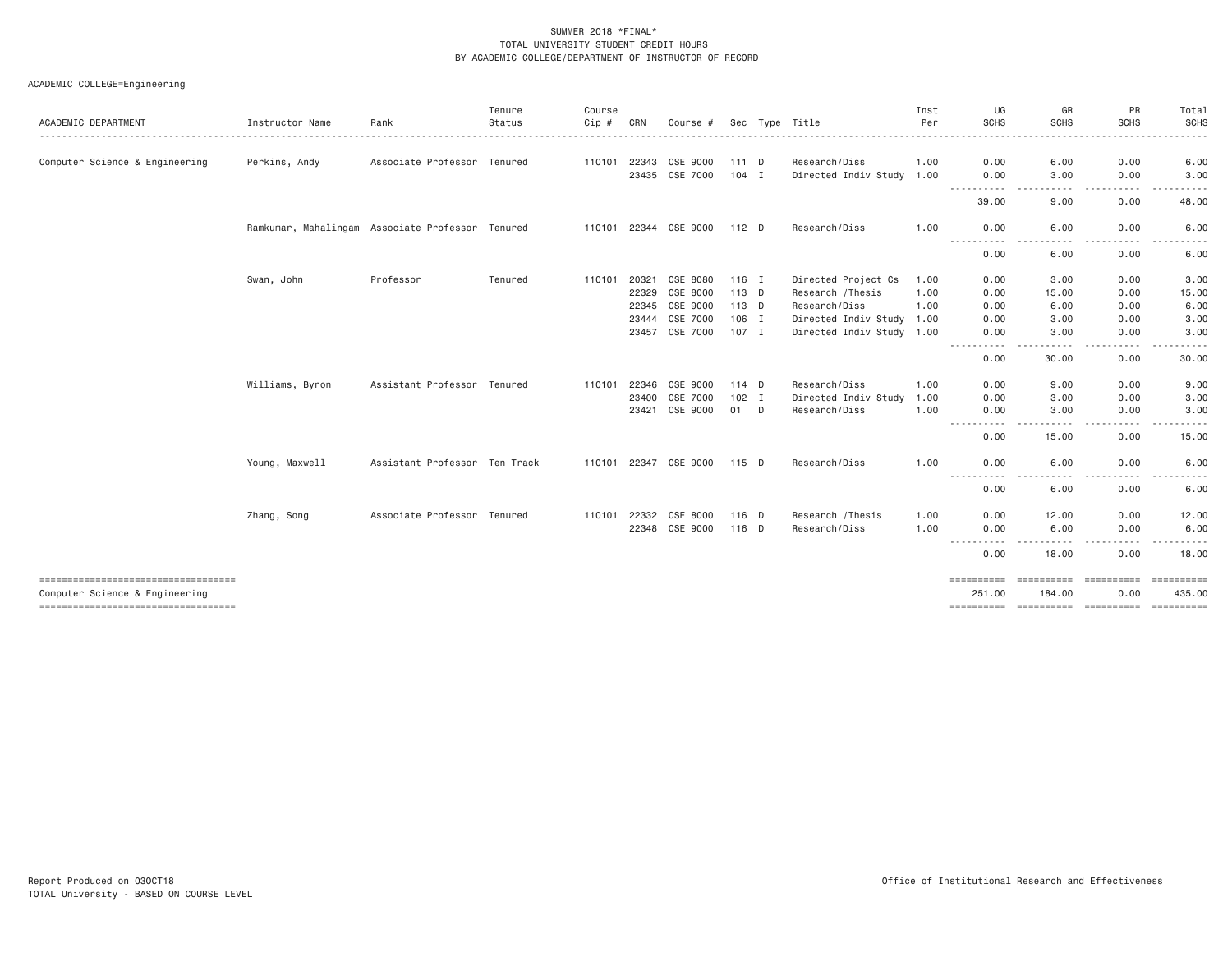|                                                                        |                 |                                                  | Tenure  | Course                |       |                       |         |                           | Inst | UG                       | GR                         | PR                                                                                                                             | Total            |
|------------------------------------------------------------------------|-----------------|--------------------------------------------------|---------|-----------------------|-------|-----------------------|---------|---------------------------|------|--------------------------|----------------------------|--------------------------------------------------------------------------------------------------------------------------------|------------------|
| <b>ACADEMIC DEPARTMENT</b>                                             | Instructor Name | Rank                                             | Status  | Cip #<br>. <b>.</b> . | CRN   | Course #              |         | Sec Type Title            | Per  | <b>SCHS</b><br><u>.</u>  | <b>SCHS</b><br>.           | <b>SCHS</b>                                                                                                                    | <b>SCHS</b><br>. |
| Computer Science & Engineering                                         | Perkins, Andy   | Associate Professor Tenured                      |         | 110101                | 22343 | CSE 9000              | $111$ D | Research/Diss             | 1.00 | 0.00                     | 6.00                       | 0.00                                                                                                                           | 6.00             |
|                                                                        |                 |                                                  |         |                       |       | 23435 CSE 7000        | $104$ I | Directed Indiv Study 1.00 |      | 0.00                     | 3,00                       | 0.00                                                                                                                           | 3.00             |
|                                                                        |                 |                                                  |         |                       |       |                       |         |                           |      | .<br>39.00               | $- - - -$<br>9.00          | -----<br>$\cdots$<br>0.00                                                                                                      | .<br>48.00       |
|                                                                        |                 | Ramkumar, Mahalingam Associate Professor Tenured |         |                       |       | 110101 22344 CSE 9000 | 112 D   | Research/Diss             | 1.00 | 0.00                     | 6.00                       | 0.00                                                                                                                           | 6.00             |
|                                                                        |                 |                                                  |         |                       |       |                       |         |                           |      | 0.00                     | 6.00                       | 0.00                                                                                                                           | 6.00             |
|                                                                        | Swan, John      | Professor                                        | Tenured | 110101                | 20321 | CSE 8080              | $116$ I | Directed Project Cs       | 1.00 | 0.00                     | 3,00                       | 0.00                                                                                                                           | 3.00             |
|                                                                        |                 |                                                  |         |                       | 22329 | CSE 8000              | 113 D   | Research / Thesis         | 1.00 | 0.00                     | 15.00                      | 0.00                                                                                                                           | 15.00            |
|                                                                        |                 |                                                  |         |                       | 22345 | CSE 9000              | 113 D   | Research/Diss             | 1.00 | 0.00                     | 6.00                       | 0.00                                                                                                                           | 6.00             |
|                                                                        |                 |                                                  |         |                       | 23444 | CSE 7000              | 106 I   | Directed Indiv Study 1.00 |      | 0.00                     | 3,00                       | 0.00                                                                                                                           | 3.00             |
|                                                                        |                 |                                                  |         |                       | 23457 | CSE 7000              | 107 I   | Directed Indiv Study 1.00 |      | 0.00<br>$\cdots$<br>---- | 3.00<br>----               | 0.00<br>$\frac{1}{2}$                                                                                                          | 3.00<br>-----    |
|                                                                        |                 |                                                  |         |                       |       |                       |         |                           |      | 0.00                     | 30.00                      | 0.00                                                                                                                           | 30.00            |
|                                                                        | Williams, Byron | Assistant Professor Tenured                      |         | 110101                | 22346 | CSE 9000              | 114 D   | Research/Diss             | 1.00 | 0.00                     | 9.00                       | 0.00                                                                                                                           | 9.00             |
|                                                                        |                 |                                                  |         |                       | 23400 | CSE 7000              | $102$ I | Directed Indiv Study      | 1.00 | 0.00                     | 3.00                       | 0.00                                                                                                                           | 3.00             |
|                                                                        |                 |                                                  |         |                       | 23421 | CSE 9000              | 01 D    | Research/Diss             | 1.00 | 0.00                     | 3.00                       | 0.00                                                                                                                           | 3.00             |
|                                                                        |                 |                                                  |         |                       |       |                       |         |                           |      | ------<br>.<br>0.00      | ----<br>15.00              | .<br>0.00                                                                                                                      | 15.00            |
|                                                                        | Young, Maxwell  | Assistant Professor Ten Track                    |         |                       |       | 110101 22347 CSE 9000 | 115 D   | Research/Diss             | 1.00 | 0.00                     | 6.00                       | 0.00                                                                                                                           | 6.00             |
|                                                                        |                 |                                                  |         |                       |       |                       |         |                           |      | -----------<br>0.00      | $- - - -$<br>6.00          | .<br>0.00                                                                                                                      | 6.00             |
|                                                                        | Zhang, Song     | Associate Professor Tenured                      |         | 110101                | 22332 | CSE 8000              | 116 D   | Research / Thesis         | 1.00 | 0.00                     | 12.00                      | 0.00                                                                                                                           | 12.00            |
|                                                                        |                 |                                                  |         |                       |       | 22348 CSE 9000        | 116 D   | Research/Diss             | 1.00 | 0.00                     | 6.00                       | 0.00                                                                                                                           | 6.00             |
|                                                                        |                 |                                                  |         |                       |       |                       |         |                           |      |                          | $\cdots$                   | .<br>$\frac{1}{2} \left( \frac{1}{2} \right) \left( \frac{1}{2} \right) \left( \frac{1}{2} \right) \left( \frac{1}{2} \right)$ | .                |
|                                                                        |                 |                                                  |         |                       |       |                       |         |                           |      | 0.00                     | 18.00                      | 0.00                                                                                                                           | 18.00            |
| ====================================<br>Computer Science & Engineering |                 |                                                  |         |                       |       |                       |         |                           |      | ==========<br>251.00     | <b>EBBERSBER</b><br>184.00 | seesseesse<br>0.00                                                                                                             | 435.00           |
| ----------------------------------                                     |                 |                                                  |         |                       |       |                       |         |                           |      |                          |                            |                                                                                                                                |                  |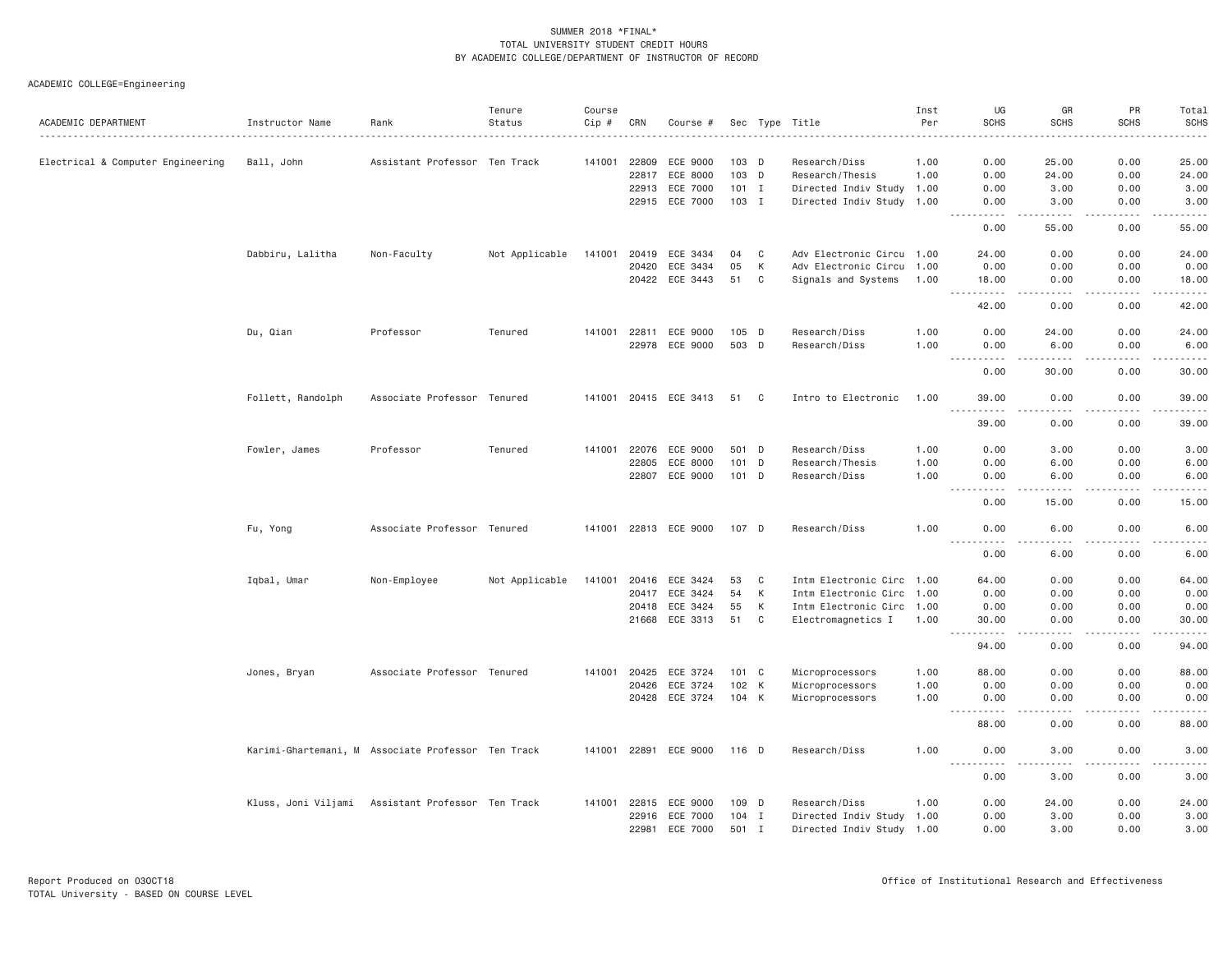| 0.00<br>25.00<br>Electrical & Computer Engineering<br>Ball, John<br>Assistant Professor Ten Track<br>141001<br>22809<br>ECE 9000<br>103 D<br>1.00<br>0.00<br>25.00<br>Research/Diss<br>103 D<br>22817<br>ECE 8000<br>Research/Thesis<br>1.00<br>0.00<br>24.00<br>0.00<br>24.00<br>22913<br>ECE 7000<br>$101$ I<br>Directed Indiv Study 1.00<br>0.00<br>3.00<br>0.00<br>3.00<br>22915 ECE 7000<br>103 I<br>Directed Indiv Study 1.00<br>3.00<br>0.00<br>3.00<br>0.00<br>$\sim$ $\sim$ $\sim$<br>.<br>0.00<br>55.00<br>0.00<br>55.00<br>Adv Electronic Circu 1.00<br>Dabbiru, Lalitha<br>Non-Faculty<br>Not Applicable<br>141001<br>20419<br>ECE 3434<br>04<br>C<br>24.00<br>0.00<br>0.00<br>24.00<br>05<br>K<br>Adv Electronic Circu 1.00<br>20420<br>ECE 3434<br>0.00<br>0.00<br>0.00<br>0.00<br>20422<br>ECE 3443<br>51<br>$\mathbf{C}$<br>Signals and Systems<br>18.00<br>0.00<br>0.00<br>18.00<br>1.00<br>.<br>$\frac{1}{2}$<br>$    -$<br>$\frac{1}{2}$<br>42.00<br>0.00<br>0.00<br>42.00<br>0.00<br>Du, Qian<br>Professor<br>Tenured<br>141001 22811<br>ECE 9000<br>105 D<br>Research/Diss<br>1.00<br>0.00<br>24.00<br>24.00<br>ECE 9000<br>503 D<br>22978<br>Research/Diss<br>1,00<br>0.00<br>6.00<br>0.00<br>6,00<br>$\frac{1}{2}$<br>30.00<br>0.00<br>30.00<br>0.00<br>Follett, Randolph<br>Associate Professor Tenured<br>141001 20415 ECE 3413<br>51<br>C <sub>1</sub><br>Intro to Electronic<br>1,00<br>39.00<br>0.00<br>0.00<br>39.00<br>$\sim$ $\sim$ $\sim$<br>.<br>.<br>$   -$<br>.<br>39.00<br>39.00<br>0.00<br>0.00<br>Fowler, James<br>Professor<br>Tenured<br>141001 22076 ECE 9000<br>501 D<br>Research/Diss<br>1.00<br>0.00<br>3.00<br>0.00<br>3.00<br>22805<br>ECE 8000<br>101<br>D<br>Research/Thesis<br>1.00<br>0.00<br>6.00<br>0.00<br>6.00<br>22807 ECE 9000<br>101 D<br>Research/Diss<br>1.00<br>0.00<br>6.00<br>0.00<br>6.00<br>$\frac{1}{2} \left( \frac{1}{2} \right) \left( \frac{1}{2} \right) \left( \frac{1}{2} \right) \left( \frac{1}{2} \right) \left( \frac{1}{2} \right)$<br>$\frac{1}{2}$<br>.<br>.<br>$\frac{1}{2} \left( \frac{1}{2} \right) \left( \frac{1}{2} \right) \left( \frac{1}{2} \right) \left( \frac{1}{2} \right) \left( \frac{1}{2} \right)$<br>0.00<br>15.00<br>0.00<br>15.00<br>Fu, Yong<br>Associate Professor Tenured<br>141001 22813 ECE 9000<br>107 D<br>Research/Diss<br>1.00<br>0.00<br>0.00<br>6.00<br>6.00<br>.<br>.<br>.<br>المتمامين<br>.<br>0.00<br>6.00<br>0.00<br>6.00<br>ECE 3424<br>Intm Electronic Circ 1.00<br>0.00<br>Iqbal, Umar<br>Non-Employee<br>Not Applicable<br>141001<br>20416<br>53<br>C<br>64.00<br>0.00<br>64.00<br>К<br>20417<br>ECE 3424<br>54<br>Intm Electronic Circ 1.00<br>0.00<br>0.00<br>0.00<br>0.00<br>ECE 3424<br>55<br>К<br>Intm Electronic Circ 1.00<br>0.00<br>0.00<br>0.00<br>20418<br>0.00<br>21668<br>ECE 3313<br>51<br>C<br>Electromagnetics I<br>1.00<br>30.00<br>0.00<br>0.00<br>30.00<br>.<br>د د د د<br>.<br>.<br>$\sim$ $\sim$ $\sim$<br>94.00<br>0.00<br>0.00<br>94.00<br>Jones, Bryan<br>Associate Professor Tenured<br>20425<br>ECE 3724<br>101 C<br>Microprocessors<br>1.00<br>88.00<br>0.00<br>0.00<br>88.00<br>141001<br>ECE 3724<br>102 K<br>20426<br>Microprocessors<br>1.00<br>0.00<br>0.00<br>0.00<br>0.00<br>20428 ECE 3724<br>104 K<br>Microprocessors<br>1.00<br>0.00<br>0.00<br>0.00<br>0.00<br>----<br>.<br>$- - - -$<br>والمستحدث<br>$\sim$ $\sim$ $\sim$<br>88.00<br>0.00<br>0.00<br>88.00<br>1.00<br>0.00<br>Karimi-Ghartemani, M Associate Professor Ten Track<br>141001 22891<br>ECE 9000<br>116 D<br>Research/Diss<br>0.00<br>3.00<br>3.00<br>----<br>0.00<br>3.00<br>0.00<br>3.00<br>Kluss, Joni Viljami Assistant Professor Ten Track<br>Research/Diss<br>0.00<br>24.00<br>141001<br>22815<br>ECE 9000<br>109 D<br>1.00<br>0.00<br>24.00<br>22916<br>ECE 7000<br>$104$ I<br>Directed Indiv Study 1.00<br>0.00<br>3.00<br>0.00<br>3.00<br>ECE 7000<br>22981<br>501 I<br>Directed Indiv Study 1.00<br>0.00<br>3.00<br>0.00<br>3.00 | ACADEMIC DEPARTMENT | Instructor Name | Rank | Tenure<br>Status | Course<br>Cip # | CRN | Course # |  | Sec Type Title | Inst<br>Per | UG<br><b>SCHS</b> | GR<br><b>SCHS</b> | PR<br><b>SCHS</b> | Total<br><b>SCHS</b> |
|----------------------------------------------------------------------------------------------------------------------------------------------------------------------------------------------------------------------------------------------------------------------------------------------------------------------------------------------------------------------------------------------------------------------------------------------------------------------------------------------------------------------------------------------------------------------------------------------------------------------------------------------------------------------------------------------------------------------------------------------------------------------------------------------------------------------------------------------------------------------------------------------------------------------------------------------------------------------------------------------------------------------------------------------------------------------------------------------------------------------------------------------------------------------------------------------------------------------------------------------------------------------------------------------------------------------------------------------------------------------------------------------------------------------------------------------------------------------------------------------------------------------------------------------------------------------------------------------------------------------------------------------------------------------------------------------------------------------------------------------------------------------------------------------------------------------------------------------------------------------------------------------------------------------------------------------------------------------------------------------------------------------------------------------------------------------------------------------------------------------------------------------------------------------------------------------------------------------------------------------------------------------------------------------------------------------------------------------------------------------------------------------------------------------------------------------------------------------------------------------------------------------------------------------------------------------------------------------------------------------------------------------------------------------------------------------------------------------------------------------------------------------------------------------------------------------------------------------------------------------------------------------------------------------------------------------------------------------------------------------------------------------------------------------------------------------------------------------------------------------------------------------------------------------------------------------------------------------------------------------------------------------------------------------------------------------------------------------------------------------------------------------------------------------------------------------------------------------------------------------------------------------------------------------------------------------------------------------------------------------------------------------------------------------------------------------------------------------------------------------------------------------------------------------------------------------------------------------------------------------------------------------------------------------------------------------------------------------|---------------------|-----------------|------|------------------|-----------------|-----|----------|--|----------------|-------------|-------------------|-------------------|-------------------|----------------------|
|                                                                                                                                                                                                                                                                                                                                                                                                                                                                                                                                                                                                                                                                                                                                                                                                                                                                                                                                                                                                                                                                                                                                                                                                                                                                                                                                                                                                                                                                                                                                                                                                                                                                                                                                                                                                                                                                                                                                                                                                                                                                                                                                                                                                                                                                                                                                                                                                                                                                                                                                                                                                                                                                                                                                                                                                                                                                                                                                                                                                                                                                                                                                                                                                                                                                                                                                                                                                                                                                                                                                                                                                                                                                                                                                                                                                                                                                                                                                                                      |                     |                 |      |                  |                 |     |          |  |                |             |                   |                   |                   |                      |
|                                                                                                                                                                                                                                                                                                                                                                                                                                                                                                                                                                                                                                                                                                                                                                                                                                                                                                                                                                                                                                                                                                                                                                                                                                                                                                                                                                                                                                                                                                                                                                                                                                                                                                                                                                                                                                                                                                                                                                                                                                                                                                                                                                                                                                                                                                                                                                                                                                                                                                                                                                                                                                                                                                                                                                                                                                                                                                                                                                                                                                                                                                                                                                                                                                                                                                                                                                                                                                                                                                                                                                                                                                                                                                                                                                                                                                                                                                                                                                      |                     |                 |      |                  |                 |     |          |  |                |             |                   |                   |                   |                      |
|                                                                                                                                                                                                                                                                                                                                                                                                                                                                                                                                                                                                                                                                                                                                                                                                                                                                                                                                                                                                                                                                                                                                                                                                                                                                                                                                                                                                                                                                                                                                                                                                                                                                                                                                                                                                                                                                                                                                                                                                                                                                                                                                                                                                                                                                                                                                                                                                                                                                                                                                                                                                                                                                                                                                                                                                                                                                                                                                                                                                                                                                                                                                                                                                                                                                                                                                                                                                                                                                                                                                                                                                                                                                                                                                                                                                                                                                                                                                                                      |                     |                 |      |                  |                 |     |          |  |                |             |                   |                   |                   |                      |
|                                                                                                                                                                                                                                                                                                                                                                                                                                                                                                                                                                                                                                                                                                                                                                                                                                                                                                                                                                                                                                                                                                                                                                                                                                                                                                                                                                                                                                                                                                                                                                                                                                                                                                                                                                                                                                                                                                                                                                                                                                                                                                                                                                                                                                                                                                                                                                                                                                                                                                                                                                                                                                                                                                                                                                                                                                                                                                                                                                                                                                                                                                                                                                                                                                                                                                                                                                                                                                                                                                                                                                                                                                                                                                                                                                                                                                                                                                                                                                      |                     |                 |      |                  |                 |     |          |  |                |             |                   |                   |                   |                      |
|                                                                                                                                                                                                                                                                                                                                                                                                                                                                                                                                                                                                                                                                                                                                                                                                                                                                                                                                                                                                                                                                                                                                                                                                                                                                                                                                                                                                                                                                                                                                                                                                                                                                                                                                                                                                                                                                                                                                                                                                                                                                                                                                                                                                                                                                                                                                                                                                                                                                                                                                                                                                                                                                                                                                                                                                                                                                                                                                                                                                                                                                                                                                                                                                                                                                                                                                                                                                                                                                                                                                                                                                                                                                                                                                                                                                                                                                                                                                                                      |                     |                 |      |                  |                 |     |          |  |                |             |                   |                   |                   |                      |
|                                                                                                                                                                                                                                                                                                                                                                                                                                                                                                                                                                                                                                                                                                                                                                                                                                                                                                                                                                                                                                                                                                                                                                                                                                                                                                                                                                                                                                                                                                                                                                                                                                                                                                                                                                                                                                                                                                                                                                                                                                                                                                                                                                                                                                                                                                                                                                                                                                                                                                                                                                                                                                                                                                                                                                                                                                                                                                                                                                                                                                                                                                                                                                                                                                                                                                                                                                                                                                                                                                                                                                                                                                                                                                                                                                                                                                                                                                                                                                      |                     |                 |      |                  |                 |     |          |  |                |             |                   |                   |                   |                      |
|                                                                                                                                                                                                                                                                                                                                                                                                                                                                                                                                                                                                                                                                                                                                                                                                                                                                                                                                                                                                                                                                                                                                                                                                                                                                                                                                                                                                                                                                                                                                                                                                                                                                                                                                                                                                                                                                                                                                                                                                                                                                                                                                                                                                                                                                                                                                                                                                                                                                                                                                                                                                                                                                                                                                                                                                                                                                                                                                                                                                                                                                                                                                                                                                                                                                                                                                                                                                                                                                                                                                                                                                                                                                                                                                                                                                                                                                                                                                                                      |                     |                 |      |                  |                 |     |          |  |                |             |                   |                   |                   |                      |
|                                                                                                                                                                                                                                                                                                                                                                                                                                                                                                                                                                                                                                                                                                                                                                                                                                                                                                                                                                                                                                                                                                                                                                                                                                                                                                                                                                                                                                                                                                                                                                                                                                                                                                                                                                                                                                                                                                                                                                                                                                                                                                                                                                                                                                                                                                                                                                                                                                                                                                                                                                                                                                                                                                                                                                                                                                                                                                                                                                                                                                                                                                                                                                                                                                                                                                                                                                                                                                                                                                                                                                                                                                                                                                                                                                                                                                                                                                                                                                      |                     |                 |      |                  |                 |     |          |  |                |             |                   |                   |                   |                      |
|                                                                                                                                                                                                                                                                                                                                                                                                                                                                                                                                                                                                                                                                                                                                                                                                                                                                                                                                                                                                                                                                                                                                                                                                                                                                                                                                                                                                                                                                                                                                                                                                                                                                                                                                                                                                                                                                                                                                                                                                                                                                                                                                                                                                                                                                                                                                                                                                                                                                                                                                                                                                                                                                                                                                                                                                                                                                                                                                                                                                                                                                                                                                                                                                                                                                                                                                                                                                                                                                                                                                                                                                                                                                                                                                                                                                                                                                                                                                                                      |                     |                 |      |                  |                 |     |          |  |                |             |                   |                   |                   |                      |
|                                                                                                                                                                                                                                                                                                                                                                                                                                                                                                                                                                                                                                                                                                                                                                                                                                                                                                                                                                                                                                                                                                                                                                                                                                                                                                                                                                                                                                                                                                                                                                                                                                                                                                                                                                                                                                                                                                                                                                                                                                                                                                                                                                                                                                                                                                                                                                                                                                                                                                                                                                                                                                                                                                                                                                                                                                                                                                                                                                                                                                                                                                                                                                                                                                                                                                                                                                                                                                                                                                                                                                                                                                                                                                                                                                                                                                                                                                                                                                      |                     |                 |      |                  |                 |     |          |  |                |             |                   |                   |                   |                      |
|                                                                                                                                                                                                                                                                                                                                                                                                                                                                                                                                                                                                                                                                                                                                                                                                                                                                                                                                                                                                                                                                                                                                                                                                                                                                                                                                                                                                                                                                                                                                                                                                                                                                                                                                                                                                                                                                                                                                                                                                                                                                                                                                                                                                                                                                                                                                                                                                                                                                                                                                                                                                                                                                                                                                                                                                                                                                                                                                                                                                                                                                                                                                                                                                                                                                                                                                                                                                                                                                                                                                                                                                                                                                                                                                                                                                                                                                                                                                                                      |                     |                 |      |                  |                 |     |          |  |                |             |                   |                   |                   |                      |
|                                                                                                                                                                                                                                                                                                                                                                                                                                                                                                                                                                                                                                                                                                                                                                                                                                                                                                                                                                                                                                                                                                                                                                                                                                                                                                                                                                                                                                                                                                                                                                                                                                                                                                                                                                                                                                                                                                                                                                                                                                                                                                                                                                                                                                                                                                                                                                                                                                                                                                                                                                                                                                                                                                                                                                                                                                                                                                                                                                                                                                                                                                                                                                                                                                                                                                                                                                                                                                                                                                                                                                                                                                                                                                                                                                                                                                                                                                                                                                      |                     |                 |      |                  |                 |     |          |  |                |             |                   |                   |                   |                      |
|                                                                                                                                                                                                                                                                                                                                                                                                                                                                                                                                                                                                                                                                                                                                                                                                                                                                                                                                                                                                                                                                                                                                                                                                                                                                                                                                                                                                                                                                                                                                                                                                                                                                                                                                                                                                                                                                                                                                                                                                                                                                                                                                                                                                                                                                                                                                                                                                                                                                                                                                                                                                                                                                                                                                                                                                                                                                                                                                                                                                                                                                                                                                                                                                                                                                                                                                                                                                                                                                                                                                                                                                                                                                                                                                                                                                                                                                                                                                                                      |                     |                 |      |                  |                 |     |          |  |                |             |                   |                   |                   |                      |
|                                                                                                                                                                                                                                                                                                                                                                                                                                                                                                                                                                                                                                                                                                                                                                                                                                                                                                                                                                                                                                                                                                                                                                                                                                                                                                                                                                                                                                                                                                                                                                                                                                                                                                                                                                                                                                                                                                                                                                                                                                                                                                                                                                                                                                                                                                                                                                                                                                                                                                                                                                                                                                                                                                                                                                                                                                                                                                                                                                                                                                                                                                                                                                                                                                                                                                                                                                                                                                                                                                                                                                                                                                                                                                                                                                                                                                                                                                                                                                      |                     |                 |      |                  |                 |     |          |  |                |             |                   |                   |                   |                      |
|                                                                                                                                                                                                                                                                                                                                                                                                                                                                                                                                                                                                                                                                                                                                                                                                                                                                                                                                                                                                                                                                                                                                                                                                                                                                                                                                                                                                                                                                                                                                                                                                                                                                                                                                                                                                                                                                                                                                                                                                                                                                                                                                                                                                                                                                                                                                                                                                                                                                                                                                                                                                                                                                                                                                                                                                                                                                                                                                                                                                                                                                                                                                                                                                                                                                                                                                                                                                                                                                                                                                                                                                                                                                                                                                                                                                                                                                                                                                                                      |                     |                 |      |                  |                 |     |          |  |                |             |                   |                   |                   |                      |
|                                                                                                                                                                                                                                                                                                                                                                                                                                                                                                                                                                                                                                                                                                                                                                                                                                                                                                                                                                                                                                                                                                                                                                                                                                                                                                                                                                                                                                                                                                                                                                                                                                                                                                                                                                                                                                                                                                                                                                                                                                                                                                                                                                                                                                                                                                                                                                                                                                                                                                                                                                                                                                                                                                                                                                                                                                                                                                                                                                                                                                                                                                                                                                                                                                                                                                                                                                                                                                                                                                                                                                                                                                                                                                                                                                                                                                                                                                                                                                      |                     |                 |      |                  |                 |     |          |  |                |             |                   |                   |                   |                      |
|                                                                                                                                                                                                                                                                                                                                                                                                                                                                                                                                                                                                                                                                                                                                                                                                                                                                                                                                                                                                                                                                                                                                                                                                                                                                                                                                                                                                                                                                                                                                                                                                                                                                                                                                                                                                                                                                                                                                                                                                                                                                                                                                                                                                                                                                                                                                                                                                                                                                                                                                                                                                                                                                                                                                                                                                                                                                                                                                                                                                                                                                                                                                                                                                                                                                                                                                                                                                                                                                                                                                                                                                                                                                                                                                                                                                                                                                                                                                                                      |                     |                 |      |                  |                 |     |          |  |                |             |                   |                   |                   |                      |
|                                                                                                                                                                                                                                                                                                                                                                                                                                                                                                                                                                                                                                                                                                                                                                                                                                                                                                                                                                                                                                                                                                                                                                                                                                                                                                                                                                                                                                                                                                                                                                                                                                                                                                                                                                                                                                                                                                                                                                                                                                                                                                                                                                                                                                                                                                                                                                                                                                                                                                                                                                                                                                                                                                                                                                                                                                                                                                                                                                                                                                                                                                                                                                                                                                                                                                                                                                                                                                                                                                                                                                                                                                                                                                                                                                                                                                                                                                                                                                      |                     |                 |      |                  |                 |     |          |  |                |             |                   |                   |                   |                      |
|                                                                                                                                                                                                                                                                                                                                                                                                                                                                                                                                                                                                                                                                                                                                                                                                                                                                                                                                                                                                                                                                                                                                                                                                                                                                                                                                                                                                                                                                                                                                                                                                                                                                                                                                                                                                                                                                                                                                                                                                                                                                                                                                                                                                                                                                                                                                                                                                                                                                                                                                                                                                                                                                                                                                                                                                                                                                                                                                                                                                                                                                                                                                                                                                                                                                                                                                                                                                                                                                                                                                                                                                                                                                                                                                                                                                                                                                                                                                                                      |                     |                 |      |                  |                 |     |          |  |                |             |                   |                   |                   |                      |
|                                                                                                                                                                                                                                                                                                                                                                                                                                                                                                                                                                                                                                                                                                                                                                                                                                                                                                                                                                                                                                                                                                                                                                                                                                                                                                                                                                                                                                                                                                                                                                                                                                                                                                                                                                                                                                                                                                                                                                                                                                                                                                                                                                                                                                                                                                                                                                                                                                                                                                                                                                                                                                                                                                                                                                                                                                                                                                                                                                                                                                                                                                                                                                                                                                                                                                                                                                                                                                                                                                                                                                                                                                                                                                                                                                                                                                                                                                                                                                      |                     |                 |      |                  |                 |     |          |  |                |             |                   |                   |                   |                      |
|                                                                                                                                                                                                                                                                                                                                                                                                                                                                                                                                                                                                                                                                                                                                                                                                                                                                                                                                                                                                                                                                                                                                                                                                                                                                                                                                                                                                                                                                                                                                                                                                                                                                                                                                                                                                                                                                                                                                                                                                                                                                                                                                                                                                                                                                                                                                                                                                                                                                                                                                                                                                                                                                                                                                                                                                                                                                                                                                                                                                                                                                                                                                                                                                                                                                                                                                                                                                                                                                                                                                                                                                                                                                                                                                                                                                                                                                                                                                                                      |                     |                 |      |                  |                 |     |          |  |                |             |                   |                   |                   |                      |
|                                                                                                                                                                                                                                                                                                                                                                                                                                                                                                                                                                                                                                                                                                                                                                                                                                                                                                                                                                                                                                                                                                                                                                                                                                                                                                                                                                                                                                                                                                                                                                                                                                                                                                                                                                                                                                                                                                                                                                                                                                                                                                                                                                                                                                                                                                                                                                                                                                                                                                                                                                                                                                                                                                                                                                                                                                                                                                                                                                                                                                                                                                                                                                                                                                                                                                                                                                                                                                                                                                                                                                                                                                                                                                                                                                                                                                                                                                                                                                      |                     |                 |      |                  |                 |     |          |  |                |             |                   |                   |                   |                      |
|                                                                                                                                                                                                                                                                                                                                                                                                                                                                                                                                                                                                                                                                                                                                                                                                                                                                                                                                                                                                                                                                                                                                                                                                                                                                                                                                                                                                                                                                                                                                                                                                                                                                                                                                                                                                                                                                                                                                                                                                                                                                                                                                                                                                                                                                                                                                                                                                                                                                                                                                                                                                                                                                                                                                                                                                                                                                                                                                                                                                                                                                                                                                                                                                                                                                                                                                                                                                                                                                                                                                                                                                                                                                                                                                                                                                                                                                                                                                                                      |                     |                 |      |                  |                 |     |          |  |                |             |                   |                   |                   |                      |
|                                                                                                                                                                                                                                                                                                                                                                                                                                                                                                                                                                                                                                                                                                                                                                                                                                                                                                                                                                                                                                                                                                                                                                                                                                                                                                                                                                                                                                                                                                                                                                                                                                                                                                                                                                                                                                                                                                                                                                                                                                                                                                                                                                                                                                                                                                                                                                                                                                                                                                                                                                                                                                                                                                                                                                                                                                                                                                                                                                                                                                                                                                                                                                                                                                                                                                                                                                                                                                                                                                                                                                                                                                                                                                                                                                                                                                                                                                                                                                      |                     |                 |      |                  |                 |     |          |  |                |             |                   |                   |                   |                      |
|                                                                                                                                                                                                                                                                                                                                                                                                                                                                                                                                                                                                                                                                                                                                                                                                                                                                                                                                                                                                                                                                                                                                                                                                                                                                                                                                                                                                                                                                                                                                                                                                                                                                                                                                                                                                                                                                                                                                                                                                                                                                                                                                                                                                                                                                                                                                                                                                                                                                                                                                                                                                                                                                                                                                                                                                                                                                                                                                                                                                                                                                                                                                                                                                                                                                                                                                                                                                                                                                                                                                                                                                                                                                                                                                                                                                                                                                                                                                                                      |                     |                 |      |                  |                 |     |          |  |                |             |                   |                   |                   |                      |
|                                                                                                                                                                                                                                                                                                                                                                                                                                                                                                                                                                                                                                                                                                                                                                                                                                                                                                                                                                                                                                                                                                                                                                                                                                                                                                                                                                                                                                                                                                                                                                                                                                                                                                                                                                                                                                                                                                                                                                                                                                                                                                                                                                                                                                                                                                                                                                                                                                                                                                                                                                                                                                                                                                                                                                                                                                                                                                                                                                                                                                                                                                                                                                                                                                                                                                                                                                                                                                                                                                                                                                                                                                                                                                                                                                                                                                                                                                                                                                      |                     |                 |      |                  |                 |     |          |  |                |             |                   |                   |                   |                      |
|                                                                                                                                                                                                                                                                                                                                                                                                                                                                                                                                                                                                                                                                                                                                                                                                                                                                                                                                                                                                                                                                                                                                                                                                                                                                                                                                                                                                                                                                                                                                                                                                                                                                                                                                                                                                                                                                                                                                                                                                                                                                                                                                                                                                                                                                                                                                                                                                                                                                                                                                                                                                                                                                                                                                                                                                                                                                                                                                                                                                                                                                                                                                                                                                                                                                                                                                                                                                                                                                                                                                                                                                                                                                                                                                                                                                                                                                                                                                                                      |                     |                 |      |                  |                 |     |          |  |                |             |                   |                   |                   |                      |
|                                                                                                                                                                                                                                                                                                                                                                                                                                                                                                                                                                                                                                                                                                                                                                                                                                                                                                                                                                                                                                                                                                                                                                                                                                                                                                                                                                                                                                                                                                                                                                                                                                                                                                                                                                                                                                                                                                                                                                                                                                                                                                                                                                                                                                                                                                                                                                                                                                                                                                                                                                                                                                                                                                                                                                                                                                                                                                                                                                                                                                                                                                                                                                                                                                                                                                                                                                                                                                                                                                                                                                                                                                                                                                                                                                                                                                                                                                                                                                      |                     |                 |      |                  |                 |     |          |  |                |             |                   |                   |                   |                      |
|                                                                                                                                                                                                                                                                                                                                                                                                                                                                                                                                                                                                                                                                                                                                                                                                                                                                                                                                                                                                                                                                                                                                                                                                                                                                                                                                                                                                                                                                                                                                                                                                                                                                                                                                                                                                                                                                                                                                                                                                                                                                                                                                                                                                                                                                                                                                                                                                                                                                                                                                                                                                                                                                                                                                                                                                                                                                                                                                                                                                                                                                                                                                                                                                                                                                                                                                                                                                                                                                                                                                                                                                                                                                                                                                                                                                                                                                                                                                                                      |                     |                 |      |                  |                 |     |          |  |                |             |                   |                   |                   |                      |
|                                                                                                                                                                                                                                                                                                                                                                                                                                                                                                                                                                                                                                                                                                                                                                                                                                                                                                                                                                                                                                                                                                                                                                                                                                                                                                                                                                                                                                                                                                                                                                                                                                                                                                                                                                                                                                                                                                                                                                                                                                                                                                                                                                                                                                                                                                                                                                                                                                                                                                                                                                                                                                                                                                                                                                                                                                                                                                                                                                                                                                                                                                                                                                                                                                                                                                                                                                                                                                                                                                                                                                                                                                                                                                                                                                                                                                                                                                                                                                      |                     |                 |      |                  |                 |     |          |  |                |             |                   |                   |                   |                      |
|                                                                                                                                                                                                                                                                                                                                                                                                                                                                                                                                                                                                                                                                                                                                                                                                                                                                                                                                                                                                                                                                                                                                                                                                                                                                                                                                                                                                                                                                                                                                                                                                                                                                                                                                                                                                                                                                                                                                                                                                                                                                                                                                                                                                                                                                                                                                                                                                                                                                                                                                                                                                                                                                                                                                                                                                                                                                                                                                                                                                                                                                                                                                                                                                                                                                                                                                                                                                                                                                                                                                                                                                                                                                                                                                                                                                                                                                                                                                                                      |                     |                 |      |                  |                 |     |          |  |                |             |                   |                   |                   |                      |
|                                                                                                                                                                                                                                                                                                                                                                                                                                                                                                                                                                                                                                                                                                                                                                                                                                                                                                                                                                                                                                                                                                                                                                                                                                                                                                                                                                                                                                                                                                                                                                                                                                                                                                                                                                                                                                                                                                                                                                                                                                                                                                                                                                                                                                                                                                                                                                                                                                                                                                                                                                                                                                                                                                                                                                                                                                                                                                                                                                                                                                                                                                                                                                                                                                                                                                                                                                                                                                                                                                                                                                                                                                                                                                                                                                                                                                                                                                                                                                      |                     |                 |      |                  |                 |     |          |  |                |             |                   |                   |                   |                      |
|                                                                                                                                                                                                                                                                                                                                                                                                                                                                                                                                                                                                                                                                                                                                                                                                                                                                                                                                                                                                                                                                                                                                                                                                                                                                                                                                                                                                                                                                                                                                                                                                                                                                                                                                                                                                                                                                                                                                                                                                                                                                                                                                                                                                                                                                                                                                                                                                                                                                                                                                                                                                                                                                                                                                                                                                                                                                                                                                                                                                                                                                                                                                                                                                                                                                                                                                                                                                                                                                                                                                                                                                                                                                                                                                                                                                                                                                                                                                                                      |                     |                 |      |                  |                 |     |          |  |                |             |                   |                   |                   |                      |
|                                                                                                                                                                                                                                                                                                                                                                                                                                                                                                                                                                                                                                                                                                                                                                                                                                                                                                                                                                                                                                                                                                                                                                                                                                                                                                                                                                                                                                                                                                                                                                                                                                                                                                                                                                                                                                                                                                                                                                                                                                                                                                                                                                                                                                                                                                                                                                                                                                                                                                                                                                                                                                                                                                                                                                                                                                                                                                                                                                                                                                                                                                                                                                                                                                                                                                                                                                                                                                                                                                                                                                                                                                                                                                                                                                                                                                                                                                                                                                      |                     |                 |      |                  |                 |     |          |  |                |             |                   |                   |                   |                      |
|                                                                                                                                                                                                                                                                                                                                                                                                                                                                                                                                                                                                                                                                                                                                                                                                                                                                                                                                                                                                                                                                                                                                                                                                                                                                                                                                                                                                                                                                                                                                                                                                                                                                                                                                                                                                                                                                                                                                                                                                                                                                                                                                                                                                                                                                                                                                                                                                                                                                                                                                                                                                                                                                                                                                                                                                                                                                                                                                                                                                                                                                                                                                                                                                                                                                                                                                                                                                                                                                                                                                                                                                                                                                                                                                                                                                                                                                                                                                                                      |                     |                 |      |                  |                 |     |          |  |                |             |                   |                   |                   |                      |
|                                                                                                                                                                                                                                                                                                                                                                                                                                                                                                                                                                                                                                                                                                                                                                                                                                                                                                                                                                                                                                                                                                                                                                                                                                                                                                                                                                                                                                                                                                                                                                                                                                                                                                                                                                                                                                                                                                                                                                                                                                                                                                                                                                                                                                                                                                                                                                                                                                                                                                                                                                                                                                                                                                                                                                                                                                                                                                                                                                                                                                                                                                                                                                                                                                                                                                                                                                                                                                                                                                                                                                                                                                                                                                                                                                                                                                                                                                                                                                      |                     |                 |      |                  |                 |     |          |  |                |             |                   |                   |                   |                      |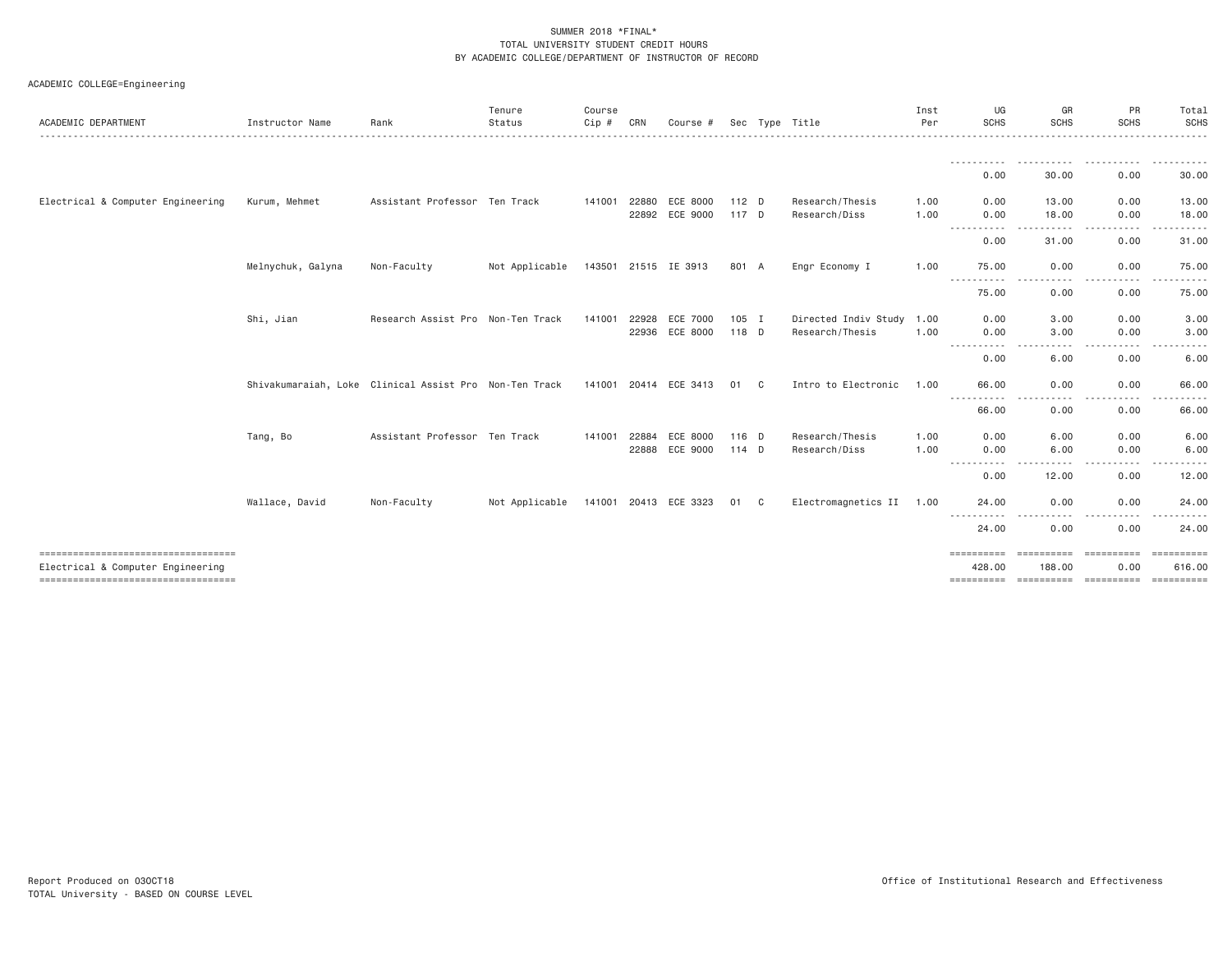| ACADEMIC DEPARTMENT | Instructor Name | Rank | Tenure<br>Status | Course<br>CRN<br>Cip # | Course # Sec Type Title |  | Inst<br>Per | UG<br><b>SCHS</b>   | GR<br>SCHS | PR<br><b>SCHS</b> | Total<br>SCHS |
|---------------------|-----------------|------|------------------|------------------------|-------------------------|--|-------------|---------------------|------------|-------------------|---------------|
|                     |                 |      |                  |                        |                         |  |             | -----------<br>0.00 | 30.00      | 0.00              | 30.00         |

ACADEMIC COLLEGE=Engineering

|                                      |                                                        |                                   |                |        |       |                       |         |    |                      |      | - - - - - - - - - - -  | .                      | .                                                                                                                                                                                                                                                                                                                    |                                   |
|--------------------------------------|--------------------------------------------------------|-----------------------------------|----------------|--------|-------|-----------------------|---------|----|----------------------|------|------------------------|------------------------|----------------------------------------------------------------------------------------------------------------------------------------------------------------------------------------------------------------------------------------------------------------------------------------------------------------------|-----------------------------------|
|                                      |                                                        |                                   |                |        |       |                       |         |    |                      |      | 0.00                   | 30.00                  | 0.00                                                                                                                                                                                                                                                                                                                 | 30.00                             |
| Electrical & Computer Engineering    | Kurum, Mehmet                                          | Assistant Professor Ten Track     |                | 141001 | 22880 | ECE 8000              | 112 D   |    | Research/Thesis      | 1.00 | 0.00                   | 13,00                  | 0.00                                                                                                                                                                                                                                                                                                                 | 13.00                             |
|                                      |                                                        |                                   |                |        | 22892 | ECE 9000              | 117 D   |    | Research/Diss        | 1.00 | 0.00<br>-----------    | 18.00<br>.<br>$ -$     | 0.00<br>$\frac{1}{2} \left( \frac{1}{2} \right) \left( \frac{1}{2} \right) \left( \frac{1}{2} \right) \left( \frac{1}{2} \right) \left( \frac{1}{2} \right) \left( \frac{1}{2} \right)$<br>$\frac{1}{2} \left( \frac{1}{2} \right) \left( \frac{1}{2} \right) \left( \frac{1}{2} \right) \left( \frac{1}{2} \right)$ | 18.00<br>.                        |
|                                      |                                                        |                                   |                |        |       |                       |         |    |                      |      | 0.00                   | 31.00                  | 0.00                                                                                                                                                                                                                                                                                                                 | 31.00                             |
|                                      | Melnychuk, Galyna                                      | Non-Faculty                       | Not Applicable |        |       | 143501 21515 IE 3913  | 801 A   |    | Engr Economy I       | 1.00 | 75.00                  | 0.00                   | 0.00                                                                                                                                                                                                                                                                                                                 | 75.00                             |
|                                      |                                                        |                                   |                |        |       |                       |         |    |                      |      | .<br>75.00             | -----<br>0.00          | -----<br>$\cdots$<br>0.00                                                                                                                                                                                                                                                                                            | ------<br>$- - -$<br>75.00        |
|                                      | Shi, Jian                                              | Research Assist Pro Non-Ten Track |                | 141001 | 22928 | ECE 7000              | 105 I   |    | Directed Indiv Study | 1.00 | 0.00                   | 3,00                   | 0.00                                                                                                                                                                                                                                                                                                                 | 3.00                              |
|                                      |                                                        |                                   |                |        | 22936 | ECE 8000              | 118 D   |    | Research/Thesis      | 1,00 | 0.00<br>-----------    | 3,00<br>.<br>$- - - -$ | 0.00<br>.<br>$\frac{1}{2} \left( \frac{1}{2} \right) \left( \frac{1}{2} \right) \left( \frac{1}{2} \right) \left( \frac{1}{2} \right)$                                                                                                                                                                               | 3,00<br>.<br>$\sim$ $\sim$ $\sim$ |
|                                      |                                                        |                                   |                |        |       |                       |         |    |                      |      | 0.00                   | 6.00                   | 0.00                                                                                                                                                                                                                                                                                                                 | 6.00                              |
|                                      | Shivakumaraiah, Loke Clinical Assist Pro Non-Ten Track |                                   |                |        |       | 141001 20414 ECE 3413 | 01      | C  | Intro to Electronic  | 1.00 | 66,00<br>$\frac{1}{2}$ | 0.00                   | 0.00<br>.                                                                                                                                                                                                                                                                                                            | 66.00                             |
|                                      |                                                        |                                   |                |        |       |                       |         |    |                      |      | 66.00                  | 0.00                   | 0.00                                                                                                                                                                                                                                                                                                                 | 66.00                             |
|                                      | Tang, Bo                                               | Assistant Professor Ten Track     |                | 141001 | 22884 | ECE 8000              | 116 D   |    | Research/Thesis      | 1.00 | 0.00                   | 6.00                   | 0.00                                                                                                                                                                                                                                                                                                                 | 6.00                              |
|                                      |                                                        |                                   |                |        | 22888 | ECE 9000              | $114$ D |    | Research/Diss        | 1.00 | 0.00<br>. <u>.</u> .   | 6.00                   | 0.00<br>$- - - -$                                                                                                                                                                                                                                                                                                    | 6.00<br>- - - - -                 |
|                                      |                                                        |                                   |                |        |       |                       |         |    |                      |      | 0.00                   | 12.00                  | 0.00                                                                                                                                                                                                                                                                                                                 | 12.00                             |
|                                      | Wallace, David                                         | Non-Faculty                       | Not Applicable |        |       | 141001 20413 ECE 3323 | 01      | C. | Electromagnetics II  | 1.00 | 24.00                  | 0.00                   | 0.00                                                                                                                                                                                                                                                                                                                 | 24.00                             |
|                                      |                                                        |                                   |                |        |       |                       |         |    |                      |      | $\frac{1}{2}$<br>24.00 | 0.00                   | .<br>0.00                                                                                                                                                                                                                                                                                                            | 24.00                             |
| Electrical & Computer Engineering    |                                                        |                                   |                |        |       |                       |         |    |                      |      | ==========<br>428.00   | -----------<br>188,00  | EEEEEEEEE<br>0.00                                                                                                                                                                                                                                                                                                    | $=$ = = = = = = = = =<br>616.00   |
| ==================================== |                                                        |                                   |                |        |       |                       |         |    |                      |      | $=$ = = = = = = = = =  |                        | $=$ = = = = = = = = =                                                                                                                                                                                                                                                                                                | $=$ = = = = = = = = =             |

SCHS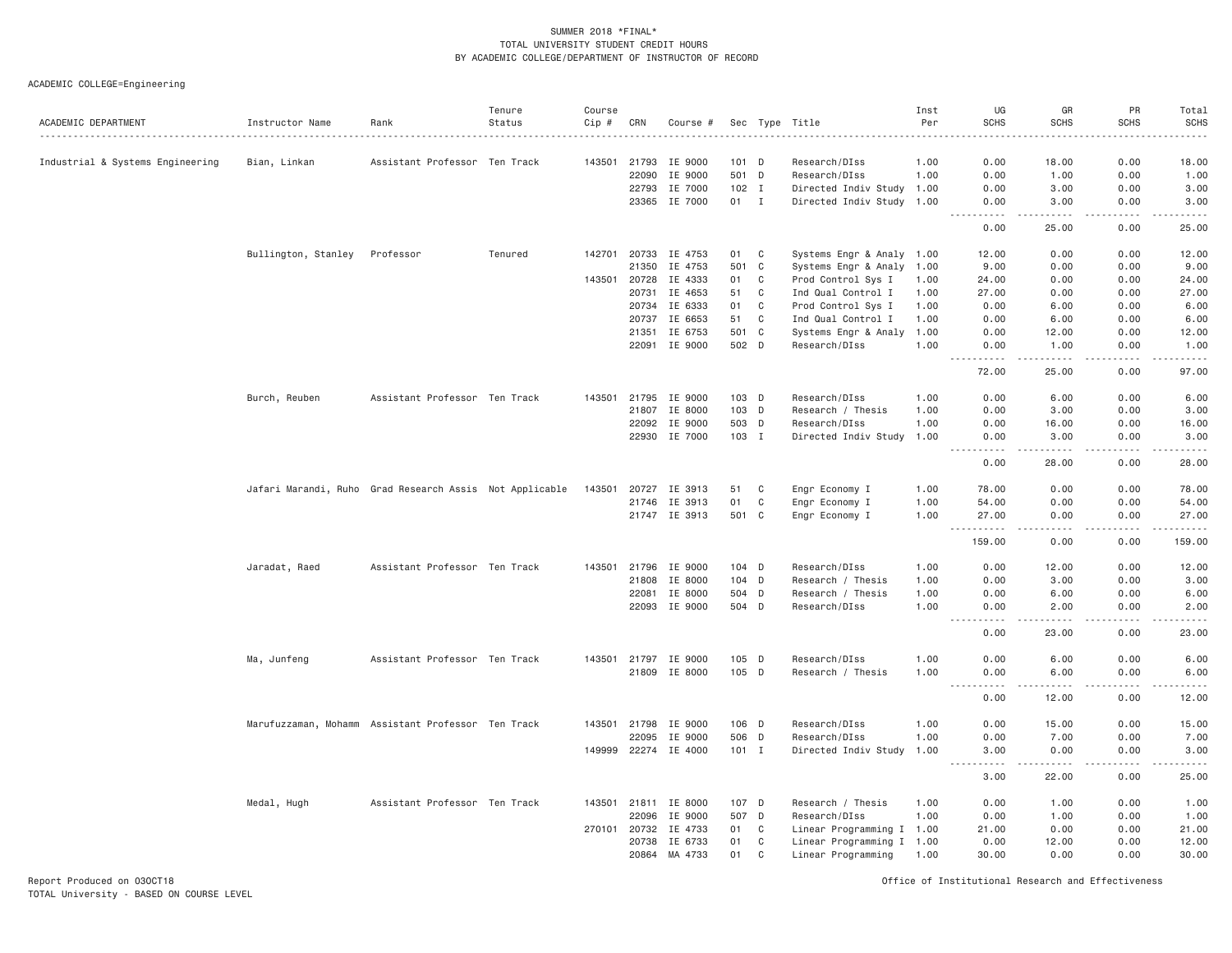ACADEMIC COLLEGE=Engineering

| ACADEMIC DEPARTMENT              | Instructor Name     | Rank                                                    | Tenure<br>Status | Course<br>Cip # | CRN   | Course #      |         |              | Sec Type Title            | Inst<br>Per | UG<br><b>SCHS</b>                 | GR<br><b>SCHS</b>                                                                                                                                            | PR<br><b>SCHS</b> | Total<br><b>SCHS</b><br>. |
|----------------------------------|---------------------|---------------------------------------------------------|------------------|-----------------|-------|---------------|---------|--------------|---------------------------|-------------|-----------------------------------|--------------------------------------------------------------------------------------------------------------------------------------------------------------|-------------------|---------------------------|
| Industrial & Systems Engineering | Bian, Linkan        | Assistant Professor Ten Track                           |                  | 143501          | 21793 | IE 9000       | $101$ D |              | Research/DIss             | 1.00        | 0.00                              | 18.00                                                                                                                                                        | 0.00              | 18.00                     |
|                                  |                     |                                                         |                  |                 | 22090 | IE 9000       | 501 D   |              | Research/DIss             | 1.00        | 0.00                              | 1.00                                                                                                                                                         | 0.00              | 1.00                      |
|                                  |                     |                                                         |                  |                 | 22793 | IE 7000       | $102$ I |              | Directed Indiv Study 1.00 |             | 0.00                              | 3.00                                                                                                                                                         | 0.00              | 3.00                      |
|                                  |                     |                                                         |                  |                 | 23365 | IE 7000       | 01      | $\mathbf{I}$ | Directed Indiv Study 1.00 |             | 0.00                              | 3.00                                                                                                                                                         | 0.00              | 3.00                      |
|                                  |                     |                                                         |                  |                 |       |               |         |              |                           |             | 0.00                              | $\sim$ $\sim$ $\sim$ $\sim$<br>25,00                                                                                                                         | 0.00              | 25,00                     |
|                                  | Bullington, Stanley | Professor                                               | Tenured          | 142701          | 20733 | IE 4753       | 01      | C            | Systems Engr & Analy 1.00 |             | 12.00                             | 0.00                                                                                                                                                         | 0.00              | 12.00                     |
|                                  |                     |                                                         |                  |                 | 21350 | IE 4753       | 501     | C            | Systems Engr & Analy 1.00 |             | 9.00                              | 0.00                                                                                                                                                         | 0.00              | 9.00                      |
|                                  |                     |                                                         |                  | 143501          | 20728 | IE 4333       | 01      | C            | Prod Control Sys I        | 1.00        | 24.00                             | 0.00                                                                                                                                                         | 0.00              | 24.00                     |
|                                  |                     |                                                         |                  |                 | 20731 | IE 4653       | 51      | C            | Ind Qual Control I        | 1.00        | 27.00                             | 0.00                                                                                                                                                         | 0.00              | 27.00                     |
|                                  |                     |                                                         |                  |                 | 20734 | IE 6333       | 01      | $\mathbf c$  | Prod Control Sys I        | 1.00        | 0.00                              | 6.00                                                                                                                                                         | 0.00              | 6.00                      |
|                                  |                     |                                                         |                  |                 | 20737 | IE 6653       | 51      | C            | Ind Qual Control I        | 1.00        | 0.00                              | 6.00                                                                                                                                                         | 0.00              | 6.00                      |
|                                  |                     |                                                         |                  |                 | 21351 | IE 6753       | 501 C   |              | Systems Engr & Analy      | 1.00        | 0.00                              | 12.00                                                                                                                                                        | 0.00              | 12.00                     |
|                                  |                     |                                                         |                  |                 | 22091 | IE 9000       | 502 D   |              | Research/DIss             | 1.00        | 0.00<br>$- - - - -$               | 1.00                                                                                                                                                         | 0.00              | 1.00<br>.                 |
|                                  |                     |                                                         |                  |                 |       |               |         |              |                           |             | 72.00                             | 25.00                                                                                                                                                        | 0.00              | 97.00                     |
|                                  | Burch, Reuben       | Assistant Professor Ten Track                           |                  | 143501          |       | 21795 IE 9000 | $103$ D |              | Research/DIss             | 1.00        | 0.00                              | 6.00                                                                                                                                                         | 0.00              | 6.00                      |
|                                  |                     |                                                         |                  |                 | 21807 | IE 8000       | 103 D   |              | Research / Thesis         | 1.00        | 0.00                              | 3.00                                                                                                                                                         | 0.00              | 3.00                      |
|                                  |                     |                                                         |                  |                 | 22092 | IE 9000       | 503 D   |              | Research/DIss             | 1.00        | 0.00                              | 16.00                                                                                                                                                        | 0.00              | 16.00                     |
|                                  |                     |                                                         |                  |                 |       | 22930 IE 7000 | 103 I   |              | Directed Indiv Study      | 1.00        | 0.00                              | 3,00                                                                                                                                                         | 0.00              | 3,00                      |
|                                  |                     |                                                         |                  |                 |       |               |         |              |                           |             | 0.00                              | .<br>28.00                                                                                                                                                   | .<br>0.00         | .<br>28.00                |
|                                  |                     |                                                         |                  |                 |       |               |         |              |                           |             |                                   |                                                                                                                                                              |                   |                           |
|                                  |                     | Jafari Marandi, Ruho Grad Research Assis Not Applicable |                  | 143501          | 20727 | IE 3913       | 51      | C            | Engr Economy I            | 1.00        | 78.00                             | 0.00                                                                                                                                                         | 0.00              | 78.00                     |
|                                  |                     |                                                         |                  |                 | 21746 | IE 3913       | 01      | C            | Engr Economy I            | 1.00        | 54.00                             | 0.00                                                                                                                                                         | 0.00              | 54.00                     |
|                                  |                     |                                                         |                  |                 |       | 21747 IE 3913 | 501 C   |              | Engr Economy I            | 1.00        | 27.00<br>.                        | 0.00<br>$\sim$ $\sim$ $\sim$ $\sim$                                                                                                                          | 0.00<br>.         | 27.00<br>.                |
|                                  |                     |                                                         |                  |                 |       |               |         |              |                           |             | 159.00                            | 0.00                                                                                                                                                         | 0.00              | 159.00                    |
|                                  | Jaradat, Raed       | Assistant Professor Ten Track                           |                  | 143501          | 21796 | IE 9000       | $104$ D |              | Research/DIss             | 1.00        | 0.00                              | 12.00                                                                                                                                                        | 0.00              | 12.00                     |
|                                  |                     |                                                         |                  |                 | 21808 | IE 8000       | 104 D   |              | Research / Thesis         | 1.00        | 0.00                              | 3.00                                                                                                                                                         | 0.00              | 3.00                      |
|                                  |                     |                                                         |                  |                 | 22081 | IE 8000       | 504 D   |              | Research / Thesis         | 1.00        | 0.00                              | 6.00                                                                                                                                                         | 0.00              | 6.00                      |
|                                  |                     |                                                         |                  |                 | 22093 | IE 9000       | 504 D   |              | Research/DIss             | 1.00        | 0.00<br>$\sim$ $\sim$ $\sim$<br>. | 2.00<br>$\frac{1}{2} \left( \frac{1}{2} \right) \left( \frac{1}{2} \right) \left( \frac{1}{2} \right) \left( \frac{1}{2} \right) \left( \frac{1}{2} \right)$ | 0.00<br>.         | 2.00<br>د د د د د         |
|                                  |                     |                                                         |                  |                 |       |               |         |              |                           |             | 0.00                              | 23.00                                                                                                                                                        | 0.00              | 23.00                     |
|                                  | Ma, Junfeng         | Assistant Professor Ten Track                           |                  | 143501          | 21797 | IE 9000       | 105 D   |              | Research/DIss             | 1.00        | 0.00                              | 6.00                                                                                                                                                         | 0.00              | 6.00                      |
|                                  |                     |                                                         |                  |                 |       | 21809 IE 8000 | 105 D   |              | Research / Thesis         | 1.00        | 0.00                              | 6.00                                                                                                                                                         | 0.00              | 6.00                      |
|                                  |                     |                                                         |                  |                 |       |               |         |              |                           |             | $\sim$ $\sim$ $\sim$<br>.<br>0.00 | $- - - -$<br>12.00                                                                                                                                           | 0.00              | $    -$<br>12.00          |
|                                  |                     | Marufuzzaman, Mohamm Assistant Professor Ten Track      |                  | 143501          | 21798 | IE 9000       | $106$ D |              | Research/DIss             | 1.00        | 0.00                              | 15.00                                                                                                                                                        | 0.00              | 15.00                     |
|                                  |                     |                                                         |                  |                 | 22095 | IE 9000       | 506 D   |              | Research/DIss             | 1.00        | 0.00                              | 7.00                                                                                                                                                         | 0.00              | 7.00                      |
|                                  |                     |                                                         |                  | 149999          |       | 22274 IE 4000 | $101$ I |              | Directed Indiv Study      | 1.00        | 3.00                              | 0.00                                                                                                                                                         | 0.00              | 3.00                      |
|                                  |                     |                                                         |                  |                 |       |               |         |              |                           |             | .<br>3.00                         | .<br>22.00                                                                                                                                                   | .<br>0.00         | .<br>25.00                |
|                                  | Medal, Hugh         | Assistant Professor Ten Track                           |                  | 143501          | 21811 | IE 8000       | 107 D   |              | Research / Thesis         | 1.00        | 0.00                              | 1.00                                                                                                                                                         | 0.00              | 1.00                      |
|                                  |                     |                                                         |                  |                 | 22096 | IE 9000       | 507 D   |              | Research/DIss             | 1.00        | 0.00                              | 1.00                                                                                                                                                         | 0.00              | 1.00                      |
|                                  |                     |                                                         |                  | 270101          | 20732 | IE 4733       | 01      | C            | Linear Programming I 1.00 |             | 21.00                             | 0.00                                                                                                                                                         | 0.00              | 21.00                     |
|                                  |                     |                                                         |                  |                 | 20738 | IE 6733       | 01      | C            | Linear Programming I 1.00 |             | 0.00                              | 12.00                                                                                                                                                        | 0.00              | 12.00                     |
|                                  |                     |                                                         |                  |                 | 20864 | MA 4733       | 01      | C            | Linear Programming        | 1.00        | 30.00                             | 0.00                                                                                                                                                         | 0.00              | 30.00                     |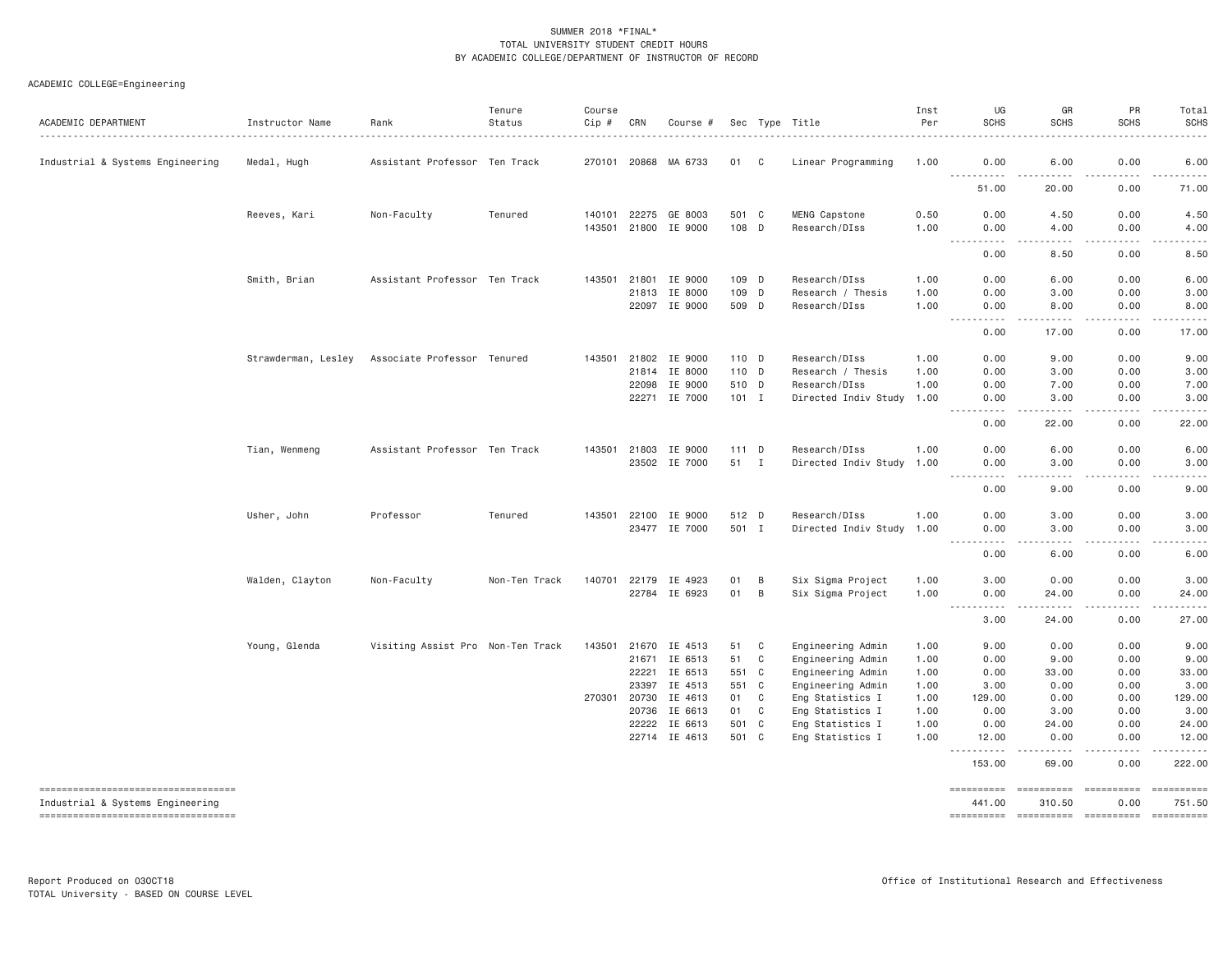| ACADEMIC DEPARTMENT                 | Instructor Name     | Rank                              | Tenure<br>Status | Course<br>$Cip \#$ | CRN          | Course #                        |                |             | Sec Type Title                       | Inst<br>Per  | UG<br><b>SCHS</b>                                                                                                                                                     | GR<br><b>SCHS</b>            | PR<br><b>SCHS</b>                           | Total<br><b>SCHS</b>                                                                                                                                         |
|-------------------------------------|---------------------|-----------------------------------|------------------|--------------------|--------------|---------------------------------|----------------|-------------|--------------------------------------|--------------|-----------------------------------------------------------------------------------------------------------------------------------------------------------------------|------------------------------|---------------------------------------------|--------------------------------------------------------------------------------------------------------------------------------------------------------------|
| Industrial & Systems Engineering    | Medal, Hugh         | Assistant Professor Ten Track     |                  |                    |              | 270101 20868 MA 6733            | 01 C           |             | Linear Programming                   | 1.00         | 0.00<br>$\sim$ $\sim$ $\sim$                                                                                                                                          | 6.00                         | 0.00<br>.                                   | 6.00                                                                                                                                                         |
|                                     |                     |                                   |                  |                    |              |                                 |                |             |                                      |              | -----<br>51.00                                                                                                                                                        | .<br>20.00                   | 0.00                                        | $\frac{1}{2} \left( \frac{1}{2} \right) \left( \frac{1}{2} \right) \left( \frac{1}{2} \right) \left( \frac{1}{2} \right)$<br>71.00                           |
|                                     | Reeves, Kari        | Non-Faculty                       | Tenured          | 140101             | 22275        | GE 8003<br>143501 21800 IE 9000 | 501 C<br>108 D |             | MENG Capstone<br>Research/DIss       | 0.50<br>1.00 | 0.00<br>0.00                                                                                                                                                          | 4.50<br>4.00                 | 0.00<br>0.00                                | 4.50<br>4.00                                                                                                                                                 |
|                                     |                     |                                   |                  |                    |              |                                 |                |             |                                      |              | $\sim 100$<br>المتمام<br>0.00                                                                                                                                         | .<br>8.50                    | $\omega = \omega + \omega + \omega$<br>0.00 | ه د د د د<br>8.50                                                                                                                                            |
|                                     | Smith, Brian        | Assistant Professor Ten Track     |                  | 143501             | 21801        | IE 9000                         | 109 D          |             | Research/DIss                        | 1.00         | 0.00                                                                                                                                                                  | 6.00                         | 0.00                                        | 6.00                                                                                                                                                         |
|                                     |                     |                                   |                  |                    | 21813        | IE 8000<br>22097 IE 9000        | 109<br>509 D   | D           | Research / Thesis<br>Research/DIss   | 1.00<br>1.00 | 0.00<br>0.00                                                                                                                                                          | 3.00<br>8.00                 | 0.00<br>0.00                                | 3.00<br>8.00                                                                                                                                                 |
|                                     |                     |                                   |                  |                    |              |                                 |                |             |                                      |              | $\sim$ $\sim$<br>.<br>0.00                                                                                                                                            | $- - - - -$<br>17.00         | .<br>0.00                                   | .<br>17.00                                                                                                                                                   |
|                                     | Strawderman, Lesley | Associate Professor Tenured       |                  |                    |              | 143501 21802 IE 9000            | 110 D          |             | Research/DIss                        | 1.00         | 0.00                                                                                                                                                                  | 9.00                         | 0.00                                        | 9.00                                                                                                                                                         |
|                                     |                     |                                   |                  |                    | 21814        | IE 8000                         | 110 D          |             | Research / Thesis                    | 1.00         | 0.00                                                                                                                                                                  | 3.00                         | 0.00                                        | 3.00                                                                                                                                                         |
|                                     |                     |                                   |                  |                    | 22098        | IE 9000                         | 510 D          |             | Research/DIss                        | 1.00         | 0.00                                                                                                                                                                  | 7.00                         | 0.00                                        | 7.00                                                                                                                                                         |
|                                     |                     |                                   |                  |                    |              | 22271 IE 7000                   | $101$ I        |             | Directed Indiv Study                 | 1.00         | 0.00<br>.                                                                                                                                                             | 3.00<br>.                    | 0.00<br>.                                   | 3.00<br>.                                                                                                                                                    |
|                                     |                     |                                   |                  |                    |              |                                 |                |             |                                      |              | 0.00                                                                                                                                                                  | 22.00                        | 0.00                                        | 22.00                                                                                                                                                        |
|                                     | Tian, Wenmeng       | Assistant Professor Ten Track     |                  | 143501             | 21803        | IE 9000                         | 111 D          |             | Research/DIss                        | 1.00         | 0.00                                                                                                                                                                  | 6.00                         | 0.00                                        | 6.00                                                                                                                                                         |
|                                     |                     |                                   |                  |                    |              | 23502 IE 7000                   | 51 I           |             | Directed Indiv Study                 | 1.00         | 0.00                                                                                                                                                                  | 3.00                         | 0.00                                        | 3.00                                                                                                                                                         |
|                                     |                     |                                   |                  |                    |              |                                 |                |             |                                      |              | .<br>$\sim$ $\sim$ $\sim$<br>0.00                                                                                                                                     | .<br>9.00                    | -----<br>0.00                               | $\frac{1}{2} \left( \frac{1}{2} \right) \left( \frac{1}{2} \right) \left( \frac{1}{2} \right) \left( \frac{1}{2} \right) \left( \frac{1}{2} \right)$<br>9.00 |
|                                     | Usher, John         | Professor                         | Tenured          |                    | 143501 22100 | IE 9000                         | 512 D          |             | Research/DIss                        | 1.00         | 0.00                                                                                                                                                                  | 3.00                         | 0.00                                        | 3.00                                                                                                                                                         |
|                                     |                     |                                   |                  |                    | 23477        | IE 7000                         | 501 I          |             | Directed Indiv Study                 | 1.00         | 0.00                                                                                                                                                                  | 3.00                         | 0.00                                        | 3.00                                                                                                                                                         |
|                                     |                     |                                   |                  |                    |              |                                 |                |             |                                      |              | $\frac{1}{2} \left( \frac{1}{2} \right) \left( \frac{1}{2} \right) \left( \frac{1}{2} \right) \left( \frac{1}{2} \right) \left( \frac{1}{2} \right)$<br>-----<br>0.00 | $\sim$ $\sim$ $\sim$<br>6.00 | .<br>0.00                                   | $\frac{1}{2} \left( \frac{1}{2} \right) \left( \frac{1}{2} \right) \left( \frac{1}{2} \right) \left( \frac{1}{2} \right)$<br>6.00                            |
|                                     | Walden, Clayton     | Non-Faculty                       | Non-Ten Track    |                    | 140701 22179 | IE 4923                         | 01             | B           | Six Sigma Project                    | 1.00         | 3.00                                                                                                                                                                  | 0.00                         | 0.00                                        | 3.00                                                                                                                                                         |
|                                     |                     |                                   |                  |                    |              | 22784 IE 6923                   | 01             | B           | Six Sigma Project                    | 1.00         | 0.00<br>.<br>$\sim$ $\sim$ $\sim$ $\sim$                                                                                                                              | 24.00<br>$- - - - -$         | 0.00<br>$- - - - -$                         | 24.00<br>.                                                                                                                                                   |
|                                     |                     |                                   |                  |                    |              |                                 |                |             |                                      |              | 3.00                                                                                                                                                                  | 24.00                        | 0.00                                        | 27.00                                                                                                                                                        |
|                                     | Young, Glenda       | Visiting Assist Pro Non-Ten Track |                  | 143501             | 21670        | IE 4513                         | 51             | C           | Engineering Admin                    | 1.00         | 9.00                                                                                                                                                                  | 0.00                         | 0.00                                        | 9.00                                                                                                                                                         |
|                                     |                     |                                   |                  |                    | 21671        | IE 6513                         | 51             | C           | Engineering Admin                    | 1.00         | 0.00                                                                                                                                                                  | 9.00                         | 0.00                                        | 9.00                                                                                                                                                         |
|                                     |                     |                                   |                  |                    | 22221        | IE 6513                         | 551 C          |             | Engineering Admin                    | 1.00         | 0.00                                                                                                                                                                  | 33.00                        | 0.00                                        | 33.00                                                                                                                                                        |
|                                     |                     |                                   |                  |                    | 23397        | IE 4513                         | 551            | C           | Engineering Admin                    | 1.00         | 3.00                                                                                                                                                                  | 0.00                         | 0.00                                        | 3.00                                                                                                                                                         |
|                                     |                     |                                   |                  |                    | 270301 20730 | IE 4613                         | 01             | C           | Eng Statistics I                     | 1.00         | 129,00                                                                                                                                                                | 0.00                         | 0.00                                        | 129.00                                                                                                                                                       |
|                                     |                     |                                   |                  |                    | 20736        | IE 6613                         | 01             | $\mathbf C$ | Eng Statistics I                     | 1.00         | 0.00                                                                                                                                                                  | 3.00                         | 0.00                                        | 3.00                                                                                                                                                         |
|                                     |                     |                                   |                  |                    | 22222        | IE 6613<br>22714 IE 4613        | 501<br>501 C   | $\mathbf C$ | Eng Statistics I<br>Eng Statistics I | 1.00<br>1.00 | 0.00<br>12.00                                                                                                                                                         | 24.00<br>0.00                | 0.00<br>0.00                                | 24.00<br>12.00                                                                                                                                               |
|                                     |                     |                                   |                  |                    |              |                                 |                |             |                                      |              | .<br>153.00                                                                                                                                                           | $- - - - -$<br>69.00         | .<br>0.00                                   | .<br>222.00                                                                                                                                                  |
|                                     |                     |                                   |                  |                    |              |                                 |                |             |                                      |              |                                                                                                                                                                       | ==========                   | ==========                                  | ==========                                                                                                                                                   |
| Industrial & Systems Engineering    |                     |                                   |                  |                    |              |                                 |                |             |                                      |              | 441.00                                                                                                                                                                | 310.50                       | 0.00                                        | 751.50                                                                                                                                                       |
| ----------------------------------- |                     |                                   |                  |                    |              |                                 |                |             |                                      |              | ==========                                                                                                                                                            |                              | ==========                                  | $=$ ==========                                                                                                                                               |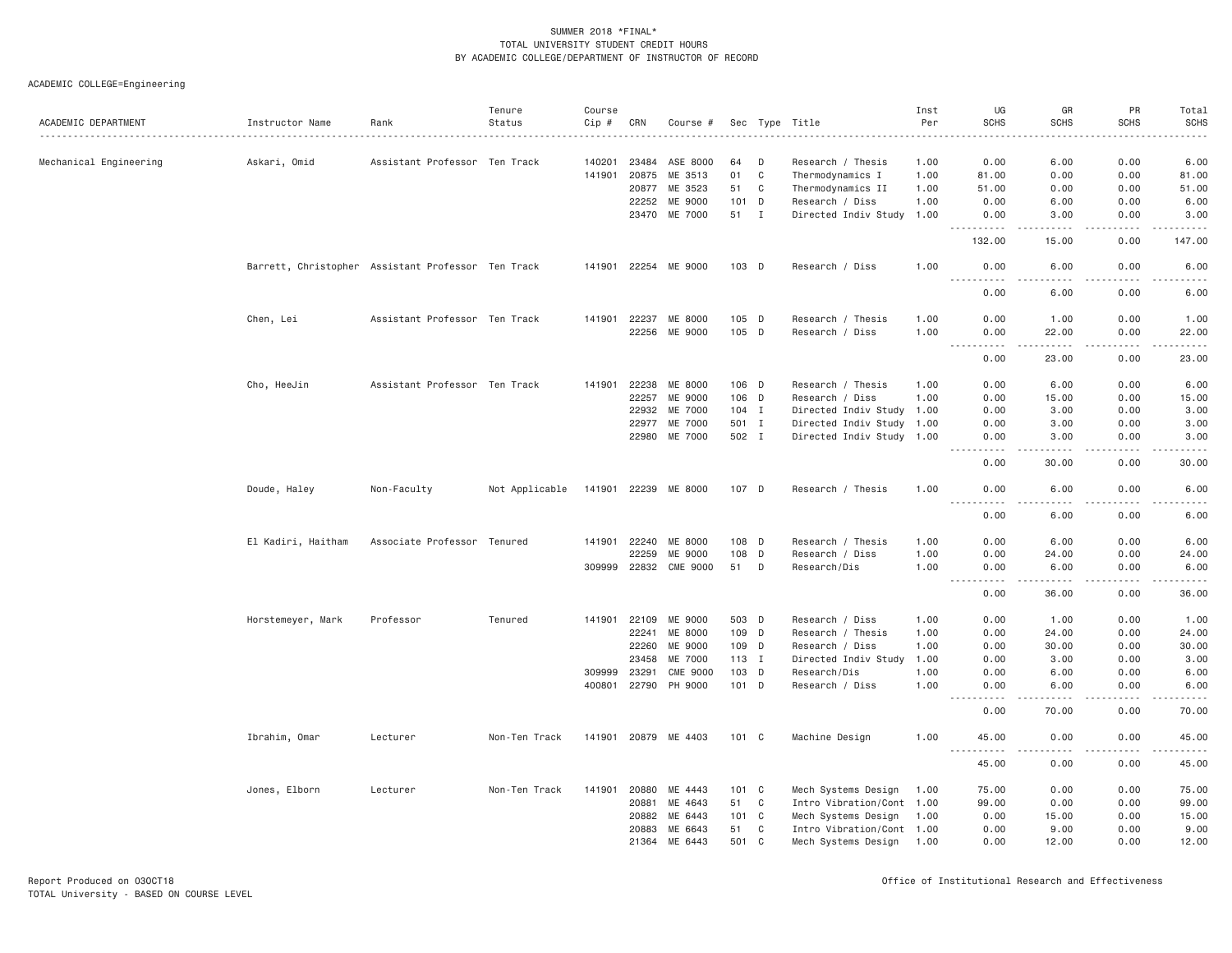| ACADEMIC DEPARTMENT    | Instructor Name                                    | Rank                          | Tenure<br>Status | Course<br>Cip # | CRN          | Course #              |               |             | Sec Type Title            | Inst<br>Per | UG<br><b>SCHS</b>                 | GR<br><b>SCHS</b>     | PR<br><b>SCHS</b>                   | Total<br><b>SCHS</b>  |
|------------------------|----------------------------------------------------|-------------------------------|------------------|-----------------|--------------|-----------------------|---------------|-------------|---------------------------|-------------|-----------------------------------|-----------------------|-------------------------------------|-----------------------|
|                        |                                                    |                               |                  | .               |              |                       |               |             |                           | .           |                                   |                       |                                     | .                     |
| Mechanical Engineering | Askari, Omid                                       | Assistant Professor Ten Track |                  | 140201          | 23484        | ASE 8000              | 64            | D           | Research / Thesis         | 1.00        | 0.00                              | 6.00                  | 0.00                                | 6.00                  |
|                        |                                                    |                               |                  | 141901          | 20875        | ME 3513               | 01            | $\mathbf C$ | Thermodynamics I          | 1.00        | 81.00                             | 0.00                  | 0.00                                | 81.00                 |
|                        |                                                    |                               |                  |                 | 20877        | ME 3523               | 51            | C           | Thermodynamics II         | 1.00        | 51.00                             | 0.00                  | 0.00                                | 51.00                 |
|                        |                                                    |                               |                  |                 | 22252        | ME 9000               | 101 D         |             | Research / Diss           | 1.00        | 0.00                              | 6.00                  | 0.00                                | 6.00                  |
|                        |                                                    |                               |                  |                 |              | 23470 ME 7000         | 51 I          |             | Directed Indiv Study      | 1.00        | 0.00                              | 3.00                  | 0.00                                | 3.00                  |
|                        |                                                    |                               |                  |                 |              |                       |               |             |                           |             | 132.00                            | 15.00                 | 0.00                                | 147.00                |
|                        | Barrett, Christopher Assistant Professor Ten Track |                               |                  |                 |              | 141901 22254 ME 9000  | 103 D         |             | Research / Diss           | 1.00        | 0.00<br><u>.</u>                  | 6.00<br>والمحامر      | 0.00<br>-----                       | 6.00<br>.             |
|                        |                                                    |                               |                  |                 |              |                       |               |             |                           |             | 0.00                              | 6.00                  | 0.00                                | 6.00                  |
|                        | Chen, Lei                                          | Assistant Professor Ten Track |                  | 141901          | 22237        | ME 8000               | 105 D         |             | Research / Thesis         | 1.00        | 0.00                              | 1.00                  | 0.00                                | 1.00                  |
|                        |                                                    |                               |                  |                 | 22256        | ME 9000               | 105 D         |             | Research / Diss           | 1.00        | 0.00<br>$\sim$ $\sim$ $\sim$<br>. | 22.00<br>.            | 0.00<br>$\sim$ $\sim$ $\sim$ $\sim$ | 22.00<br>.            |
|                        |                                                    |                               |                  |                 |              |                       |               |             |                           |             | 0.00                              | 23.00                 | 0.00                                | 23.00                 |
|                        | Cho, HeeJin                                        | Assistant Professor Ten Track |                  | 141901          | 22238        | ME 8000               | 106 D         |             | Research / Thesis         | 1.00        | 0.00                              | 6.00                  | 0.00                                | 6.00                  |
|                        |                                                    |                               |                  |                 | 22257        | ME 9000               | 106 D         |             | Research / Diss           | 1.00        | 0.00                              | 15.00                 | 0.00                                | 15.00                 |
|                        |                                                    |                               |                  |                 | 22932        | ME 7000               | 104 I         |             | Directed Indiv Study 1.00 |             | 0.00                              | 3.00                  | 0.00                                | 3.00                  |
|                        |                                                    |                               |                  |                 | 22977        | ME 7000               | 501 I         |             | Directed Indiv Study      | 1.00        | 0.00                              | 3.00                  | 0.00                                | 3.00                  |
|                        |                                                    |                               |                  |                 |              | 22980 ME 7000         | 502 I         |             | Directed Indiv Study 1.00 |             | 0.00                              | 3.00                  | 0.00<br>.                           | 3.00<br>.             |
|                        |                                                    |                               |                  |                 |              |                       |               |             |                           |             | .<br>0.00                         | .<br>30.00            | 0.00                                | 30.00                 |
|                        | Doude, Haley                                       | Non-Faculty                   | Not Applicable   |                 |              | 141901 22239 ME 8000  | 107 D         |             | Research / Thesis         | 1.00        | 0.00<br>.                         | 6.00<br>.             | 0.00<br>.                           | 6.00<br>$- - - - -$   |
|                        |                                                    |                               |                  |                 |              |                       |               |             |                           |             | 0.00                              | 6.00                  | 0.00                                | 6.00                  |
|                        | El Kadiri, Haitham                                 | Associate Professor Tenured   |                  |                 | 141901 22240 | ME 8000               | 108 D         |             | Research / Thesis         | 1.00        | 0.00                              | 6.00                  | 0.00                                | 6.00                  |
|                        |                                                    |                               |                  |                 | 22259        | ME 9000               | 108           | D           | Research / Diss           | 1.00        | 0.00                              | 24.00                 | 0.00                                | 24.00                 |
|                        |                                                    |                               |                  |                 |              | 309999 22832 CME 9000 | 51            | D           | Research/Dis              | 1.00        | 0.00<br>.                         | 6.00<br>$- - - - -$   | 0.00<br>.                           | 6.00<br>.             |
|                        |                                                    |                               |                  |                 |              |                       |               |             |                           |             | 0.00                              | 36.00                 | 0.00                                | 36.00                 |
|                        | Horstemeyer, Mark                                  | Professor                     | Tenured          | 141901          | 22109        | ME 9000               | 503 D         |             | Research / Diss           | 1.00        | 0.00                              | 1.00                  | 0.00                                | 1.00                  |
|                        |                                                    |                               |                  |                 | 22241        | ME 8000               | 109 D         |             | Research / Thesis         | 1.00        | 0.00                              | 24.00                 | 0.00                                | 24.00                 |
|                        |                                                    |                               |                  |                 | 22260        | ME 9000               | 109 D         |             | Research / Diss           | 1.00        | 0.00                              | 30.00                 | 0.00                                | 30.00                 |
|                        |                                                    |                               |                  |                 | 23458        | ME 7000               | 113 I         |             | Directed Indiv Study      | 1.00        | 0.00                              | 3.00                  | 0.00                                | 3.00                  |
|                        |                                                    |                               |                  | 309999          | 23291        | <b>CME 9000</b>       | 103           | D           | Research/Dis              | 1.00        | 0.00                              | 6.00                  | 0.00                                | 6.00                  |
|                        |                                                    |                               |                  | 400801          | 22790        | PH 9000               | 101 D         |             | Research / Diss           | 1.00        | 0.00<br>$ -$<br>.                 | 6.00<br>$\frac{1}{2}$ | 0.00<br>.                           | 6.00<br>$\frac{1}{2}$ |
|                        |                                                    |                               |                  |                 |              |                       |               |             |                           |             | 0.00                              | 70.00                 | 0.00                                | 70.00                 |
|                        | Ibrahim, Omar                                      | Lecturer                      | Non-Ten Track    |                 |              | 141901 20879 ME 4403  | $101 \quad C$ |             | Machine Design            | 1.00        | 45.00<br>.                        | 0.00<br>$   -$        | 0.00<br>.                           | 45.00<br>.            |
|                        |                                                    |                               |                  |                 |              |                       |               |             |                           |             | 45.00                             | 0.00                  | 0.00                                | 45.00                 |
|                        | Jones, Elborn                                      | Lecturer                      | Non-Ten Track    | 141901          | 20880        | ME 4443               | 101 C         |             | Mech Systems Design       | 1.00        | 75.00                             | 0.00                  | 0.00                                | 75.00                 |
|                        |                                                    |                               |                  |                 | 20881        | ME 4643               | 51            | C           | Intro Vibration/Cont 1.00 |             | 99.00                             | 0.00                  | 0.00                                | 99.00                 |
|                        |                                                    |                               |                  |                 | 20882        | ME 6443               | 101 C         |             | Mech Systems Design       | 1.00        | 0.00                              | 15.00                 | 0.00                                | 15.00                 |
|                        |                                                    |                               |                  |                 | 20883        | ME 6643               | 51            | C           | Intro Vibration/Cont 1.00 |             | 0.00                              | 9.00                  | 0.00                                | 9.00                  |
|                        |                                                    |                               |                  |                 | 21364        | ME 6443               | 501           | C           | Mech Systems Design 1.00  |             | 0.00                              | 12.00                 | 0.00                                | 12.00                 |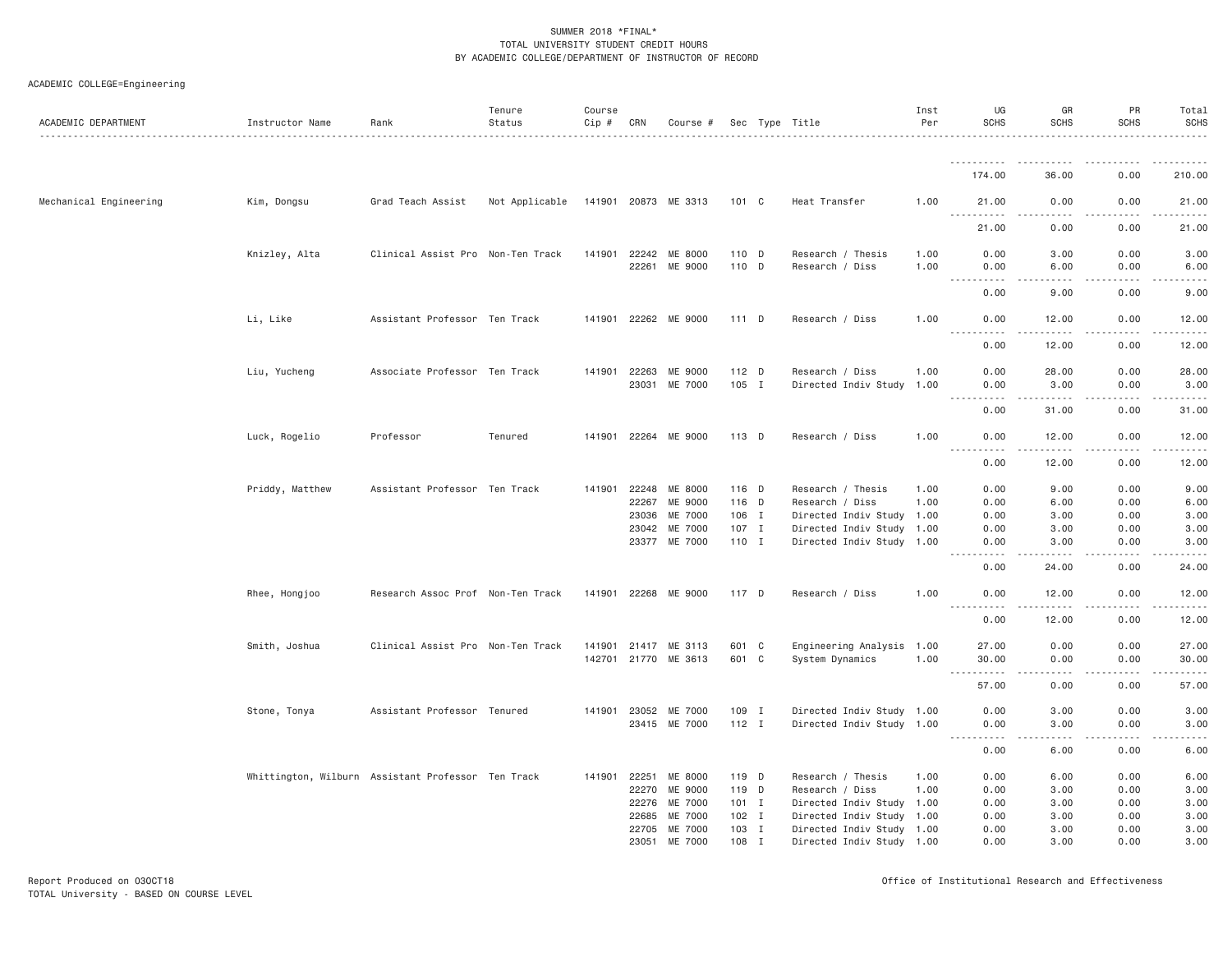| ACADEMIC DEPARTMENT    | Instructor Name | Rank                                               | Tenure<br>Status                    | Course<br>Cip # CRN |              | Course #             |         |   | Sec Type Title            | Inst<br>Per | UG<br><b>SCHS</b>                                                                                                                                            | GR<br><b>SCHS</b>                                                                                                                                             | <b>PR</b><br><b>SCHS</b>                                                                                        | Total<br><b>SCHS</b>                                                                                                                                         |
|------------------------|-----------------|----------------------------------------------------|-------------------------------------|---------------------|--------------|----------------------|---------|---|---------------------------|-------------|--------------------------------------------------------------------------------------------------------------------------------------------------------------|---------------------------------------------------------------------------------------------------------------------------------------------------------------|-----------------------------------------------------------------------------------------------------------------|--------------------------------------------------------------------------------------------------------------------------------------------------------------|
|                        |                 |                                                    |                                     |                     |              |                      |         |   |                           |             |                                                                                                                                                              |                                                                                                                                                               |                                                                                                                 |                                                                                                                                                              |
|                        |                 |                                                    |                                     |                     |              |                      |         |   |                           |             | 174.00                                                                                                                                                       | 36.00                                                                                                                                                         | 0.00                                                                                                            | 210.00                                                                                                                                                       |
| Mechanical Engineering | Kim, Dongsu     | Grad Teach Assist                                  | Not Applicable 141901 20873 ME 3313 |                     |              |                      | 101 C   |   | Heat Transfer             | 1.00        | 21.00<br><b></b>                                                                                                                                             | 0.00<br>$\sim$ $\sim$ $\sim$                                                                                                                                  | 0.00<br>$\sim$ $\sim$ $\sim$ $\sim$                                                                             | 21.00<br>.                                                                                                                                                   |
|                        |                 |                                                    |                                     |                     |              |                      |         |   |                           |             | 21.00                                                                                                                                                        | 0.00                                                                                                                                                          | 0.00                                                                                                            | 21.00                                                                                                                                                        |
|                        | Knizley, Alta   | Clinical Assist Pro Non-Ten Track                  |                                     |                     |              | 141901 22242 ME 8000 | 110 D   |   | Research / Thesis         | 1.00        | 0.00                                                                                                                                                         | 3.00                                                                                                                                                          | 0.00                                                                                                            | 3.00                                                                                                                                                         |
|                        |                 |                                                    |                                     |                     | 22261        | ME 9000              | 110 D   |   | Research / Diss           | 1.00        | 0.00<br>$\sim$ $\sim$ $\sim$ $\sim$<br>.                                                                                                                     | 6.00<br>$\sim$ $\sim$ $\sim$ $\sim$                                                                                                                           | 0.00<br>$\sim$ $\sim$ $\sim$                                                                                    | 6.00<br>$\frac{1}{2} \left( \frac{1}{2} \right) \left( \frac{1}{2} \right) \left( \frac{1}{2} \right) \left( \frac{1}{2} \right) \left( \frac{1}{2} \right)$ |
|                        |                 |                                                    |                                     |                     |              |                      |         |   |                           |             | 0.00                                                                                                                                                         | 9.00                                                                                                                                                          | 0.00                                                                                                            | 9.00                                                                                                                                                         |
|                        | Li, Like        | Assistant Professor Ten Track                      |                                     |                     |              | 141901 22262 ME 9000 | 111 D   |   | Research / Diss           | 1.00        | 0.00<br>.                                                                                                                                                    | 12.00                                                                                                                                                         | 0.00                                                                                                            | 12.00<br>.                                                                                                                                                   |
|                        |                 |                                                    |                                     |                     |              |                      |         |   |                           |             | 0.00                                                                                                                                                         | 12.00                                                                                                                                                         | 0.00                                                                                                            | 12.00                                                                                                                                                        |
|                        | Liu, Yucheng    | Associate Professor Ten Track                      |                                     |                     | 141901 22263 | ME 9000              | 112 D   |   | Research / Diss           | 1.00        | 0.00                                                                                                                                                         | 28.00                                                                                                                                                         | 0.00                                                                                                            | 28.00                                                                                                                                                        |
|                        |                 |                                                    |                                     |                     |              | 23031 ME 7000        | 105 I   |   | Directed Indiv Study 1.00 |             | 0.00<br>$\sim$ $\sim$ $\sim$ $\sim$<br>. <b>.</b>                                                                                                            | 3.00<br>.                                                                                                                                                     | 0.00<br>.                                                                                                       | 3.00<br>.                                                                                                                                                    |
|                        |                 |                                                    |                                     |                     |              |                      |         |   |                           |             | 0.00                                                                                                                                                         | 31.00                                                                                                                                                         | 0.00                                                                                                            | 31.00                                                                                                                                                        |
|                        | Luck, Rogelio   | Professor                                          | Tenured                             |                     | 141901 22264 | ME 9000              | 113 D   |   | Research / Diss           | 1.00        | 0.00<br>$\sim$ $\sim$ $\sim$ $\sim$<br>$\sim$ $\sim$ $\sim$ $\sim$                                                                                           | 12.00                                                                                                                                                         | 0.00                                                                                                            | 12.00<br>المتمامين                                                                                                                                           |
|                        |                 |                                                    |                                     |                     |              |                      |         |   |                           |             | 0.00                                                                                                                                                         | 12.00                                                                                                                                                         | 0.00                                                                                                            | 12.00                                                                                                                                                        |
|                        | Priddy, Matthew | Assistant Professor Ten Track                      |                                     | 141901              |              | 22248 ME 8000        | 116 D   |   | Research / Thesis         | 1.00        | 0.00                                                                                                                                                         | 9.00                                                                                                                                                          | 0.00                                                                                                            | 9.00                                                                                                                                                         |
|                        |                 |                                                    |                                     |                     | 22267        | ME 9000              | 116 D   |   | Research / Diss           | 1.00        | 0.00                                                                                                                                                         | 6.00                                                                                                                                                          | 0.00                                                                                                            | 6.00                                                                                                                                                         |
|                        |                 |                                                    |                                     |                     | 23036        | ME 7000              | 106 I   |   | Directed Indiv Study 1.00 |             | 0.00                                                                                                                                                         | 3.00                                                                                                                                                          | 0.00                                                                                                            | 3.00                                                                                                                                                         |
|                        |                 |                                                    |                                     |                     |              | 23042 ME 7000        | 107 I   |   | Directed Indiv Study 1.00 |             | 0.00                                                                                                                                                         | 3.00                                                                                                                                                          | 0.00                                                                                                            | 3.00                                                                                                                                                         |
|                        |                 |                                                    |                                     |                     |              | 23377 ME 7000        | 110 I   |   | Directed Indiv Study 1.00 |             | 0.00<br>$- - - -$                                                                                                                                            | 3.00                                                                                                                                                          | 0.00                                                                                                            | 3.00<br>.                                                                                                                                                    |
|                        |                 |                                                    |                                     |                     |              |                      |         |   |                           |             | 0.00                                                                                                                                                         | 24.00                                                                                                                                                         | 0.00                                                                                                            | 24.00                                                                                                                                                        |
|                        | Rhee, Hongjoo   | Research Assoc Prof Non-Ten Track                  |                                     |                     |              | 141901 22268 ME 9000 | 117 D   |   | Research / Diss           | 1.00        | 0.00<br>$\frac{1}{2} \left( \frac{1}{2} \right) \left( \frac{1}{2} \right) \left( \frac{1}{2} \right) \left( \frac{1}{2} \right) \left( \frac{1}{2} \right)$ | 12.00<br>$\frac{1}{2} \left( \frac{1}{2} \right) \left( \frac{1}{2} \right) \left( \frac{1}{2} \right) \left( \frac{1}{2} \right) \left( \frac{1}{2} \right)$ | 0.00<br>.                                                                                                       | 12.00<br>.                                                                                                                                                   |
|                        |                 |                                                    |                                     |                     |              |                      |         |   |                           |             | 0.00                                                                                                                                                         | 12.00                                                                                                                                                         | 0.00                                                                                                            | 12.00                                                                                                                                                        |
|                        | Smith, Joshua   | Clinical Assist Pro Non-Ten Track                  |                                     | 141901              |              | 21417 ME 3113        | 601 C   |   | Engineering Analysis 1.00 |             | 27.00                                                                                                                                                        | 0.00                                                                                                                                                          | 0.00                                                                                                            | 27.00                                                                                                                                                        |
|                        |                 |                                                    |                                     |                     |              | 142701 21770 ME 3613 | 601 C   |   | System Dynamics           | 1.00        | 30.00<br>.                                                                                                                                                   | 0.00<br>.                                                                                                                                                     | 0.00<br>.                                                                                                       | 30.00<br>.                                                                                                                                                   |
|                        |                 |                                                    |                                     |                     |              |                      |         |   |                           |             | 57.00                                                                                                                                                        | 0.00                                                                                                                                                          | 0.00                                                                                                            | 57.00                                                                                                                                                        |
|                        | Stone, Tonya    | Assistant Professor Tenured                        |                                     |                     |              | 141901 23052 ME 7000 | 109 I   |   | Directed Indiv Study 1.00 |             | 0.00                                                                                                                                                         | 3.00                                                                                                                                                          | 0.00                                                                                                            | 3.00                                                                                                                                                         |
|                        |                 |                                                    |                                     |                     |              | 23415 ME 7000        | $112$ I |   | Directed Indiv Study 1.00 |             | 0.00<br>.                                                                                                                                                    | 3.00<br>.                                                                                                                                                     | 0.00<br>-----<br>$\frac{1}{2} \left( \frac{1}{2} \right) \left( \frac{1}{2} \right) \left( \frac{1}{2} \right)$ | 3.00<br>والمسامين                                                                                                                                            |
|                        |                 |                                                    |                                     |                     |              |                      |         |   |                           |             | 0.00                                                                                                                                                         | 6.00                                                                                                                                                          | 0.00                                                                                                            | 6.00                                                                                                                                                         |
|                        |                 | Whittington, Wilburn Assistant Professor Ten Track |                                     | 141901              | 22251        | ME 8000              | 119 D   |   | Research / Thesis         | 1.00        | 0.00                                                                                                                                                         | 6.00                                                                                                                                                          | 0.00                                                                                                            | 6.00                                                                                                                                                         |
|                        |                 |                                                    |                                     |                     | 22270        | ME 9000              | 119 D   |   | Research / Diss           | 1.00        | 0.00                                                                                                                                                         | 3.00                                                                                                                                                          | 0.00                                                                                                            | 3.00                                                                                                                                                         |
|                        |                 |                                                    |                                     |                     |              | 22276 ME 7000        | $101$ I |   | Directed Indiv Study 1.00 |             | 0.00                                                                                                                                                         | 3.00                                                                                                                                                          | 0.00                                                                                                            | 3.00                                                                                                                                                         |
|                        |                 |                                                    |                                     |                     | 22685        | ME 7000              | $102$ I |   | Directed Indiv Study 1.00 |             | 0.00                                                                                                                                                         | 3.00                                                                                                                                                          | 0.00                                                                                                            | 3.00                                                                                                                                                         |
|                        |                 |                                                    |                                     |                     | 22705        | ME 7000              | 103 I   |   | Directed Indiv Study 1.00 |             | 0.00                                                                                                                                                         | 3.00                                                                                                                                                          | 0.00                                                                                                            | 3.00                                                                                                                                                         |
|                        |                 |                                                    |                                     |                     | 23051        | ME 7000              | 108     | I | Directed Indiv Study 1.00 |             | 0.00                                                                                                                                                         | 3.00                                                                                                                                                          | 0.00                                                                                                            | 3.00                                                                                                                                                         |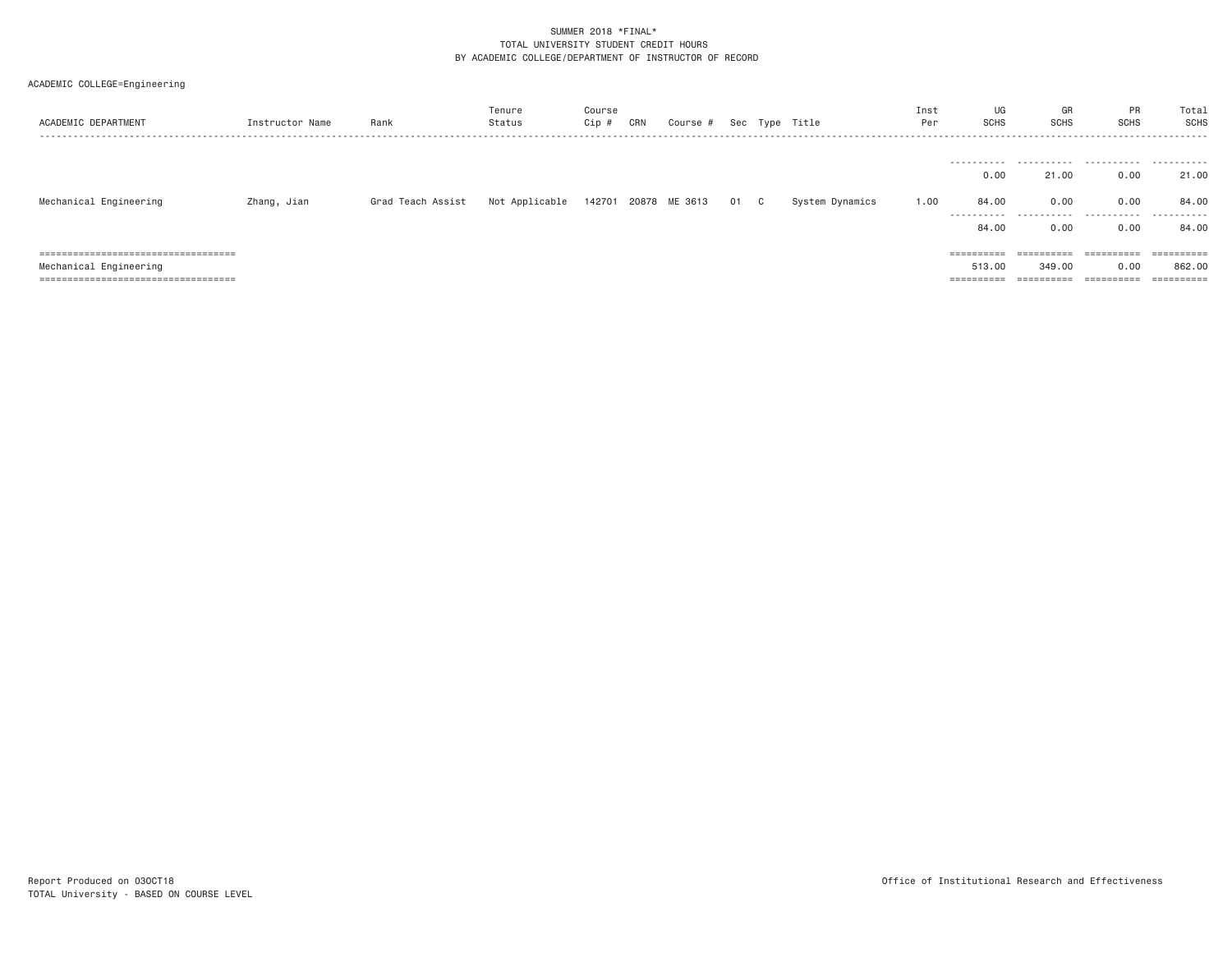| ACADEMIC COLLEGE=Engineering           |                 |                   |                  |                 |     |               |    |              |                 |             |                       |                       |                       |                       |
|----------------------------------------|-----------------|-------------------|------------------|-----------------|-----|---------------|----|--------------|-----------------|-------------|-----------------------|-----------------------|-----------------------|-----------------------|
| ACADEMIC DEPARTMENT                    | Instructor Name | Rank              | Tenure<br>Status | Course<br>Cip # | CRN | Course #      |    |              | Sec Type Title  | Inst<br>Per | UG<br><b>SCHS</b>     | GR<br><b>SCHS</b>     | PR<br><b>SCHS</b>     | Total<br>SCHS         |
|                                        |                 |                   |                  |                 |     |               |    |              |                 |             |                       |                       |                       |                       |
|                                        |                 |                   |                  |                 |     |               |    |              |                 |             | -----------<br>0.00   | 21.00                 | 0.00                  | 21.00                 |
| Mechanical Engineering                 | Zhang, Jian     | Grad Teach Assist | Not Applicable   | 142701          |     | 20878 ME 3613 | 01 | $\mathbf{C}$ | System Dynamics | 1.00        | 84.00                 | 0.00                  | 0.00                  | 84.00                 |
|                                        |                 |                   |                  |                 |     |               |    |              |                 |             | ----------<br>84,00   | - - - - - - -<br>0.00 | .<br>0.00             | ------<br>84.00       |
| ====================================== |                 |                   |                  |                 |     |               |    |              |                 |             | ==========            | $=$ = = = = = = = = = | $=$ = = = = = = = = = | $=$ = = = = = = = = = |
| Mechanical Engineering                 |                 |                   |                  |                 |     |               |    |              |                 |             | 513,00                | 349.00                | 0.00                  | 862,00                |
| =====================================  |                 |                   |                  |                 |     |               |    |              |                 |             | $=$ = = = = = = = = = |                       | ==========            | ==========            |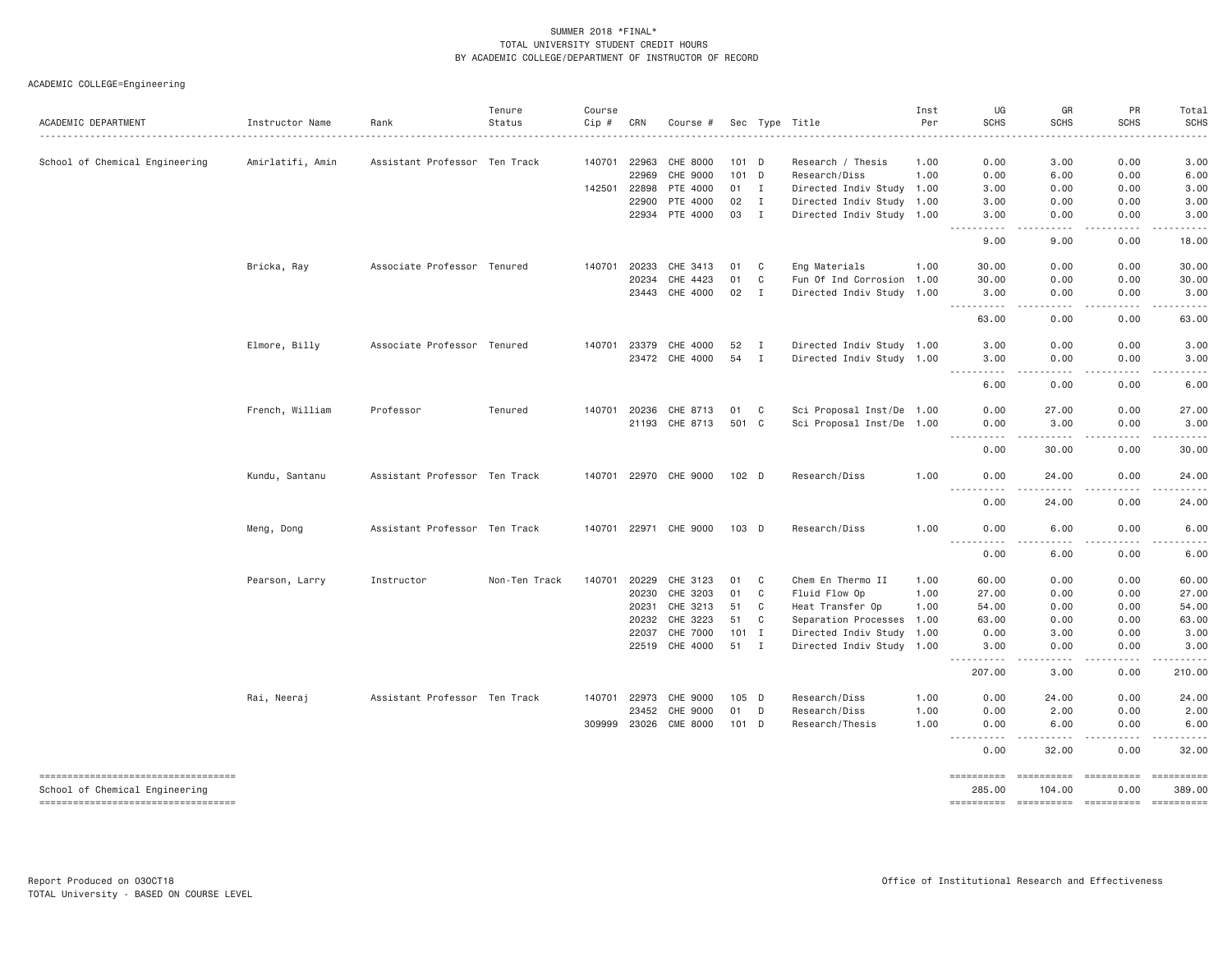| ACADEMIC DEPARTMENT                 | Instructor Name  | Rank                          | Tenure<br>Status | Course<br>Cip # | CRN                   | Course #                    |                  |                              | Sec Type Title                                    | Inst<br>Per  | UG<br><b>SCHS</b>                                                                                                                      | GR<br><b>SCHS</b> | PR<br><b>SCHS</b>                | Total<br><b>SCHS</b> |
|-------------------------------------|------------------|-------------------------------|------------------|-----------------|-----------------------|-----------------------------|------------------|------------------------------|---------------------------------------------------|--------------|----------------------------------------------------------------------------------------------------------------------------------------|-------------------|----------------------------------|----------------------|
|                                     |                  |                               |                  |                 |                       |                             |                  |                              |                                                   |              |                                                                                                                                        |                   |                                  |                      |
| School of Chemical Engineering      | Amirlatifi, Amin | Assistant Professor Ten Track |                  |                 | 140701 22963          | CHE 8000                    | $101$ D          |                              | Research / Thesis                                 | 1.00         | 0.00                                                                                                                                   | 3.00              | 0.00                             | 3.00                 |
|                                     |                  |                               |                  |                 | 22969                 | CHE 9000                    | 101              | D                            | Research/Diss                                     | 1.00         | 0.00                                                                                                                                   | 6.00              | 0.00                             | 6.00                 |
|                                     |                  |                               |                  |                 | 142501 22898          | PTE 4000                    | 01               | $\mathbf{I}$                 | Directed Indiv Study 1.00                         |              | 3.00                                                                                                                                   | 0.00              | 0.00                             | 3.00                 |
|                                     |                  |                               |                  |                 | 22900                 | PTE 4000                    | 02               | $\mathbf I$                  | Directed Indiv Study 1.00                         |              | 3.00                                                                                                                                   | 0.00              | 0.00                             | 3.00                 |
|                                     |                  |                               |                  |                 | 22934                 | PTE 4000                    | 03               | $\mathbf{I}$                 | Directed Indiv Study 1.00                         |              | 3.00<br>$\frac{1}{2}$                                                                                                                  | 0.00              | 0.00                             | 3.00                 |
|                                     |                  |                               |                  |                 |                       |                             |                  |                              |                                                   |              | 9.00                                                                                                                                   | 9.00              | 0.00                             | 18.00                |
|                                     | Bricka, Ray      | Associate Professor Tenured   |                  |                 | 140701 20233          | CHE 3413                    | 01               | C <sub>1</sub>               | Eng Materials                                     | 1.00         | 30.00                                                                                                                                  | 0.00              | 0.00                             | 30.00                |
|                                     |                  |                               |                  |                 | 20234                 | CHE 4423                    | 01               | C                            | Fun Of Ind Corrosion 1.00                         |              | 30.00                                                                                                                                  | 0.00              | 0.00                             | 30.00                |
|                                     |                  |                               |                  |                 | 23443                 | CHE 4000                    | 02               | $\mathbf{I}$                 | Directed Indiv Study 1.00                         |              | 3.00<br>.                                                                                                                              | 0.00<br>.         | 0.00<br>.                        | 3.00<br>.            |
|                                     |                  |                               |                  |                 |                       |                             |                  |                              |                                                   |              | 63.00                                                                                                                                  | 0.00              | 0.00                             | 63.00                |
|                                     | Elmore, Billy    | Associate Professor Tenured   |                  |                 | 140701 23379          | CHE 4000                    | 52               | I                            | Directed Indiv Study 1.00                         |              | 3.00                                                                                                                                   | 0.00              | 0.00                             | 3.00                 |
|                                     |                  |                               |                  |                 |                       | 23472 CHE 4000              | 54               | Ι.                           | Directed Indiv Study 1.00                         |              | 3.00<br>.                                                                                                                              | 0.00              | 0.00                             | 3.00                 |
|                                     |                  |                               |                  |                 |                       |                             |                  |                              |                                                   |              | 6.00                                                                                                                                   | 0.00              | 0.00                             | 6.00                 |
|                                     | French, William  | Professor                     | Tenured          |                 | 140701 20236          | CHE 8713                    | 01               | C                            | Sci Proposal Inst/De 1.00                         |              | 0.00                                                                                                                                   | 27.00             | 0.00                             | 27.00                |
|                                     |                  |                               |                  |                 | 21193                 | CHE 8713                    | 501 C            |                              | Sci Proposal Inst/De 1.00                         |              | 0.00                                                                                                                                   | 3,00              | 0.00                             | 3,00                 |
|                                     |                  |                               |                  |                 |                       |                             |                  |                              |                                                   |              | .<br>0.00                                                                                                                              | 30.00             | 0.00                             | 30.00                |
|                                     | Kundu, Santanu   | Assistant Professor Ten Track |                  |                 |                       | 140701 22970 CHE 9000       | 102 <sub>D</sub> |                              | Research/Diss                                     | 1.00         | 0.00                                                                                                                                   | 24.00             | 0.00                             | 24.00                |
|                                     |                  |                               |                  |                 |                       |                             |                  |                              |                                                   |              | $\frac{1}{2} \left( \frac{1}{2} \right) \left( \frac{1}{2} \right) \left( \frac{1}{2} \right) \left( \frac{1}{2} \right)$<br>.<br>0.00 | .<br>24.00        | .<br>0.00                        | .<br>24.00           |
|                                     | Meng, Dong       | Assistant Professor Ten Track |                  |                 |                       | 140701 22971 CHE 9000       | 103 D            |                              | Research/Diss                                     | 1.00         | 0.00<br>$\frac{1}{2}$<br>$\cdots$                                                                                                      | 6.00              | 0.00                             | 6.00                 |
|                                     |                  |                               |                  |                 |                       |                             |                  |                              |                                                   |              | 0.00                                                                                                                                   | 6.00              | 0.00                             | 6.00                 |
|                                     | Pearson, Larry   | Instructor                    | Non-Ten Track    | 140701          | 20229                 | CHE 3123                    | 01               | C                            | Chem En Thermo II                                 | 1.00         | 60.00                                                                                                                                  | 0.00              | 0.00                             | 60.00                |
|                                     |                  |                               |                  |                 | 20230                 | CHE 3203                    | 01               | C                            | Fluid Flow Op                                     | 1.00         | 27.00                                                                                                                                  | 0.00              | 0.00                             | 27.00                |
|                                     |                  |                               |                  |                 | 20231                 | CHE 3213                    | 51               | C                            | Heat Transfer Op                                  | 1.00         | 54.00                                                                                                                                  | 0.00              | 0.00                             | 54.00                |
|                                     |                  |                               |                  |                 | 20232                 | CHE 3223                    | 51               | C                            | Separation Processes 1.00                         |              | 63.00                                                                                                                                  | 0.00              | 0.00                             | 63.00                |
|                                     |                  |                               |                  |                 | 22037<br>22519        | CHE 7000<br>CHE 4000        | 101<br>51        | $\mathbf{I}$<br>$\mathbf{I}$ | Directed Indiv Study<br>Directed Indiv Study 1.00 | 1.00         | 0.00<br>3,00                                                                                                                           | 3.00<br>0.00      | 0.00<br>0.00                     | 3.00<br>3.00         |
|                                     |                  |                               |                  |                 |                       |                             |                  |                              |                                                   |              | .<br>207.00                                                                                                                            | .<br>3.00         | .<br>0.00                        | .<br>210.00          |
|                                     |                  |                               |                  |                 |                       |                             |                  |                              |                                                   |              |                                                                                                                                        |                   |                                  |                      |
|                                     | Rai, Neeraj      | Assistant Professor Ten Track |                  | 140701          | 22973                 | CHE 9000                    | 105 D            |                              | Research/Diss                                     | 1.00         | 0.00                                                                                                                                   | 24.00             | 0.00                             | 24.00                |
|                                     |                  |                               |                  |                 | 23452<br>309999 23026 | CHE 9000<br><b>CME 8000</b> | 01<br>$101$ D    | D                            | Research/Diss<br>Research/Thesis                  | 1.00<br>1.00 | 0.00<br>0.00                                                                                                                           | 2.00<br>6.00      | 0.00<br>0.00                     | 2.00<br>6,00         |
|                                     |                  |                               |                  |                 |                       |                             |                  |                              |                                                   |              | .<br>$- - - - -$                                                                                                                       | -----             | .                                | .                    |
|                                     |                  |                               |                  |                 |                       |                             |                  |                              |                                                   |              | 0.00                                                                                                                                   | 32.00             | 0.00                             | 32.00                |
| ----------------------------------- |                  |                               |                  |                 |                       |                             |                  |                              |                                                   |              | ==========                                                                                                                             | ==========        | ==========                       | ==========           |
| School of Chemical Engineering      |                  |                               |                  |                 |                       |                             |                  |                              |                                                   |              | 285.00                                                                                                                                 | 104.00            | 0.00                             | 389.00               |
|                                     |                  |                               |                  |                 |                       |                             |                  |                              |                                                   |              |                                                                                                                                        |                   | ---------- ---------- ---------- | ==========           |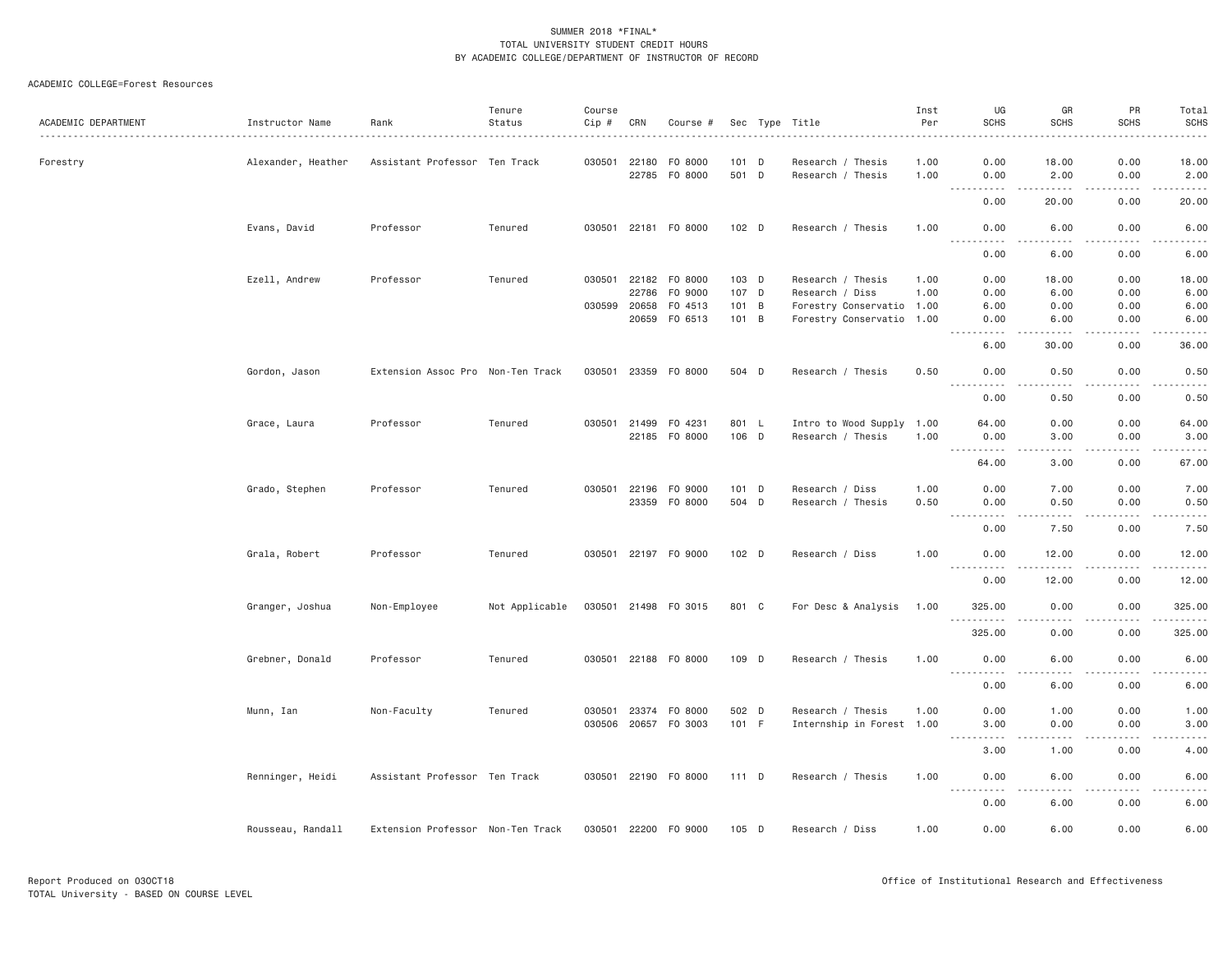#### ACADEMIC COLLEGE=Forest Resources

| ACADEMIC DEPARTMENT | Instructor Name    | Rank                              | Tenure<br>Status | Course<br>Cip # | CRN          | Course #             |                  | Sec Type Title            | Inst<br>Per<br>. | UG<br><b>SCHS</b>                                                                                                                                         | GR<br><b>SCHS</b>                   | PR<br><b>SCHS</b>                                                                                                                 | Total<br><b>SCHS</b><br>.                                                                                                                            |
|---------------------|--------------------|-----------------------------------|------------------|-----------------|--------------|----------------------|------------------|---------------------------|------------------|-----------------------------------------------------------------------------------------------------------------------------------------------------------|-------------------------------------|-----------------------------------------------------------------------------------------------------------------------------------|------------------------------------------------------------------------------------------------------------------------------------------------------|
| Forestry            | Alexander, Heather | Assistant Professor Ten Track     |                  |                 | 030501 22180 | F0 8000              | 101 D            | Research / Thesis         | 1.00             | 0.00                                                                                                                                                      | 18.00                               | 0.00                                                                                                                              | 18.00                                                                                                                                                |
|                     |                    |                                   |                  |                 |              | 22785 F0 8000        | 501 D            | Research / Thesis         | 1.00             | 0.00                                                                                                                                                      | 2.00                                | 0.00                                                                                                                              | 2.00                                                                                                                                                 |
|                     |                    |                                   |                  |                 |              |                      |                  |                           |                  | $  -$<br>0.00                                                                                                                                             | -----<br>20.00                      | .<br>0.00                                                                                                                         | .<br>20.00                                                                                                                                           |
|                     | Evans, David       | Professor                         | Tenured          | 030501          | 22181        | F0 8000              | $102$ D          | Research / Thesis         | 1.00             | 0.00                                                                                                                                                      | 6.00                                | 0.00                                                                                                                              | 6.00                                                                                                                                                 |
|                     |                    |                                   |                  |                 |              |                      |                  |                           |                  | $\frac{1}{2} \left( \frac{1}{2} \right) \left( \frac{1}{2} \right) \left( \frac{1}{2} \right) \left( \frac{1}{2} \right)$<br>$\sim$ $\sim$ $\sim$<br>0.00 | $\sim$ $\sim$ $\sim$ $\sim$<br>6.00 | $\sim$ $\sim$ $\sim$ $\sim$<br>0.00                                                                                               | والمستحدث<br>6.00                                                                                                                                    |
|                     | Ezell, Andrew      | Professor                         | Tenured          | 030501          |              | 22182 FO 8000        | 103 D            | Research / Thesis         | 1,00             | 0.00                                                                                                                                                      | 18.00                               | 0.00                                                                                                                              | 18.00                                                                                                                                                |
|                     |                    |                                   |                  |                 | 22786        | F0 9000              | 107 D            | Research / Diss           | 1.00             | 0.00                                                                                                                                                      | 6.00                                | 0.00                                                                                                                              | 6.00                                                                                                                                                 |
|                     |                    |                                   |                  | 030599          | 20658        | F0 4513              | 101 B            | Forestry Conservatio 1.00 |                  | 6.00                                                                                                                                                      | 0.00                                | 0.00                                                                                                                              | 6.00                                                                                                                                                 |
|                     |                    |                                   |                  |                 |              | 20659 FO 6513        | 101 B            | Forestry Conservatio 1.00 |                  | 0.00<br><u>.</u>                                                                                                                                          | 6.00<br>$- - - - -$                 | 0.00<br>.                                                                                                                         | 6.00<br>وبالمحامي                                                                                                                                    |
|                     |                    |                                   |                  |                 |              |                      |                  |                           |                  | 6.00                                                                                                                                                      | 30.00                               | 0.00                                                                                                                              | 36.00                                                                                                                                                |
|                     | Gordon, Jason      | Extension Assoc Pro Non-Ten Track |                  |                 |              | 030501 23359 FO 8000 | 504 D            | Research / Thesis         | 0.50             | 0.00                                                                                                                                                      | 0.50                                | 0.00                                                                                                                              | 0.50                                                                                                                                                 |
|                     |                    |                                   |                  |                 |              |                      |                  |                           |                  | .<br>0.00                                                                                                                                                 | .<br>0.50                           | .<br>0.00                                                                                                                         | .<br>0.50                                                                                                                                            |
|                     |                    |                                   |                  |                 |              |                      |                  |                           |                  |                                                                                                                                                           |                                     |                                                                                                                                   |                                                                                                                                                      |
|                     | Grace, Laura       | Professor                         | Tenured          | 030501          | 21499        | F0 4231              | 801 L            | Intro to Wood Supply 1.00 |                  | 64.00                                                                                                                                                     | 0.00                                | 0.00                                                                                                                              | 64.00                                                                                                                                                |
|                     |                    |                                   |                  |                 |              | 22185 F0 8000        | 106 D            | Research / Thesis         | 1.00             | 0.00                                                                                                                                                      | 3.00<br>.                           | 0.00<br>.                                                                                                                         | 3.00<br>.                                                                                                                                            |
|                     |                    |                                   |                  |                 |              |                      |                  |                           |                  | 64.00                                                                                                                                                     | 3.00                                | 0.00                                                                                                                              | 67.00                                                                                                                                                |
|                     | Grado, Stephen     | Professor                         | Tenured          | 030501          |              | 22196 F0 9000        | 101 D            | Research / Diss           | 1.00             | 0.00                                                                                                                                                      | 7.00                                | 0.00                                                                                                                              | 7.00                                                                                                                                                 |
|                     |                    |                                   |                  |                 |              | 23359 F0 8000        | 504 D            | Research / Thesis         | 0.50             | 0.00<br>$\frac{1}{2}$<br>$\frac{1}{2} \left( \frac{1}{2} \right) \left( \frac{1}{2} \right) \left( \frac{1}{2} \right) \left( \frac{1}{2} \right)$        | 0.50<br>$\frac{1}{2}$               | 0.00<br>$\frac{1}{2} \left( \frac{1}{2} \right) \left( \frac{1}{2} \right) \left( \frac{1}{2} \right) \left( \frac{1}{2} \right)$ | 0.50<br>$    -$                                                                                                                                      |
|                     |                    |                                   |                  |                 |              |                      |                  |                           |                  | 0.00                                                                                                                                                      | 7.50                                | 0.00                                                                                                                              | 7.50                                                                                                                                                 |
|                     | Grala, Robert      | Professor                         | Tenured          |                 |              | 030501 22197 F0 9000 | 102 <sub>D</sub> | Research / Diss           | 1.00             | 0.00                                                                                                                                                      | 12.00                               | 0.00                                                                                                                              | 12.00                                                                                                                                                |
|                     |                    |                                   |                  |                 |              |                      |                  |                           |                  | .<br>0.00                                                                                                                                                 | 12.00                               | -----<br>0.00                                                                                                                     | ------<br>12.00                                                                                                                                      |
|                     | Granger, Joshua    | Non-Employee                      | Not Applicable   |                 |              | 030501 21498 FO 3015 | 801 C            | For Desc & Analysis       | 1.00             | 325.00                                                                                                                                                    | 0.00                                | 0.00                                                                                                                              | 325.00                                                                                                                                               |
|                     |                    |                                   |                  |                 |              |                      |                  |                           |                  | ----------<br>325.00                                                                                                                                      | .<br>0.00                           | -----<br>0.00                                                                                                                     | .<br>325.00                                                                                                                                          |
|                     | Grebner, Donald    | Professor                         | Tenured          |                 |              | 030501 22188 F0 8000 | 109 D            | Research / Thesis         | 1.00             | 0.00                                                                                                                                                      | 6.00                                | 0.00                                                                                                                              | 6.00                                                                                                                                                 |
|                     |                    |                                   |                  |                 |              |                      |                  |                           |                  | <u>.</u><br>0.00                                                                                                                                          | $\frac{1}{2}$<br>6.00               | .<br>0.00                                                                                                                         | .<br>6.00                                                                                                                                            |
|                     | Munn, Ian          | Non-Faculty                       | Tenured          | 030501          | 23374        | F0 8000              | 502 D            | Research / Thesis         | 1.00             | 0.00                                                                                                                                                      | 1.00                                | 0.00                                                                                                                              | 1.00                                                                                                                                                 |
|                     |                    |                                   |                  |                 |              | 030506 20657 FO 3003 | 101 F            | Internship in Forest 1.00 |                  | 3.00                                                                                                                                                      | 0.00                                | 0.00                                                                                                                              | 3.00                                                                                                                                                 |
|                     |                    |                                   |                  |                 |              |                      |                  |                           |                  | $- - -$<br>-----                                                                                                                                          | .                                   | .                                                                                                                                 | $\frac{1}{2} \left( \frac{1}{2} \right) \left( \frac{1}{2} \right) \left( \frac{1}{2} \right) \left( \frac{1}{2} \right) \left( \frac{1}{2} \right)$ |
|                     |                    |                                   |                  |                 |              |                      |                  |                           |                  | 3.00                                                                                                                                                      | 1.00                                | 0.00                                                                                                                              | 4.00                                                                                                                                                 |
|                     | Renninger, Heidi   | Assistant Professor Ten Track     |                  |                 |              | 030501 22190 F0 8000 | 111 D            | Research / Thesis         | 1.00             | 0.00<br>----------                                                                                                                                        | 6.00<br>.                           | 0.00<br>.                                                                                                                         | 6.00<br>.                                                                                                                                            |
|                     |                    |                                   |                  |                 |              |                      |                  |                           |                  | 0.00                                                                                                                                                      | 6.00                                | 0.00                                                                                                                              | 6.00                                                                                                                                                 |
|                     | Rousseau, Randall  | Extension Professor Non-Ten Track |                  |                 |              | 030501 22200 F0 9000 | 105 D            | Research / Diss           | 1.00             | 0.00                                                                                                                                                      | 6.00                                | 0.00                                                                                                                              | 6.00                                                                                                                                                 |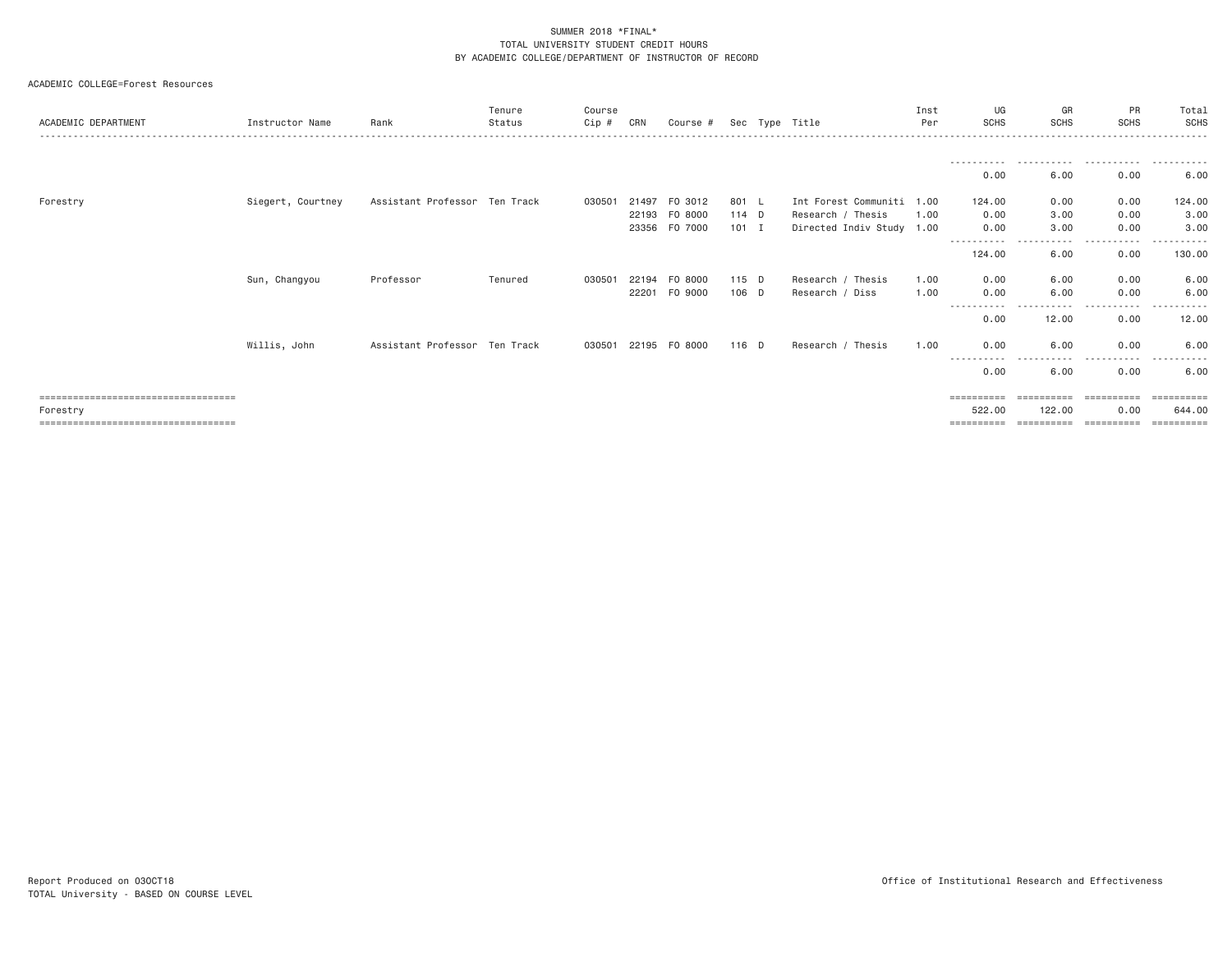#### ACADEMIC COLLEGE=Forest Resources

| ACADEMIC DEPARTMENT                                                                        | Instructor Name   | Rank                          | Tenure<br>Status | Course<br>Cip # | CRN                     | Course #                      |                             | Sec Type Title                                                              | Inst<br>Per  | UG<br><b>SCHS</b>                             | GR<br><b>SCHS</b>                     | PR<br><b>SCHS</b>                  | Total<br>SCHS                      |
|--------------------------------------------------------------------------------------------|-------------------|-------------------------------|------------------|-----------------|-------------------------|-------------------------------|-----------------------------|-----------------------------------------------------------------------------|--------------|-----------------------------------------------|---------------------------------------|------------------------------------|------------------------------------|
|                                                                                            |                   |                               |                  |                 |                         |                               |                             |                                                                             |              | -----------<br>0.00                           | 6.00                                  | 0.00                               | .<br>6.00                          |
| Forestry                                                                                   | Siegert, Courtney | Assistant Professor Ten Track |                  | 030501          | 21497<br>22193<br>23356 | F0 3012<br>F0 8000<br>F0 7000 | 801 L<br>$114$ D<br>$101$ I | Int Forest Communiti 1.00<br>Research / Thesis<br>Directed Indiv Study 1.00 | 1.00         | 124,00<br>0.00<br>0.00<br>-----------         | 0.00<br>3.00<br>3.00<br>$\frac{1}{2}$ | 0.00<br>0.00<br>0.00<br>-----      | 124.00<br>3.00<br>3.00<br>.        |
|                                                                                            |                   |                               |                  |                 |                         |                               |                             |                                                                             |              | 124.00                                        | 6.00                                  | 0.00                               | 130.00                             |
|                                                                                            | Sun, Changyou     | Professor                     | Tenured          | 030501          | 22194<br>22201          | F0 8000<br>F0 9000            | 115 D<br>106 D              | Research / Thesis<br>Research / Diss                                        | 1.00<br>1.00 | 0.00<br>0.00                                  | 6.00<br>6.00<br>.                     | 0.00<br>0.00<br>$\cdots$<br>.      | 6.00<br>6.00<br>----------         |
|                                                                                            |                   |                               |                  |                 |                         |                               |                             |                                                                             |              | 0.00                                          | 12.00                                 | 0.00                               | 12.00                              |
|                                                                                            | Willis, John      | Assistant Professor Ten Track |                  | 030501          | 22195                   | F0 8000                       | 116 D                       | Thesis<br>Research /                                                        | 1,00         | 0.00<br>------                                | 6.00<br>$\cdots$                      | 0.00<br>.                          | 6,00                               |
|                                                                                            |                   |                               |                  |                 |                         |                               |                             |                                                                             |              | 0.00                                          | 6.00                                  | 0.00                               | 6.00                               |
| =====================================<br>Forestry<br>===================================== |                   |                               |                  |                 |                         |                               |                             |                                                                             |              | $=$ = = = = = = = = =<br>522.00<br>========== | ==========<br>122,00<br>==========    | -----------<br>0.00<br>----------- | ==========<br>644,00<br>========== |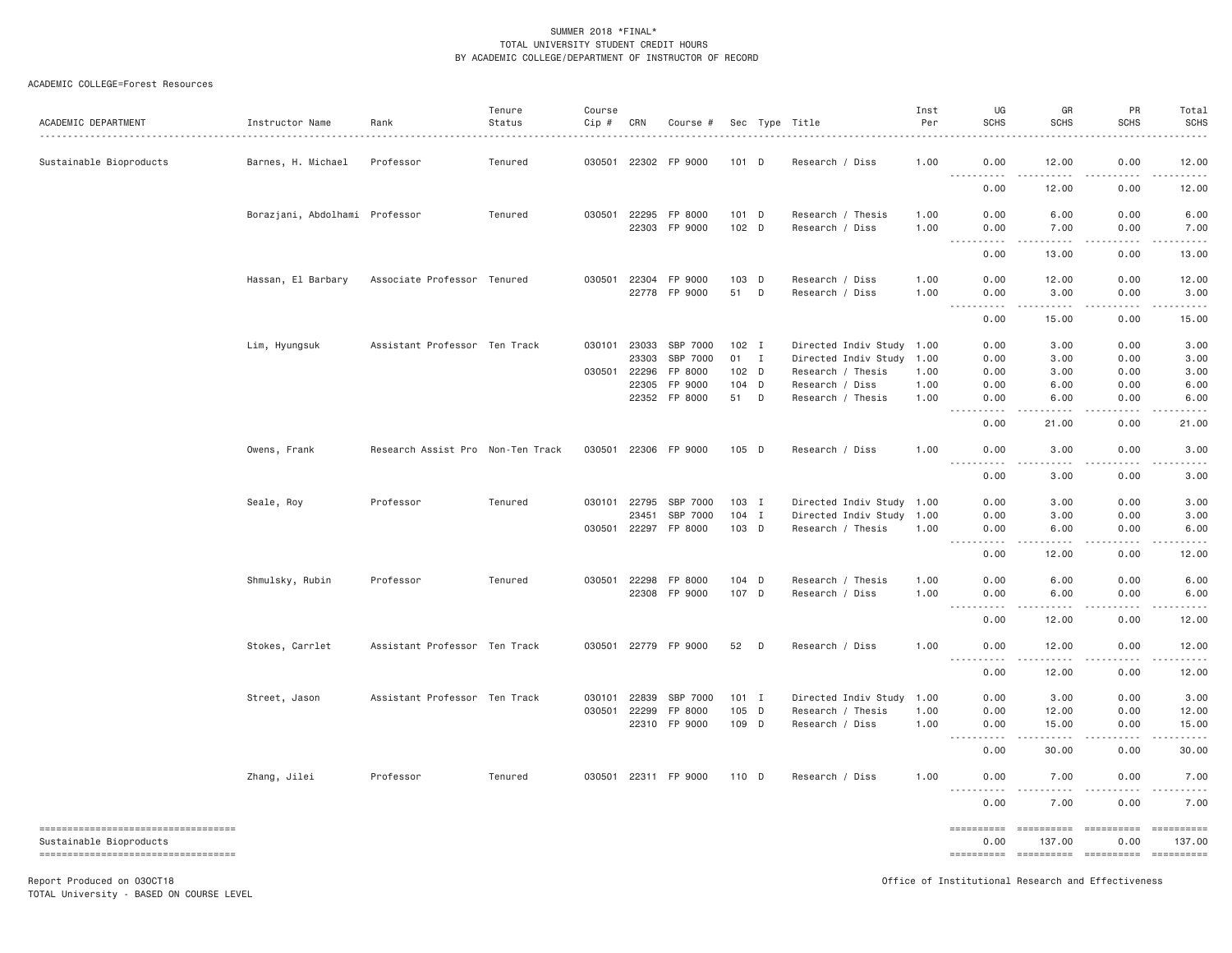#### ACADEMIC COLLEGE=Forest Resources

|                                                                  |                                |                                   | Tenure  | Course |              |                      |         |   |                           | Inst | UG                                                                                                                                                                    | GR                                                                                                                                                                       | PR                                                                                                                                                           | Total                 |
|------------------------------------------------------------------|--------------------------------|-----------------------------------|---------|--------|--------------|----------------------|---------|---|---------------------------|------|-----------------------------------------------------------------------------------------------------------------------------------------------------------------------|--------------------------------------------------------------------------------------------------------------------------------------------------------------------------|--------------------------------------------------------------------------------------------------------------------------------------------------------------|-----------------------|
| ACADEMIC DEPARTMENT                                              | Instructor Name                | Rank                              | Status  | Cip #  | CRN          | Course #             |         |   | Sec Type Title            | Per  | <b>SCHS</b>                                                                                                                                                           | <b>SCHS</b>                                                                                                                                                              | <b>SCHS</b>                                                                                                                                                  | <b>SCHS</b>           |
| Sustainable Bioproducts                                          | Barnes, H. Michael             | Professor                         | Tenured | 030501 | 22302        | FP 9000              | $101$ D |   | Research / Diss           | 1.00 | 0.00                                                                                                                                                                  | 12.00                                                                                                                                                                    | 0.00                                                                                                                                                         | 12.00                 |
|                                                                  |                                |                                   |         |        |              |                      |         |   |                           |      | .<br>$\frac{1}{2} \left( \frac{1}{2} \right) \left( \frac{1}{2} \right) \left( \frac{1}{2} \right) \left( \frac{1}{2} \right)$<br>0.00                                | .<br>12.00                                                                                                                                                               | .<br>0.00                                                                                                                                                    | .<br>12.00            |
|                                                                  | Borazjani, Abdolhami Professor |                                   | Tenured | 030501 | 22295        | FP 8000              | 101 D   |   | Research / Thesis         | 1.00 | 0.00                                                                                                                                                                  | 6.00                                                                                                                                                                     | 0.00                                                                                                                                                         | 6.00                  |
|                                                                  |                                |                                   |         |        | 22303        | FP 9000              | 102 D   |   | Research / Diss           | 1.00 | 0.00<br>$\frac{1}{2} \left( \frac{1}{2} \right) \left( \frac{1}{2} \right) \left( \frac{1}{2} \right) \left( \frac{1}{2} \right) \left( \frac{1}{2} \right)$<br>----- | 7.00                                                                                                                                                                     | 0.00                                                                                                                                                         | 7.00                  |
|                                                                  |                                |                                   |         |        |              |                      |         |   |                           |      | 0.00                                                                                                                                                                  | 13.00                                                                                                                                                                    | 0.00                                                                                                                                                         | 13.00                 |
|                                                                  | Hassan, El Barbary             | Associate Professor Tenured       |         |        | 030501 22304 | FP 9000              | 103 D   |   | Research / Diss           | 1.00 | 0.00                                                                                                                                                                  | 12.00                                                                                                                                                                    | 0.00                                                                                                                                                         | 12.00                 |
|                                                                  |                                |                                   |         |        | 22778        | FP 9000              | 51      | D | Research / Diss           | 1.00 | 0.00<br>$- - - - -$<br>$\frac{1}{2} \left( \frac{1}{2} \right) \left( \frac{1}{2} \right) \left( \frac{1}{2} \right) \left( \frac{1}{2} \right)$                      | 3.00<br>.                                                                                                                                                                | 0.00<br>.                                                                                                                                                    | 3.00<br>.             |
|                                                                  |                                |                                   |         |        |              |                      |         |   |                           |      | 0.00                                                                                                                                                                  | 15.00                                                                                                                                                                    | 0.00                                                                                                                                                         | 15.00                 |
|                                                                  | Lim, Hyungsuk                  | Assistant Professor Ten Track     |         |        | 030101 23033 | SBP 7000             | $102$ I |   | Directed Indiv Study 1.00 |      | 0.00                                                                                                                                                                  | 3.00                                                                                                                                                                     | 0.00                                                                                                                                                         | 3.00                  |
|                                                                  |                                |                                   |         |        | 23303        | SBP 7000             | 01 I    |   | Directed Indiv Study      | 1.00 | 0.00                                                                                                                                                                  | 3.00                                                                                                                                                                     | 0.00                                                                                                                                                         | 3.00                  |
|                                                                  |                                |                                   |         |        | 030501 22296 | FP 8000              | 102 D   |   | Research / Thesis         | 1.00 | 0.00                                                                                                                                                                  | 3.00                                                                                                                                                                     | 0.00                                                                                                                                                         | 3.00                  |
|                                                                  |                                |                                   |         |        | 22305        | FP 9000              | 104 D   |   | Research / Diss           | 1.00 | 0.00                                                                                                                                                                  | 6.00                                                                                                                                                                     | 0.00                                                                                                                                                         | 6.00                  |
|                                                                  |                                |                                   |         |        |              | 22352 FP 8000        | 51 D    |   | Research / Thesis         | 1.00 | 0.00<br>.                                                                                                                                                             | 6.00<br>$- - - - -$                                                                                                                                                      | 0.00<br>.                                                                                                                                                    | 6.00<br>.             |
|                                                                  |                                |                                   |         |        |              |                      |         |   |                           |      | 0.00                                                                                                                                                                  | 21.00                                                                                                                                                                    | 0.00                                                                                                                                                         | 21.00                 |
|                                                                  | Owens, Frank                   | Research Assist Pro Non-Ten Track |         |        |              | 030501 22306 FP 9000 | 105 D   |   | Research / Diss           | 1.00 | 0.00                                                                                                                                                                  | 3.00                                                                                                                                                                     | 0.00                                                                                                                                                         | 3.00                  |
|                                                                  |                                |                                   |         |        |              |                      |         |   |                           |      | 0.00                                                                                                                                                                  | 3.00                                                                                                                                                                     | 0.00                                                                                                                                                         | 3.00                  |
|                                                                  | Seale, Roy                     | Professor                         | Tenured |        | 030101 22795 | SBP 7000             | $103$ I |   | Directed Indiv Study 1.00 |      | 0.00                                                                                                                                                                  | 3.00                                                                                                                                                                     | 0.00                                                                                                                                                         | 3.00                  |
|                                                                  |                                |                                   |         |        | 23451        | SBP 7000             | 104 I   |   | Directed Indiv Study      | 1.00 | 0.00                                                                                                                                                                  | 3.00                                                                                                                                                                     | 0.00                                                                                                                                                         | 3.00                  |
|                                                                  |                                |                                   |         |        |              | 030501 22297 FP 8000 | 103 D   |   | Research / Thesis         | 1.00 | 0.00<br><b></b>                                                                                                                                                       | 6.00<br>$\frac{1}{2} \left( \frac{1}{2} \right) \left( \frac{1}{2} \right) \left( \frac{1}{2} \right) \left( \frac{1}{2} \right) \left( \frac{1}{2} \right)$<br>$\cdots$ | 0.00<br>$\frac{1}{2} \left( \frac{1}{2} \right) \left( \frac{1}{2} \right) \left( \frac{1}{2} \right) \left( \frac{1}{2} \right) \left( \frac{1}{2} \right)$ | 6.00<br>$- - - - - -$ |
|                                                                  |                                |                                   |         |        |              |                      |         |   |                           |      | 0.00                                                                                                                                                                  | 12.00                                                                                                                                                                    | 0.00                                                                                                                                                         | 12.00                 |
|                                                                  | Shmulsky, Rubin                | Professor                         | Tenured |        | 030501 22298 | FP 8000              | 104 D   |   | Research / Thesis         | 1.00 | 0.00                                                                                                                                                                  | 6.00                                                                                                                                                                     | 0.00                                                                                                                                                         | 6.00                  |
|                                                                  |                                |                                   |         |        | 22308        | FP 9000              | 107 D   |   | Research / Diss           | 1.00 | 0.00<br>$\frac{1}{2} \left( \frac{1}{2} \right) \left( \frac{1}{2} \right) \left( \frac{1}{2} \right) \left( \frac{1}{2} \right)$<br>$\cdots$                         | 6.00                                                                                                                                                                     | 0.00                                                                                                                                                         | 6.00                  |
|                                                                  |                                |                                   |         |        |              |                      |         |   |                           |      | 0.00                                                                                                                                                                  | 12.00                                                                                                                                                                    | 0.00                                                                                                                                                         | 12.00                 |
|                                                                  | Stokes, Carrlet                | Assistant Professor Ten Track     |         |        |              | 030501 22779 FP 9000 | 52      | D | Research / Diss           | 1.00 | 0.00                                                                                                                                                                  | 12,00                                                                                                                                                                    | 0.00                                                                                                                                                         | 12.00                 |
|                                                                  |                                |                                   |         |        |              |                      |         |   |                           |      | 0.00                                                                                                                                                                  | 12.00                                                                                                                                                                    | 0.00                                                                                                                                                         | 12.00                 |
|                                                                  | Street, Jason                  | Assistant Professor Ten Track     |         | 030101 | 22839        | SBP 7000             | $101$ I |   | Directed Indiv Study      | 1.00 | 0.00                                                                                                                                                                  | 3.00                                                                                                                                                                     | 0.00                                                                                                                                                         | 3.00                  |
|                                                                  |                                |                                   |         |        | 030501 22299 | FP 8000              | $105$ D |   | Research / Thesis         | 1.00 | 0.00                                                                                                                                                                  | 12.00                                                                                                                                                                    | 0.00                                                                                                                                                         | 12.00                 |
|                                                                  |                                |                                   |         |        |              | 22310 FP 9000        | 109 D   |   | Research / Diss           | 1.00 | 0.00<br>.<br>$\sim$ $\sim$ $\sim$ $\sim$                                                                                                                              | 15.00<br>$\frac{1}{2} \left( \frac{1}{2} \right) \left( \frac{1}{2} \right) \left( \frac{1}{2} \right) \left( \frac{1}{2} \right) \left( \frac{1}{2} \right)$            | 0.00<br>.                                                                                                                                                    | 15.00                 |
|                                                                  |                                |                                   |         |        |              |                      |         |   |                           |      | 0.00                                                                                                                                                                  | 30.00                                                                                                                                                                    | 0.00                                                                                                                                                         | 30.00                 |
|                                                                  | Zhang, Jilei                   | Professor                         | Tenured |        |              | 030501 22311 FP 9000 | 110 D   |   | Research / Diss           | 1.00 | 0.00                                                                                                                                                                  | 7.00                                                                                                                                                                     | 0.00                                                                                                                                                         | 7.00                  |
|                                                                  |                                |                                   |         |        |              |                      |         |   |                           |      | $\sim$ $\sim$ $\sim$ $\sim$<br>$\frac{1}{2}$<br>0.00                                                                                                                  | 7.00                                                                                                                                                                     | 0.00                                                                                                                                                         | 7.00                  |
| =====================================<br>Sustainable Bioproducts |                                |                                   |         |        |              |                      |         |   |                           |      | ==========<br>0.00                                                                                                                                                    | ---------- ---------- ---------<br>137.00                                                                                                                                | 0.00                                                                                                                                                         | 137.00                |
| ----------------------------------                               |                                |                                   |         |        |              |                      |         |   |                           |      | ==========                                                                                                                                                            | ----------- ----------                                                                                                                                                   |                                                                                                                                                              | ----------            |
| Report Produced on 030CT18                                       |                                |                                   |         |        |              |                      |         |   |                           |      |                                                                                                                                                                       | Office of Institutional Research and Effectiveness                                                                                                                       |                                                                                                                                                              |                       |

TOTAL University - BASED ON COURSE LEVEL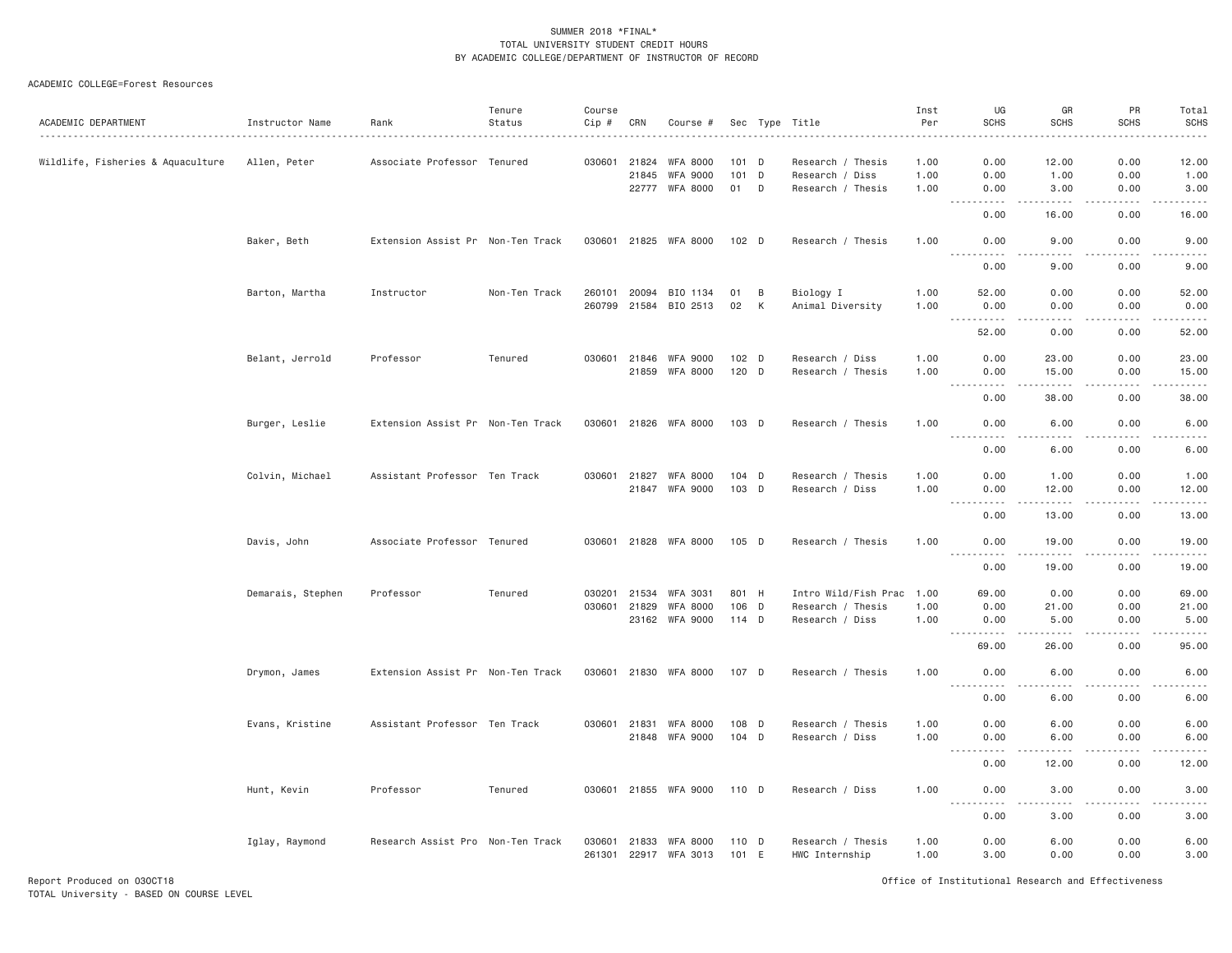#### ACADEMIC COLLEGE=Forest Resources

| ACADEMIC DEPARTMENT               | Instructor Name   | Rank                              | Tenure<br>Status | Course<br>$Cip$ # | CRN   | Course #                          |                |   | Sec Type Title                      | Inst<br>Per  | UG<br><b>SCHS</b>                                                                                           | GR<br><b>SCHS</b>                                                                                                                                             | PR<br><b>SCHS</b>   | Total<br><b>SCHS</b>                                                                                                                                         |
|-----------------------------------|-------------------|-----------------------------------|------------------|-------------------|-------|-----------------------------------|----------------|---|-------------------------------------|--------------|-------------------------------------------------------------------------------------------------------------|---------------------------------------------------------------------------------------------------------------------------------------------------------------|---------------------|--------------------------------------------------------------------------------------------------------------------------------------------------------------|
|                                   |                   |                                   |                  |                   |       |                                   |                |   |                                     |              |                                                                                                             |                                                                                                                                                               |                     |                                                                                                                                                              |
| Wildlife, Fisheries & Aquaculture | Allen, Peter      | Associate Professor Tenured       |                  | 030601            | 21824 | <b>WFA 8000</b>                   | 101 D          |   | Research / Thesis                   | 1.00         | 0.00                                                                                                        | 12.00                                                                                                                                                         | 0.00                | 12.00                                                                                                                                                        |
|                                   |                   |                                   |                  |                   | 21845 | <b>WFA 9000</b>                   | 101 D          |   | Research / Diss                     | 1.00         | 0.00                                                                                                        | 1.00                                                                                                                                                          | 0.00                | 1.00                                                                                                                                                         |
|                                   |                   |                                   |                  |                   |       | 22777 WFA 8000                    | 01 D           |   | Research / Thesis                   | 1.00         | 0.00<br>.<br>$\frac{1}{2} \left( \frac{1}{2} \right) \left( \frac{1}{2} \right) \left( \frac{1}{2} \right)$ | 3.00<br>$- - - - -$                                                                                                                                           | 0.00<br>.           | 3.00<br>.                                                                                                                                                    |
|                                   |                   |                                   |                  |                   |       |                                   |                |   |                                     |              | 0.00                                                                                                        | 16.00                                                                                                                                                         | 0.00                | 16.00                                                                                                                                                        |
|                                   | Baker, Beth       | Extension Assist Pr Non-Ten Track |                  | 030601            |       | 21825 WFA 8000                    | 102 D          |   | Research / Thesis                   | 1.00         | 0.00<br>$- - - - -$                                                                                         | 9.00<br>.                                                                                                                                                     | 0.00<br>.           | 9.00<br>$- - - - -$                                                                                                                                          |
|                                   |                   |                                   |                  |                   |       |                                   |                |   |                                     |              | 0.00                                                                                                        | 9.00                                                                                                                                                          | 0.00                | 9.00                                                                                                                                                         |
|                                   | Barton, Martha    | Instructor                        | Non-Ten Track    | 260101            | 20094 | BIO 1134                          | 01             | B | Biology I                           | 1.00         | 52.00                                                                                                       | 0.00                                                                                                                                                          | 0.00                | 52.00                                                                                                                                                        |
|                                   |                   |                                   |                  | 260799            |       | 21584 BIO 2513                    | 02             | К | Animal Diversity                    | 1.00         | 0.00<br><u>.</u>                                                                                            | 0.00<br>-----                                                                                                                                                 | 0.00<br>.           | 0.00<br>.                                                                                                                                                    |
|                                   |                   |                                   |                  |                   |       |                                   |                |   |                                     |              | 52.00                                                                                                       | 0.00                                                                                                                                                          | 0.00                | 52.00                                                                                                                                                        |
|                                   | Belant, Jerrold   | Professor                         | Tenured          | 030601            |       | 21846 WFA 9000                    | 102 D          |   | Research / Diss                     | 1.00         | 0.00                                                                                                        | 23.00                                                                                                                                                         | 0.00                | 23.00                                                                                                                                                        |
|                                   |                   |                                   |                  |                   |       | 21859 WFA 8000                    | 120 D          |   | Research / Thesis                   | 1.00         | 0.00<br>.                                                                                                   | 15.00<br>.                                                                                                                                                    | 0.00<br>.           | 15.00<br>.                                                                                                                                                   |
|                                   |                   |                                   |                  |                   |       |                                   |                |   |                                     |              | $\frac{1}{2}$<br>0.00                                                                                       | 38.00                                                                                                                                                         | 0.00                | 38.00                                                                                                                                                        |
|                                   | Burger, Leslie    | Extension Assist Pr Non-Ten Track |                  | 030601            |       | 21826 WFA 8000                    | $103$ D        |   | Research / Thesis                   | 1.00         | 0.00<br>.<br>$\sim 100$ km s $^{-1}$                                                                        | 6.00<br>-----                                                                                                                                                 | 0.00<br>.           | 6.00<br>$\frac{1}{2} \left( \frac{1}{2} \right) \left( \frac{1}{2} \right) \left( \frac{1}{2} \right) \left( \frac{1}{2} \right) \left( \frac{1}{2} \right)$ |
|                                   |                   |                                   |                  |                   |       |                                   |                |   |                                     |              | 0.00                                                                                                        | 6.00                                                                                                                                                          | 0.00                | 6.00                                                                                                                                                         |
|                                   | Colvin, Michael   | Assistant Professor Ten Track     |                  | 030601            | 21827 | <b>WFA 8000</b>                   | 104 D          |   | Research / Thesis                   | 1.00         | 0.00                                                                                                        | 1.00                                                                                                                                                          | 0.00                | 1.00                                                                                                                                                         |
|                                   |                   |                                   |                  |                   | 21847 | WFA 9000                          | 103 D          |   | Research / Diss                     | 1.00         | 0.00<br>----------                                                                                          | 12.00<br>$\frac{1}{2} \left( \frac{1}{2} \right) \left( \frac{1}{2} \right) \left( \frac{1}{2} \right) \left( \frac{1}{2} \right) \left( \frac{1}{2} \right)$ | 0.00<br>.           | 12.00<br>.                                                                                                                                                   |
|                                   |                   |                                   |                  |                   |       |                                   |                |   |                                     |              | 0.00                                                                                                        | 13.00                                                                                                                                                         | 0.00                | 13.00                                                                                                                                                        |
|                                   | Davis, John       | Associate Professor Tenured       |                  |                   |       | 030601 21828 WFA 8000             | 105 D          |   | Research / Thesis                   | 1.00         | 0.00<br><u>.</u>                                                                                            | 19.00<br>.                                                                                                                                                    | 0.00<br>$- - - - -$ | 19.00<br>.                                                                                                                                                   |
|                                   |                   |                                   |                  |                   |       |                                   |                |   |                                     |              | 0.00                                                                                                        | 19.00                                                                                                                                                         | 0.00                | 19.00                                                                                                                                                        |
|                                   | Demarais, Stephen | Professor                         | Tenured          | 030201            | 21534 | WFA 3031                          | 801 H          |   | Intro Wild/Fish Prac 1.00           |              | 69.00                                                                                                       | 0.00                                                                                                                                                          | 0.00                | 69.00                                                                                                                                                        |
|                                   |                   |                                   |                  | 030601            | 21829 | <b>WFA 8000</b>                   | $106$ D        |   | Research / Thesis                   | 1.00         | 0.00                                                                                                        | 21.00                                                                                                                                                         | 0.00                | 21.00                                                                                                                                                        |
|                                   |                   |                                   |                  |                   |       | 23162 WFA 9000                    | 114 D          |   | Research / Diss                     | 1,00         | 0.00<br>$\sim$ $\sim$ $\sim$ $\sim$<br>.                                                                    | 5.00<br>.                                                                                                                                                     | 0.00<br>.           | 5.00<br>.                                                                                                                                                    |
|                                   |                   |                                   |                  |                   |       |                                   |                |   |                                     |              | 69.00                                                                                                       | 26.00                                                                                                                                                         | 0.00                | 95.00                                                                                                                                                        |
|                                   | Drymon, James     | Extension Assist Pr Non-Ten Track |                  |                   |       | 030601 21830 WFA 8000             | 107 D          |   | Research / Thesis                   | 1.00         | 0.00<br>. <b>.</b>                                                                                          | 6.00<br>.                                                                                                                                                     | 0.00<br>.           | 6.00<br>.                                                                                                                                                    |
|                                   |                   |                                   |                  |                   |       |                                   |                |   |                                     |              | 0.00                                                                                                        | 6.00                                                                                                                                                          | 0.00                | 6.00                                                                                                                                                         |
|                                   | Evans, Kristine   | Assistant Professor Ten Track     |                  | 030601            | 21831 | WFA 8000                          | 108 D          |   | Research / Thesis                   | 1.00         | 0.00                                                                                                        | 6.00                                                                                                                                                          | 0.00                | 6.00                                                                                                                                                         |
|                                   |                   |                                   |                  |                   |       | 21848 WFA 9000                    | 104 D          |   | Research / Diss                     | 1.00         | 0.00                                                                                                        | 6.00                                                                                                                                                          | 0.00                | 6.00                                                                                                                                                         |
|                                   |                   |                                   |                  |                   |       |                                   |                |   |                                     |              | $\sim$ $\sim$ $\sim$ $\sim$<br>------<br>0.00                                                               | -----<br>12.00                                                                                                                                                | .<br>0.00           | .<br>12.00                                                                                                                                                   |
|                                   | Hunt, Kevin       | Professor                         | Tenured          |                   |       | 030601 21855 WFA 9000             | 110 D          |   | Research / Diss                     | 1.00         | 0.00                                                                                                        | 3.00                                                                                                                                                          | 0.00                | 3.00                                                                                                                                                         |
|                                   |                   |                                   |                  |                   |       |                                   |                |   |                                     |              | .<br>0.00                                                                                                   | $- - - - -$<br>3.00                                                                                                                                           | .<br>0.00           | $\omega$ is a set of<br>3.00                                                                                                                                 |
|                                   | Iglay, Raymond    | Research Assist Pro Non-Ten Track |                  | 030601            | 21833 | WFA 8000<br>261301 22917 WFA 3013 | 110 D<br>101 E |   | Research / Thesis<br>HWC Internship | 1.00<br>1.00 | 0.00<br>3.00                                                                                                | 6.00<br>0.00                                                                                                                                                  | 0.00<br>0.00        | 6.00<br>3.00                                                                                                                                                 |
|                                   |                   |                                   |                  |                   |       |                                   |                |   |                                     |              |                                                                                                             |                                                                                                                                                               |                     |                                                                                                                                                              |

Report Produced on 03OCT18 Office of Institutional Research and Effectiveness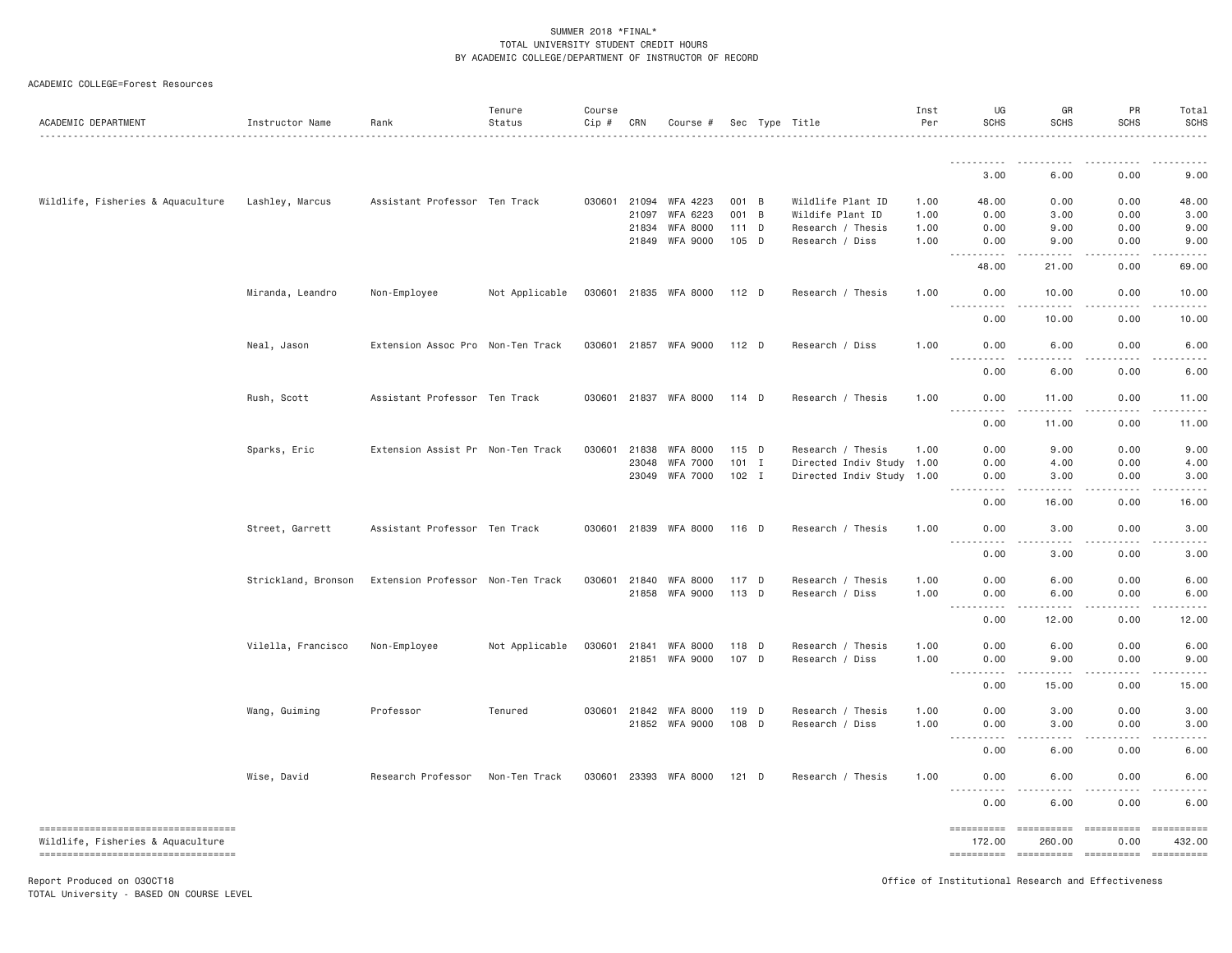|  | ACADEMIC COLLEGE=Forest Resources |  |
|--|-----------------------------------|--|
|--|-----------------------------------|--|

| ACADEMIC DEPARTMENT                                                        | Instructor Name     | Rank                              | Tenure<br>Status | Course<br>Cip # | CRN          | Course #              |         | Sec Type Title       | Inst<br>Per | UG<br><b>SCHS</b>                                                                                                                                                           | GR<br><b>SCHS</b>               | PR<br><b>SCHS</b>    | Total<br><b>SCHS</b> |
|----------------------------------------------------------------------------|---------------------|-----------------------------------|------------------|-----------------|--------------|-----------------------|---------|----------------------|-------------|-----------------------------------------------------------------------------------------------------------------------------------------------------------------------------|---------------------------------|----------------------|----------------------|
|                                                                            |                     |                                   |                  |                 |              |                       |         |                      |             |                                                                                                                                                                             |                                 |                      |                      |
|                                                                            |                     |                                   |                  |                 |              |                       |         |                      |             | 3.00                                                                                                                                                                        | 6.00                            | 0.00                 | 9.00                 |
| Wildlife, Fisheries & Aquaculture                                          | Lashley, Marcus     | Assistant Professor Ten Track     |                  | 030601          | 21094        | WFA 4223              | 001 B   | Wildlife Plant ID    | 1.00        | 48.00                                                                                                                                                                       | 0.00                            | 0.00                 | 48.00                |
|                                                                            |                     |                                   |                  |                 | 21097        | WFA 6223              | 001 B   | Wildife Plant ID     | 1.00        | 0.00                                                                                                                                                                        | 3.00                            | 0.00                 | 3.00                 |
|                                                                            |                     |                                   |                  |                 | 21834        | WFA 8000              | 111 D   | Research / Thesis    | 1.00        | 0.00                                                                                                                                                                        | 9.00                            | 0.00                 | 9.00                 |
|                                                                            |                     |                                   |                  |                 | 21849        | WFA 9000              | 105 D   | Research / Diss      | 1.00        | 0.00<br>.<br>$\sim$ $\sim$ $\sim$ $\sim$                                                                                                                                    | 9.00<br>.                       | 0.00                 | 9.00                 |
|                                                                            |                     |                                   |                  |                 |              |                       |         |                      |             | 48.00                                                                                                                                                                       | 21.00                           | 0.00                 | 69.00                |
|                                                                            | Miranda, Leandro    | Non-Employee                      | Not Applicable   |                 |              | 030601 21835 WFA 8000 | 112 D   | Research / Thesis    | 1.00        | 0.00<br>$\frac{1}{2}$<br>-----                                                                                                                                              | 10.00<br>.                      | 0.00                 | 10.00                |
|                                                                            |                     |                                   |                  |                 |              |                       |         |                      |             | 0.00                                                                                                                                                                        | 10.00                           | 0.00                 | 10.00                |
|                                                                            | Neal, Jason         | Extension Assoc Pro Non-Ten Track |                  | 030601          |              | 21857 WFA 9000        | 112 D   | Research / Diss      | 1.00        | 0.00                                                                                                                                                                        | 6.00                            | 0.00                 | 6.00                 |
|                                                                            |                     |                                   |                  |                 |              |                       |         |                      |             | $\sim$ $\sim$ $\sim$<br>0.00                                                                                                                                                | 6.00                            | 0.00                 | 6.00                 |
|                                                                            | Rush, Scott         | Assistant Professor Ten Track     |                  |                 |              | 030601 21837 WFA 8000 | 114 D   | Research / Thesis    | 1.00        | 0.00                                                                                                                                                                        | 11.00                           | 0.00                 | 11.00                |
|                                                                            |                     |                                   |                  |                 |              |                       |         |                      |             | $- - - - -$<br>$\frac{1}{2} \left( \frac{1}{2} \right) \left( \frac{1}{2} \right) \left( \frac{1}{2} \right) \left( \frac{1}{2} \right) \left( \frac{1}{2} \right)$<br>0.00 | $- - - - -$<br>11.00            | .<br>0.00            | 11.00                |
|                                                                            | Sparks, Eric        | Extension Assist Pr Non-Ten Track |                  | 030601          | 21838        | WFA 8000              | 115 D   | Research / Thesis    | 1.00        | 0.00                                                                                                                                                                        | 9.00                            | 0.00                 | 9.00                 |
|                                                                            |                     |                                   |                  |                 | 23048        | WFA 7000              | $101$ I | Directed Indiv Study | 1.00        | 0.00                                                                                                                                                                        | 4.00                            | 0.00                 | 4.00                 |
|                                                                            |                     |                                   |                  |                 | 23049        | <b>WFA 7000</b>       | $102$ I | Directed Indiv Study | 1.00        | 0.00<br><b><i><u>.</u></i></b><br>$\frac{1}{2} \left( \frac{1}{2} \right) \left( \frac{1}{2} \right) \left( \frac{1}{2} \right) \left( \frac{1}{2} \right)$                 | 3.00<br>-----                   | 0.00<br>.            | 3.00<br>$- - - - -$  |
|                                                                            |                     |                                   |                  |                 |              |                       |         |                      |             | 0.00                                                                                                                                                                        | 16.00                           | 0.00                 | 16.00                |
|                                                                            | Street, Garrett     | Assistant Professor Ten Track     |                  | 030601          |              | 21839 WFA 8000        | 116 D   | Research / Thesis    | 1,00        | 0.00<br>.<br>.                                                                                                                                                              | 3.00<br>-----<br>$- - -$        | 0.00<br>-----        | 3.00                 |
|                                                                            |                     |                                   |                  |                 |              |                       |         |                      |             | 0.00                                                                                                                                                                        | 3.00                            | 0.00                 | 3.00                 |
|                                                                            | Strickland, Bronson | Extension Professor Non-Ten Track |                  | 030601          | 21840        | <b>WFA 8000</b>       | 117 D   | Research / Thesis    | 1.00        | 0.00                                                                                                                                                                        | 6.00                            | 0.00                 | 6.00                 |
|                                                                            |                     |                                   |                  |                 | 21858        | WFA 9000              | 113 D   | Research / Diss      | 1.00        | 0.00<br>----<br>.                                                                                                                                                           | 6.00                            | 0.00                 | 6.00                 |
|                                                                            |                     |                                   |                  |                 |              |                       |         |                      |             | 0.00                                                                                                                                                                        | 12.00                           | 0.00                 | 12.00                |
|                                                                            | Vilella, Francisco  | Non-Employee                      | Not Applicable   | 030601          | 21841        | WFA 8000              | 118 D   | Research / Thesis    | 1.00        | 0.00                                                                                                                                                                        | 6.00                            | 0.00                 | 6.00                 |
|                                                                            |                     |                                   |                  |                 | 21851        | WFA 9000              | 107 D   | Research / Diss      | 1.00        | 0.00                                                                                                                                                                        | 9.00                            | 0.00                 | 9.00                 |
|                                                                            |                     |                                   |                  |                 |              |                       |         |                      |             | .<br>----<br>0.00                                                                                                                                                           | <u>.</u><br>15.00               | . <b>.</b> .<br>0.00 | 15.00                |
|                                                                            | Wang, Guiming       | Professor                         | Tenured          |                 | 030601 21842 | <b>WFA 8000</b>       | 119 D   | Research / Thesis    | 1.00        | 0.00                                                                                                                                                                        | 3.00                            | 0.00                 | 3.00                 |
|                                                                            |                     |                                   |                  |                 |              | 21852 WFA 9000        | 108 D   | Research / Diss      | 1.00        | 0.00                                                                                                                                                                        | 3.00                            | 0.00                 | 3.00                 |
|                                                                            |                     |                                   |                  |                 |              |                       |         |                      |             | .<br>.<br>0.00                                                                                                                                                              | .<br>6.00                       | 0.00                 | 6.00                 |
|                                                                            | Wise, David         | Research Professor                | Non-Ten Track    |                 |              | 030601 23393 WFA 8000 | $121$ D | Research / Thesis    | 1,00        | 0.00                                                                                                                                                                        | 6.00                            | 0.00                 | 6.00                 |
|                                                                            |                     |                                   |                  |                 |              |                       |         |                      |             | $- - - -$<br>0.00                                                                                                                                                           | 6.00                            | 0.00                 | 6.00                 |
| =====================================<br>Wildlife, Fisheries & Aquaculture |                     |                                   |                  |                 |              |                       |         |                      |             | ==========<br>172.00                                                                                                                                                        | =====================<br>260.00 | 0.00                 | ==========<br>432.00 |
| ----------------------------------<br>Report Produced on 030CT18           |                     |                                   |                  |                 |              |                       |         |                      |             | $=$ = = = = = = = = =<br>Office of Institutional Research and Effectiveness                                                                                                 | ==========                      | ==========           | -==========          |

TOTAL University - BASED ON COURSE LEVEL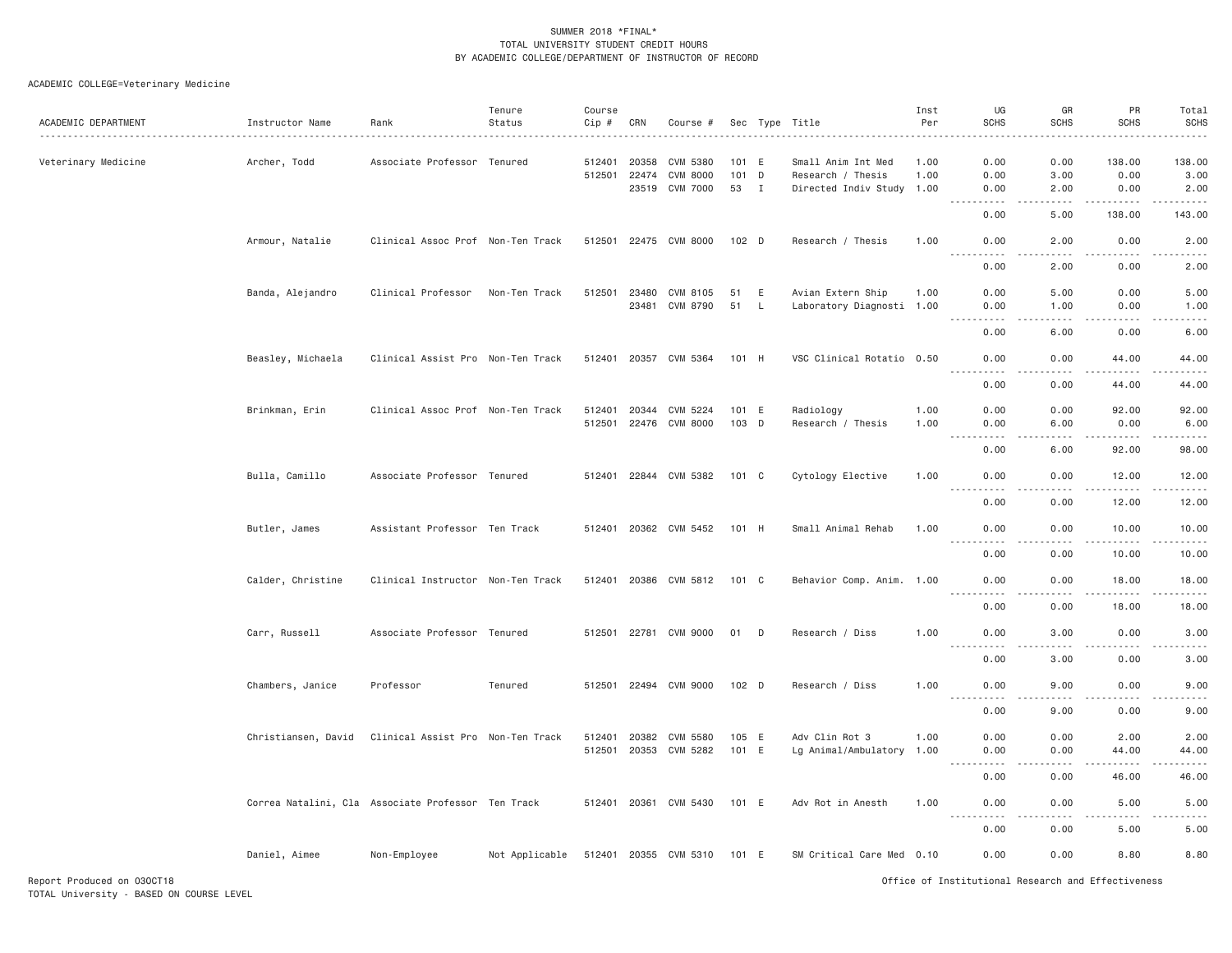## ACADEMIC COLLEGE=Veterinary Medicine

| ACADEMIC DEPARTMENT | Instructor Name     | Rank                                               | Tenure<br>Status | Course<br>Cip #  | CRN            | Course #                                      |                          |              | Sec Type Title                                                       | Inst<br>Per  | UG<br><b>SCHS</b>                        | GR<br><b>SCHS</b>    | PR<br><b>SCHS</b>                                                                                                                                             | Total<br><b>SCHS</b>                                                                                                                                         |
|---------------------|---------------------|----------------------------------------------------|------------------|------------------|----------------|-----------------------------------------------|--------------------------|--------------|----------------------------------------------------------------------|--------------|------------------------------------------|----------------------|---------------------------------------------------------------------------------------------------------------------------------------------------------------|--------------------------------------------------------------------------------------------------------------------------------------------------------------|
| Veterinary Medicine | Archer, Todd        | Associate Professor Tenured                        |                  | 512401<br>512501 | 20358<br>22474 | CVM 5380<br><b>CVM 8000</b><br>23519 CVM 7000 | 101 E<br>$101$ D<br>53 I |              | Small Anim Int Med<br>Research / Thesis<br>Directed Indiv Study 1.00 | 1.00<br>1.00 | 0.00<br>0.00<br>0.00                     | 0.00<br>3.00<br>2.00 | 138.00<br>0.00<br>0.00                                                                                                                                        | .<br>138.00<br>3.00<br>2.00                                                                                                                                  |
|                     |                     |                                                    |                  |                  |                |                                               |                          |              |                                                                      |              | 0.00                                     | 5.00                 | 138.00                                                                                                                                                        | $\sim$ $\sim$ $\sim$ $\sim$<br>143.00                                                                                                                        |
|                     | Armour, Natalie     | Clinical Assoc Prof Non-Ten Track                  |                  | 512501           |                | 22475 CVM 8000                                | $102$ D                  |              | Research / Thesis                                                    | 1.00         | 0.00                                     | 2,00                 | 0.00                                                                                                                                                          | 2.00                                                                                                                                                         |
|                     |                     |                                                    |                  |                  |                |                                               |                          |              |                                                                      |              | .<br>0.00                                | $- - - -$<br>2.00    | .<br>0.00                                                                                                                                                     | $- - - - -$<br>2.00                                                                                                                                          |
|                     | Banda, Alejandro    | Clinical Professor                                 | Non-Ten Track    | 512501           | 23480          | CVM 8105                                      | 51                       | E            | Avian Extern Ship                                                    | 1.00         | 0.00                                     | 5.00                 | 0.00                                                                                                                                                          | 5.00                                                                                                                                                         |
|                     |                     |                                                    |                  |                  | 23481          | CVM 8790                                      | 51                       | $\mathsf{L}$ | Laboratory Diagnosti 1.00                                            |              | 0.00<br>.                                | 1.00<br>د د د د      | 0.00<br>$\sim$ $\sim$ $\sim$ $\sim$                                                                                                                           | 1.00<br>$\frac{1}{2} \left( \frac{1}{2} \right) \left( \frac{1}{2} \right) \left( \frac{1}{2} \right) \left( \frac{1}{2} \right) \left( \frac{1}{2} \right)$ |
|                     |                     |                                                    |                  |                  |                |                                               |                          |              |                                                                      |              | 0.00                                     | 6.00                 | 0.00                                                                                                                                                          | 6.00                                                                                                                                                         |
|                     | Beasley, Michaela   | Clinical Assist Pro Non-Ten Track                  |                  | 512401           | 20357          | CVM 5364                                      | 101 H                    |              | VSC Clinical Rotatio 0.50                                            |              | 0.00                                     | 0.00                 | 44.00<br>.                                                                                                                                                    | 44.00<br>$\frac{1}{2}$                                                                                                                                       |
|                     |                     |                                                    |                  |                  |                |                                               |                          |              |                                                                      |              | 0.00                                     | 0.00                 | 44.00                                                                                                                                                         | 44.00                                                                                                                                                        |
|                     | Brinkman, Erin      | Clinical Assoc Prof Non-Ten Track                  |                  | 512401<br>512501 |                | 20344 CVM 5224<br>22476 CVM 8000              | 101 E<br>103 D           |              | Radiology<br>Research / Thesis                                       | 1.00<br>1.00 | 0.00<br>0.00                             | 0.00<br>6.00         | 92.00<br>0.00                                                                                                                                                 | 92.00<br>6.00                                                                                                                                                |
|                     |                     |                                                    |                  |                  |                |                                               |                          |              |                                                                      |              | .<br>0.00                                | .<br>6.00            | . <b>.</b><br>92.00                                                                                                                                           | .<br>98.00                                                                                                                                                   |
|                     | Bulla, Camillo      | Associate Professor Tenured                        |                  | 512401           |                | 22844 CVM 5382                                | 101 C                    |              | Cytology Elective                                                    | 1.00         | 0.00                                     | 0.00                 | 12.00                                                                                                                                                         | 12.00                                                                                                                                                        |
|                     |                     |                                                    |                  |                  |                |                                               |                          |              |                                                                      |              | .<br>0.00                                | $   -$<br>0.00       | $\frac{1}{2} \left( \frac{1}{2} \right) \left( \frac{1}{2} \right) \left( \frac{1}{2} \right) \left( \frac{1}{2} \right) \left( \frac{1}{2} \right)$<br>12.00 | .<br>12.00                                                                                                                                                   |
|                     | Butler, James       | Assistant Professor Ten Track                      |                  |                  |                | 512401 20362 CVM 5452                         | 101 H                    |              | Small Animal Rehab                                                   | 1.00         | 0.00                                     | 0.00                 | 10.00                                                                                                                                                         | 10.00                                                                                                                                                        |
|                     |                     |                                                    |                  |                  |                |                                               |                          |              |                                                                      |              | 0.00                                     | 0.00                 | 10.00                                                                                                                                                         | $\omega$ is $\omega$ in .<br>10.00                                                                                                                           |
|                     | Calder, Christine   | Clinical Instructor Non-Ten Track                  |                  |                  |                | 512401 20386 CVM 5812                         | 101 C                    |              | Behavior Comp. Anim. 1.00                                            |              | 0.00<br>$\sim$ $\sim$ $\sim$ $\sim$<br>. | 0.00<br>.            | 18.00<br>. <u>.</u>                                                                                                                                           | 18.00<br>.                                                                                                                                                   |
|                     |                     |                                                    |                  |                  |                |                                               |                          |              |                                                                      |              | 0.00                                     | 0.00                 | 18.00                                                                                                                                                         | 18.00                                                                                                                                                        |
|                     | Carr, Russell       | Associate Professor Tenured                        |                  |                  |                | 512501 22781 CVM 9000                         | 01                       | D            | Research / Diss                                                      | 1.00         | 0.00<br><u>.</u>                         | 3.00<br>.            | 0.00<br>$\frac{1}{2} \left( \frac{1}{2} \right) \left( \frac{1}{2} \right) \left( \frac{1}{2} \right) \left( \frac{1}{2} \right) \left( \frac{1}{2} \right)$  | 3.00<br>.                                                                                                                                                    |
|                     |                     |                                                    |                  |                  |                |                                               |                          |              |                                                                      |              | 0.00                                     | 3.00                 | 0.00                                                                                                                                                          | 3.00                                                                                                                                                         |
|                     | Chambers, Janice    | Professor                                          | Tenured          | 512501           |                | 22494 CVM 9000                                | 102 <sub>D</sub>         |              | Research / Diss                                                      | 1.00         | 0.00<br>$   -$                           | 9.00<br>.            | 0.00<br>.                                                                                                                                                     | 9.00<br>$\frac{1}{2} \left( \frac{1}{2} \right) \left( \frac{1}{2} \right) \left( \frac{1}{2} \right) \left( \frac{1}{2} \right) \left( \frac{1}{2} \right)$ |
|                     |                     |                                                    |                  |                  |                |                                               |                          |              |                                                                      |              | 0.00                                     | 9,00                 | 0.00                                                                                                                                                          | 9.00                                                                                                                                                         |
|                     | Christiansen, David | Clinical Assist Pro Non-Ten Track                  |                  | 512401<br>512501 | 20382          | CVM 5580<br>20353 CVM 5282                    | 105 E<br>101 E           |              | Adv Clin Rot 3<br>Lg Animal/Ambulatory                               | 1.00<br>1.00 | 0.00<br>0.00                             | 0.00<br>0.00         | 2.00<br>44.00                                                                                                                                                 | 2.00<br>44.00                                                                                                                                                |
|                     |                     |                                                    |                  |                  |                |                                               |                          |              |                                                                      |              | 0.00                                     | 0.00                 | .<br>46.00                                                                                                                                                    | .<br>46.00                                                                                                                                                   |
|                     |                     | Correa Natalini, Cla Associate Professor Ten Track |                  | 512401           | 20361          | CVM 5430                                      | 101 E                    |              | Adv Rot in Anesth                                                    | 1.00         | 0.00                                     | 0.00                 | 5.00                                                                                                                                                          | 5.00                                                                                                                                                         |
|                     |                     |                                                    |                  |                  |                |                                               |                          |              |                                                                      |              | 0.00                                     | 0.00                 | 5.00                                                                                                                                                          | 5.00                                                                                                                                                         |
|                     | Daniel, Aimee       | Non-Employee                                       | Not Applicable   |                  |                | 512401 20355 CVM 5310                         | 101 E                    |              | SM Critical Care Med 0.10                                            |              | 0.00                                     | 0.00                 | 8.80                                                                                                                                                          | 8.80                                                                                                                                                         |
|                     |                     |                                                    |                  |                  |                |                                               |                          |              |                                                                      |              |                                          |                      |                                                                                                                                                               |                                                                                                                                                              |

Report Produced on 03OCT18 Office of Institutional Research and Effectiveness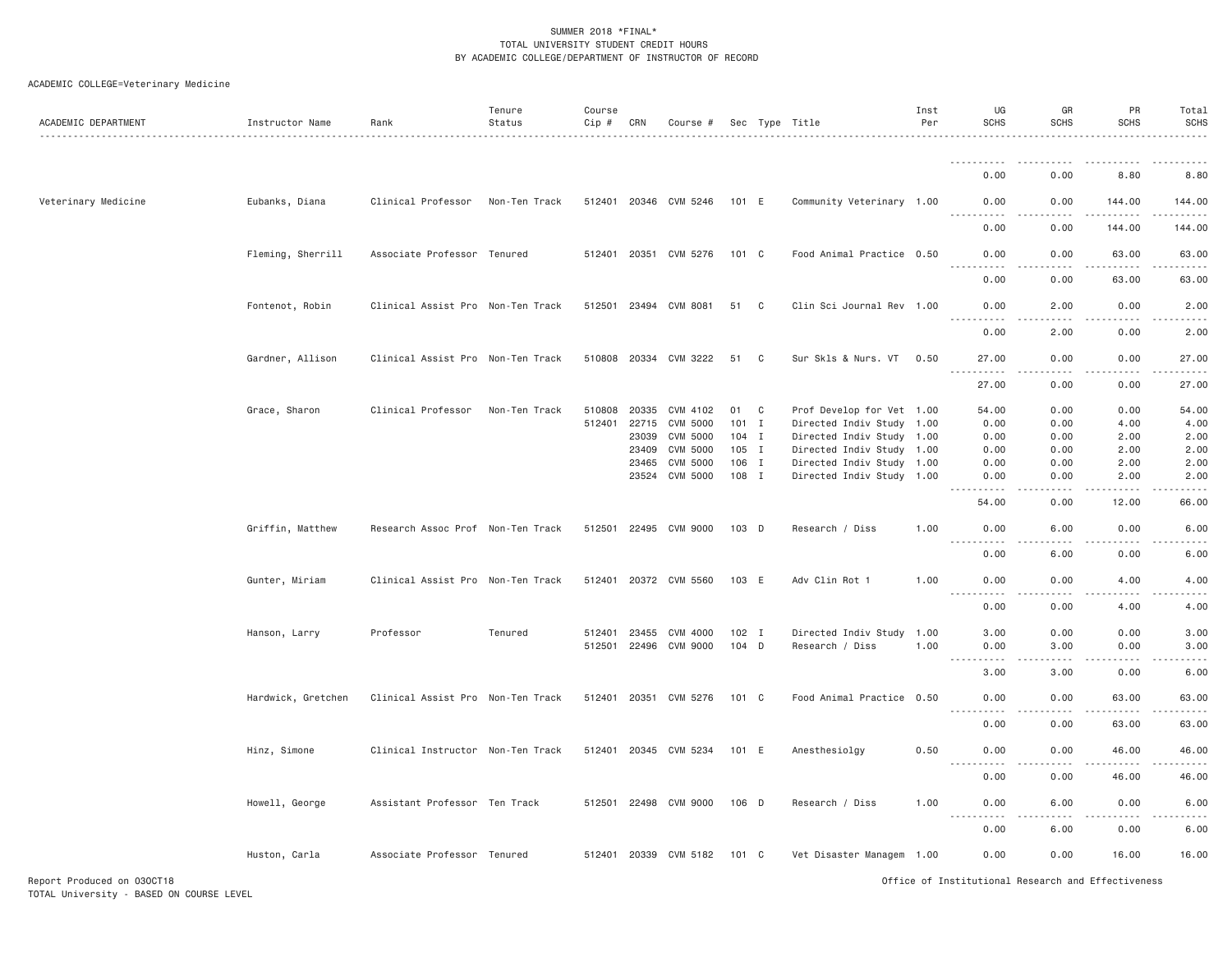| ACADEMIC DEPARTMENT        | Instructor Name    | Rank                              | Tenure<br>Status | Course<br>Cip # | CRN   | Course #              |         |              | Sec Type Title            | Inst<br>Per | UG<br><b>SCHS</b>                                                                                                                                                                                                                                                                         | GR<br><b>SCHS</b> | PR<br><b>SCHS</b>                                                                                                                                                                       | Total<br><b>SCHS</b>                                                                                                              |
|----------------------------|--------------------|-----------------------------------|------------------|-----------------|-------|-----------------------|---------|--------------|---------------------------|-------------|-------------------------------------------------------------------------------------------------------------------------------------------------------------------------------------------------------------------------------------------------------------------------------------------|-------------------|-----------------------------------------------------------------------------------------------------------------------------------------------------------------------------------------|-----------------------------------------------------------------------------------------------------------------------------------|
|                            |                    |                                   |                  |                 |       |                       |         |              |                           |             |                                                                                                                                                                                                                                                                                           |                   |                                                                                                                                                                                         |                                                                                                                                   |
|                            |                    |                                   |                  |                 |       |                       |         |              |                           |             | 0.00                                                                                                                                                                                                                                                                                      | 0.00              | 8.80                                                                                                                                                                                    | 8.80                                                                                                                              |
| Veterinary Medicine        | Eubanks, Diana     | Clinical Professor                | Non-Ten Track    |                 |       | 512401 20346 CVM 5246 | 101 E   |              | Community Veterinary 1.00 |             | 0.00<br>.                                                                                                                                                                                                                                                                                 | 0.00<br>.         | 144.00<br><u>.</u>                                                                                                                                                                      | 144.00<br>2.2.2.2.2                                                                                                               |
|                            |                    |                                   |                  |                 |       |                       |         |              |                           |             | 0.00                                                                                                                                                                                                                                                                                      | 0.00              | 144.00                                                                                                                                                                                  | 144.00                                                                                                                            |
|                            | Fleming, Sherrill  | Associate Professor Tenured       |                  |                 |       | 512401 20351 CVM 5276 | 101 C   |              | Food Animal Practice 0.50 |             | 0.00<br><u>.</u>                                                                                                                                                                                                                                                                          | 0.00<br>.         | 63.00<br>.                                                                                                                                                                              | 63.00<br>.                                                                                                                        |
|                            |                    |                                   |                  |                 |       |                       |         |              |                           |             | 0.00                                                                                                                                                                                                                                                                                      | 0.00              | 63.00                                                                                                                                                                                   | 63.00                                                                                                                             |
|                            | Fontenot, Robin    | Clinical Assist Pro Non-Ten Track |                  |                 |       | 512501 23494 CVM 8081 | 51 C    |              | Clin Sci Journal Rev 1.00 |             | 0.00<br>.                                                                                                                                                                                                                                                                                 | 2.00<br>د د د د   | 0.00<br>.                                                                                                                                                                               | 2.00<br>.                                                                                                                         |
|                            |                    |                                   |                  |                 |       |                       |         |              |                           |             | 0.00                                                                                                                                                                                                                                                                                      | 2.00              | 0.00                                                                                                                                                                                    | 2.00                                                                                                                              |
|                            | Gardner, Allison   | Clinical Assist Pro Non-Ten Track |                  |                 |       | 510808 20334 CVM 3222 | 51      | C.           | Sur Skls & Nurs. VT       | 0.50        | 27.00<br>$\sim$ $\sim$ $\sim$<br>.                                                                                                                                                                                                                                                        | 0.00<br>-----     | 0.00<br>$\frac{1}{2} \left( \frac{1}{2} \right) \left( \frac{1}{2} \right) \left( \frac{1}{2} \right) \left( \frac{1}{2} \right) \left( \frac{1}{2} \right) \left( \frac{1}{2} \right)$ | 27.00<br>.                                                                                                                        |
|                            |                    |                                   |                  |                 |       |                       |         |              |                           |             | 27.00                                                                                                                                                                                                                                                                                     | 0.00              | 0.00                                                                                                                                                                                    | 27.00                                                                                                                             |
|                            | Grace, Sharon      | Clinical Professor                | Non-Ten Track    | 510808          | 20335 | CVM 4102              | 01 C    |              | Prof Develop for Vet 1.00 |             | 54.00                                                                                                                                                                                                                                                                                     | 0.00              | 0.00                                                                                                                                                                                    | 54.00                                                                                                                             |
|                            |                    |                                   |                  | 512401          | 22715 | <b>CVM 5000</b>       | 101     | $\mathbf{I}$ | Directed Indiv Study 1.00 |             | 0.00                                                                                                                                                                                                                                                                                      | 0.00              | 4.00                                                                                                                                                                                    | 4.00                                                                                                                              |
|                            |                    |                                   |                  |                 | 23039 | CVM 5000              | $104$ I |              | Directed Indiv Study 1.00 |             | 0.00                                                                                                                                                                                                                                                                                      | 0.00              | 2.00                                                                                                                                                                                    | 2.00                                                                                                                              |
|                            |                    |                                   |                  |                 | 23409 | CVM 5000              | 105 I   |              | Directed Indiv Study 1.00 |             | 0.00                                                                                                                                                                                                                                                                                      | 0.00              | 2.00                                                                                                                                                                                    | 2.00                                                                                                                              |
|                            |                    |                                   |                  |                 | 23465 | CVM 5000              | 106 I   |              | Directed Indiv Study 1.00 |             | 0.00                                                                                                                                                                                                                                                                                      | 0.00              | 2.00                                                                                                                                                                                    | 2.00                                                                                                                              |
|                            |                    |                                   |                  |                 | 23524 | CVM 5000              | 108 I   |              | Directed Indiv Study 1.00 |             | 0.00<br>.                                                                                                                                                                                                                                                                                 | 0.00<br>د د د د   | 2.00<br>.                                                                                                                                                                               | 2.00<br>.                                                                                                                         |
|                            |                    |                                   |                  |                 |       |                       |         |              |                           |             | 54.00                                                                                                                                                                                                                                                                                     | 0.00              | 12.00                                                                                                                                                                                   | 66.00                                                                                                                             |
|                            | Griffin, Matthew   | Research Assoc Prof Non-Ten Track |                  |                 |       | 512501 22495 CVM 9000 | 103 D   |              | Research / Diss           | 1.00        | 0.00<br>.                                                                                                                                                                                                                                                                                 | 6.00<br>$   -$    | 0.00<br>.                                                                                                                                                                               | 6.00<br>$- - - - -$                                                                                                               |
|                            |                    |                                   |                  |                 |       |                       |         |              |                           |             | 0.00                                                                                                                                                                                                                                                                                      | 6.00              | 0.00                                                                                                                                                                                    | 6.00                                                                                                                              |
|                            | Gunter, Miriam     | Clinical Assist Pro Non-Ten Track |                  | 512401          |       | 20372 CVM 5560        | 103 E   |              | Adv Clin Rot 1            | 1.00        | 0.00<br>$\mathcal{L}^{\mathcal{L}}\mathcal{L}^{\mathcal{L}}\mathcal{L}^{\mathcal{L}}\mathcal{L}^{\mathcal{L}}\mathcal{L}^{\mathcal{L}}\mathcal{L}^{\mathcal{L}}$<br>$\sim$ $\sim$ $\sim$ .                                                                                                | 0.00<br>.         | 4.00<br>.                                                                                                                                                                               | 4.00<br>$\frac{1}{2} \left( \frac{1}{2} \right) \left( \frac{1}{2} \right) \left( \frac{1}{2} \right) \left( \frac{1}{2} \right)$ |
|                            |                    |                                   |                  |                 |       |                       |         |              |                           |             | 0.00                                                                                                                                                                                                                                                                                      | 0.00              | 4.00                                                                                                                                                                                    | 4.00                                                                                                                              |
|                            | Hanson, Larry      | Professor                         | Tenured          | 512401          | 23455 | CVM 4000              | $102$ I |              | Directed Indiv Study 1.00 |             | 3,00                                                                                                                                                                                                                                                                                      | 0.00              | 0.00                                                                                                                                                                                    | 3.00                                                                                                                              |
|                            |                    |                                   |                  | 512501          | 22496 | <b>CVM 9000</b>       | 104 D   |              | Research / Diss           | 1.00        | 0.00<br>$\frac{1}{2} \left( \frac{1}{2} \right) \left( \frac{1}{2} \right) \left( \frac{1}{2} \right) \left( \frac{1}{2} \right)$<br>$\frac{1}{2} \left( \frac{1}{2} \right) \left( \frac{1}{2} \right) \left( \frac{1}{2} \right) \left( \frac{1}{2} \right) \left( \frac{1}{2} \right)$ | 3.00              | 0.00                                                                                                                                                                                    | 3.00<br>$\frac{1}{2} \left( \frac{1}{2} \right) \left( \frac{1}{2} \right) \left( \frac{1}{2} \right) \left( \frac{1}{2} \right)$ |
|                            |                    |                                   |                  |                 |       |                       |         |              |                           |             | 3,00                                                                                                                                                                                                                                                                                      | 3.00              | 0.00                                                                                                                                                                                    | 6.00                                                                                                                              |
|                            | Hardwick, Gretchen | Clinical Assist Pro Non-Ten Track |                  | 512401          |       | 20351 CVM 5276        | 101 C   |              | Food Animal Practice 0.50 |             | 0.00                                                                                                                                                                                                                                                                                      | 0.00              | 63.00                                                                                                                                                                                   | 63.00                                                                                                                             |
|                            |                    |                                   |                  |                 |       |                       |         |              |                           |             | 0.00                                                                                                                                                                                                                                                                                      | 0.00              | 63.00                                                                                                                                                                                   | 63.00                                                                                                                             |
|                            | Hinz, Simone       | Clinical Instructor Non-Ten Track |                  | 512401          |       | 20345 CVM 5234        | 101 E   |              | Anesthesiolgy             | 0.50        | 0.00                                                                                                                                                                                                                                                                                      | 0.00              | 46.00                                                                                                                                                                                   | 46.00                                                                                                                             |
|                            |                    |                                   |                  |                 |       |                       |         |              |                           |             | 0.00                                                                                                                                                                                                                                                                                      | 0.00              | 46.00                                                                                                                                                                                   | 46.00                                                                                                                             |
|                            | Howell, George     | Assistant Professor Ten Track     |                  |                 |       | 512501 22498 CVM 9000 | $106$ D |              | Research / Diss           | 1,00        | 0.00                                                                                                                                                                                                                                                                                      | 6.00              | 0.00                                                                                                                                                                                    | 6.00                                                                                                                              |
|                            |                    |                                   |                  |                 |       |                       |         |              |                           |             | 0.00                                                                                                                                                                                                                                                                                      | 6.00              | 0.00                                                                                                                                                                                    | 6.00                                                                                                                              |
|                            | Huston, Carla      | Associate Professor Tenured       |                  |                 |       | 512401 20339 CVM 5182 | 101 C   |              | Vet Disaster Managem 1.00 |             | 0.00                                                                                                                                                                                                                                                                                      | 0.00              | 16.00                                                                                                                                                                                   | 16.00                                                                                                                             |
| Report Produced on 030CT18 |                    |                                   |                  |                 |       |                       |         |              |                           |             | Office of Institutional Research and Effectiveness                                                                                                                                                                                                                                        |                   |                                                                                                                                                                                         |                                                                                                                                   |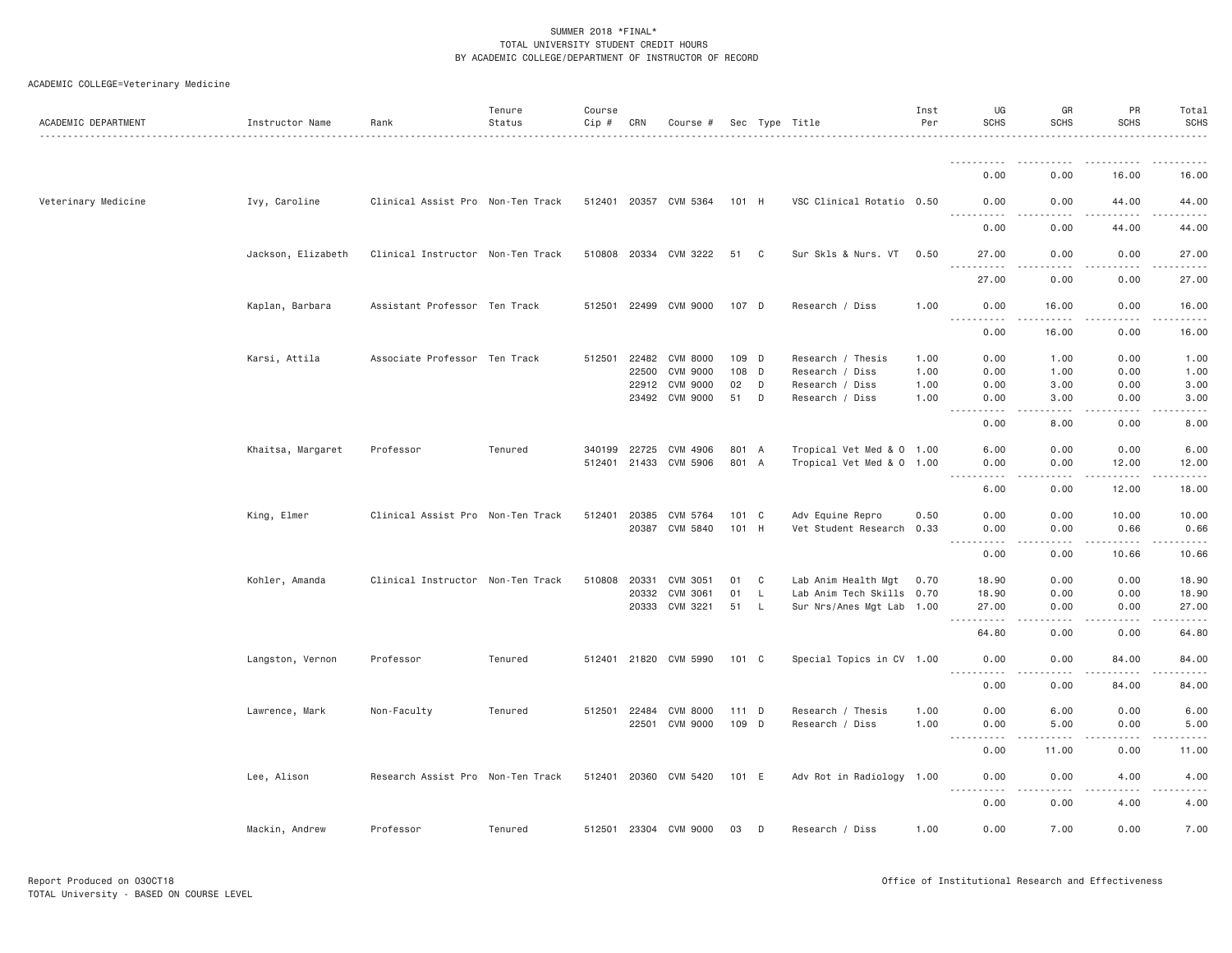| ACADEMIC DEPARTMENT | Instructor Name    | Rank                              | Tenure<br>Status | Course<br>$Cip \#$ | CRN          | Course #              |       |                | Sec Type Title            | Inst<br>Per | UG<br><b>SCHS</b>                 | GR<br><b>SCHS</b>            | PR<br><b>SCHS</b>                                                                                                                                             | Total<br><b>SCHS</b> |
|---------------------|--------------------|-----------------------------------|------------------|--------------------|--------------|-----------------------|-------|----------------|---------------------------|-------------|-----------------------------------|------------------------------|---------------------------------------------------------------------------------------------------------------------------------------------------------------|----------------------|
|                     |                    |                                   |                  |                    |              |                       |       |                |                           |             | -----------                       | - - - -                      | .                                                                                                                                                             | .                    |
|                     |                    |                                   |                  |                    |              |                       |       |                |                           |             | 0.00                              | 0.00                         | 16.00                                                                                                                                                         | 16.00                |
| Veterinary Medicine | Ivy, Caroline      | Clinical Assist Pro Non-Ten Track |                  |                    |              | 512401 20357 CVM 5364 | 101 H |                | VSC Clinical Rotatio 0.50 |             | 0.00<br>$\frac{1}{2}$<br><u>.</u> | 0.00<br>$- - - -$            | 44.00<br>.                                                                                                                                                    | 44.00<br>$    -$     |
|                     |                    |                                   |                  |                    |              |                       |       |                |                           |             | 0.00                              | 0.00                         | 44.00                                                                                                                                                         | 44.00                |
|                     | Jackson, Elizabeth | Clinical Instructor Non-Ten Track |                  |                    |              | 510808 20334 CVM 3222 | 51    | C <sub>c</sub> | Sur Skls & Nurs. VT       | 0.50        | 27.00<br>.<br>$- - -$             | 0.00<br>$- - - -$            | 0.00<br>.                                                                                                                                                     | 27.00<br>.           |
|                     |                    |                                   |                  |                    |              |                       |       |                |                           |             | 27.00                             | 0.00                         | 0.00                                                                                                                                                          | 27.00                |
|                     | Kaplan, Barbara    | Assistant Professor Ten Track     |                  | 512501             |              | 22499 CVM 9000        | 107 D |                | Research / Diss           | 1.00        | 0.00                              | 16.00                        | 0.00                                                                                                                                                          | 16.00                |
|                     |                    |                                   |                  |                    |              |                       |       |                |                           |             | 0.00                              | 16.00                        | بالمحام<br>0.00                                                                                                                                               | د د د د د<br>16.00   |
|                     | Karsi, Attila      | Associate Professor Ten Track     |                  | 512501             |              | 22482 CVM 8000        | 109 D |                | Research / Thesis         | 1.00        | 0.00                              | 1.00                         | 0.00                                                                                                                                                          | 1.00                 |
|                     |                    |                                   |                  |                    | 22500        | CVM 9000              | 108 D |                | Research / Diss           | 1.00        | 0.00                              | 1.00                         | 0.00                                                                                                                                                          | 1.00                 |
|                     |                    |                                   |                  |                    | 22912        | CVM 9000              | 02    | D              | Research / Diss           | 1.00        | 0.00                              | 3.00                         | 0.00                                                                                                                                                          | 3.00                 |
|                     |                    |                                   |                  |                    |              | 23492 CVM 9000        | 51    | D              | Research / Diss           | 1.00        | 0.00<br>.                         | 3.00<br>$\sim$ $\sim$ $\sim$ | 0.00<br>.                                                                                                                                                     | 3.00<br>.            |
|                     |                    |                                   |                  |                    |              |                       |       |                |                           |             | 0.00                              | 8.00                         | 0.00                                                                                                                                                          | 8.00                 |
|                     | Khaitsa, Margaret  | Professor                         | Tenured          | 340199             | 22725        | CVM 4906              | 801 A |                | Tropical Vet Med & 0 1.00 |             | 6.00                              | 0.00                         | 0.00                                                                                                                                                          | 6.00                 |
|                     |                    |                                   |                  |                    | 512401 21433 | CVM 5906              | 801 A |                | Tropical Vet Med & 0 1.00 |             | 0.00                              | 0.00                         | 12.00                                                                                                                                                         | 12.00                |
|                     |                    |                                   |                  |                    |              |                       |       |                |                           |             | .                                 | .                            | .                                                                                                                                                             | .                    |
|                     |                    |                                   |                  |                    |              |                       |       |                |                           |             | 6.00                              | 0.00                         | 12.00                                                                                                                                                         | 18.00                |
|                     | King, Elmer        | Clinical Assist Pro Non-Ten Track |                  | 512401             | 20385        | CVM 5764              | 101 C |                | Adv Equine Repro          | 0.50        | 0.00                              | 0.00                         | 10.00                                                                                                                                                         | 10.00                |
|                     |                    |                                   |                  |                    | 20387        | CVM 5840              | 101 H |                | Vet Student Research 0.33 |             | 0.00                              | 0.00                         | 0.66                                                                                                                                                          | 0.66                 |
|                     |                    |                                   |                  |                    |              |                       |       |                |                           |             | $\sim$ $\sim$ $\sim$ $\sim$       | $  -$                        | $\frac{1}{2} \left( \frac{1}{2} \right) \left( \frac{1}{2} \right) \left( \frac{1}{2} \right) \left( \frac{1}{2} \right) \left( \frac{1}{2} \right)$          | .                    |
|                     |                    |                                   |                  |                    |              |                       |       |                |                           |             | 0.00                              | 0.00                         | 10.66                                                                                                                                                         | 10.66                |
|                     | Kohler, Amanda     | Clinical Instructor Non-Ten Track |                  | 510808             | 20331        | CVM 3051              | 01    | C              | Lab Anim Health Mgt       | 0.70        | 18.90                             | 0.00                         | 0.00                                                                                                                                                          | 18.90                |
|                     |                    |                                   |                  |                    | 20332        | CVM 3061              | 01    | L              | Lab Anim Tech Skills 0.70 |             | 18.90                             | 0.00                         | 0.00                                                                                                                                                          | 18.90                |
|                     |                    |                                   |                  |                    | 20333        | CVM 3221              | 51 L  |                | Sur Nrs/Anes Mgt Lab 1.00 |             | 27.00<br>.                        | 0.00<br>$- - - -$            | 0.00<br>.                                                                                                                                                     | 27.00<br>.           |
|                     |                    |                                   |                  |                    |              |                       |       |                |                           |             | 64.80                             | 0.00                         | 0.00                                                                                                                                                          | 64.80                |
|                     | Langston, Vernon   | Professor                         | Tenured          |                    |              | 512401 21820 CVM 5990 | 101 C |                | Special Topics in CV 1.00 |             | 0.00<br>$\sim 100$<br>.           | 0.00<br>د د د د              | 84.00<br>$\frac{1}{2} \left( \frac{1}{2} \right) \left( \frac{1}{2} \right) \left( \frac{1}{2} \right) \left( \frac{1}{2} \right) \left( \frac{1}{2} \right)$ | 84.00<br>.           |
|                     |                    |                                   |                  |                    |              |                       |       |                |                           |             | 0.00                              | 0.00                         | 84.00                                                                                                                                                         | 84.00                |
|                     | Lawrence, Mark     | Non-Faculty                       | Tenured          | 512501             | 22484        | CVM 8000              | 111 D |                | Research / Thesis         | 1.00        | 0.00                              | 6.00                         | 0.00                                                                                                                                                          | 6.00                 |
|                     |                    |                                   |                  |                    |              | 22501 CVM 9000        | 109 D |                | Research / Diss           | 1.00        | 0.00                              | 5.00                         | 0.00                                                                                                                                                          | 5.00                 |
|                     |                    |                                   |                  |                    |              |                       |       |                |                           |             | . <b>.</b><br>0.00                | .<br>11.00                   | -----<br>0.00                                                                                                                                                 | .<br>11.00           |
|                     |                    | Research Assist Pro Non-Ten Track |                  |                    |              | 512401 20360 CVM 5420 | 101 E |                | Adv Rot in Radiology 1.00 |             | 0.00                              | 0.00                         | 4.00                                                                                                                                                          | 4.00                 |
|                     | Lee, Alison        |                                   |                  |                    |              |                       |       |                |                           |             | <b></b>                           | .                            | $\frac{1}{2} \left( \frac{1}{2} \right) \left( \frac{1}{2} \right) \left( \frac{1}{2} \right) \left( \frac{1}{2} \right) \left( \frac{1}{2} \right)$          | -----                |
|                     |                    |                                   |                  |                    |              |                       |       |                |                           |             | 0.00                              | 0.00                         | 4.00                                                                                                                                                          | 4.00                 |
|                     | Mackin, Andrew     | Professor                         | Tenured          |                    |              | 512501 23304 CVM 9000 | 03    | D              | Research / Diss           | 1.00        | 0.00                              | 7.00                         | 0.00                                                                                                                                                          | 7.00                 |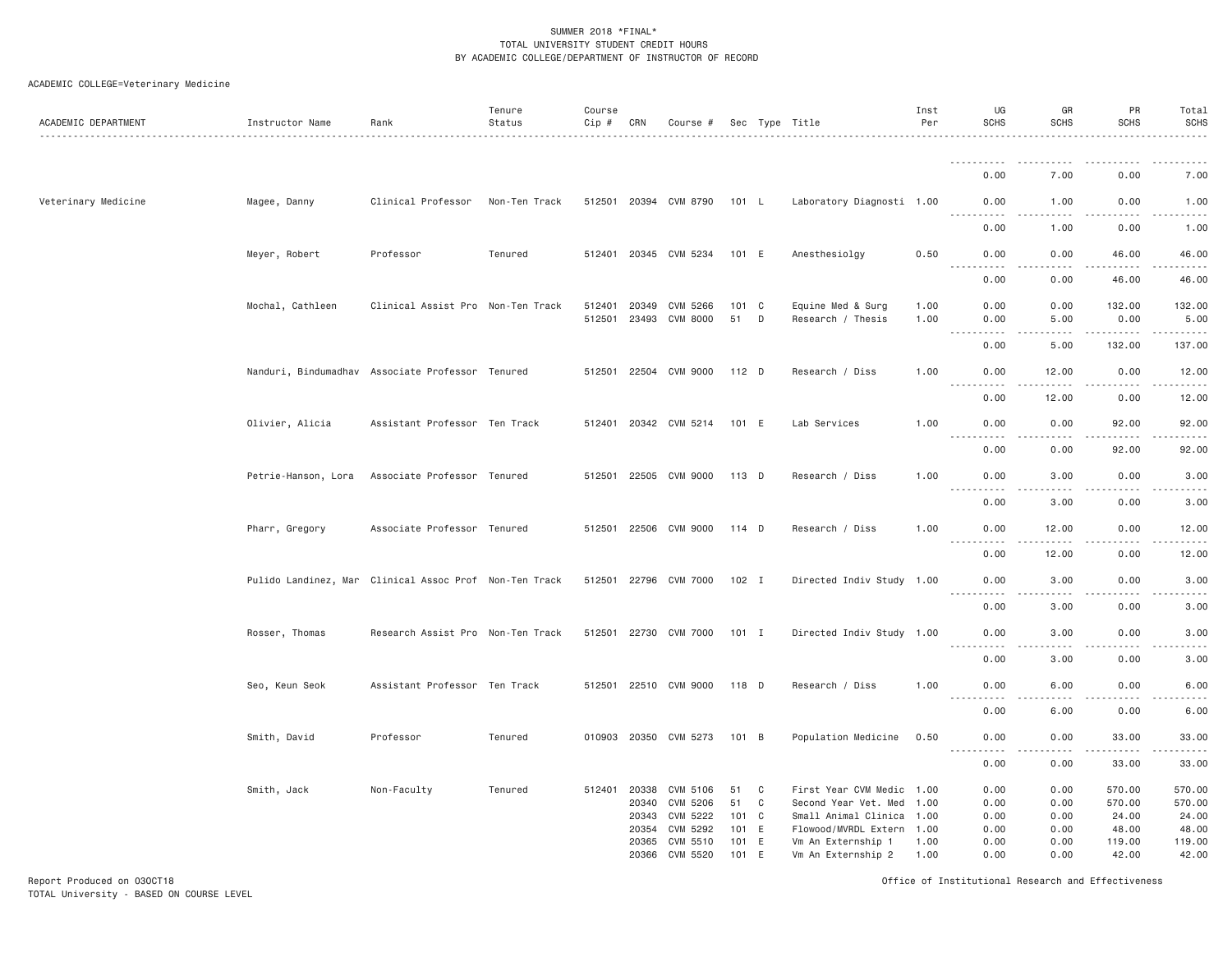# ACADEMIC COLLEGE=Veterinary Medicine

| ACADEMIC DEPARTMENT | Instructor Name                                        | Rank                              | Tenure<br>Status | Course<br>Cip # | CRN            | Course #                    |                |   | Sec Type Title                           | Inst<br>Per  | UG<br><b>SCHS</b>                                                                                                                                                                       | GR<br><b>SCHS</b> | PR<br><b>SCHS</b> | Total<br><b>SCHS</b><br>.                                                                                                                                    |
|---------------------|--------------------------------------------------------|-----------------------------------|------------------|-----------------|----------------|-----------------------------|----------------|---|------------------------------------------|--------------|-----------------------------------------------------------------------------------------------------------------------------------------------------------------------------------------|-------------------|-------------------|--------------------------------------------------------------------------------------------------------------------------------------------------------------|
|                     |                                                        |                                   |                  |                 |                |                             |                |   |                                          |              | .                                                                                                                                                                                       | المناسبات         | .                 | .                                                                                                                                                            |
|                     |                                                        |                                   |                  |                 |                |                             |                |   |                                          |              | 0.00                                                                                                                                                                                    | 7.00              | 0.00              | 7.00                                                                                                                                                         |
| Veterinary Medicine | Magee, Danny                                           | Clinical Professor                | Non-Ten Track    |                 |                | 512501 20394 CVM 8790       | 101 L          |   | Laboratory Diagnosti 1.00                |              | 0.00<br><u>.</u>                                                                                                                                                                        | 1.00              | 0.00<br>.         | 1.00<br>.                                                                                                                                                    |
|                     |                                                        |                                   |                  |                 |                |                             |                |   |                                          |              | 0.00                                                                                                                                                                                    | 1.00              | 0.00              | 1.00                                                                                                                                                         |
|                     | Meyer, Robert                                          | Professor                         | Tenured          |                 |                | 512401 20345 CVM 5234       | 101 E          |   | Anesthesiolgy                            | 0.50         | 0.00<br>-----                                                                                                                                                                           | 0.00              | 46.00             | 46.00<br>.                                                                                                                                                   |
|                     |                                                        |                                   |                  |                 |                |                             |                |   |                                          |              | 0.00                                                                                                                                                                                    | 0.00              | 46.00             | 46.00                                                                                                                                                        |
|                     | Mochal, Cathleen                                       | Clinical Assist Pro Non-Ten Track |                  | 512401          | 20349          | CVM 5266                    | 101 C          |   | Equine Med & Surg                        | 1.00         | 0.00                                                                                                                                                                                    | 0.00              | 132.00            | 132.00                                                                                                                                                       |
|                     |                                                        |                                   |                  |                 |                | 512501 23493 CVM 8000       | 51             | D | Research / Thesis                        | 1.00         | 0.00                                                                                                                                                                                    | 5.00              | 0.00              | 5.00                                                                                                                                                         |
|                     |                                                        |                                   |                  |                 |                |                             |                |   |                                          |              | $  -$<br>.<br>0.00                                                                                                                                                                      | .<br>5.00         | ------<br>132.00  | .<br>137.00                                                                                                                                                  |
|                     | Nanduri, Bindumadhav Associate Professor Tenured       |                                   |                  |                 |                | 512501 22504 CVM 9000       | 112 D          |   | Research / Diss                          | 1.00         | 0.00                                                                                                                                                                                    | 12.00             | 0.00              | 12.00                                                                                                                                                        |
|                     |                                                        |                                   |                  |                 |                |                             |                |   |                                          |              | <u>.</u><br>0.00                                                                                                                                                                        | $   -$<br>12.00   | .<br>0.00         | .<br>12.00                                                                                                                                                   |
|                     | Olivier, Alicia                                        | Assistant Professor Ten Track     |                  |                 |                | 512401 20342 CVM 5214       | 101 E          |   | Lab Services                             | 1.00         | 0.00                                                                                                                                                                                    | 0.00              | 92.00             | 92.00                                                                                                                                                        |
|                     |                                                        |                                   |                  |                 |                |                             |                |   |                                          |              | $\frac{1}{2} \left( \frac{1}{2} \right) \left( \frac{1}{2} \right) \left( \frac{1}{2} \right) \left( \frac{1}{2} \right) \left( \frac{1}{2} \right) \left( \frac{1}{2} \right)$<br>0.00 | .<br>0.00         | .<br>92.00        | .<br>92.00                                                                                                                                                   |
|                     | Petrie-Hanson, Lora                                    | Associate Professor Tenured       |                  |                 |                | 512501 22505 CVM 9000       | 113 D          |   | Research / Diss                          | 1.00         | 0.00                                                                                                                                                                                    | 3.00              | 0.00              | 3.00                                                                                                                                                         |
|                     |                                                        |                                   |                  |                 |                |                             |                |   |                                          |              | <u>.</u><br>0.00                                                                                                                                                                        | .<br>3.00         | .<br>0.00         | .<br>3.00                                                                                                                                                    |
|                     | Pharr, Gregory                                         | Associate Professor Tenured       |                  |                 |                | 512501 22506 CVM 9000       | $114$ D        |   | Research / Diss                          | 1.00         | 0.00                                                                                                                                                                                    | 12.00             | 0.00              | 12.00                                                                                                                                                        |
|                     |                                                        |                                   |                  |                 |                |                             |                |   |                                          |              | .<br>0.00                                                                                                                                                                               | 12.00             | .<br>0.00         | .<br>12.00                                                                                                                                                   |
|                     | Pulido Landinez, Mar Clinical Assoc Prof Non-Ten Track |                                   |                  |                 | 512501 22796   | CVM 7000                    | 102 I          |   | Directed Indiv Study 1.00                |              | 0.00                                                                                                                                                                                    | 3.00              | 0.00              | 3.00                                                                                                                                                         |
|                     |                                                        |                                   |                  |                 |                |                             |                |   |                                          |              | .<br>0.00                                                                                                                                                                               | 3.00              | 0.00              | .<br>3.00                                                                                                                                                    |
|                     | Rosser, Thomas                                         | Research Assist Pro Non-Ten Track |                  |                 |                | 512501 22730 CVM 7000       | $101$ I        |   | Directed Indiv Study 1.00                |              | 0.00<br><u>.</u>                                                                                                                                                                        | 3,00<br>.         | 0.00<br>.         | 3.00<br>$\frac{1}{2} \left( \frac{1}{2} \right) \left( \frac{1}{2} \right) \left( \frac{1}{2} \right) \left( \frac{1}{2} \right) \left( \frac{1}{2} \right)$ |
|                     |                                                        |                                   |                  |                 |                |                             |                |   |                                          |              | 0.00                                                                                                                                                                                    | 3.00              | 0.00              | 3.00                                                                                                                                                         |
|                     | Seo, Keun Seok                                         | Assistant Professor Ten Track     |                  |                 |                | 512501 22510 CVM 9000 118 D |                |   | Research / Diss                          | 1.00         | 0.00<br>$- - - -$                                                                                                                                                                       | 6.00<br>.         | 0.00<br>.         | 6.00<br>.                                                                                                                                                    |
|                     |                                                        |                                   |                  |                 |                |                             |                |   |                                          |              | 0.00                                                                                                                                                                                    | 6.00              | 0.00              | 6.00                                                                                                                                                         |
|                     | Smith, David                                           | Professor                         | Tenured          |                 |                | 010903 20350 CVM 5273       | 101 B          |   | Population Medicine                      | 0.50         | 0.00<br>-----                                                                                                                                                                           | 0.00<br>.         | 33.00<br>.        | 33.00<br>.                                                                                                                                                   |
|                     |                                                        |                                   |                  |                 |                |                             |                |   |                                          |              | 0.00                                                                                                                                                                                    | 0.00              | 33.00             | 33.00                                                                                                                                                        |
|                     | Smith, Jack                                            | Non-Faculty                       | Tenured          |                 | 512401 20338   | CVM 5106                    | 51             | C | First Year CVM Medic 1.00                |              | 0.00                                                                                                                                                                                    | 0.00              | 570.00            | 570.00                                                                                                                                                       |
|                     |                                                        |                                   |                  |                 | 20340          | CVM 5206                    | 51             | C | Second Year Vet. Med                     | 1.00         | 0.00                                                                                                                                                                                    | 0.00              | 570.00            | 570.00                                                                                                                                                       |
|                     |                                                        |                                   |                  |                 | 20343          | CVM 5222                    | 101 C          |   | Small Animal Clinica 1.00                |              | 0.00                                                                                                                                                                                    | 0.00              | 24.00             | 24.00                                                                                                                                                        |
|                     |                                                        |                                   |                  |                 | 20354          | CVM 5292                    | 101 E          |   | Flowood/MVRDL Extern 1.00                |              | 0.00                                                                                                                                                                                    | 0.00              | 48.00             | 48.00                                                                                                                                                        |
|                     |                                                        |                                   |                  |                 | 20365<br>20366 | CVM 5510<br>CVM 5520        | 101 E<br>101 E |   | Vm An Externship 1<br>Vm An Externship 2 | 1.00<br>1.00 | 0.00<br>0.00                                                                                                                                                                            | 0.00<br>0.00      | 119.00<br>42.00   | 119.00<br>42.00                                                                                                                                              |

Report Produced on 03OCT18 Office of Institutional Research and Effectiveness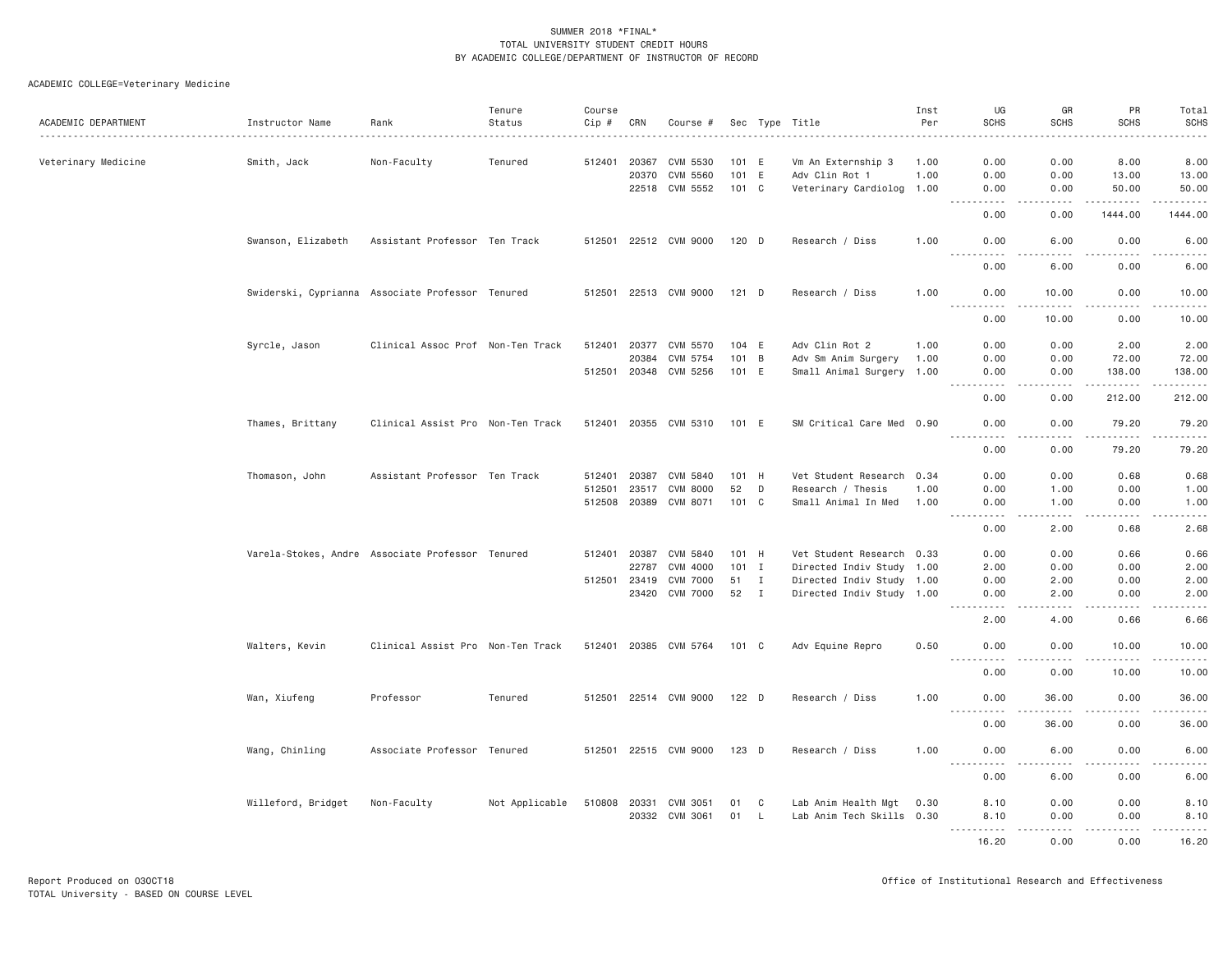| ACADEMIC DEPARTMENT | Instructor Name                                  | Rank                              | Tenure<br>Status | Course<br>Cip # | CRN            | Course #              |         |                | Sec Type Title                       | Inst<br>Per  | UG<br><b>SCHS</b>                                                                                                                                            | GR<br><b>SCHS</b>      | PR<br><b>SCHS</b><br><u>.</u> | Total<br><b>SCHS</b><br>.                                                                                                                                     |
|---------------------|--------------------------------------------------|-----------------------------------|------------------|-----------------|----------------|-----------------------|---------|----------------|--------------------------------------|--------------|--------------------------------------------------------------------------------------------------------------------------------------------------------------|------------------------|-------------------------------|---------------------------------------------------------------------------------------------------------------------------------------------------------------|
| Veterinary Medicine | Smith, Jack                                      | Non-Faculty                       | Tenured          | 512401          | 20367<br>20370 | CVM 5530<br>CVM 5560  |         | 101 E<br>101 E | Vm An Externship 3<br>Adv Clin Rot 1 | 1.00<br>1.00 | 0.00<br>0.00                                                                                                                                                 | 0.00<br>0.00           | 8.00<br>13.00                 | 8.00<br>13.00                                                                                                                                                 |
|                     |                                                  |                                   |                  |                 |                | 22518 CVM 5552        |         | 101 C          | Veterinary Cardiolog                 | 1.00         | 0.00                                                                                                                                                         | 0.00                   | 50.00                         | 50.00                                                                                                                                                         |
|                     |                                                  |                                   |                  |                 |                |                       |         |                |                                      |              | $\sim$ $\sim$ $\sim$ $\sim$<br>.<br>0.00                                                                                                                     | .<br>0.00              | .<br>1444.00                  | .<br>1444.00                                                                                                                                                  |
|                     | Swanson, Elizabeth                               | Assistant Professor Ten Track     |                  |                 |                | 512501 22512 CVM 9000 | 120 D   |                | Research / Diss                      | 1.00         | 0.00<br>$\frac{1}{2} \left( \frac{1}{2} \right) \left( \frac{1}{2} \right) \left( \frac{1}{2} \right) \left( \frac{1}{2} \right) \left( \frac{1}{2} \right)$ | 6.00                   | 0.00<br>.                     | 6.00<br>$- - - - -$                                                                                                                                           |
|                     |                                                  |                                   |                  |                 |                |                       |         |                |                                      |              | 0.00                                                                                                                                                         | 6,00                   | 0.00                          | 6.00                                                                                                                                                          |
|                     | Swiderski, Cyprianna Associate Professor Tenured |                                   |                  |                 |                | 512501 22513 CVM 9000 | $121$ D |                | Research / Diss                      | 1.00         | 0.00                                                                                                                                                         | 10.00                  | 0.00<br>.                     | 10.00<br>.                                                                                                                                                    |
|                     |                                                  |                                   |                  |                 |                |                       |         |                |                                      |              | 0.00                                                                                                                                                         | 10.00                  | 0.00                          | 10.00                                                                                                                                                         |
|                     | Syrcle, Jason                                    | Clinical Assoc Prof Non-Ten Track |                  | 512401          | 20377          | CVM 5570              |         | 104 E          | Adv Clin Rot 2                       | 1.00         | 0.00                                                                                                                                                         | 0.00                   | 2.00                          | 2.00                                                                                                                                                          |
|                     |                                                  |                                   |                  |                 | 20384          | CVM 5754              |         | 101 B          | Adv Sm Anim Surgery                  | 1.00         | 0.00                                                                                                                                                         | 0.00                   | 72.00                         | 72.00                                                                                                                                                         |
|                     |                                                  |                                   |                  | 512501          |                | 20348 CVM 5256        | 101 E   |                | Small Animal Surgery 1.00            |              | 0.00<br>.                                                                                                                                                    | 0.00<br>$- - - -$      | 138.00<br>.                   | 138.00<br>$\omega$ $\omega$ $\omega$ $\omega$ $\omega$ $\omega$                                                                                               |
|                     |                                                  |                                   |                  |                 |                |                       |         |                |                                      |              | 0.00                                                                                                                                                         | 0.00                   | 212.00                        | 212.00                                                                                                                                                        |
|                     | Thames, Brittany                                 | Clinical Assist Pro Non-Ten Track |                  |                 |                | 512401 20355 CVM 5310 | 101 E   |                | SM Critical Care Med 0.90            |              | 0.00<br>$- - -$<br>$- - - - - -$                                                                                                                             | 0.00<br>الماليات المنا | 79.20<br>.                    | 79.20<br><u>.</u>                                                                                                                                             |
|                     |                                                  |                                   |                  |                 |                |                       |         |                |                                      |              | 0.00                                                                                                                                                         | 0.00                   | 79.20                         | 79.20                                                                                                                                                         |
|                     | Thomason, John                                   | Assistant Professor Ten Track     |                  | 512401          |                | 20387 CVM 5840        |         | 101 H          | Vet Student Research                 | 0.34         | 0.00                                                                                                                                                         | 0.00                   | 0.68                          | 0.68                                                                                                                                                          |
|                     |                                                  |                                   |                  | 512501          | 23517          | CVM 8000              | 52      | D              | Research / Thesis                    | 1.00         | 0.00                                                                                                                                                         | 1.00                   | 0.00                          | 1.00                                                                                                                                                          |
|                     |                                                  |                                   |                  | 512508          |                | 20389 CVM 8071        |         | 101 C          | Small Animal In Med                  | 1.00         | 0.00<br>$\frac{1}{2} \left( \frac{1}{2} \right) \left( \frac{1}{2} \right) \left( \frac{1}{2} \right) \left( \frac{1}{2} \right)$                            | 1.00<br>.              | 0.00<br>.                     | 1.00<br>$\sim$ $\sim$ $\sim$ $\sim$ $\sim$                                                                                                                    |
|                     |                                                  |                                   |                  |                 |                |                       |         |                |                                      |              | 0.00                                                                                                                                                         | 2.00                   | 0.68                          | 2.68                                                                                                                                                          |
|                     | Varela-Stokes, Andre Associate Professor Tenured |                                   |                  | 512401 20387    |                | CVM 5840              |         | 101 H          | Vet Student Research 0.33            |              | 0.00                                                                                                                                                         | 0.00                   | 0.66                          | 0.66                                                                                                                                                          |
|                     |                                                  |                                   |                  |                 | 22787          | CVM 4000              |         | $101$ I        | Directed Indiv Study 1.00            |              | 2.00                                                                                                                                                         | 0.00                   | 0.00                          | 2.00                                                                                                                                                          |
|                     |                                                  |                                   |                  | 512501          | 23419          | <b>CVM 7000</b>       | 51 I    |                | Directed Indiv Study 1.00            |              | 0.00                                                                                                                                                         | 2.00                   | 0.00                          | 2.00                                                                                                                                                          |
|                     |                                                  |                                   |                  |                 |                | 23420 CVM 7000        | 52 I    |                | Directed Indiv Study 1.00            |              | 0.00                                                                                                                                                         | 2.00                   | 0.00<br>.                     | 2.00<br>.                                                                                                                                                     |
|                     |                                                  |                                   |                  |                 |                |                       |         |                |                                      |              | 2.00                                                                                                                                                         | 4.00                   | 0.66                          | 6.66                                                                                                                                                          |
|                     | Walters, Kevin                                   | Clinical Assist Pro Non-Ten Track |                  |                 |                | 512401 20385 CVM 5764 | 101 C   |                | Adv Equine Repro                     | 0.50         | 0.00<br>.                                                                                                                                                    | 0.00                   | 10.00<br>.                    | 10.00<br>.                                                                                                                                                    |
|                     |                                                  |                                   |                  |                 |                |                       |         |                |                                      |              | 0.00                                                                                                                                                         | 0.00                   | 10.00                         | 10.00                                                                                                                                                         |
|                     | Wan, Xiufeng                                     | Professor                         | Tenured          |                 |                | 512501 22514 CVM 9000 | 122 D   |                | Research / Diss                      | 1.00         | 0.00                                                                                                                                                         | 36.00                  | 0.00                          | 36.00                                                                                                                                                         |
|                     |                                                  |                                   |                  |                 |                |                       |         |                |                                      |              | 0.00                                                                                                                                                         | 36.00                  | 0.00                          | $\frac{1}{2} \left( \frac{1}{2} \right) \left( \frac{1}{2} \right) \left( \frac{1}{2} \right) \left( \frac{1}{2} \right) \left( \frac{1}{2} \right)$<br>36.00 |
|                     | Wang, Chinling                                   | Associate Professor Tenured       |                  |                 |                | 512501 22515 CVM 9000 | 123 D   |                | Research / Diss                      | 1.00         | 0.00                                                                                                                                                         | 6.00                   | 0.00                          | 6.00                                                                                                                                                          |
|                     |                                                  |                                   |                  |                 |                |                       |         |                |                                      |              | $\sim$ $\sim$ $\sim$ $\sim$<br>.<br>0.00                                                                                                                     | 6.00                   | -----<br>0.00                 | $\sim$ $\sim$ $\sim$<br>.<br>6.00                                                                                                                             |
|                     | Willeford, Bridget                               | Non-Faculty                       | Not Applicable   | 510808          | 20331          | CVM 3051              | 01      | C              | Lab Anim Health Mgt                  | 0.30         | 8.10                                                                                                                                                         | 0.00                   | 0.00                          | 8.10                                                                                                                                                          |
|                     |                                                  |                                   |                  |                 | 20332          | CVM 3061              | 01      | - L            | Lab Anim Tech Skills 0.30            |              | 8.10<br>.                                                                                                                                                    | 0.00<br>-----          | 0.00<br>.                     | 8.10<br>.                                                                                                                                                     |
|                     |                                                  |                                   |                  |                 |                |                       |         |                |                                      |              | 16.20                                                                                                                                                        | 0.00                   | 0.00                          | 16.20                                                                                                                                                         |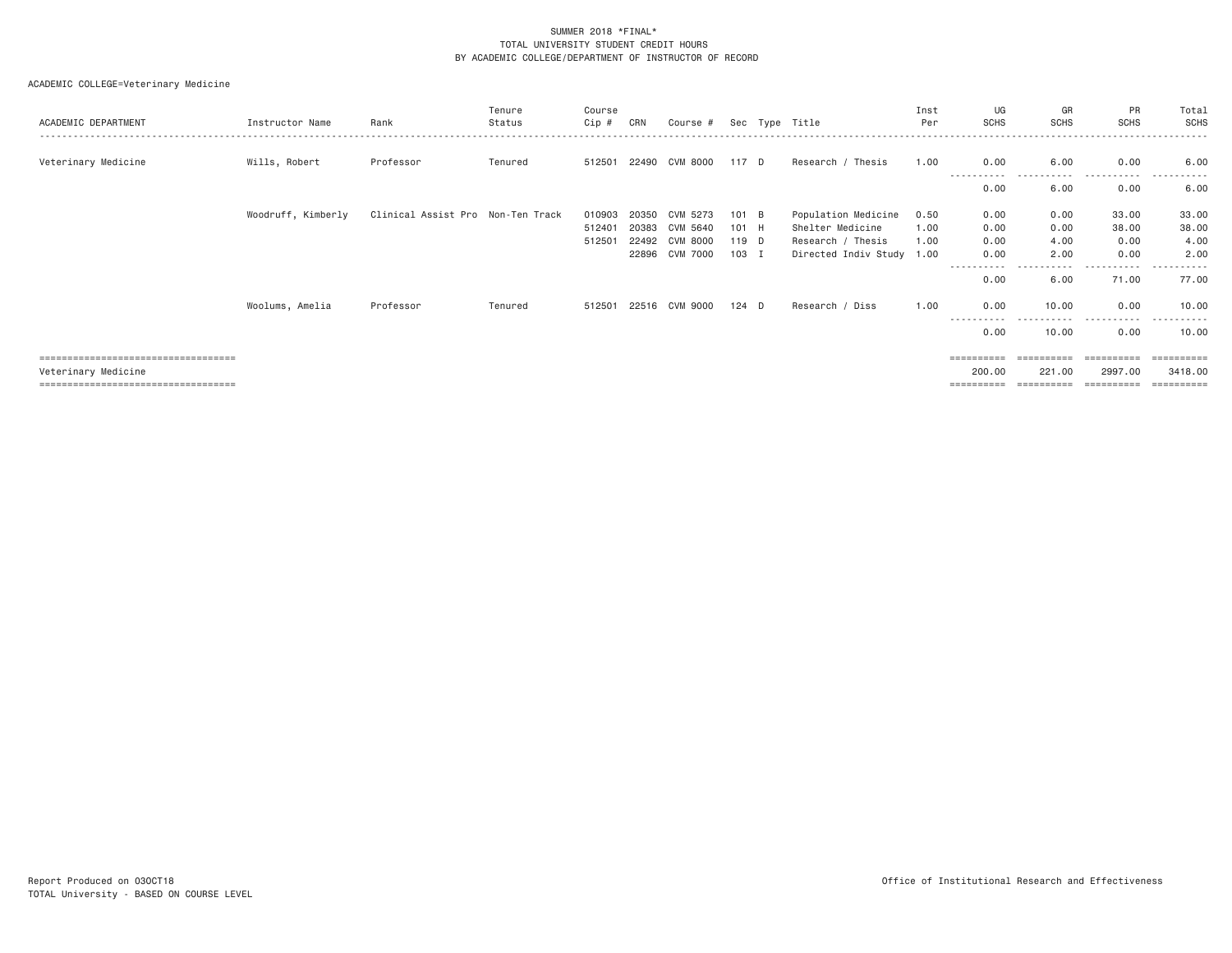|                                       |                    |                                   | Tenure  | Course |       |                |       |                           | Inst | UG                 | GR          | PR                     | Total      |
|---------------------------------------|--------------------|-----------------------------------|---------|--------|-------|----------------|-------|---------------------------|------|--------------------|-------------|------------------------|------------|
| ACADEMIC DEPARTMENT                   | Instructor Name    | Rank                              | Status  | Cip #  | CRN   | Course #       |       | Sec Type Title            | Per  | <b>SCHS</b>        | <b>SCHS</b> | <b>SCHS</b>            | SCHS       |
|                                       |                    |                                   |         |        |       |                |       |                           |      |                    |             |                        |            |
| Veterinary Medicine                   | Wills, Robert      | Professor                         | Tenured | 512501 | 22490 | CVM 8000       | 117 D | Research / Thesis         | 1.00 | 0.00               | 6.00        | 0.00                   | 6.00       |
|                                       |                    |                                   |         |        |       |                |       |                           |      | -----------        | .           | -----------            | ---------- |
|                                       |                    |                                   |         |        |       |                |       |                           |      | 0.00               | 6.00        | 0.00                   | 6.00       |
|                                       |                    |                                   |         |        |       |                |       |                           |      |                    |             |                        |            |
|                                       | Woodruff, Kimberly | Clinical Assist Pro Non-Ten Track |         | 010903 | 20350 | CVM 5273       | 101 B | Population Medicine       | 0.50 | 0.00               | 0.00        | 33.00                  | 33.00      |
|                                       |                    |                                   |         | 512401 | 20383 | CVM 5640       | 101 H | Shelter Medicine          | 1,00 | 0.00               | 0.00        | 38.00                  | 38.00      |
|                                       |                    |                                   |         | 512501 | 22492 | CVM 8000       | 119 D | Research / Thesis         | 1.00 | 0.00               | 4.00        | 0.00                   | 4.00       |
|                                       |                    |                                   |         |        | 22896 | CVM 7000       | 103 I | Directed Indiv Study 1.00 |      | 0.00               | 2.00        | 0.00                   | 2.00       |
|                                       |                    |                                   |         |        |       |                |       |                           |      | ----------<br>0.00 | 6,00        | . <u>.</u> .<br>71.00  | 77.00      |
|                                       | Woolums, Amelia    | Professor                         | Tenured | 512501 |       | 22516 CVM 9000 | 124 D | Research / Diss           | 1.00 | 0.00<br>---------- | 10.00       | 0.00<br>----<br>------ | 10.00<br>. |
|                                       |                    |                                   |         |        |       |                |       |                           |      | 0.00               | 10.00       | 0.00                   | 10.00      |
| ===================================== |                    |                                   |         |        |       |                |       |                           |      |                    |             |                        | =========  |
| Veterinary Medicine                   |                    |                                   |         |        |       |                |       |                           |      | 200,00             | 221.00      | 2997.00                | 3418,00    |
| ===================================== |                    |                                   |         |        |       |                |       |                           |      | ==========         | ==========  | ==========             |            |